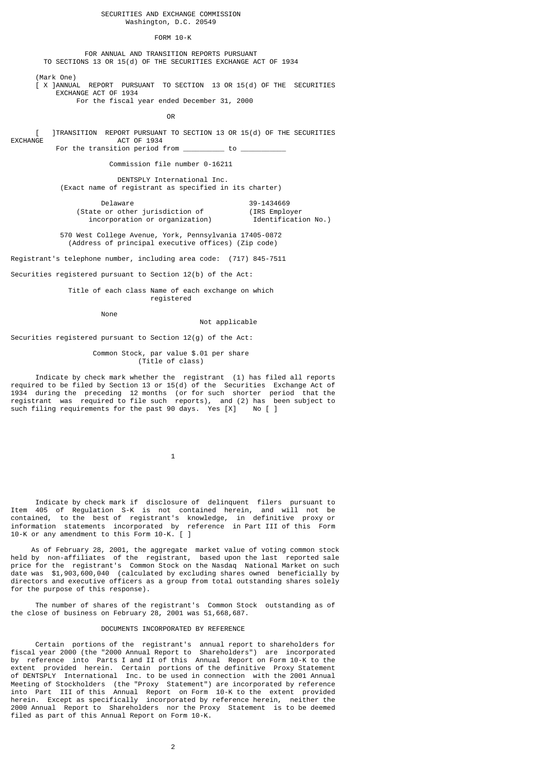# SECURITIES AND EXCHANGE COMMISSION Washington, D.C. 20549

#### FORM 10-K

 FOR ANNUAL AND TRANSITION REPORTS PURSUANT TO SECTIONS 13 OR 15(d) OF THE SECURITIES EXCHANGE ACT OF 1934

 (Mark One)  $\dot{l}$  X ]ANNUAL REPORT PURSUANT TO SECTION 13 OR 15(d) OF THE SECURITIES EXCHANGE ACT OF 1934

For the fiscal year ended December 31, 2000

**OR CONSTRUCTION** 

 [ ]TRANSITION REPORT PURSUANT TO SECTION 13 OR 15(d) OF THE SECURITIES ACT OF 1934 For the transition period from  $\frac{\ }{\ }$  to  $\frac{\ }{\ }$ 

Commission file number 0-16211

 DENTSPLY International Inc. (Exact name of registrant as specified in its charter)

Delaware 39-1434669<br>39-1434669 or other iurisdiction of 39-1434669 (State or other jurisdiction of (IRS Employer<br>incorporation or organization) [Identification No.) incorporation or organization)

 570 West College Avenue, York, Pennsylvania 17405-0872 (Address of principal executive offices) (Zip code)

Registrant's telephone number, including area code: (717) 845-7511

Securities registered pursuant to Section 12(b) of the Act:

## Title of each class Name of each exchange on which registered

None

#### Not applicable

Securities registered pursuant to Section 12(g) of the Act:

 Common Stock, par value \$.01 per share (Title of class)

 Indicate by check mark whether the registrant (1) has filed all reports required to be filed by Section 13 or 15(d) of the Securities Exchange Act of 1934 during the preceding 12 months (or for such shorter period that the registrant was required to file such reports), and (2) has been subject to such filing requirements for the past 90 days. Yes [X] No [ ]

 $\sim$  1

 Indicate by check mark if disclosure of delinquent filers pursuant to Item 405 of Regulation S-K is not contained herein, and will not be contained, to the best of registrant's knowledge, in definitive proxy or information statements incorporated by reference in Part III of this Form 10-K or any amendment to this Form 10-K. [ ]

 As of February 28, 2001, the aggregate market value of voting common stock held by non-affiliates of the registrant, based upon the last reported sale price for the registrant's Common Stock on the Nasdaq National Market on such date was \$1,903,600,040 (calculated by excluding shares owned beneficially by directors and executive officers as a group from total outstanding shares solely for the purpose of this response).

 The number of shares of the registrant's Common Stock outstanding as of the close of business on February 28, 2001 was 51,668,687.

#### DOCUMENTS INCORPORATED BY REFERENCE

 Certain portions of the registrant's annual report to shareholders for fiscal year 2000 (the "2000 Annual Report to Shareholders") are incorporated by reference into Parts I and II of this Annual Report on Form 10-K to the extent provided herein. Certain portions of the definitive Proxy Statement of DENTSPLY International Inc. to be used in connection with the 2001 Annual Meeting of Stockholders (the "Proxy Statement") are incorporated by reference into Part III of this Annual Report on Form 10-K to the extent provided herein. Except as specifically incorporated by reference herein, neither the 2000 Annual Report to Shareholders nor the Proxy Statement is to be deemed filed as part of this Annual Report on Form 10-K.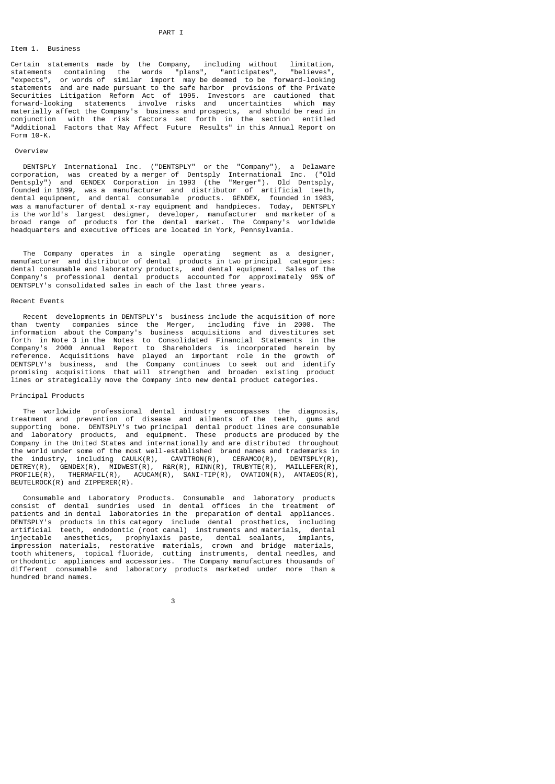#### PART I

# Item 1. Business

Certain statements made by the Company, including without limitation, statements containing the words "plans", "anticipates", "believes", "expects", or words of similar import may be deemed to be forward-looking statements and are made pursuant to the safe harbor provisions of the Private Securities Litigation Reform Act of 1995. Investors are cautioned that forward-looking statements involve risks and uncertainties which may materially affect the Company's business and prospects, and should be read in conjunction with the risk factors set forth in the section entitled "Additional Factors that May Affect Future Results" in this Annual Report on Form 10-K.

# Overview

 DENTSPLY International Inc. ("DENTSPLY" or the "Company"), a Delaware corporation, was created by a merger of Dentsply International Inc. ("Old Dentsply") and GENDEX Corporation in 1993 (the "Merger"). Old Dentsply, founded in 1899, was a manufacturer and distributor of artificial teeth, dental equipment, and dental consumable products. GENDEX, founded in 1983, was a manufacturer of dental x-ray equipment and handpieces. Today, DENTSPLY is the world's largest designer, developer, manufacturer and marketer of a broad range of products for the dental market. The Company's worldwide headquarters and executive offices are located in York, Pennsylvania.

 The Company operates in a single operating segment as a designer, manufacturer and distributor of dental products in two principal categories: dental consumable and laboratory products, and dental equipment. Sales of the Company's professional dental products accounted for approximately 95% of DENTSPLY's consolidated sales in each of the last three years.

# Recent Events

 Recent developments in DENTSPLY's business include the acquisition of more than twenty companies since the Merger, including five in 2000. The information about the Company's business acquisitions and divestitures set forth in Note 3 in the Notes to Consolidated Financial Statements in the Company's 2000 Annual Report to Shareholders is incorporated herein by reference. Acquisitions have played an important role in the growth of DENTSPLY's business, and the Company continues to seek out and identify promising acquisitions that will strengthen and broaden existing product lines or strategically move the Company into new dental product categories.

# Principal Products

 The worldwide professional dental industry encompasses the diagnosis, treatment and prevention of disease and ailments of the teeth, gums and supporting bone. DENTSPLY's two principal dental product lines are consumable and laboratory products, and equipment. These products are produced by the Company in the United States and internationally and are distributed throughout the world under some of the most well-established brand names and trademarks in the industry, including CAULK(R), CAVITRON(R), CERAMCO(R), DENTSPLY(R), DETREY(R), GENDEX(R), MIDWEST(R), R&R(R), RINN(R), TRUBYTE(R), MAILLEFER(R), PROFILE(R), THERMAFIL(R), ACUCAM(R), SANI-TIP(R), OVATION(R), ANTAEOS(R), BEUTELROCK(R) and ZIPPERER(R).

 Consumable and Laboratory Products. Consumable and laboratory products consist of dental sundries used in dental offices in the treatment of patients and in dental laboratories in the preparation of dental appliances.<br>DENTSPLY's products in this category include dental prosthetics, including DENTSPLY's products in this category include dental prosthetics, artificial teeth, endodontic (root canal) instruments and materials, dental injectable anesthetics, prophylaxis paste, dental sealants, implants, impression materials, restorative materials, crown and bridge materials, tooth whiteners, topical fluoride, cutting instruments, dental needles, and orthodontic appliances and accessories. The Company manufactures thousands of different consumable and laboratory products marketed under more than a hundred brand names.

 $\sim$  3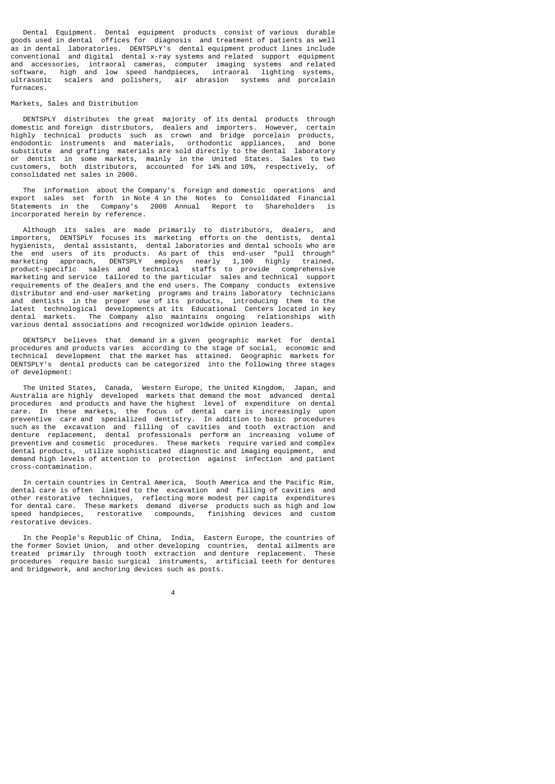Dental Equipment. Dental equipment products consist of various durable goods used in dental offices for diagnosis and treatment of patients as well as in dental laboratories. DENTSPLY's dental equipment product lines include conventional and digital dental x-ray systems and related support equipment and accessories, intraoral cameras, computer imaging systems and related software, high and low speed handpieces, intraoral lighting systems, ultrasonic scalers and polishers, air abrasion systems and porcelain furnaces.

#### Markets, Sales and Distribution

 DENTSPLY distributes the great majority of its dental products through domestic and foreign distributors, dealers and importers. However, certain highly technical products such as crown and bridge porcelain products, endodontic instruments and materials, orthodontic appliances, and bone substitute and grafting materials are sold directly to the dental laboratory or dentist in some markets, mainly in the United States. Sales to two customers, both distributors, accounted for 14% and 10%, respectively, of consolidated net sales in 2000.

 The information about the Company's foreign and domestic operations and export sales set forth in Note 4 in the Notes to Consolidated Financial Statements in the Company's 2000 Annual Report to Shareholders incorporated herein by reference.

 Although its sales are made primarily to distributors, dealers, and importers, DENTSPLY focuses its marketing efforts on the dentists, dental hygienists, dental assistants, dental laboratories and dental schools who are the end users of its products. As part of this end-user "pull through" marketing approach, DENTSPLY employs nearly 1,100 highly trained, product-specific sales and technical staffs to provide comprehensive marketing and service tailored to the particular sales and technical support requirements of the dealers and the end users. The Company conducts extensive distributor and end-user marketing programs and trains laboratory technicians and dentists in the proper use of its products, introducing them to the latest technological developments at its Educational Centers located in key dental markets. The Company also maintains ongoing relationships with various dental associations and recognized worldwide opinion leaders.

 DENTSPLY believes that demand in a given geographic market for dental procedures and products varies according to the stage of social, economic and technical development that the market has attained. Geographic markets for DENTSPLY's dental products can be categorized into the following three stages of development:

 The United States, Canada, Western Europe, the United Kingdom, Japan, and Australia are highly developed markets that demand the most advanced dental procedures and products and have the highest level of expenditure on dental care. In these markets, the focus of dental care is increasingly upon preventive care and specialized dentistry. In addition to basic procedures such as the excavation and filling of cavities and tooth extraction and denture replacement, dental professionals perform an increasing volume of preventive and cosmetic procedures. These markets require varied and complex dental products, utilize sophisticated diagnostic and imaging equipment, and demand high levels of attention to protection against infection and patient cross-contamination.

 In certain countries in Central America, South America and the Pacific Rim, dental care is often limited to the excavation and filling of cavities and other restorative techniques, reflecting more modest per capita expenditures for dental care. These markets demand diverse products such as high and low speed handpieces, restorative compounds, finishing devices and custom restorative devices.

 In the People's Republic of China, India, Eastern Europe, the countries of the former Soviet Union, and other developing countries, dental ailments are treated primarily through tooth extraction and denture replacement. These procedures require basic surgical instruments, artificial teeth for dentures and bridgework, and anchoring devices such as posts.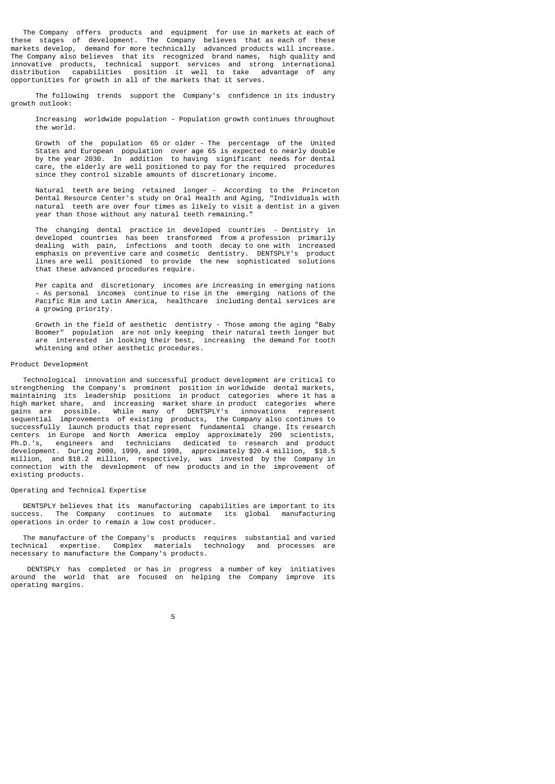The Company offers products and equipment for use in markets at each of these stages of development. The Company believes that as each of these markets develop, demand for more technically advanced products will increase. The Company also believes that its recognized brand names, high quality and innovative products, technical support services and strong international distribution capabilities position it well to take advantage of any opportunities for growth in all of the markets that it serves.

 The following trends support the Company's confidence in its industry growth outlook:

 Increasing worldwide population - Population growth continues throughout the world.

 Growth of the population 65 or older - The percentage of the United States and European population over age 65 is expected to nearly double by the year 2030. In addition to having significant needs for dental care, the elderly are well positioned to pay for the required procedures since they control sizable amounts of discretionary income.

 Natural teeth are being retained longer - According to the Princeton Dental Resource Center's study on Oral Health and Aging, "Individuals with natural teeth are over four times as likely to visit a dentist in a given year than those without any natural teeth remaining."

 The changing dental practice in developed countries - Dentistry in developed countries has been transformed from a profession primarily dealing with pain, infections and tooth decay to one with increased emphasis on preventive care and cosmetic dentistry. DENTSPLY's product lines are well positioned to provide the new sophisticated solutions that these advanced procedures require.

 Per capita and discretionary incomes are increasing in emerging nations - As personal incomes continue to rise in the emerging nations of the Pacific Rim and Latin America, healthcare including dental services are a growing priority.

 Growth in the field of aesthetic dentistry - Those among the aging "Baby Boomer" population are not only keeping their natural teeth longer but are interested in looking their best, increasing the demand for tooth whitening and other aesthetic procedures.

# Product Development

 Technological innovation and successful product development are critical to strengthening the Company's prominent position in worldwide dental markets, maintaining its leadership positions in product categories where it has a high market share, and increasing market share in product categories where gains are possible. While many of DENTSPLY's innovations represent sequential improvements of existing products, the Company also continues to successfully launch products that represent fundamental change. Its research centers in Europe and North America employ approximately 200 scientists, Ph.D.'s, engineers and technicians dedicated to research and product development. During 2000, 1999, and 1998, approximately \$20.4 million, \$18.5 million, and \$18.2 million, respectively, was invested by the Company in connection with the development of new products and in the improvement of existing products.

#### Operating and Technical Expertise

 DENTSPLY believes that its manufacturing capabilities are important to its success. The Company continues to automate its global manufacturing operations in order to remain a low cost producer.

 The manufacture of the Company's products requires substantial and varied technical expertise. Complex materials technology and processes are necessary to manufacture the Company's products.

 DENTSPLY has completed or has in progress a number of key initiatives around the world that are focused on helping the Company improve its operating margins.

the contract of the contract of the contract of the contract of the contract of the contract of the contract o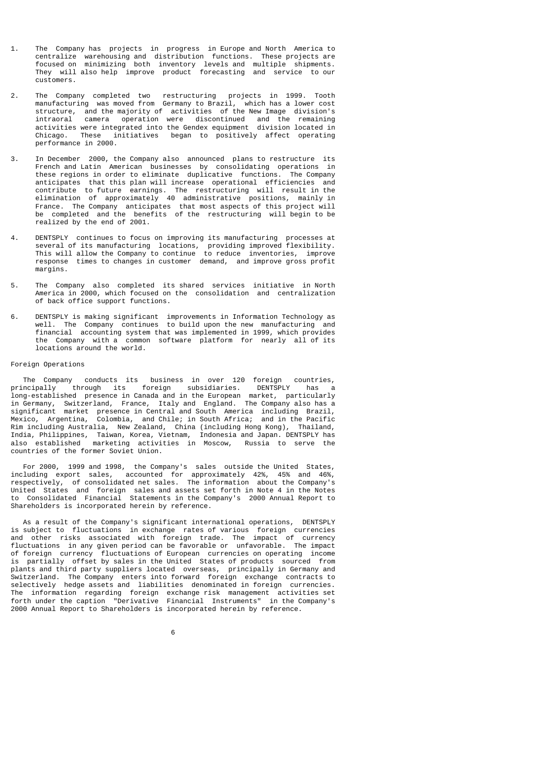- 1. The Company has projects in progress in Europe and North America to centralize warehousing and distribution functions. These projects are focused on minimizing both inventory levels and multiple shipments. They will also help improve product forecasting and service to our customers.
- 2. The Company completed two restructuring projects in 1999. Tooth manufacturing was moved from Germany to Brazil, which has a lower cost structure, and the majority of activities of the New Image division's intraoral camera operation were discontinued and the remaining activities were integrated into the Gendex equipment division located in Chicago. These initiatives began to positively affect operating performance in 2000.
- 3. In December 2000, the Company also announced plans to restructure its French and Latin American businesses by consolidating operations in these regions in order to eliminate duplicative functions. The Company anticipates that this plan will increase operational efficiencies and contribute to future earnings. The restructuring will result in the elimination of approximately 40 administrative positions, mainly in France. The Company anticipates that most aspects of this project will be completed and the benefits of the restructuring will begin to be realized by the end of 2001.
- 4. DENTSPLY continues to focus on improving its manufacturing processes at several of its manufacturing locations, providing improved flexibility. This will allow the Company to continue to reduce inventories, improve response times to changes in customer demand, and improve gross profit margins.
- 5. The Company also completed its shared services initiative in North America in 2000, which focused on the consolidation and centralization of back office support functions.
- 6. DENTSPLY is making significant improvements in Information Technology as well. The Company continues to build upon the new manufacturing and financial accounting system that was implemented in 1999, which provides the Company with a common software platform for nearly all of its locations around the world.

# Foreign Operations

 The Company conducts its business in over 120 foreign countries, principally through its foreign subsidiaries. DENTSPLY has a long-established presence in Canada and in the European market, particularly in Germany, Switzerland, France, Italy and England. The Company also has a significant market presence in Central and South America including Brazil, Mexico, Argentina, Colombia, and Chile; in South Africa; and in the Pacific Rim including Australia, New Zealand, China (including Hong Kong), Thailand, India, Philippines, Taiwan, Korea, Vietnam, Indonesia and Japan. DENTSPLY has also established marketing activities in Moscow, Russia to serve the countries of the former Soviet Union.

 For 2000, 1999 and 1998, the Company's sales outside the United States, including export sales, accounted for approximately 42%, 45% and 46%, respectively, of consolidated net sales. The information about the Company's United States and foreign sales and assets set forth in Note 4 in the Notes to Consolidated Financial Statements in the Company's 2000 Annual Report to Shareholders is incorporated herein by reference.

 As a result of the Company's significant international operations, DENTSPLY is subject to fluctuations in exchange rates of various foreign currencies and other risks associated with foreign trade. The impact of currency fluctuations in any given period can be favorable or unfavorable. The impact of foreign currency fluctuations of European currencies on operating income is partially offset by sales in the United States of products sourced from plants and third party suppliers located overseas, principally in Germany and Switzerland. The Company enters into forward foreign exchange contracts to selectively hedge assets and liabilities denominated in foreign currencies. The information regarding foreign exchange risk management activities set forth under the caption "Derivative Financial Instruments" in the Company's 2000 Annual Report to Shareholders is incorporated herein by reference.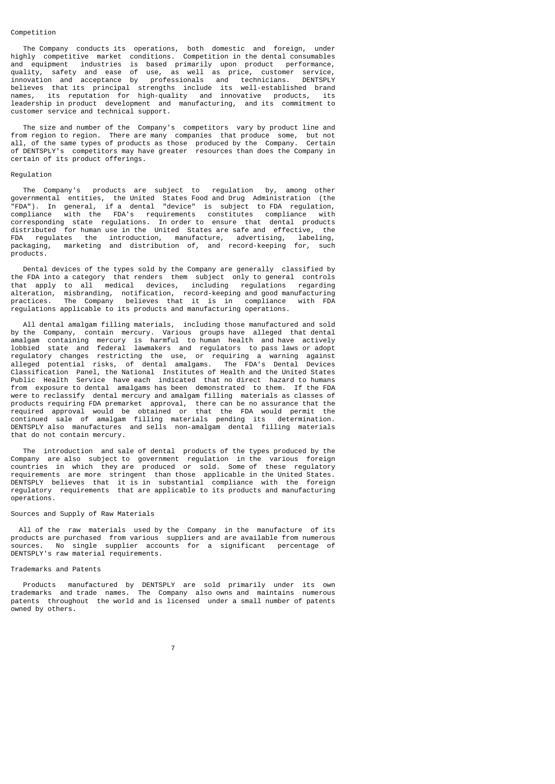#### Competition

 The Company conducts its operations, both domestic and foreign, under highly competitive market conditions. Competition in the dental consumables and equipment industries is based primarily upon product performance, quality, safety and ease of use, as well as price, customer service, innovation and acceptance by professionals and technicians. DENTSPLY believes that its principal strengths include its well-established brand names, its reputation for high-quality and innovative products, its leadership in product development and manufacturing, and its commitment to customer service and technical support.

 The size and number of the Company's competitors vary by product line and from region to region. There are many companies that produce some, but not all, of the same types of products as those produced by the Company. Certain of DENTSPLY's competitors may have greater resources than does the Company in certain of its product offerings.

#### Regulation

 The Company's products are subject to regulation by, among other governmental entities, the United States Food and Drug Administration (the "FDA"). In general, if a dental "device" is subject to FDA regulation, compliance with the FDA's requirements constitutes compliance with corresponding state regulations. In order to ensure that dental products distributed for human use in the United States are safe and effective, the FDA regulates the introduction, manufacture, advertising, labeling, packaging, marketing and distribution of, and record-keeping for, such products.

 Dental devices of the types sold by the Company are generally classified by the FDA into a category that renders them subject only to general controls that apply to all medical devices, including regulations regarding alteration, misbranding, notification, record-keeping and good manufacturing practices. The Company believes that it is in compliance with FDA regulations applicable to its products and manufacturing operations.

 All dental amalgam filling materials, including those manufactured and sold by the Company, contain mercury. Various groups have alleged that dental amalgam containing mercury is harmful to human health and have actively lobbied state and federal lawmakers and regulators to pass laws or adopt regulatory changes restricting the use, or requiring a warning against alleged potential risks, of dental amalgams. The FDA's Dental Devices Classification Panel, the National Institutes of Health and the United States Public Health Service have each indicated that no direct hazard to humans from exposure to dental amalgams has been demonstrated to them. If the FDA were to reclassify dental mercury and amalgam filling materials as classes of products requiring FDA premarket approval, there can be no assurance that the required approval would be obtained or that the FDA would permit the continued sale of amalgam filling materials pending its determination. DENTSPLY also manufactures and sells non-amalgam dental filling materials that do not contain mercury.

 The introduction and sale of dental products of the types produced by the Company are also subject to government regulation in the various foreign countries in which they are produced or sold. Some of these regulatory requirements are more stringent than those applicable in the United States. DENTSPLY believes that it is in substantial compliance with the foreign regulatory requirements that are applicable to its products and manufacturing operations.

# Sources and Supply of Raw Materials

 All of the raw materials used by the Company in the manufacture of its products are purchased from various suppliers and are available from numerous sources. No single supplier accounts for a significant percentage of DENTSPLY's raw material requirements.

#### Trademarks and Patents

 Products manufactured by DENTSPLY are sold primarily under its own trademarks and trade names. The Company also owns and maintains numerous patents throughout the world and is licensed under a small number of patents .<br>owned by others.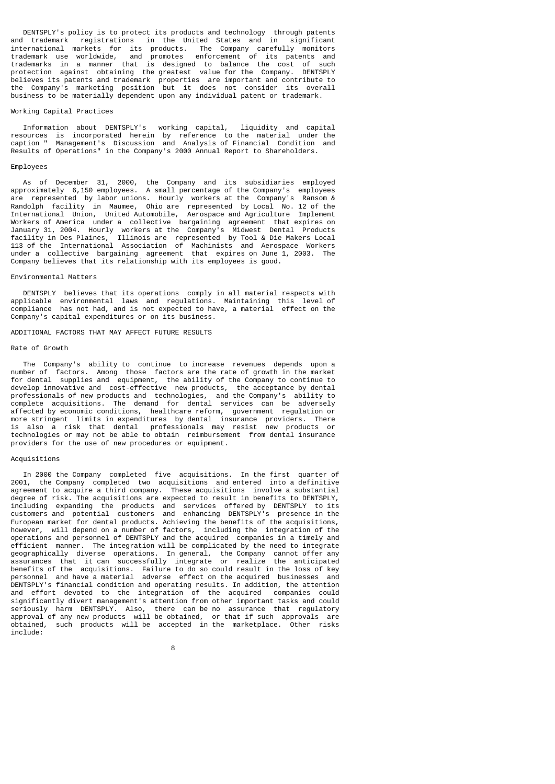DENTSPLY's policy is to protect its products and technology through patents and trademark registrations in the United States and in significant international markets for its products. The Company carefully monitors trademark use worldwide, and promotes enforcement of its patents and trademarks in a manner that is designed to balance the cost of such protection against obtaining the greatest value for the Company. DENTSPLY believes its patents and trademark properties are important and contribute to the Company's marketing position but it does not consider its overall business to be materially dependent upon any individual patent or trademark.

#### Working Capital Practices

 Information about DENTSPLY's working capital, liquidity and capital resources is incorporated herein by reference to the material under the caption " Management's Discussion and Analysis of Financial Condition and Results of Operations" in the Company's 2000 Annual Report to Shareholders.

# Employees

 As of December 31, 2000, the Company and its subsidiaries employed approximately 6,150 employees. A small percentage of the Company's employees are represented by labor unions. Hourly workers at the Company's Ransom & Randolph facility in Maumee, Ohio are represented by Local No. 12 of the International Union, United Automobile, Aerospace and Agriculture Implement Workers of America under a collective bargaining agreement that expires on January 31, 2004. Hourly workers at the Company's Midwest Dental Products facility in Des Plaines, Illinois are represented by Tool & Die Makers Local 113 of the International Association of Machinists and Aerospace Workers under a collective bargaining agreement that expires on June 1, 2003. The Company believes that its relationship with its employees is good.

## Environmental Matters

 DENTSPLY believes that its operations comply in all material respects with applicable environmental laws and regulations. Maintaining this level of compliance has not had, and is not expected to have, a material effect on the Company's capital expenditures or on its business.

# ADDITIONAL FACTORS THAT MAY AFFECT FUTURE RESULTS

## Rate of Growth

 The Company's ability to continue to increase revenues depends upon a number of factors. Among those factors are the rate of growth in the market for dental supplies and equipment, the ability of the Company to continue to develop innovative and cost-effective new products, the acceptance by dental professionals of new products and technologies, and the Company's ability to complete acquisitions. The demand for dental services can be adversely affected by economic conditions, healthcare reform, government regulation or more stringent limits in expenditures by dental insurance providers. There is also a risk that dental professionals may resist new products or technologies or may not be able to obtain reimbursement from dental insurance providers for the use of new procedures or equipment.

# Acquisitions

 In 2000 the Company completed five acquisitions. In the first quarter of 2001, the Company completed two acquisitions and entered into a definitive agreement to acquire a third company. These acquisitions involve a substantial degree of risk. The acquisitions are expected to result in benefits to DENTSPLY, including expanding the products and services offered by DENTSPLY to its customers and potential customers and enhancing DENTSPLY's presence in the European market for dental products. Achieving the benefits of the acquisitions, however, will depend on a number of factors, including the integration of the operations and personnel of DENTSPLY and the acquired companies in a timely and efficient manner. The integration will be complicated by the need to integrate geographically diverse operations. In general, the Company cannot offer any assurances that it can successfully integrate or realize the anticipated benefits of the acquisitions. Failure to do so could result in the loss of key personnel and have a material adverse effect on the acquired businesses and DENTSPLY's financial condition and operating results. In addition, the attention and effort devoted to the integration of the acquired companies could significantly divert management's attention from other important tasks and could seriously harm DENTSPLY. Also, there can be no assurance that regulatory approval of any new products will be obtained, or that if such approvals are obtained, such products will be accepted in the marketplace. Other risks include: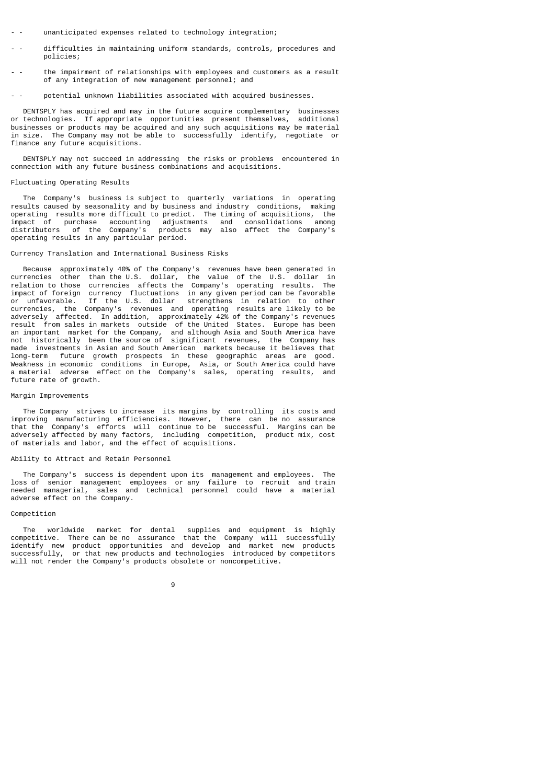- unanticipated expenses related to technology integration;
- difficulties in maintaining uniform standards, controls, procedures and policies;
- the impairment of relationships with employees and customers as a result of any integration of new management personnel; and
- potential unknown liabilities associated with acquired businesses.

DENTSPLY has acquired and may in the future acquire complementary businesses<br>technologies. If appropriate opportunities present themselves, additional or technologies. If appropriate opportunities present themselves, businesses or products may be acquired and any such acquisitions may be material in size. The Company may not be able to successfully identify, negotiate or finance any future acquisitions.

 DENTSPLY may not succeed in addressing the risks or problems encountered in connection with any future business combinations and acquisitions.

#### Fluctuating Operating Results

 The Company's business is subject to quarterly variations in operating results caused by seasonality and by business and industry conditions, making operating results more difficult to predict. The timing of acquisitions, the impact of purchase accounting adjustments and consolidations among distributors of the Company's products may also affect the Company's operating results in any particular period.

#### Currency Translation and International Business Risks

 Because approximately 40% of the Company's revenues have been generated in currencies other than the U.S. dollar, the value of the U.S. dollar in relation to those currencies affects the Company's operating results. The impact of foreign currency fluctuations in any given period can be favorable or unfavorable. If the U.S. dollar strengthens in relation to other currencies, the Company's revenues and operating results are likely to be adversely affected. In addition, approximately 42% of the Company's revenues result from sales in markets outside of the United States. Europe has been an important market for the Company, and although Asia and South America have not historically been the source of significant revenues, the Company has made investments in Asian and South American markets because it believes that long-term future growth prospects in these geographic areas are good. Weakness in economic conditions in Europe, Asia, or South America could have a material adverse effect on the Company's sales, operating results, and future rate of growth.

#### Margin Improvements

 The Company strives to increase its margins by controlling its costs and improving manufacturing efficiencies. However, there can be no assurance that the Company's efforts will continue to be successful. Margins can be adversely affected by many factors, including competition, product mix, cost of materials and labor, and the effect of acquisitions.

#### Ability to Attract and Retain Personnel

 The Company's success is dependent upon its management and employees. The loss of senior management employees or any failure to recruit and train needed managerial, sales and technical personnel could have a material adverse effect on the Company.

# Competition

 The worldwide market for dental supplies and equipment is highly competitive. There can be no assurance that the Company will successfully identify new product opportunities and develop and market new products successfully, or that new products and technologies introduced by competitors will not render the Company's products obsolete or noncompetitive.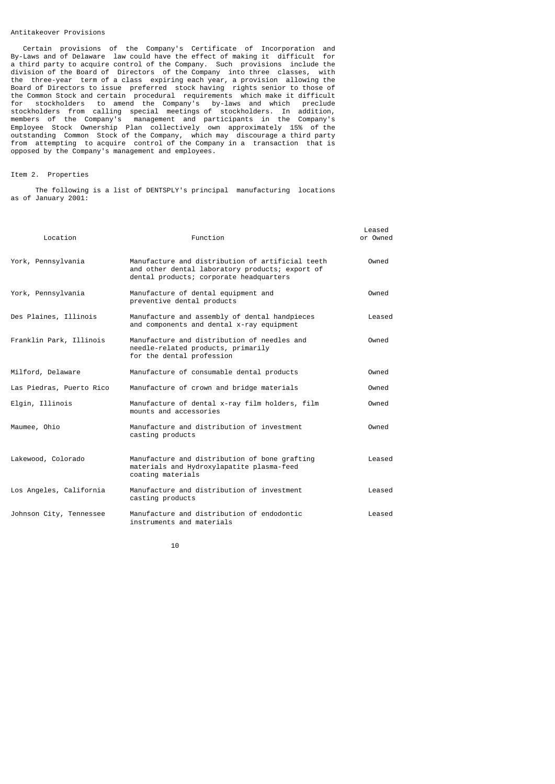#### Antitakeover Provisions

 Certain provisions of the Company's Certificate of Incorporation and By-Laws and of Delaware law could have the effect of making it difficult for a third party to acquire control of the Company. Such provisions include the division of the Board of Directors of the Company into three classes, with the three-year term of a class expiring each year, a provision allowing the Board of Directors to issue preferred stock having rights senior to those of the Common Stock and certain procedural requirements which make it difficult for stockholders to amend the Company's by-laws and which preclude stockholders from calling special meetings of stockholders. In addition, members of the Company's management and participants in the Company's Employee Stock Ownership Plan collectively own approximately 15% of the outstanding Common Stock of the Company, which may discourage a third party from attempting to acquire control of the Company in a transaction that is opposed by the Company's management and employees.

# Item 2. Properties

 The following is a list of DENTSPLY's principal manufacturing locations as of January 2001:

| Location                 | Function                                                                                                                                       | Leased<br>or Owned |
|--------------------------|------------------------------------------------------------------------------------------------------------------------------------------------|--------------------|
| York, Pennsylvania       | Manufacture and distribution of artificial teeth<br>and other dental laboratory products; export of<br>dental products; corporate headquarters | Owned              |
| York, Pennsylvania       | Manufacture of dental equipment and<br>preventive dental products                                                                              | Owned              |
| Des Plaines, Illinois    | Manufacture and assembly of dental handpieces<br>and components and dental x-ray equipment                                                     | Leased             |
| Franklin Park, Illinois  | Manufacture and distribution of needles and<br>needle-related products, primarily<br>for the dental profession                                 | Owned              |
| Milford, Delaware        | Manufacture of consumable dental products                                                                                                      | Owned              |
| Las Piedras, Puerto Rico | Manufacture of crown and bridge materials                                                                                                      | Owned              |
| Elgin, Illinois          | Manufacture of dental x-ray film holders, film<br>mounts and accessories                                                                       | Owned              |
| Maumee, Ohio             | Manufacture and distribution of investment<br>casting products                                                                                 | Owned              |
| Lakewood, Colorado       | Manufacture and distribution of bone grafting<br>materials and Hydroxylapatite plasma-feed<br>coating materials                                | Leased             |
| Los Angeles, California  | Manufacture and distribution of investment<br>casting products                                                                                 | Leased             |
| Johnson City, Tennessee  | Manufacture and distribution of endodontic<br>instruments and materials                                                                        | Leased             |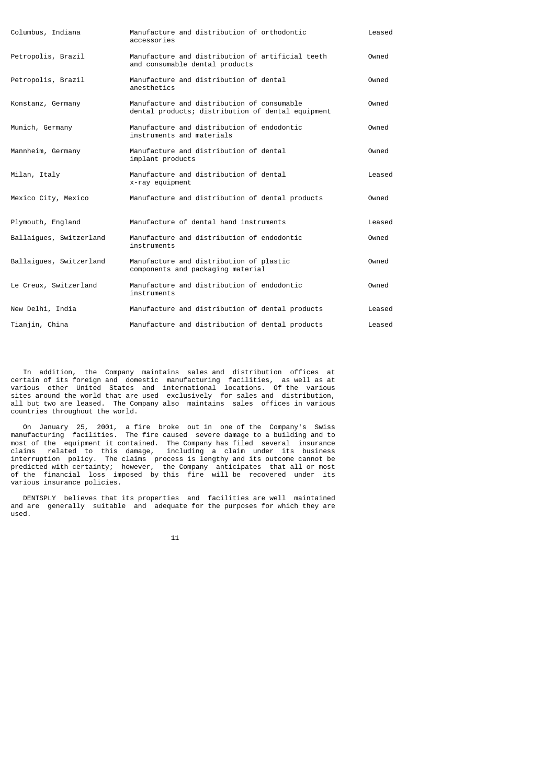| Columbus, Indiana       | Manufacture and distribution of orthodontic<br>accessories                                      | Leased |
|-------------------------|-------------------------------------------------------------------------------------------------|--------|
| Petropolis, Brazil      | Manufacture and distribution of artificial teeth<br>and consumable dental products              | Owned  |
| Petropolis, Brazil      | Manufacture and distribution of dental<br>anesthetics                                           | Owned  |
| Konstanz, Germany       | Manufacture and distribution of consumable<br>dental products; distribution of dental equipment | Owned  |
| Munich, Germany         | Manufacture and distribution of endodontic<br>instruments and materials                         | Owned  |
| Mannheim, Germany       | Manufacture and distribution of dental<br>implant products                                      | Owned  |
| Milan, Italy            | Manufacture and distribution of dental<br>x-ray equipment                                       | Leased |
| Mexico City, Mexico     | Manufacture and distribution of dental products                                                 | Owned  |
| Plymouth, England       | Manufacture of dental hand instruments                                                          | Leased |
| Ballaigues, Switzerland | Manufacture and distribution of endodontic<br>instruments                                       | Owned  |
| Ballaigues, Switzerland | Manufacture and distribution of plastic<br>components and packaging material                    | Owned  |
| Le Creux, Switzerland   | Manufacture and distribution of endodontic<br>instruments                                       | Owned  |
| New Delhi, India        | Manufacture and distribution of dental products                                                 | Leased |
| Tianjin, China          | Manufacture and distribution of dental products                                                 | Leased |

 In addition, the Company maintains sales and distribution offices at certain of its foreign and domestic manufacturing facilities, as well as at various other United States and international locations. Of the various sites around the world that are used exclusively for sales and distribution, all but two are leased. The Company also maintains sales offices in various countries throughout the world.

 On January 25, 2001, a fire broke out in one of the Company's Swiss manufacturing facilities. The fire caused severe damage to a building and to most of the equipment it contained. The Company has filed several insurance claims related to this damage, including a claim under its business interruption policy. The claims process is lengthy and its outcome cannot be predicted with certainty; however, the Company anticipates that all or most of the financial loss imposed by this fire will be recovered under its various insurance policies.

 DENTSPLY believes that its properties and facilities are well maintained and are generally suitable and adequate for the purposes for which they are used.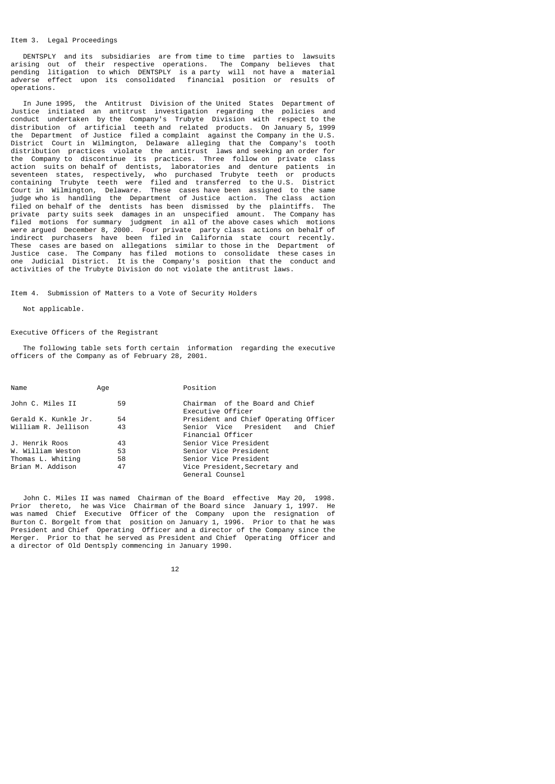## Item 3. Legal Proceedings

 DENTSPLY and its subsidiaries are from time to time parties to lawsuits arising out of their respective operations. The Company believes that pending litigation to which DENTSPLY is a party will not have a material adverse effect upon its consolidated financial position or results of operations.

 In June 1995, the Antitrust Division of the United States Department of Justice initiated an antitrust investigation regarding the policies and conduct undertaken by the Company's Trubyte Division with respect to the distribution of artificial teeth and related products. On January 5, 1999 the Department of Justice filed a complaint against the Company in the U.S. District Court in Wilmington, Delaware alleging that the Company's tooth distribution practices violate the antitrust laws and seeking an order for the Company to discontinue its practices. Three follow on private class action suits on behalf of dentists, laboratories and denture patients in seventeen states, respectively, who purchased Trubyte teeth or products containing Trubyte teeth were filed and transferred to the U.S. District Court in Wilmington, Delaware. These cases have been assigned to the same judge who is handling the Department of Justice action. The class action filed on behalf of the dentists has been dismissed by the plaintiffs. The private party suits seek damages in an unspecified amount. The Company has filed motions for summary judgment in all of the above cases which motions were argued December 8, 2000. Four private party class actions on behalf of indirect purchasers have been filed in California state court recently. These cases are based on allegations similar to those in the Department of Justice case. The Company has filed motions to consolidate these cases in one Judicial District. It is the Company's position that the conduct and activities of the Trubyte Division do not violate the antitrust laws.

Item 4. Submission of Matters to a Vote of Security Holders

## Not applicable.

## Executive Officers of the Registrant

 The following table sets forth certain information regarding the executive officers of the Company as of February 28, 2001.

| Name                 | Age | Position                                             |
|----------------------|-----|------------------------------------------------------|
| John C. Miles II     | 59  | Chairman of the Board and Chief<br>Executive Officer |
| Gerald K. Kunkle Jr. | 54  | President and Chief Operating Officer                |
| William R. Jellison  | 43  | Senior Vice President and Chief<br>Financial Officer |
| J. Henrik Roos       | 43  | Senior Vice President                                |
| W. William Weston    | 53  | Senior Vice President                                |
| Thomas L. Whiting    | 58  | Senior Vice President                                |
| Brian M. Addison     | 47  | Vice President, Secretary and<br>General Counsel     |

 John C. Miles II was named Chairman of the Board effective May 20, 1998. Prior thereto, he was Vice Chairman of the Board since January 1, 1997. He was named Chief Executive Officer of the Company upon the resignation of Burton C. Borgelt from that position on January 1, 1996. Prior to that he was President and Chief Operating Officer and a director of the Company since the Merger. Prior to that he served as President and Chief Operating Officer and a director of Old Dentsply commencing in January 1990.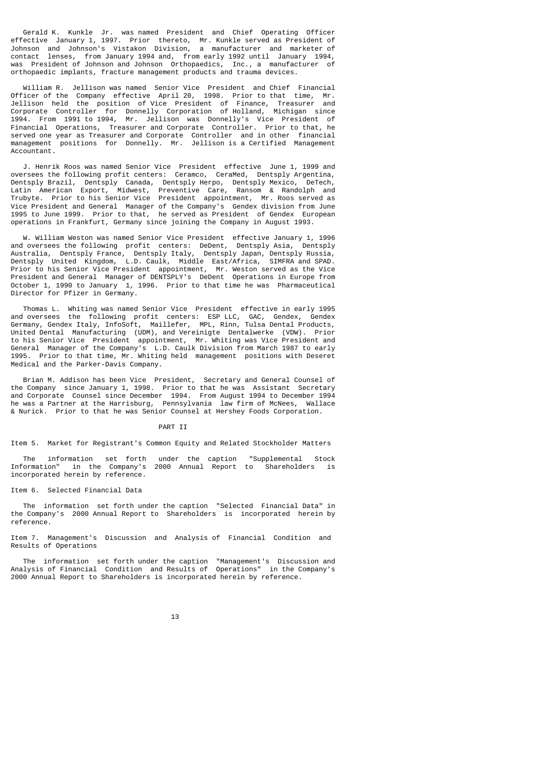Gerald K. Kunkle Jr. was named President and Chief Operating Officer effective January 1, 1997. Prior thereto, Mr. Kunkle served as President of Johnson and Johnson's Vistakon Division, a manufacturer and marketer of contact lenses, from January 1994 and, from early 1992 until January 1994, was President of Johnson and Johnson Orthopaedics, Inc., a manufacturer of orthopaedic implants, fracture management products and trauma devices.

 William R. Jellison was named Senior Vice President and Chief Financial Officer of the Company effective April 20, 1998. Prior to that time, Mr. Jellison held the position of Vice President of Finance, Treasurer and Corporate Controller for Donnelly Corporation of Holland, Michigan since 1994. From 1991 to 1994, Mr. Jellison was Donnelly's Vice President of Financial Operations, Treasurer and Corporate Controller. Prior to that, he served one year as Treasurer and Corporate Controller and in other financial management positions for Donnelly. Mr. Jellison is a Certified Management Accountant.

 J. Henrik Roos was named Senior Vice President effective June 1, 1999 and oversees the following profit centers: Ceramco, CeraMed, Dentsply Argentina, Dentsply Brazil, Dentsply Canada, Dentsply Herpo, Dentsply Mexico, DeTech, Latin American Export, Midwest, Preventive Care, Ransom & Randolph and Trubyte. Prior to his Senior Vice President appointment, Mr. Roos served as Vice President and General Manager of the Company's Gendex division from June 1995 to June 1999. Prior to that, he served as President of Gendex European operations in Frankfurt, Germany since joining the Company in August 1993.

 W. William Weston was named Senior Vice President effective January 1, 1996 and oversees the following profit centers: DeDent, Dentsply Asia, Dentsply Australia, Dentsply France, Dentsply Italy, Dentsply Japan, Dentsply Russia, Dentsply United Kingdom, L.D. Caulk, Middle East/Africa, SIMFRA and SPAD. Prior to his Senior Vice President appointment, Mr. Weston served as the Vice President and General Manager of DENTSPLY's DeDent Operations in Europe from October 1, 1990 to January 1, 1996. Prior to that time he was Pharmaceutical Director for Pfizer in Germany.

 Thomas L. Whiting was named Senior Vice President effective in early 1995 and oversees the following profit centers: ESP LLC, GAC, Gendex, Gendex Germany, Gendex Italy, InfoSoft, Maillefer, MPL, Rinn, Tulsa Dental Products, United Dental Manufacturing (UDM), and Vereinigte Dentalwerke (VDW). Prior to his Senior Vice President appointment, Mr. Whiting was Vice President and General Manager of the Company's L.D. Caulk Division from March 1987 to early 1995. Prior to that time, Mr. Whiting held management positions with Deseret Medical and the Parker-Davis Company.

 Brian M. Addison has been Vice President, Secretary and General Counsel of the Company since January 1, 1998. Prior to that he was Assistant Secretary and Corporate Counsel since December 1994. From August 1994 to December 1994 he was a Partner at the Harrisburg, Pennsylvania law firm of McNees, Wallace & Nurick. Prior to that he was Senior Counsel at Hershey Foods Corporation.

# PART II

Item 5. Market for Registrant's Common Equity and Related Stockholder Matters

 The information set forth under the caption "Supplemental Stock Information" in the Company's 2000 Annual Report to Shareholders is incorporated herein by reference.

Item 6. Selected Financial Data

 The information set forth under the caption "Selected Financial Data" in the Company's 2000 Annual Report to Shareholders is incorporated herein by reference.

Item 7. Management's Discussion and Analysis of Financial Condition and Results of Operations

 The information set forth under the caption "Management's Discussion and Analysis of Financial Condition and Results of Operations" in the Company's 2000 Annual Report to Shareholders is incorporated herein by reference.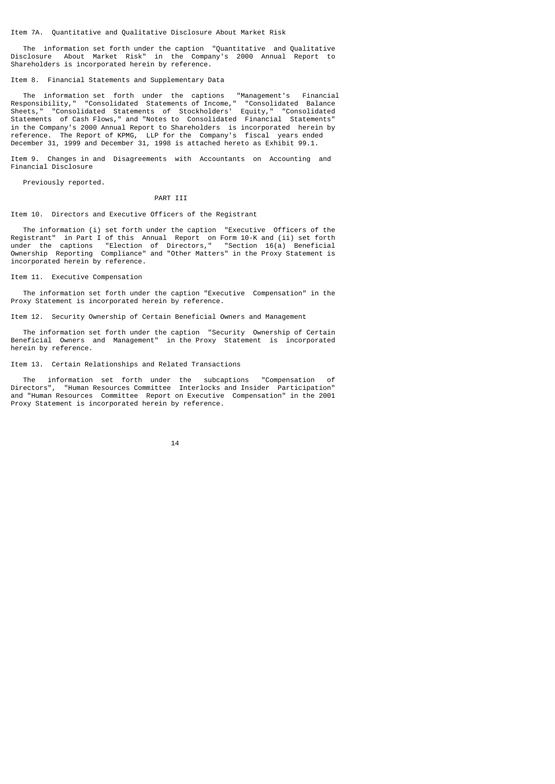Item 7A. Quantitative and Qualitative Disclosure About Market Risk

 The information set forth under the caption "Quantitative and Qualitative Disclosure About Market Risk" in the Company's 2000 Annual Report to Shareholders is incorporated herein by reference.

Item 8. Financial Statements and Supplementary Data

 The information set forth under the captions "Management's Financial Responsibility," "Consolidated Statements of Income," "Consolidated Balance Sheets," "Consolidated Statements of Stockholders' Equity," "Consolidated Statements of Cash Flows," and "Notes to Consolidated Financial Statements" in the Company's 2000 Annual Report to Shareholders is incorporated herein by reference. The Report of KPMG, LLP for the Company's fiscal years ended December 31, 1999 and December 31, 1998 is attached hereto as Exhibit 99.1.

Item 9. Changes in and Disagreements with Accountants on Accounting and Financial Disclosure

Previously reported.

#### PART III

Item 10. Directors and Executive Officers of the Registrant

 The information (i) set forth under the caption "Executive Officers of the Registrant" in Part I of this Annual Report on Form 10-K and (ii) set forth under the captions "Election of Directors," "Section 16(a) Beneficial Ownership Reporting Compliance" and "Other Matters" in the Proxy Statement is incorporated herein by reference.

Item 11. Executive Compensation

 The information set forth under the caption "Executive Compensation" in the Proxy Statement is incorporated herein by reference.

Item 12. Security Ownership of Certain Beneficial Owners and Management

 The information set forth under the caption "Security Ownership of Certain Beneficial Owners and Management" in the Proxy Statement is incorporated herein by reference.

Item 13. Certain Relationships and Related Transactions

 The information set forth under the subcaptions "Compensation of Directors", "Human Resources Committee Interlocks and Insider Participation" and "Human Resources Committee Report on Executive Compensation" in the 2001 Proxy Statement is incorporated herein by reference.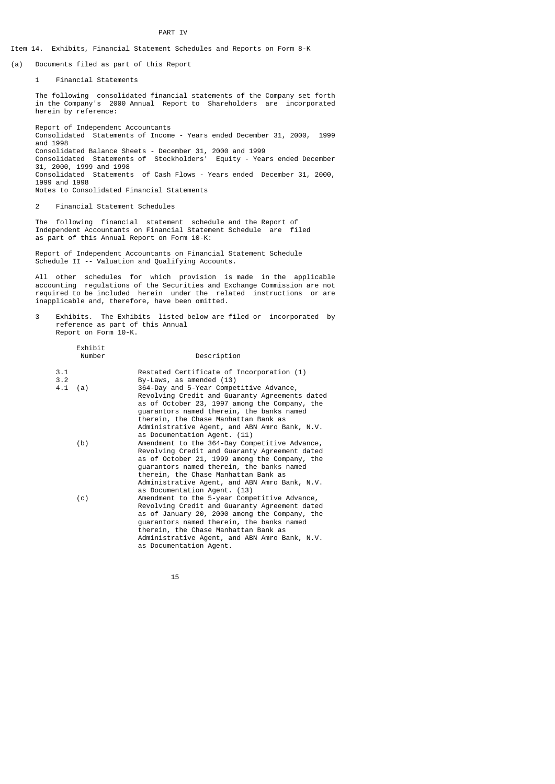#### PART IV

# Item 14. Exhibits, Financial Statement Schedules and Reports on Form 8-K

(a) Documents filed as part of this Report

1 Financial Statements

 The following consolidated financial statements of the Company set forth in the Company's 2000 Annual Report to Shareholders are incorporated herein by reference:

 Report of Independent Accountants Consolidated Statements of Income - Years ended December 31, 2000, 1999 and 1998 Consolidated Balance Sheets - December 31, 2000 and 1999 Consolidated Statements of Stockholders' Equity - Years ended December 31, 2000, 1999 and 1998 Consolidated Statements of Cash Flows - Years ended December 31, 2000, 1999 and 1998 Notes to Consolidated Financial Statements

2 Financial Statement Schedules

Exhibit

 The following financial statement schedule and the Report of Independent Accountants on Financial Statement Schedule are filed as part of this Annual Report on Form 10-K:

 Report of Independent Accountants on Financial Statement Schedule Schedule II -- Valuation and Qualifying Accounts.

 All other schedules for which provision is made in the applicable accounting regulations of the Securities and Exchange Commission are not required to be included herein under the related instructions or are inapplicable and, therefore, have been omitted.

 3 Exhibits. The Exhibits listed below are filed or incorporated by reference as part of this Annual Report on Form 10-K.

|                   | Number | Description                                                                                                                                                                                                                                                     |
|-------------------|--------|-----------------------------------------------------------------------------------------------------------------------------------------------------------------------------------------------------------------------------------------------------------------|
| 3.1<br>3.2<br>4.1 | (a)    | Restated Certificate of Incorporation (1)<br>By-Laws, as amended (13)<br>364-Day and 5-Year Competitive Advance,<br>Revolving Credit and Guaranty Agreements dated                                                                                              |
|                   |        | as of October 23, 1997 among the Company, the<br>guarantors named therein, the banks named<br>therein, the Chase Manhattan Bank as<br>Administrative Agent, and ABN Amro Bank, N.V.                                                                             |
|                   | (b)    | as Documentation Agent. (11)<br>Amendment to the 364-Day Competitive Advance,                                                                                                                                                                                   |
|                   |        | Revolving Credit and Guaranty Agreement dated<br>as of October 21, 1999 among the Company, the<br>quarantors named therein, the banks named<br>therein, the Chase Manhattan Bank as<br>Administrative Agent, and ABN Amro Bank, N.V.                            |
|                   | (c)    | as Documentation Agent. (13)<br>Amendment to the 5-year Competitive Advance,                                                                                                                                                                                    |
|                   |        | Revolving Credit and Guaranty Agreement dated<br>as of January 20, 2000 among the Company, the<br>guarantors named therein, the banks named<br>therein, the Chase Manhattan Bank as<br>Administrative Agent, and ABN Amro Bank, N.V.<br>as Documentation Agent. |

15 and 15 and 15 and 15 and 15 and 15 and 15 and 15 and 15 and 15 and 15 and 15 and 15 and 15 and 15 and 15 an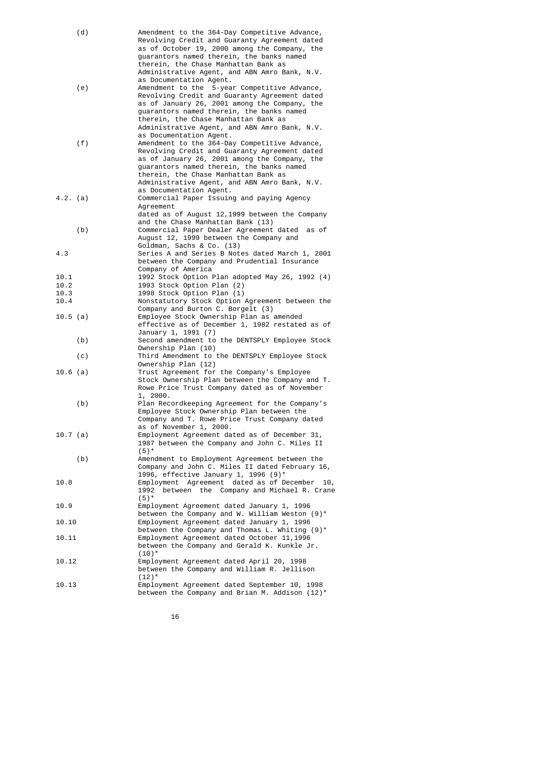| (d)        | Amendment to the 364-Day Competitive Advance,                      |
|------------|--------------------------------------------------------------------|
|            | Revolving Credit and Guaranty Agreement dated                      |
|            | as of October 19, 2000 among the Company, the                      |
|            | quarantors named therein, the banks named                          |
|            | therein, the Chase Manhattan Bank as                               |
|            | Administrative Agent, and ABN Amro Bank, N.V.                      |
|            | as Documentation Agent.                                            |
| (e)        | Amendment to the 5-year Competitive Advance,                       |
|            | Revolving Credit and Guaranty Agreement dated                      |
|            | as of January 26, 2001 among the Company, the                      |
|            | guarantors named therein, the banks named                          |
|            | therein, the Chase Manhattan Bank as                               |
|            | Administrative Agent, and ABN Amro Bank, N.V.                      |
|            | as Documentation Agent.                                            |
| (f)        | Amendment to the 364-Day Competitive Advance,                      |
|            | Revolving Credit and Guaranty Agreement dated                      |
|            | as of January 26, 2001 among the Company, the                      |
|            | guarantors named therein, the banks named                          |
|            | therein, the Chase Manhattan Bank as                               |
|            | Administrative Agent, and ABN Amro Bank, N.V.                      |
|            | as Documentation Agent.                                            |
| 4.2. (a)   | Commercial Paper Issuing and paying Agency                         |
|            | Agreement                                                          |
|            | dated as of August 12,1999 between the Company                     |
|            | and the Chase Manhattan Bank (13)                                  |
| (b)        | Commercial Paper Dealer Agreement dated<br>as of                   |
|            | August 12, 1999 between the Company and                            |
|            | Goldman, Sachs & Co. (13)                                          |
| 4.3        | Series A and Series B Notes dated March 1, 2001                    |
|            | between the Company and Prudential Insurance<br>Company of America |
| 10.1       | 1992 Stock Option Plan adopted May 26, 1992 (4)                    |
| 10.2       | 1993 Stock Option Plan (2)                                         |
| 10.3       | 1998 Stock Option Plan (1)                                         |
| 10.4       | Nonstatutory Stock Option Agreement between the                    |
|            | Company and Burton C. Borgelt (3)                                  |
| 10.5 (a)   | Employee Stock Ownership Plan as amended                           |
|            | effective as of December 1, 1982 restated as of                    |
|            | January 1, 1991 (7)                                                |
| (b)        | Second amendment to the DENTSPLY Employee Stock                    |
|            | Ownership Plan (10)                                                |
| (c)        | Third Amendment to the DENTSPLY Employee Stock                     |
|            | Ownership Plan (12)                                                |
| $10.6$ (a) | Trust Agreement for the Company's Employee                         |
|            | Stock Ownership Plan between the Company and T.                    |
|            | Rowe Price Trust Company dated as of November                      |
|            | 1, 2000.                                                           |
| (b)        | Plan Recordkeeping Agreement for the Company's                     |
|            | Employee Stock Ownership Plan between the                          |
|            | Company and T. Rowe Price Trust Company dated                      |
|            | as of November 1, 2000.                                            |
| 10.7 (a)   | Employment Agreement dated as of December 31,                      |
|            | 1987 between the Company and John C. Miles II                      |
|            | $(5)^*$<br>Amendment to Employment Agreement between the           |
| (b)        | Company and John C. Miles II dated February 16,                    |
|            | 1996, effective January 1, 1996 (9)*                               |
| 10.8       | Employment Agreement dated as of December<br>10,                   |
|            | between the<br>Company and Michael R. Crane<br>1992                |
|            | $(5)^*$                                                            |
| 10.9       | Employment Agreement dated January 1, 1996                         |
|            | between the Company and W. William Weston (9)*                     |
| 10.10      | Employment Agreement dated January 1, 1996                         |
|            | between the Company and Thomas L. Whiting $(9)^*$                  |
| 10.11      | Employment Agreement dated October 11,1996                         |
|            | between the Company and Gerald K. Kunkle Jr.                       |
|            | $(10)^*$                                                           |
| 10.12      | Employment Agreement dated April 20, 1998                          |
|            | between the Company and William R. Jellison                        |
|            | $(12)^*$                                                           |
| 10.13      | Employment Agreement dated September 10, 1998                      |
|            | between the Company and Brian M. Addison $(12)^*$                  |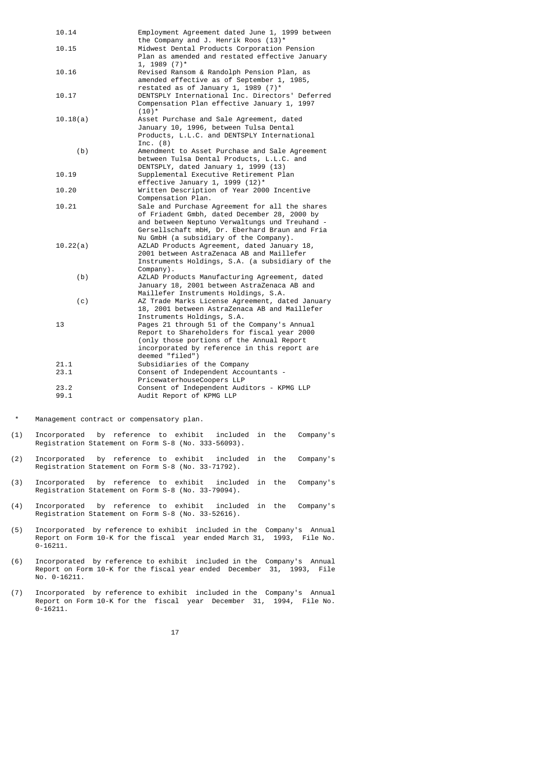| 10.14    | Employment Agreement dated June 1, 1999 between<br>the Company and J. Henrik Roos (13)*                                                                                                                                                      |
|----------|----------------------------------------------------------------------------------------------------------------------------------------------------------------------------------------------------------------------------------------------|
| 10.15    | Midwest Dental Products Corporation Pension<br>Plan as amended and restated effective January<br>$1, 1989 (7)^*$                                                                                                                             |
| 10.16    | Revised Ransom & Randolph Pension Plan, as<br>amended effective as of September 1, 1985,<br>restated as of January 1, 1989 $(7)^*$                                                                                                           |
| 10.17    | DENTSPLY International Inc. Directors' Deferred<br>Compensation Plan effective January 1, 1997<br>$(10)^*$                                                                                                                                   |
| 10.18(a) | Asset Purchase and Sale Agreement, dated<br>January 10, 1996, between Tulsa Dental<br>Products, L.L.C. and DENTSPLY International<br>Inc. $(8)$                                                                                              |
| (b)      | Amendment to Asset Purchase and Sale Agreement<br>between Tulsa Dental Products, L.L.C. and<br>DENTSPLY, dated January 1, 1999 (13)                                                                                                          |
| 10.19    | Supplemental Executive Retirement Plan<br>effective January 1, 1999 $(12)^*$                                                                                                                                                                 |
| 10.20    | Written Description of Year 2000 Incentive<br>Compensation Plan.                                                                                                                                                                             |
| 10.21    | Sale and Purchase Agreement for all the shares<br>of Friadent Gmbh, dated December 28, 2000 by<br>and between Neptuno Verwaltungs und Treuhand -<br>Gersellschaft mbH, Dr. Eberhard Braun and Fria<br>Nu GmbH (a subsidiary of the Company). |
| 10.22(a) | AZLAD Products Agreement, dated January 18,<br>2001 between AstraZenaca AB and Maillefer<br>Instruments Holdings, S.A. (a subsidiary of the<br>Company).                                                                                     |
| (b)      | AZLAD Products Manufacturing Agreement, dated<br>January 18, 2001 between AstraZenaca AB and<br>Maillefer Instruments Holdings, S.A.                                                                                                         |
| (c)      | AZ Trade Marks License Agreement, dated January<br>18, 2001 between AstraZenaca AB and Maillefer<br>Instruments Holdings, S.A.                                                                                                               |
| 13       | Pages 21 through 51 of the Company's Annual<br>Report to Shareholders for fiscal year 2000<br>(only those portions of the Annual Report<br>incorporated by reference in this report are<br>deemed "filed")                                   |
| 21.1     | Subsidiaries of the Company                                                                                                                                                                                                                  |
| 23.1     | Consent of Independent Accountants -<br>PricewaterhouseCoopers LLP                                                                                                                                                                           |
| 23.2     | Consent of Independent Auditors - KPMG LLP                                                                                                                                                                                                   |
| 99.1     | Audit Report of KPMG LLP                                                                                                                                                                                                                     |
|          |                                                                                                                                                                                                                                              |

Management contract or compensatory plan.

- (1) Incorporated by reference to exhibit included in the Company's Registration Statement on Form S-8 (No. 333-56093).
- (2) Incorporated by reference to exhibit included in the Company's Registration Statement on Form S-8 (No. 33-71792).
- (3) Incorporated by reference to exhibit included in the Company's Registration Statement on Form S-8 (No. 33-79094).
- (4) Incorporated by reference to exhibit included in the Company's Registration Statement on Form S-8 (No. 33-52616).
- (5) Incorporated by reference to exhibit included in the Company's Annual Report on Form 10-K for the fiscal year ended March 31, 1993, File No. 0-16211.
- (6) Incorporated by reference to exhibit included in the Company's Annual Report on Form 10-K for the fiscal year ended December 31, 1993, File No. 0-16211.
- (7) Incorporated by reference to exhibit included in the Company's Annual Report on Form 10-K for the fiscal year December 31, 1994, File No. 0-16211.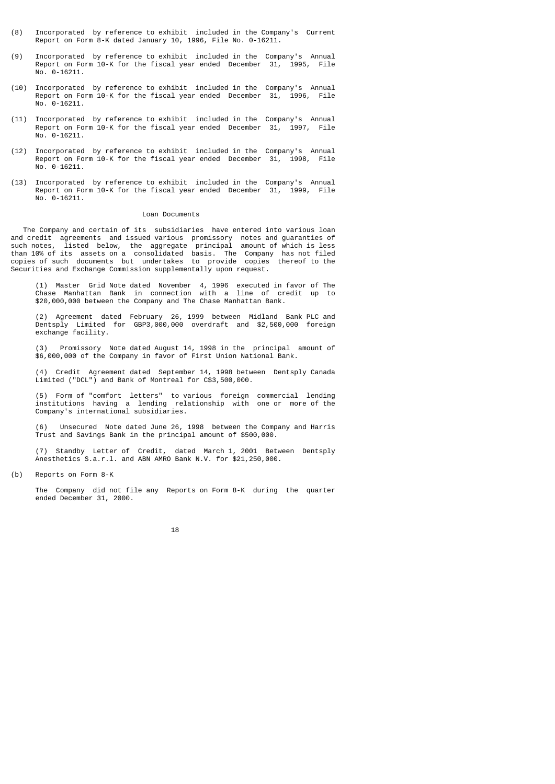- (8) Incorporated by reference to exhibit included in the Company's Current Report on Form 8-K dated January 10, 1996, File No. 0-16211.
- (9) Incorporated by reference to exhibit included in the Company's Annual Report on Form 10-K for the fiscal year ended December 31, 1995, File No. 0-16211.
- (10) Incorporated by reference to exhibit included in the Company's Annual Report on Form 10-K for the fiscal year ended December 31, 1996, File No. 0-16211.
- (11) Incorporated by reference to exhibit included in the Company's Annual Report on Form 10-K for the fiscal year ended December 31, 1997, File No. 0-16211.
- (12) Incorporated by reference to exhibit included in the Company's Annual Report on Form 10-K for the fiscal year ended December 31, 1998, File No. 0-16211.
- (13) Incorporated by reference to exhibit included in the Company's Annual Report on Form 10-K for the fiscal year ended December 31, 1999, File No. 0-16211.

## Loan Documents

 The Company and certain of its subsidiaries have entered into various loan and credit agreements and issued various promissory notes and guaranties of such notes, listed below, the aggregate principal amount of which is less than 10% of its assets on a consolidated basis. The Company has not filed copies of such documents but undertakes to provide copies thereof to the Securities and Exchange Commission supplementally upon request.

 (1) Master Grid Note dated November 4, 1996 executed in favor of The Chase Manhattan Bank in connection with a line of credit up to \$20,000,000 between the Company and The Chase Manhattan Bank.

 (2) Agreement dated February 26, 1999 between Midland Bank PLC and Dentsply Limited for GBP3,000,000 overdraft and \$2,500,000 foreign exchange facility.

 (3) Promissory Note dated August 14, 1998 in the principal amount of \$6,000,000 of the Company in favor of First Union National Bank.

 (4) Credit Agreement dated September 14, 1998 between Dentsply Canada Limited ("DCL") and Bank of Montreal for C\$3,500,000.

 (5) Form of "comfort letters" to various foreign commercial lending institutions having a lending relationship with one or more of the Company's international subsidiaries.

 (6) Unsecured Note dated June 26, 1998 between the Company and Harris Trust and Savings Bank in the principal amount of \$500,000.

 (7) Standby Letter of Credit, dated March 1, 2001 Between Dentsply Anesthetics S.a.r.l. and ABN AMRO Bank N.V. for \$21,250,000.

(b) Reports on Form 8-K

 The Company did not file any Reports on Form 8-K during the quarter ended December 31, 2000.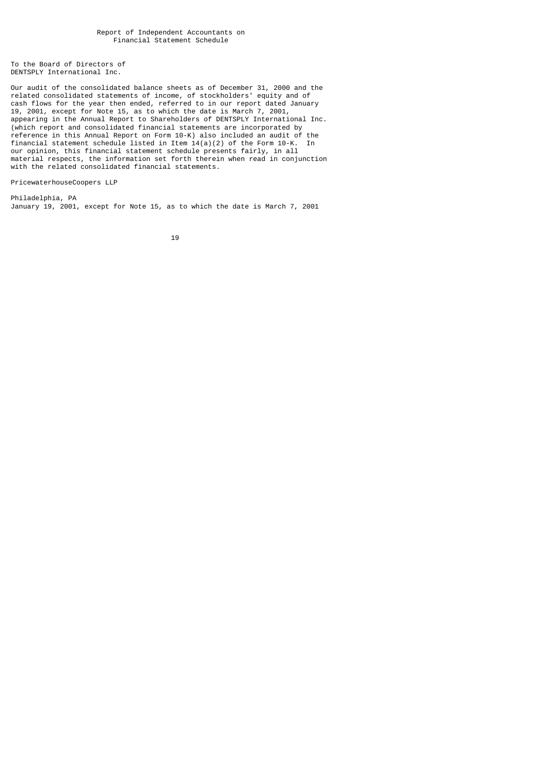To the Board of Directors of DENTSPLY International Inc.

Our audit of the consolidated balance sheets as of December 31, 2000 and the related consolidated statements of income, of stockholders' equity and of cash flows for the year then ended, referred to in our report dated January 19, 2001, except for Note 15, as to which the date is March 7, 2001, appearing in the Annual Report to Shareholders of DENTSPLY International Inc. (which report and consolidated financial statements are incorporated by reference in this Annual Report on Form 10-K) also included an audit of the financial statement schedule listed in Item  $14(a)(2)$  of the Form 10-K. In our opinion, this financial statement schedule presents fairly, in all material respects, the information set forth therein when read in conjunction with the related consolidated financial statements.

PricewaterhouseCoopers LLP

Philadelphia, PA January 19, 2001, except for Note 15, as to which the date is March 7, 2001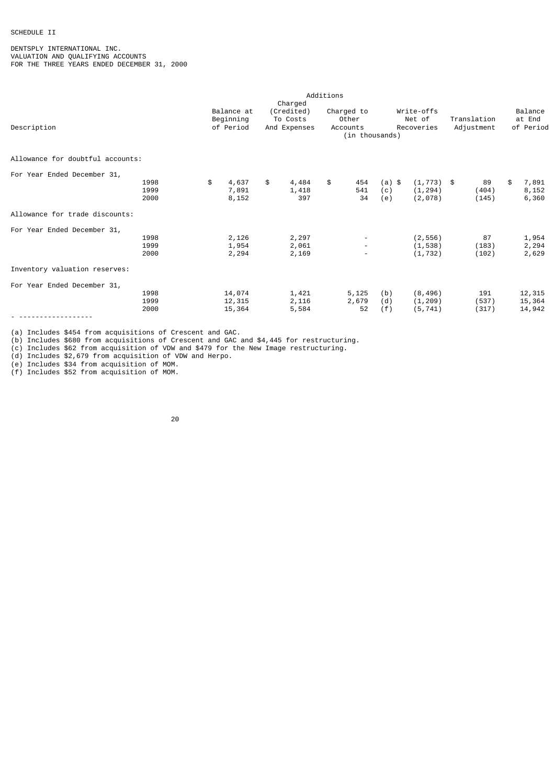# SCHEDULE II

DENTSPLY INTERNATIONAL INC. VALUATION AND QUALIFYING ACCOUNTS FOR THE THREE YEARS ENDED DECEMBER 31, 2000

|                                  |      |             |              | Additions |                          |        |               |             |             |
|----------------------------------|------|-------------|--------------|-----------|--------------------------|--------|---------------|-------------|-------------|
|                                  |      |             | Charged      |           |                          |        |               |             |             |
|                                  |      | Balance at  | (Credited)   |           | Charged to               |        | Write-offs    |             | Balance     |
|                                  |      | Beginning   | To Costs     |           | Other                    |        | Net of        | Translation | at End      |
| Description                      |      | of Period   | And Expenses |           | Accounts                 |        | Recoveries    | Adjustment  | of Period   |
|                                  |      |             |              |           | (in thousands)           |        |               |             |             |
| Allowance for doubtful accounts: |      |             |              |           |                          |        |               |             |             |
| For Year Ended December 31,      |      |             |              |           |                          |        |               |             |             |
|                                  | 1998 | \$<br>4,637 | \$<br>4,484  | \$        | 454                      | (a) \$ | $(1, 773)$ \$ | 89          | \$<br>7,891 |
|                                  | 1999 | 7,891       | 1,418        |           | 541                      | (c)    | (1, 294)      | (404)       | 8,152       |
|                                  | 2000 | 8,152       | 397          |           | 34                       | (e)    | (2,078)       | (145)       | 6,360       |
| Allowance for trade discounts:   |      |             |              |           |                          |        |               |             |             |
| For Year Ended December 31,      |      |             |              |           |                          |        |               |             |             |
|                                  | 1998 | 2,126       | 2,297        |           | $\overline{\phantom{a}}$ |        | (2, 556)      | 87          | 1,954       |
|                                  | 1999 | 1,954       | 2,061        |           | $\overline{\phantom{a}}$ |        | (1, 538)      | (183)       | 2,294       |
|                                  | 2000 | 2,294       | 2,169        |           | $\overline{\phantom{a}}$ |        | (1, 732)      | (102)       | 2,629       |
| Inventory valuation reserves:    |      |             |              |           |                          |        |               |             |             |
| For Year Ended December 31,      |      |             |              |           |                          |        |               |             |             |
|                                  | 1998 | 14,074      | 1,421        |           | 5,125                    | (b)    | (8, 496)      | 191         | 12,315      |
|                                  | 1999 | 12,315      | 2,116        |           | 2,679                    | (d)    | (1, 209)      | (537)       | 15,364      |
|                                  | 2000 | 15,364      | 5,584        |           | 52                       | (f)    | (5, 741)      | (317)       | 14,942      |
|                                  |      |             |              |           |                          |        |               |             |             |

(a) Includes \$454 from acquisitions of Crescent and GAC.

(b) Includes \$680 from acquisitions of Crescent and GAC and \$4,445 for restructuring.

(c) Includes \$62 from acquisition of VDW and \$479 for the New Image restructuring.

(d) Includes \$2,679 from acquisition of VDW and Herpo.

(e) Includes \$34 from acquisition of MOM.

(f) Includes \$52 from acquisition of MOM.

е процесс в политика в село в 1920 године в 1920 године в 1920 године в 1920 године в 1920 године в 1920 годин<br>В 1920 године в 1920 године в 1920 године в 1920 године в 1920 године в 1920 године в 1920 године в 1920 годин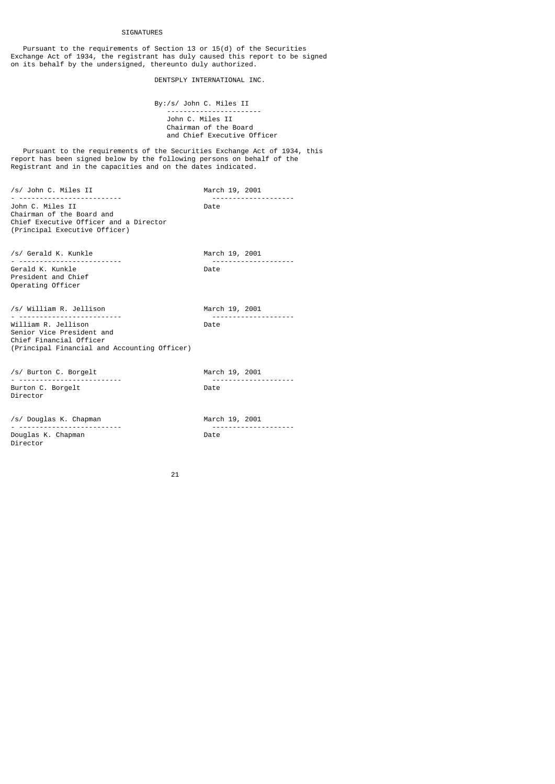#### SIGNATURES

 Pursuant to the requirements of Section 13 or 15(d) of the Securities Exchange Act of 1934, the registrant has duly caused this report to be signed on its behalf by the undersigned, thereunto duly authorized.

DENTSPLY INTERNATIONAL INC.

 By:/s/ John C. Miles II ----------------------- John C. Miles II Chairman of the Board and Chief Executive Officer

 Pursuant to the requirements of the Securities Exchange Act of 1934, this report has been signed below by the following persons on behalf of the Registrant and in the capacities and on the dates indicated.

/s/ John C. Miles II March 19, 2001 ------<sup>-</sup>--------------<br>Date John C. Miles II Chairman of the Board and Chief Executive Officer and a Director (Principal Executive Officer) /s/ Gerald K. Kunkle March 19, 2001 -------<sup>-</sup>---------------<br>Date Gerald K. Kunkle President and Chief Operating Officer /s/ William R. Jellison March 19, 2001 - ------------------------- -------------------- William R. Jellison Senior Vice President and Chief Financial Officer (Principal Financial and Accounting Officer) /s/ Burton C. Borgelt March 19, 2001 - ------------------------- -------------------- Burton C. Borgelt Director /s/ Douglas K. Chapman March 19, 2001

- ------------------------- -------------------- Douglas K. Chapman Director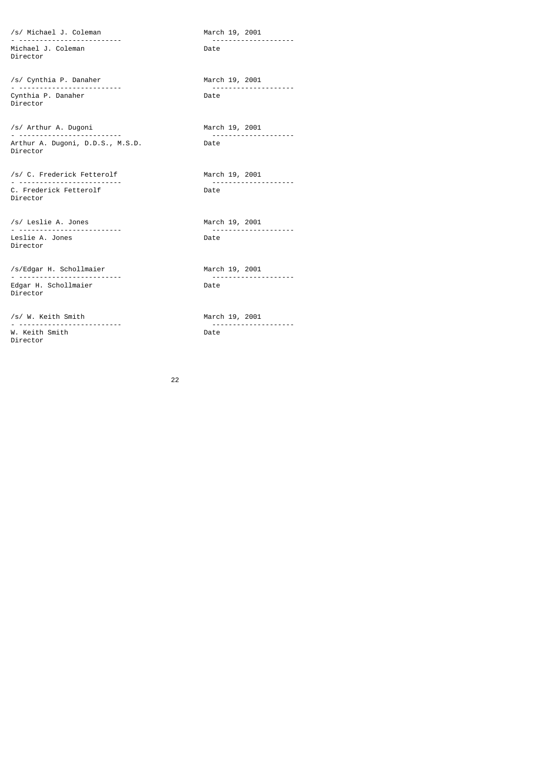/s/ Michael J. Coleman March 19, 2001 - ------------------------- -------------------- Michael J. Coleman Director

/s/ Cynthia P. Danaher March 19, 2001 Cynthia P. Danaher Director

/s/ Arthur A. Dugoni March 19, 2001 Arthur A. Dugoni, D.D.S., M.S.D. Director

/s/ C. Frederick Fetterolf March 19, 2001 C. Frederick Fetterolf Director

/s/ Leslie A. Jones March 19, 2001 - ------------------------- -------------------- Leslie A. Jones Director

/s/Edgar H. Schollmaier March 19, 2001 - ------------------------- -------------------- Edgar H. Schollmaier Director

/s/ W. Keith Smith March 19, 2001 W. Keith Smith Director

- ------------------------- --------------------

---------------------<br>Date

-------<sup>-</sup>--------------<br>Date

- ------------------------- --------------------

<u>22</u>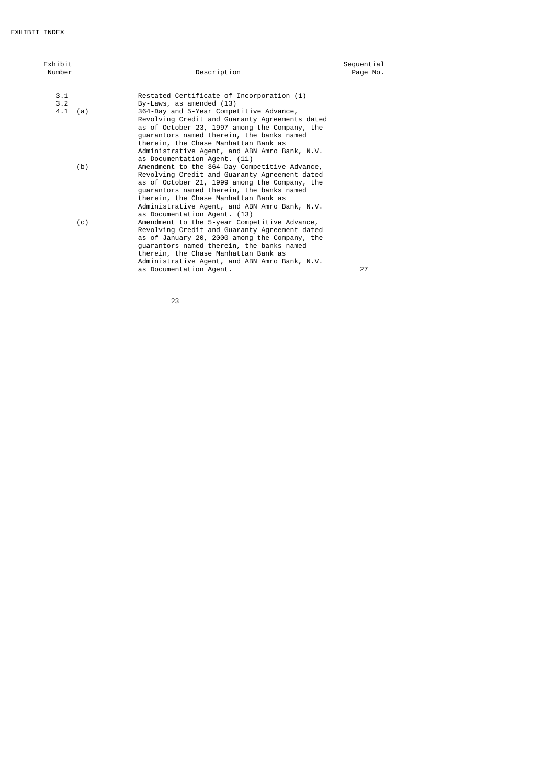| Exhibit<br>Number |     | Description                                                                                                                                                                                                                                                                                                           | Sequential<br>Page No. |
|-------------------|-----|-----------------------------------------------------------------------------------------------------------------------------------------------------------------------------------------------------------------------------------------------------------------------------------------------------------------------|------------------------|
| 3.1               |     | Restated Certificate of Incorporation (1)                                                                                                                                                                                                                                                                             |                        |
| 3.2               |     | By-Laws, as amended (13)                                                                                                                                                                                                                                                                                              |                        |
| $4.1$ (a)         |     | 364-Day and 5-Year Competitive Advance,<br>Revolving Credit and Guaranty Agreements dated<br>as of October 23, 1997 among the Company, the<br>guarantors named therein, the banks named<br>therein, the Chase Manhattan Bank as<br>Administrative Agent, and ABN Amro Bank, N.V.<br>as Documentation Agent. (11)      |                        |
|                   | (b) | Amendment to the 364-Day Competitive Advance,<br>Revolving Credit and Guaranty Agreement dated<br>as of October 21, 1999 among the Company, the<br>quarantors named therein, the banks named<br>therein, the Chase Manhattan Bank as<br>Administrative Agent, and ABN Amro Bank, N.V.<br>as Documentation Agent. (13) |                        |
|                   | (c) | Amendment to the 5-year Competitive Advance,<br>Revolving Credit and Guaranty Agreement dated<br>as of January 20, 2000 among the Company, the<br>guarantors named therein, the banks named<br>therein, the Chase Manhattan Bank as<br>Administrative Agent, and ABN Amro Bank, N.V.<br>as Documentation Agent.       | 27                     |

<u>23 and 23</u>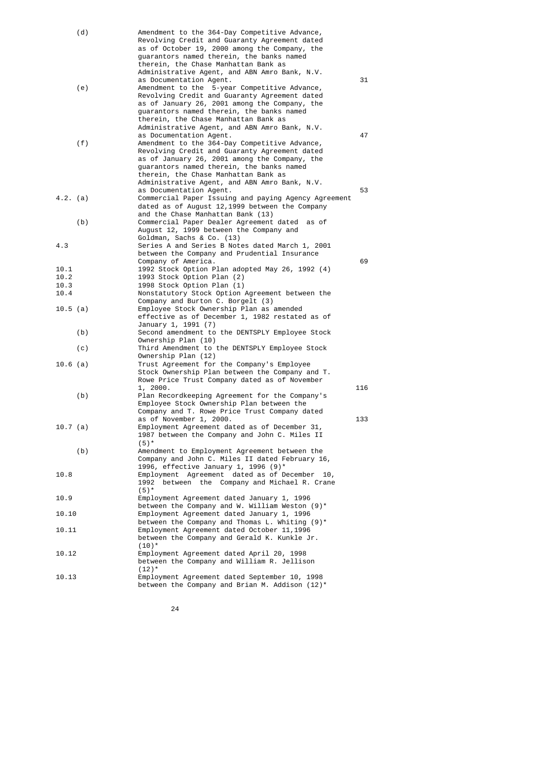| (d)        | Amendment to the 364-Day Competitive Advance,                                                    |     |
|------------|--------------------------------------------------------------------------------------------------|-----|
|            | Revolving Credit and Guaranty Agreement dated                                                    |     |
|            | as of October 19, 2000 among the Company, the                                                    |     |
|            | quarantors named therein, the banks named                                                        |     |
|            | therein, the Chase Manhattan Bank as                                                             |     |
|            | Administrative Agent, and ABN Amro Bank, N.V.<br>as Documentation Agent.                         | 31  |
| (e)        | Amendment to the 5-year Competitive Advance,                                                     |     |
|            | Revolving Credit and Guaranty Agreement dated                                                    |     |
|            | as of January 26, 2001 among the Company, the                                                    |     |
|            | guarantors named therein, the banks named                                                        |     |
|            | therein, the Chase Manhattan Bank as                                                             |     |
|            | Administrative Agent, and ABN Amro Bank, N.V.                                                    |     |
|            | as Documentation Agent.                                                                          | 47  |
| (f)        | Amendment to the 364-Day Competitive Advance,<br>Revolving Credit and Guaranty Agreement dated   |     |
|            | as of January 26, 2001 among the Company, the                                                    |     |
|            | guarantors named therein, the banks named                                                        |     |
|            | therein, the Chase Manhattan Bank as                                                             |     |
|            | Administrative Agent, and ABN Amro Bank, N.V.                                                    |     |
|            | as Documentation Agent.                                                                          | 53  |
| 4.2. (a)   | Commercial Paper Issuing and paying Agency Agreement                                             |     |
|            | dated as of August 12, 1999 between the Company                                                  |     |
|            | and the Chase Manhattan Bank (13)                                                                |     |
| (b)        | Commercial Paper Dealer Agreement dated as of                                                    |     |
|            | August 12, 1999 between the Company and<br>Goldman, Sachs & Co. (13)                             |     |
| 4.3        | Series A and Series B Notes dated March 1, 2001                                                  |     |
|            | between the Company and Prudential Insurance                                                     |     |
|            | Company of America.                                                                              | 69  |
| 10.1       | 1992 Stock Option Plan adopted May 26, 1992 (4)                                                  |     |
| 10.2       | 1993 Stock Option Plan (2)                                                                       |     |
| 10.3       | 1998 Stock Option Plan (1)                                                                       |     |
| 10.4       | Nonstatutory Stock Option Agreement between the                                                  |     |
|            | Company and Burton C. Borgelt (3)<br>Employee Stock Ownership Plan as amended                    |     |
| $10.5$ (a) | effective as of December 1, 1982 restated as of                                                  |     |
|            | January 1, 1991 (7)                                                                              |     |
| (b)        | Second amendment to the DENTSPLY Employee Stock                                                  |     |
|            | Ownership Plan (10)                                                                              |     |
| (c)        | Third Amendment to the DENTSPLY Employee Stock                                                   |     |
|            | Ownership Plan (12)                                                                              |     |
| $10.6$ (a) | Trust Agreement for the Company's Employee                                                       |     |
|            | Stock Ownership Plan between the Company and T.<br>Rowe Price Trust Company dated as of November |     |
|            | 1, 2000.                                                                                         | 116 |
| (b)        | Plan Recordkeeping Agreement for the Company's                                                   |     |
|            | Employee Stock Ownership Plan between the                                                        |     |
|            | Company and T. Rowe Price Trust Company dated                                                    |     |
|            | as of November 1, 2000.                                                                          | 133 |
| 10.7 (a)   | Employment Agreement dated as of December 31,                                                    |     |
|            | 1987 between the Company and John C. Miles II                                                    |     |
| (b)        | $(5)^*$<br>Amendment to Employment Agreement between the                                         |     |
|            | Company and John C. Miles II dated February 16,                                                  |     |
|            | 1996, effective January 1, 1996 (9)*                                                             |     |
| 10.8       | Employment Agreement dated as of December 10,                                                    |     |
|            | 1992<br>between the Company and Michael R. Crane                                                 |     |
|            | $(5)^*$                                                                                          |     |
| 10.9       | Employment Agreement dated January 1, 1996                                                       |     |
|            | between the Company and W. William Weston $(9)^*$                                                |     |
| 10.10      | Employment Agreement dated January 1, 1996<br>between the Company and Thomas L. Whiting $(9)^*$  |     |
| 10.11      | Employment Agreement dated October 11,1996                                                       |     |
|            | between the Company and Gerald K. Kunkle Jr.                                                     |     |
|            | $(10)^*$                                                                                         |     |
| 10.12      | Employment Agreement dated April 20, 1998                                                        |     |
|            | between the Company and William R. Jellison                                                      |     |
|            | $(12)^*$                                                                                         |     |
| 10.13      | Employment Agreement dated September 10, 1998                                                    |     |
|            | between the Company and Brian M. Addison $(12)^*$                                                |     |

<u>24 and 24</u>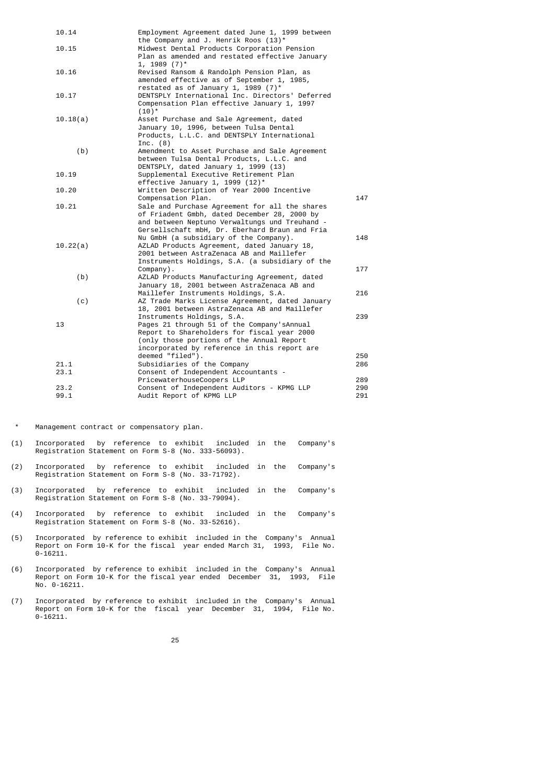| 10.14    | Employment Agreement dated June 1, 1999 between |     |
|----------|-------------------------------------------------|-----|
|          | the Company and J. Henrik Roos $(13)^*$         |     |
| 10.15    | Midwest Dental Products Corporation Pension     |     |
|          | Plan as amended and restated effective January  |     |
|          | $1, 1989 (7)^*$                                 |     |
| 10.16    | Revised Ransom & Randolph Pension Plan, as      |     |
|          | amended effective as of September 1, 1985,      |     |
|          | restated as of January 1, 1989 $(7)^*$          |     |
| 10.17    | DENTSPLY International Inc. Directors' Deferred |     |
|          | Compensation Plan effective January 1, 1997     |     |
|          | $(10)^*$                                        |     |
| 10.18(a) | Asset Purchase and Sale Agreement, dated        |     |
|          | January 10, 1996, between Tulsa Dental          |     |
|          | Products, L.L.C. and DENTSPLY International     |     |
|          | Inc. $(8)$                                      |     |
| (b)      | Amendment to Asset Purchase and Sale Agreement  |     |
|          | between Tulsa Dental Products, L.L.C. and       |     |
|          | DENTSPLY, dated January 1, 1999 (13)            |     |
| 10.19    | Supplemental Executive Retirement Plan          |     |
|          | effective January 1, 1999 $(12)^*$              |     |
| 10.20    | Written Description of Year 2000 Incentive      |     |
|          | Compensation Plan.                              | 147 |
| 10.21    | Sale and Purchase Agreement for all the shares  |     |
|          | of Friadent Gmbh, dated December 28, 2000 by    |     |
|          | and between Neptuno Verwaltungs und Treuhand -  |     |
|          | Gersellschaft mbH, Dr. Eberhard Braun and Fria  |     |
|          | Nu GmbH (a subsidiary of the Company).          | 148 |
| 10.22(a) | AZLAD Products Agreement, dated January 18,     |     |
|          | 2001 between AstraZenaca AB and Maillefer       |     |
|          | Instruments Holdings, S.A. (a subsidiary of the |     |
|          | Company).                                       | 177 |
| (b)      | AZLAD Products Manufacturing Agreement, dated   |     |
|          | January 18, 2001 between AstraZenaca AB and     |     |
|          | Maillefer Instruments Holdings, S.A.            | 216 |
| (c)      | AZ Trade Marks License Agreement, dated January |     |
|          | 18, 2001 between AstraZenaca AB and Maillefer   |     |
|          | Instruments Holdings, S.A.                      | 239 |
| 13       | Pages 21 through 51 of the Company's Annual     |     |
|          | Report to Shareholders for fiscal year 2000     |     |
|          | (only those portions of the Annual Report       |     |
|          | incorporated by reference in this report are    |     |
|          | deemed "filed").                                | 250 |
| 21.1     | Subsidiaries of the Company                     | 286 |
| 23.1     | Consent of Independent Accountants -            |     |
|          | PricewaterhouseCoopers LLP                      | 289 |
| 23.2     | Consent of Independent Auditors - KPMG LLP      | 290 |
| 99.1     | Audit Report of KPMG LLP                        | 291 |
|          |                                                 |     |

\* Management contract or compensatory plan.

- (1) Incorporated by reference to exhibit included in the Company's Registration Statement on Form S-8 (No. 333-56093).
- (2) Incorporated by reference to exhibit included in the Company's Registration Statement on Form S-8 (No. 33-71792).
- (3) Incorporated by reference to exhibit included in the Company's Registration Statement on Form S-8 (No. 33-79094).
- (4) Incorporated by reference to exhibit included in the Company's Registration Statement on Form S-8 (No. 33-52616).
- (5) Incorporated by reference to exhibit included in the Company's Annual Report on Form 10-K for the fiscal year ended March 31, 1993, File No. 0-16211.
- (6) Incorporated by reference to exhibit included in the Company's Annual Report on Form 10-K for the fiscal year ended December 31, 1993, File No. 0-16211.
- (7) Incorporated by reference to exhibit included in the Company's Annual Report on Form 10-K for the fiscal year December 31, 1994, File No. 0-16211.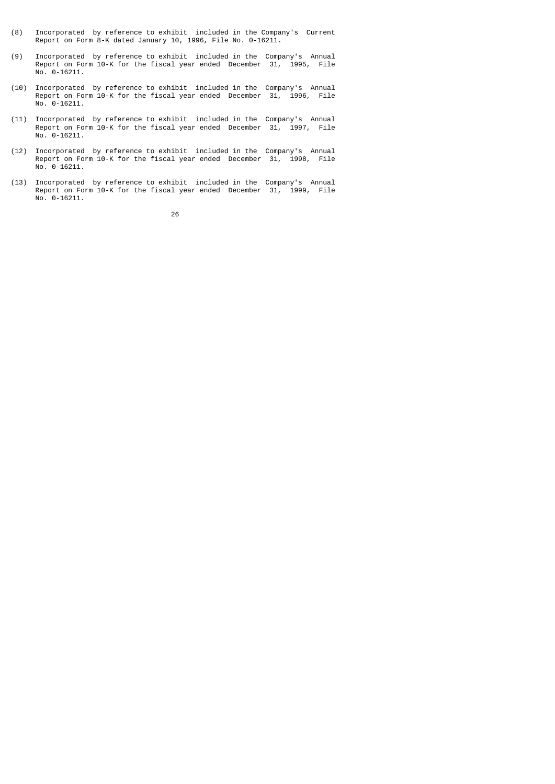- (8) Incorporated by reference to exhibit included in the Company's Current Report on Form 8-K dated January 10, 1996, File No. 0-16211.
- (9) Incorporated by reference to exhibit included in the Company's Annual Report on Form 10-K for the fiscal year ended December 31, 1995, File No. 0-16211.
- (10) Incorporated by reference to exhibit included in the Company's Annual Report on Form 10-K for the fiscal year ended December 31, 1996, File No. 0-16211.
- (11) Incorporated by reference to exhibit included in the Company's Annual Report on Form 10-K for the fiscal year ended December 31, 1997, File No. 0-16211.
- (12) Incorporated by reference to exhibit included in the Company's Annual Report on Form 10-K for the fiscal year ended December 31, 1998, File No. 0-16211.
- (13) Incorporated by reference to exhibit included in the Company's Annual Report on Form 10-K for the fiscal year ended December 31, 1999, File No. 0-16211.

<u>26 and 26</u>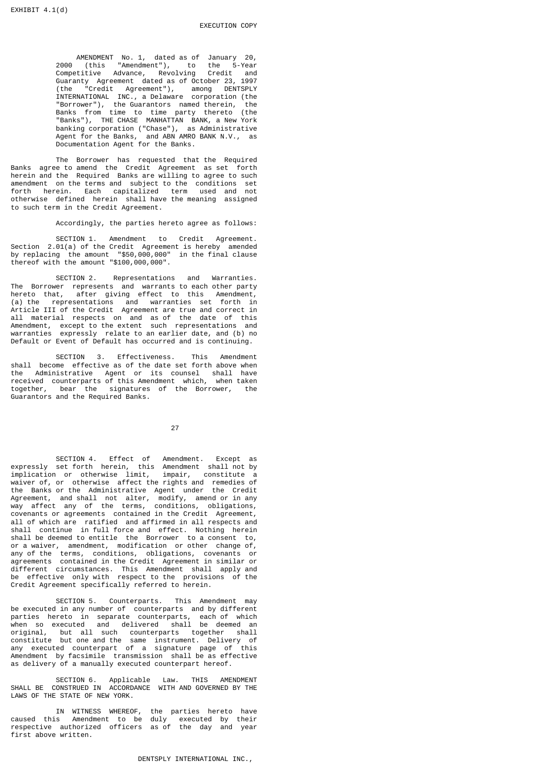AMENDMENT No. 1, dated as of January 20, 2000 (this "Amendment"), to the 5-Year Competitive Advance, Revolving Credit and Guaranty Agreement dated as of October 23, 1997 (the "Credit Agreement"), among DENTSPLY INTERNATIONAL INC., a Delaware corporation (the "Borrower"), the Guarantors named therein, the Banks from time to time party thereto (the "Banks"), THE CHASE MANHATTAN BANK, a New York banking corporation ("Chase"), as Administrative Agent for the Banks, and ABN AMRO BANK N.V., as Documentation Agent for the Banks.

 The Borrower has requested that the Required Banks agree to amend the Credit Agreement as set forth herein and the Required Banks are willing to agree to such amendment on the terms and subject to the conditions set forth herein. Each capitalized term used and not otherwise defined herein shall have the meaning assigned to such term in the Credit Agreement.

Accordingly, the parties hereto agree as follows:

 SECTION 1. Amendment to Credit Agreement. Section 2.01(a) of the Credit Agreement is hereby amended by replacing the amount "\$50,000,000" in the final clause thereof with the amount "\$100,000,000".

 SECTION 2. Representations and Warranties. The Borrower represents and warrants to each other party hereto that, after giving effect to this Amendment, (a) the representations and warranties set forth in Article III of the Credit Agreement are true and correct in all material respects on and as of the date of this Amendment, except to the extent such representations and warranties expressly relate to an earlier date, and (b) no Default or Event of Default has occurred and is continuing.

 SECTION 3. Effectiveness. This Amendment shall become effective as of the date set forth above when the Administrative Agent or its counsel shall have<br>received counterparts of this Amendment which, when taken received counterparts of this Amendment which, together, bear the signatures of the Borrower, the Guarantors and the Required Banks.

<u>27 and 27</u>

 SECTION 4. Effect of Amendment. Except as expressly set forth herein, this Amendment shall not by implication or otherwise limit, impair, constitute a waiver of, or otherwise affect the rights and remedies of the Banks or the Administrative Agent under the Credit Agreement, and shall not alter, modify, amend or in any way affect any of the terms, conditions, obligations, covenants or agreements contained in the Credit Agreement, all of which are ratified and affirmed in all respects and shall continue in full force and effect. Nothing herein shall be deemed to entitle the Borrower to a consent to, or a waiver, amendment, modification or other change of, any of the terms, conditions, obligations, covenants or agreements contained in the Credit Agreement in similar or different circumstances. This Amendment shall apply and be effective only with respect to the provisions of the Credit Agreement specifically referred to herein.

 SECTION 5. Counterparts. This Amendment may be executed in any number of counterparts and by different parties hereto in separate counterparts, each of which when so executed and delivered shall be deemed an original, but all such counterparts together shall constitute but one and the same instrument. Delivery of any executed counterpart of a signature page of this Amendment by facsimile transmission shall be as effective as delivery of a manually executed counterpart hereof.

 SECTION 6. Applicable Law. THIS AMENDMENT SHALL BE CONSTRUED IN ACCORDANCE WITH AND GOVERNED BY THE LAWS OF THE STATE OF NEW YORK.

 IN WITNESS WHEREOF, the parties hereto have caused this Amendment to be duly executed by their respective authorized officers as of the day and year first above written.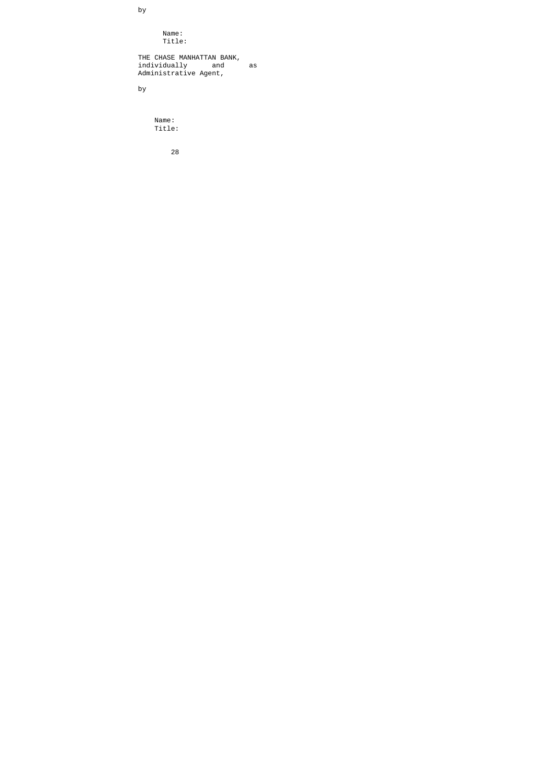Name: Title:

 THE CHASE MANHATTAN BANK, individually and as Administrative Agent,

by

by

 Name: Title:

<u>28 and 28 and 28 and 28 and 28 and 28 and 28 and 28 and 28 and 28 and 28 and 28 and 28 and 28 and 28 and 28 and 28 and 28 and 28 and 28 and 28 and 28 and 28 and 28 and 28 and 28 and 28 and 28 and 28 and 28 and 28 and 28 a</u>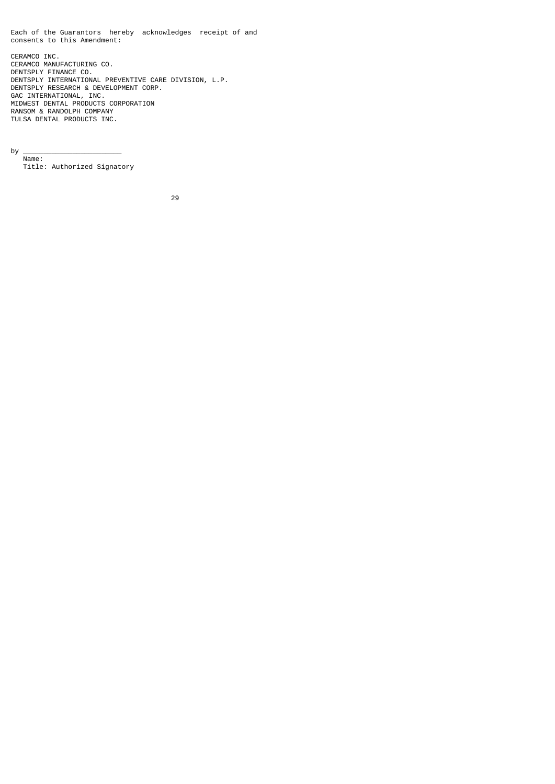Each of the Guarantors hereby acknowledges receipt of and consents to this Amendment: CERAMCO INC. CERAMCO MANUFACTURING CO. DENTSPLY FINANCE CO. DENTSPLY INTERNATIONAL PREVENTIVE CARE DIVISION, L.P. DENTSPLY RESEARCH & DEVELOPMENT CORP. GAC INTERNATIONAL, INC. MIDWEST DENTAL PRODUCTS CORPORATION RANSOM & RANDOLPH COMPANY

by \_\_\_\_\_\_\_\_\_\_\_\_\_\_\_\_\_\_\_\_\_\_\_\_

 Name: Title: Authorized Signatory

TULSA DENTAL PRODUCTS INC.

<u>29 and 29 and 29 and 29 and 29 and 29 and 29 and 29 and 29 and 29 and 29 and 29 and 29 and 29 and 29 and 2012</u>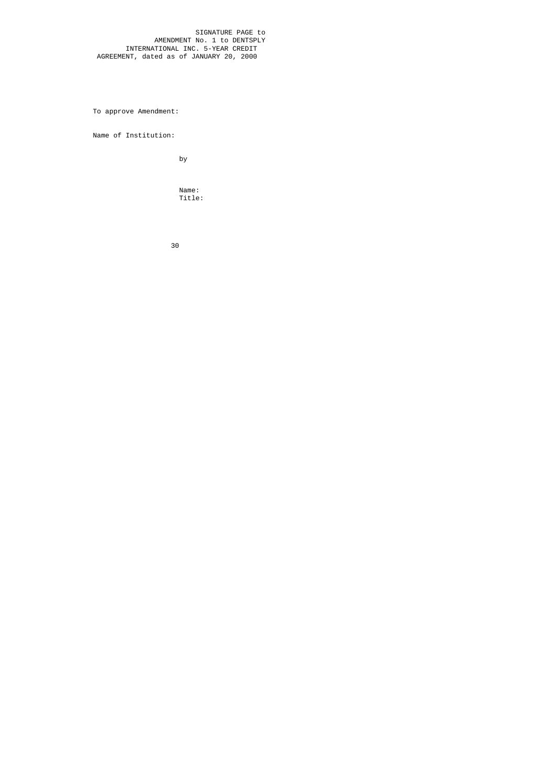SIGNATURE PAGE to AMENDMENT No. 1 to DENTSPLY INTERNATIONAL INC. 5-YEAR CREDIT AGREEMENT, dated as of JANUARY 20, 2000

To approve Amendment:

Name of Institution:

by

 Name: Title: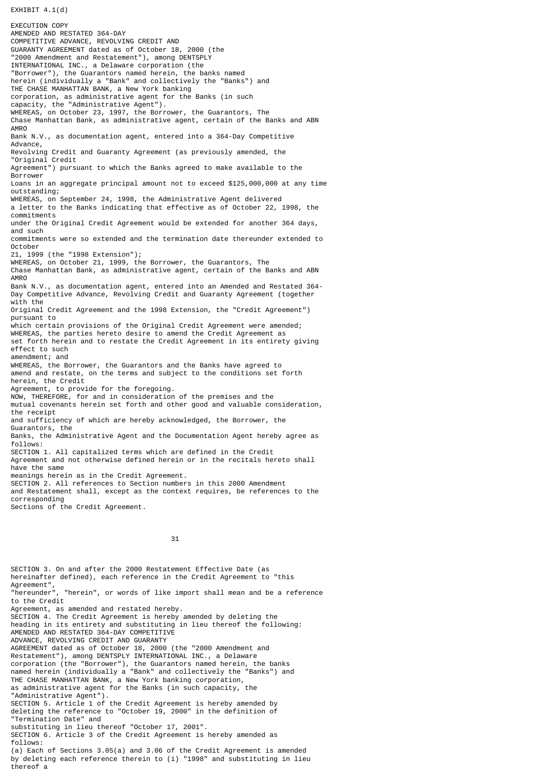$EXHIBIT 4.1(d)$ 

EXECUTION COPY AMENDED AND RESTATED 364-DAY COMPETITIVE ADVANCE, REVOLVING CREDIT AND GUARANTY AGREEMENT dated as of October 18, 2000 (the "2000 Amendment and Restatement"), among DENTSPLY INTERNATIONAL INC., a Delaware corporation (the "Borrower"), the Guarantors named herein, the banks named herein (individually a "Bank" and collectively the "Banks") and THE CHASE MANHATTAN BANK, a New York banking corporation, as administrative agent for the Banks (in such capacity, the "Administrative Agent"). WHEREAS, on October 23, 1997, the Borrower, the Guarantors, The Chase Manhattan Bank, as administrative agent, certain of the Banks and ABN AMRO Bank N.V., as documentation agent, entered into a 364-Day Competitive Advance, Revolving Credit and Guaranty Agreement (as previously amended, the "Original Credit Agreement") pursuant to which the Banks agreed to make available to the Borrower Loans in an aggregate principal amount not to exceed \$125,000,000 at any time outstanding; WHEREAS, on September 24, 1998, the Administrative Agent delivered a letter to the Banks indicating that effective as of October 22, 1998, the commitments under the Original Credit Agreement would be extended for another 364 days, and such commitments were so extended and the termination date thereunder extended to October 21, 1999 (the "1998 Extension"); WHEREAS, on October 21, 1999, the Borrower, the Guarantors, The Chase Manhattan Bank, as administrative agent, certain of the Banks and ABN **AMRO** Bank N.V., as documentation agent, entered into an Amended and Restated 364- Day Competitive Advance, Revolving Credit and Guaranty Agreement (together with the Original Credit Agreement and the 1998 Extension, the "Credit Agreement") pursuant to which certain provisions of the Original Credit Agreement were amended; WHEREAS, the parties hereto desire to amend the Credit Agreement as set forth herein and to restate the Credit Agreement in its entirety giving effect to such amendment; and WHEREAS, the Borrower, the Guarantors and the Banks have agreed to amend and restate, on the terms and subject to the conditions set forth herein, the Credit Agreement, to provide for the foregoing. NOW, THEREFORE, for and in consideration of the premises and the mutual covenants herein set forth and other good and valuable consideration, the receipt and sufficiency of which are hereby acknowledged, the Borrower, the Guarantors, the Banks, the Administrative Agent and the Documentation Agent hereby agree as follows: SECTION 1. All capitalized terms which are defined in the Credit Agreement and not otherwise defined herein or in the recitals hereto shall have the same meanings herein as in the Credit Agreement. SECTION 2. All references to Section numbers in this 2000 Amendment and Restatement shall, except as the context requires, be references to the corresponding Sections of the Credit Agreement.

31

SECTION 3. On and after the 2000 Restatement Effective Date (as hereinafter defined), each reference in the Credit Agreement to "this Agreement", "hereunder", "herein", or words of like import shall mean and be a reference to the Credit Agreement, as amended and restated hereby. SECTION 4. The Credit Agreement is hereby amended by deleting the heading in its entirety and substituting in lieu thereof the following: AMENDED AND RESTATED 364-DAY COMPETITIVE ADVANCE, REVOLVING CREDIT AND GUARANTY AGREEMENT dated as of October 18, 2000 (the "2000 Amendment and Restatement"), among DENTSPLY INTERNATIONAL INC., a Delaware corporation (the "Borrower"), the Guarantors named herein, the banks named herein (individually a "Bank" and collectively the "Banks") and THE CHASE MANHATTAN BANK, a New York banking corporation, as administrative agent for the Banks (in such capacity, the "Administrative Agent"). SECTION 5. Article 1 of the Credit Agreement is hereby amended by deleting the reference to "October 19, 2000" in the definition of "Termination Date" and substituting in lieu thereof "October 17, 2001". SECTION 6. Article 3 of the Credit Agreement is hereby amended as follows: (a) Each of Sections 3.05(a) and 3.06 of the Credit Agreement is amended by deleting each reference therein to (i) "1998" and substituting in lieu thereof a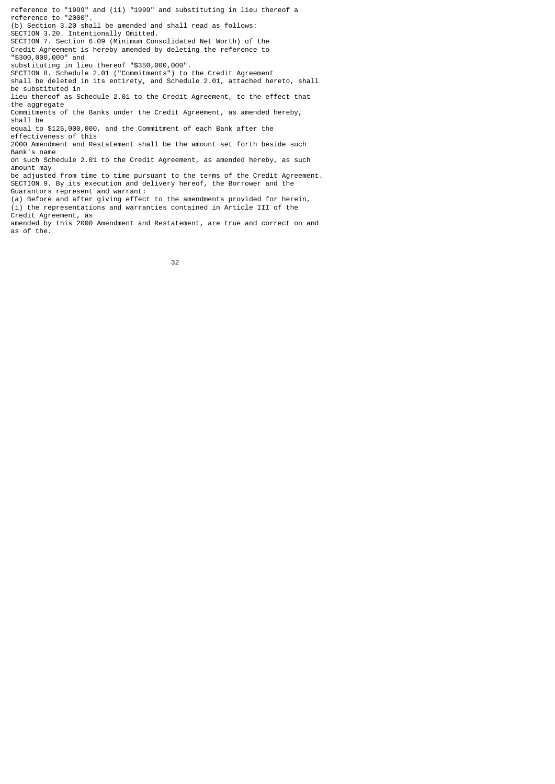reference to "1999" and (ii) "1999" and substituting in lieu thereof a reference to "2000". (b) Section 3.20 shall be amended and shall read as follows: SECTION 3.20. Intentionally Omitted. SECTION 7. Section 6.09 (Minimum Consolidated Net Worth) of the Credit Agreement is hereby amended by deleting the reference to "\$300,000,000" and substituting in lieu thereof "\$350,000,000". SECTION 8. Schedule 2.01 ("Commitments") to the Credit Agreement shall be deleted in its entirety, and Schedule 2.01, attached hereto, shall be substituted in lieu thereof as Schedule 2.01 to the Credit Agreement, to the effect that the aggregate Commitments of the Banks under the Credit Agreement, as amended hereby, shall be equal to \$125,000,000, and the Commitment of each Bank after the effectiveness of this 2000 Amendment and Restatement shall be the amount set forth beside such Bank's name on such Schedule 2.01 to the Credit Agreement, as amended hereby, as such amount may be adjusted from time to time pursuant to the terms of the Credit Agreement. SECTION 9. By its execution and delivery hereof, the Borrower and the Guarantors represent and warrant: (a) Before and after giving effect to the amendments provided for herein, (i) the representations and warranties contained in Article III of the Credit Agreement, as amended by this 2000 Amendment and Restatement, are true and correct on and as of the.

<u>32 and 2012 and 2013</u>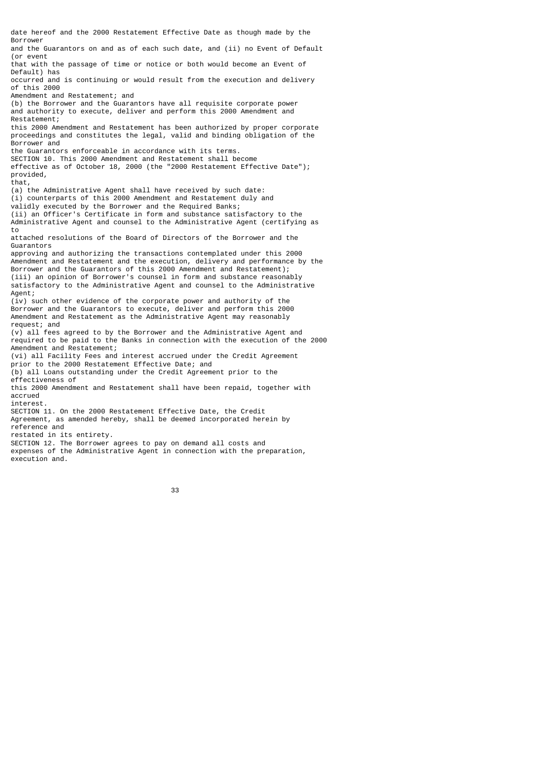date hereof and the 2000 Restatement Effective Date as though made by the Borrower and the Guarantors on and as of each such date, and (ii) no Event of Default (or event that with the passage of time or notice or both would become an Event of Default) has occurred and is continuing or would result from the execution and delivery of this 2000 Amendment and Restatement; and (b) the Borrower and the Guarantors have all requisite corporate power and authority to execute, deliver and perform this 2000 Amendment and Restatement; this 2000 Amendment and Restatement has been authorized by proper corporate proceedings and constitutes the legal, valid and binding obligation of the Borrower and the Guarantors enforceable in accordance with its terms. SECTION 10. This 2000 Amendment and Restatement shall become effective as of October 18, 2000 (the "2000 Restatement Effective Date"); provided, that, (a) the Administrative Agent shall have received by such date: (i) counterparts of this 2000 Amendment and Restatement duly and validly executed by the Borrower and the Required Banks; (ii) an Officer's Certificate in form and substance satisfactory to the Administrative Agent and counsel to the Administrative Agent (certifying as to attached resolutions of the Board of Directors of the Borrower and the Guarantors approving and authorizing the transactions contemplated under this 2000 Amendment and Restatement and the execution, delivery and performance by the Borrower and the Guarantors of this 2000 Amendment and Restatement); (iii) an opinion of Borrower's counsel in form and substance reasonably satisfactory to the Administrative Agent and counsel to the Administrative Agent; (iv) such other evidence of the corporate power and authority of the Borrower and the Guarantors to execute, deliver and perform this 2000 Amendment and Restatement as the Administrative Agent may reasonably request; and (v) all fees agreed to by the Borrower and the Administrative Agent and required to be paid to the Banks in connection with the execution of the 2000 Amendment and Restatement; (vi) all Facility Fees and interest accrued under the Credit Agreement prior to the 2000 Restatement Effective Date; and (b) all Loans outstanding under the Credit Agreement prior to the effectiveness of this 2000 Amendment and Restatement shall have been repaid, together with accrued interest. SECTION 11. On the 2000 Restatement Effective Date, the Credit Agreement, as amended hereby, shall be deemed incorporated herein by reference and restated in its entirety. SECTION 12. The Borrower agrees to pay on demand all costs and expenses of the Administrative Agent in connection with the preparation, execution and.

33 and 2012 and 2013 and 2014 and 2014 and 2014 and 2014 and 2014 and 2014 and 2014 and 2014 and 2014 and 2014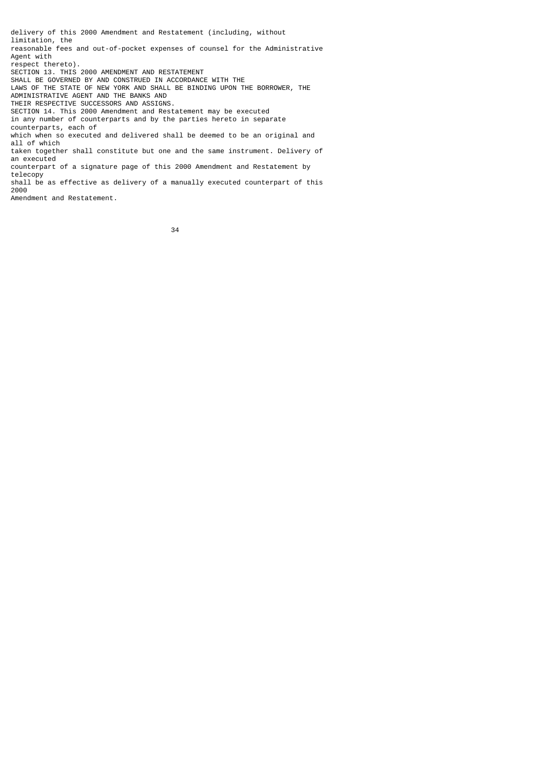delivery of this 2000 Amendment and Restatement (including, without limitation, the reasonable fees and out-of-pocket expenses of counsel for the Administrative Agent with respect thereto). SECTION 13. THIS 2000 AMENDMENT AND RESTATEMENT SHALL BE GOVERNED BY AND CONSTRUED IN ACCORDANCE WITH THE LAWS OF THE STATE OF NEW YORK AND SHALL BE BINDING UPON THE BORROWER, THE ADMINISTRATIVE AGENT AND THE BANKS AND THEIR RESPECTIVE SUCCESSORS AND ASSIGNS. SECTION 14. This 2000 Amendment and Restatement may be executed in any number of counterparts and by the parties hereto in separate counterparts, each of which when so executed and delivered shall be deemed to be an original and all of which taken together shall constitute but one and the same instrument. Delivery of an executed counterpart of a signature page of this 2000 Amendment and Restatement by telecopy shall be as effective as delivery of a manually executed counterpart of this 2000

Amendment and Restatement.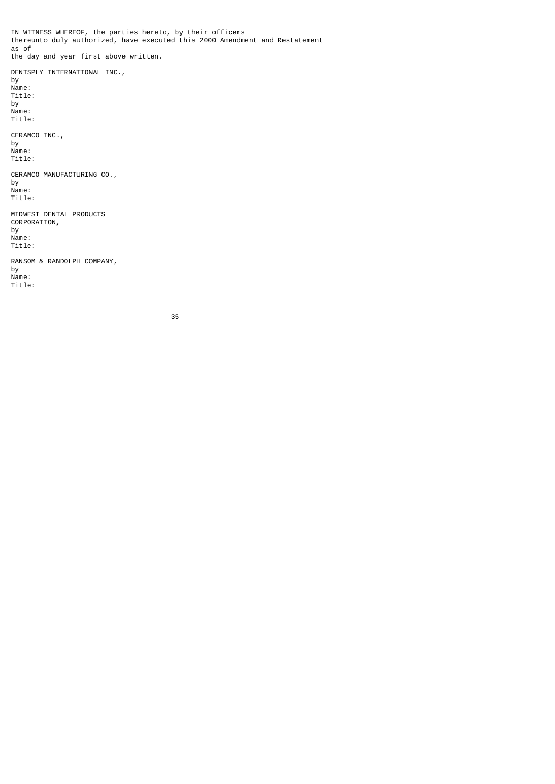IN WITNESS WHEREOF, the parties hereto, by their officers thereunto duly authorized, have executed this 2000 Amendment and Restatement as of the day and year first above written. DENTSPLY INTERNATIONAL INC., by Name: Title: by Name: Title: CERAMCO INC., by Name: Title: CERAMCO MANUFACTURING CO., by Name: Title: MIDWEST DENTAL PRODUCTS CORPORATION, by Name: Title: RANSOM & RANDOLPH COMPANY, by

Name:

Title:

<u>35 and 200 and 200 and 200 and 200 and 200 and 200 and 200 and 200 and 200 and 200 and 200 and 200 and 200 and 200 and 200 and 200 and 200 and 200 and 200 and 200 and 200 and 200 and 200 and 200 and 200 and 200 and 200 an</u>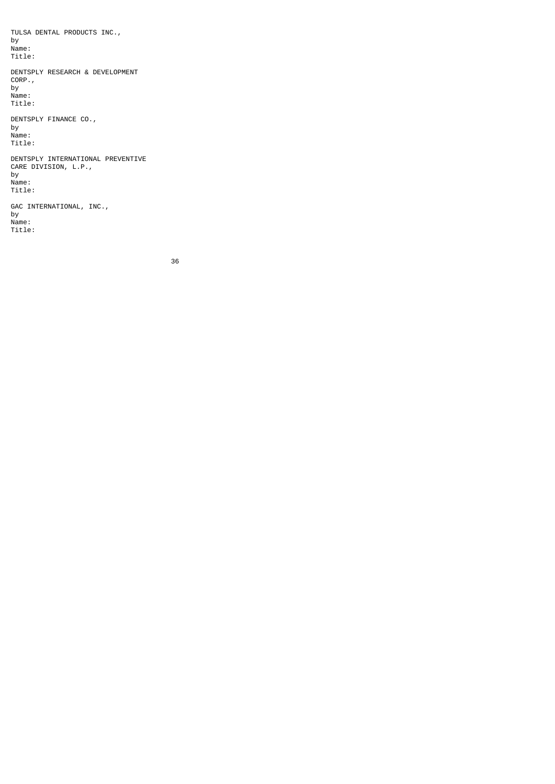TULSA DENTAL PRODUCTS INC., by Name: Title: DENTSPLY RESEARCH & DEVELOPMENT CORP., by Name: Title: DENTSPLY FINANCE CO., by Name: Title: DENTSPLY INTERNATIONAL PREVENTIVE CARE DIVISION, L.P., by Name: Title: GAC INTERNATIONAL, INC., by Name:

Title: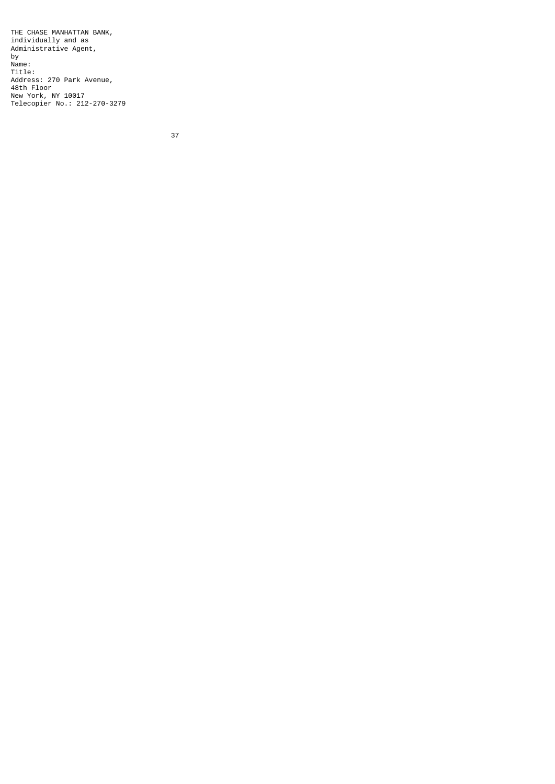THE CHASE MANHATTAN BANK, individually and as Administrative Agent, by Name: Title: Address: 270 Park Avenue, 48th Floor New York, NY 10017 Telecopier No.: 212-270-3279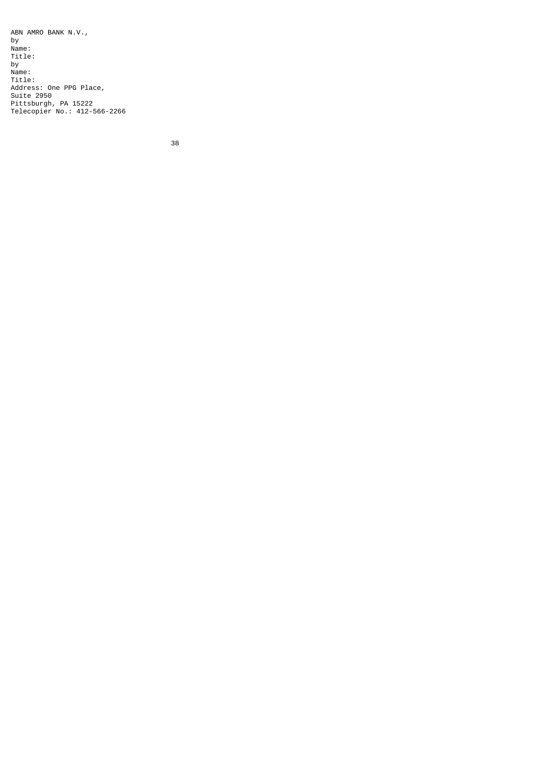ABN AMRO BANK N.V., by Name: Title: by Name: Title: Address: One PPG Place, Suite 2950 Pittsburgh, PA 15222 Telecopier No.: 412-566-2266

<u>38 and 200 and 200 and 200 and 200 and 200 and 200 and 200 and 200 and 200 and 200 and 200 and 200 and 200 and 200 and 200 and 200 and 200 and 200 and 200 and 200 and 200 and 200 and 200 and 200 and 200 and 200 and 200 an</u>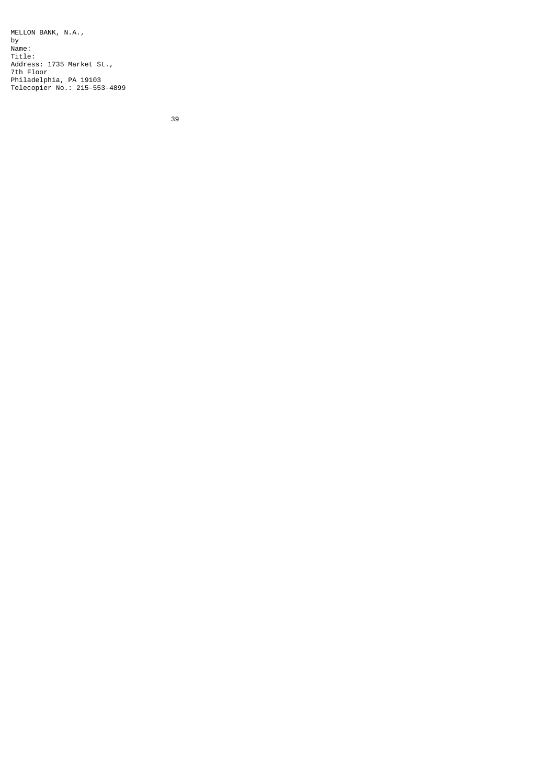MELLON BANK, N.A., by Name: Title: Address: 1735 Market St., 7th Floor Philadelphia, PA 19103 Telecopier No.: 215-553-4899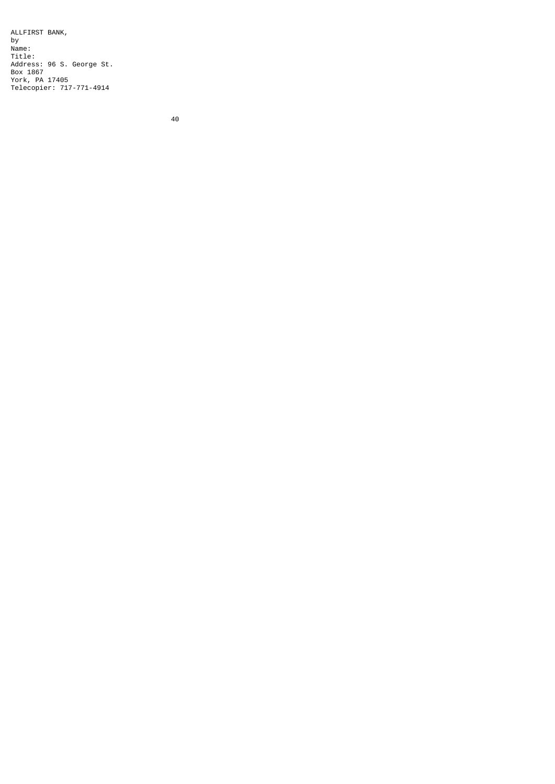ALLFIRST BANK, by Name: Title: Address: 96 S. George St. Box 1867 York, PA 17405 Telecopier: 717-771-4914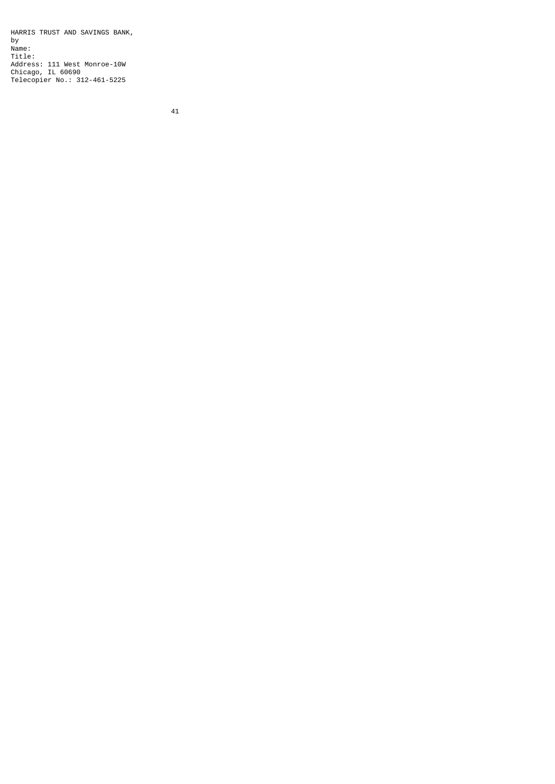HARRIS TRUST AND SAVINGS BANK, by Name: Title: Address: 111 West Monroe-10W Chicago, IL 60690 Telecopier No.: 312-461-5225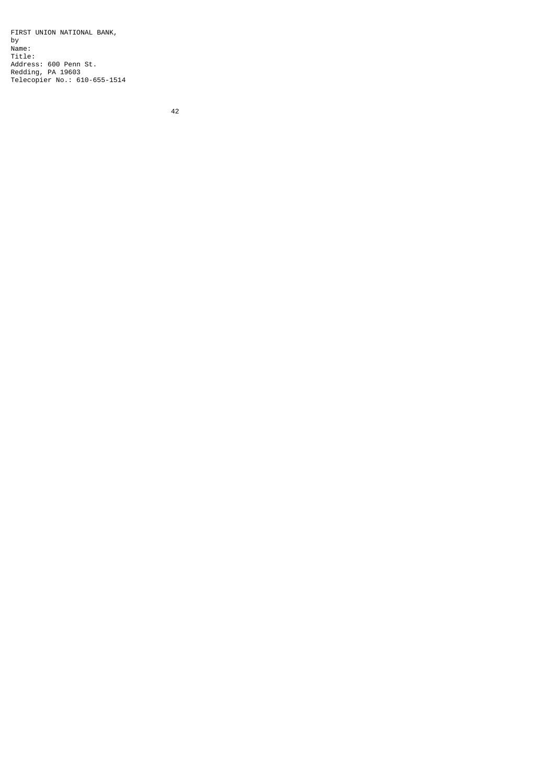FIRST UNION NATIONAL BANK, by Name: Title: Address: 600 Penn St. Redding, PA 19603 Telecopier No.: 610-655-1514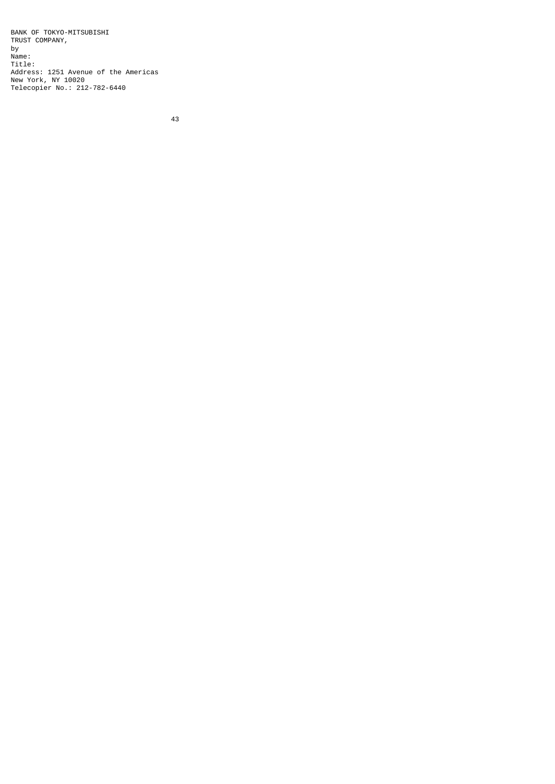BANK OF TOKYO-MITSUBISHI TRUST COMPANY, by Name: Title: Address: 1251 Avenue of the Americas New York, NY 10020 Telecopier No.: 212-782-6440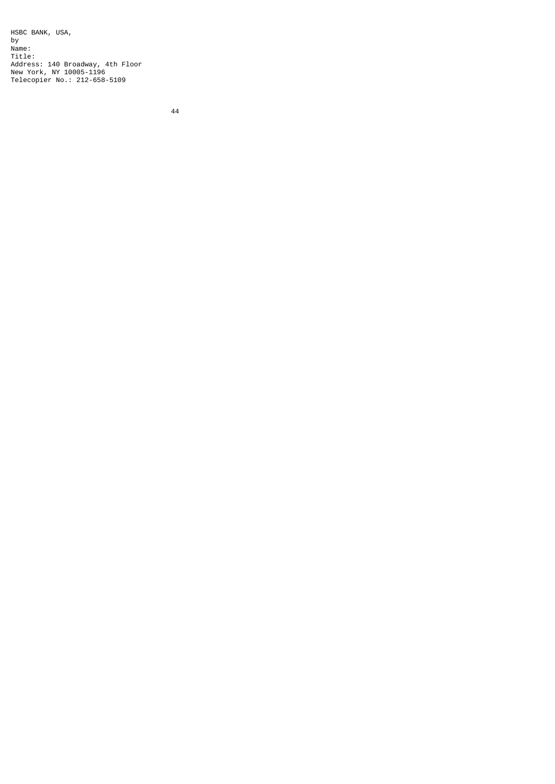HSBC BANK, USA, by Name: Title: Address: 140 Broadway, 4th Floor New York, NY 10005-1196 Telecopier No.: 212-658-5109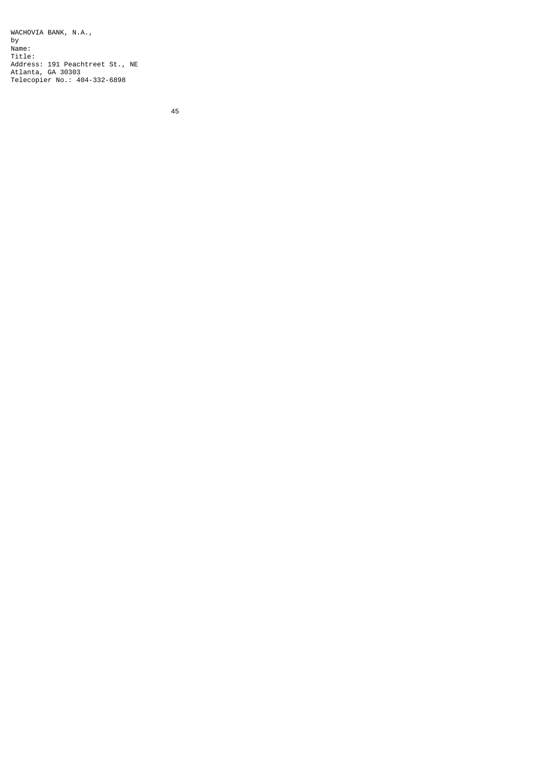WACHOVIA BANK, N.A., by Name: Title: Address: 191 Peachtreet St., NE Atlanta, GA 30303 Telecopier No.: 404-332-6898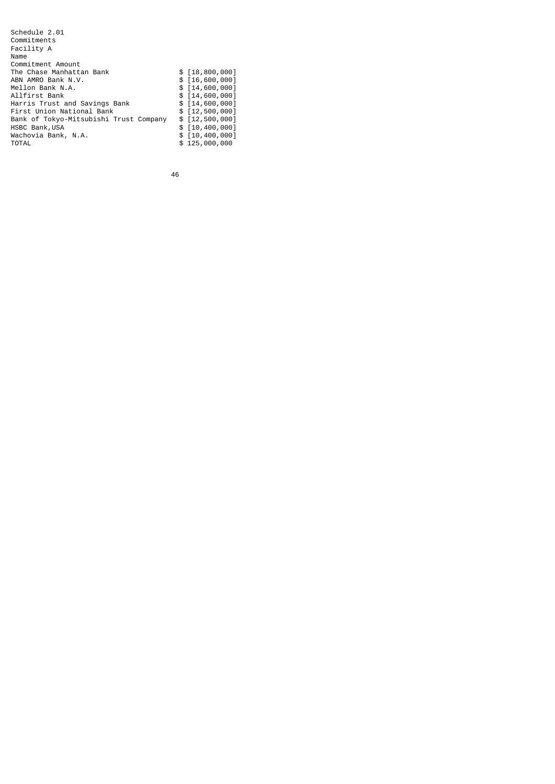| Schedule 2.01                          |                  |
|----------------------------------------|------------------|
| Commitments                            |                  |
| Facility A                             |                  |
| Name                                   |                  |
| Commitment Amount                      |                  |
| The Chase Manhattan Bank               | $$$ [18,800,000] |
| ABN AMRO Bank N.V.                     | $$$ [16,600,000] |
| Mellon Bank N.A.                       | $$$ [14,600,000] |
| Allfirst Bank                          | $$$ [14,600,000] |
| Harris Trust and Savings Bank          | $$$ [14,600,000] |
| First Union National Bank              | \$ [12,500,000]  |
| Bank of Tokyo-Mitsubishi Trust Company | $$$ [12,500,000] |
| HSBC Bank, USA                         | \$ [10,400,000]  |
| Wachovia Bank, N.A.                    | $$$ [10,400,000] |
| <b>TOTAL</b>                           | \$125,000,000    |
|                                        |                  |

<u>46 and 2012</u>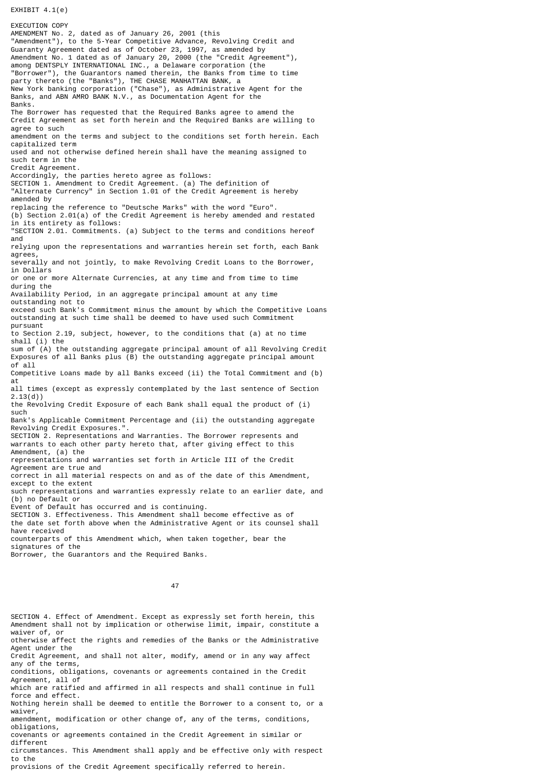EXHIBIT  $4.1(e)$ 

EXECUTION COPY AMENDMENT No. 2, dated as of January 26, 2001 (this "Amendment"), to the 5-Year Competitive Advance, Revolving Credit and Guaranty Agreement dated as of October 23, 1997, as amended by Amendment No. 1 dated as of January 20, 2000 (the "Credit Agreement"), among DENTSPLY INTERNATIONAL INC., a Delaware corporation (the "Borrower"), the Guarantors named therein, the Banks from time to time party thereto (the "Banks"), THE CHASE MANHATTAN BANK, a New York banking corporation ("Chase"), as Administrative Agent for the Banks, and ABN AMRO BANK N.V., as Documentation Agent for the Banks. The Borrower has requested that the Required Banks agree to amend the Credit Agreement as set forth herein and the Required Banks are willing to agree to such amendment on the terms and subject to the conditions set forth herein. Each capitalized term used and not otherwise defined herein shall have the meaning assigned to such term in the Credit Agreement. Accordingly, the parties hereto agree as follows: SECTION 1. Amendment to Credit Agreement. (a) The definition of "Alternate Currency" in Section 1.01 of the Credit Agreement is hereby amended by replacing the reference to "Deutsche Marks" with the word "Euro". (b) Section 2.01(a) of the Credit Agreement is hereby amended and restated in its entirety as follows: "SECTION 2.01. Commitments. (a) Subject to the terms and conditions hereof and relying upon the representations and warranties herein set forth, each Bank agrees, severally and not jointly, to make Revolving Credit Loans to the Borrower, in Dollars or one or more Alternate Currencies, at any time and from time to time during the Availability Period, in an aggregate principal amount at any time outstanding not to exceed such Bank's Commitment minus the amount by which the Competitive Loans outstanding at such time shall be deemed to have used such Commitment pursuant to Section 2.19, subject, however, to the conditions that (a) at no time shall (i) the sum of (A) the outstanding aggregate principal amount of all Revolving Credit Exposures of all Banks plus (B) the outstanding aggregate principal amount of all Competitive Loans made by all Banks exceed (ii) the Total Commitment and (b) at all times (except as expressly contemplated by the last sentence of Section 2.13(d)) the Revolving Credit Exposure of each Bank shall equal the product of (i) such Bank's Applicable Commitment Percentage and (ii) the outstanding aggregate Revolving Credit Exposures.". SECTION 2. Representations and Warranties. The Borrower represents and warrants to each other party hereto that, after giving effect to this Amendment, (a) the representations and warranties set forth in Article III of the Credit Agreement are true and correct in all material respects on and as of the date of this Amendment, except to the extent such representations and warranties expressly relate to an earlier date, and (b) no Default or Event of Default has occurred and is continuing. SECTION 3. Effectiveness. This Amendment shall become effective as of the date set forth above when the Administrative Agent or its counsel shall have received counterparts of this Amendment which, when taken together, bear the signatures of the Borrower, the Guarantors and the Required Banks.

47

SECTION 4. Effect of Amendment. Except as expressly set forth herein, this Amendment shall not by implication or otherwise limit, impair, constitute a waiver of, or otherwise affect the rights and remedies of the Banks or the Administrative Agent under the Credit Agreement, and shall not alter, modify, amend or in any way affect any of the terms, conditions, obligations, covenants or agreements contained in the Credit Agreement, all of which are ratified and affirmed in all respects and shall continue in full force and effect. Nothing herein shall be deemed to entitle the Borrower to a consent to, or a waiver, amendment, modification or other change of, any of the terms, conditions, obligations, covenants or agreements contained in the Credit Agreement in similar or different circumstances. This Amendment shall apply and be effective only with respect to the

provisions of the Credit Agreement specifically referred to herein.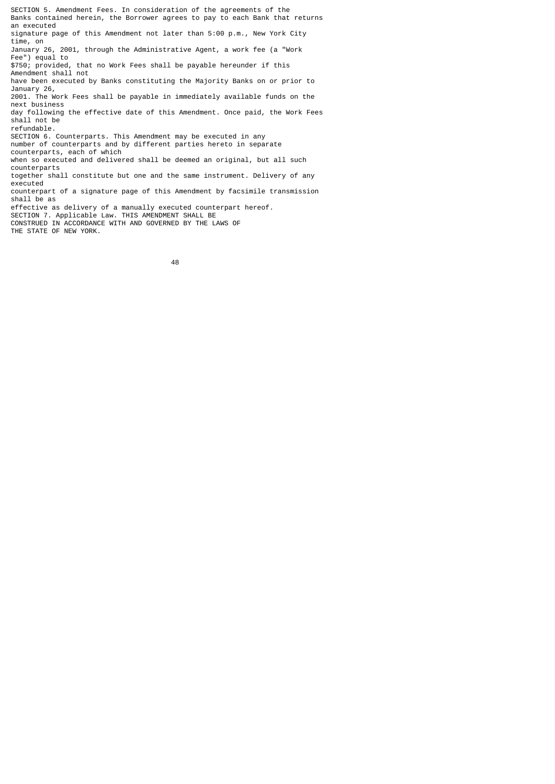SECTION 5. Amendment Fees. In consideration of the agreements of the Banks contained herein, the Borrower agrees to pay to each Bank that returns an executed signature page of this Amendment not later than 5:00 p.m., New York City time, on January 26, 2001, through the Administrative Agent, a work fee (a "Work Fee") equal to \$750; provided, that no Work Fees shall be payable hereunder if this Amendment shall not have been executed by Banks constituting the Majority Banks on or prior to January 26, 2001. The Work Fees shall be payable in immediately available funds on the next business day following the effective date of this Amendment. Once paid, the Work Fees shall not be refundable. SECTION 6. Counterparts. This Amendment may be executed in any number of counterparts and by different parties hereto in separate counterparts, each of which when so executed and delivered shall be deemed an original, but all such counterparts together shall constitute but one and the same instrument. Delivery of any executed counterpart of a signature page of this Amendment by facsimile transmission shall be as effective as delivery of a manually executed counterpart hereof. SECTION 7. Applicable Law. THIS AMENDMENT SHALL BE CONSTRUED IN ACCORDANCE WITH AND GOVERNED BY THE LAWS OF THE STATE OF NEW YORK.

48 and 2012 and 2013 and 2014 and 2014 and 2014 and 2014 and 2014 and 2014 and 2014 and 2014 and 2014 and 201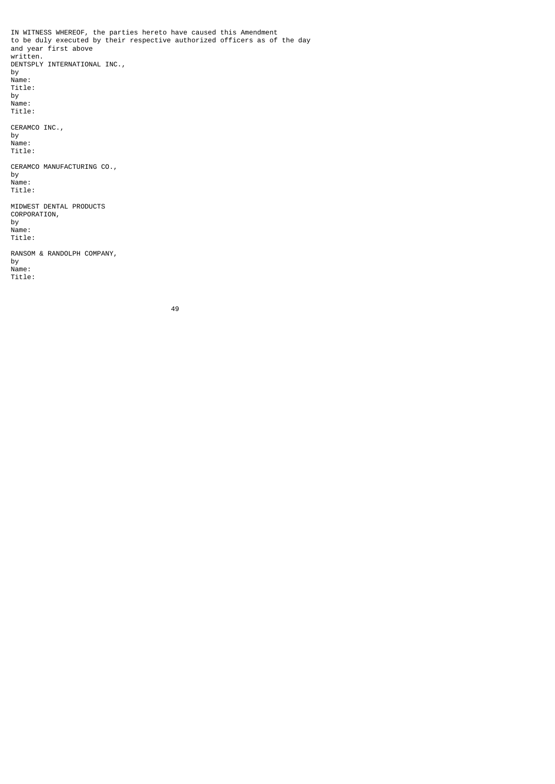IN WITNESS WHEREOF, the parties hereto have caused this Amendment to be duly executed by their respective authorized officers as of the day and year first above written. DENTSPLY INTERNATIONAL INC., by Name: Title: by Name: Title: CERAMCO INC., by Name: Title: CERAMCO MANUFACTURING CO., by Name: Title: MIDWEST DENTAL PRODUCTS CORPORATION, by Name: Title: RANSOM & RANDOLPH COMPANY, by Name: Title:

49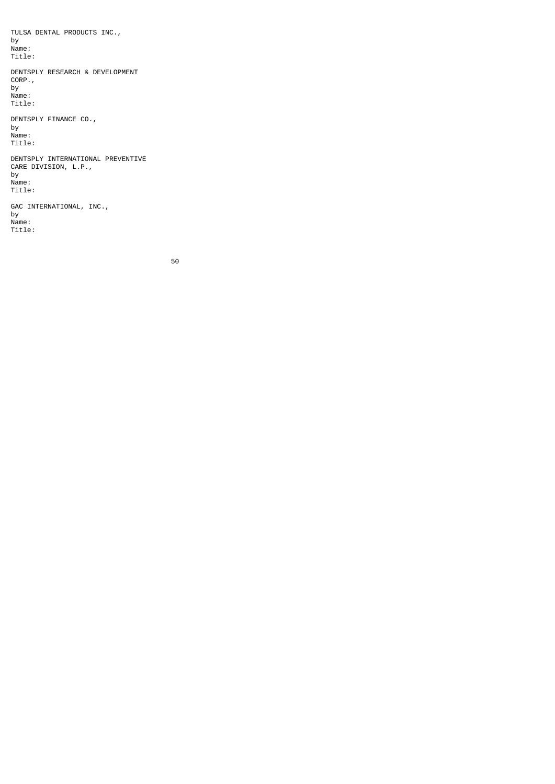TULSA DENTAL PRODUCTS INC., by Name: Title: DENTSPLY RESEARCH & DEVELOPMENT CORP., by Name: Title: DENTSPLY FINANCE CO., by Name: Title: DENTSPLY INTERNATIONAL PREVENTIVE CARE DIVISION, L.P., by Name: Title: GAC INTERNATIONAL, INC., by Name:

Title:

50 and 2012 and 2013 and 2014 and 2014 and 2014 and 2014 and 2014 and 2014 and 2014 and 2014 and 2014 and 2014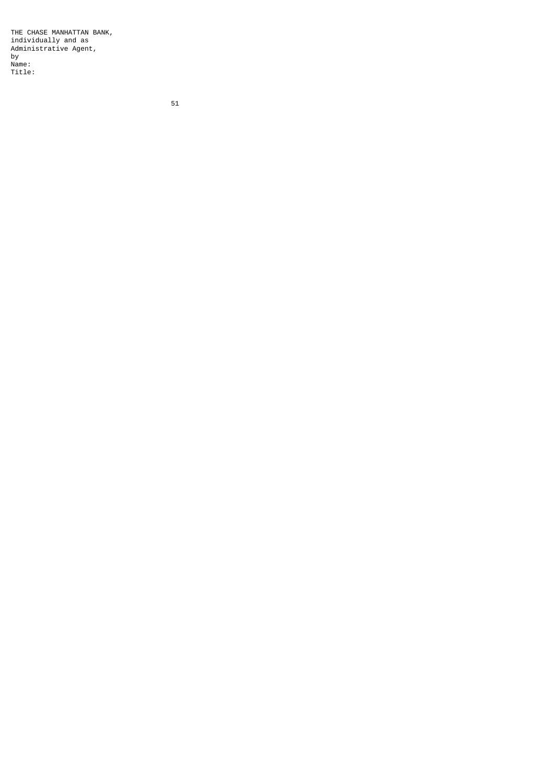THE CHASE MANHATTAN BANK, individually and as Administrative Agent, by Name: Title: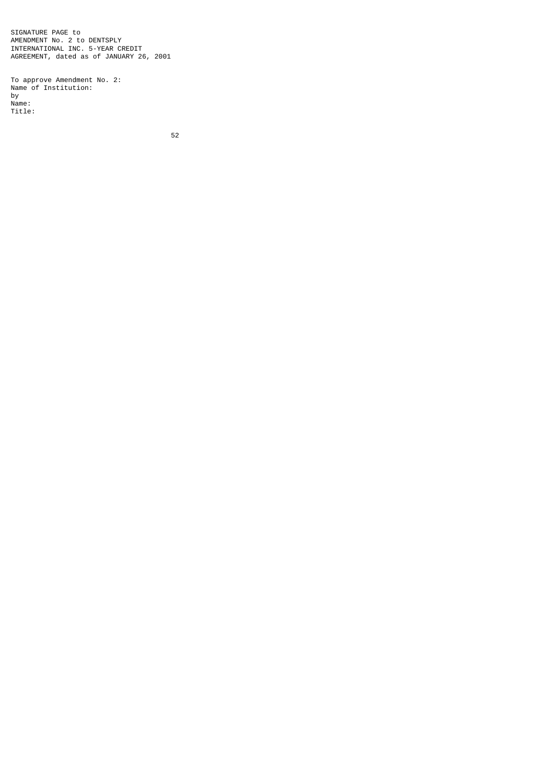SIGNATURE PAGE to AMENDMENT No. 2 to DENTSPLY INTERNATIONAL INC. 5-YEAR CREDIT AGREEMENT, dated as of JANUARY 26, 2001

To approve Amendment No. 2: Name of Institution: by Name: Title: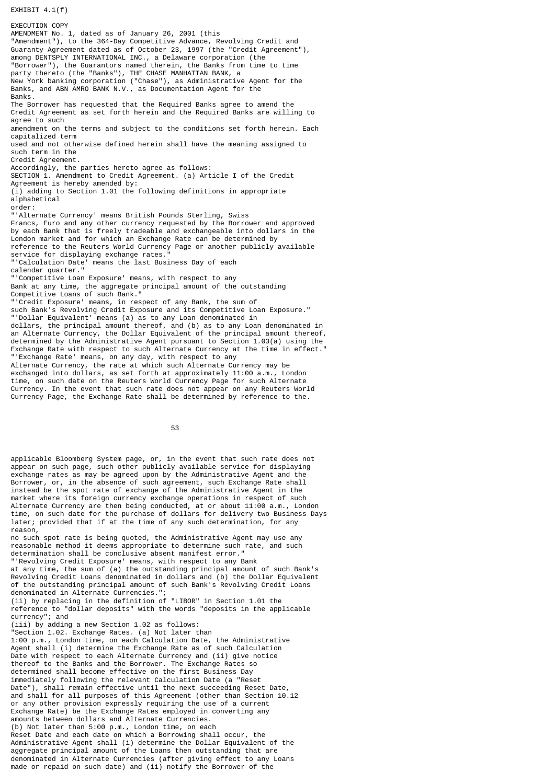EXHIBIT 4.1(f)

EXECUTION COPY AMENDMENT No. 1, dated as of January 26, 2001 (this "Amendment"), to the 364-Day Competitive Advance, Revolving Credit and Guaranty Agreement dated as of October 23, 1997 (the "Credit Agreement"), among DENTSPLY INTERNATIONAL INC., a Delaware corporation (the "Borrower"), the Guarantors named therein, the Banks from time to time party thereto (the "Banks"), THE CHASE MANHATTAN BANK, a New York banking corporation ("Chase"), as Administrative Agent for the Banks, and ABN AMRO BANK N.V., as Documentation Agent for the Banks. The Borrower has requested that the Required Banks agree to amend the Credit Agreement as set forth herein and the Required Banks are willing to agree to such amendment on the terms and subject to the conditions set forth herein. Each capitalized term used and not otherwise defined herein shall have the meaning assigned to such term in the Credit Agreement. Accordingly, the parties hereto agree as follows: SECTION 1. Amendment to Credit Agreement. (a) Article I of the Credit Agreement is hereby amended by: (i) adding to Section 1.01 the following definitions in appropriate alphabetical order: "'Alternate Currency' means British Pounds Sterling, Swiss Francs, Euro and any other currency requested by the Borrower and approved by each Bank that is freely tradeable and exchangeable into dollars in the London market and for which an Exchange Rate can be determined by reference to the Reuters World Currency Page or another publicly available service for displaying exchange rates." "'Calculation Date' means the last Business Day of each calendar quarter." "Competitive Loan Exposure' means, with respect to any Bank at any time, the aggregate principal amount of the outstanding Competitive Loans of such Bank." "'Credit Exposure' means, in respect of any Bank, the sum of such Bank's Revolving Credit Exposure and its Competitive Loan Exposure." "'Dollar Equivalent' means (a) as to any Loan denominated in dollars, the principal amount thereof, and (b) as to any Loan denominated in an Alternate Currency, the Dollar Equivalent of the principal amount thereof, determined by the Administrative Agent pursuant to Section 1.03(a) using the Exchange Rate with respect to such Alternate Currency at the time in effect." "'Exchange Rate' means, on any day, with respect to any Alternate Currency, the rate at which such Alternate Currency may be exchanged into dollars, as set forth at approximately 11:00 a.m., London time, on such date on the Reuters World Currency Page for such Alternate Currency. In the event that such rate does not appear on any Reuters World Currency Page, the Exchange Rate shall be determined by reference to the.

53 and 2012 and 2013 and 2013 and 2014 and 2014 and 2014 and 2014 and 2014 and 2014 and 2014 and 2014 and 2014

applicable Bloomberg System page, or, in the event that such rate does not appear on such page, such other publicly available service for displaying exchange rates as may be agreed upon by the Administrative Agent and the Borrower, or, in the absence of such agreement, such Exchange Rate shall instead be the spot rate of exchange of the Administrative Agent in the market where its foreign currency exchange operations in respect of such Alternate Currency are then being conducted, at or about 11:00 a.m., London time, on such date for the purchase of dollars for delivery two Business Days later; provided that if at the time of any such determination, for any reason,

no such spot rate is being quoted, the Administrative Agent may use any reasonable method it deems appropriate to determine such rate, and such determination shall be conclusive absent manifest error." "'Revolving Credit Exposure' means, with respect to any Bank

at any time, the sum of (a) the outstanding principal amount of such Bank's Revolving Credit Loans denominated in dollars and (b) the Dollar Equivalent of the outstanding principal amount of such Bank's Revolving Credit Loans denominated in Alternate Currencies."

(ii) by replacing in the definition of "LIBOR" in Section 1.01 the reference to "dollar deposits" with the words "deposits in the applicable currency"; and

(iii) by adding a new Section 1.02 as follows:

"Section 1.02. Exchange Rates. (a) Not later than 1:00 p.m., London time, on each Calculation Date, the Administrative Agent shall (i) determine the Exchange Rate as of such Calculation Date with respect to each Alternate Currency and (ii) give notice thereof to the Banks and the Borrower. The Exchange Rates so determined shall become effective on the first Business Day immediately following the relevant Calculation Date (a "Reset Date"), shall remain effective until the next succeeding Reset Date, and shall for all purposes of this Agreement (other than Section 10.12 or any other provision expressly requiring the use of a current Exchange Rate) be the Exchange Rates employed in converting any amounts between dollars and Alternate Currencies. (b) Not later than 5:00 p.m., London time, on each Reset Date and each date on which a Borrowing shall occur, the Administrative Agent shall (i) determine the Dollar Equivalent of the aggregate principal amount of the Loans then outstanding that are denominated in Alternate Currencies (after giving effect to any Loans made or repaid on such date) and (ii) notify the Borrower of the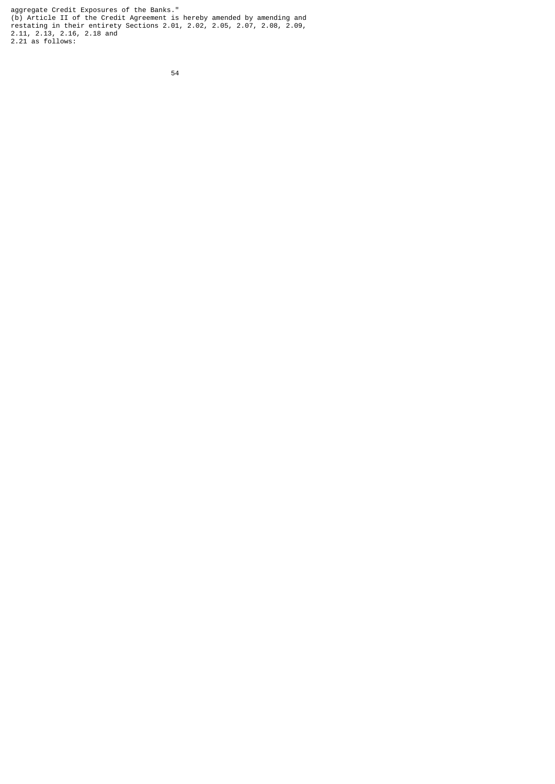aggregate Credit Exposures of the Banks." (b) Article II of the Credit Agreement is hereby amended by amending and restating in their entirety Sections 2.01, 2.02, 2.05, 2.07, 2.08, 2.09, 2.11, 2.13, 2.16, 2.18 and 2.21 as follows: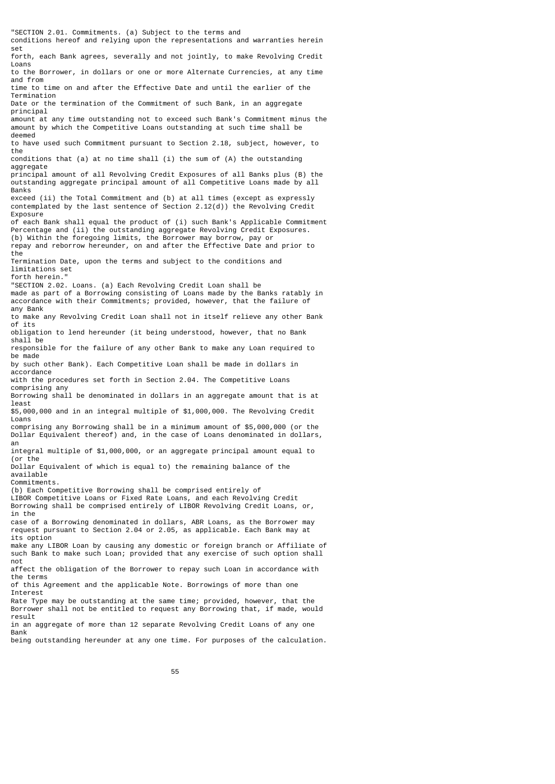"SECTION 2.01. Commitments. (a) Subject to the terms and conditions hereof and relying upon the representations and warranties herein set forth, each Bank agrees, severally and not jointly, to make Revolving Credit Loans to the Borrower, in dollars or one or more Alternate Currencies, at any time and from time to time on and after the Effective Date and until the earlier of the Termination Date or the termination of the Commitment of such Bank, in an aggregate principal amount at any time outstanding not to exceed such Bank's Commitment minus the amount by which the Competitive Loans outstanding at such time shall be deemed to have used such Commitment pursuant to Section 2.18, subject, however, to the conditions that (a) at no time shall (i) the sum of (A) the outstanding aggregate principal amount of all Revolving Credit Exposures of all Banks plus (B) the outstanding aggregate principal amount of all Competitive Loans made by all Banks exceed (ii) the Total Commitment and (b) at all times (except as expressly contemplated by the last sentence of Section 2.12(d)) the Revolving Credit Exposure of each Bank shall equal the product of (i) such Bank's Applicable Commitment Percentage and (ii) the outstanding aggregate Revolving Credit Exposures. (b) Within the foregoing limits, the Borrower may borrow, pay or repay and reborrow hereunder, on and after the Effective Date and prior to the Termination Date, upon the terms and subject to the conditions and limitations set forth herein." "SECTION 2.02. Loans. (a) Each Revolving Credit Loan shall be made as part of a Borrowing consisting of Loans made by the Banks ratably in accordance with their Commitments; provided, however, that the failure of any Bank to make any Revolving Credit Loan shall not in itself relieve any other Bank of its obligation to lend hereunder (it being understood, however, that no Bank shall be responsible for the failure of any other Bank to make any Loan required to be made by such other Bank). Each Competitive Loan shall be made in dollars in accordance with the procedures set forth in Section 2.04. The Competitive Loans comprising any Borrowing shall be denominated in dollars in an aggregate amount that is at least \$5,000,000 and in an integral multiple of \$1,000,000. The Revolving Credit Loans comprising any Borrowing shall be in a minimum amount of \$5,000,000 (or the Dollar Equivalent thereof) and, in the case of Loans denominated in dollars, an integral multiple of \$1,000,000, or an aggregate principal amount equal to (or the Dollar Equivalent of which is equal to) the remaining balance of the available Commitments. (b) Each Competitive Borrowing shall be comprised entirely of LIBOR Competitive Loans or Fixed Rate Loans, and each Revolving Credit Borrowing shall be comprised entirely of LIBOR Revolving Credit Loans, or, in the case of a Borrowing denominated in dollars, ABR Loans, as the Borrower may request pursuant to Section 2.04 or 2.05, as applicable. Each Bank may at its option make any LIBOR Loan by causing any domestic or foreign branch or Affiliate of such Bank to make such Loan; provided that any exercise of such option shall not affect the obligation of the Borrower to repay such Loan in accordance with the terms of this Agreement and the applicable Note. Borrowings of more than one Interest Rate Type may be outstanding at the same time; provided, however, that the Borrower shall not be entitled to request any Borrowing that, if made, would result in an aggregate of more than 12 separate Revolving Credit Loans of any one Bank being outstanding hereunder at any one time. For purposes of the calculation.

55 and 2012 and 2013 and 2013 and 2014 and 2014 and 2014 and 2014 and 2014 and 2014 and 2014 and 2014 and 2014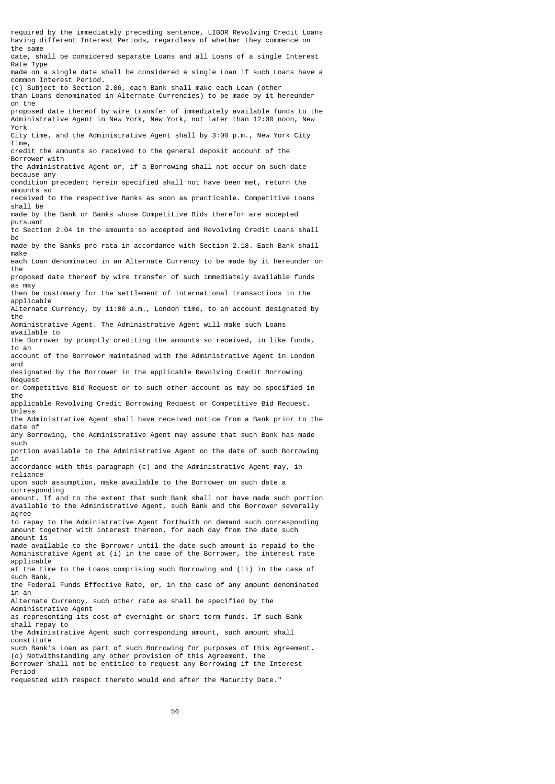required by the immediately preceding sentence, LIBOR Revolving Credit Loans having different Interest Periods, regardless of whether they commence on the same date, shall be considered separate Loans and all Loans of a single Interest Rate Type made on a single date shall be considered a single Loan if such Loans have a common Interest Period. (c) Subject to Section 2.06, each Bank shall make each Loan (other than Loans denominated in Alternate Currencies) to be made by it hereunder on the proposed date thereof by wire transfer of immediately available funds to the Administrative Agent in New York, New York, not later than 12:00 noon, New York City time, and the Administrative Agent shall by 3:00 p.m., New York City time, credit the amounts so received to the general deposit account of the Borrower with the Administrative Agent or, if a Borrowing shall not occur on such date because any condition precedent herein specified shall not have been met, return the amounts so received to the respective Banks as soon as practicable. Competitive Loans shall be made by the Bank or Banks whose Competitive Bids therefor are accepted pursuant to Section 2.04 in the amounts so accepted and Revolving Credit Loans shall be made by the Banks pro rata in accordance with Section 2.18. Each Bank shall make each Loan denominated in an Alternate Currency to be made by it hereunder on the proposed date thereof by wire transfer of such immediately available funds as may then be customary for the settlement of international transactions in the applicable Alternate Currency, by 11:00 a.m., London time, to an account designated by the Administrative Agent. The Administrative Agent will make such Loans available to the Borrower by promptly crediting the amounts so received, in like funds, to an account of the Borrower maintained with the Administrative Agent in London and designated by the Borrower in the applicable Revolving Credit Borrowing Request or Competitive Bid Request or to such other account as may be specified in the applicable Revolving Credit Borrowing Request or Competitive Bid Request. Unless the Administrative Agent shall have received notice from a Bank prior to the date of any Borrowing, the Administrative Agent may assume that such Bank has made such portion available to the Administrative Agent on the date of such Borrowing in accordance with this paragraph (c) and the Administrative Agent may, in reliance upon such assumption, make available to the Borrower on such date a corresponding amount. If and to the extent that such Bank shall not have made such portion available to the Administrative Agent, such Bank and the Borrower severally agree to repay to the Administrative Agent forthwith on demand such corresponding amount together with interest thereon, for each day from the date such amount is made available to the Borrower until the date such amount is repaid to the Administrative Agent at (i) in the case of the Borrower, the interest rate applicable at the time to the Loans comprising such Borrowing and (ii) in the case of such Bank, the Federal Funds Effective Rate, or, in the case of any amount denominated in an Alternate Currency, such other rate as shall be specified by the Administrative Agent as representing its cost of overnight or short-term funds. If such Bank shall repay to the Administrative Agent such corresponding amount, such amount shall constitute such Bank's Loan as part of such Borrowing for purposes of this Agreement. (d) Notwithstanding any other provision of this Agreement, the Borrower shall not be entitled to request any Borrowing if the Interest Period requested with respect thereto would end after the Maturity Date."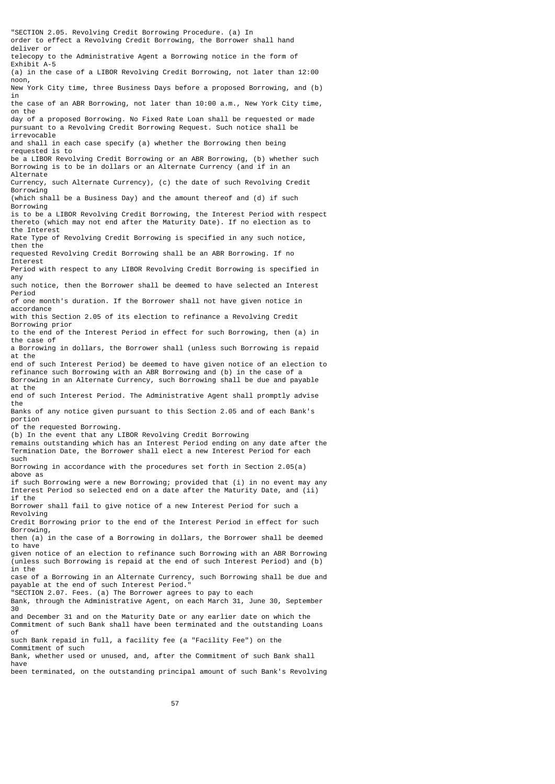"SECTION 2.05. Revolving Credit Borrowing Procedure. (a) In order to effect a Revolving Credit Borrowing, the Borrower shall hand deliver or telecopy to the Administrative Agent a Borrowing notice in the form of Exhibit A-5 (a) in the case of a LIBOR Revolving Credit Borrowing, not later than 12:00 noon, New York City time, three Business Days before a proposed Borrowing, and (b) in the case of an ABR Borrowing, not later than 10:00 a.m., New York City time, on the day of a proposed Borrowing. No Fixed Rate Loan shall be requested or made pursuant to a Revolving Credit Borrowing Request. Such notice shall be irrevocable and shall in each case specify (a) whether the Borrowing then being requested is to be a LIBOR Revolving Credit Borrowing or an ABR Borrowing, (b) whether such Borrowing is to be in dollars or an Alternate Currency (and if in an Alternate Currency, such Alternate Currency), (c) the date of such Revolving Credit Borrowing (which shall be a Business Day) and the amount thereof and (d) if such Borrowing is to be a LIBOR Revolving Credit Borrowing, the Interest Period with respect thereto (which may not end after the Maturity Date). If no election as to the Interest Rate Type of Revolving Credit Borrowing is specified in any such notice, then the requested Revolving Credit Borrowing shall be an ABR Borrowing. If no Interest Period with respect to any LIBOR Revolving Credit Borrowing is specified in any such notice, then the Borrower shall be deemed to have selected an Interest Period of one month's duration. If the Borrower shall not have given notice in accordance with this Section 2.05 of its election to refinance a Revolving Credit Borrowing prior to the end of the Interest Period in effect for such Borrowing, then (a) in the case of a Borrowing in dollars, the Borrower shall (unless such Borrowing is repaid at the end of such Interest Period) be deemed to have given notice of an election to refinance such Borrowing with an ABR Borrowing and (b) in the case of a Borrowing in an Alternate Currency, such Borrowing shall be due and payable at the end of such Interest Period. The Administrative Agent shall promptly advise the Banks of any notice given pursuant to this Section 2.05 and of each Bank's portion of the requested Borrowing. (b) In the event that any LIBOR Revolving Credit Borrowing remains outstanding which has an Interest Period ending on any date after the Termination Date, the Borrower shall elect a new Interest Period for each such Borrowing in accordance with the procedures set forth in Section 2.05(a) above as if such Borrowing were a new Borrowing; provided that (i) in no event may any Interest Period so selected end on a date after the Maturity Date, and (ii) if the Borrower shall fail to give notice of a new Interest Period for such a Revolving Credit Borrowing prior to the end of the Interest Period in effect for such Borrowing, then (a) in the case of a Borrowing in dollars, the Borrower shall be deemed to have given notice of an election to refinance such Borrowing with an ABR Borrowing (unless such Borrowing is repaid at the end of such Interest Period) and (b) in the case of a Borrowing in an Alternate Currency, such Borrowing shall be due and payable at the end of such Interest Period." "SECTION 2.07. Fees. (a) The Borrower agrees to pay to each Bank, through the Administrative Agent, on each March 31, June 30, September 30 and December 31 and on the Maturity Date or any earlier date on which the Commitment of such Bank shall have been terminated and the outstanding Loans of such Bank repaid in full, a facility fee (a "Facility Fee") on the Commitment of such Bank, whether used or unused, and, after the Commitment of such Bank shall have

been terminated, on the outstanding principal amount of such Bank's Revolving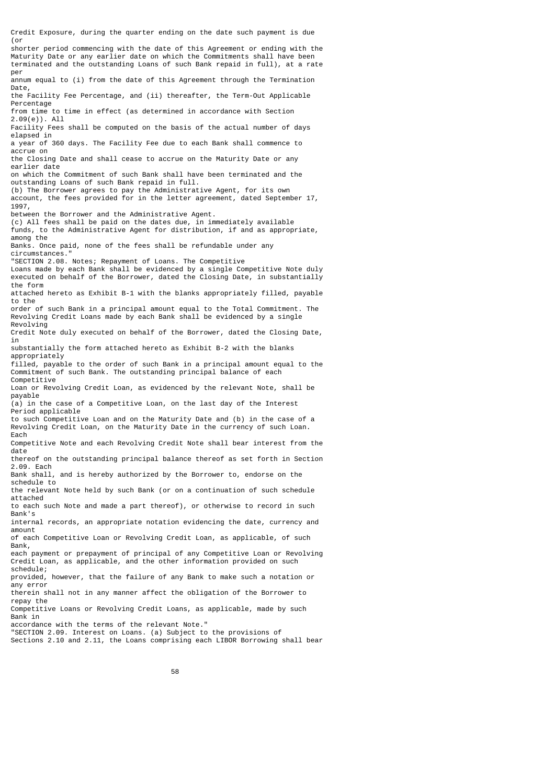Credit Exposure, during the quarter ending on the date such payment is due  $($ or shorter period commencing with the date of this Agreement or ending with the

Maturity Date or any earlier date on which the Commitments shall have been terminated and the outstanding Loans of such Bank repaid in full), at a rate per

annum equal to (i) from the date of this Agreement through the Termination Date,

the Facility Fee Percentage, and (ii) thereafter, the Term-Out Applicable Percentage

from time to time in effect (as determined in accordance with Section 2.09(e)). All

Facility Fees shall be computed on the basis of the actual number of days elapsed in

a year of 360 days. The Facility Fee due to each Bank shall commence to accrue on

the Closing Date and shall cease to accrue on the Maturity Date or any earlier date

on which the Commitment of such Bank shall have been terminated and the outstanding Loans of such Bank repaid in full.

(b) The Borrower agrees to pay the Administrative Agent, for its own

account, the fees provided for in the letter agreement, dated September 17, 1997,

between the Borrower and the Administrative Agent.

(c) All fees shall be paid on the dates due, in immediately available

funds, to the Administrative Agent for distribution, if and as appropriate, among the

Banks. Once paid, none of the fees shall be refundable under any circumstances."

"SECTION 2.08. Notes; Repayment of Loans. The Competitive

Loans made by each Bank shall be evidenced by a single Competitive Note duly executed on behalf of the Borrower, dated the Closing Date, in substantially the form

attached hereto as Exhibit B-1 with the blanks appropriately filled, payable to the

order of such Bank in a principal amount equal to the Total Commitment. The Revolving Credit Loans made by each Bank shall be evidenced by a single Revolving

Credit Note duly executed on behalf of the Borrower, dated the Closing Date, in

substantially the form attached hereto as Exhibit B-2 with the blanks appropriately

filled, payable to the order of such Bank in a principal amount equal to the Commitment of such Bank. The outstanding principal balance of each Competitive

Loan or Revolving Credit Loan, as evidenced by the relevant Note, shall be payable

(a) in the case of a Competitive Loan, on the last day of the Interest Period applicable

to such Competitive Loan and on the Maturity Date and (b) in the case of a Revolving Credit Loan, on the Maturity Date in the currency of such Loan. Each

Competitive Note and each Revolving Credit Note shall bear interest from the date

thereof on the outstanding principal balance thereof as set forth in Section 2.09. Each

Bank shall, and is hereby authorized by the Borrower to, endorse on the schedule to

the relevant Note held by such Bank (or on a continuation of such schedule attached

to each such Note and made a part thereof), or otherwise to record in such Bank's

internal records, an appropriate notation evidencing the date, currency and amount

of each Competitive Loan or Revolving Credit Loan, as applicable, of such Bank,

each payment or prepayment of principal of any Competitive Loan or Revolving Credit Loan, as applicable, and the other information provided on such schedule;

provided, however, that the failure of any Bank to make such a notation or any error

therein shall not in any manner affect the obligation of the Borrower to repay the

Competitive Loans or Revolving Credit Loans, as applicable, made by such Bank in

accordance with the terms of the relevant Note."

"SECTION 2.09. Interest on Loans. (a) Subject to the provisions of

Sections 2.10 and 2.11, the Loans comprising each LIBOR Borrowing shall bear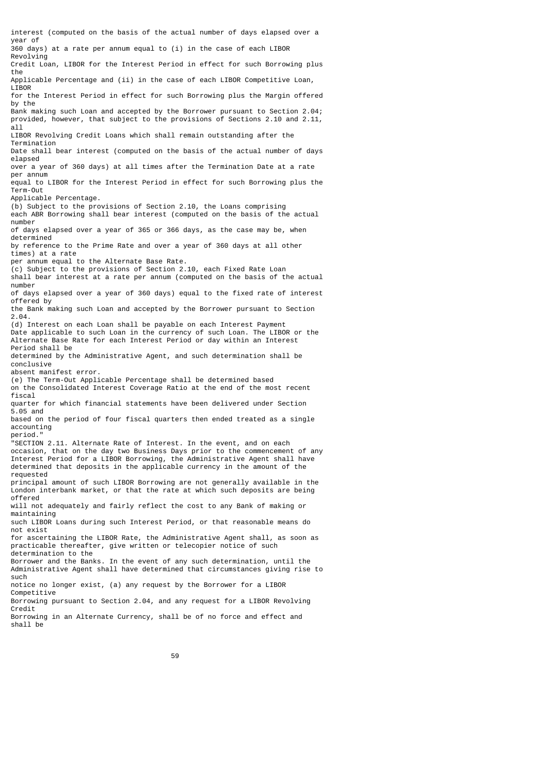interest (computed on the basis of the actual number of days elapsed over a year of 360 days) at a rate per annum equal to (i) in the case of each LIBOR Revolving Credit Loan, LIBOR for the Interest Period in effect for such Borrowing plus the Applicable Percentage and (ii) in the case of each LIBOR Competitive Loan, LIBOR for the Interest Period in effect for such Borrowing plus the Margin offered by the Bank making such Loan and accepted by the Borrower pursuant to Section 2.04; provided, however, that subject to the provisions of Sections 2.10 and 2.11, all LIBOR Revolving Credit Loans which shall remain outstanding after the Termination Date shall bear interest (computed on the basis of the actual number of days elapsed over a year of 360 days) at all times after the Termination Date at a rate per annum equal to LIBOR for the Interest Period in effect for such Borrowing plus the Term-Out Applicable Percentage. (b) Subject to the provisions of Section 2.10, the Loans comprising each ABR Borrowing shall bear interest (computed on the basis of the actual number of days elapsed over a year of 365 or 366 days, as the case may be, when determined by reference to the Prime Rate and over a year of 360 days at all other times) at a rate per annum equal to the Alternate Base Rate. (c) Subject to the provisions of Section 2.10, each Fixed Rate Loan shall bear interest at a rate per annum (computed on the basis of the actual number of days elapsed over a year of 360 days) equal to the fixed rate of interest offered by the Bank making such Loan and accepted by the Borrower pursuant to Section 2.04. (d) Interest on each Loan shall be payable on each Interest Payment Date applicable to such Loan in the currency of such Loan. The LIBOR or the Alternate Base Rate for each Interest Period or day within an Interest Period shall be determined by the Administrative Agent, and such determination shall be conclusive absent manifest error. (e) The Term-Out Applicable Percentage shall be determined based on the Consolidated Interest Coverage Ratio at the end of the most recent fiscal quarter for which financial statements have been delivered under Section 5.05 and based on the period of four fiscal quarters then ended treated as a single accounting period." "SECTION 2.11. Alternate Rate of Interest. In the event, and on each occasion, that on the day two Business Days prior to the commencement of any Interest Period for a LIBOR Borrowing, the Administrative Agent shall have determined that deposits in the applicable currency in the amount of the requested principal amount of such LIBOR Borrowing are not generally available in the London interbank market, or that the rate at which such deposits are being offered will not adequately and fairly reflect the cost to any Bank of making or maintaining such LIBOR Loans during such Interest Period, or that reasonable means do not exist for ascertaining the LIBOR Rate, the Administrative Agent shall, as soon as practicable thereafter, give written or telecopier notice of such determination to the Borrower and the Banks. In the event of any such determination, until the Administrative Agent shall have determined that circumstances giving rise to such notice no longer exist, (a) any request by the Borrower for a LIBOR Competitive Borrowing pursuant to Section 2.04, and any request for a LIBOR Revolving Credit Borrowing in an Alternate Currency, shall be of no force and effect and shall be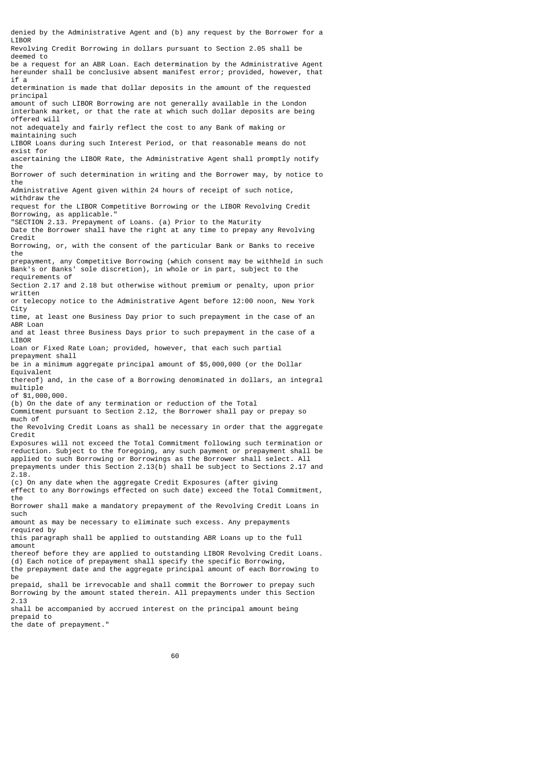denied by the Administrative Agent and (b) any request by the Borrower for a **LIBOR** Revolving Credit Borrowing in dollars pursuant to Section 2.05 shall be deemed to be a request for an ABR Loan. Each determination by the Administrative Agent hereunder shall be conclusive absent manifest error; provided, however, that if a determination is made that dollar deposits in the amount of the requested principal amount of such LIBOR Borrowing are not generally available in the London interbank market, or that the rate at which such dollar deposits are being offered will not adequately and fairly reflect the cost to any Bank of making or maintaining such LIBOR Loans during such Interest Period, or that reasonable means do not exist for ascertaining the LIBOR Rate, the Administrative Agent shall promptly notify the Borrower of such determination in writing and the Borrower may, by notice to the Administrative Agent given within 24 hours of receipt of such notice, withdraw the request for the LIBOR Competitive Borrowing or the LIBOR Revolving Credit Borrowing, as applicable." "SECTION 2.13. Prepayment of Loans. (a) Prior to the Maturity Date the Borrower shall have the right at any time to prepay any Revolving Credit Borrowing, or, with the consent of the particular Bank or Banks to receive the prepayment, any Competitive Borrowing (which consent may be withheld in such Bank's or Banks' sole discretion), in whole or in part, subject to the requirements of Section 2.17 and 2.18 but otherwise without premium or penalty, upon prior written or telecopy notice to the Administrative Agent before 12:00 noon, New York City time, at least one Business Day prior to such prepayment in the case of an ABR Loan and at least three Business Days prior to such prepayment in the case of a LIBOR Loan or Fixed Rate Loan; provided, however, that each such partial prepayment shall be in a minimum aggregate principal amount of \$5,000,000 (or the Dollar Equivalent thereof) and, in the case of a Borrowing denominated in dollars, an integral multiple of \$1,000,000. (b) On the date of any termination or reduction of the Total Commitment pursuant to Section 2.12, the Borrower shall pay or prepay so much of the Revolving Credit Loans as shall be necessary in order that the aggregate Credit Exposures will not exceed the Total Commitment following such termination or reduction. Subject to the foregoing, any such payment or prepayment shall be applied to such Borrowing or Borrowings as the Borrower shall select. All prepayments under this Section 2.13(b) shall be subject to Sections 2.17 and 2.18. (c) On any date when the aggregate Credit Exposures (after giving effect to any Borrowings effected on such date) exceed the Total Commitment, the Borrower shall make a mandatory prepayment of the Revolving Credit Loans in such amount as may be necessary to eliminate such excess. Any prepayments required by this paragraph shall be applied to outstanding ABR Loans up to the full amount thereof before they are applied to outstanding LIBOR Revolving Credit Loans. (d) Each notice of prepayment shall specify the specific Borrowing, the prepayment date and the aggregate principal amount of each Borrowing to be prepaid, shall be irrevocable and shall commit the Borrower to prepay such Borrowing by the amount stated therein. All prepayments under this Section 2.13 shall be accompanied by accrued interest on the principal amount being prepaid to

the date of prepayment."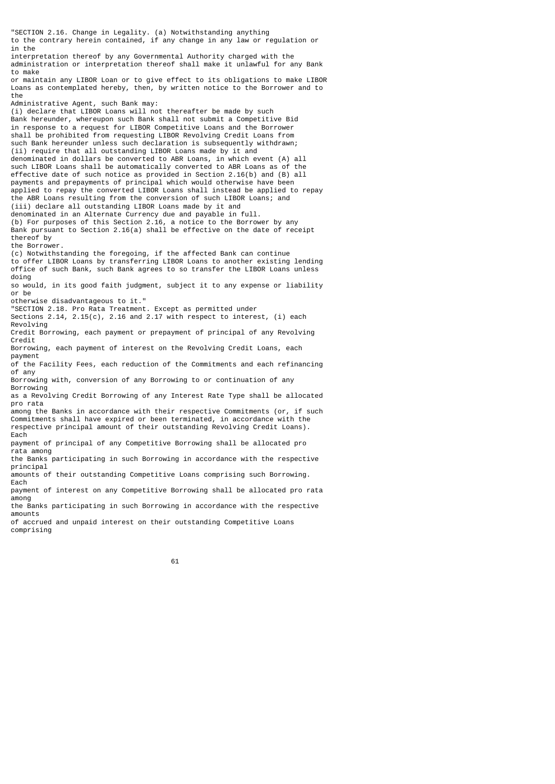"SECTION 2.16. Change in Legality. (a) Notwithstanding anything to the contrary herein contained, if any change in any law or regulation or in the interpretation thereof by any Governmental Authority charged with the administration or interpretation thereof shall make it unlawful for any Bank to make or maintain any LIBOR Loan or to give effect to its obligations to make LIBOR Loans as contemplated hereby, then, by written notice to the Borrower and to the Administrative Agent, such Bank may: (i) declare that LIBOR Loans will not thereafter be made by such Bank hereunder, whereupon such Bank shall not submit a Competitive Bid in response to a request for LIBOR Competitive Loans and the Borrower shall be prohibited from requesting LIBOR Revolving Credit Loans from such Bank hereunder unless such declaration is subsequently withdrawn; (ii) require that all outstanding LIBOR Loans made by it and denominated in dollars be converted to ABR Loans, in which event (A) all such LIBOR Loans shall be automatically converted to ABR Loans as of the effective date of such notice as provided in Section 2.16(b) and (B) all payments and prepayments of principal which would otherwise have been applied to repay the converted LIBOR Loans shall instead be applied to repay the ABR Loans resulting from the conversion of such LIBOR Loans; and (iii) declare all outstanding LIBOR Loans made by it and denominated in an Alternate Currency due and payable in full. (b) For purposes of this Section 2.16, a notice to the Borrower by any Bank pursuant to Section 2.16(a) shall be effective on the date of receipt thereof by the Borrower. (c) Notwithstanding the foregoing, if the affected Bank can continue to offer LIBOR Loans by transferring LIBOR Loans to another existing lending office of such Bank, such Bank agrees to so transfer the LIBOR Loans unless doing so would, in its good faith judgment, subject it to any expense or liability or be otherwise disadvantageous to it." "SECTION 2.18. Pro Rata Treatment. Except as permitted under Sections 2.14, 2.15(c), 2.16 and 2.17 with respect to interest, (i) each Revolving Credit Borrowing, each payment or prepayment of principal of any Revolving Credit Borrowing, each payment of interest on the Revolving Credit Loans, each payment of the Facility Fees, each reduction of the Commitments and each refinancing of any Borrowing with, conversion of any Borrowing to or continuation of any Borrowing as a Revolving Credit Borrowing of any Interest Rate Type shall be allocated pro rata among the Banks in accordance with their respective Commitments (or, if such Commitments shall have expired or been terminated, in accordance with the respective principal amount of their outstanding Revolving Credit Loans). Each payment of principal of any Competitive Borrowing shall be allocated pro rata among the Banks participating in such Borrowing in accordance with the respective principal amounts of their outstanding Competitive Loans comprising such Borrowing. Each payment of interest on any Competitive Borrowing shall be allocated pro rata among the Banks participating in such Borrowing in accordance with the respective amounts of accrued and unpaid interest on their outstanding Competitive Loans comprising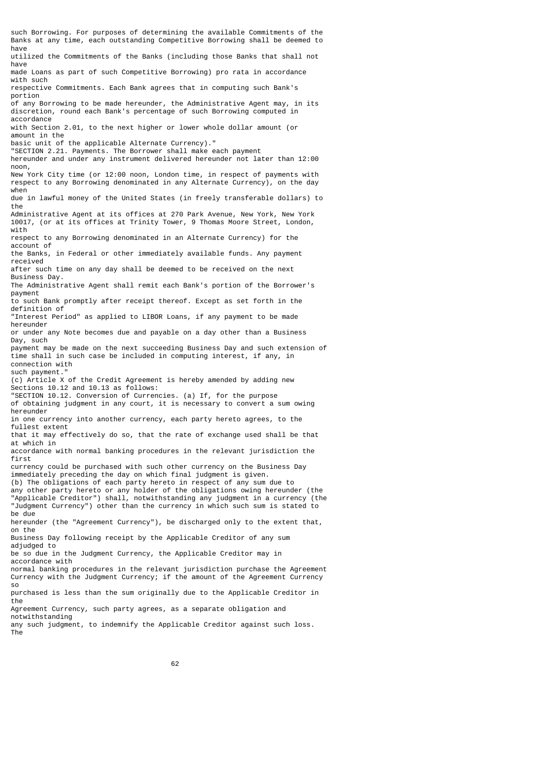such Borrowing. For purposes of determining the available Commitments of the Banks at any time, each outstanding Competitive Borrowing shall be deemed to have utilized the Commitments of the Banks (including those Banks that shall not have made Loans as part of such Competitive Borrowing) pro rata in accordance with such respective Commitments. Each Bank agrees that in computing such Bank's portion of any Borrowing to be made hereunder, the Administrative Agent may, in its discretion, round each Bank's percentage of such Borrowing computed in accordance with Section 2.01, to the next higher or lower whole dollar amount (or amount in the basic unit of the applicable Alternate Currency)." "SECTION 2.21. Payments. The Borrower shall make each payment hereunder and under any instrument delivered hereunder not later than 12:00 noon, New York City time (or 12:00 noon, London time, in respect of payments with respect to any Borrowing denominated in any Alternate Currency), on the day when due in lawful money of the United States (in freely transferable dollars) to the Administrative Agent at its offices at 270 Park Avenue, New York, New York 10017, (or at its offices at Trinity Tower, 9 Thomas Moore Street, London, with respect to any Borrowing denominated in an Alternate Currency) for the account of the Banks, in Federal or other immediately available funds. Any payment received after such time on any day shall be deemed to be received on the next Business Day. The Administrative Agent shall remit each Bank's portion of the Borrower's payment to such Bank promptly after receipt thereof. Except as set forth in the definition of "Interest Period" as applied to LIBOR Loans, if any payment to be made hereunder or under any Note becomes due and payable on a day other than a Business Day, such payment may be made on the next succeeding Business Day and such extension of time shall in such case be included in computing interest, if any, in connection with such payment." (c) Article X of the Credit Agreement is hereby amended by adding new Sections 10.12 and 10.13 as follows: "SECTION 10.12. Conversion of Currencies. (a) If, for the purpose of obtaining judgment in any court, it is necessary to convert a sum owing hereunder in one currency into another currency, each party hereto agrees, to the fullest extent that it may effectively do so, that the rate of exchange used shall be that at which in accordance with normal banking procedures in the relevant jurisdiction the first currency could be purchased with such other currency on the Business Day immediately preceding the day on which final judgment is given. (b) The obligations of each party hereto in respect of any sum due to any other party hereto or any holder of the obligations owing hereunder (the "Applicable Creditor") shall, notwithstanding any judgment in a currency (the "Judgment Currency") other than the currency in which such sum is stated to be due hereunder (the "Agreement Currency"), be discharged only to the extent that, on the Business Day following receipt by the Applicable Creditor of any sum adjudged to be so due in the Judgment Currency, the Applicable Creditor may in accordance with normal banking procedures in the relevant jurisdiction purchase the Agreement Currency with the Judgment Currency; if the amount of the Agreement Currency so purchased is less than the sum originally due to the Applicable Creditor in the Agreement Currency, such party agrees, as a separate obligation and notwithstanding any such judgment, to indemnify the Applicable Creditor against such loss.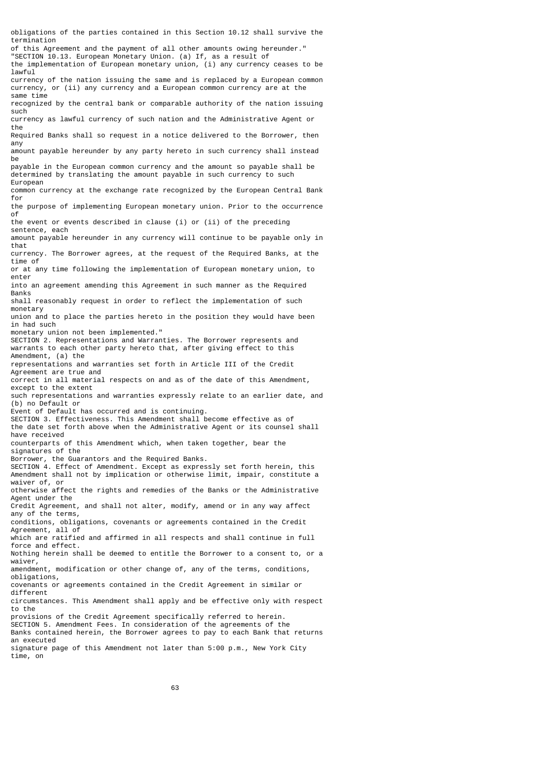termination of this Agreement and the payment of all other amounts owing hereunder." "SECTION 10.13. European Monetary Union. (a) If, as a result of the implementation of European monetary union, (i) any currency ceases to be lawful currency of the nation issuing the same and is replaced by a European common currency, or (ii) any currency and a European common currency are at the same time recognized by the central bank or comparable authority of the nation issuing such currency as lawful currency of such nation and the Administrative Agent or the Required Banks shall so request in a notice delivered to the Borrower, then any amount payable hereunder by any party hereto in such currency shall instead be payable in the European common currency and the amount so payable shall be determined by translating the amount payable in such currency to such European common currency at the exchange rate recognized by the European Central Bank for the purpose of implementing European monetary union. Prior to the occurrence of the event or events described in clause (i) or (ii) of the preceding sentence, each amount payable hereunder in any currency will continue to be payable only in that currency. The Borrower agrees, at the request of the Required Banks, at the time of or at any time following the implementation of European monetary union, to enter into an agreement amending this Agreement in such manner as the Required **Banks** shall reasonably request in order to reflect the implementation of such monetary union and to place the parties hereto in the position they would have been in had such monetary union not been implemented." SECTION 2. Representations and Warranties. The Borrower represents and warrants to each other party hereto that, after giving effect to this Amendment, (a) the representations and warranties set forth in Article III of the Credit Agreement are true and correct in all material respects on and as of the date of this Amendment, except to the extent such representations and warranties expressly relate to an earlier date, and (b) no Default or Event of Default has occurred and is continuing. SECTION 3. Effectiveness. This Amendment shall become effective as of the date set forth above when the Administrative Agent or its counsel shall have received counterparts of this Amendment which, when taken together, bear the signatures of the Borrower, the Guarantors and the Required Banks. SECTION 4. Effect of Amendment. Except as expressly set forth herein, this Amendment shall not by implication or otherwise limit, impair, constitute a waiver of, or otherwise affect the rights and remedies of the Banks or the Administrative Agent under the Credit Agreement, and shall not alter, modify, amend or in any way affect any of the terms, conditions, obligations, covenants or agreements contained in the Credit Agreement, all of which are ratified and affirmed in all respects and shall continue in full force and effect. Nothing herein shall be deemed to entitle the Borrower to a consent to, or a waiver, amendment, modification or other change of, any of the terms, conditions, obligations, covenants or agreements contained in the Credit Agreement in similar or different circumstances. This Amendment shall apply and be effective only with respect to the provisions of the Credit Agreement specifically referred to herein. SECTION 5. Amendment Fees. In consideration of the agreements of the Banks contained herein, the Borrower agrees to pay to each Bank that returns an executed

obligations of the parties contained in this Section 10.12 shall survive the

signature page of this Amendment not later than 5:00 p.m., New York City time, on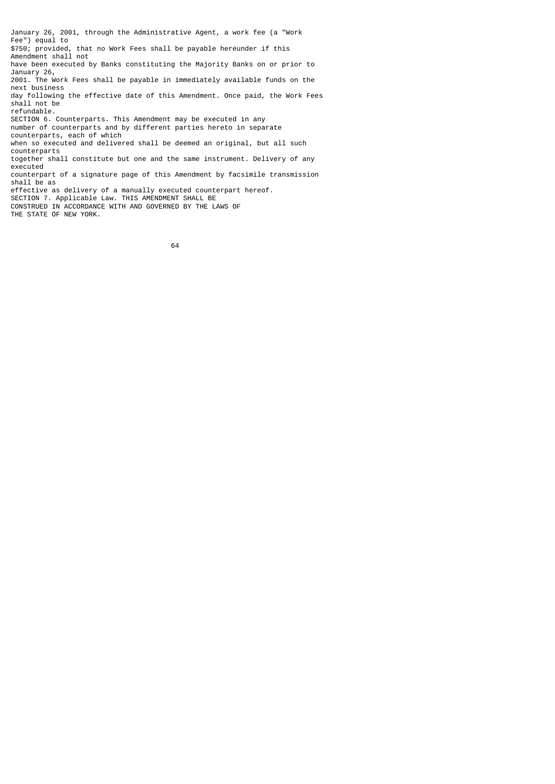January 26, 2001, through the Administrative Agent, a work fee (a "Work Fee") equal to \$750; provided, that no Work Fees shall be payable hereunder if this Amendment shall not have been executed by Banks constituting the Majority Banks on or prior to January 26, 2001. The Work Fees shall be payable in immediately available funds on the next business day following the effective date of this Amendment. Once paid, the Work Fees shall not be refundable. SECTION 6. Counterparts. This Amendment may be executed in any number of counterparts and by different parties hereto in separate counterparts, each of which when so executed and delivered shall be deemed an original, but all such counterparts together shall constitute but one and the same instrument. Delivery of any executed counterpart of a signature page of this Amendment by facsimile transmission shall be as effective as delivery of a manually executed counterpart hereof. SECTION 7. Applicable Law. THIS AMENDMENT SHALL BE CONSTRUED IN ACCORDANCE WITH AND GOVERNED BY THE LAWS OF THE STATE OF NEW YORK.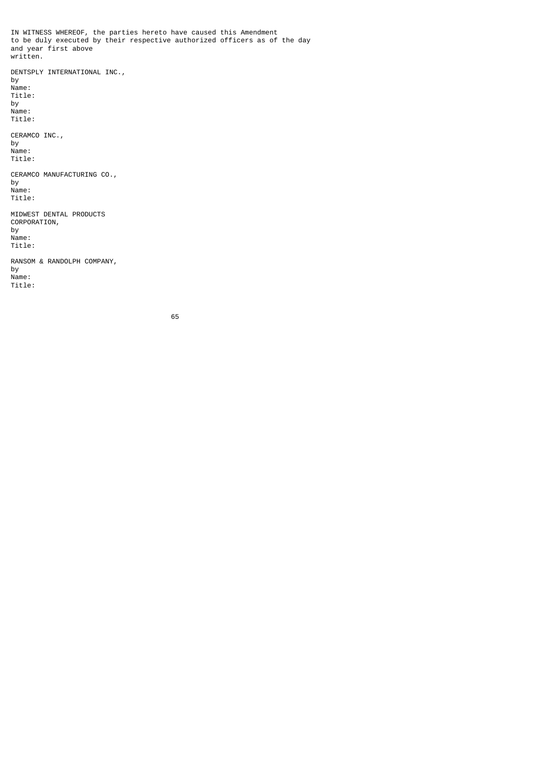IN WITNESS WHEREOF, the parties hereto have caused this Amendment to be duly executed by their respective authorized officers as of the day and year first above written. DENTSPLY INTERNATIONAL INC., by Name: Title: by Name: Title: CERAMCO INC., by Name: Title: CERAMCO MANUFACTURING CO., by Name: Title: MIDWEST DENTAL PRODUCTS CORPORATION, by Name: Title: RANSOM & RANDOLPH COMPANY, by Name: Title: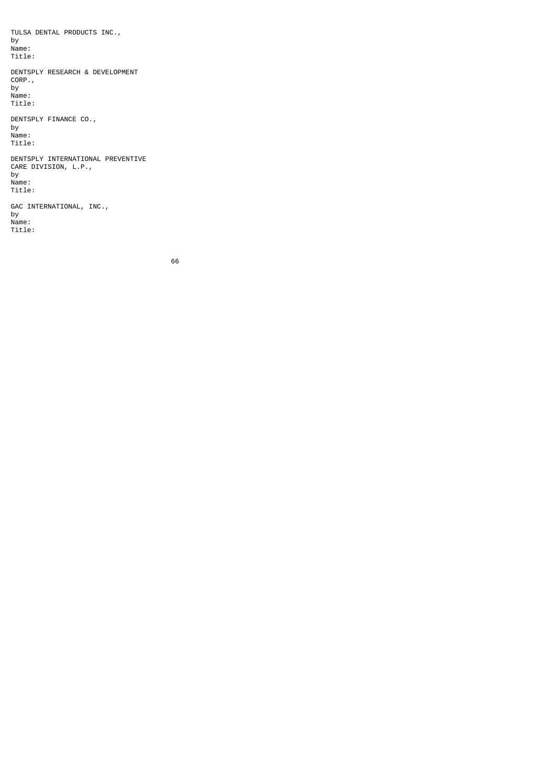TULSA DENTAL PRODUCTS INC., by Name: Title: DENTSPLY RESEARCH & DEVELOPMENT CORP., by Name: Title: DENTSPLY FINANCE CO., by Name: Title: DENTSPLY INTERNATIONAL PREVENTIVE CARE DIVISION, L.P., by Name: Title: GAC INTERNATIONAL, INC., by Name:

Title: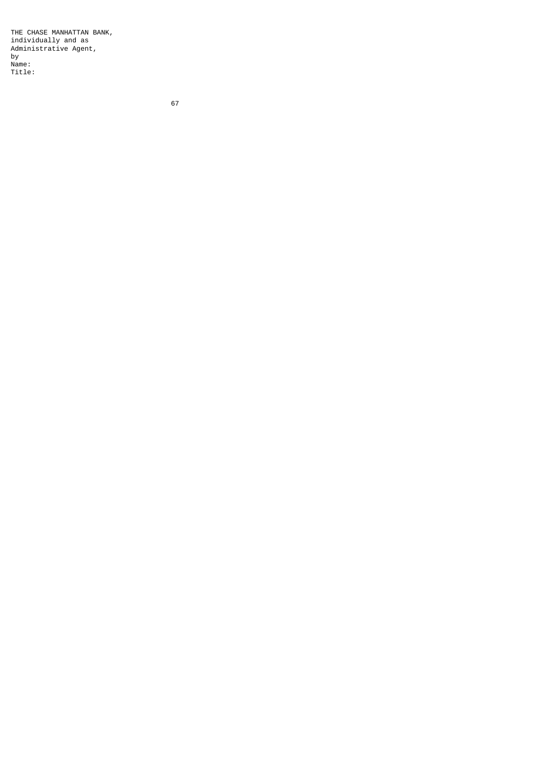THE CHASE MANHATTAN BANK, individually and as Administrative Agent, by Name: Title: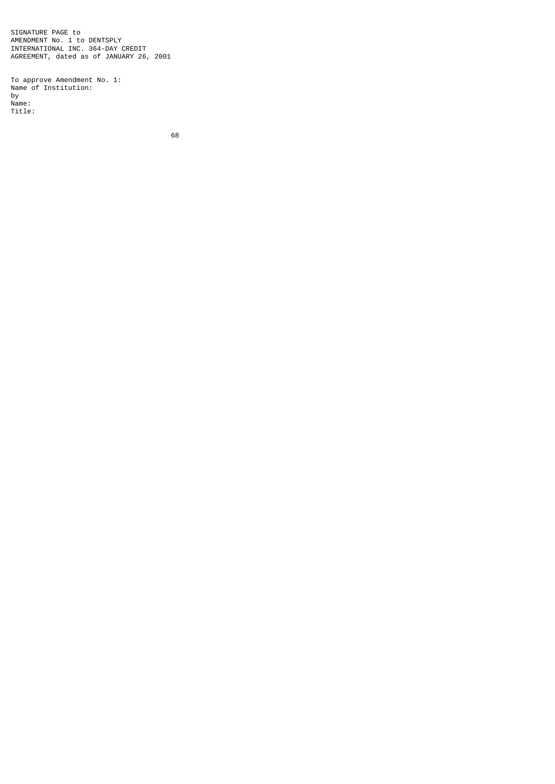SIGNATURE PAGE to AMENDMENT No. 1 to DENTSPLY INTERNATIONAL INC. 364-DAY CREDIT AGREEMENT, dated as of JANUARY 26, 2001

To approve Amendment No. 1: Name of Institution: by Name: Title: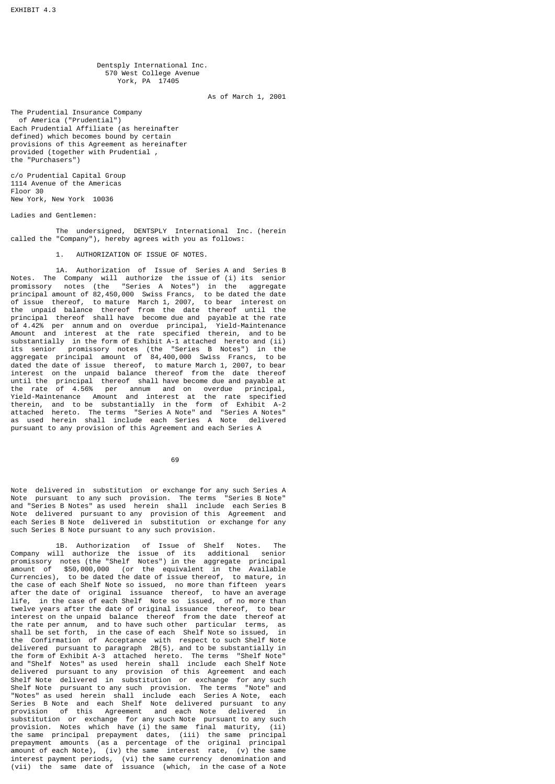Dentsply International Inc. 570 West College Avenue York, PA 17405

As of March 1, 2001

The Prudential Insurance Company of America ("Prudential") Each Prudential Affiliate (as hereinafter defined) which becomes bound by certain provisions of this Agreement as hereinafter provided (together with Prudential , the "Purchasers")

c/o Prudential Capital Group 1114 Avenue of the Americas Floor 30 New York, New York 10036

Ladies and Gentlemen:

 The undersigned, DENTSPLY International Inc. (herein called the "Company"), hereby agrees with you as follows:

1. AUTHORIZATION OF ISSUE OF NOTES.

 1A. Authorization of Issue of Series A and Series B Notes. The Company will authorize the issue of (i) its senior promissory notes (the "Series A Notes") in the aggregate principal amount of 82,450,000 Swiss Francs, to be dated the date of issue thereof, to mature March 1, 2007, to bear interest on the unpaid balance thereof from the date thereof until the principal thereof shall have become due and payable at the rate of 4.42% per annum and on overdue principal, Yield-Maintenance Amount and interest at the rate specified therein, and to be substantially in the form of Exhibit A-1 attached hereto and (ii) its senior promissory notes (the "Series B Notes") in the aggregate principal amount of 84,400,000 Swiss Francs, to be dated the date of issue thereof, to mature March 1, 2007, to bear interest on the unpaid balance thereof from the date thereof until the principal thereof shall have become due and payable at the rate of 4.56% per annum and on overdue principal, Yield-Maintenance Amount and interest at the rate specified therein, and to be substantially in the form of Exhibit A-2 attached hereto. The terms "Series A Note" and "Series A Notes" as used herein shall include each Series A Note delivered pursuant to any provision of this Agreement and each Series A

69

Note delivered in substitution or exchange for any such Series A Note pursuant to any such provision. The terms "Series B Note" and "Series B Notes" as used herein shall include each Series B Note delivered pursuant to any provision of this Agreement and each Series B Note delivered in substitution or exchange for any such Series B Note pursuant to any such provision.

 1B. Authorization of Issue of Shelf Notes. The Company will authorize the issue of its additional senior promissory notes (the "Shelf Notes") in the aggregate principal amount of \$50,000,000 (or the equivalent in the Available Currencies), to be dated the date of issue thereof, to mature, in the case of each Shelf Note so issued, no more than fifteen years after the date of original issuance thereof, to have an average life, in the case of each Shelf Note so issued, of no more than twelve years after the date of original issuance thereof, to bear interest on the unpaid balance thereof from the date thereof at the rate per annum, and to have such other particular terms, as shall be set forth, in the case of each Shelf Note so issued, in the Confirmation of Acceptance with respect to such Shelf Note delivered pursuant to paragraph 2B(5), and to be substantially in the form of Exhibit A-3 attached hereto. The terms "Shelf Note" and "Shelf Notes" as used herein shall include each Shelf Note delivered pursuant to any provision of this Agreement and each Shelf Note delivered in substitution or exchange for any such Shelf Note pursuant to any such provision. The terms "Note" and "Notes" as used herein shall include each Series A Note, each Series B Note and each Shelf Note delivered pursuant to any provision of this Agreement and each Note delivered in substitution or exchange for any such Note pursuant to any such provision. Notes which have (i) the same final maturity, (ii) the same principal prepayment dates, (iii) the same principal prepayment amounts (as a percentage of the original principal amount of each Note), (iv) the same interest rate, (v) the same interest payment periods, (vi) the same currency denomination and (vii) the same date of issuance (which, in the case of a Note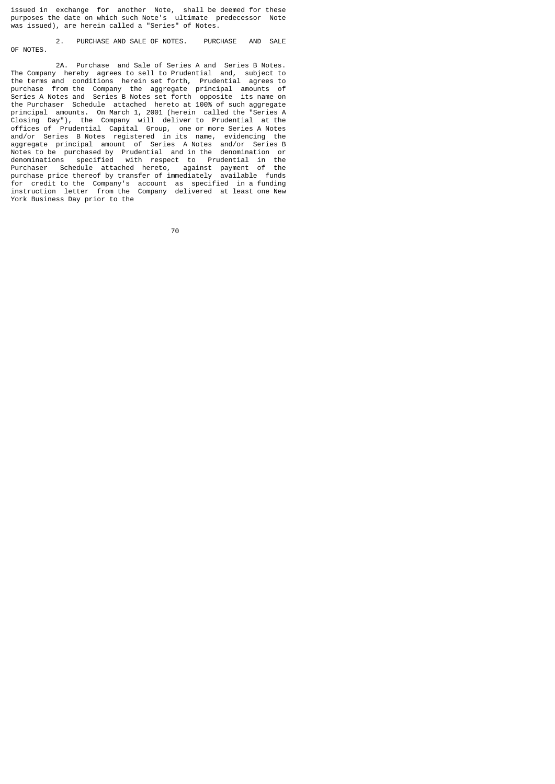issued in exchange for another Note, shall be deemed for these purposes the date on which such Note's ultimate predecessor Note was issued), are herein called a "Series" of Notes.

 2. PURCHASE AND SALE OF NOTES. PURCHASE AND SALE OF NOTES.

 2A. Purchase and Sale of Series A and Series B Notes. The Company hereby agrees to sell to Prudential and, subject to the terms and conditions herein set forth, Prudential agrees to purchase from the Company the aggregate principal amounts of Series A Notes and Series B Notes set forth opposite its name on the Purchaser Schedule attached hereto at 100% of such aggregate principal amounts. On March 1, 2001 (herein called the "Series A Closing Day"), the Company will deliver to Prudential at the offices of Prudential Capital Group, one or more Series A Notes and/or Series B Notes registered in its name, evidencing the aggregate principal amount of Series A Notes and/or Series B Notes to be purchased by Prudential and in the denomination or denominations specified with respect to Prudential in the Purchaser Schedule attached hereto, against payment of the purchase price thereof by transfer of immediately available funds for credit to the Company's account as specified in a funding instruction letter from the Company delivered at least one New York Business Day prior to the

en alternative and the contract of the contract of the contract of the contract of the contract of the contract of the contract of the contract of the contract of the contract of the contract of the contract of the contrac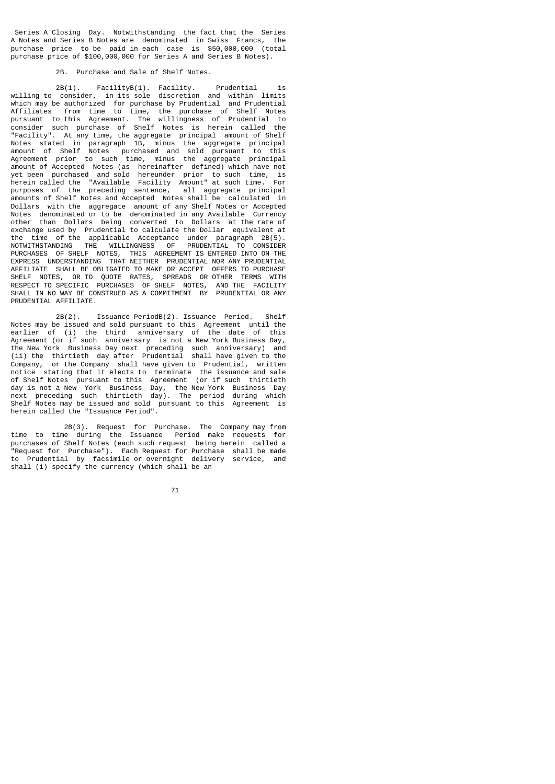Series A Closing Day. Notwithstanding the fact that the Series A Notes and Series B Notes are denominated in Swiss Francs, the purchase price to be paid in each case is \$50,000,000 (total purchase price of \$100,000,000 for Series A and Series B Notes).

## 2B. Purchase and Sale of Shelf Notes.

 2B(1). FacilityB(1). Facility. Prudential is willing to consider, in its sole discretion and within limits which may be authorized for purchase by Prudential and Prudential Affiliates from time to time, the purchase of Shelf Notes pursuant to this Agreement. The willingness of Prudential to consider such purchase of Shelf Notes is herein called the "Facility". At any time, the aggregate principal amount of Shelf Notes stated in paragraph 1B, minus the aggregate principal amount of Shelf Notes purchased and sold pursuant to this Agreement prior to such time, minus the aggregate principal amount of Accepted Notes (as hereinafter defined) which have not yet been purchased and sold hereunder prior to such time, is herein called the "Available Facility Amount" at such time. For purposes of the preceding sentence, all aggregate principal amounts of Shelf Notes and Accepted Notes shall be calculated in Dollars with the aggregate amount of any Shelf Notes or Accepted Notes denominated or to be denominated in any Available Currency other than Dollars being converted to Dollars at the rate of exchange used by Prudential to calculate the Dollar equivalent at the time of the applicable Acceptance under paragraph 2B(5). NOTWITHSTANDING THE WILLINGNESS OF PRUDENTIAL TO CONSIDER PURCHASES OF SHELF NOTES, THIS AGREEMENT IS ENTERED INTO ON THE EXPRESS UNDERSTANDING THAT NEITHER PRUDENTIAL NOR ANY PRUDENTIAL AFFILIATE SHALL BE OBLIGATED TO MAKE OR ACCEPT OFFERS TO PURCHASE SHELF NOTES, OR TO QUOTE RATES, SPREADS OR OTHER TERMS WITH RESPECT TO SPECIFIC PURCHASES OF SHELF NOTES, AND THE FACILITY SHALL IN NO WAY BE CONSTRUED AS A COMMITMENT BY PRUDENTIAL OR ANY PRUDENTIAL AFFILIATE.

 2B(2). Issuance PeriodB(2). Issuance Period. Shelf Notes may be issued and sold pursuant to this Agreement until the earlier of (i) the third anniversary of the date of this Agreement (or if such anniversary is not a New York Business Day, the New York Business Day next preceding such anniversary) and (ii) the thirtieth day after Prudential shall have given to the Company, or the Company shall have given to Prudential, written notice stating that it elects to terminate the issuance and sale of Shelf Notes pursuant to this Agreement (or if such thirtieth day is not a New York Business Day, the New York Business Day next preceding such thirtieth day). The period during which Shelf Notes may be issued and sold pursuant to this Agreement is herein called the "Issuance Period".

 2B(3). Request for Purchase. The Company may from time to time during the Issuance Period make requests for purchases of Shelf Notes (each such request being herein called a Nurthases of Shell Notes (Cash Sach Pageoco Some Shell be made<br>"Request for Purchase"). Each Request for Purchase shall be made to Prudential by facsimile or overnight delivery service, and shall (i) specify the currency (which shall be an

71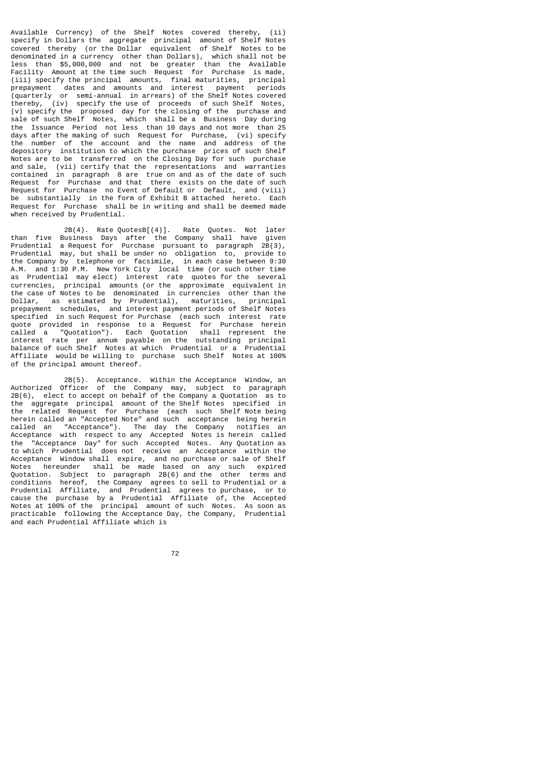Available Currency) of the Shelf Notes covered thereby, (ii) specify in Dollars the aggregate principal amount of Shelf Notes covered thereby (or the Dollar equivalent of Shelf Notes to be denominated in a currency other than Dollars), which shall not be less than \$5,000,000 and not be greater than the Available Facility Amount at the time such Request for Purchase is made, (iii) specify the principal amounts, final maturities, principal prepayment dates and amounts and interest payment periods (quarterly or semi-annual in arrears) of the Shelf Notes covered thereby, (iv) specify the use of proceeds of such Shelf Notes, (v) specify the proposed day for the closing of the purchase and sale of such Shelf Notes, which shall be a Business Day during the Issuance Period not less than 10 days and not more than 25 days after the making of such Request for Purchase, (vi) specify the number of the account and the name and address of the depository institution to which the purchase prices of such Shelf Notes are to be transferred on the Closing Day for such purchase and sale, (vii) certify that the representations and warranties contained in paragraph 8 are true on and as of the date of such Request for Purchase and that there exists on the date of such Request for Purchase no Event of Default or Default, and (viii) be substantially in the form of Exhibit B attached hereto. Each Request for Purchase shall be in writing and shall be deemed made when received by Prudential.

 2B(4). Rate QuotesB[(4)]. Rate Quotes. Not later than five Business Days after the Company shall have given Prudential a Request for Purchase pursuant to paragraph 2B(3), Prudential may, but shall be under no obligation to, provide to the Company by telephone or facsimile, in each case between 9:30 A.M. and 1:30 P.M. New York City local time (or such other time as Prudential may elect) interest rate quotes for the several currencies, principal amounts (or the approximate equivalent in the case of Notes to be denominated in currencies other than the Dollar, as estimated by Prudential), maturities, principal prepayment schedules, and interest payment periods of Shelf Notes specified in such Request for Purchase (each such interest rate quote provided in response to a Request for Purchase herein called a "Quotation"). Each Quotation shall represent the interest rate per annum payable on the outstanding principal balance of such Shelf Notes at which Prudential or a Prudential Affiliate would be willing to purchase such Shelf Notes at 100% of the principal amount thereof.

 2B(5). Acceptance. Within the Acceptance Window, an Authorized Officer of the Company may, subject to paragraph 2B(6), elect to accept on behalf of the Company a Quotation as to the aggregate principal amount of the Shelf Notes specified in the related Request for Purchase (each such Shelf Note being herein called an "Accepted Note" and such acceptance being herein called an "Acceptance"). The day the Company notifies an Acceptance with respect to any Accepted Notes is herein called the "Acceptance Day" for such Accepted Notes. Any Quotation as to which Prudential does not receive an Acceptance within the Acceptance Window shall expire, and no purchase or sale of Shelf Notes hereunder shall be made based on any such expired Quotation. Subject to paragraph 2B(6) and the other terms and conditions hereof, the Company agrees to sell to Prudential or a Prudential Affiliate, and Prudential agrees to purchase, or to cause the purchase by a Prudential Affiliate of, the Accepted Notes at 100% of the principal amount of such Notes. As soon as practicable following the Acceptance Day, the Company, Prudential and each Prudential Affiliate which is

ли в село в село во село во 1922 година во 1922 година во 1922 година во 1922 година во 1922 година во 1922 го<br>Во 1922 година од село во 1922 година од село во 1922 година од село во 1922 година од село во 1922 година од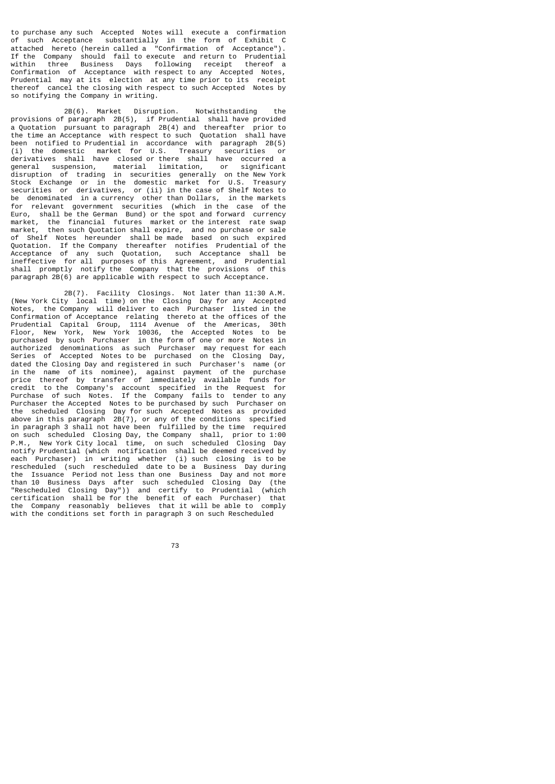to purchase any such Accepted Notes will execute a confirmation of such Acceptance substantially in the form of Exhibit C attached hereto (herein called a "Confirmation of Acceptance"). If the Company should fail to execute and return to Prudential<br>within three Business Days following receipt thereof a Business Days following receipt thereof a Confirmation of Acceptance with respect to any Accepted Notes, Prudential may at its election at any time prior to its receipt thereof cancel the closing with respect to such Accepted Notes by so notifying the Company in writing.

 2B(6). Market Disruption. Notwithstanding the provisions of paragraph 2B(5), if Prudential shall have provided a Quotation pursuant to paragraph 2B(4) and thereafter prior to the time an Acceptance with respect to such Quotation shall have been notified to Prudential in accordance with paragraph 2B(5) (i) the domestic market for U.S. Treasury securities or derivatives shall have closed or there shall have occurred a general suspension, material limitation, or significant disruption of trading in securities generally on the New York Stock Exchange or in the domestic market for U.S. Treasury securities or derivatives, or (ii) in the case of Shelf Notes to be denominated in a currency other than Dollars, in the markets for relevant government securities (which in the case of the Euro, shall be the German Bund) or the spot and forward currency market, the financial futures market or the interest rate swap market, then such Quotation shall expire, and no purchase or sale of Shelf Notes hereunder shall be made based on such expired Quotation. If the Company thereafter notifies Prudential of the Acceptance of any such Quotation, such Acceptance shall be ineffective for all purposes of this Agreement, and Prudential shall promptly notify the Company that the provisions of this paragraph 2B(6) are applicable with respect to such Acceptance.

 2B(7). Facility Closings. Not later than 11:30 A.M. (New York City local time) on the Closing Day for any Accepted Notes, the Company will deliver to each Purchaser listed in the Confirmation of Acceptance relating thereto at the offices of the Prudential Capital Group, 1114 Avenue of the Americas, 30th Floor, New York, New York 10036, the Accepted Notes to be purchased by such Purchaser in the form of one or more Notes in authorized denominations as such Purchaser may request for each Series of Accepted Notes to be purchased on the Closing Day, dated the Closing Day and registered in such Purchaser's name (or in the name of its nominee), against payment of the purchase price thereof by transfer of immediately available funds for credit to the Company's account specified in the Request for Purchase of such Notes. If the Company fails to tender to any Purchaser the Accepted Notes to be purchased by such Purchaser on the scheduled Closing Day for such Accepted Notes as provided above in this paragraph 2B(7), or any of the conditions specified in paragraph 3 shall not have been fulfilled by the time required on such scheduled Closing Day, the Company shall, prior to 1:00 P.M., New York City local time, on such scheduled Closing Day notify Prudential (which notification shall be deemed received by each Purchaser) in writing whether (i) such closing is to be rescheduled (such rescheduled date to be a Business Day during the Issuance Period not less than one Business Day and not more than 10 Business Days after such scheduled Closing Day (the "Rescheduled Closing Day")) and certify to Prudential (which certification shall be for the benefit of each Purchaser) that the Company reasonably believes that it will be able to comply with the conditions set forth in paragraph 3 on such Rescheduled

73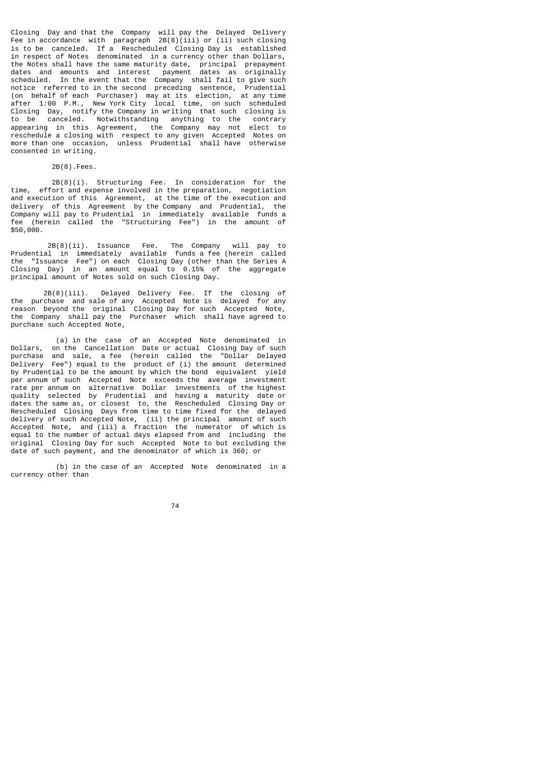Closing Day and that the Company will pay the Delayed Delivery Fee in accordance with paragraph 2B(8)(iii) or (ii) such closing is to be canceled. If a Rescheduled Closing Day is established in respect of Notes denominated in a currency other than Dollars, the Notes shall have the same maturity date, principal prepayment dates and amounts and interest payment dates as originally scheduled. In the event that the Company shall fail to give such notice referred to in the second preceding sentence, Prudential (on behalf of each Purchaser) may at its election, at any time after 1:00 P.M., New York City local time, on such scheduled Closing Day, notify the Company in writing that such closing is to be canceled. Notwithstanding anything to the contrary appearing in this Agreement, the Company may not elect to reschedule a closing with respect to any given Accepted Notes on more than one occasion, unless Prudential shall have otherwise consented in writing.

2B(8).Fees.

 2B(8)(i). Structuring Fee. In consideration for the time, effort and expense involved in the preparation, negotiation and execution of this Agreement, at the time of the execution and delivery of this Agreement by the Company and Prudential, the Company will pay to Prudential in immediately available funds a fee (herein called the "Structuring Fee") in the amount of \$50,000.

 2B(8)(ii). Issuance Fee. The Company will pay to Prudential in immediately available funds a fee (herein called the "Issuance Fee") on each Closing Day (other than the Series A Closing Day) in an amount equal to 0.15% of the aggregate principal amount of Notes sold on such Closing Day.

 2B(8)(iii). Delayed Delivery Fee. If the closing of the purchase and sale of any Accepted Note is delayed for any reason beyond the original Closing Day for such Accepted Note, the Company shall pay the Purchaser which shall have agreed to purchase such Accepted Note,

 (a) in the case of an Accepted Note denominated in Dollars, on the Cancellation Date or actual Closing Day of such purchase and sale, a fee (herein called the "Dollar Delayed Delivery Fee") equal to the product of (i) the amount determined by Prudential to be the amount by which the bond equivalent yield per annum of such Accepted Note exceeds the average investment rate per annum on alternative Dollar investments of the highest quality selected by Prudential and having a maturity date or dates the same as, or closest to, the Rescheduled Closing Day or Rescheduled Closing Days from time to time fixed for the delayed delivery of such Accepted Note, (ii) the principal amount of such Accepted Note, and (iii) a fraction the numerator of which is equal to the number of actual days elapsed from and including the original Closing Day for such Accepted Note to but excluding the date of such payment, and the denominator of which is 360; or

 (b) in the case of an Accepted Note denominated in a currency other than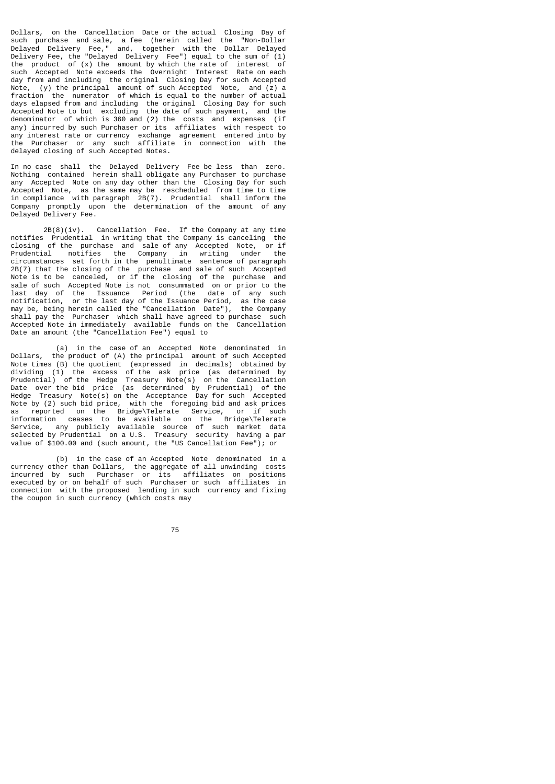Dollars, on the Cancellation Date or the actual Closing Day of<br>such purchase and sale a fee (berein called the "Non-Dollar such purchase and sale, a fee (herein called the Delayed Delivery Fee," and, together with the Dollar Delayed Delivery Fee, the "Delayed Delivery Fee") equal to the sum of (1) the product of (x) the amount by which the rate of interest of such Accepted Note exceeds the Overnight Interest Rate on each day from and including the original Closing Day for such Accepted Note, (y) the principal amount of such Accepted Note, and (z) a fraction the numerator of which is equal to the number of actual days elapsed from and including the original Closing Day for such Accepted Note to but excluding the date of such payment, and the denominator of which is 360 and (2) the costs and expenses (if any) incurred by such Purchaser or its affiliates with respect to any interest rate or currency exchange agreement entered into by the Purchaser or any such affiliate in connection with the delayed closing of such Accepted Notes.

In no case shall the Delayed Delivery Fee be less than zero. Nothing contained herein shall obligate any Purchaser to purchase any Accepted Note on any day other than the Closing Day for such Accepted Note, as the same may be rescheduled from time to time in compliance with paragraph 2B(7). Prudential shall inform the Company promptly upon the determination of the amount of any Delayed Delivery Fee.

 2B(8)(iv). Cancellation Fee. If the Company at any time notifies Prudential in writing that the Company is canceling the closing of the purchase and sale of any Accepted Note, or if Prudential notifies the Company in writing under the circumstances set forth in the penultimate sentence of paragraph 2B(7) that the closing of the purchase and sale of such Accepted Note is to be canceled, or if the closing of the purchase and sale of such Accepted Note is not consummated on or prior to the last day of the Issuance Period (the date of any such notification, or the last day of the Issuance Period, as the case may be, being herein called the "Cancellation Date"), the Company shall pay the Purchaser which shall have agreed to purchase such Accepted Note in immediately available funds on the Cancellation Date an amount (the "Cancellation Fee") equal to

 (a) in the case of an Accepted Note denominated in Dollars, the product of (A) the principal amount of such Accepted Note times (B) the quotient (expressed in decimals) obtained by dividing (1) the excess of the ask price (as determined by Prudential) of the Hedge Treasury Note(s) on the Cancellation Date over the bid price (as determined by Prudential) of the Hedge Treasury Note(s) on the Acceptance Day for such Accepted Note by (2) such bid price, with the foregoing bid and ask prices as reported on the Bridge\Telerate Service, or if such information ceases to be available on the Bridge\Telerate Service, any publicly available source of such market data selected by Prudential on a U.S. Treasury security having a par value of \$100.00 and (such amount, the "US Cancellation Fee"); or

 (b) in the case of an Accepted Note denominated in a currency other than Dollars, the aggregate of all unwinding costs incurred by such Purchaser or its affiliates on positions executed by or on behalf of such Purchaser or such affiliates in connection with the proposed lending in such currency and fixing the coupon in such currency (which costs may

<u>75 and 2001 and 2001 and 2001 and 2001 and 2001 and 2001 and 2001 and 2001 and 2001 and 2001 and 200</u>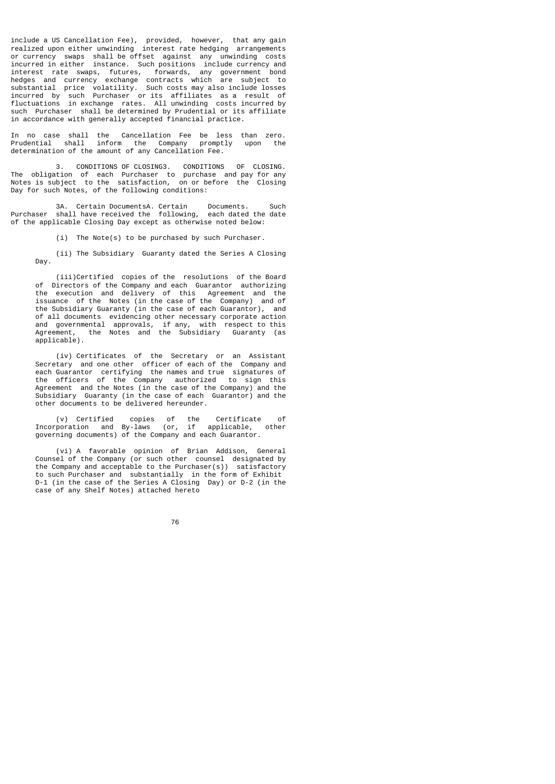include a US Cancellation Fee), provided, however, that any gain realized upon either unwinding interest rate hedging arrangements or currency swaps shall be offset against any unwinding costs incurred in either instance. Such positions include currency and interest rate swaps, futures, forwards, any government bond hedges and currency exchange contracts which are subject to substantial price volatility. Such costs may also include losses incurred by such Purchaser or its affiliates as a result of fluctuations in exchange rates. All unwinding costs incurred by such Purchaser shall be determined by Prudential or its affiliate in accordance with generally accepted financial practice.

In no case shall the Cancellation Fee be less than zero. Prudential shall inform the Company promptly upon the determination of the amount of any Cancellation Fee.

 3. CONDITIONS OF CLOSING3. CONDITIONS OF CLOSING. The obligation of each Purchaser to purchase and pay for any Notes is subject to the satisfaction, on or before the Closing Day for such Notes, of the following conditions:

 3A. Certain DocumentsA. Certain Documents. Such Purchaser shall have received the following, each dated the date of the applicable Closing Day except as otherwise noted below:

(i) The Note(s) to be purchased by such Purchaser.

 (ii) The Subsidiary Guaranty dated the Series A Closing Day.

 (iii)Certified copies of the resolutions of the Board of Directors of the Company and each Guarantor authorizing the execution and delivery of this Agreement and the issuance of the Notes (in the case of the Company) and of the Subsidiary Guaranty (in the case of each Guarantor), and of all documents evidencing other necessary corporate action and governmental approvals, if any, with respect to this Agreement, the Notes and the Subsidiary Guaranty (as applicable).

 (iv) Certificates of the Secretary or an Assistant Secretary and one other officer of each of the Company and each Guarantor certifying the names and true signatures of the officers of the Company authorized to sign this Agreement and the Notes (in the case of the Company) and the Subsidiary Guaranty (in the case of each Guarantor) and the other documents to be delivered hereunder.

 (v) Certified copies of the Certificate of Incorporation and By-laws (or, if applicable, other governing documents) of the Company and each Guarantor.

 (vi) A favorable opinion of Brian Addison, General Counsel of the Company (or such other counsel designated by the Company and acceptable to the Purchaser(s)) satisfactory to such Purchaser and substantially in the form of Exhibit D-1 (in the case of the Series A Closing Day) or D-2 (in the case of any Shelf Notes) attached hereto

ли последници представите в 176 године.<br>2006 године представители представители в 176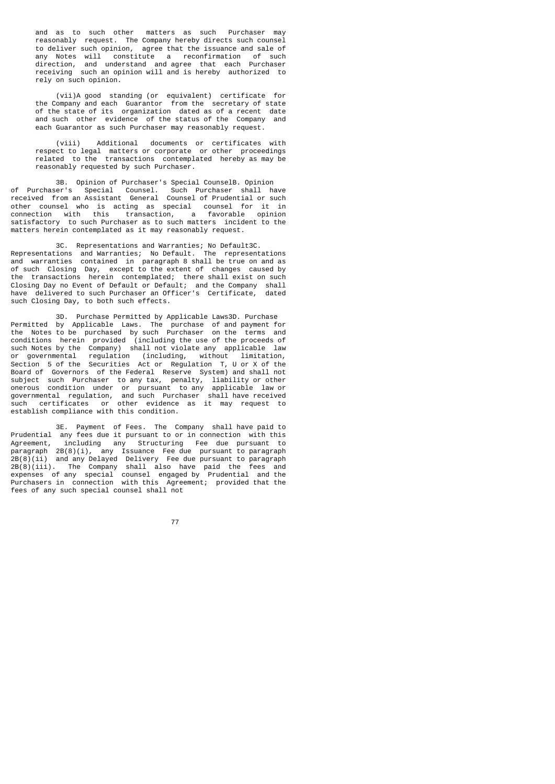and as to such other matters as such Purchaser may reasonably request. The Company hereby directs such counsel to deliver such opinion, agree that the issuance and sale of any Notes will constitute a reconfirmation of such direction, and understand and agree that each Purchaser receiving such an opinion will and is hereby authorized to rely on such opinion.

 (vii)A good standing (or equivalent) certificate for the Company and each Guarantor from the secretary of state of the state of its organization dated as of a recent date and such other evidence of the status of the Company and each Guarantor as such Purchaser may reasonably request.

 (viii) Additional documents or certificates with respect to legal matters or corporate or other proceedings related to the transactions contemplated hereby as may be reasonably requested by such Purchaser.

 3B. Opinion of Purchaser's Special CounselB. Opinion of Purchaser's Special Counsel. Such Purchaser shall have received from an Assistant General Counsel of Prudential or such other counsel who is acting as special counsel for it in connection with this transaction, a favorable opinion satisfactory to such Purchaser as to such matters incident to the matters herein contemplated as it may reasonably request.

 3C. Representations and Warranties; No Default3C. Representations and Warranties; No Default. The representations and warranties contained in paragraph 8 shall be true on and as of such Closing Day, except to the extent of changes caused by the transactions herein contemplated; there shall exist on such Closing Day no Event of Default or Default; and the Company shall have delivered to such Purchaser an Officer's Certificate, dated such Closing Day, to both such effects.

 3D. Purchase Permitted by Applicable Laws3D. Purchase Permitted by Applicable Laws. The purchase of and payment for the Notes to be purchased by such Purchaser on the terms and conditions herein provided (including the use of the proceeds of such Notes by the Company) shall not violate any applicable law or governmental regulation (including, without limitation, Section 5 of the Securities Act or Regulation T, U or X of the Board of Governors of the Federal Reserve System) and shall not subject such Purchaser to any tax, penalty, liability or other onerous condition under or pursuant to any applicable law or governmental regulation, and such Purchaser shall have received such certificates or other evidence as it may request to establish compliance with this condition.

 3E. Payment of Fees. The Company shall have paid to Prudential any fees due it pursuant to or in connection with this Agreement, including any Structuring Fee due pursuant to paragraph 2B(8)(i), any Issuance Fee due pursuant to paragraph 2B(8)(ii) and any Delayed Delivery Fee due pursuant to paragraph 2B(8)(iii). The Company shall also have paid the fees and expenses of any special counsel engaged by Prudential and the Purchasers in connection with this Agreement; provided that the fees of any such special counsel shall not

ли в село в село во село во 177 година, во 177 година, во 177 година, во 177 година, во 177 година, во 177 год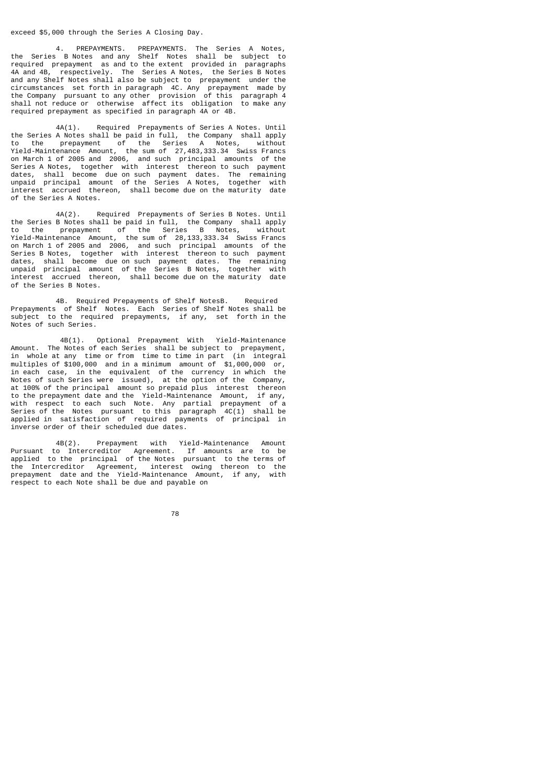#### exceed \$5,000 through the Series A Closing Day.

 4. PREPAYMENTS. PREPAYMENTS. The Series A Notes, the Series B Notes and any Shelf Notes shall be subject to required prepayment as and to the extent provided in paragraphs 4A and 4B, respectively. The Series A Notes, the Series B Notes and any Shelf Notes shall also be subject to prepayment under the circumstances set forth in paragraph 4C. Any prepayment made by the Company pursuant to any other provision of this paragraph 4 shall not reduce or otherwise affect its obligation to make any required prepayment as specified in paragraph 4A or 4B.

 4A(1). Required Prepayments of Series A Notes. Until the Series A Notes shall be paid in full, the Company shall apply<br>to the prepayment of the Series A Notes, without to the prepayment of the Series A Notes, Yield-Maintenance Amount, the sum of 27,483,333.34 Swiss Francs on March 1 of 2005 and 2006, and such principal amounts of the Series A Notes, together with interest thereon to such payment dates, shall become due on such payment dates. The remaining unpaid principal amount of the Series A Notes, together with interest accrued thereon, shall become due on the maturity date of the Series A Notes.

 4A(2). Required Prepayments of Series B Notes. Until the Series B Notes shall be paid in full, the Company shall apply<br>to the prepayment of the Series B Notes, without of the Series B Notes, Yield-Maintenance Amount, the sum of 28,133,333.34 Swiss Francs on March 1 of 2005 and 2006, and such principal amounts of the Series B Notes, together with interest thereon to such payment dates, shall become due on such payment dates. The remaining unpaid principal amount of the Series B Notes, together with interest accrued thereon, shall become due on the maturity date of the Series B Notes.

 4B. Required Prepayments of Shelf NotesB. Required Prepayments of Shelf Notes. Each Series of Shelf Notes shall be subject to the required prepayments, if any, set forth in the Notes of such Series.

 4B(1). Optional Prepayment With Yield-Maintenance Amount. The Notes of each Series shall be subject to prepayment,<br>in whole at any time or from time to time in part (in integral in whole at any time or from time to time in part (in integral multiples of \$100,000 and in a minimum amount of \$1,000,000 or, in each case, in the equivalent of the currency in which the Notes of such Series were issued), at the option of the Company, at 100% of the principal amount so prepaid plus interest thereon to the prepayment date and the Yield-Maintenance Amount, if any, with respect to each such Note. Any partial prepayment of a Series of the Notes pursuant to this paragraph 4C(1) shall be applied in satisfaction of required payments of principal in inverse order of their scheduled due dates.

 4B(2). Prepayment with Yield-Maintenance Amount Pursuant to Intercreditor Agreement. If amounts are to be applied to the principal of the Notes pursuant to the terms of the Intercreditor Agreement, interest owing thereon to the prepayment date and the Yield-Maintenance Amount, if any, with respect to each Note shall be due and payable on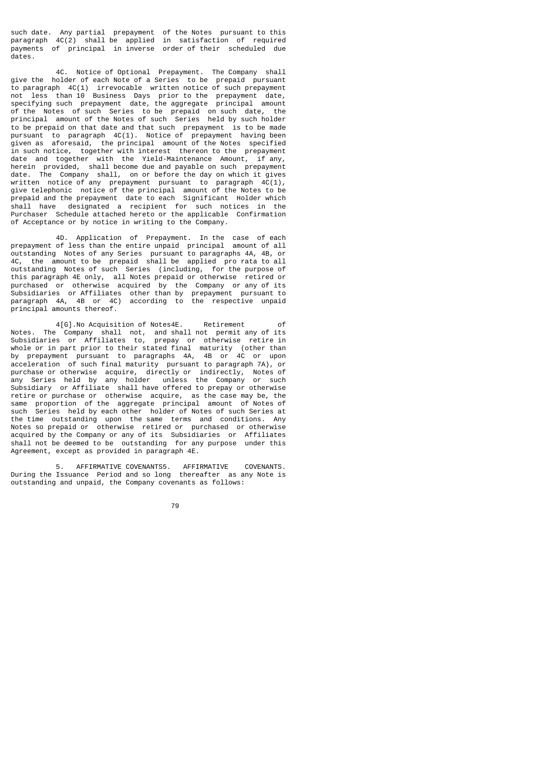such date. Any partial prepayment of the Notes pursuant to this paragraph 4C(2) shall be applied in satisfaction of required payments of principal in inverse order of their scheduled due dates.

 4C. Notice of Optional Prepayment. The Company shall give the holder of each Note of a Series to be prepaid pursuant to paragraph 4C(1) irrevocable written notice of such prepayment not less than 10 Business Days prior to the prepayment date, specifying such prepayment date, the aggregate principal amount of the Notes of such Series to be prepaid on such date, the principal amount of the Notes of such Series held by such holder to be prepaid on that date and that such prepayment is to be made pursuant to paragraph 4C(1). Notice of prepayment having been given as aforesaid, the principal amount of the Notes specified in such notice, together with interest thereon to the prepayment date and together with the Yield-Maintenance Amount, if any, herein provided, shall become due and payable on such prepayment date. The Company shall, on or before the day on which it gives written notice of any prepayment pursuant to paragraph 4C(1), give telephonic notice of the principal amount of the Notes to be prepaid and the prepayment date to each Significant Holder which shall have designated a recipient for such notices in the Purchaser Schedule attached hereto or the applicable Confirmation of Acceptance or by notice in writing to the Company.

 4D. Application of Prepayment. In the case of each prepayment of less than the entire unpaid principal amount of all outstanding Notes of any Series pursuant to paragraphs 4A, 4B, or 4C, the amount to be prepaid shall be applied pro rata to all outstanding Notes of such Series (including, for the purpose of this paragraph 4E only, all Notes prepaid or otherwise retired or purchased or otherwise acquired by the Company or any of its Subsidiaries or Affiliates other than by prepayment pursuant to paragraph 4A, 4B or 4C) according to the respective unpaid principal amounts thereof.

 4[G].No Acquisition of Notes4E. Retirement of Notes. The Company shall not, and shall not permit any of its Subsidiaries or Affiliates to, prepay or otherwise retire in whole or in part prior to their stated final maturity (other than by prepayment pursuant to paragraphs 4A, 4B or 4C or upon acceleration of such final maturity pursuant to paragraph 7A), or purchase or otherwise acquire, directly or indirectly, Notes of any Series held by any holder unless the Company or such Subsidiary or Affiliate shall have offered to prepay or otherwise retire or purchase or otherwise acquire, as the case may be, the same proportion of the aggregate principal amount of Notes of such Series held by each other holder of Notes of such Series at the time outstanding upon the same terms and conditions. Any Notes so prepaid or otherwise retired or purchased or otherwise acquired by the Company or any of its Subsidiaries or Affiliates shall not be deemed to be outstanding for any purpose under this Agreement, except as provided in paragraph 4E.

 5. AFFIRMATIVE COVENANTS5. AFFIRMATIVE COVENANTS. During the Issuance Period and so long thereafter as any Note is outstanding and unpaid, the Company covenants as follows: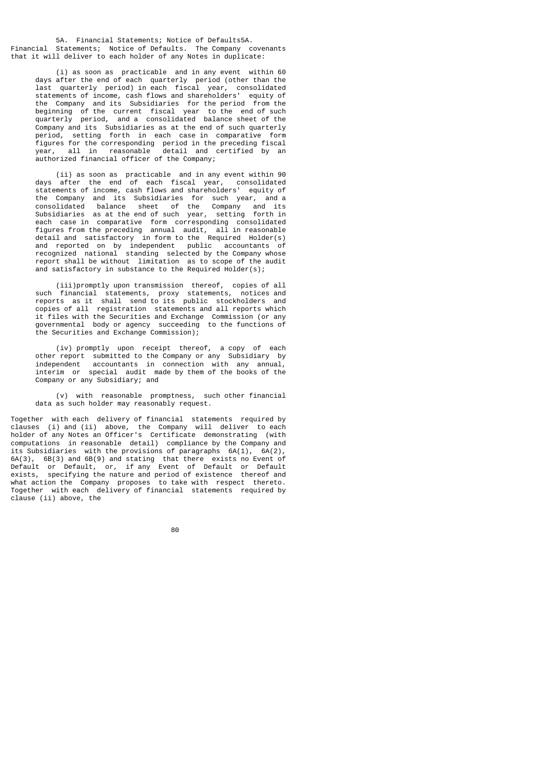5A. Financial Statements; Notice of Defaults5A. Financial Statements; Notice of Defaults. The Company covenants that it will deliver to each holder of any Notes in duplicate:

 (i) as soon as practicable and in any event within 60 days after the end of each quarterly period (other than the last quarterly period) in each fiscal year, consolidated statements of income, cash flows and shareholders' equity of the Company and its Subsidiaries for the period from the beginning of the current fiscal year to the end of such quarterly period, and a consolidated balance sheet of the Company and its Subsidiaries as at the end of such quarterly period, setting forth in each case in comparative form figures for the corresponding period in the preceding fiscal year, all in reasonable detail and certified by an authorized financial officer of the Company;

 (ii) as soon as practicable and in any event within 90 days after the end of each fiscal year, consolidated statements of income, cash flows and shareholders' equity of the Company and its Subsidiaries for such year, and a consolidated balance sheet of the Company and its Subsidiaries as at the end of such year, setting forth in each case in comparative form corresponding consolidated figures from the preceding annual audit, all in reasonable detail and satisfactory in form to the Required Holder(s) and reported on by independent public accountants of recognized national standing selected by the Company whose report shall be without limitation as to scope of the audit and satisfactory in substance to the Required Holder(s);

 (iii)promptly upon transmission thereof, copies of all such financial statements, proxy statements, notices and reports as it shall send to its public stockholders and copies of all registration statements and all reports which it files with the Securities and Exchange Commission (or any governmental body or agency succeeding to the functions of the Securities and Exchange Commission);

 (iv) promptly upon receipt thereof, a copy of each other report submitted to the Company or any Subsidiary by independent accountants in connection with any annual, interim or special audit made by them of the books of the Company or any Subsidiary; and

 (v) with reasonable promptness, such other financial data as such holder may reasonably request.

Together with each delivery of financial statements required by clauses (i) and (ii) above, the Company will deliver to each holder of any Notes an Officer's Certificate demonstrating (with computations in reasonable detail) compliance by the Company and its Subsidiaries with the provisions of paragraphs 6A(1), 6A(2), 6A(3), 6B(3) and 6B(9) and stating that there exists no Event of Default or Default, or, if any Event of Default or Default exists, specifying the nature and period of existence thereof and what action the Company proposes to take with respect thereto. Together with each delivery of financial statements required by clause (ii) above, the

e de la construcción de la construcción de la construcción de la construcción de la construcción de la constru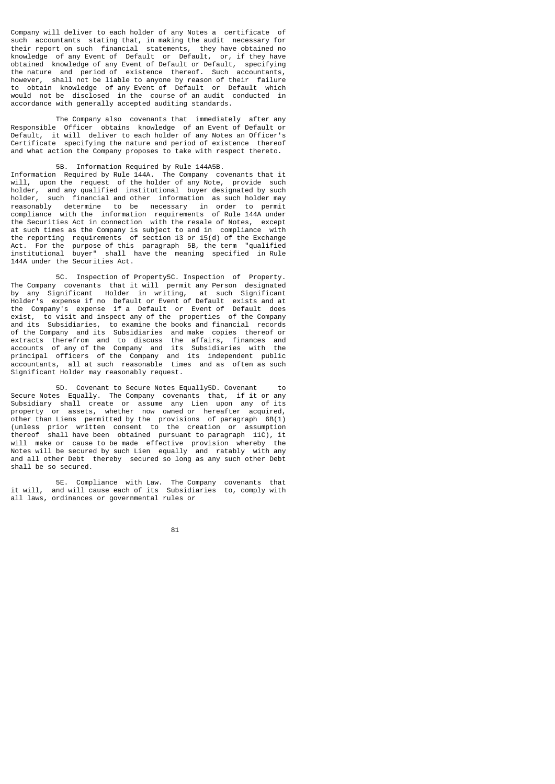Company will deliver to each holder of any Notes a certificate of such accountants stating that, in making the audit necessary for their report on such financial statements, they have obtained no knowledge of any Event of Default or Default, or, if they have obtained knowledge of any Event of Default or Default, specifying the nature and period of existence thereof. Such accountants, however, shall not be liable to anyone by reason of their failure to obtain knowledge of any Event of Default or Default which would not be disclosed in the course of an audit conducted in accordance with generally accepted auditing standards.

 The Company also covenants that immediately after any Responsible Officer obtains knowledge of an Event of Default or Default, it will deliver to each holder of any Notes an Officer's Certificate specifying the nature and period of existence thereof and what action the Company proposes to take with respect thereto.

# 5B. Information Required by Rule 144A5B.

Information Required by Rule 144A. The Company covenants that it will, upon the request of the holder of any Note, provide such holder, and any qualified institutional buyer designated by such holder, such financial and other information as such holder may reasonably determine to be necessary in order to permit compliance with the information requirements of Rule 144A under the Securities Act in connection with the resale of Notes, except at such times as the Company is subject to and in compliance with the reporting requirements of section 13 or 15(d) of the Exchange Act. For the purpose of this paragraph 5B, the term "qualified institutional buyer" shall have the meaning specified in Rule 144A under the Securities Act.

 5C. Inspection of Property5C. Inspection of Property. The Company covenants that it will permit any Person designated by any Significant Holder in writing, at such Significant Holder's expense if no Default or Event of Default exists and at the Company's expense if a Default or Event of Default does exist, to visit and inspect any of the properties of the Company and its Subsidiaries, to examine the books and financial records of the Company and its Subsidiaries and make copies thereof or extracts therefrom and to discuss the affairs, finances and accounts of any of the Company and its Subsidiaries with the principal officers of the Company and its independent public accountants, all at such reasonable times and as often as such Significant Holder may reasonably request.

 5D. Covenant to Secure Notes Equally5D. Covenant to Secure Notes Equally. The Company covenants that, if it or any Subsidiary shall create or assume any Lien upon any of its property or assets, whether now owned or hereafter acquired, other than Liens permitted by the provisions of paragraph  $6B(1)$ (unless prior written consent to the creation or assumption thereof shall have been obtained pursuant to paragraph 11C), it will make or cause to be made effective provision whereby the Notes will be secured by such Lien equally and ratably with any and all other Debt thereby secured so long as any such other Debt shall be so secured.

 5E. Compliance with Law. The Company covenants that it will, and will cause each of its Subsidiaries to, comply with all laws, ordinances or governmental rules or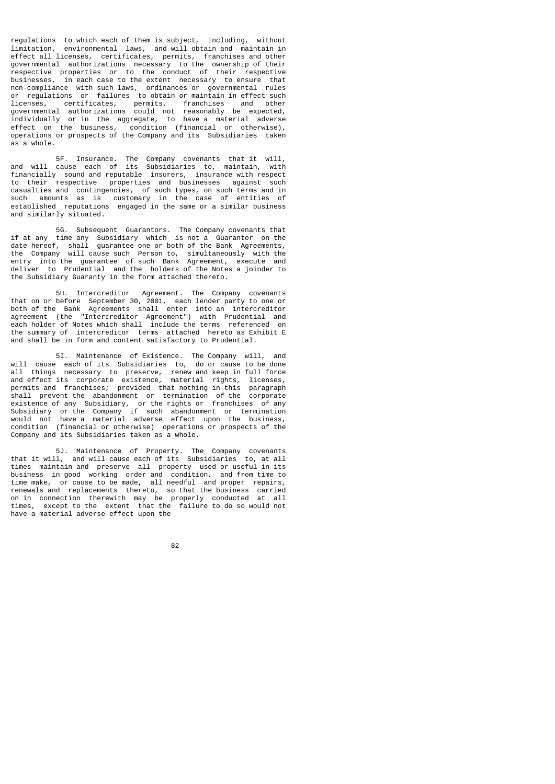regulations to which each of them is subject, including, without limitation, environmental laws, and will obtain and maintain in effect all licenses, certificates, permits, franchises and other governmental authorizations necessary to the ownership of their respective properties or to the conduct of their respective businesses, in each case to the extent necessary to ensure that non-compliance with such laws, ordinances or governmental rules or regulations or failures to obtain or maintain in effect such licenses, certificates, permits, franchises and other governmental authorizations could not reasonably be expected, individually or in the aggregate, to have a material adverse effect on the business, condition (financial or otherwise), operations or prospects of the Company and its Subsidiaries taken as a whole.

 5F. Insurance. The Company covenants that it will, and will cause each of its Subsidiaries to, maintain, with financially sound and reputable insurers, insurance with respect to their respective properties and businesses against such casualties and contingencies, of such types, on such terms and in such amounts as is customary in the case of entities of established reputations engaged in the same or a similar business and similarly situated.

 5G. Subsequent Guarantors. The Company covenants that if at any time any Subsidiary which is not a Guarantor on the date hereof, shall guarantee one or both of the Bank Agreements, the Company will cause such Person to, simultaneously with the entry into the guarantee of such Bank Agreement, execute and deliver to Prudential and the holders of the Notes a joinder to the Subsidiary Guaranty in the form attached thereto.

 5H. Intercreditor Agreement. The Company covenants that on or before September 30, 2001, each lender party to one or both of the Bank Agreements shall enter into an intercreditor agreement (the "Intercreditor Agreement") with Prudential and each holder of Notes which shall include the terms referenced on the summary of intercreditor terms attached hereto as Exhibit E and shall be in form and content satisfactory to Prudential.

 5I. Maintenance of Existence. The Company will, and will cause each of its Subsidiaries to, do or cause to be done all things necessary to preserve, renew and keep in full force and effect its corporate existence, material rights, licenses, permits and franchises; provided that nothing in this paragraph shall prevent the abandonment or termination of the corporate existence of any Subsidiary, or the rights or franchises of any Subsidiary or the Company if such abandonment or termination would not have a material adverse effect upon the business, condition (financial or otherwise) operations or prospects of the Company and its Subsidiaries taken as a whole.

 5J. Maintenance of Property. The Company covenants that it will, and will cause each of its Subsidiaries to, at all times maintain and preserve all property used or useful in its business in good working order and condition, and from time to time make, or cause to be made, all needful and proper repairs, renewals and replacements thereto, so that the business carried on in connection therewith may be properly conducted at all times, except to the extent that the failure to do so would not have a material adverse effect upon the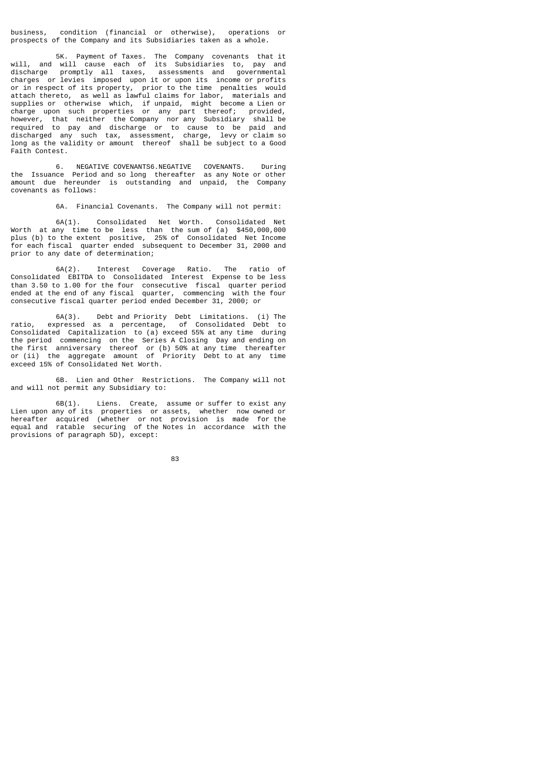business, condition (financial or otherwise), operations or prospects of the Company and its Subsidiaries taken as a whole.

 5K. Payment of Taxes. The Company covenants that it will, and will cause each of its Subsidiaries to, pay and discharge promptly all taxes, assessments and governmental charges or levies imposed upon it or upon its income or profits or in respect of its property, prior to the time penalties would attach thereto, as well as lawful claims for labor, materials and supplies or otherwise which, if unpaid, might become a Lien or charge upon such properties or any part thereof; provided, however, that neither the Company nor any Subsidiary shall be required to pay and discharge or to cause to be paid and discharged any such tax, assessment, charge, levy or claim so long as the validity or amount thereof shall be subject to a Good Faith Contest.

 6. NEGATIVE COVENANTS6.NEGATIVE COVENANTS. During the Issuance Period and so long thereafter as any Note or other amount due hereunder is outstanding and unpaid, the Company covenants as follows:

6A. Financial Covenants. The Company will not permit:

 6A(1). Consolidated Net Worth. Consolidated Net Worth at any time to be less than the sum of (a) \$450,000,000 plus (b) to the extent positive, 25% of Consolidated Net Income for each fiscal quarter ended subsequent to December 31, 2000 and prior to any date of determination;

 6A(2). Interest Coverage Ratio. The ratio of Consolidated EBITDA to Consolidated Interest Expense to be less than 3.50 to 1.00 for the four consecutive fiscal quarter period ended at the end of any fiscal quarter, commencing with the four consecutive fiscal quarter period ended December 31, 2000; or

 6A(3). Debt and Priority Debt Limitations. (i) The ratio, expressed as a percentage, of Consolidated Debt to Consolidated Capitalization to (a) exceed 55% at any time during the period commencing on the Series A Closing Day and ending on the first anniversary thereof or (b) 50% at any time thereafter or (ii) the aggregate amount of Priority Debt to at any time exceed 15% of Consolidated Net Worth.

 6B. Lien and Other Restrictions. The Company will not and will not permit any Subsidiary to:

 6B(1). Liens. Create, assume or suffer to exist any Lien upon any of its properties or assets, whether now owned or hereafter acquired (whether or not provision is made for the equal and ratable securing of the Notes in accordance with the provisions of paragraph 5D), except:

83 and 2012 and 2013 and 2014 and 2014 and 2014 and 2014 and 2014 and 2014 and 2014 and 2014 and 2014 and 2014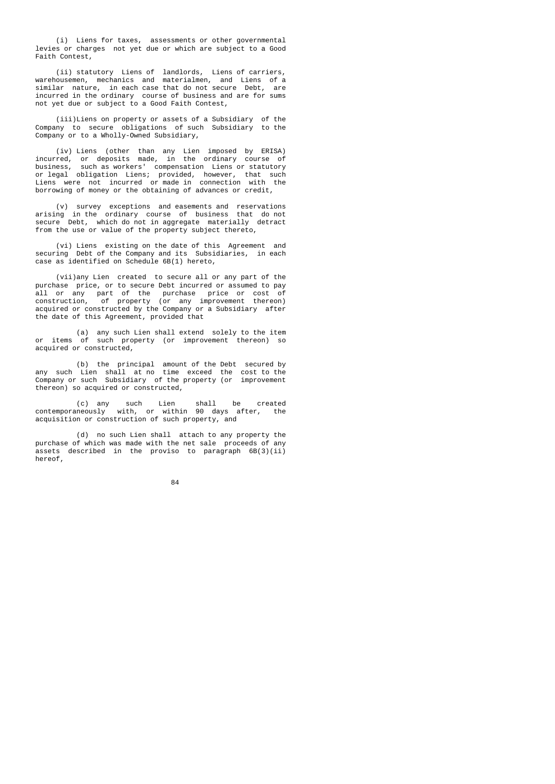(i) Liens for taxes, assessments or other governmental levies or charges not yet due or which are subject to a Good Faith Contest,

 (ii) statutory Liens of landlords, Liens of carriers, warehousemen, mechanics and materialmen, and Liens of a similar nature, in each case that do not secure Debt, are incurred in the ordinary course of business and are for sums not yet due or subject to a Good Faith Contest,

 (iii)Liens on property or assets of a Subsidiary of the Company to secure obligations of such Subsidiary to the Company or to a Wholly-Owned Subsidiary,

 (iv) Liens (other than any Lien imposed by ERISA) incurred, or deposits made, in the ordinary course of business, such as workers' compensation Liens or statutory or legal obligation Liens; provided, however, that such Liens were not incurred or made in connection with the borrowing of money or the obtaining of advances or credit,

 (v) survey exceptions and easements and reservations arising in the ordinary course of business that do not secure Debt, which do not in aggregate materially detract from the use or value of the property subject thereto,

 (vi) Liens existing on the date of this Agreement and securing Debt of the Company and its Subsidiaries, in each case as identified on Schedule 6B(1) hereto,

 (vii)any Lien created to secure all or any part of the purchase price, or to secure Debt incurred or assumed to pay all or any part of the purchase price or cost of construction, of property (or any improvement thereon) acquired or constructed by the Company or a Subsidiary after the date of this Agreement, provided that

 (a) any such Lien shall extend solely to the item or items of such property (or improvement thereon) so acquired or constructed,

 (b) the principal amount of the Debt secured by any such Lien shall at no time exceed the cost to the Company or such Subsidiary of the property (or improvement thereon) so acquired or constructed,

 (c) any such Lien shall be created contemporaneously with, or within 90 days after, the acquisition or construction of such property, and

 (d) no such Lien shall attach to any property the purchase of which was made with the net sale proceeds of any assets described in the proviso to paragraph 6B(3)(ii) hereof,

<u>84 and 2005 and 2006 and 2006 and 2006 and 2006 and 2006 and 2006 and 2006 and 2006 and 2006 and 2006 and 200</u>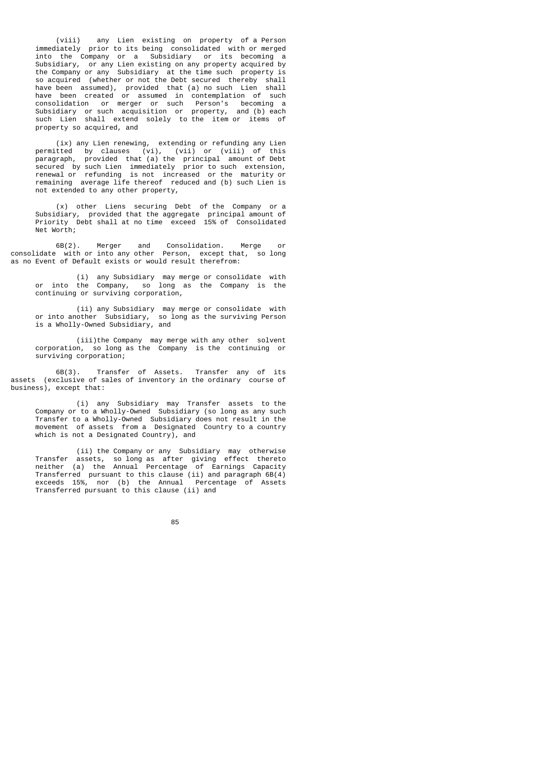(viii) any Lien existing on property of a Person immediately prior to its being consolidated with or merged into the Company or a Subsidiary or its becoming a Subsidiary, or any Lien existing on any property acquired by the Company or any Subsidiary at the time such property is so acquired (whether or not the Debt secured thereby shall have been assumed), provided that (a) no such Lien shall have been created or assumed in contemplation of such consolidation or merger or such Person's becoming a Subsidiary or such acquisition or property, and (b) each such Lien shall extend solely to the item or items of property so acquired, and

 (ix) any Lien renewing, extending or refunding any Lien permitted by clauses (vi), (vii) or (viii) of this paragraph, provided that (a) the principal amount of Debt secured by such Lien immediately prior to such extension, renewal or refunding is not increased or the maturity or remaining average life thereof reduced and (b) such Lien is not extended to any other property,

 (x) other Liens securing Debt of the Company or a Subsidiary, provided that the aggregate principal amount of Priority Debt shall at no time exceed 15% of Consolidated Net Worth;

 6B(2). Merger and Consolidation. Merge or consolidate with or into any other Person, except that, so long as no Event of Default exists or would result therefrom:

 (i) any Subsidiary may merge or consolidate with or into the Company, so long as the Company is the continuing or surviving corporation,

 (ii) any Subsidiary may merge or consolidate with or into another Subsidiary, so long as the surviving Person is a Wholly-Owned Subsidiary, and

 (iii)the Company may merge with any other solvent corporation, so long as the Company is the continuing or surviving corporation;

 6B(3). Transfer of Assets. Transfer any of its assets (exclusive of sales of inventory in the ordinary course of business), except that:

 (i) any Subsidiary may Transfer assets to the Company or to a Wholly-Owned Subsidiary (so long as any such Transfer to a Wholly-Owned Subsidiary does not result in the movement of assets from a Designated Country to a country which is not a Designated Country), and

 (ii) the Company or any Subsidiary may otherwise Transfer assets, so long as after giving effect thereto neither (a) the Annual Percentage of Earnings Capacity Transferred pursuant to this clause (ii) and paragraph 6B(4) exceeds 15%, nor (b) the Annual Percentage of Assets Transferred pursuant to this clause (ii) and

<u>85 and 200 and 200 and 200 and 200 and 200 and 200 and 200 and 200 and 200 and 200 and 200 and 200 and 200 and 200 and 200 and 200 and 200 and 200 and 200 and 200 and 200 and 200 and 200 and 200 and 200 and 200 and 200 an</u>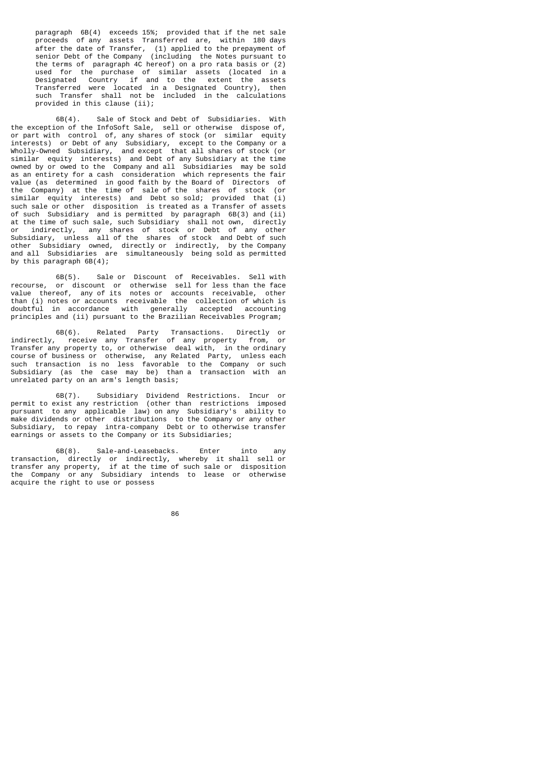paragraph 6B(4) exceeds 15%; provided that if the net sale proceeds of any assets Transferred are, within 180 days after the date of Transfer, (1) applied to the prepayment of senior Debt of the Company (including the Notes pursuant to the terms of paragraph 4C hereof) on a pro rata basis or (2) used for the purchase of similar assets (located in a Designated Country if and to the extent the assets Transferred were located in a Designated Country), then such Transfer shall not be included in the calculations provided in this clause (ii);

 6B(4). Sale of Stock and Debt of Subsidiaries. With the exception of the InfoSoft Sale, sell or otherwise dispose of, or part with control of, any shares of stock (or similar equity interests) or Debt of any Subsidiary, except to the Company or a Wholly-Owned Subsidiary, and except that all shares of stock (or similar equity interests) and Debt of any Subsidiary at the time owned by or owed to the Company and all Subsidiaries may be sold as an entirety for a cash consideration which represents the fair value (as determined in good faith by the Board of Directors of the Company) at the time of sale of the shares of stock (or similar equity interests) and Debt so sold; provided that (i) such sale or other disposition is treated as a Transfer of assets of such Subsidiary and is permitted by paragraph 6B(3) and (ii) at the time of such sale, such Subsidiary shall not own, directly or indirectly, any shares of stock or Debt of any other Subsidiary, unless all of the shares of stock and Debt of such other Subsidiary owned, directly or indirectly, by the Company and all Subsidiaries are simultaneously being sold as permitted by this paragraph 6B(4);

 6B(5). Sale or Discount of Receivables. Sell with recourse, or discount or otherwise sell for less than the face value thereof, any of its notes or accounts receivable, other than (i) notes or accounts receivable the collection of which is doubtful in accordance with generally accepted accounting principles and (ii) pursuant to the Brazilian Receivables Program;

 6B(6). Related Party Transactions. Directly or indirectly, receive any Transfer of any property from, or Transfer any property to, or otherwise deal with, in the ordinary course of business or otherwise, any Related Party, unless each such transaction is no less favorable to the Company or such Subsidiary (as the case may be) than a transaction with an unrelated party on an arm's length basis;

 6B(7). Subsidiary Dividend Restrictions. Incur or permit to exist any restriction (other than restrictions imposed pursuant to any applicable law) on any Subsidiary's ability to make dividends or other distributions to the Company or any other Subsidiary, to repay intra-company Debt or to otherwise transfer earnings or assets to the Company or its Subsidiaries;

 6B(8). Sale-and-Leasebacks. Enter into any transaction, directly or indirectly, whereby it shall sell or transfer any property, if at the time of such sale or disposition the Company or any Subsidiary intends to lease or otherwise acquire the right to use or possess

<u>86 and 200 and 200 and 200 and 200 and 200 and 200 and 200 and 200 and 200 and 200 and 200 and 200 and 200 and 200 and 200 and 200 and 200 and 200 and 200 and 200 and 200 and 200 and 200 and 200 and 200 and 200 and 200 an</u>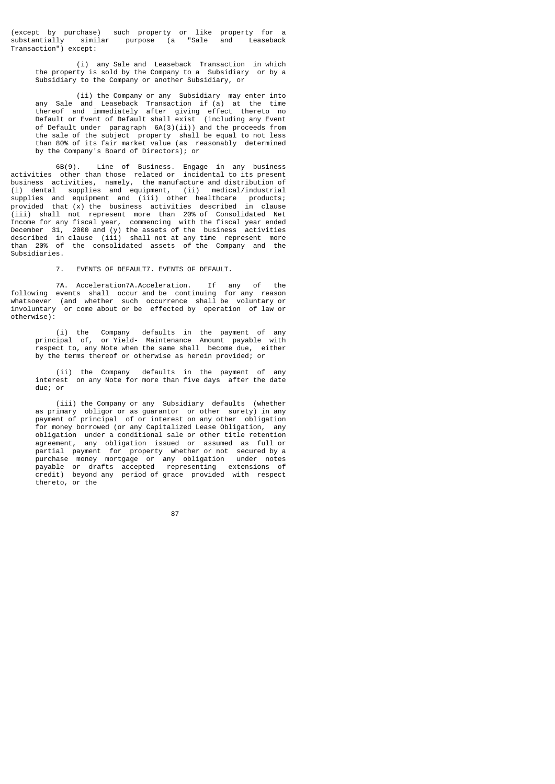(except by purchase) such property or like property for a substantially similar purpose (a "Sale and Leaseback Transaction") except:

 (i) any Sale and Leaseback Transaction in which the property is sold by the Company to a Subsidiary or by a Subsidiary to the Company or another Subsidiary, or

 (ii) the Company or any Subsidiary may enter into any Sale and Leaseback Transaction if (a) at the time thereof and immediately after giving effect thereto no Default or Event of Default shall exist (including any Event of Default under paragraph 6A(3)(ii)) and the proceeds from the sale of the subject property shall be equal to not less than 80% of its fair market value (as reasonably determined by the Company's Board of Directors); or

 6B(9). Line of Business. Engage in any business activities other than those related or incidental to its present business activities, namely, the manufacture and distribution of (i) dental supplies and equipment, (ii) medical/industrial supplies and equipment and (iii) other healthcare products; provided that (x) the business activities described in clause (iii) shall not represent more than 20% of Consolidated Net Income for any fiscal year, commencing with the fiscal year ended December 31, 2000 and (y) the assets of the business activities described in clause (iii) shall not at any time represent more than 20% of the consolidated assets of the Company and the Subsidiaries.

7. EVENTS OF DEFAULT7. EVENTS OF DEFAULT.

 7A. Acceleration7A.Acceleration. If any of the following events shall occur and be continuing for any reason whatsoever (and whether such occurrence shall be voluntary or involuntary or come about or be effected by operation of law or otherwise):

 (i) the Company defaults in the payment of any principal of, or Yield- Maintenance Amount payable with respect to, any Note when the same shall become due, either by the terms thereof or otherwise as herein provided; or

 (ii) the Company defaults in the payment of any interest on any Note for more than five days after the date due; or

 (iii) the Company or any Subsidiary defaults (whether as primary obligor or as guarantor or other surety) in any payment of principal of or interest on any other obligation for money borrowed (or any Capitalized Lease Obligation, any obligation under a conditional sale or other title retention agreement, any obligation issued or assumed as full or partial payment for property whether or not secured by a purchase money mortgage or any obligation under notes payable or drafts accepted representing extensions of credit) beyond any period of grace provided with respect thereto, or the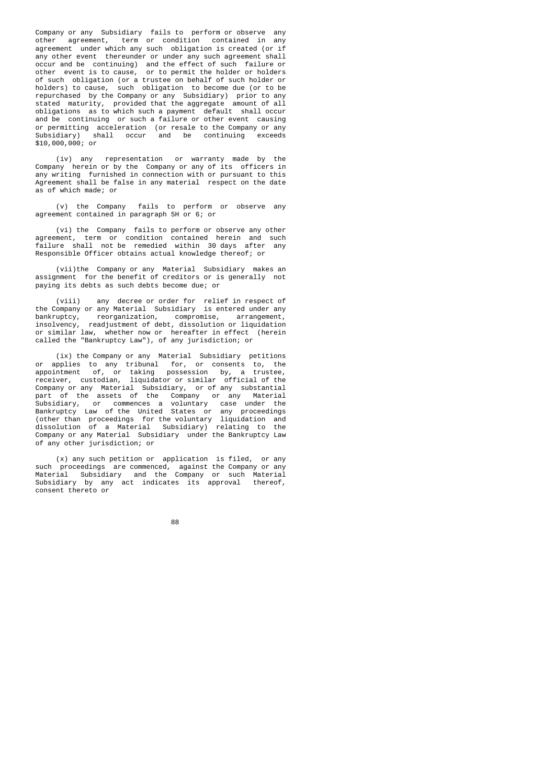Company or any Subsidiary fails to perform or observe any other agreement, term or condition contained in any agreement under which any such obligation is created (or if any other event thereunder or under any such agreement shall occur and be continuing) and the effect of such failure or other event is to cause, or to permit the holder or holders of such obligation (or a trustee on behalf of such holder or holders) to cause, such obligation to become due (or to be repurchased by the Company or any Subsidiary) prior to any stated maturity, provided that the aggregate amount of all obligations as to which such a payment default shall occur and be continuing or such a failure or other event causing or permitting acceleration (or resale to the Company or any Subsidiary) shall occur and be continuing exceeds and be continuing Subsidiary) sh<br>\$10,000,000; or

 (iv) any representation or warranty made by the Company herein or by the Company or any of its officers in any writing furnished in connection with or pursuant to this Agreement shall be false in any material respect on the date as of which made; or

 (v) the Company fails to perform or observe any agreement contained in paragraph 5H or 6; or

 (vi) the Company fails to perform or observe any other agreement, term or condition contained herein and such failure shall not be remedied within 30 days after any Responsible Officer obtains actual knowledge thereof; or

 (vii)the Company or any Material Subsidiary makes an assignment for the benefit of creditors or is generally not paying its debts as such debts become due; or

 (viii) any decree or order for relief in respect of the Company or any Material Subsidiary is entered under any bankruptcy, reorganization, compromise, arrangement,<br>insolvency, readiustment of debt, dissolution or liquidation insolvency, readjustment of debt, dissolution or liquidation or similar law, whether now or hereafter in effect (herein called the "Bankruptcy Law"), of any jurisdiction; or

 (ix) the Company or any Material Subsidiary petitions or applies to any tribunal for, or consents to, the appointment of, or taking possession by, a trustee, receiver, custodian, liquidator or similar official of the Company or any Material Subsidiary, or of any substantial part of the assets of the Company or any Material Subsidiary, or commences a voluntary case under the Bankruptcy Law of the United States or any proceedings (other than proceedings for the voluntary liquidation and dissolution of a Material Subsidiary) relating to the Company or any Material Subsidiary under the Bankruptcy Law of any other jurisdiction; or

 (x) any such petition or application is filed, or any such proceedings are commenced, against the Company or any Material Subsidiary and the Company or such Material Subsidiary by any act indicates its approval thereof, consent thereto or

e a construction de la construction de la construction de la construction de la construction de la constructio<br>La construction de la construction de la construction de la construction de la construction de la construction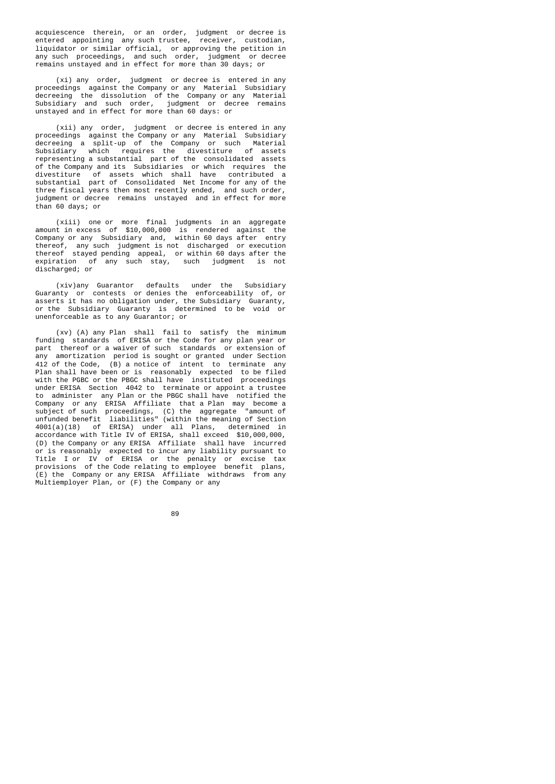acquiescence therein, or an order, judgment or decree is entered appointing any such trustee, receiver, custodian, liquidator or similar official, or approving the petition in any such proceedings, and such order, judgment or decree remains unstayed and in effect for more than 30 days; or

 (xi) any order, judgment or decree is entered in any proceedings against the Company or any Material Subsidiary decreeing the dissolution of the Company or any Material Subsidiary and such order, judgment or decree remains unstayed and in effect for more than 60 days: or

 (xii) any order, judgment or decree is entered in any proceedings against the Company or any Material Subsidiary decreeing a split-up of the Company or such Material Subsidiary which requires the divestiture of assets representing a substantial part of the consolidated assets of the Company and its Subsidiaries or which requires the divestiture of assets which shall have contributed a substantial part of Consolidated Net Income for any of the three fiscal years then most recently ended, and such order, judgment or decree remains unstayed and in effect for more than 60 days; or

 (xiii) one or more final judgments in an aggregate amount in excess of \$10,000,000 is rendered against the Company or any Subsidiary and, within 60 days after entry thereof, any such judgment is not discharged or execution thereof stayed pending appeal, or within 60 days after the expiration of any such stay, such judgment is not discharged; or

 (xiv)any Guarantor defaults under the Subsidiary Guaranty or contests or denies the enforceability of, or asserts it has no obligation under, the Subsidiary Guaranty, or the Subsidiary Guaranty is determined to be void or unenforceable as to any Guarantor; or

 (xv) (A) any Plan shall fail to satisfy the minimum funding standards of ERISA or the Code for any plan year or part thereof or a waiver of such standards or extension of any amortization period is sought or granted under Section 412 of the Code, (B) a notice of intent to terminate any Plan shall have been or is reasonably expected to be filed with the PGBC or the PBGC shall have instituted proceedings under ERISA Section 4042 to terminate or appoint a trustee to administer any Plan or the PBGC shall have notified the Company or any ERISA Affiliate that a Plan may become a subject of such proceedings, (C) the aggregate "amount of unfunded benefit liabilities" (within the meaning of Section 4001(a)(18) of ERISA) under all Plans, determined in accordance with Title IV of ERISA, shall exceed \$10,000,000, (D) the Company or any ERISA Affiliate shall have incurred or is reasonably expected to incur any liability pursuant to Title I or IV of ERISA or the penalty or excise tax provisions of the Code relating to employee benefit plans, (E) the Company or any ERISA Affiliate withdraws from any (E) the Company or any ERISA Affiliate withdraws from any Multiemployer Plan, or (F) the Company or any

e a componente de la componente de la componente de la componente de la componente de la componente de la comp<br>Notas de la componente de la componente de la componente de la componente de la componente de la componente de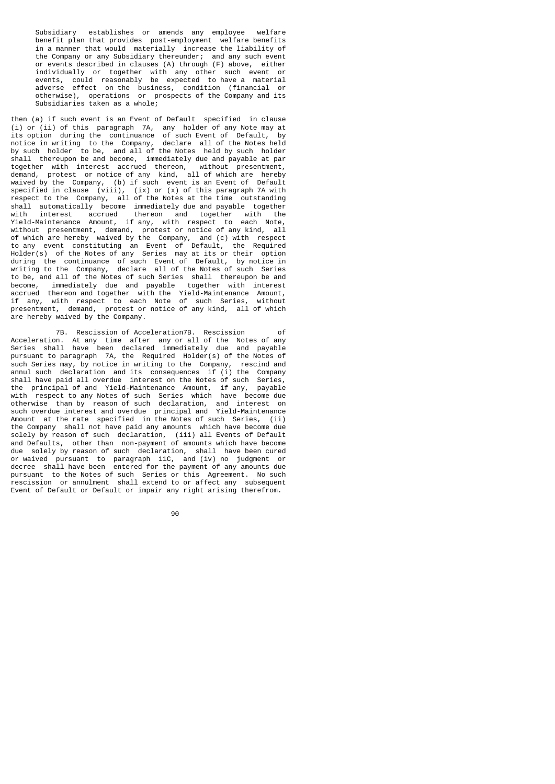Subsidiary establishes or amends any employee welfare benefit plan that provides post-employment welfare benefits in a manner that would materially increase the liability of the Company or any Subsidiary thereunder; and any such event or events described in clauses (A) through (F) above, either individually or together with any other such event or events, could reasonably be expected to have a material adverse effect on the business, condition (financial or otherwise), operations or prospects of the Company and its Subsidiaries taken as a whole;

then (a) if such event is an Event of Default specified in clause (i) or (ii) of this paragraph 7A, any holder of any Note may at its option during the continuance of such Event of Default, by notice in writing to the Company, declare all of the Notes held by such holder to be, and all of the Notes held by such holder shall thereupon be and become, immediately due and payable at par together with interest accrued thereon, without presentment, demand, protest or notice of any kind, all of which are hereby waived by the Company, (b) if such event is an Event of Default specified in clause (viii), (ix) or (x) of this paragraph 7A with respect to the Company, all of the Notes at the time outstanding shall automatically become immediately due and payable together with interest accrued thereon and together with the Yield-Maintenance Amount, if any, with respect to each Note, without presentment, demand, protest or notice of any kind, all of which are hereby waived by the Company, and (c) with respect to any event constituting an Event of Default, the Required Holder(s) of the Notes of any Series may at its or their option during the continuance of such Event of Default, by notice in writing to the Company, declare all of the Notes of such Series to be, and all of the Notes of such Series shall thereupon be and become, immediately due and payable together with interest accrued thereon and together with the Yield-Maintenance Amount, if any, with respect to each Note of such Series, without presentment, demand, protest or notice of any kind, all of which are hereby waived by the Company.

 7B. Rescission of Acceleration7B. Rescission of Acceleration. At any time after any or all of the Notes of any Series shall have been declared immediately due and payable pursuant to paragraph 7A, the Required Holder(s) of the Notes of such Series may, by notice in writing to the Company, rescind and annul such declaration and its consequences if (i) the Company shall have paid all overdue interest on the Notes of such Series, the principal of and Yield-Maintenance Amount, if any, payable with respect to any Notes of such Series which have become due otherwise than by reason of such declaration, and interest on such overdue interest and overdue principal and Yield-Maintenance Amount at the rate specified in the Notes of such Series, (ii) the Company shall not have paid any amounts which have become due solely by reason of such declaration, (iii) all Events of Default and Defaults, other than non-payment of amounts which have become due solely by reason of such declaration, shall have been cured or waived pursuant to paragraph 11C, and (iv) no judgment or decree shall have been entered for the payment of any amounts due pursuant to the Notes of such Series or this Agreement. No such rescission or annulment shall extend to or affect any subsequent Event of Default or Default or impair any right arising therefrom.

e de la construcción de la construcción de la construcción de la construcción de la construcción de la constru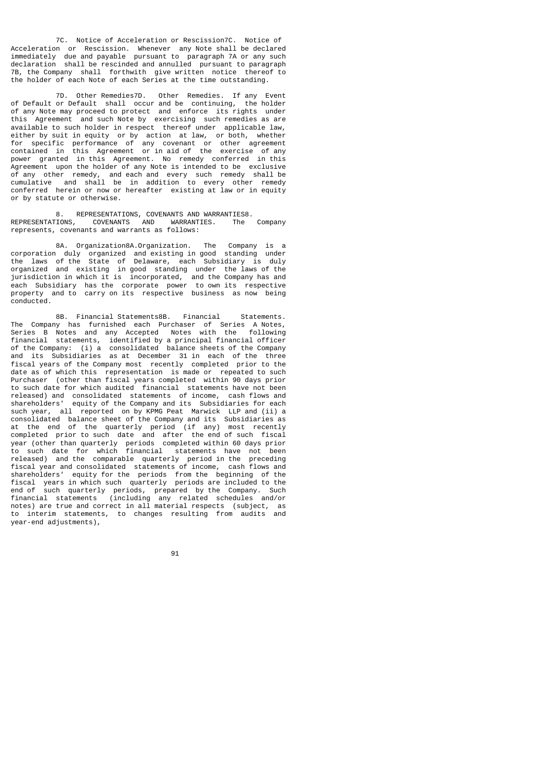7C. Notice of Acceleration or Rescission7C. Notice of Acceleration or Rescission. Whenever any Note shall be declared immediately due and payable pursuant to paragraph 7A or any such declaration shall be rescinded and annulled pursuant to paragraph 7B, the Company shall forthwith give written notice thereof to the holder of each Note of each Series at the time outstanding.

 7D. Other Remedies7D. Other Remedies. If any Event of Default or Default shall occur and be continuing, the holder of any Note may proceed to protect and enforce its rights under this Agreement and such Note by exercising such remedies as are available to such holder in respect thereof under applicable law, either by suit in equity or by action at law, or both, whether for specific performance of any covenant or other agreement contained in this Agreement or in aid of the exercise of any power granted in this Agreement. No remedy conferred in this Agreement upon the holder of any Note is intended to be exclusive of any other remedy, and each and every such remedy shall be cumulative and shall be in addition to every other remedy conferred herein or now or hereafter existing at law or in equity or by statute or otherwise.

8. REPRESENTATIONS, COVENANTS AND WARRANTIES8.<br>TIONS, COVENANTS AND WARRANTIES. The Comnanv REPRESENTATIONS, COVENANTS AND WARRANTIES. represents, covenants and warrants as follows:

 8A. Organization8A.Organization. The Company is a corporation duly organized and existing in good standing under the laws of the State of Delaware, each Subsidiary is duly organized and existing in good standing under the laws of the jurisdiction in which it is incorporated, and the Company has and each Subsidiary has the corporate power to own its respective property and to carry on its respective business as now being conducted.

 8B. Financial Statements8B. Financial Statements. The Company has furnished each Purchaser of Series A Notes, Series B Notes and any Accepted Notes with the following financial statements, identified by a principal financial officer of the Company: (i) a consolidated balance sheets of the Company and its Subsidiaries as at December 31 in each of the three fiscal years of the Company most recently completed prior to the date as of which this representation is made or repeated to such Purchaser (other than fiscal years completed within 90 days prior to such date for which audited financial statements have not been released) and consolidated statements of income, cash flows and shareholders' equity of the Company and its Subsidiaries for each such year, all reported on by KPMG Peat Marwick LLP and (ii) a consolidated balance sheet of the Company and its Subsidiaries as at the end of the quarterly period (if any) most recently completed prior to such date and after the end of such fiscal year (other than quarterly periods completed within 60 days prior to such date for which financial statements have not been released) and the comparable quarterly period in the preceding fiscal year and consolidated statements of income, cash flows and shareholders' equity for the periods from the beginning of the Fiscal years in which such quarterly periods are included to the end of such quarterly periods are included to the end of such quarterly periods are included to the end of such quarterly periods, prepared by the Company. Such financial statements (including any related schedules and/or notes) are true and correct in all material respects (subject, as to interim statements, to changes resulting from audits and year-end adjustments),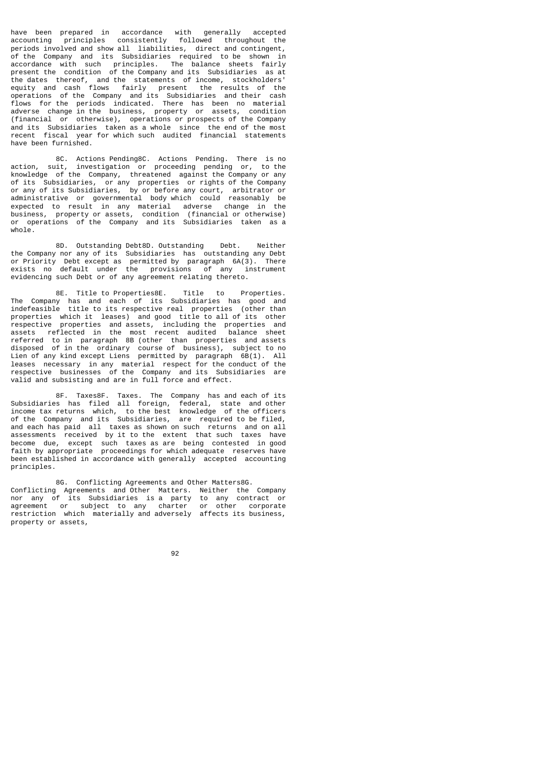have been prepared in accordance with generally accepted accounting principles consistently followed throughout the periods involved and show all liabilities, direct and contingent, of the Company and its Subsidiaries required to be shown in accordance with such principles. The balance sheets fairly present the condition of the Company and its Subsidiaries as at the dates thereof, and the statements of income, stockholders' equity and cash flows fairly present the results of the operations of the Company and its Subsidiaries and their cash flows for the periods indicated. There has been no material adverse change in the business, property or assets, condition (financial or otherwise), operations or prospects of the Company and its Subsidiaries taken as a whole since the end of the most recent fiscal year for which such audited financial statements have been furnished.

 8C. Actions Pending8C. Actions Pending. There is no action, suit, investigation or proceeding pending or, to the knowledge of the Company, threatened against the Company or any Subsidiaries, or any properties or rights of the Company or any of its Subsidiaries, by or before any court, arbitrator or administrative or governmental body which could reasonably be expected to result in any material adverse change in the business, property or assets, condition (financial or otherwise) or operations of the Company and its Subsidiaries taken as a whole.

 8D. Outstanding Debt8D. Outstanding Debt. Neither the Company nor any of its Subsidiaries has outstanding any Debt<br>or Priority Debt except as permitted by paragraph 6A(3). There or Priority Debt except as permitted by paragraph 6A(3). There exists no default under the provisions of any instrument evidencing such Debt or of any agreement relating thereto.

 8E. Title to Properties8E. Title to Properties. The Company has and each of its Subsidiaries has good and indefeasible title to its respective real properties (other than properties which it leases) and good title to all of its other respective properties and assets, including the properties and assets reflected in the most recent audited balance sheet referred to in paragraph 8B (other than properties and assets disposed of in the ordinary course of business), subject to no Lien of any kind except Liens permitted by paragraph 6B(1). All leases necessary in any material respect for the conduct of the respective businesses of the Company and its Subsidiaries are valid and subsisting and are in full force and effect.

 8F. Taxes8F. Taxes. The Company has and each of its Subsidiaries has filed all foreign, federal, state and other income tax returns which, to the best knowledge of the officers of the Company and its Subsidiaries, are required to be filed, and each has paid all taxes as shown on such returns and on all assessments received by it to the extent that such taxes have become due, except such taxes as are being contested in good faith by appropriate proceedings for which adequate reserves have been established in accordance with generally accepted accounting principles.

 8G. Conflicting Agreements and Other Matters8G. Conflicting Agreements and Other Matters. Neither the Company nor any of its Subsidiaries is a party to any contract or agreement or subject to any charter or other corporate restriction which materially and adversely affects its business, property or assets,

92 and 2012 and 2012 and 2012 and 2012 and 2012 and 2012 and 2012 and 2012 and 2012 and 2012 and 201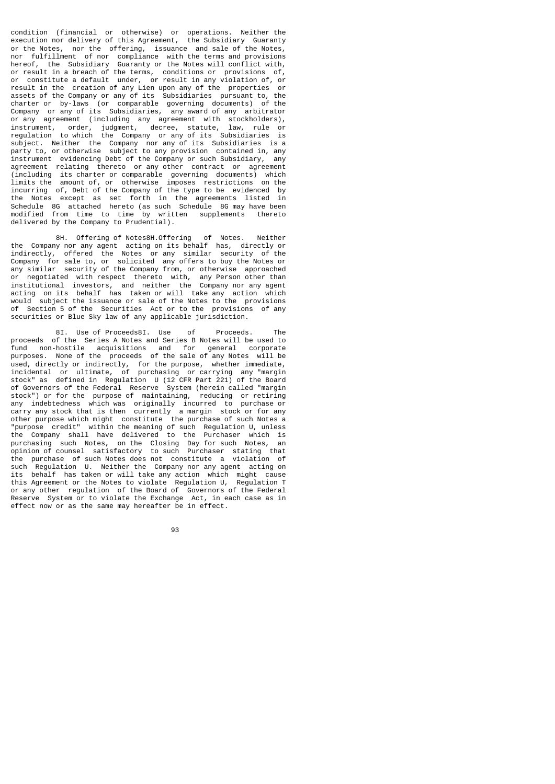condition (financial or otherwise) or operations. Neither the execution nor delivery of this Agreement, the Subsidiary Guaranty or the Notes, nor the offering, issuance and sale of the Notes, nor fulfillment of nor compliance with the terms and provisions hereof, the Subsidiary Guaranty or the Notes will conflict with, or result in a breach of the terms, conditions or provisions of, or constitute a default under, or result in any violation of, or result in the creation of any Lien upon any of the properties or assets of the Company or any of its Subsidiaries pursuant to, the charter or by-laws (or comparable governing documents) of the Company or any of its Subsidiaries, any award of any arbitrator or any agreement (including any agreement with stockholders), instrument, order, judgment, decree, statute, law, rule or regulation to which the Company or any of its Subsidiaries is subject. Neither the Company nor any of its Subsidiaries is a party to, or otherwise subject to any provision contained in, any instrument evidencing Debt of the Company or such Subsidiary, any agreement relating thereto or any other contract or agreement (including its charter or comparable governing documents) which limits the amount of, or otherwise imposes restrictions on the incurring of, Debt of the Company of the type to be evidenced by the Notes except as set forth in the agreements listed in Schedule 8G attached hereto (as such Schedule 8G may have been modified from time to time by written supplements thereto modified from time to time delivered by the Company to Prudential).

 8H. Offering of Notes8H.Offering of Notes. Neither the Company nor any agent acting on its behalf has, directly or indirectly, offered the Notes or any similar security of the Company for sale to or solicited any offers to buy the Notes or for sale to, or solicited any offers to buy the Notes or any similar security of the Company from, or otherwise approached or negotiated with respect thereto with, any Person other than institutional investors, and neither the Company nor any agent acting on its behalf has taken or will take any action which would subject the issuance or sale of the Notes to the provisions of Section 5 of the Securities Act or to the provisions of any securities or Blue Sky law of any applicable jurisdiction.

 8I. Use of Proceeds8I. Use of Proceeds. The proceeds of the Series A Notes and Series B Notes will be used to fund non-hostile acquisitions and for general corporate purposes. None of the proceeds of the sale of any Notes will be used, directly or indirectly, for the purpose, whether immediate, incidental or ultimate, of purchasing or carrying any "margin stock" as defined in Regulation U (12 CFR Part 221) of the Board of Governors of the Federal Reserve System (herein called "margin stock") or for the purpose of maintaining, reducing or retiring any indebtedness which was originally incurred to purchase or carry any stock that is then currently a margin stock or for any other purpose which might constitute the purchase of such Notes a "purpose credit" within the meaning of such Regulation U, unless the Company shall have delivered to the Purchaser which is purchasing such Notes, on the Closing Day for such Notes, an opinion of counsel satisfactory to such Purchaser stating that the purchase of such Notes does not constitute a violation of such Regulation U. Neither the Company nor any agent acting on its behalf has taken or will take any action which might cause this Agreement or the Notes to violate Regulation U, Regulation T or any other regulation of the Board of Governors of the Federal Reserve System or to violate the Exchange Act, in each case as in effect now or as the same may hereafter be in effect.

93 - Paul Barbara, poeta e a poeta e a 1930 - Paul Barbara, poeta e a 1930 - Paul Barbara, poeta e a 1930 - Pa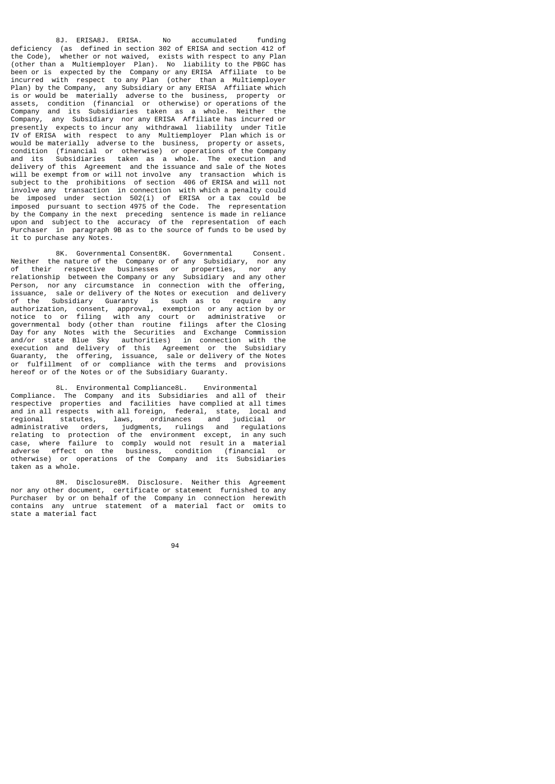8J. ERISA8J. ERISA. No accumulated funding deficiency (as defined in section 302 of ERISA and section 412 of the Code), whether or not waived, exists with respect to any Plan (other than a Multiemployer Plan). No liability to the PBGC has been or is expected by the Company or any ERISA Affiliate to be incurred with respect to any Plan (other than a Multiemployer Plan) by the Company, any Subsidiary or any ERISA Affiliate which is or would be materially adverse to the business, property or assets, condition (financial or otherwise) or operations of the Company and its Subsidiaries taken as a whole. Neither the Company, any Subsidiary nor any ERISA Affiliate has incurred or presently expects to incur any withdrawal liability under Title IV of ERISA with respect to any Multiemployer Plan which is or would be materially adverse to the business, property or assets, condition (financial or otherwise) or operations of the Company and its Subsidiaries taken as a whole. The execution and delivery of this Agreement and the issuance and sale of the Notes will be exempt from or will not involve any transaction which is subject to the prohibitions of section 406 of ERISA and will not involve any transaction in connection with which a penalty could be imposed under section 502(i) of ERISA or a tax could be imposed pursuant to section 4975 of the Code. The representation by the Company in the next preceding sentence is made in reliance upon and subject to the accuracy of the representation of each Purchaser in paragraph 9B as to the source of funds to be used by it to purchase any Notes.

 8K. Governmental Consent8K. Governmental Consent. Neither the nature of the Company or of any Subsidiary, nor any<br>of their respective businesses or properties, nor any of their respective businesses or properties, relationship between the Company or any Subsidiary and any other Person, nor any circumstance in connection with the offering, issuance, in any critical served in connection with the USS<br>issuance, sale or delivery of the Notes or execution and delivery<br>of the Subsidiary Guaranty is such as to require any of the Subsidiary Guaranty is such as to require any authorization, consent, approval, exemption or any action by or notice to or filing with any court or administrative or governmental body (other than routine filings after the Closing Day for any Notes with the Securities and Exchange Commission and/or state Blue Sky authorities) in connection with the execution and delivery of this Agreement or the Subsidiary Guaranty, the offering, issuance, sale or delivery of the Notes or fulfillment of or compliance with the terms and provisions hereof or of the Notes or of the Subsidiary Guaranty.

 8L. Environmental Compliance8L. Environmental Compliance. The Company and its Subsidiaries and all of their respective properties and facilities have complied at all times and in all respects with all foreign, federal, state, local and regional statutes, laws, ordinances and judicial or administrative orders, judgments, rulings and regulations relating to protection of the environment except, in any such case, where failure to comply would not result in a material adverse effect on the business, condition (financial or otherwise) or operations of the Company and its Subsidiaries taken as a whole.

 8M. Disclosure8M. Disclosure. Neither this Agreement nor any other document, certificate or statement furnished to any Purchaser by or on behalf of the Company in connection herewith contains any untrue statement of a material fact or omits to state a material fact

<u>94 and 2012 and 2013</u>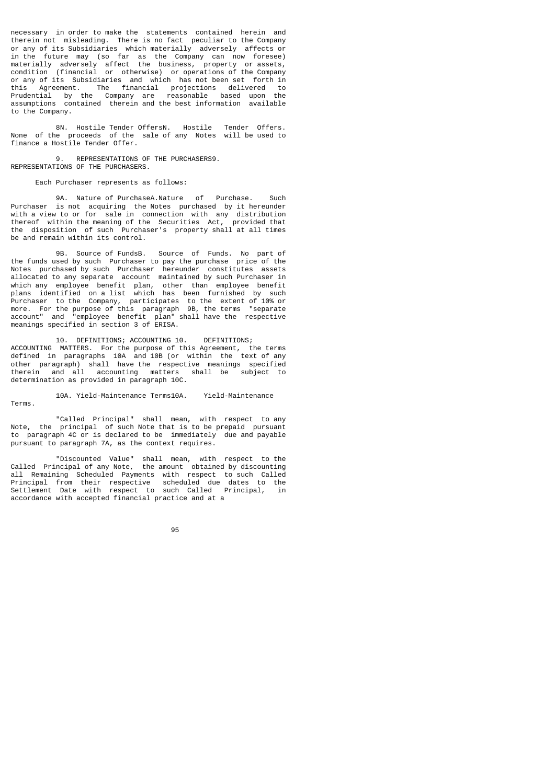necessary in order to make the statements contained herein and therein not misleading. There is no fact peculiar to the Company or any of its Subsidiaries which materially adversely affects or in the future may (so far as the Company can now foresee) materially adversely affect the business, property or assets, condition (financial or otherwise) or operations of the Company or any of its Subsidiaries and which has not been set forth in this Agreement. The financial projections delivered to Prudential by the Company are reasonable based upon the assumptions contained therein and the best information available to the Company.

 8N. Hostile Tender OffersN. Hostile Tender Offers. None of the proceeds of the sale of any Notes will be used to finance a Hostile Tender Offer.

 9. REPRESENTATIONS OF THE PURCHASERS9. REPRESENTATIONS OF THE PURCHASERS.

## Each Purchaser represents as follows:

 9A. Nature of PurchaseA.Nature of Purchase. Such Purchaser is not acquiring the Notes purchased by it hereunder with a view to or for sale in connection with any distribution thereof within the meaning of the Securities Act, provided that the disposition of such Purchaser's property shall at all times be and remain within its control.

 9B. Source of FundsB. Source of Funds. No part of the funds used by such Purchaser to pay the purchase price of the Notes purchased by such Purchaser hereunder constitutes assets allocated to any separate account maintained by such Purchaser in which any employee benefit plan, other than employee benefit plans identified on a list which has been furnished by such Purchaser to the Company, participates to the extent of 10% or more. For the purpose of this paragraph 9B, the terms "separate account" and "employee benefit plan" shall have the respective meanings specified in section 3 of ERISA.

 10. DEFINITIONS; ACCOUNTING 10. DEFINITIONS; ACCOUNTING MATTERS. For the purpose of this Agreement, the terms defined in paragraphs 10A and 10B (or within the text of any other paragraph) shall have the respective meanings specified therein and all accounting matters shall be subject to determination as provided in paragraph 10C.

 10A. Yield-Maintenance Terms10A. Yield-Maintenance Terms.

 "Called Principal" shall mean, with respect to any Note, the principal of such Note that is to be prepaid pursuant to paragraph 4C or is declared to be immediately due and payable pursuant to paragraph 7A, as the context requires.

 "Discounted Value" shall mean, with respect to the Called Principal of any Note, the amount obtained by discounting all Remaining Scheduled Payments with respect to such Called Principal from their respective scheduled due dates to the Settlement Date with respect to such Called Principal, in accordance with accepted financial practice and at a

e de la construcción de la construcción de la construcción de la construcción de la construcción de la constru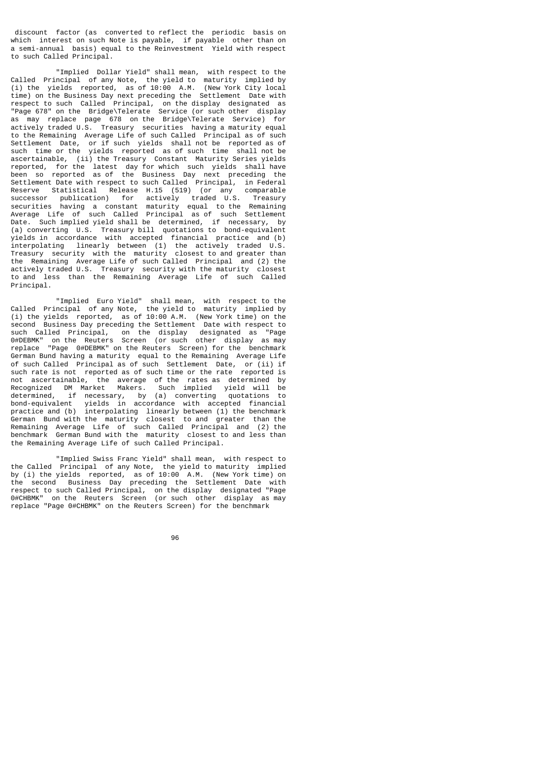discount factor (as converted to reflect the periodic basis on which interest on such Note is payable, if payable other than on a semi-annual basis) equal to the Reinvestment Yield with respect to such Called Principal.

 "Implied Dollar Yield" shall mean, with respect to the Called Principal of any Note, the yield to maturity implied by (i) the yields reported, as of 10:00 A.M. (New York City local time) on the Business Day next preceding the Settlement Date with respect to such Called Principal, on the display designated as "Page 678" on the Bridge\Telerate Service (or such other display as may replace page 678 on the Bridge\Telerate Service) for actively traded U.S. Treasury securities having a maturity equal to the Remaining Average Life of such Called Principal as of such Settlement Date, or if such yields shall not be reported as of such time or the yields reported as of such time shall not be ascertainable, (ii) the Treasury Constant Maturity Series yields reported, for the latest day for which such yields shall have been so reported as of the Business Day next preceding the Settlement Date with respect to such Called Principal, in Federal Reserve Statistical Release H.15 (519) (or any comparable successor publication) for actively traded U.S. Treasury securities having a constant maturity equal to the Remaining Average Life of such Called Principal as of such Settlement Date. Such implied yield shall be determined, if necessary, by (a) converting U.S. Treasury bill quotations to bond-equivalent yields in accordance with accepted financial practice and (b) interpolating linearly between (1) the actively traded U.S. Treasury security with the maturity closest to and greater than the Remaining Average Life of such Called Principal and (2) the actively traded U.S. Treasury security with the maturity closest to and less than the Remaining Average Life of such Called Principal.

 "Implied Euro Yield" shall mean, with respect to the Called Principal of any Note, the yield to maturity implied by (i) the yields reported, as of 10:00 A.M. (New York time) on the second Business Day preceding the Settlement Date with respect to such Called Principal, on the display designated as "Page 0#DEBMK" on the Reuters Screen (or such other display as may replace "Page 0#DEBMK" on the Reuters Screen) for the benchmark German Bund having a maturity equal to the Remaining Average Life of such Called Principal as of such Settlement Date, or (ii) if such rate is not reported as of such time or the rate reported is not ascertainable, the average of the rates as determined by Recognized DM Market Makers. Such implied yield will be determined, if necessary, by (a) converting quotations to bond-equivalent yields in accordance with accepted financial practice and (b) interpolating linearly between (1) the benchmark German Bund with the maturity closest to and greater than the Remaining Average Life of such Called Principal and (2) the benchmark German Bund with the maturity closest to and less than the Remaining Average Life of such Called Principal.

 "Implied Swiss Franc Yield" shall mean, with respect to the Called Principal of any Note, the yield to maturity implied by (i) the yields reported, as of 10:00 A.M. (New York time) on the second Business Day preceding the Settlement Date with respect to such Called Principal, on the display designated "Page 0#CHBMK" on the Reuters Screen (or such other display as may replace "Page 0#CHBMK" on the Reuters Screen) for the benchmark

en de la construction de la construction de la construction de la construction de la construction de la constr<br>1960 : la construction de la construction de la construction de la construction de la construction de la const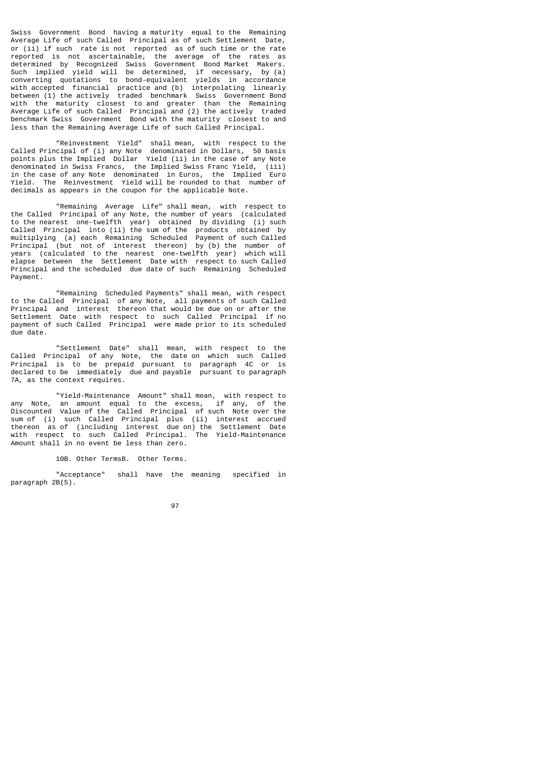Swiss Government Bond having a maturity equal to the Remaining Average Life of such Called Principal as of such Settlement Date, or (ii) if such rate is not reported as of such time or the rate reported is not ascertainable, the average of the rates as determined by Recognized Swiss Government Bond Market Makers. Such implied yield will be determined, if necessary, by (a) converting quotations to bond-equivalent yields in accordance with accepted financial practice and (b) interpolating linearly between (1) the actively traded benchmark Swiss Government Bond with the maturity closest to and greater than the Remaining Average Life of such Called Principal and (2) the actively traded benchmark Swiss Government Bond with the maturity closest to and less than the Remaining Average Life of such Called Principal.

 "Reinvestment Yield" shall mean, with respect to the Called Principal of (i) any Note denominated in Dollars, 50 basis points plus the Implied Dollar Yield (ii) in the case of any Note denominated in Swiss Francs, the Implied Swiss Franc Yield, (iii) in the case of any Note denominated in Euros, the Implied Euro<br>Yield. The Reinvestment Yield will be rounded to that number of The Reinvestment Yield will be rounded to that number of decimals as appears in the coupon for the applicable Note.

 "Remaining Average Life" shall mean, with respect to the Called Principal of any Note, the number of years (calculated to the nearest one-twelfth year) obtained by dividing (i) such Called Principal into (ii) the sum of the products obtained by multiplying (a) each Remaining Scheduled Payment of such Called Principal (but not of interest thereon) by (b) the number of years (calculated to the nearest energy by (b) the number of<br>years (calculated to the nearest one-twelfth year) which will<br>elapse between the Settlement Date with respect to such Called elapse between the Settlement Date with respect to such Called Principal and the scheduled due date of such Remaining Scheduled Payment.

 "Remaining Scheduled Payments" shall mean, with respect to the Called Principal of any Note, all payments of such Called Principal and interest thereon that would be due on or after the Settlement Date with respect to such Called Principal if no payment of such Called Principal were made prior to its scheduled due date.

 "Settlement Date" shall mean, with respect to the Called Principal of any Note, the date on which such Called Principal is to be prepaid pursuant to paragraph 4C or is declared to be immediately due and payable pursuant to paragraph 7A, as the context requires.

 "Yield-Maintenance Amount" shall mean, with respect to any Note, an amount equal to the excess, if any, of the Discounted Value of the Called Principal of such Note over the sum of (i) such Called Principal plus (ii) interest accrued thereon as of (including interest due on) the Settlement Date with respect to such Called Principal. The Yield-Maintenance Amount shall in no event be less than zero.

10B. Other TermsB. Other Terms.

 "Acceptance" shall have the meaning specified in paragraph 2B(5).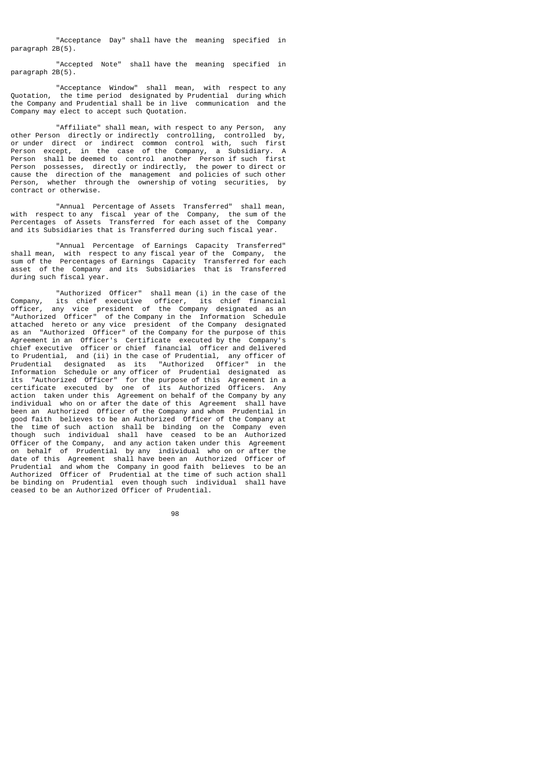"Acceptance Day" shall have the meaning specified in paragraph 2B(5).

 "Accepted Note" shall have the meaning specified in paragraph 2B(5).

 "Acceptance Window" shall mean, with respect to any Quotation, the time period designated by Prudential during which the Company and Prudential shall be in live communication and the Company may elect to accept such Quotation.

 "Affiliate" shall mean, with respect to any Person, any other Person directly or indirectly controlling, controlled by, or under direct or indirect common control with, such first Person except, in the case of the Company, a Subsidiary. A Person shall be deemed to control another Person if such first Person possesses, directly or indirectly, the power to direct or cause the direction of the management and policies of such other Person, whether through the ownership of voting securities, by contract or otherwise.

 "Annual Percentage of Assets Transferred" shall mean, with respect to any fiscal year of the Company, the sum of the Percentages of Assets Transferred for each asset of the Company and its Subsidiaries that is Transferred during such fiscal year.

 "Annual Percentage of Earnings Capacity Transferred" shall mean, with respect to any fiscal year of the Company, the sum of the Percentages of Earnings Capacity Transferred for each asset of the Company and its Subsidiaries that is Transferred during such fiscal year.

 "Authorized Officer" shall mean (i) in the case of the Company, its chief executive officer, its chief financial officer, any vice president of the Company designated as an "Authorized Officer" of the Company in the Information Schedule attached hereto or any vice president of the Company designated as an "Authorized Officer" of the Company for the purpose of this Agreement in an Officer's Certificate executed by the Company's chief executive officer or chief financial officer and delivered to Prudential, and (ii) in the case of Prudential, any officer of Prudential designated as its "Authorized Officer" in the Information Schedule or any officer of Prudential designated as its "Authorized Officer" for the purpose of this Agreement in a certificate executed by one of its Authorized Officers. Any action taken under this Agreement on behalf of the Company by any individual who on or after the date of this Agreement shall have been an Authorized Officer of the Company and whom Prudential in good faith believes to be an Authorized Officer of the Company at the time of such action shall be binding on the Company even though such individual shall have ceased to be an Authorized Officer of the Company, and any action taken under this Agreement on behalf of Prudential by any individual who on or after the date of this Agreement shall have been an Authorized Officer of Prudential and whom the Company in good faith believes to be an Authorized Officer of Prudential at the time of such action shall be binding on Prudential even though such individual shall have ceased to be an Authorized Officer of Prudential.

e de la construcción de la construcción de la construcción de la construcción de la construcción de la constru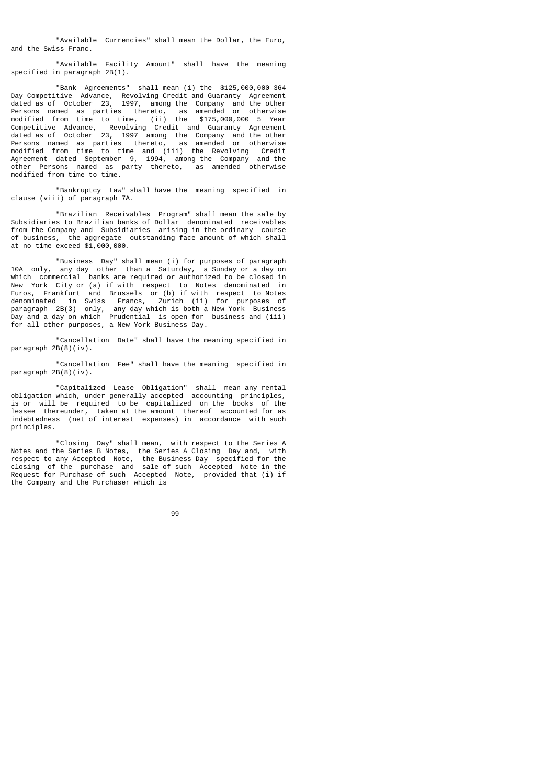"Available Currencies" shall mean the Dollar, the Euro, and the Swiss Franc.

 "Available Facility Amount" shall have the meaning specified in paragraph 2B(1).

 "Bank Agreements" shall mean (i) the \$125,000,000 364 Day Competitive Advance, Revolving Credit and Guaranty Agreement dated as of October 23, 1997, among the Company and the other Persons named as parties thereto, as amended or otherwise modified from time to time, (ii) the \$175,000,000 5 Year Competitive Advance, Revolving Credit and Guaranty Agreement dated as of October 23, 1997 among the Company and the other Persons named as parties thereto, as amended or otherwise modified from time to time and (iii) the Revolving Credit Agreement dated September 9, 1994, among the Company and the other Persons named as party thereto, as amended otherwise modified from time to time.

 "Bankruptcy Law" shall have the meaning specified in clause (viii) of paragraph 7A.

 "Brazilian Receivables Program" shall mean the sale by Subsidiaries to Brazilian banks of Dollar denominated receivables from the Company and Subsidiaries arising in the ordinary course of business, the aggregate outstanding face amount of which shall at no time exceed \$1,000,000.

 "Business Day" shall mean (i) for purposes of paragraph 10A only, any day other than a Saturday, a Sunday or a day on which commercial banks are required or authorized to be closed in New York City or (a) if with respect to Notes denominated in Euros, Frankfurt and Brussels or (b) if with respect to Notes denominated in Swiss Francs, Zurich (ii) for purposes of paragraph 2B(3) only, any day which is both a New York Business Day and a day on which Prudential is open for business and (iii) for all other purposes, a New York Business Day.

 "Cancellation Date" shall have the meaning specified in paragraph 2B(8)(iv).

 "Cancellation Fee" shall have the meaning specified in paragraph 2B(8)(iv).

 "Capitalized Lease Obligation" shall mean any rental obligation which, under generally accepted accounting principles, is or will be required to be capitalized on the books of the lessee thereunder, taken at the amount thereof accounted for as indebtedness (net of interest expenses) in accordance with such principles.

 "Closing Day" shall mean, with respect to the Series A Notes and the Series B Notes, the Series A Closing Day and, with respect to any Accepted Note, the Business Day specified for the closing of the purchase and sale of such Accepted Note in the Request for Purchase of such Accepted Note, provided that (i) if the Company and the Purchaser which is

99 - Paul Barbara, poeta e a poeta e a 1999 - Paul Barbara, poeta e a 1999 - Paul Barbara, poeta e a 1999 - Pa<br>1999 - Paul Barbara, poeta e a 1999 - Paul Barbara, poeta e a 1999 - Paul Barbara, poeta e a 1999 - Paul Barba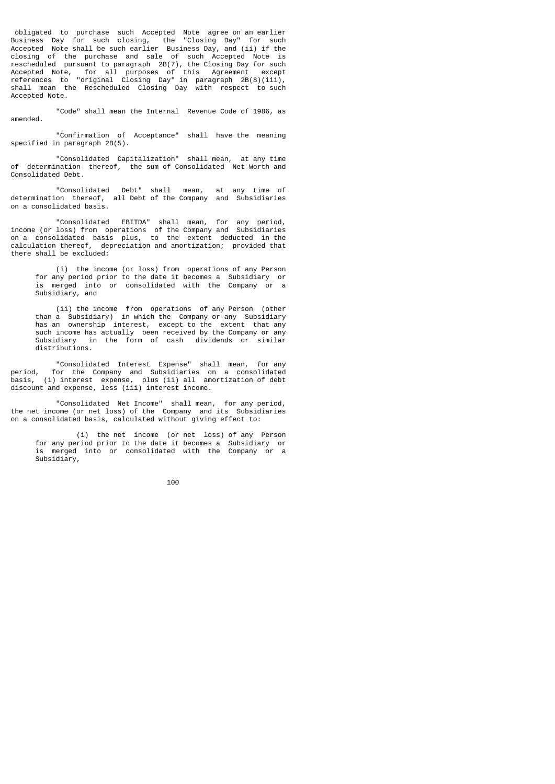obligated to purchase such Accepted Note agree on an earlier Business Day for such closing, the "Closing Day" for such Accepted Note shall be such earlier Business Day, and (ii) if the closing of the purchase and sale of such Accepted Note is rescheduled pursuant to paragraph 2B(7), the Closing Day for such Accepted Note, for all purposes of this Agreement except references to "original Closing Day" in paragraph 2B(8)(iii), shall mean the Rescheduled Closing Day with respect to such Accepted Note.

 "Code" shall mean the Internal Revenue Code of 1986, as amended.

 "Confirmation of Acceptance" shall have the meaning specified in paragraph 2B(5).

 "Consolidated Capitalization" shall mean, at any time of determination thereof, the sum of Consolidated Net Worth and Consolidated Debt.

 "Consolidated Debt" shall mean, at any time of determination thereof, all Debt of the Company and Subsidiaries on a consolidated basis.

 "Consolidated EBITDA" shall mean, for any period, income (or loss) from operations of the Company and Subsidiaries on a consolidated basis plus, to the extent deducted in the calculation thereof, depreciation and amortization; provided that there shall be excluded:

 (i) the income (or loss) from operations of any Person for any period prior to the date it becomes a Subsidiary or is merged into or consolidated with the Company or a Subsidiary, and

 (ii) the income from operations of any Person (other than a Subsidiary) in which the Company or any Subsidiary has an ownership interest, except to the extent that any such income has actually been received by the Company or any Subsidiary in the form of cash dividends or similar distributions.

 "Consolidated Interest Expense" shall mean, for any period, for the Company and Subsidiaries on a consolidated basis, (i) interest expense, plus (ii) all amortization of debt discount and expense, less (iii) interest income.

 "Consolidated Net Income" shall mean, for any period, the net income (or net loss) of the Company and its Subsidiaries on a consolidated basis, calculated without giving effect to:

 (i) the net income (or net loss) of any Person for any period prior to the date it becomes a Subsidiary or is merged into or consolidated with the Company or a Subsidiary,

<u>100 and 100 and 100 and 100 and 100 and 100 and 100 and 100 and 100 and 100 and 100 and 100 and 100 and 100 and 100 and 100 and 100 and 100 and 100 and 100 and 100 and 100 and 100 and 100 and 100 and 100 and 100 and 100 a</u>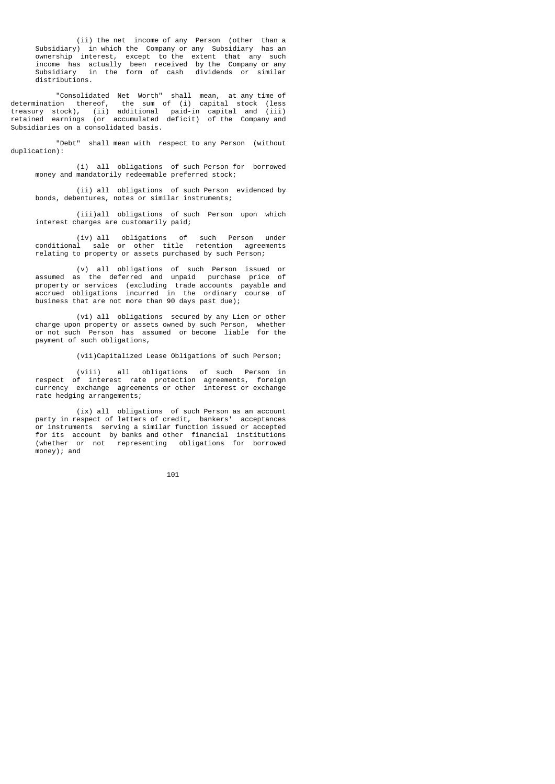(ii) the net income of any Person (other than a Subsidiary) in which the Company or any Subsidiary has an ownership interest, except to the extent that any such income has actually been received by the Company or any Subsidiary in the form of cash dividends or similar distributions.

 "Consolidated Net Worth" shall mean, at any time of determination thereof, the sum of (i) capital stock (less treasury stock), (ii) additional paid-in capital and (iii) retained earnings (or accumulated deficit) of the Company and Subsidiaries on a consolidated basis.

 "Debt" shall mean with respect to any Person (without duplication):

 (i) all obligations of such Person for borrowed money and mandatorily redeemable preferred stock;

 (ii) all obligations of such Person evidenced by bonds, debentures, notes or similar instruments;

 (iii)all obligations of such Person upon which interest charges are customarily paid;

 (iv) all obligations of such Person under conditional sale or other title retention agreements relating to property or assets purchased by such Person;

 (v) all obligations of such Person issued or assumed as the deferred and unpaid purchase price of property or services (excluding trade accounts payable and accrued obligations incurred in the ordinary course of business that are not more than 90 days past due);

 (vi) all obligations secured by any Lien or other charge upon property or assets owned by such Person, whether or not such Person has assumed or become liable for the payment of such obligations,

(vii)Capitalized Lease Obligations of such Person;

 (viii) all obligations of such Person in respect of interest rate protection agreements, foreign currency exchange agreements or other interest or exchange rate hedging arrangements;

 (ix) all obligations of such Person as an account party in respect of letters of credit, bankers' acceptances or instruments serving a similar function issued or accepted for its account by banks and other financial institutions (whether or not representing obligations for borrowed money); and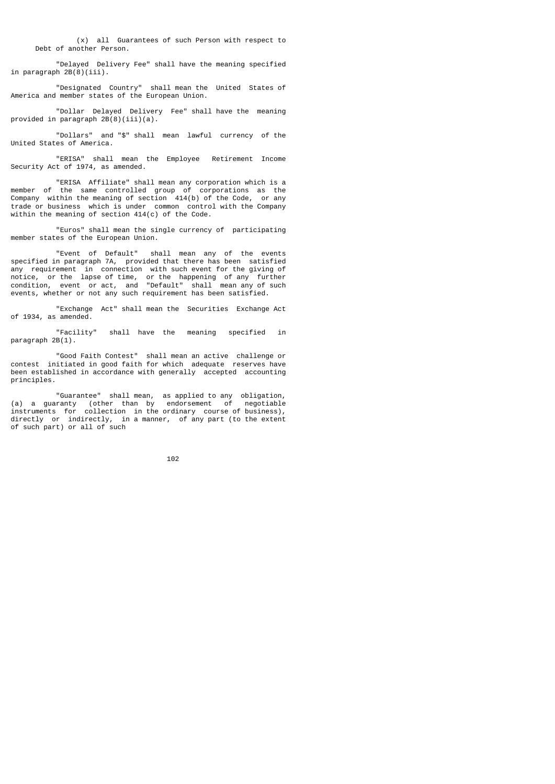(x) all Guarantees of such Person with respect to Debt of another Person.

 "Delayed Delivery Fee" shall have the meaning specified in paragraph 2B(8)(iii).

 "Designated Country" shall mean the United States of America and member states of the European Union.

 "Dollar Delayed Delivery Fee" shall have the meaning provided in paragraph  $2B(8)(iii)(a)$ .

 "Dollars" and "\$" shall mean lawful currency of the United States of America.

 "ERISA" shall mean the Employee Retirement Income Security Act of 1974, as amended.

 "ERISA Affiliate" shall mean any corporation which is a member of the same controlled group of corporations as the Company within the meaning of section 414(b) of the Code, or any trade or business which is under common control with the Company within the meaning of section 414(c) of the Code.

 "Euros" shall mean the single currency of participating member states of the European Union.

 "Event of Default" shall mean any of the events specified in paragraph 7A, provided that there has been satisfied any requirement in connection with such event for the giving of notice, or the lapse of time, or the happening of any further condition, event or act, and "Default" shall mean any of such events, whether or not any such requirement has been satisfied.

 "Exchange Act" shall mean the Securities Exchange Act of 1934, as amended.

 "Facility" shall have the meaning specified in paragraph 2B(1).

 "Good Faith Contest" shall mean an active challenge or contest initiated in good faith for which adequate reserves have been established in accordance with generally accepted accounting principles.

 "Guarantee" shall mean, as applied to any obligation, (a) a guaranty (other than by endorsement of negotiable instruments for collection in the ordinary course of business), directly or indirectly, in a manner, of any part (to the extent of such part) or all of such

<u>102</u>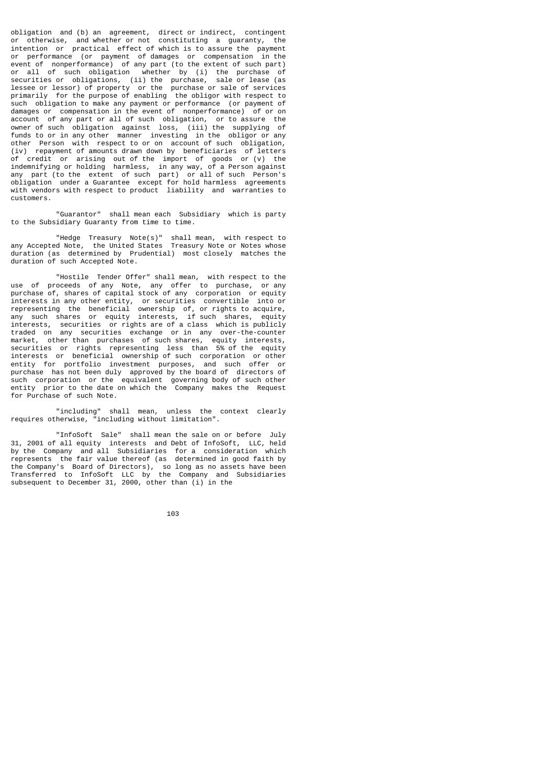obligation and (b) an agreement, direct or indirect, contingent or otherwise, and whether or not constituting a guaranty, the intention or practical effect of which is to assure the payment or performance (or payment of damages or compensation in the event of nonperformance) of any part (to the extent of such part) or all of such obligation whether by (i) the purchase of securities or obligations, (ii) the purchase, sale or lease (as lessee or lessor) of property or the purchase or sale of services primarily for the purpose of enabling the obligor with respect to such obligation to make any payment or performance (or payment of damages or compensation in the event of nonperformance) of or on account of any part or all of such obligation, or to assure the owner of such obligation against loss, (iii) the supplying of funds to or in any other manner investing in the obligor or any other Person with respect to or on account of such obligation, (iv) repayment of amounts drawn down by beneficiaries of letters credit or arising out of the import of goods or (v) the indemnifying or holding harmless, in any way, of a Person against any part (to the extent of such part) or all of such Person's obligation under a Guarantee except for hold harmless agreements with vendors with respect to product liability and warranties to customers.

 "Guarantor" shall mean each Subsidiary which is party to the Subsidiary Guaranty from time to time.

 "Hedge Treasury Note(s)" shall mean, with respect to any Accepted Note, the United States Treasury Note or Notes whose duration (as determined by Prudential) most closely matches the duration of such Accepted Note.

 "Hostile Tender Offer" shall mean, with respect to the use of proceeds of any Note, any offer to purchase, or any purchase of, shares of capital stock of any corporation or equity interests in any other entity, or securities convertible into or representing the beneficial ownership of, or rights to acquire, any such shares or equity interests, if such shares, equity interests, securities or rights are of a class which is publicly traded on any securities exchange or in any over-the-counter market, other than purchases of such shares, equity interests, securities or rights representing less than 5% of the equity interests or beneficial ownership of such corporation or other entity for portfolio investment purposes, and such offer or purchase has not been duly approved by the board of directors of such corporation or the equivalent governing body of such other entity prior to the date on which the Company makes the Request for Purchase of such Note.

 "including" shall mean, unless the context clearly requires otherwise, "including without limitation".

 "InfoSoft Sale" shall mean the sale on or before July 31, 2001 of all equity interests and Debt of InfoSoft, LLC, held by the Company and all Subsidiaries for a consideration which represents the fair value thereof (as determined in good faith by the Company's Board of Directors), so long as no assets have been Transferred to InfoSoft LLC by the Company and Subsidiaries subsequent to December 31, 2000, other than (i) in the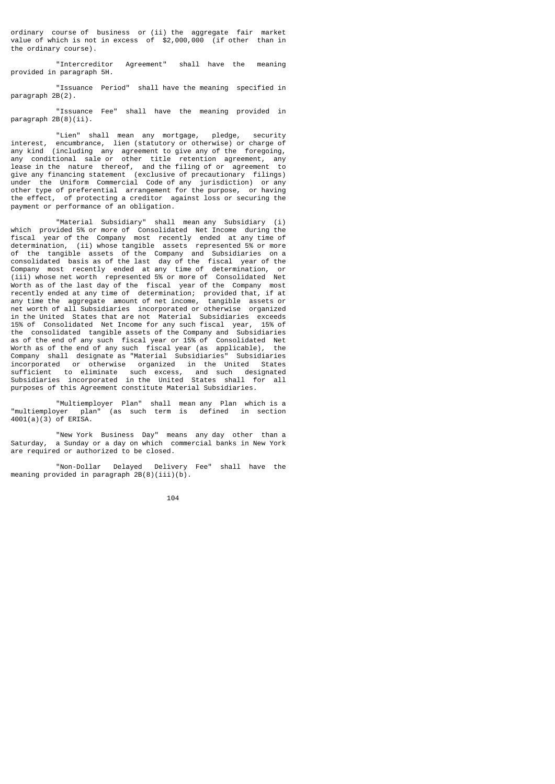ordinary course of business or (ii) the aggregate fair market value of which is not in excess of \$2,000,000 (if other than in the ordinary course).

 "Intercreditor Agreement" shall have the meaning provided in paragraph 5H.

 "Issuance Period" shall have the meaning specified in paragraph 2B(2).

 "Issuance Fee" shall have the meaning provided in paragraph 2B(8)(ii).

 "Lien" shall mean any mortgage, pledge, security interest, encumbrance, lien (statutory or otherwise) or charge of any kind (including any agreement to give any of the foregoing, any conditional sale or other title retention agreement, any lease in the nature thereof, and the filing of or agreement to give any financing statement (exclusive of precautionary filings) under the Uniform Commercial Code of any jurisdiction) or any other type of preferential arrangement for the purpose, or having the effect, of protecting a creditor against loss or securing the payment or performance of an obligation.

 "Material Subsidiary" shall mean any Subsidiary (i) which provided 5% or more of Consolidated Net Income during the fiscal year of the Company most recently ended at any time of determination, (ii) whose tangible assets represented 5% or more of the tangible assets of the Company and Subsidiaries on a consolidated basis as of the last day of the fiscal year of the Company most recently ended at any time of determination, or (iii) whose net worth represented 5% or more of Consolidated Net Worth as of the last day of the fiscal year of the Company most recently ended at any time of determination; provided that, if at any time the aggregate amount of net income, tangible assets or net worth of all Subsidiaries incorporated or otherwise organized in the United States that are not Material Subsidiaries exceeds 15% of Consolidated Net Income for any such fiscal year, 15% of the consolidated tangible assets of the Company and Subsidiaries as of the end of any such fiscal year or 15% of Consolidated Net Worth as of the end of any such fiscal year (as applicable), the Company shall designate as "Material Subsidiaries" Subsidiaries incorporated or otherwise organized in the United States sufficient to eliminate such excess, and such designated Subsidiaries incorporated in the United States shall for all purposes of this Agreement constitute Material Subsidiaries.

 "Multiemployer Plan" shall mean any Plan which is a "multiemployer plan" (as such term is defined in section 4001(a)(3) of ERISA.

 "New York Business Day" means any day other than a Saturday, a Sunday or a day on which commercial banks in New York are required or authorized to be closed.

 "Non-Dollar Delayed Delivery Fee" shall have the meaning provided in paragraph  $2B(8)(iii)(b)$ .

<u>104</u>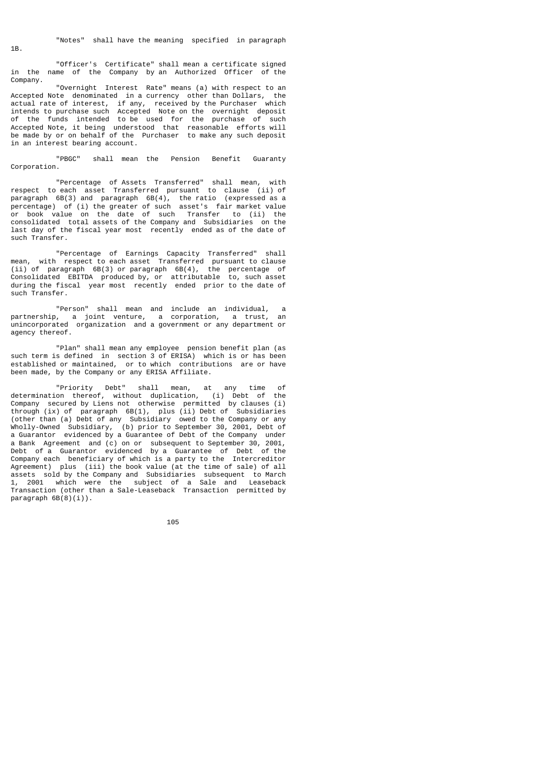"Officer's Certificate" shall mean a certificate signed in the name of the Company by an Authorized Officer of the Company.

 "Overnight Interest Rate" means (a) with respect to an Accepted Note denominated in a currency other than Dollars, the actual rate of interest, if any, received by the Purchaser which intends to purchase such Accepted Note on the overnight deposit of the funds intended to be used for the purchase of such Accepted Note, it being understood that reasonable efforts will be made by or on behalf of the Purchaser to make any such deposit in an interest bearing account.

 "PBGC" shall mean the Pension Benefit Guaranty Corporation.

 "Percentage of Assets Transferred" shall mean, with respect to each asset Transferred pursuant to clause (ii) of paragraph 6B(3) and paragraph 6B(4), the ratio (expressed as a percentage) of (i) the greater of such asset's fair market value or book value on the date of such Transfer to (ii) the consolidated total assets of the Company and Subsidiaries on the last day of the fiscal year most recently ended as of the date of such Transfer.

 "Percentage of Earnings Capacity Transferred" shall mean, with respect to each asset Transferred pursuant to clause (ii) of paragraph 6B(3) or paragraph 6B(4), the percentage of Consolidated EBITDA produced by, or attributable to, such asset during the fiscal year most recently ended prior to the date of such Transfer.

 "Person" shall mean and include an individual, a partnership, a joint venture, a corporation, a trust, an unincorporated organization and a government or any department or agency thereof.

 "Plan" shall mean any employee pension benefit plan (as such term is defined in section 3 of ERISA) which is or has been established or maintained, or to which contributions are or have been made, by the Company or any ERISA Affiliate.

 "Priority Debt" shall mean, at any time of determination thereof, without duplication, (i) Debt of the Company secured by Liens not otherwise permitted by clauses (i) through (ix) of paragraph 6B(1), plus (ii) Debt of Subsidiaries (other than (a) Debt of any Subsidiary owed to the Company or any Wholly-Owned Subsidiary, (b) prior to September 30, 2001, Debt of a Guarantor evidenced by a Guarantee of Debt of the Company under a Bank Agreement and (c) on or subsequent to September 30, 2001, Debt of a Guarantor evidenced by a Guarantee of Debt of the Company each beneficiary of which is a party to the Intercreditor Agreement) plus (iii) the book value (at the time of sale) of all assets sold by the Company and Subsidiaries subsequent to March 1, 2001 which were the subject of a Sale and Leaseback Transaction (other than a Sale-Leaseback Transaction permitted by paragraph 6B(8)(i)).

<u>105 - Animal Stephen Barbara, amerikan pengaran pengaran pengaran pengaran pengaran pengaran pengaran pengara</u>

1B.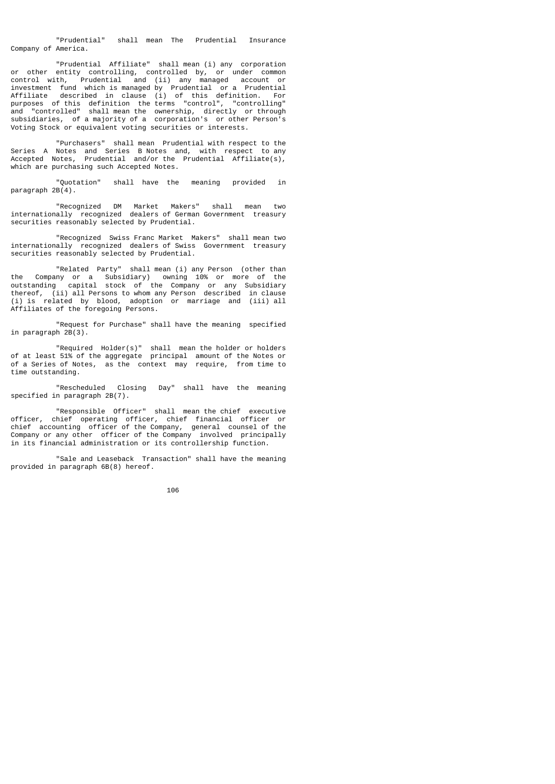"Prudential" shall mean The Prudential Insurance Company of America.

 "Prudential Affiliate" shall mean (i) any corporation or other entity controlling, controlled by, or under common control with, Prudential and (ii) any managed account or investment fund which is managed by Prudential or a Prudential Affiliate described in clause (i) of this definition. For purposes of this definition the terms "control", "controlling" and "controlled" shall mean the ownership, directly or through subsidiaries, of a majority of a corporation's or other Person's Voting Stock or equivalent voting securities or interests.

 "Purchasers" shall mean Prudential with respect to the Series A Notes and Series B Notes and, with respect to any Accepted Notes, Prudential and/or the Prudential Affiliate(s), which are purchasing such Accepted Notes.

 "Quotation" shall have the meaning provided in paragraph  $2B(4)$ .

 "Recognized DM Market Makers" shall mean two internationally recognized dealers of German Government treasury securities reasonably selected by Prudential.

 "Recognized Swiss Franc Market Makers" shall mean two internationally recognized dealers of Swiss Government treasury securities reasonably selected by Prudential.

 "Related Party" shall mean (i) any Person (other than the Company or a Subsidiary) owning 10% or more of the outstanding capital stock of the Company or any Subsidiary thereof, (ii) all Persons to whom any Person described in clause (i) is related by blood, adoption or marriage and (iii) all Affiliates of the foregoing Persons.

 "Request for Purchase" shall have the meaning specified in paragraph 2B(3).

 "Required Holder(s)" shall mean the holder or holders of at least 51% of the aggregate principal amount of the Notes or of a Series of Notes, as the context may require, from time to time outstanding.

 "Rescheduled Closing Day" shall have the meaning specified in paragraph 2B(7).

 "Responsible Officer" shall mean the chief executive officer, chief operating officer, chief financial officer or chief accounting officer of the Company, general counsel of the Company or any other officer of the Company involved principally in its financial administration or its controllership function.

 "Sale and Leaseback Transaction" shall have the meaning provided in paragraph 6B(8) hereof.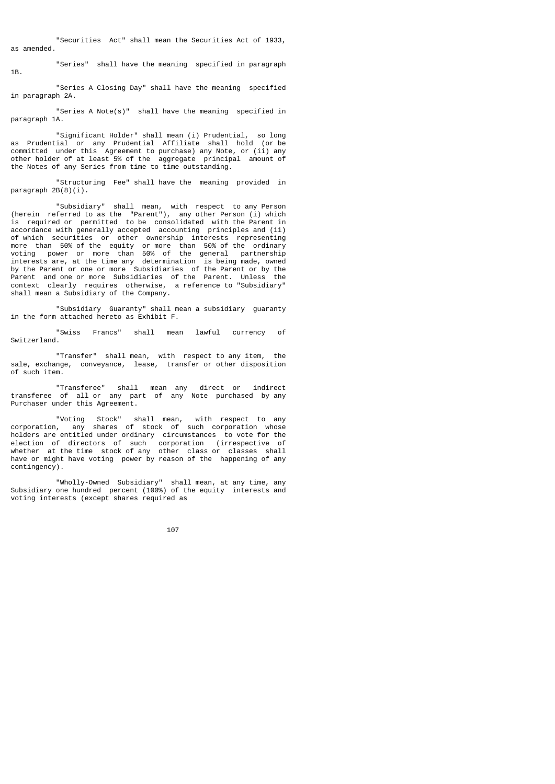"Securities Act" shall mean the Securities Act of 1933, as amended.

 "Series" shall have the meaning specified in paragraph 1B.

 "Series A Closing Day" shall have the meaning specified in paragraph 2A.

 "Series A Note(s)" shall have the meaning specified in paragraph 1A.

 "Significant Holder" shall mean (i) Prudential, so long as Prudential or any Prudential Affiliate shall hold (or be committed under this Agreement to purchase) any Note, or (ii) any other holder of at least 5% of the aggregate principal amount of the Notes of any Series from time to time outstanding.

 "Structuring Fee" shall have the meaning provided in paragraph 2B(8)(i).

 "Subsidiary" shall mean, with respect to any Person (herein referred to as the "Parent"), any other Person (i) which is required or permitted to be consolidated with the Parent in accordance with generally accepted accounting principles and (ii) of which securities or other ownership interests representing more than 50% of the equity or more than 50% of the ordinary voting power or more than 50% of the general partnership interests are, at the time any determination is being made, owned by the Parent or one or more Subsidiaries of the Parent or by the Parent and one or more Subsidiaries of the Parent. Unless the context clearly requires otherwise, a reference to "Subsidiary" shall mean a Subsidiary of the Company.

 "Subsidiary Guaranty" shall mean a subsidiary guaranty in the form attached hereto as Exhibit F.

 "Swiss Francs" shall mean lawful currency of Switzerland.

 "Transfer" shall mean, with respect to any item, the sale, exchange, conveyance, lease, transfer or other disposition of such item.

 "Transferee" shall mean any direct or indirect transferee of all or any part of any Note purchased by any Purchaser under this Agreement.

 "Voting Stock" shall mean, with respect to any corporation, any shares of stock of such corporation whose holders are entitled under ordinary circumstances to vote for the election of directors of such corporation (irrespective of whether at the time stock of any other class or classes shall have or might have voting power by reason of the happening of any contingency).

 "Wholly-Owned Subsidiary" shall mean, at any time, any Subsidiary one hundred percent (100%) of the equity interests and voting interests (except shares required as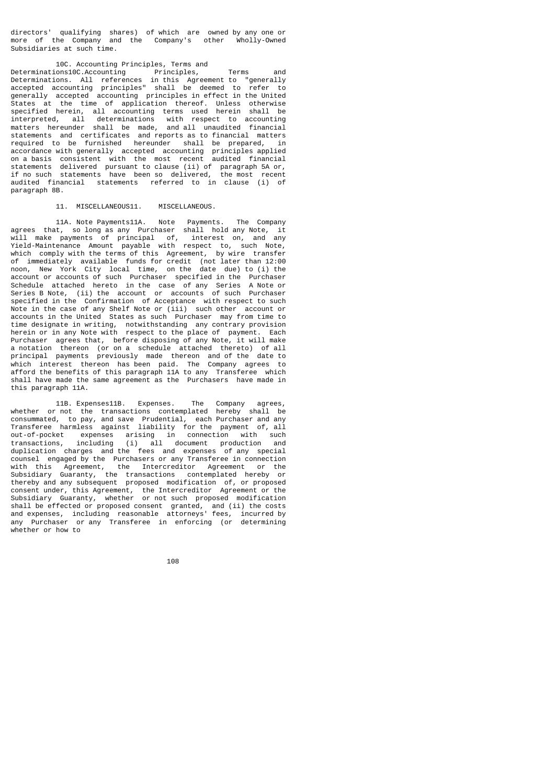directors' qualifying shares) of which are owned by any one or more of the Company and the Company's other Wholly-Owned Subsidiaries at such time.

## 10C. Accounting Principles, Terms and Determinations10C.Accounting Principles, Terms and Determinations. All references in this Agreement to "generally accepted accounting principles" shall be deemed to refer to generally accepted accounting principles in effect in the United States at the time of application thereof. Unless otherwise specified herein, all accounting terms used herein shall be interpreted, all determinations with respect to accounting matters hereunder shall be made, and all unaudited financial statements and certificates and reports as to financial matters required to be furnished hereunder shall be prepared, in accordance with generally accepted accounting principles applied on a basis consistent with the most recent audited financial statements delivered pursuant to clause (ii) of paragraph 5A or, if no such statements have been so delivered, the most recent audited financial statements referred to in clause (i) of paragraph 8B.

## 11. MISCELLANEOUS11. MISCELLANEOUS.

 11A. Note Payments11A. Note Payments. The Company agrees that, so long as any Purchaser shall hold any Note, it will make payments of principal of, interest on, and any Yield-Maintenance Amount payable with respect to, such Note, which comply with the terms of this Agreement, by wire transfer of immediately available funds for credit (not later than 12:00 noon, New York City local time, on the date due) to (i) the account or accounts of such Purchaser specified in the Purchaser Schedule attached hereto in the case of any Series A Note or Series B Note, (ii) the account or accounts of such Purchaser specified in the Confirmation of Acceptance with respect to such Note in the case of any Shelf Note or (iii) such other account or accounts in the United States as such Purchaser may from time to time designate in writing, notwithstanding any contrary provision herein or in any Note with respect to the place of payment. Each Purchaser agrees that, before disposing of any Note, it will make a notation thereon (or on a schedule attached thereto) of all principal payments previously made thereon and of the date to which interest thereon has been paid. The Company agrees to afford the benefits of this paragraph 11A to any Transferee which shall have made the same agreement as the Purchasers have made in this paragraph 11A.

 11B. Expenses11B. Expenses. The Company agrees, whether or not the transactions contemplated hereby shall be consummated, to pay, and save Prudential, each Purchaser and any Transferee harmless against liability for the payment of, all out-of-pocket expenses arising in connection with such transactions, including (i) all document production and duplication charges and the fees and expenses of any special counsel engaged by the Purchasers or any Transferee in connection with this Agreement, the Intercreditor Agreement or the Subsidiary Guaranty, the transactions contemplated hereby or thereby and any subsequent proposed modification of, or proposed consent under, this Agreement, the Intercreditor Agreement or the Subsidiary Guaranty, whether or not such proposed modification shall be effected or proposed consent granted, and (ii) the costs and expenses, including reasonable attorneys' fees, incurred by any Purchaser or any Transferee in enforcing (or determining whether or how to

108 and 108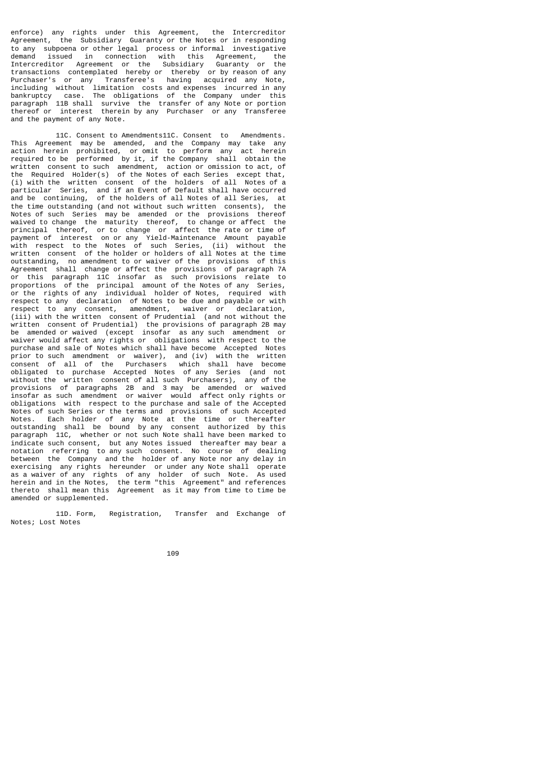enforce) any rights under this Agreement, the Intercreditor Agreement, the Subsidiary Guaranty or the Notes or in responding to any subpoena or other legal process or informal investigative demand issued in connection with this Agreement, the Intercreditor Agreement or the Subsidiary Guaranty or the transactions contemplated hereby or thereby or by reason of any Purchaser's or any Transferee's having acquired any Note, including without limitation costs and expenses incurred in any bankruptcy case. The obligations of the Company under this paragraph 11B shall survive the transfer of any Note or portion thereof or interest therein by any Purchaser or any Transferee and the payment of any Note.

 11C. Consent to Amendments11C. Consent to Amendments. This Agreement may be amended, and the Company may take any action herein prohibited, or omit to perform any act herein required to be performed by it, if the Company shall obtain the written consent to such amendment, action or omission to act, of the Required Holder(s) of the Notes of each Series except that, (i) with the written consent of the holders of all Notes of a particular Series, and if an Event of Default shall have occurred and be continuing, of the holders of all Notes of all Series, at the time outstanding (and not without such written consents), the Notes of such Series may be amended or the provisions thereof waived to change the maturity thereof, to change or affect the principal thereof, or to change or affect the rate or time of payment of interest on or any Yield-Maintenance Amount payable with respect to the Notes of such Series, (ii) without the written consent of the holder or holders of all Notes at the time outstanding, no amendment to or waiver of the provisions of this Agreement shall change or affect the provisions of paragraph 7A or this paragraph 11C insofar as such provisions relate to proportions of the principal amount of the Notes of any Series, or the rights of any individual holder of Notes, required with or the rights of any individual holder of Notes, respect to any declaration of Notes to be due and payable or with respect to any consent, amendment, waiver or declaration, (iii) with the written consent of Prudential (and not without the written consent of Prudential) the provisions of paragraph 2B may be amended or waived (except insofar as any such amendment or waiver would affect any rights or obligations with respect to the purchase and sale of Notes which shall have become Accepted Notes prior to such amendment or waiver), and (iv) with the written consent of all of the Purchasers which shall have become obligated to purchase Accepted Notes of any Series (and not without the written consent of all such Purchasers), any of the provisions of paragraphs 2B and 3 may be amended or waived insofar as such amendment or waiver would affect only rights or obligations with respect to the purchase and sale of the Accepted Notes of such Series or the terms and provisions of such Accepted Notes. Each holder of any Note at the time or thereafter outstanding shall be bound by any consent authorized by this paragraph 11C, whether or not such Note shall have been marked to indicate such consent, but any Notes issued thereafter may bear a notation referring to any such consent. No course of dealing between the Company and the holder of any Note nor any delay in exercising any rights hereunder or under any Note shall operate as a waiver of any rights of any holder of such Note. As used herein and in the Notes, the term "this Agreement" and references thereto shall mean this Agreement as it may from time to time be amended or supplemented.

 11D. Form, Registration, Transfer and Exchange of Notes; Lost Notes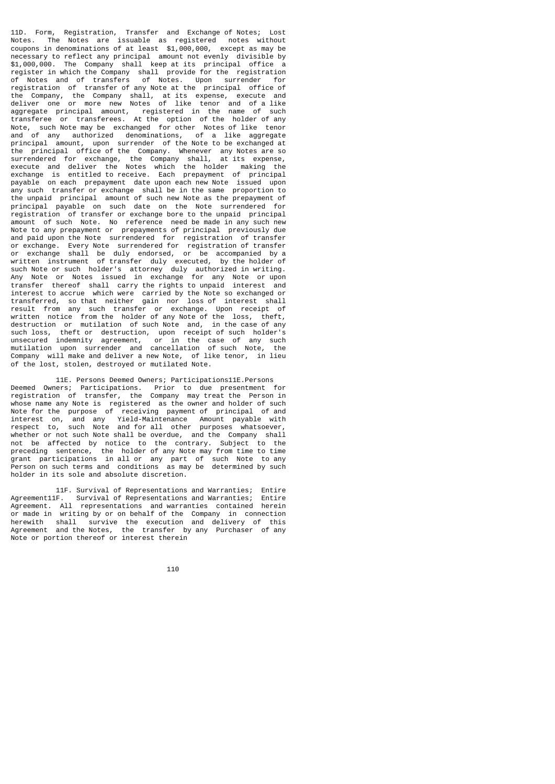11D. Form, Registration, Transfer and Exchange of Notes; Lost Notes. The Notes are issuable as registered notes without coupons in denominations of at least  $$1,000,000$ , except as may be necessary to reflect any principal amount not evenly divisible by \$1,000,000. The Company shall keep at its principal office a register in which the Company shall provide for the registration of Notes and of transfers of Notes. Upon surrender for registration of transfer of any Note at the principal office of the Company, the Company shall, at its expense, execute and deliver one or more new Notes of like tenor and of a like aggregate principal amount, registered in the name of such transferee or transferees. At the option of the holder of any Note, such Note may be exchanged for other Notes of like tenor and of any authorized denominations, of a like aggregate principal amount, upon surrender of the Note to be exchanged at the principal office of the Company. Whenever any Notes are so surrendered for exchange, the Company shall, at its expense, execute and deliver the Notes which the holder making the exchange is entitled to receive. Each prepayment of principal payable on each prepayment date upon each new Note issued upon any such transfer or exchange shall be in the same proportion to the unpaid principal amount of such new Note as the prepayment of principal payable on such date on the Note surrendered for registration of transfer or exchange bore to the unpaid principal amount of such Note. No reference need be made in any such new Note to any prepayment or prepayments of principal previously due and paid upon the Note surrendered for registration of transfer or exchange. Every Note surrendered for registration of transfer or exchange shall be duly endorsed, or be accompanied by a written instrument of transfer duly executed, by the holder of such Note or such holder's attorney duly authorized in writing. Any Note or Notes issued in exchange for any Note or upon transfer thereof shall carry the rights to unpaid interest and interest to accrue which were carried by the Note so exchanged or transferred, so that neither gain nor loss of interest shall result from any such transfer or exchange. Upon receipt of written notice from the holder of any Note of the loss, theft, destruction or mutilation of such Note and, in the case of any such loss, theft or destruction, upon receipt of such holder's unsecured indemnity agreement, or in the case of any such mutilation upon surrender and cancellation of such Note, the Company will make and deliver a new Note, of like tenor, in lieu of the lost, stolen, destroyed or mutilated Note.

 11E. Persons Deemed Owners; Participations11E.Persons Deemed Owners; Participations. Prior to due presentment for registration of transfer, the Company may treat the Person in whose name any Note is registered as the owner and holder of such Note for the purpose of receiving payment of principal of and interest on, and any Yield-Maintenance Amount payable with respect to, such Note and for all other purposes whatsoever, whether or not such Note shall be overdue, and the Company shall not be affected by notice to the contrary. Subject to the preceding sentence, the holder of any Note may from time to time grant participations in all or any part of such Note to any Person on such terms and conditions as may be determined by such holder in its sole and absolute discretion.

 11F. Survival of Representations and Warranties; Entire Agreement11F. Survival of Representations and Warranties; Entire Agreement. All representations and warranties contained herein or made in writing by or on behalf of the Company in connection herewith shall survive the execution and delivery of this Agreement and the Notes, the transfer by any Purchaser of any Note or portion thereof or interest therein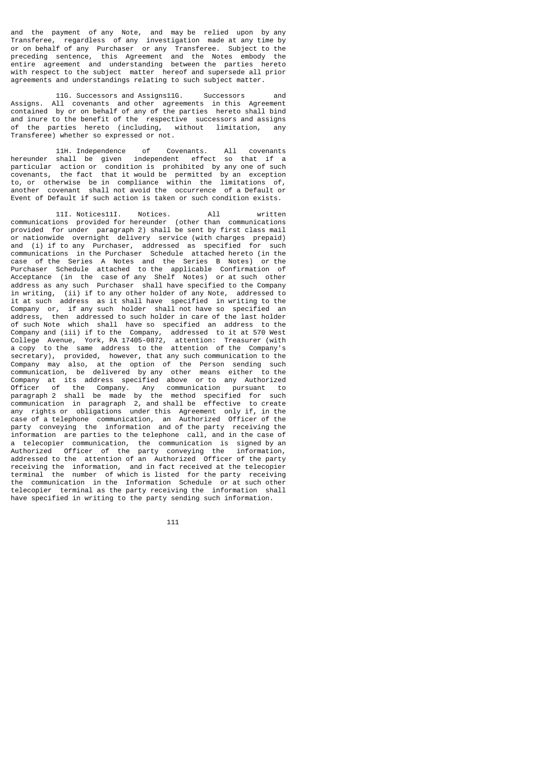and the payment of any Note, and may be relied upon by any Transferee, regardless of any investigation made at any time by or on behalf of any Purchaser or any Transferee. Subject to the preceding sentence, this Agreement and the Notes embody the entire agreement and understanding between the parties hereto with respect to the subject matter hereof and supersede all prior agreements and understandings relating to such subject matter.

 11G. Successors and Assigns11G. Successors and Assigns. All covenants and other agreements in this Agreement contained by or on behalf of any of the parties hereto shall bind and inure to the benefit of the respective successors and assigns<br>of the parties hereto (including, without limitation, any of the parties hereto (including, without limitation, Transferee) whether so expressed or not.

 11H. Independence of Covenants. All covenants hereunder shall be given independent effect so that if a particular action or condition is prohibited by any one of such covenants, the fact that it would be permitted by an exception to, or otherwise be in compliance within the limitations of, another covenant shall not avoid the occurrence of a Default or Event of Default if such action is taken or such condition exists.

 11I. Notices11I. Notices. All written communications provided for hereunder (other than communications provided for under paragraph 2) shall be sent by first class mail or nationwide overnight delivery service (with charges prepaid)<br>and (i) if to any Purchaser, addressed as specified for such and (i) if to any Purchaser, addressed as specified for communications in the Purchaser Schedule attached hereto (in the case of the Series A Notes and the Series B Notes) Purchaser Schedule attached to the applicable Confirmation of Acceptance (in the case of any Shelf Notes) or at such other address as any such Purchaser shall have specified to the Company in writing, (ii) if to any other holder of any Note, addressed to In moting, (II) In the any tends where the any moth, and the statements of the Company or, if any such holder shall not have so specified an address, then addressed to such holder in care of the last holder of such Note which shall have so specified an address to the Company and (iii) if to the Company, addressed to it at 570 West College Avenue, York, PA 17405-0872, attention: Treasurer (with a copy to the same address to the attention of the Company's secretary), provided, however, that any such communication to the Company may also, at the option of the Person sending such communication, be delivered by any other means either to the Company at its address specified above or to any Authorized Officer of the Company. Any communication pursuant to paragraph 2 shall be made by the method specified for such communication in paragraph 2, and shall be effective to create any rights or obligations under this Agreement only if, in the case of a telephone communication, an Authorized Officer of the party conveying the information and of the party receiving the information are parties to the telephone call, and in the case of a telecopier communication, the communication is signed by an Authorized Officer of the party conveying the information, addressed to the attention of an Authorized Officer of the party receiving the information, and in fact received at the telecopier terminal the number of which is listed for the party receiving the communication in the Information Schedule or at such other telecopier terminal as the party receiving the information shall have specified in writing to the party sending such information.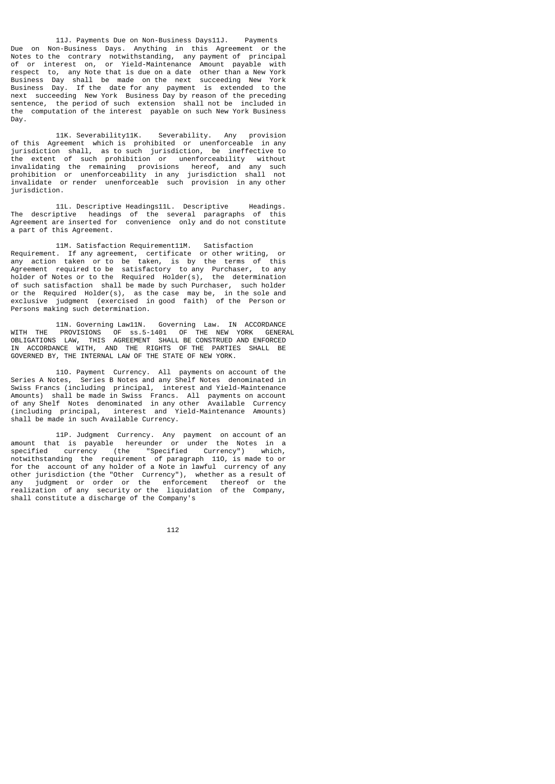11J. Payments Due on Non-Business Days11J. Payments Due on Non-Business Days. Anything in this Agreement or the Notes to the contrary notwithstanding, any payment of principal of or interest on, or Yield-Maintenance Amount payable with respect to, any Note that is due on a date other than a New York Business Day shall be made on the next succeeding New York Business Day. If the date for any payment is extended to the next succeeding New York Business Day by reason of the preceding sentence, the period of such extension shall not be included in the computation of the interest payable on such New York Business Day.

 11K. Severability11K. Severability. Any provision of this Agreement which is prohibited or unenforceable in any jurisdiction shall, as to such jurisdiction, be ineffective to the extent of such prohibition or unenforceability without invalidating the remaining provisions hereof, and any such prohibition or unenforceability in any jurisdiction shall not invalidate or render unenforceable such provision in any other jurisdiction.

 11L. Descriptive Headings11L. Descriptive Headings. The descriptive headings of the several paragraphs of this Agreement are inserted for convenience only and do not constitute a part of this Agreement.

 11M. Satisfaction Requirement11M. Satisfaction Requirement. If any agreement, certificate or other writing, or any action taken or to be taken, is by the terms of this Agreement required to be satisfactory to any Purchaser, to any holder of Notes or to the Required Holder(s), the determination of such satisfaction shall be made by such Purchaser, such holder or the Required Holder(s), as the case may be, in the sole and exclusive judgment (exercised in good faith) of the Person or Persons making such determination.

 11N. Governing Law11N. Governing Law. IN ACCORDANCE WITH THE PROVISIONS OF ss.5-1401 OF THE NEW YORK GENERAL OBLIGATIONS LAW, THIS AGREEMENT SHALL BE CONSTRUED AND ENFORCED IN ACCORDANCE WITH, AND THE RIGHTS OF THE PARTIES SHALL BE GOVERNED BY, THE INTERNAL LAW OF THE STATE OF NEW YORK.

 11O. Payment Currency. All payments on account of the Series A Notes, Series B Notes and any Shelf Notes denominated in Swiss Francs (including principal, interest and Yield-Maintenance Amounts) shall be made in Swiss Francs. All payments on account of any Shelf Notes denominated in any other Available Currency (including principal, interest and Yield-Maintenance Amounts) shall be made in such Available Currency.

 11P. Judgment Currency. Any payment on account of an amount that is payable hereunder or under the Notes in a specified currency (the "Specified Currency") which, notwithstanding the requirement of paragraph 11O, is made to or for the account of any holder of a Note in lawful currency of any other jurisdiction (the "Other Currency"), whether as a result of any judgment or order or the enforcement thereof or the realization of any security or the liquidation of the Company, shall constitute a discharge of the Company's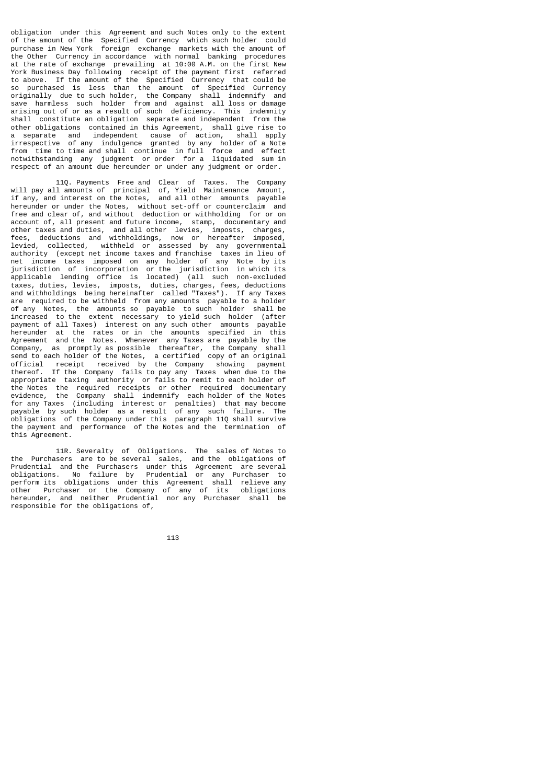obligation under this Agreement and such Notes only to the extent of the amount of the Specified Currency which such holder could purchase in New York foreign exchange markets with the amount of the Other Currency in accordance with normal banking procedures at the rate of exchange prevailing at 10:00 A.M. on the first New York Business Day following receipt of the payment first referred to above. If the amount of the Specified Currency that could be so purchased is less than the amount of Specified Currency originally due to such holder, the Company shall indemnify and save harmless such holder from and against all loss or damage arising out of or as a result of such deficiency. This indemnity shall constitute an obligation separate and independent from the other obligations contained in this Agreement, shall give rise to a separate and independent cause of action, shall apply irrespective of any indulgence granted by any holder of a Note from time to time and shall continue in full force and effect notwithstanding any judgment or order for a liquidated sum in respect of an amount due hereunder or under any judgment or order.

 11Q. Payments Free and Clear of Taxes. The Company will pay all amounts of principal of, Yield Maintenance Amount, if any, and interest on the Notes, and all other amounts payable hereunder or under the Notes, without set-off or counterclaim and free and clear of, and without deduction or withholding for or on account of, all present and future income, stamp, documentary and other taxes and duties, and all other levies, imposts, charges, fees, deductions and withholdings, now or hereafter imposed, levied, collected, withheld or assessed by any governmental authority (except net income taxes and franchise taxes in lieu of net income taxes imposed on any holder of any Note by its jurisdiction of incorporation or the jurisdiction in which its applicable lending office is located) (all such non-excluded taxes, duties, levies, imposts, duties, charges, fees, deductions and withholdings being hereinafter called "Taxes"). If any Taxes are required to be withheld from any amounts payable to a holder of any Notes, the amounts so payable to such holder shall be increased to the extent necessary to yield such holder (after payment of all Taxes) interest on any such other amounts payable payment of all Taxes) interest on any such other amounts payable hereunder at the rates or in the amounts specified in this Agreement and the Notes. Whenever any Taxes are payable by the Company, as promptly as possible thereafter, the Company shall send to each holder of the Notes, a certified copy of an original official receipt received by the Company showing payment thereof. If the Company fails to pay any Taxes when due to the appropriate taxing authority or fails to remit to each holder of the Notes the required receipts or other required documentary evidence, the Company shall indemnify each holder of the Notes for any Taxes (including interest or penalties) that may become payable by such holder as a result of any such failure. The obligations of the Company under this paragraph 11Q shall survive the payment and performance of the Notes and the termination of this Agreement.

 11R. Severalty of Obligations. The sales of Notes to the Purchasers are to be several sales, and the obligations of Prudential and the Purchasers under this Agreement are several obligations. No failure by Prudential or any Purchaser to perform its obligations under this Agreement shall relieve any other Purchaser or the Company of any of its obligations hereunder, and neither Prudential nor any Purchaser shall be responsible for the obligations of,

<u>113 - Animal Stevenski, politik poznati i 113 - Animal Stevenski, politik politik po</u>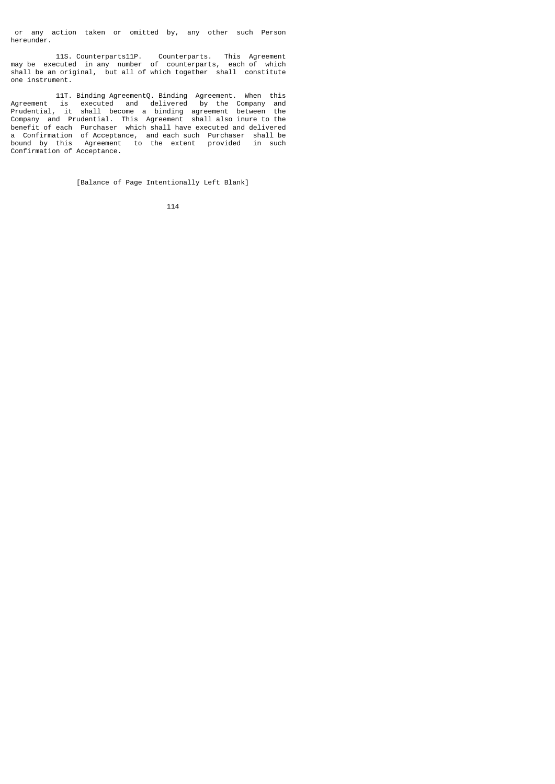or any action taken or omitted by, any other such Person hereunder.

 11S. Counterparts11P. Counterparts. This Agreement may be executed in any number of counterparts, each of which shall be an original, but all of which together shall constitute one instrument.

 11T. Binding AgreementQ. Binding Agreement. When this Agreement is executed and delivered by the Company and Prudential, it shall become a binding agreement between the Company and Prudential. This Agreement shall also inure to the benefit of each Purchaser which shall have executed and delivered a Confirmation of Acceptance, and each such Purchaser shall be bound by this Agreement to the extent provided in such Confirmation of Acceptance.

[Balance of Page Intentionally Left Blank]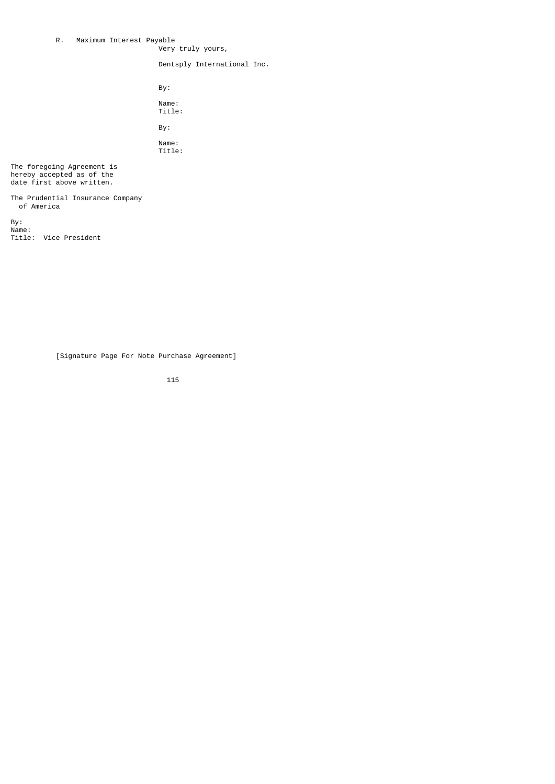# R. Maximum Interest Payable

Very truly yours,

Dentsply International Inc.

 By: Name: Title: By:

> Name: Title:

The foregoing Agreement is hereby accepted as of the date first above written.

The Prudential Insurance Company of America

By: Name: Title: Vice President

[Signature Page For Note Purchase Agreement]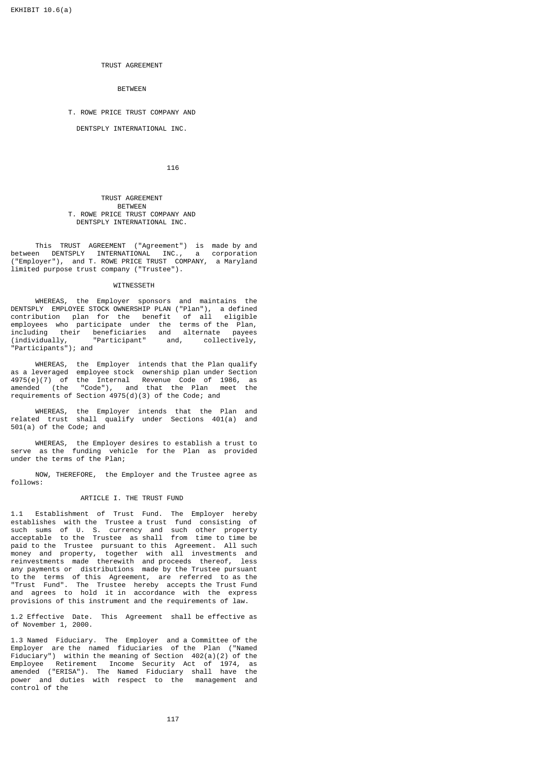# TRUST AGREEMENT

BETWEEN

# T. ROWE PRICE TRUST COMPANY AND

DENTSPLY INTERNATIONAL INC.

116

#### TRUST AGREEMENT BETWEEN T. ROWE PRICE TRUST COMPANY AND DENTSPLY INTERNATIONAL INC.

 This TRUST AGREEMENT ("Agreement") is made by and between DENTSPLY INTERNATIONAL INC., a corporation ("Employer"), and T. ROWE PRICE TRUST COMPANY, a Maryland limited purpose trust company ("Trustee").

# WITNESSETH

 WHEREAS, the Employer sponsors and maintains the DENTSPLY EMPLOYEE STOCK OWNERSHIP PLAN ("Plan"), a defined contribution plan for the benefit of all eligible employees who participate under the terms of the Plan, including their beneficiaries and alternate payees (individually, "Participant" and, collectively, "Participants"); and

 WHEREAS, the Employer intends that the Plan qualify as a leveraged employee stock ownership plan under Section 4975(e)(7) of the Internal Revenue Code of 1986, as amended (the "Code"), and that the Plan meet the requirements of Section 4975(d)(3) of the Code; and

 WHEREAS, the Employer intends that the Plan and related trust shall qualify under Sections 401(a) and 501(a) of the Code; and

 WHEREAS, the Employer desires to establish a trust to serve as the funding vehicle for the Plan as provided under the terms of the Plan;

 NOW, THEREFORE, the Employer and the Trustee agree as follows:

#### ARTICLE I. THE TRUST FUND

1.1 Establishment of Trust Fund. The Employer hereby establishes with the Trustee a trust fund consisting of such sums of U. S. currency and such other property acceptable to the Trustee as shall from time to time be paid to the Trustee pursuant to this Agreement. All such money and property, together with all investments and reinvestments made therewith and proceeds thereof, less any payments or distributions made by the Trustee pursuant to the terms of this Agreement, are referred to as the "Trust Fund". The Trustee hereby accepts the Trust Fund and agrees to hold it in accordance with the express provisions of this instrument and the requirements of law.

1.2 Effective Date. This Agreement shall be effective as of November 1, 2000.

1.3 Named Fiduciary. The Employer and a Committee of the Employer are the named fiduciaries of the Plan ("Named Fiduciary") within the meaning of Section 402(a)(2) of the Employee Retirement Income Security Act of 1974, as amended ("ERISA"). The Named Fiduciary shall have the power and duties with respect to the management and control of the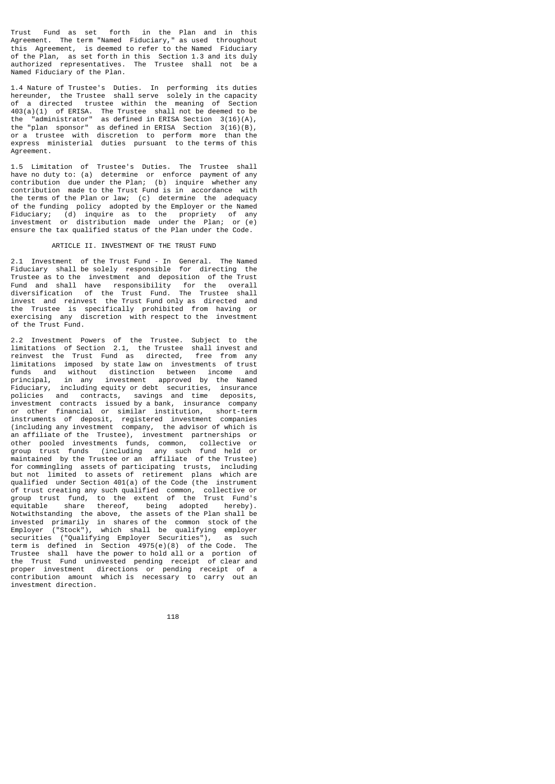Trust Fund as set forth in the Plan and in this Agreement. The term "Named Fiduciary," as used throughout this Agreement, is deemed to refer to the Named Fiduciary of the Plan, as set forth in this Section 1.3 and its duly authorized representatives. The Trustee shall not be a Named Fiduciary of the Plan.

1.4 Nature of Trustee's Duties. In performing its duties hereunder, the Trustee shall serve solely in the capacity of a directed trustee within the meaning of Section 403(a)(1) of ERISA. The Trustee shall not be deemed to be the "administrator" as defined in ERISA Section 3(16)(A), the "plan sponsor" as defined in ERISA Section 3(16)(B), or a trustee with discretion to perform more than the express ministerial duties pursuant to the terms of this Agreement.

1.5 Limitation of Trustee's Duties. The Trustee shall have no duty to: (a) determine or enforce payment of any contribution due under the Plan; (b) inquire whether any contribution made to the Trust Fund is in accordance with the terms of the Plan or law; (c) determine the adequacy of the funding policy adopted by the Employer or the Named Fiduciary; (d) inquire as to the propriety of any investment or distribution made under the Plan; or (e) ensure the tax qualified status of the Plan under the Code.

#### ARTICLE II. INVESTMENT OF THE TRUST FUND

2.1 Investment of the Trust Fund - In General. The Named Fiduciary shall be solely responsible for directing the Trustee as to the investment and deposition of the Trust Fund and shall have responsibility for the overall diversification of the Trust Fund. The Trustee shall invest and reinvest the Trust Fund only as directed and the Trustee is specifically prohibited from having or exercising any discretion with respect to the investment of the Trust Fund.

2.2 Investment Powers of the Trustee. Subject to the limitations of Section 2.1, the Trustee shall invest and reinvest the Trust Fund as directed, free from any limitations imposed by state law on investments of trust funds and without distinction between income and principal, in any investment approved by the Named Fiduciary, including equity or debt securities, insurance<br>policies and contracts, savings and time deposits, policies and contracts, savings and time deposits, investment contracts issued by a bank, insurance company or other financial or similar institution, short-term instruments of deposit, registered investment companies (including any investment company, the advisor of which is an affiliate of the Trustee), investment partnerships or other pooled investments funds, common, collective or group trust funds (including any such fund held or maintained by the Trustee or an affiliate of the Trustee) for commingling assets of participating trusts, including but not limited to assets of retirement plans which are qualified under Section 401(a) of the Code (the instrument of trust creating any such qualified common, collective or group trust fund, to the extent of the Trust Fund's equitable share thereof, being adopted hereby). Notwithstanding the above, the assets of the Plan shall be invested primarily in shares of the common stock of the Employer ("Stock"), which shall be qualifying employer securities ("Qualifying Employer Securities"), as such term is defined in Section 4975(e)(8) of the Code. The Trustee shall have the power to hold all or a portion of the Trust Fund uninvested pending receipt of clear and proper investment directions or pending receipt of a contribution amount which is necessary to carry out an investment direction.

118 - 118 **118 118 118 118 118 118 118 118**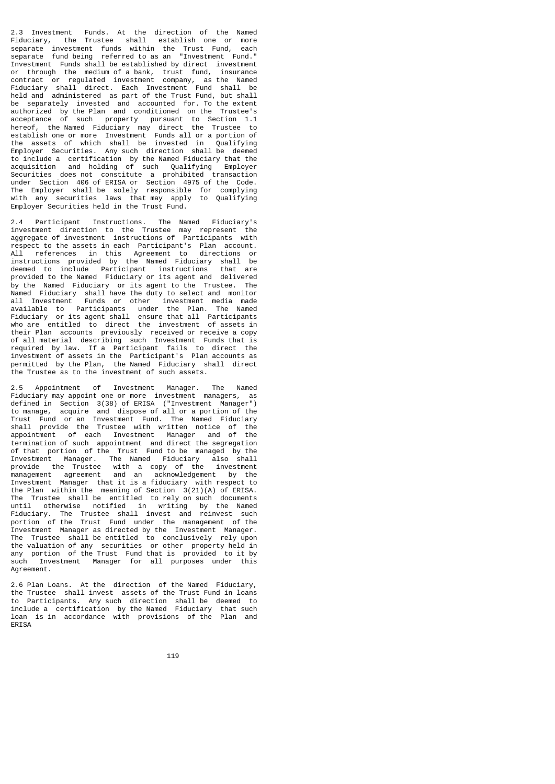2.3 Investment Funds. At the direction of the Named Fiduciary, the Trustee shall establish one or more separate investment funds within the Trust Fund, each separate fund being referred to as an "Investment Fund." Investment Funds shall be established by direct investment or through the medium of a bank, trust fund, insurance contract or regulated investment company, as the Named Fiduciary shall direct. Each Investment Fund shall be held and administered as part of the Trust Fund, but shall be separately invested and accounted for. To the extent authorized by the Plan and conditioned on the Trustee's acceptance of such property pursuant to Section 1.1 hereof, the Named Fiduciary may direct the Trustee to establish one or more Investment Funds all or a portion of the assets of which shall be invested in Qualifying Employer Securities. Any such direction shall be deemed to include a certification by the Named Fiduciary that the and holding of such Qualifying Securities does not constitute a prohibited transaction under Section 406 of ERISA or Section 4975 of the Code. The Employer shall be solely responsible for complying with any securities laws that may apply to Qualifying Employer Securities held in the Trust Fund.

2.4 Participant Instructions. The Named Fiduciary's investment direction to the Trustee may represent the aggregate of investment instructions of Participants respect to the assets in each Participant's Plan account. All references in this Agreement to directions or instructions provided by the Named Fiduciary shall be deemed to include Participant instructions that are provided to the Named Fiduciary or its agent and delivered by the Named Fiduciary or its agent to the Trustee. The Named Fiduciary shall have the duty to select and monitor all Investment Funds or other investment media made available to Participants under the Plan. The Named Fiduciary or its agent shall ensure that all Participants who are entitled to direct the investment of assets in their Plan accounts previously received or receive a copy of all material describing such Investment Funds that is required by law. If a Participant fails to direct the investment of assets in the Participant's Plan accounts as permitted by the Plan, the Named Fiduciary shall direct the Trustee as to the investment of such assets.

2.5 Appointment of Investment Manager. The Named Fiduciary may appoint one or more investment managers, as defined in Section 3(38) of ERISA ("Investment Manager") to manage, acquire and dispose of all or a portion of the Trust Fund or an Investment Fund. The Named Fiduciary shall provide the Trustee with written notice of the appointment of each Investment Manager and of the termination of such appointment and direct the segregation of that portion of the Trust Fund to be managed by the Investment Manager. The Named Fiduciary also shall provide the Trustee with a copy of the investment management agreement and an acknowledgement by the Investment Manager that it is a fiduciary with respect to the Plan within the meaning of Section 3(21)(A) of ERISA. The Trustee shall be entitled to rely on such documents until otherwise notified in writing by the Named Fiduciary. The Trustee shall invest and reinvest such portion of the Trust Fund under the management of the Investment Manager as directed by the Investment Manager. The Trustee shall be entitled to conclusively rely upon the valuation of any securities or other property held in any portion of the Trust Fund that is provided to it by such Investment Manager for all purposes under this Agreement.

2.6 Plan Loans. At the direction of the Named Fiduciary, the Trustee shall invest assets of the Trust Fund in loans to Participants. Any such direction shall be deemed to include a certification by the Named Fiduciary that such loan is in accordance with provisions of the Plan and ERISA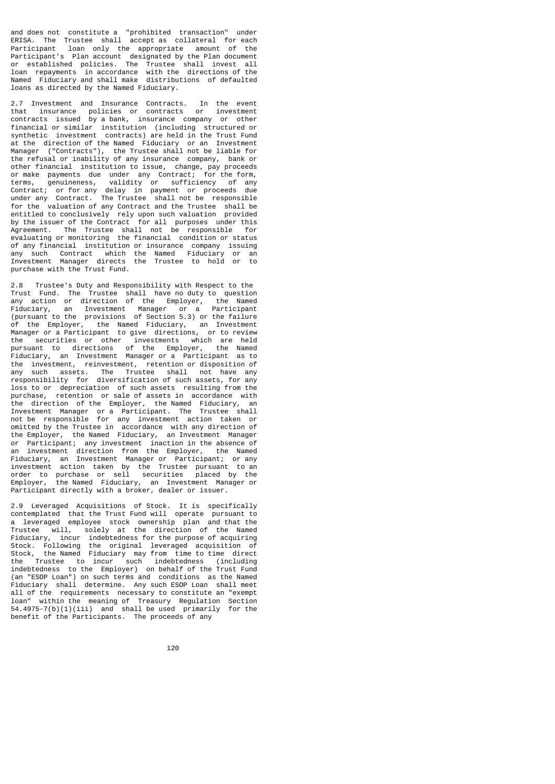and does not constitute a "prohibited transaction" under ERISA. The Trustee shall accept as collateral for each Participant loan only the appropriate amount of the Participant's Plan account designated by the Plan document or established policies. The Trustee shall invest all loan repayments in accordance with the directions of the Named Fiduciary and shall make distributions of defaulted loans as directed by the Named Fiduciary.

2.7 Investment and Insurance Contracts. In the event that insurance policies or contracts or investment contracts issued by a bank, insurance company or other financial or similar institution (including structured or synthetic investment contracts) are held in the Trust Fund at the direction of the Named Fiduciary or an Investment Manager ("Contracts"), the Trustee shall not be liable for the refusal or inability of any insurance company, bank or other financial institution to issue, change, pay proceeds or make payments due under any Contract; for the form, terms, genuineness, validity or sufficiency of any Contract; or for any delay in payment or proceeds due under any Contract. The Trustee shall not be responsible for the valuation of any Contract and the Trustee shall be entitled to conclusively rely upon such valuation provided by the issuer of the Contract for all purposes under this Agreement. The Trustee shall not be responsible for evaluating or monitoring the financial condition or status of any financial institution or insurance company issuing any such Contract which the Named Fiduciary or an Investment Manager directs the Trustee to hold or to purchase with the Trust Fund.

2.8 Trustee's Duty and Responsibility with Respect to the Trust Fund. The Trustee shall have no duty to question any action or direction of the Employer, the Named Fiduciary, an Investment Manager or a Participant Enduciary, an Investment Manager or a Participant<br>(pursuant to the provisions of Section 5.3) or the failure of the Employer, the Named Fiduciary, an Investment Manager or a Participant to give directions, or to review the securities or other investments which are held pursuant to directions of the Employer, the Named Fiduciary, an Investment Manager or a Participant as to the investment, reinvestment, retention or disposition of any such assets. The Trustee shall not have any responsibility for diversification of such assets, for any loss to or depreciation of such assets resulting from the purchase, retention or sale of assets in accordance with the direction of the Employer, the Named Fiduciary, an Investment Manager or a Participant. The Trustee shall not be responsible for any investment action taken or omitted by the Trustee in accordance with any direction of the Employer, the Named Fiduciary, an Investment Manager or Participant; any investment inaction in the absence of an investment direction from the Employer, the Named Fiduciary, an Investment Manager or Participant; or any investment action taken by the Trustee pursuant to an order to purchase or sell securities placed by the Employer, the Named Fiduciary, an Investment Manager or Participant directly with a broker, dealer or issuer.

2.9 Leveraged Acquisitions of Stock. It is specifically contemplated that the Trust Fund will operate pursuant to employee stock ownership plan and that the Trustee will, solely at the direction of the Named Fiduciary, incur indebtedness for the purpose of acquiring Stock. Following the original leveraged acquisition of Stock, the Named Fiduciary may from time to time direct the Trustee to incur such indebtedness (including indebtedness to the Employer) on behalf of the Trust Fund (an "ESOP Loan") on such terms and conditions as the Named Fiduciary shall determine. Any such ESOP Loan shall meet all of the requirements necessary to constitute an "exempt loan" within the meaning of Treasury Regulation Section 54.4975-7(b)(1)(iii) and shall be used primarily for the benefit of the Participants. The proceeds of any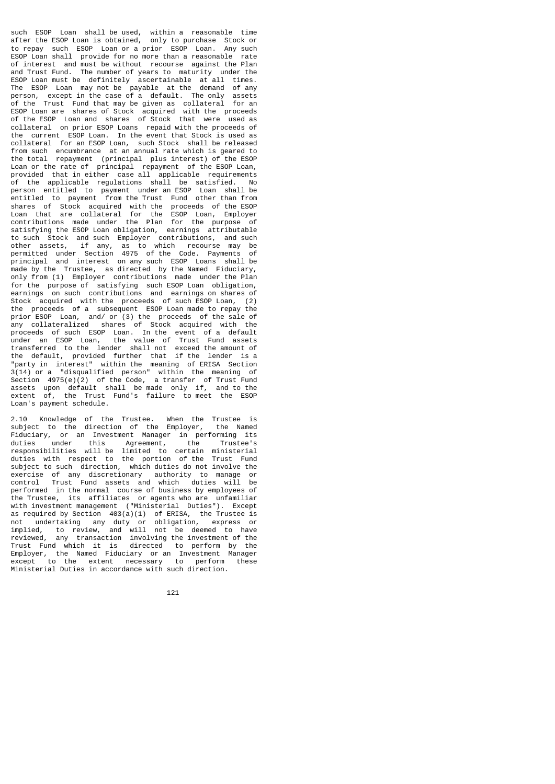such ESOP Loan shall be used, within a reasonable time after the ESOP Loan is obtained, only to purchase Stock or to repay such ESOP Loan or a prior ESOP Loan. Any such ESOP Loan shall provide for no more than a reasonable rate of interest and must be without recourse against the Plan and Trust Fund. The number of years to maturity under the ESOP Loan must be definitely ascertainable at all times. The ESOP Loan may not be payable at the demand of any person, except in the case of a default. The only assets of the Trust Fund that may be given as collateral for an ESOP Loan are shares of Stock acquired with the proceeds of the ESOP Loan and shares of Stock that were used as collateral on prior ESOP Loans repaid with the proceeds of the current ESOP Loan. In the event that Stock is used as collateral for an ESOP Loan, such Stock shall be released from such encumbrance at an annual rate which is geared to the total repayment (principal plus interest) of the ESOP Loan or the rate of principal repayment of the ESOP Loan, provided that in either case all applicable requirements of the applicable regulations shall be satisfied. No person entitled to payment under an ESOP Loan shall be entitled to payment from the Trust Fund other than from shares of Stock acquired with the proceeds of the ESOP Loan that are collateral for the ESOP Loan, Employer contributions made under the Plan for the purpose of satisfying the ESOP Loan obligation, earnings attributable to such Stock and such Employer contributions, and such other assets, if any, as to which recourse may be permitted under Section 4975 of the Code. Payments of principal and interest on any such ESOP Loans shall be made by the Trustee, as directed by the Named Fiduciary, only from (1) Employer contributions made under the Plan for the purpose of satisfying such ESOP Loan obligation, earnings on such contributions and earnings on shares of Stock acquired with the proceeds of such ESOP Loan, (2) the proceeds of a subsequent ESOP Loan made to repay the prior ESOP Loan, and/ or (3) the proceeds of the sale of any collateralized shares of Stock acquired with the proceeds of such ESOP Loan. In the event of a default under an ESOP Loan, the value of Trust Fund assets transferred to the lender shall not exceed the amount of the default, provided further that if the lender is a "party in interest" within the meaning of ERISA Section 3(14) or a "disqualified person" within the meaning of Section 4975(e)(2) of the Code, a transfer of Trust Fund assets upon default shall be made only if, and to the extent of, the Trust Fund's failure to meet the ESOP Loan's payment schedule.

2.10 Knowledge of the Trustee. When the Trustee is subject to the direction of the Employer, the Named Fiduciary, or an Investment Manager in performing its<br>duties under this agreement the Trustee's duties under this Agreement, the Trustee's responsibilities will be limited to certain ministerial duties with respect to the portion of the Trust Fund subject to such direction, which duties do not involve the exercise of any discretionary authority to manage or control Trust Fund assets and which duties will be performed in the normal course of business by employees of the Trustee, its affiliates or agents who are unfamiliar with investment management ("Ministerial Duties"). Except as required by Section 403(a)(1) of ERISA, the Trustee is not undertaking any duty or obligation, express or implied, to review, and will not be deemed to have reviewed, any transaction involving the investment of the Trust Fund which it is directed to perform by the Employer, the Named Fiduciary or an Investment Manager except to the extent necessary to perform these Ministerial Duties in accordance with such direction.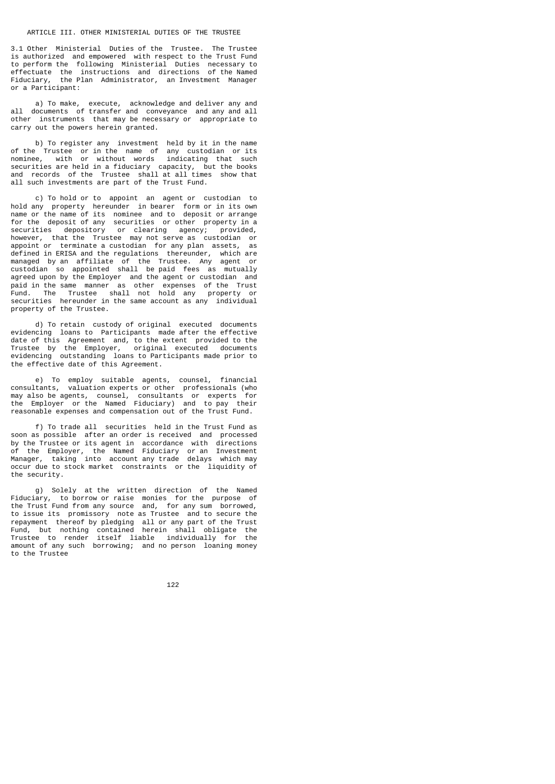#### ARTICLE III. OTHER MINISTERIAL DUTIES OF THE TRUSTEE

3.1 Other Ministerial Duties of the Trustee. The Trustee is authorized and empowered with respect to the Trust Fund to perform the following Ministerial Duties necessary to effectuate the instructions and directions of the Named Fiduciary, the Plan Administrator, an Investment Manager or a Participant:

 a) To make, execute, acknowledge and deliver any and all documents of transfer and conveyance and any and all other instruments that may be necessary or appropriate to carry out the powers herein granted.

 b) To register any investment held by it in the name of the Trustee or in the name of any custodian or its nominee, with or without words indicating that such securities are held in a fiduciary capacity, but the books and records of the Trustee shall at all times show that all such investments are part of the Trust Fund.

 c) To hold or to appoint an agent or custodian to hold any property hereunder in bearer form or in its own name or the name of its nominee and to deposit or arrange for the deposit of any securities or other property in a<br>securities depository or clearing agency; provided, or clearing agency; however, that the Trustee may not serve as custodian or<br>appoint or terminate a custodian for any plan assets, as appoint or terminate a custodian for any plan assets, defined in ERISA and the regulations thereunder, which are managed by an affiliate of the Trustee. Any agent or custodian so appointed shall be paid fees as mutually agreed upon by the Employer and the agent or custodian and paid in the same manner as other expenses of the Trust Fund. The Trustee shall not hold any property or securities hereunder in the same account as any individual property of the Trustee.

 d) To retain custody of original executed documents evidencing loans to Participants made after the effective date of this Agreement and, to the extent provided to the Trustee by the Employer, original executed documents evidencing outstanding loans to Participants made prior to the effective date of this Agreement.

 e) To employ suitable agents, counsel, financial consultants, valuation experts or other professionals (who may also be agents, counsel, consultants or experts for the Employer or the Named Fiduciary) and to pay their reasonable expenses and compensation out of the Trust Fund.

 f) To trade all securities held in the Trust Fund as soon as possible after an order is received and processed by the Trustee or its agent in accordance with directions of the Employer, the Named Fiduciary or an Investment Manager, taking into account any trade delays which may occur due to stock market constraints or the liquidity of the security.

 g) Solely at the written direction of the Named Fiduciary, to borrow or raise monies for the purpose of the Trust Fund from any source and, for any sum borrowed, to issue its promissory note as Trustee and to secure the repayment thereof by pledging all or any part of the Trust Fund, but nothing contained herein shall obligate the Trustee to render itself liable individually for the amount of any such borrowing; and no person loaning money to the Trustee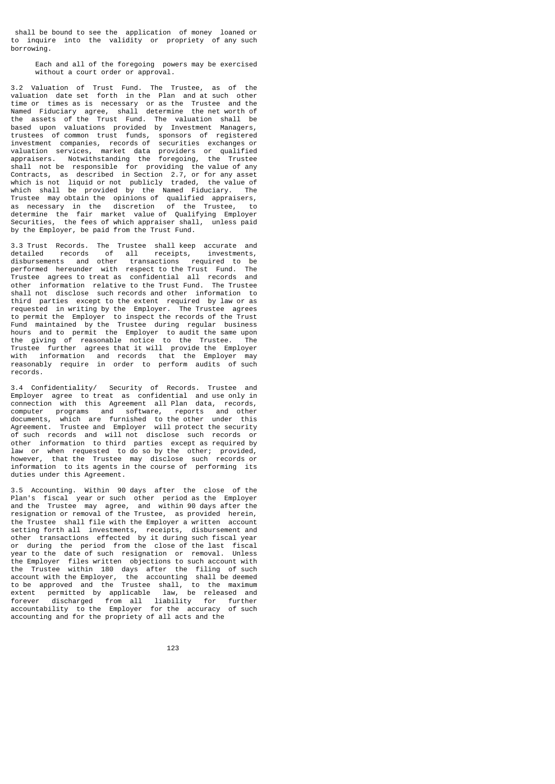shall be bound to see the application of money loaned or to inquire into the validity or propriety of any such borrowing.

 Each and all of the foregoing powers may be exercised without a court order or approval.

3.2 Valuation of Trust Fund. The Trustee, as of the valuation date set forth in the Plan and at such other time or times as is necessary or as the Trustee and the Named Fiduciary agree, shall determine the net worth of the assets of the Trust Fund. The valuation shall be based upon valuations provided by Investment Managers, trustees of common trust funds, sponsors of registered investment companies, records of securities exchanges or valuation services, market data providers or qualified appraisers. Notwithstanding the foregoing, the Trustee shall not be responsible for providing the value of any Contracts, as described in Section 2.7, or for any asset which is not liquid or not publicly traded, the value of which shall be provided by the Named Fiduciary. The Trustee may obtain the opinions of qualified appraisers, as necessary in the discretion of the Trustee, to determine the fair market value of Qualifying Employer Securities, the fees of which appraiser shall, unless paid by the Employer, be paid from the Trust Fund.

3.3 Trust Records. The Trustee shall keep accurate and detailed records of all receipts, investments, detailed records of all receipts<br>disbursements and other transactions required to be performed hereunder with respect to the Trust Fund. The<br>Trustee agrees to treat as confidential all records and .<br>Trustee agrees to treat as confidential all records other information relative to the Trust Fund. The Trustee shall not disclose such records and other information to third parties except to the extent required by law or as requested in writing by the Employer. The Trustee agrees to permit the Employer to inspect the records of the Trust Fund maintained by the Trustee during regular business hours and to permit the Employer to audit the same upon the giving of reasonable notice to the Trustee. The Trustee further agrees that it will provide the Employer with information and records that the Employer may reasonably require in order to perform audits of such records.

3.4 Confidentiality/ Security of Records. Trustee and Employer agree to treat as confidential and use only in connection with this Agreement all Plan data, records, computer programs and software, reports and other documents, which are furnished to the other under this Agreement. Trustee and Employer will protect the security of such records and will not disclose such records or<br>other information to third parties except as required by other information to third parties except as required by law or when requested to do so by the other; provided, however, that the Trustee may disclose such records or information to its agents in the course of performing its duties under this Agreement.

3.5 Accounting. Within 90 days after the close of the Plan's fiscal year or such other period as the Employer and the Trustee may agree, and within 90 days after the resignation or removal of the Trustee, as provided herein, the Trustee shall file with the Employer a written account setting forth all investments, receipts, disbursement and other transactions effected by it during such fiscal year or during the period from the close of the last fiscal year to the date of such resignation or removal. Unless the Employer files written objections to such account with the Trustee within 180 days after the filing of such account with the Employer, the accounting shall be deemed to be approved and the Trustee shall, to the maximum extent permitted by applicable law, be released and forever discharged from all liability for further accountability to the Employer for the accuracy of such accounting and for the propriety of all acts and the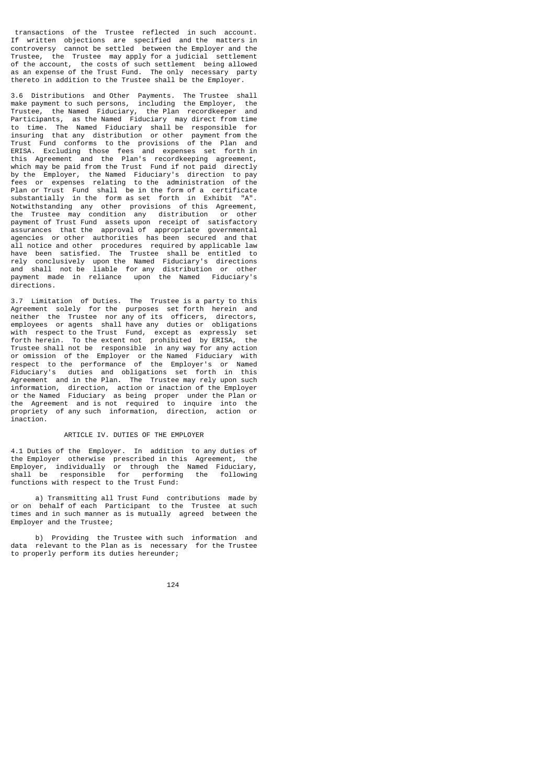transactions of the Trustee reflected in such account. If written objections are specified and the matters in controversy cannot be settled between the Employer and the Trustee, the Trustee may apply for a judicial settlement of the account, the costs of such settlement being allowed as an expense of the Trust Fund. The only necessary party thereto in addition to the Trustee shall be the Employer.

3.6 Distributions and Other Payments. The Trustee shall make payment to such persons, including the Employer, the Trustee, the Named Fiduciary, the Plan recordkeeper and Participants, as the Named Fiduciary may direct from time to time. The Named Fiduciary shall be responsible for insuring that any distribution or other payment from the Trust Fund conforms to the provisions of the Plan and ERISA. Excluding those fees and expenses set forth in this Agreement and the Plan's recordkeeping agreement, which may be paid from the Trust Fund if not paid directly by the Employer, the Named Fiduciary's direction to pay<br>fees or expenses relating to the administration of the fees or expenses relating to the administration Plan or Trust Fund shall be in the form of a certificate substantially in the form as set forth in Exhibit "A". Notwithstanding any other provisions of this Agreement, the Trustee may condition any distribution or other payment of Trust Fund assets upon receipt of satisfactory assurances that the approval of appropriate governmental agencies or other authorities has been secured and that all notice and other procedures required by applicable law have been satisfied. The Trustee shall be entitled to rely conclusively upon the Named Fiduciary's directions and shall not be liable for any distribution or other payment made in reliance upon the Named Fiduciary's directions.

3.7 Limitation of Duties. The Trustee is a party to this Agreement solely for the purposes set forth herein and neither the Trustee nor any of its officers, directors, employees or agents shall have any duties or obligations with respect to the Trust Fund, except as expressly set forth herein. To the extent not prohibited by ERISA, the Trustee shall not be responsible in any way for any action or omission of the Employer or the Named Fiduciary with respect to the performance of the Employer's or Named Fiduciary's duties and obligations set forth in this Agreement and in the Plan. The Trustee may rely upon such information, direction, action or inaction of the Employer or the Named Fiduciary as being proper under the Plan or the Agreement and is not required to inquire into the propriety of any such information, direction, action or inaction.

# ARTICLE IV. DUTIES OF THE EMPLOYER

4.1 Duties of the Employer. In addition to any duties of the Employer otherwise prescribed in this Agreement, the Employer, individually or through the Named Fiduciary, shall be responsible for performing the following functions with respect to the Trust Fund:

 a) Transmitting all Trust Fund contributions made by or on behalf of each Participant to the Trustee at such times and in such manner as is mutually agreed between the Employer and the Trustee;

 b) Providing the Trustee with such information and data relevant to the Plan as is necessary for the Trustee to properly perform its duties hereunder;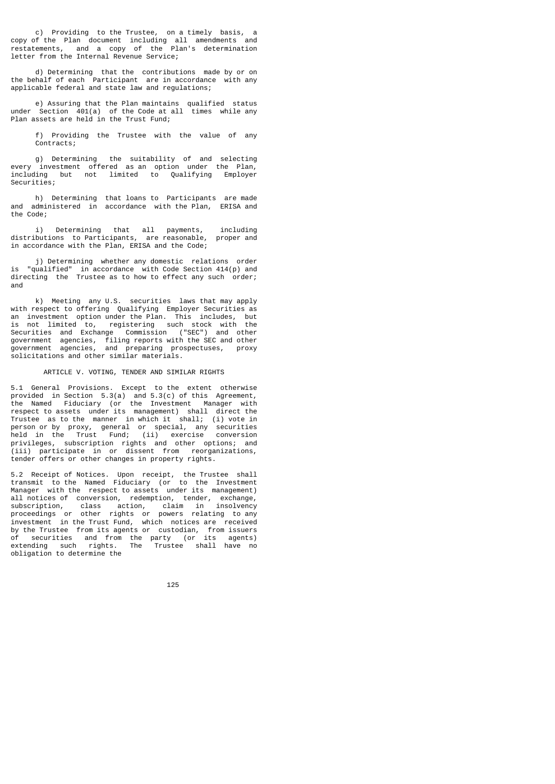c) Providing to the Trustee, on a timely basis, a copy of the Plan document including all amendments and restatements, and a copy of the Plan's determination letter from the Internal Revenue Service;

 d) Determining that the contributions made by or on the behalf of each Participant are in accordance with any applicable federal and state law and regulations;

 e) Assuring that the Plan maintains qualified status under Section 401(a) of the Code at all times while any Plan assets are held in the Trust Fund;

 f) Providing the Trustee with the value of any Contracts;

 g) Determining the suitability of and selecting every investment offered as an option under the Plan, including but not limited to Qualifying Employer Securities;

 h) Determining that loans to Participants are made and administered in accordance with the Plan, ERISA and the Code;

 i) Determining that all payments, including distributions to Participants, are reasonable, proper and in accordance with the Plan, ERISA and the Code;

 j) Determining whether any domestic relations order is "qualified" in accordance with Code Section 414(p) and directing the Trustee as to how to effect any such order; and

 k) Meeting any U.S. securities laws that may apply with respect to offering Qualifying Employer Securities as<br>an investment ontion under the Plan. This includes but an investment option under the Plan. This includes, but<br>is not limited to requistering such stock with the is not limited to, registering such stock with Securities and Exchange Commission ("SEC") and other government agencies, filing reports with the SEC and other government agencies, and preparing prospectuses, proxy solicitations and other similar materials.

# ARTICLE V. VOTING, TENDER AND SIMILAR RIGHTS

5.1 General Provisions. Except to the extent otherwise provided in Section 5.3(a) and 5.3(c) of this Agreement, the Named Fiduciary (or the Investment Manager with respect to assets under its management) shall direct the Trustee as to the manner in which it shall; (i) vote in person or by proxy, general or special, any securities held in the Trust Fund; (ii) exercise conversion privileges, subscription rights and other options; and (iii) participate in or dissent from reorganizations, tender offers or other changes in property rights.

5.2 Receipt of Notices. Upon receipt, the Trustee shall transmit to the Named Fiduciary (or to the Investment Manager with the respect to assets under its management) all notices of conversion, redemption, tender, exchange, subscription, class action, claim in insolvency proceedings or other rights or powers relating to any investment in the Trust Fund, which notices are received by the Trustee from its agents or custodian, from issuers of securities and from the party (or its agents) extending such rights. The Trustee shall have no obligation to determine the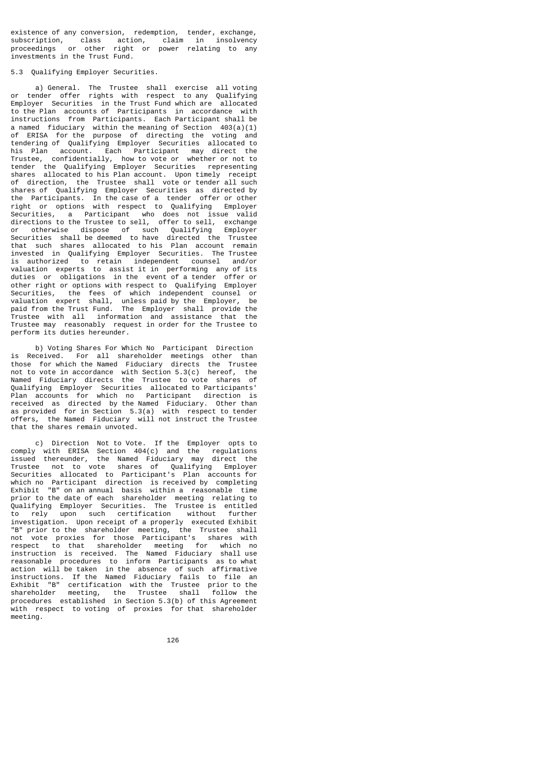existence of any conversion, redemption, tender, exchange, subscription, class action, claim in insolvency proceedings or other right or power relating to any investments in the Trust Fund.

#### 5.3 Qualifying Employer Securities.

 a) General. The Trustee shall exercise all voting or tender offer rights with respect to any Qualifying Employer Securities in the Trust Fund which are allocated to the Plan accounts of Participants in accordance with instructions from Participants. Each Participant shall be a named fiduciary within the meaning of Section 403(a)(1) of ERISA for the purpose of directing the voting and tendering of Qualifying Employer Securities allocated to his Plan account. Each Participant may direct the Trustee, confidentially, how to vote or whether or not to tender the Qualifying Employer Securities representing shares allocated to his Plan account. Upon timely receipt of direction, the Trustee shall vote or tender all such shares of Qualifying Employer Securities as directed by the Participants. In the case of a tender offer or other right or options with respect to Qualifying Employer Securities, a Participant who does not issue valid directions to the Trustee to sell, offer to sell, exchange or otherwise dispose of such Qualifying Employer Securities shall be deemed to have directed the Trustee that such shares allocated to his Plan account remain invested in Qualifying Employer Securities. The Trustee is authorized to retain independent counsel and/or valuation experts to assist it in performing any of its duties or obligations in the event of a tender offer or other right or options with respect to Qualifying Employer Securities, the fees of which independent counsel or valuation expert shall, unless paid by the Employer, be paid from the Trust Fund. The Employer shall provide the Trustee with all information and assistance that the Trustee may reasonably request in order for the Trustee to perform its duties hereunder.

 b) Voting Shares For Which No Participant Direction is Received. For all shareholder meetings other than those for which the Named Fiduciary directs the Trustee not to vote in accordance with Section 5.3(c) hereof, the Named Fiduciary directs the Trustee to vote shares of Qualifying Employer Securities allocated to Participants' Plan accounts for which no Participant direction is received as directed by the Named Fiduciary. Other than as provided for in Section 5.3(a) with respect to tender offers, the Named Fiduciary will not instruct the Trustee that the shares remain unvoted.

 c) Direction Not to Vote. If the Employer opts to comply with ERISA Section 404(c) and the regulations issued thereunder, the Named Fiduciary may direct the Trustee not to vote shares of Qualifying Employer Securities allocated to Participant's Plan accounts for which no Participant direction is received by completing Exhibit "B" on an annual basis within a reasonable time prior to the date of each shareholder meeting relating to Qualifying Employer Securities. The Trustee is entitled to rely upon such certification without further investigation. Upon receipt of a properly executed Exhibit "B" prior to the shareholder meeting, the Trustee shall not vote proxies for those Participant's shares with respect to that shareholder meeting for which no instruction is received. The Named Fiduciary shall use reasonable procedures to inform Participants as to what action will be taken in the absence of such affirmative instructions. If the Named Fiduciary fails to file an certification with the Trustee prior to the shareholder meeting, the Trustee shall follow the procedures established in Section 5.3(b) of this Agreement .<br>with respect to\_voting of proxies for\_that shareholder meeting.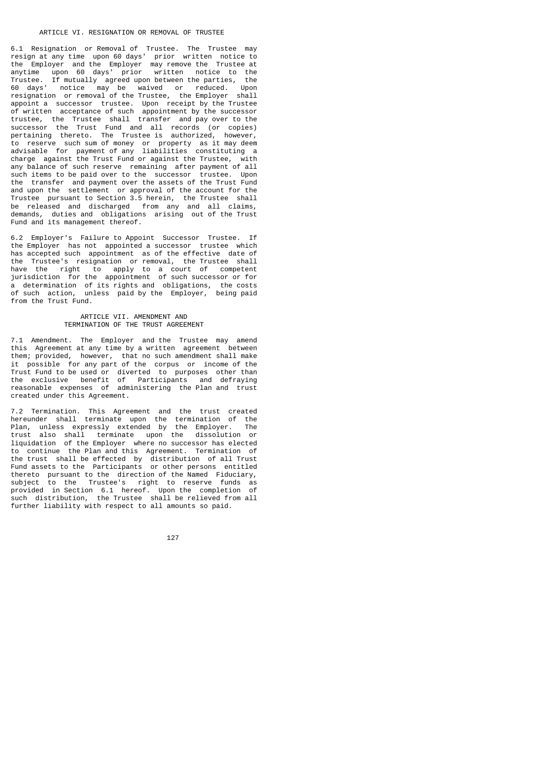6.1 Resignation or Removal of Trustee. The Trustee may resign at any time upon 60 days' prior written notice to the Employer and the Employer may remove the Trustee at anytime upon 60 days' prior written notice to the Trustee. If mutually agreed upon between the parties,<br>60 days' notice may be waived or the farties, 60 days' notice may be waived or reduced. Upon resignation or removal of the Trustee, the Employer shall appoint a successor trustee. Upon receipt by the Trustee of written acceptance of such appointment by the successor trustee, the Trustee shall transfer and pay over to the successor the Trust Fund and all records (or copies) pertaining thereto. The Trustee is authorized, however, to reserve such sum of money or property as it may deem advisable for payment of any liabilities constituting a charge against the Trust Fund or against the Trustee, with any balance of such reserve remaining after payment of all such items to be paid over to the successor trustee. Upon the transfer and payment over the assets of the Trust Fund and upon the settlement or approval of the account for the Trustee pursuant to Section 3.5 herein, the Trustee shall be released and discharged from any and all claims, demands, duties and obligations arising out of the Trust Fund and its management thereof.

6.2 Employer's Failure to Appoint Successor Trustee. If the Employer has not appointed a successor trustee which has accepted such appointment as of the effective date of the Trustee's resignation or removal, the Trustee shall have the right to apply to a court of competent jurisdiction for the appointment of such successor or for a determination of its rights and obligations, the costs of such action, unless paid by the Employer, being paid from the Trust Fund.

#### ARTICLE VII. AMENDMENT AND TERMINATION OF THE TRUST AGREEMENT

7.1 Amendment. The Employer and the Trustee may amend this Agreement at any time by a written agreement between them; provided, however, that no such amendment shall make it possible for any part of the corpus or income of the Trust Fund to be used or diverted to purposes other than the exclusive benefit of Participants and defraying reasonable expenses of administering the Plan and trust created under this Agreement.

7.2 Termination. This Agreement and the trust created hereunder shall terminate upon the termination of the Plan, unless expressly extended by the Employer. The trust also shall terminate upon the dissolution or liquidation of the Employer where no successor has elected to continue the Plan and this Agreement. Termination of the trust shall be effected by distribution of all Trust Fund assets to the Participants or other persons entitled thereto pursuant to the direction of the Named Fiduciary, subject to the Trustee's right to reserve funds as provided in Section 6.1 hereof. Upon the completion of such distribution, the Trustee shall be relieved from all further liability with respect to all amounts so paid.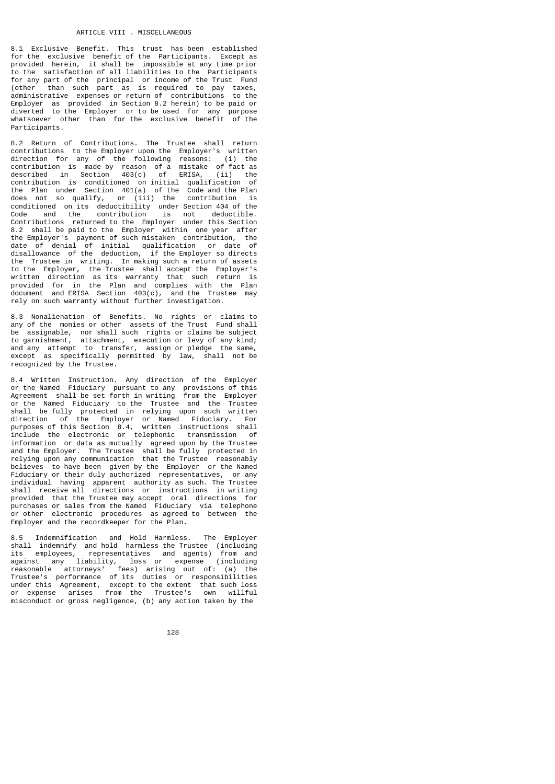8.1 Exclusive Benefit. This trust has been established for the exclusive benefit of the Participants. Except as provided herein, it shall be impossible at any time prior to the satisfaction of all liabilities to the Participants for any part of the principal or income of the Trust Fund (other than such part as is required to pay taxes, administrative expenses or return of contributions to the Employer as provided in Section 8.2 herein) to be paid or diverted to the Employer or to be used for any purpose whatsoever other than for the exclusive benefit of the Participants.

8.2 Return of Contributions. The Trustee shall return contributions to the Employer upon the Employer's written<br>direction for any of the following reasons: (i) the direction for any of the following reasons: contribution is made by reason of a mistake of fact as described in Section 403(c) of ERISA, (ii) the contribution is conditioned on initial qualification of the Plan under Section 401(a) of the Code and the Plan<br>does not so qualify, or (iii) the contribution is does not so qualify, or  $(iii)$  the conditioned on its deductibility under Section 404 of the Code and the contribution is not deductible. Contributions returned to the Employer under this Section 8.2 shall be paid to the Employer within one year after the Employer's payment of such mistaken contribution, the date of denial of initial qualification or date of disallowance of the deduction, if the Employer so directs the Trustee in writing. In making such a return of assets to the Employer, the Trustee shall accept the Employer's written direction as its warranty that such return is provided for in the Plan and complies with the Plan document and ERISA Section 403(c), and the Trustee may rely on such warranty without further investigation.

8.3 Nonalienation of Benefits. No rights or claims to any of the monies or other assets of the Trust Fund shall be assignable, nor shall such rights or claims be subject to garnishment, attachment, execution or levy of any kind; and any attempt to transfer, assign or pledge the same, except as specifically permitted by law, shall not be recognized by the Trustee.

8.4 Written Instruction. Any direction of the Employer or the Named Fiduciary pursuant to any provisions of this Agreement shall be set forth in writing from the Employer or the Named Fiduciary to the Trustee and the Trustee shall be fully protected in relying upon such written direction of the Employer or Named Fiduciary. For purposes of this Section 8.4, written instructions shall include the electronic or telephonic transmission of information or data as mutually agreed upon by the Trustee and the Employer. The Trustee shall be fully protected in relying upon any communication that the Trustee reasonably believes to have been given by the Employer or the Named Fiduciary or their duly authorized representatives, or any individual having apparent authority as such. The Trustee shall receive all directions or instructions in writing provided that the Trustee may accept oral directions for purchases or sales from the Named Fiduciary via telephone or other electronic procedures as agreed to between the Employer and the recordkeeper for the Plan.

8.5 Indemnification and Hold Harmless. The Employer shall indemnify and hold harmless the Trustee (including<br>its employees, representatives and agents) from and employees, representatives and agents)<br>st any liability, loss or expense against any liability, loss or expense (including reasonable attorneys' fees) arising out of: (a) the Trustee's performance of its duties or responsibilities under this Agreement, except to the extent that such loss or expense arises from the Trustee's own willful misconduct or gross negligence, (b) any action taken by the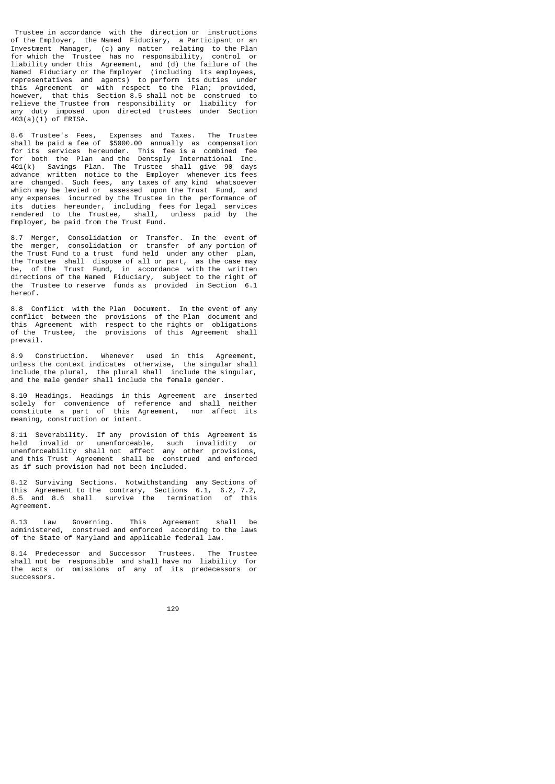Trustee in accordance with the direction or instructions of the Employer, the Named Fiduciary, a Participant or an Investment Manager, (c) any matter relating to the Plan for which the Trustee has no responsibility, control or liability under this Agreement, and (d) the failure of the Named Fiduciary or the Employer (including its employees, representatives and agents) to perform its duties under this Agreement or with respect to the Plan; provided, however, that this Section 8.5 shall not be construed to relieve the Trustee from responsibility or liability for any duty imposed upon directed trustees under Section 403(a)(1) of ERISA.

8.6 Trustee's Fees, Expenses and Taxes. The Trustee shall be paid a fee of \$5000.00 annually as compensation for its services hereunder. This fee is a combined fee for both the Plan and the Dentsply International Inc. 401(k) Savings Plan. The Trustee shall give 90 days advance written notice to the Employer whenever its fees are changed. Such fees, any taxes of any kind whatsoever which may be levied or assessed upon the Trust Fund, and any expenses incurred by the Trustee in the performance of its duties hereunder, including fees for legal services rendered to the Trustee, shall, unless paid by the Employer, be paid from the Trust Fund.

8.7 Merger, Consolidation or Transfer. In the event of the merger, consolidation or transfer of any portion of the Trust Fund to a trust fund held under any other plan, the Trustee shall dispose of all or part, as the case may be, of the Trust Fund, in accordance with the written directions of the Named Fiduciary, subject to the right of the Trustee to reserve funds as provided in Section 6.1 hereof.

8.8 Conflict with the Plan Document. In the event of any conflict between the provisions of the Plan document and this Agreement with respect to the rights or obligations of the Trustee, the provisions of this Agreement shall prevail.

8.9 Construction. Whenever used in this Agreement, unless the context indicates otherwise, the singular shall include the plural, the plural shall include the singular, and the male gender shall include the female gender.

8.10 Headings. Headings in this Agreement are inserted solely for convenience of reference and shall neither constitute a part of this Agreement, nor affect its meaning, construction or intent.

8.11 Severability. If any provision of this Agreement is held invalid or unenforceable, such invalidity or unenforceability shall not affect any other provisions, and this Trust Agreement shall be construed and enforced as if such provision had not been included.

8.12 Surviving Sections. Notwithstanding any Sections of this Agreement to the contrary, Sections 6.1, 6.2, 7.2, 8.5 and 8.6 shall survive the termination of this Agreement.

8.13 Law Governing. This Agreement shall be administered, construed and enforced according to the laws of the State of Maryland and applicable federal law.

8.14 Predecessor and Successor Trustees. The Trustee shall not be responsible and shall have no liability for the acts or omissions of any of its predecessors or successors.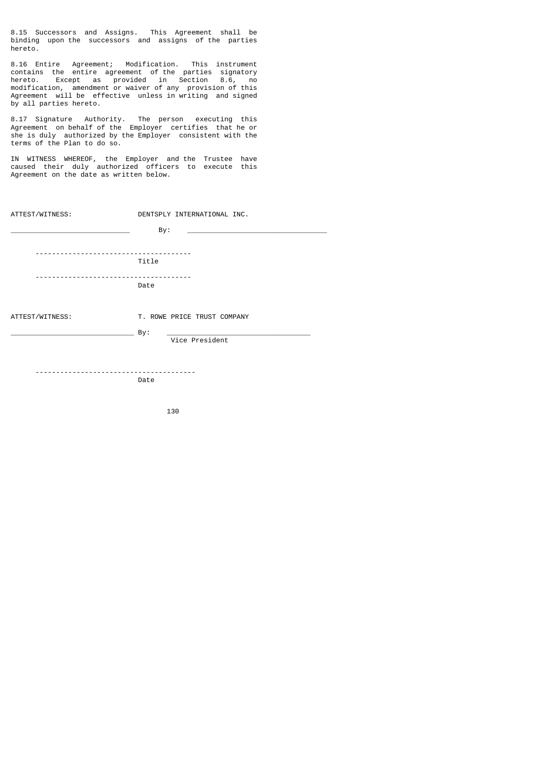8.15 Successors and Assigns. This Agreement shall be binding upon the successors and assigns of the parties hereto.

8.16 Entire Agreement; Modification. This instrument contains the entire agreement of the parties signatory hereto. Except as provided in Section 8.6, no modification, amendment or waiver of any provision of this Agreement will be effective unless in writing and signed by all parties hereto.

8.17 Signature Authority. The person executing this Agreement on behalf of the Employer certifies that he or she is duly authorized by the Employer consistent with the terms of the Plan to do so.

IN WITNESS WHEREOF, the Employer and the Trustee have caused their duly authorized officers to execute this Agreement on the date as written below.

| ATTEST/WITNESS:                       |       | DENTSPLY INTERNATIONAL INC. |                                                                                           |
|---------------------------------------|-------|-----------------------------|-------------------------------------------------------------------------------------------|
|                                       |       | By:                         | the control of the control of the control of the control of the control of the control of |
|                                       |       |                             |                                                                                           |
|                                       | Title |                             |                                                                                           |
| ------------------------------------- | Date  |                             |                                                                                           |
| ATTEST/WITNESS:                       |       | T. ROWE PRICE TRUST COMPANY |                                                                                           |
|                                       | _ By: |                             |                                                                                           |
|                                       |       | Vice President              |                                                                                           |
|                                       |       |                             |                                                                                           |
|                                       | Date  |                             |                                                                                           |
|                                       |       |                             |                                                                                           |

130 and 130 and 130 and 130 and 130 and 130 and 130 and 130 and 130 and 130 and 130 and 130 and 130 and 130 an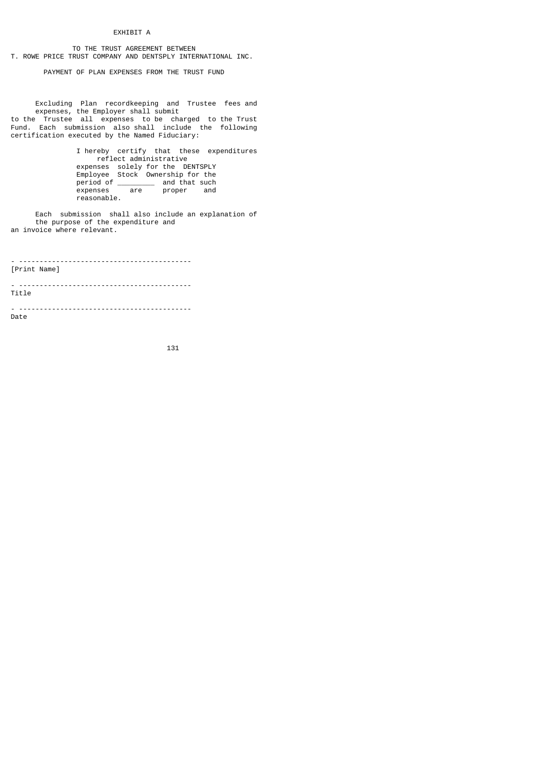# EXHIBIT A

 TO THE TRUST AGREEMENT BETWEEN T. ROWE PRICE TRUST COMPANY AND DENTSPLY INTERNATIONAL INC.

PAYMENT OF PLAN EXPENSES FROM THE TRUST FUND

 Excluding Plan recordkeeping and Trustee fees and expenses, the Employer shall submit to the Trustee all expenses to be charged to the Trust Fund. Each submission also shall include the following certification executed by the Named Fiduciary:

 I hereby certify that these expenditures reflect administrative expenses solely for the DENTSPLY Employee Stock Ownership for the period of \_\_\_\_\_\_\_\_\_\_ and that such expenses are proper and reasonable.

 Each submission shall also include an explanation of the purpose of the expenditure and an invoice where relevant.

- ------------------------------------------ [Print Name]

- ------------------------------------------ Title

- ------------------------------------------ Date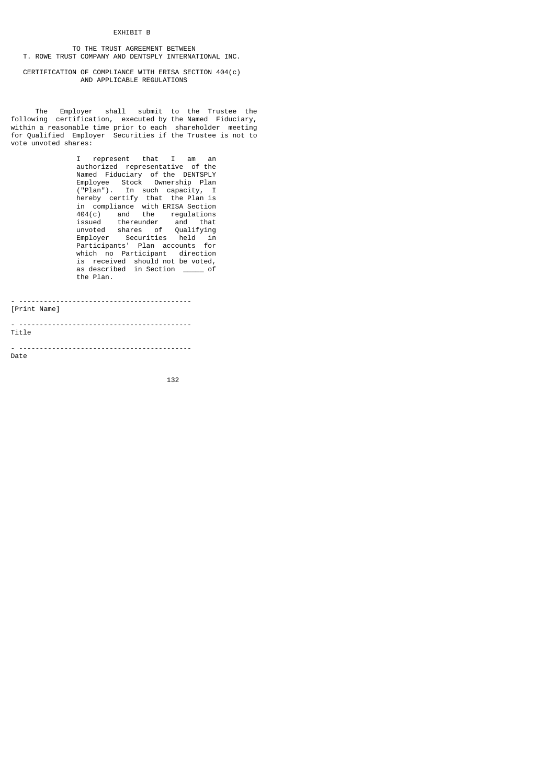#### EXHIBIT B

 TO THE TRUST AGREEMENT BETWEEN T. ROWE TRUST COMPANY AND DENTSPLY INTERNATIONAL INC.

# CERTIFICATION OF COMPLIANCE WITH ERISA SECTION 404(c) AND APPLICABLE REGULATIONS

 The Employer shall submit to the Trustee the following certification, executed by the Named Fiduciary, within a reasonable time prior to each shareholder meeting for Qualified Employer Securities if the Trustee is not to vote unvoted shares:

 I represent that I am an authorized representative of the Named Fiduciary of the DENTSPLY Employee Stock Ownership Plan ("Plan"). In such capacity, I hereby certify that the Plan is in compliance with ERISA Section 404(c) and the regulations issued thereunder and that unvoted shares of Qualifying Employer Securities held in Participants' Plan accounts for which no Participant direction is received should not be voted, as described in Section \_\_\_\_\_ of the Plan.

| [Print Name] |
|--------------|
| Title        |
| Date         |

<u>132 and 200 and 200 and 200 and 200 and 200 and 200 and 200 and 200 and 200 and 200 and 200 and 200 and 200 and 200 and 200 and 200 and 200 and 200 and 200 and 200 and 200 and 200 and 200 and 200 and 200 and 200 and 200 a</u>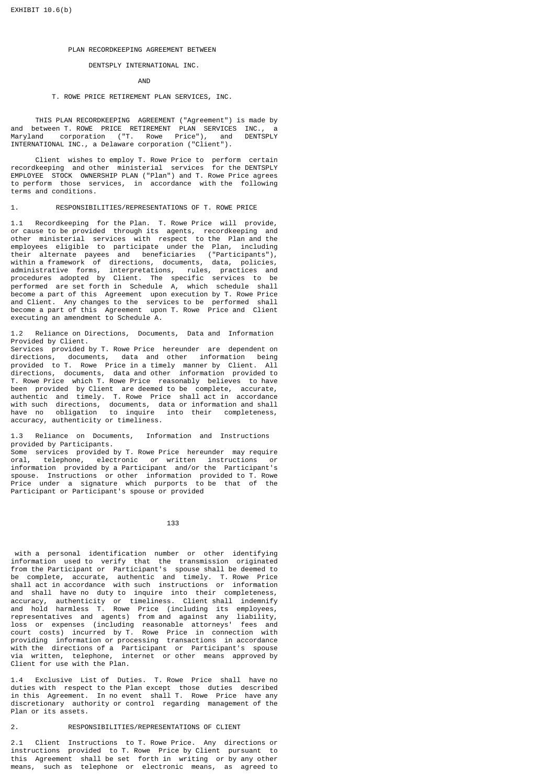#### PLAN RECORDKEEPING AGREEMENT BETWEEN

# DENTSPLY INTERNATIONAL INC.

AND

# T. ROWE PRICE RETIREMENT PLAN SERVICES, INC.

 THIS PLAN RECORDKEEPING AGREEMENT ("Agreement") is made by and between T. ROWE PRICE RETIREMENT PLAN SERVICES INC., a Maryland corporation ("T. Rowe Price"), and DENTSPLY INTERNATIONAL INC., a Delaware corporation ("Client").

 Client wishes to employ T. Rowe Price to perform certain recordkeeping and other ministerial services for the DENTSPLY EMPLOYEE STOCK OWNERSHIP PLAN ("Plan") and T. Rowe Price agrees to perform those services, in accordance with the following terms and conditions.

1. RESPONSIBILITIES/REPRESENTATIONS OF T. ROWE PRICE

1.1 Recordkeeping for the Plan. T. Rowe Price will provide, or cause to be provided through its agents, recordkeeping and other ministerial services with respect to the Plan and the employees eligible to participate under the Plan, including their alternate payees and beneficiaries ("Participants"), within a framework of directions, documents, data, policies, administrative forms, interpretations, rules, practices and procedures adopted by Client. The specific services to be performed are set forth in Schedule A, which schedule shall become a part of this Agreement upon execution by T. Rowe Price and Client. Any changes to the services to be performed shall become a part of this Agreement upon T. Rowe Price and Client executing an amendment to Schedule A.

1.2 Reliance on Directions, Documents, Data and Information Provided by Client.

Services provided by T. Rowe Price hereunder are dependent on directions, documents, data and other information being provided to T. Rowe Price in a timely manner by Client. All directions, documents, data and other information provided to T. Rowe Price which T. Rowe Price reasonably believes to have been provided by Client are deemed to be complete, accurate, authentic and timely. T. Rowe Price shall act in accordance with such directions, documents, data or information and shall have no obligation to inquire into their completeness, accuracy, authenticity or timeliness.

1.3 Reliance on Documents, Information and Instructions provided by Participants.

Some services provided by T. Rowe Price hereunder may require<br>oral. telephone. electronic or written instructions or telephone, electronic or written instructions information provided by a Participant and/or the Participant's spouse. Instructions or other information provided to T. Rowe Price under a signature which purports to be that of the Participant or Participant's spouse or provided

133

 with a personal identification number or other identifying information used to verify that the transmission originated from the Participant or Participant's spouse shall be deemed to be complete, accurate, authentic and timely. T. Rowe Price shall act in accordance with such instructions or information and shall have no duty to inquire into their completeness, accuracy, authenticity or timeliness. Client shall indemnify and hold harmless T. Rowe Price (including its employees, representatives and agents) from and against any liability, loss or expenses (including reasonable attorneys' fees and court costs) incurred by T. Rowe Price in connection with providing information or processing transactions in accordance with the directions of a Participant or Participant's spouse via written, telephone, internet or other means approved by Client for use with the Plan.

1.4 Exclusive List of Duties. T. Rowe Price shall have no duties with respect to the Plan except those duties described in this Agreement. In no event shall T. Rowe Price have any discretionary authority or control regarding management of the Plan or its assets.

# 2. RESPONSIBILITIES/REPRESENTATIONS OF CLIENT

2.1 Client Instructions to T. Rowe Price. Any directions or instructions provided to T. Rowe Price by Client pursuant to this Agreement shall be set forth in writing or by any other means, such as telephone or electronic means, as agreed to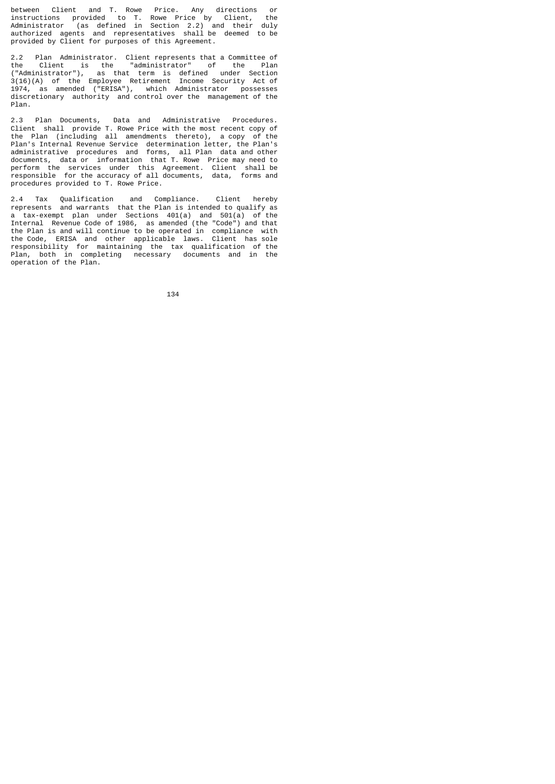between Client and T. Rowe Price. Any directions or instructions provided to T. Rowe Price by Client, the Administrator (as defined in Section 2.2) and their duly authorized agents and representatives shall be deemed to be provided by Client for purposes of this Agreement.

2.2 Plan Administrator. Client represents that a Committee of the Client is the "administrator" of the Plan ("Administrator"), as that term is defined under Section 3(16)(A) of the Employee Retirement Income Security Act of 1974, as amended ("ERISA"), which Administrator possesses discretionary authority and control over the management of the Plan.

2.3 Plan Documents, Data and Administrative Procedures. Client shall provide T. Rowe Price with the most recent copy of the Plan (including all amendments thereto), a copy of the Plan's Internal Revenue Service determination letter, the Plan's administrative procedures and forms, all Plan data and other documents, data or information that T. Rowe Price may need to perform the services under this Agreement. Client shall be responsible for the accuracy of all documents, data, forms and procedures provided to T. Rowe Price.

2.4 Tax Qualification and Compliance. Client hereby represents and warrants that the Plan is intended to qualify as a tax-exempt plan under Sections 401(a) and 501(a) of the Internal Revenue Code of 1986, as amended (the "Code") and that the Plan is and will continue to be operated in compliance with the Code, ERISA and other applicable laws. Client has sole responsibility for maintaining the tax qualification of the Plan, both in completing necessary documents and in the operation of the Plan.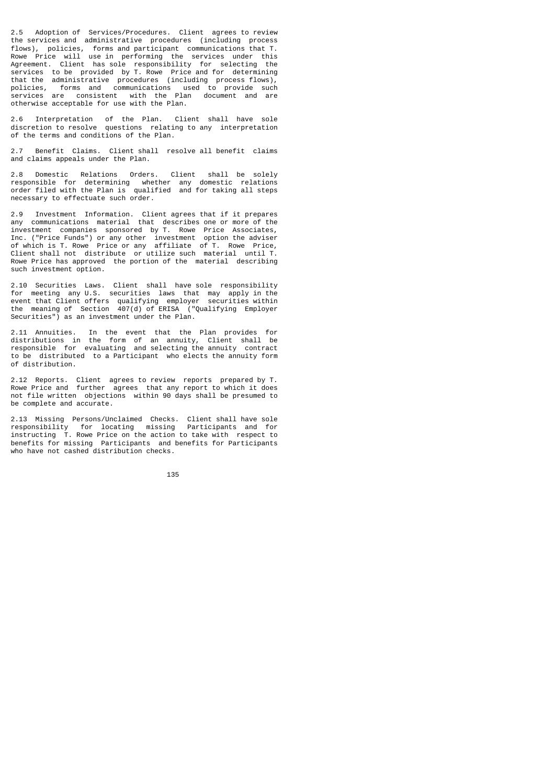2.5 Adoption of Services/Procedures. Client agrees to review the services and administrative procedures (including process flows), policies, forms and participant communications that T. Rowe Price will use in performing the services under this Agreement. Client has sole responsibility for selecting the services to be provided by T. Rowe Price and for determining that the administrative procedures (including process flows), policies, forms and communications used to provide such services are consistent with the Plan document and are otherwise acceptable for use with the Plan.

2.6 Interpretation of the Plan. Client shall have sole discretion to resolve questions relating to any interpretation of the terms and conditions of the Plan.

2.7 Benefit Claims. Client shall resolve all benefit claims and claims appeals under the Plan.

2.8 Domestic Relations Orders. Client shall be solely responsible for determining whether any domestic relations order filed with the Plan is qualified and for taking all steps necessary to effectuate such order.

2.9 Investment Information. Client agrees that if it prepares any communications material that describes one or more of the investment companies sponsored by T. Rowe Price Associates, Inc. ("Price Funds") or any other investment option the adviser of which is T. Rowe Price or any affiliate of T. Rowe Price, Client shall not distribute or utilize such material until T. Rowe Price has approved the portion of the material describing such investment option.

2.10 Securities Laws. Client shall have sole responsibility for meeting any U.S. securities laws that may apply in the event that Client offers qualifying employer securities within the meaning of Section 407(d) of ERISA ("Qualifying Employer Securities") as an investment under the Plan.

2.11 Annuities. In the event that the Plan provides for distributions in the form of an annuity, Client shall be responsible for evaluating and selecting the annuity contract to be distributed to a Participant who elects the annuity form of distribution.

2.12 Reports. Client agrees to review reports prepared by T. Rowe Price and further agrees that any report to which it does not file written objections within 90 days shall be presumed to be complete and accurate.

2.13 Missing Persons/Unclaimed Checks. Client shall have sole responsibility for locating missing Participants and for instructing T. Rowe Price on the action to take with respect to benefits for missing Participants and benefits for Participants who have not cashed distribution checks.

<u>135 - Johann Barbara, martx</u>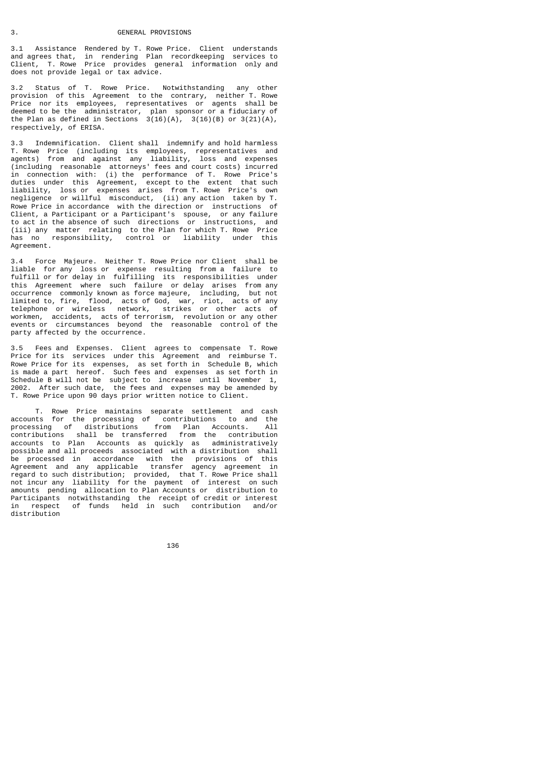3.1 Assistance Rendered by T. Rowe Price. Client understands and agrees that, in rendering Plan recordkeeping services to Client, T. Rowe Price provides general information only and does not provide legal or tax advice.

3.2 Status of T. Rowe Price. Notwithstanding any other provision of this Agreement to the contrary, neither T. Rowe Price nor its employees, representatives or agents shall be deemed to be the administrator, plan sponsor or a fiduciary of the Plan as defined in Sections  $3(16)(A)$ ,  $3(16)(B)$  or  $3(21)(A)$ , respectively, of ERISA.

3.3 Indemnification. Client shall indemnify and hold harmless T. Rowe Price (including its employees, representatives and agents) from and against any liability, loss and expenses (including reasonable attorneys' fees and court costs) incurred in connection with: (i) the performance of T. Rowe Price's duties under this Agreement, except to the extent that such liability, loss or expenses arises from T. Rowe Price's own negligence or willful misconduct, (ii) any action taken by T. Rowe Price in accordance with the direction or instructions of Client, a Participant or a Participant's spouse, or any failure to act in the absence of such directions or instructions, and (iii) any matter relating to the Plan for which T. Rowe Price has no responsibility, control or liability under this Agreement.

3.4 Force Majeure. Neither T. Rowe Price nor Client shall be liable for any loss or expense resulting from a failure to fulfill or for delay in fulfilling its responsibilities under this Agreement where such failure or delay arises from any occurrence commonly known as force majeure, including, but not limited to, fire, flood, acts of God, war, riot, acts of any telephone or wireless network, strikes or other acts of workmen, accidents, acts of terrorism, revolution or any other events or circumstances beyond the reasonable control of the party affected by the occurrence.

3.5 Fees and Expenses. Client agrees to compensate T. Rowe Price for its services under this Agreement and reimburse T. Rowe Price for its expenses, as set forth in Schedule B, which is made a part hereof. Such fees and expenses as set forth in Schedule B will not be subject to increase until November 1, 2002. After such date, the fees and expenses may be amended by T. Rowe Price upon 90 days prior written notice to Client.

 T. Rowe Price maintains separate settlement and cash accounts for the processing of contributions to and the processing of distributions from Plan Accounts. All contributions shall be transferred from the contribution accounts to Plan Accounts as quickly as administratively possible and all proceeds associated with a distribution shall be processed in accordance with the provisions of this Agreement and any applicable transfer agency agreement in regard to such distribution; provided, that T. Rowe Price shall not incur any liability for the payment of interest on such amounts pending allocation to Plan Accounts or distribution to Participants notwithstanding the receipt of credit or interest in respect of funds held in such contribution and/or distribution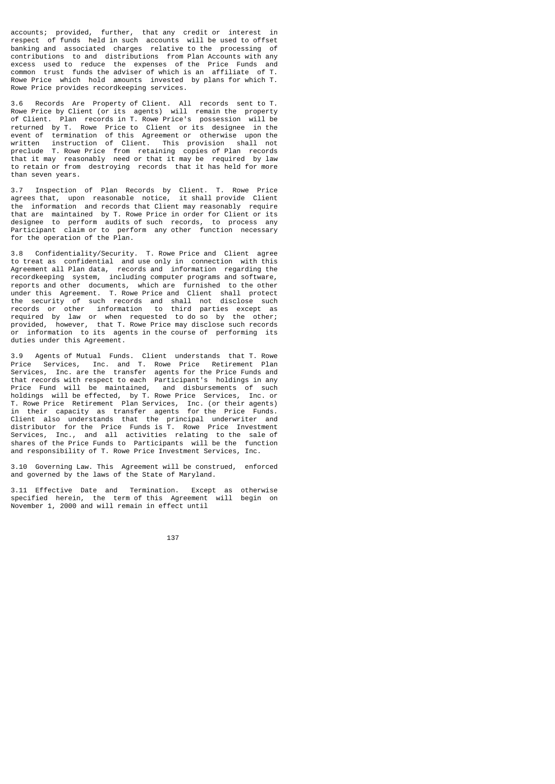accounts; provided, further, that any credit or interest in respect of funds held in such accounts will be used to offset banking and associated charges relative to the processing of contributions to and distributions from Plan Accounts with any excess used to reduce the expenses of the Price Funds and common trust funds the adviser of which is an affiliate of T. Rowe Price which hold amounts invested by plans for which T. Rowe Price provides recordkeeping services.

3.6 Records Are Property of Client. All records sent to T. Rowe Price by Client (or its agents) will remain the property of Client. Plan records in T. Rowe Price's possession will be returned by T. Rowe Price to Client or its designee in the event of termination of this Agreement or otherwise upon the written instruction of Client. This provision shall not preclude T. Rowe Price from retaining copies of Plan records that it may reasonably need or that it may be required by law to retain or from destroying records that it has held for more than seven years.

3.7 Inspection of Plan Records by Client. T. Rowe Price agrees that, upon reasonable notice, it shall provide Client the information and records that Client may reasonably require that are maintained by T. Rowe Price in order for Client or its designee to perform audits of such records, to process any Participant claim or to perform any other function necessary for the operation of the Plan.

3.8 Confidentiality/Security. T. Rowe Price and Client agree to treat as confidential and use only in connection with this Agreement all Plan data, records and information regarding the recordkeeping system, including computer programs and software, reports and other documents, which are furnished to the other under this Agreement. T. Rowe Price and Client shall protect the security of such records and shall not disclose such records or other information to third parties except as required by law or when requested to do so by the other; provided, however, that T. Rowe Price may disclose such records or information to its agents in the course of performing its duties under this Agreement.

3.9 Agents of Mutual Funds. Client understands that T. Rowe Price Services, Inc. and T. Rowe Price Retirement Plan Services, Inc. are the transfer agents for the Price Funds and that records with respect to each Participant's holdings in any Price Fund will be maintained, and disbursements of such holdings will be effected, by T. Rowe Price Services, Inc. or T. Rowe Price Retirement Plan Services, Inc. (or their agents) in their capacity as transfer agents for the Price Funds. Client also understands that the principal underwriter and distributor for the Price Funds is T. Rowe Price Investment Services, Inc., and all activities relating to the sale of shares of the Price Funds to Participants will be the function and responsibility of T. Rowe Price Investment Services, Inc.

3.10 Governing Law. This Agreement will be construed, enforced and governed by the laws of the State of Maryland.

3.11 Effective Date and Termination. Except as otherwise specified herein, the term of this Agreement will begin on November 1, 2000 and will remain in effect until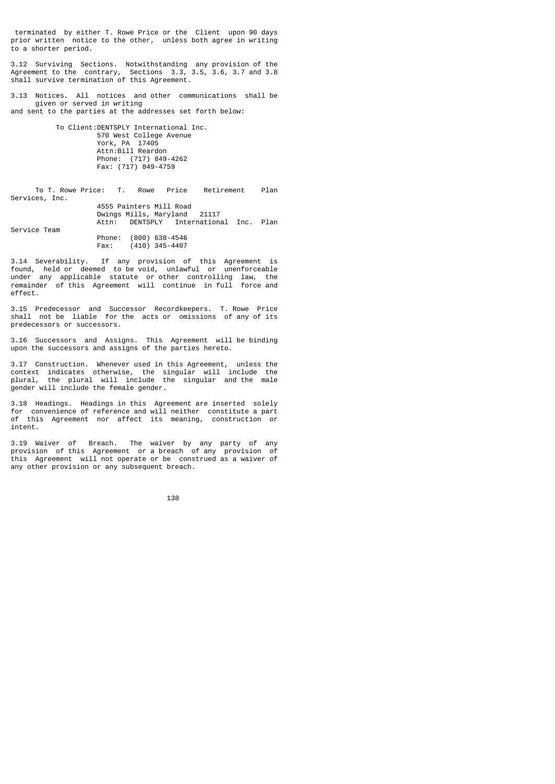terminated by either T. Rowe Price or the Client upon 90 days prior written notice to the other, unless both agree in writing to a shorter period.

3.12 Surviving Sections. Notwithstanding any provision of the Agreement to the contrary, Sections 3.3, 3.5, 3.6, 3.7 and 3.8 shall survive termination of this Agreement.

3.13 Notices. All notices and other communications shall be given or served in writing and sent to the parties at the addresses set forth below:

 To Client:DENTSPLY International Inc. 570 West College Avenue York, PA 17405 Attn:Bill Reardon Phone: (717) 849-4262 Fax: (717) 849-4759

 To T. Rowe Price: T. Rowe Price Retirement Plan Services, Inc. 4555 Painters Mill Road Owings Mills, Maryland 21117 Attn: DENTSPLY International Inc. Plan Service Team Phone: (800) 638-4546 Fax: (410) 345-4407

3.14 Severability. If any provision of this Agreement is found, held or deemed to be void, unlawful or unenforceable under any applicable statute or other controlling law, the remainder of this Agreement will continue in full force and effect.

3.15 Predecessor and Successor Recordkeepers. T. Rowe Price shall not be liable for the acts or omissions of any of its predecessors or successors.

3.16 Successors and Assigns. This Agreement will be binding upon the successors and assigns of the parties hereto.

3.17 Construction. Whenever used in this Agreement, unless the context indicates otherwise, the singular will include the plural, the plural will include the singular and the male gender will include the female gender.

3.18 Headings. Headings in this Agreement are inserted solely for convenience of reference and will neither constitute a part of this Agreement nor affect its meaning, construction or intent.

3.19 Waiver of Breach. The waiver by any party of any provision of this Agreement or a breach of any provision of this Agreement will not operate or be construed as a waiver of any other provision or any subsequent breach.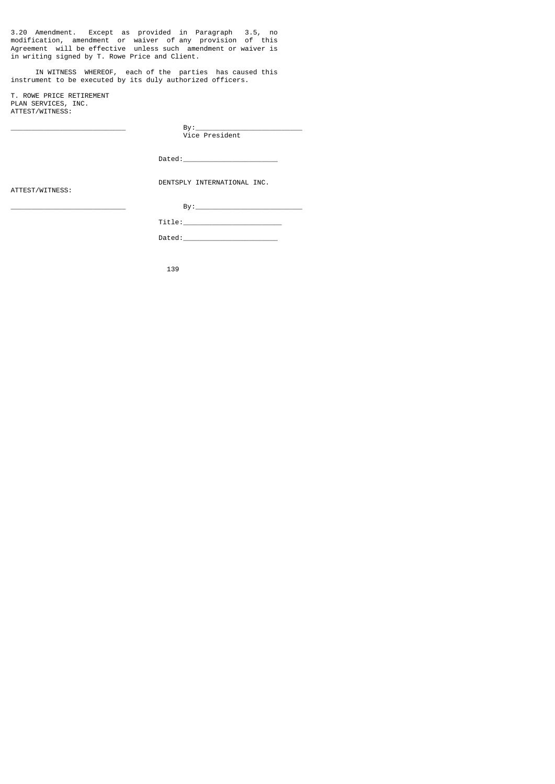3.20 Amendment. Except as provided in Paragraph 3.5, no modification, amendment or waiver of any provision of this Agreement will be effective unless such amendment or waiver is in writing signed by T. Rowe Price and Client.

 IN WITNESS WHEREOF, each of the parties has caused this instrument to be executed by its duly authorized officers.

T. ROWE PRICE RETIREMENT PLAN SERVICES, INC. ATTEST/WITNESS:

\_\_\_\_\_\_\_\_\_\_\_\_\_\_\_\_\_\_\_\_\_\_\_\_\_\_\_\_ By:\_\_\_\_\_\_\_\_\_\_\_\_\_\_\_\_\_\_\_\_\_\_\_\_\_\_ Vice President

 $Dated:$ 

ATTEST/WITNESS:

DENTSPLY INTERNATIONAL INC.

\_\_\_\_\_\_\_\_\_\_\_\_\_\_\_\_\_\_\_\_\_\_\_\_\_\_\_\_ By:\_\_\_\_\_\_\_\_\_\_\_\_\_\_\_\_\_\_\_\_\_\_\_\_\_\_ Title:\_\_\_\_\_\_\_\_\_\_\_\_\_\_\_\_\_\_\_\_\_\_\_\_  $Dated:$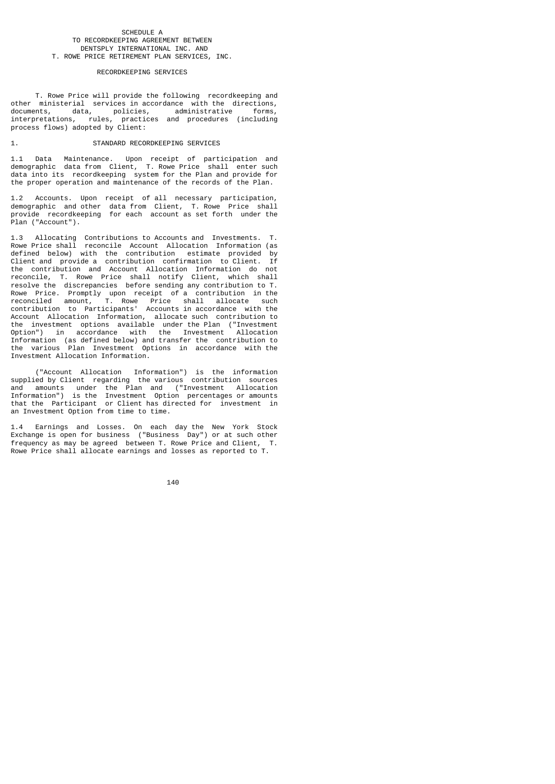#### SCHEDULE A TO RECORDKEEPING AGREEMENT BETWEEN DENTSPLY INTERNATIONAL INC. AND T. ROWE PRICE RETIREMENT PLAN SERVICES, INC.

#### RECORDKEEPING SERVICES

 T. Rowe Price will provide the following recordkeeping and other ministerial services in accordance with the directions, documents, data, policies, administrative forms, interpretations, rules, practices and procedures (including process flows) adopted by Client:

# 1. STANDARD RECORDKEEPING SERVICES

1.1 Data Maintenance. Upon receipt of participation and demographic data from Client, T. Rowe Price shall enter such data into its recordkeeping system for the Plan and provide for the proper operation and maintenance of the records of the Plan.

1.2 Accounts. Upon receipt of all necessary participation, demographic and other data from Client, T. Rowe Price shall provide recordkeeping for each account as set forth under the Plan ("Account").

1.3 Allocating Contributions to Accounts and Investments. T. Rowe Price shall reconcile Account Allocation Information (as defined below) with the contribution estimate provided by Client and provide a contribution confirmation to Client. If the contribution and Account Allocation Information do not reconcile, T. Rowe Price shall notify Client, which shall resolve the discrepancies before sending any contribution to T. Rowe Price. Promptly upon receipt of a contribution in the reconciled amount, T. Rowe Price shall allocate such contribution to Participants' Accounts in accordance with the Account Allocation Information, allocate such contribution to the investment options available under the Plan ("Investment Option") in accordance with the Investment Allocation Information (as defined below) and transfer the contribution to the various Plan Investment Options in accordance with the Investment Allocation Information.

 ("Account Allocation Information") is the information supplied by Client regarding the various contribution sources and amounts under the Plan and ("Investment Allocation Information") is the Investment Option percentages or amounts that the Participant or Client has directed for investment in an Investment Option from time to time.

1.4 Earnings and Losses. On each day the New York Stock Exchange is open for business ("Business Day") or at such other frequency as may be agreed between T. Rowe Price and Client, T. Rowe Price shall allocate earnings and losses as reported to T.

<u>140</u>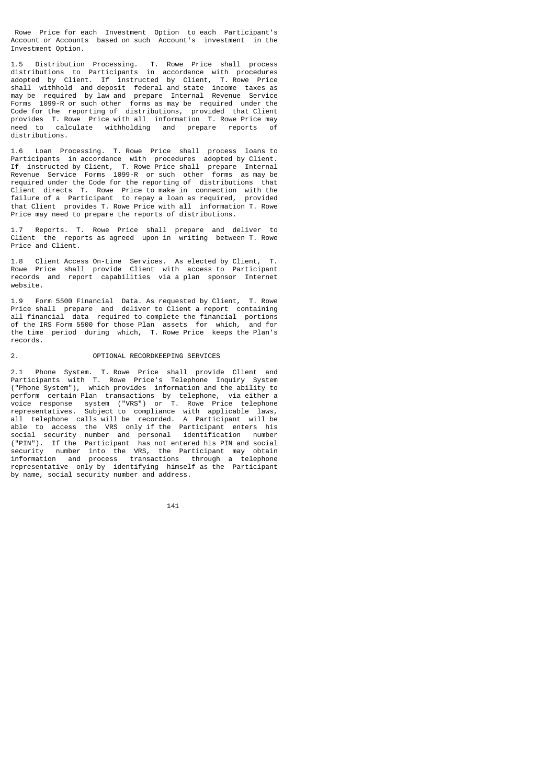Rowe Price for each Investment Option to each Participant's Account or Accounts based on such Account's investment in the Investment Option.

1.5 Distribution Processing. T. Rowe Price shall process distributions to Participants in accordance with procedures adopted by Client. If instructed by Client, T. Rowe Price shall withhold and deposit federal and state income taxes as may be required by law and prepare Internal Revenue Service Forms 1099-R or such other forms as may be required under the Code for the reporting of distributions, provided that Client provides T. Rowe Price with all information T. Rowe Price may need to calculate withholding and prepare reports of distributions.

1.6 Loan Processing. T. Rowe Price shall process loans to Participants in accordance with procedures adopted by Client. If instructed by Client, T. Rowe Price shall prepare Internal Revenue Service Forms 1099-R or such other forms as may be required under the Code for the reporting of distributions that Client directs T. Rowe Price to make in connection with the failure of a Participant to repay a loan as required, provided that Client provides T. Rowe Price with all information T. Rowe Price may need to prepare the reports of distributions.

1.7 Reports. T. Rowe Price shall prepare and deliver to Client the reports as agreed upon in writing between T. Rowe Price and Client.

1.8 Client Access On-Line Services. As elected by Client, T. Rowe Price shall provide Client with access to Participant records and report capabilities via a plan sponsor Internet website.

1.9 Form 5500 Financial Data. As requested by Client, T. Rowe Price shall prepare and deliver to Client a report containing all financial data required to complete the financial portions of the IRS Form 5500 for those Plan assets for which, and for the time period during which, T. Rowe Price keeps the Plan's records.

#### 2. OPTIONAL RECORDKEEPING SERVICES

2.1 Phone System. T. Rowe Price shall provide Client and Participants with T. Rowe Price's Telephone Inquiry System ("Phone System"), which provides information and the ability to perform certain Plan transactions by telephone, via either a voice response system ("VRS") or T. Rowe Price telephone representatives. Subject to compliance with applicable laws, all telephone calls will be recorded. A Participant will be able to access the VRS only if the Participant enters his social security number and personal identification number ("PIN"). If the Participant has not entered his PIN and social security number into the VRS, the Participant may obtain information and process transactions through a telephone representative only by identifying himself as the Participant by name, social security number and address.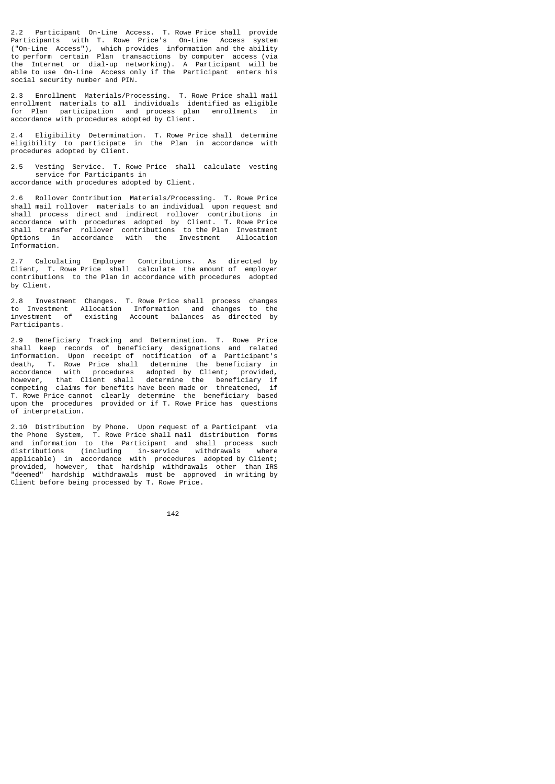2.2 Participant On-Line Access. T. Rowe Price shall provide Participants with T. Rowe Price's On-Line Access system ("On-Line Access"), which provides information and the ability to perform certain Plan transactions by computer access (via the Internet or dial-up networking). A Participant will be able to use On-Line Access only if the Participant enters his social security number and PIN.

2.3 Enrollment Materials/Processing. T. Rowe Price shall mail enrollment materials to all individuals identified as eligible for Plan participation and process plan enrollments in accordance with procedures adopted by Client.

2.4 Eligibility Determination. T. Rowe Price shall determine eligibility to participate in the Plan in accordance with procedures adopted by Client.

2.5 Vesting Service. T. Rowe Price shall calculate vesting service for Participants in accordance with procedures adopted by Client.

2.6 Rollover Contribution Materials/Processing. T. Rowe Price shall mail rollover materials to an individual upon request and shall process direct and indirect rollover contributions in accordance with procedures adopted by Client. T. Rowe Price shall transfer rollover contributions to the Plan Investment Options in accordance with the Investment Allocation Information.

2.7 Calculating Employer Contributions. As directed by Client, T. Rowe Price shall calculate the amount of employer contributions to the Plan in accordance with procedures adopted by Client.

2.8 Investment Changes. T. Rowe Price shall process changes to Investment Allocation Information and changes to the investment of existing Account balances as directed by Participants.

2.9 Beneficiary Tracking and Determination. T. Rowe Price shall keep records of beneficiary designations and related information. Upon receipt of notification of a Participant's death, T. Rowe Price shall determine the beneficiary in accordance with procedures adopted by Client; provided, however, that Client shall determine the beneficiary if competing claims for benefits have been made or threatened, if T. Rowe Price cannot clearly determine the beneficiary based upon the procedures provided or if T. Rowe Price has questions of interpretation.

2.10 Distribution by Phone. Upon request of a Participant via the Phone System, T. Rowe Price shall mail distribution forms and information to the Participant and shall process such distributions (including in-service withdrawals where applicable) in accordance with procedures adopted by Client; provided, however, that hardship withdrawals other than IRS "deemed" hardship withdrawals must be approved in writing by Client before being processed by T. Rowe Price.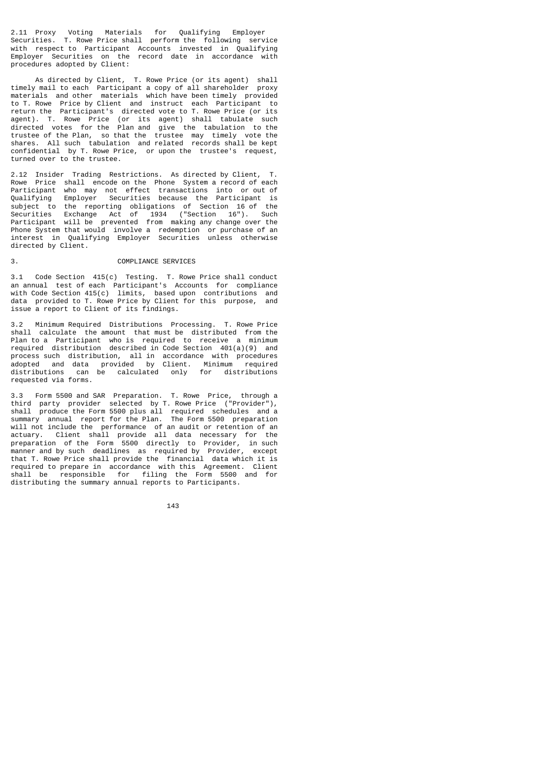2.11 Proxy Voting Materials for Qualifying Employer Securities. T. Rowe Price shall perform the following service with respect to Participant Accounts invested in Qualifying Employer Securities on the record date in accordance with procedures adopted by Client:

As directed by Client, T. Rowe Price (or its agent) shall<br>v mail to each Participant a copy of all shareholder proxy timely mail to each Participant a copy of all shareholder materials and other materials which have been timely provided to T. Rowe Price by Client and instruct each Participant to return the Participant's directed vote to T. Rowe Price (or its agent). T. Rowe Price (or its agent) shall tabulate such directed votes for the Plan and give the tabulation to the trustee of the Plan, so that the trustee may timely vote the shares. All such tabulation and related records shall be kept confidential by T. Rowe Price, or upon the trustee's request, turned over to the trustee.

2.12 Insider Trading Restrictions. As directed by Client, T. Rowe Price shall encode on the Phone System a record of each Participant who may not effect transactions into or out of Qualifying Employer Securities because the Participant is subject to the reporting obligations of Section 16 of the Securities Exchange Act of 1934 ("Section 16"). Such Participant will be prevented from making any change over the Phone System that would involve a redemption or purchase of an interest in Qualifying Employer Securities unless otherwise directed by Client.

# COMPLIANCE SERVICES

3.1 Code Section 415(c) Testing. T. Rowe Price shall conduct an annual test of each Participant's Accounts for compliance with Code Section 415(c) limits, based upon contributions and data provided to T. Rowe Price by Client for this purpose, and issue a report to Client of its findings.

3.2 Minimum Required Distributions Processing. T. Rowe Price shall calculate the amount that must be distributed from the Plan to a Participant who is required to receive a minimum required distribution described in Code Section 401(a)(9) and process such distribution, all in accordance with procedures adopted and data provided by Client. Minimum required distributions can be calculated only for distributions requested via forms.

3.3 Form 5500 and SAR Preparation. T. Rowe Price, through a third party provider selected by T. Rowe Price ("Provider"), shall produce the Form 5500 plus all required schedules and a summary annual report for the Plan. The Form 5500 preparation will not include the performance of an audit or retention of an actuary. Client shall provide all data necessary for the preparation of the Form 5500 directly to Provider, in such manner and by such deadlines as required by Provider, except that T. Rowe Price shall provide the financial data which it is required to prepare in accordance with this Agreement. Client shall be responsible for filing the Form 5500 and for distributing the summary annual reports to Participants.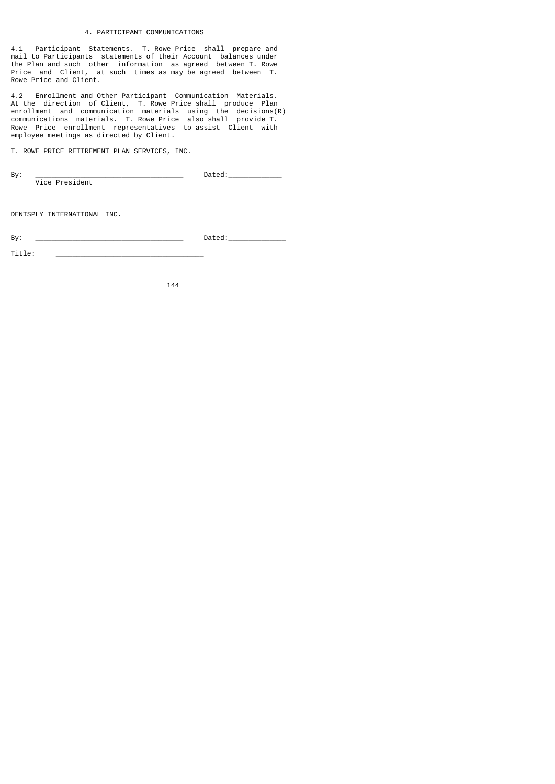# 4. PARTICIPANT COMMUNICATIONS

4.1 Participant Statements. T. Rowe Price shall prepare and mail to Participants statements of their Account balances under the Plan and such other information as agreed between T. Rowe Price and Client, at such times as may be agreed between T. Rowe Price and Client.

4.2 Enrollment and Other Participant Communication Materials. At the direction of Client, T. Rowe Price shall produce Plan enrollment and communication materials using the decisions(R) communications materials. T. Rowe Price also shall provide T. Rowe Price enrollment representatives to assist Client with employee meetings as directed by Client.

T. ROWE PRICE RETIREMENT PLAN SERVICES, INC.

| Bv: |                | ٬۵۸<br>DAT |
|-----|----------------|------------|
|     | Vice President |            |

DENTSPLY INTERNATIONAL INC.

By: \_\_\_\_\_\_\_\_\_\_\_\_\_\_\_\_\_\_\_\_\_\_\_\_\_\_\_\_\_\_\_\_\_\_\_\_ Dated:\_\_\_\_\_\_\_\_\_\_\_\_\_\_

Title: \_\_\_\_\_\_\_\_\_\_\_\_\_\_\_\_\_\_\_\_\_\_\_\_\_\_\_\_\_\_\_\_\_\_\_\_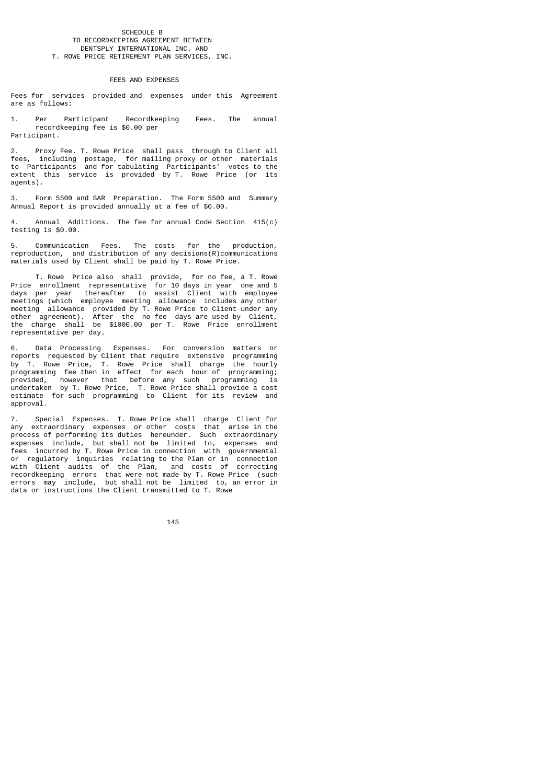#### SCHEDULE B TO RECORDKEEPING AGREEMENT BETWEEN DENTSPLY INTERNATIONAL INC. AND T. ROWE PRICE RETIREMENT PLAN SERVICES, INC.

#### FEES AND EXPENSES

Fees for services provided and expenses under this Agreement are as follows:

Per Participant Recordkeeping Fees. The annual recordkeeping fee is \$0.00 per Participant.

2. Proxy Fee. T. Rowe Price shall pass through to Client all fees, including postage, for mailing proxy or other materials to Participants and for tabulating Participants' votes to the extent this service is provided by T. Rowe Price (or its agents).

3. Form 5500 and SAR Preparation. The Form 5500 and Summary Annual Report is provided annually at a fee of \$0.00.

4. Annual Additions. The fee for annual Code Section 415(c) testing is \$0.00.

5. Communication Fees. The costs for the production, reproduction, and distribution of any decisions(R)communications materials used by Client shall be paid by T. Rowe Price.

 T. Rowe Price also shall provide, for no fee, a T. Rowe Price enrollment representative for 10 days in year one and 5 days per year thereafter to assist Client with employee meetings (which employee meeting allowance includes any other meeting allowance provided by T. Rowe Price to Client under any other agreement). After the no-fee days are used by Client, the charge shall be \$1000.00 per T. Rowe Price enrollment representative per day.

6. Data Processing Expenses. For conversion matters or reports requested by Client that require extensive programming by T. Rowe Price, T. Rowe Price shall charge the hourly programming fee then in effect for each hour of programming; provided, however that before any such programming is undertaken by T. Rowe Price, T. Rowe Price shall provide a cost estimate for such programming to Client for its review and approval.

7. Special Expenses. T. Rowe Price shall charge Client for any extraordinary expenses or other costs that arise in the process of performing its duties hereunder. Such extraordinary expenses include, but shall not be limited to, expenses and fees incurred by T. Rowe Price in connection with governmental or regulatory inquiries relating to the Plan or in connection with Client audits of the Plan, and costs of correcting recordkeeping errors that were not made by T. Rowe Price (such errors may include, but shall not be limited to, an error in data or instructions the Client transmitted to T. Rowe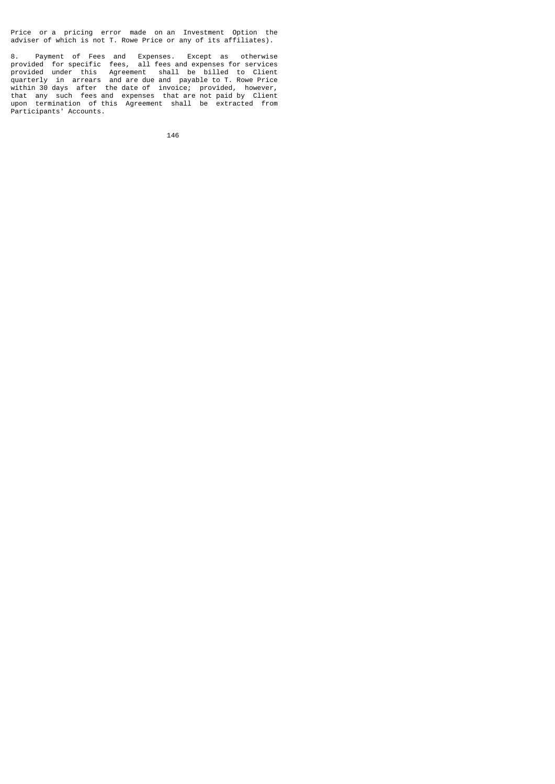Price or a pricing error made on an Investment Option the adviser of which is not T. Rowe Price or any of its affiliates).

8. Payment of Fees and Expenses. Except as otherwise provided for specific fees, all fees and expenses for services provided under this Agreement shall be billed to Client quarterly in arrears and are due and payable to T. Rowe Price within 30 days after the date of invoice; provided, however, that any such fees and expenses that are not paid by Client upon termination of this Agreement shall be extracted from Participants' Accounts.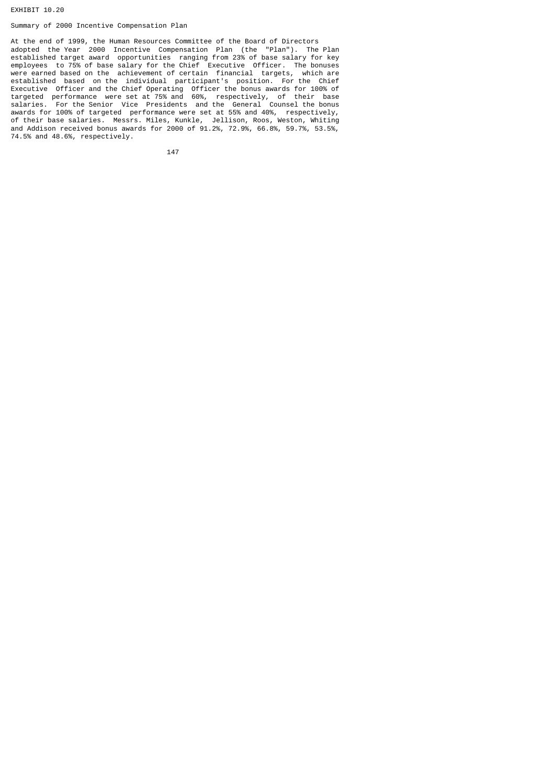EXHIBIT 10.20

# Summary of 2000 Incentive Compensation Plan

At the end of 1999, the Human Resources Committee of the Board of Directors adopted the Year 2000 Incentive Compensation Plan (the "Plan"). The Plan established target award opportunities ranging from 23% of base salary for key employees to 75% of base salary for the Chief Executive Officer. The bonuses were earned based on the achievement of certain financial targets, which are established based on the individual participant's position. For the Chief Executive Officer and the Chief Operating Officer the bonus awards for 100% of targeted performance were set at 75% and 60%, respectively, of their base salaries. For the Senior Vice Presidents and the General Counsel the bonus awards for 100% of targeted performance were set at 55% and 40%, respectively, of their base salaries. Messrs. Miles, Kunkle, Jellison, Roos, Weston, Whiting and Addison received bonus awards for 2000 of 91.2%, 72.9%, 66.8%, 59.7%, 53.5%, 74.5% and 48.6%, respectively.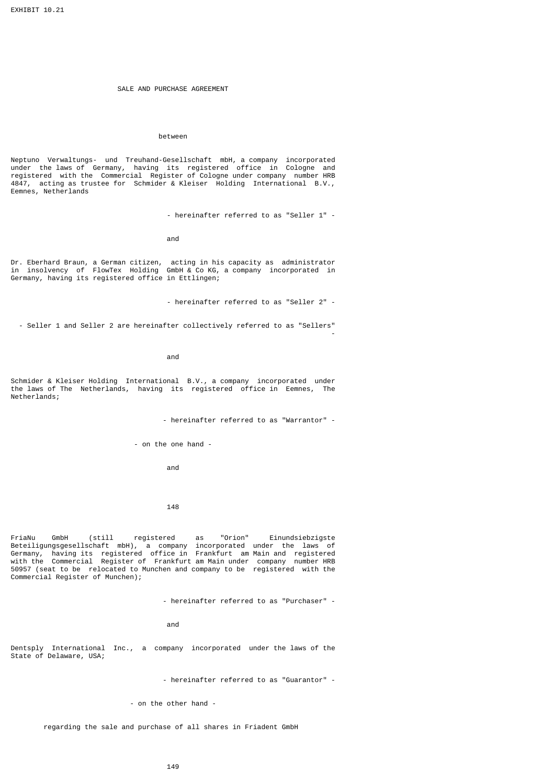## SALE AND PURCHASE AGREEMENT

## between

Neptuno Verwaltungs- und Treuhand-Gesellschaft mbH, a company incorporated under the laws of Germany, having its registered office in Cologne and registered with the Commercial Register of Cologne under company number HRB 4847, acting as trustee for Schmider & Kleiser Holding International B.V., Eemnes, Netherlands

- hereinafter referred to as "Seller 1" -

and

Dr. Eberhard Braun, a German citizen, acting in his capacity as administrator in insolvency of FlowTex Holding GmbH & Co KG, a company incorporated in Germany, having its registered office in Ettlingen;

- hereinafter referred to as "Seller 2" -

 - Seller 1 and Seller 2 are hereinafter collectively referred to as "Sellers" the contract of the contract of the contract of the contract of the contract of the contract of the contract o

and

Schmider & Kleiser Holding International B.V., a company incorporated under the laws of The Netherlands, having its registered office in Eemnes, The Netherlands;

- hereinafter referred to as "Warrantor" -

- on the one hand -

and

148

FriaNu GmbH (still registered as "Orion" Einundsiebzigste Beteiligungsgesellschaft mbH), a company incorporated under the laws of Germany, having its registered office in Frankfurt am Main and registered with the Commercial Register of Frankfurt am Main under company number HRB 50957 (seat to be relocated to Munchen and company to be registered with the Commercial Register of Munchen);

- hereinafter referred to as "Purchaser" -

and

Dentsply International Inc., a company incorporated under the laws of the State of Delaware, USA;

- hereinafter referred to as "Guarantor" -

- on the other hand -

regarding the sale and purchase of all shares in Friadent GmbH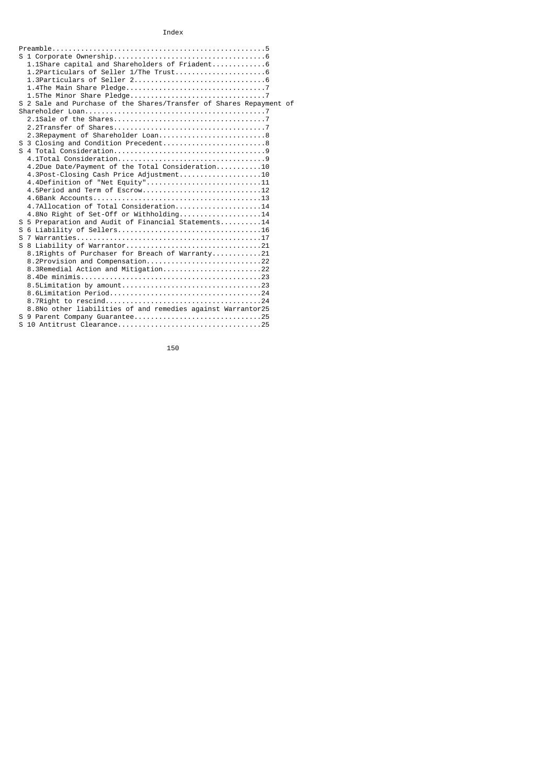# Index

| 1.1Share capital and Shareholders of Friadent 6                     |
|---------------------------------------------------------------------|
|                                                                     |
|                                                                     |
|                                                                     |
|                                                                     |
| S 2 Sale and Purchase of the Shares/Transfer of Shares Repayment of |
|                                                                     |
|                                                                     |
|                                                                     |
|                                                                     |
| 2.3Repayment of Shareholder Loan8                                   |
| S 3 Closing and Condition Precedent8                                |
|                                                                     |
|                                                                     |
| 4.2Due Date/Payment of the Total Consideration10                    |
| 4.3Post-Closing Cash Price Adjustment10                             |
| 4.4Definition of "Net Equity"11                                     |
|                                                                     |
|                                                                     |
| 4.7Allocation of Total Consideration14                              |
| 4.8No Right of Set-Off or Withholding14                             |
| S 5 Preparation and Audit of Financial Statements14                 |
|                                                                     |
|                                                                     |
|                                                                     |
| 8.1Rights of Purchaser for Breach of Warranty21                     |
| 8.2Provision and Compensation22                                     |
|                                                                     |
|                                                                     |
|                                                                     |
|                                                                     |
|                                                                     |
| 8.8No other liabilities of and remedies against Warrantor25         |
| S 9 Parent Company Guarantee25                                      |
|                                                                     |
|                                                                     |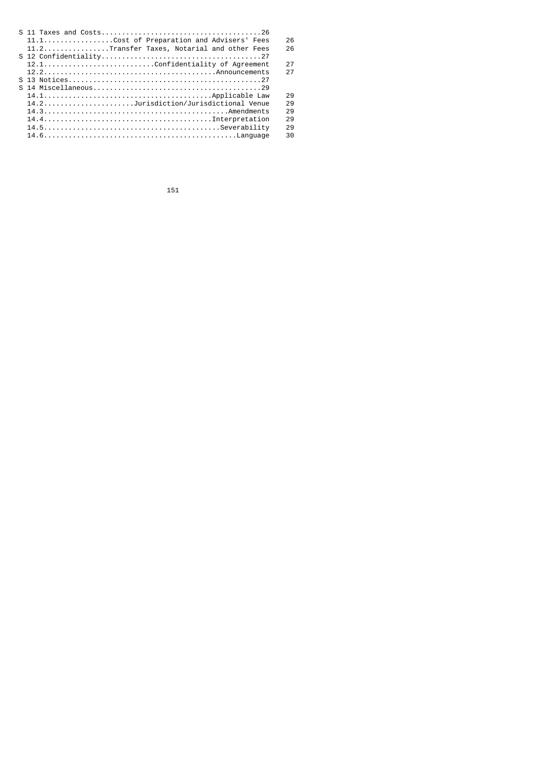| 11.1Cost of Preparation and Advisers' Fees  | 26 |
|---------------------------------------------|----|
| 11.2Transfer Taxes, Notarial and other Fees | 26 |
|                                             |    |
|                                             | 27 |
|                                             | 27 |
|                                             |    |
|                                             |    |
|                                             | 29 |
| 14.2Jurisdiction/Jurisdictional Venue       | 29 |
|                                             | 29 |
|                                             | 29 |
|                                             | 29 |
|                                             | 30 |
|                                             |    |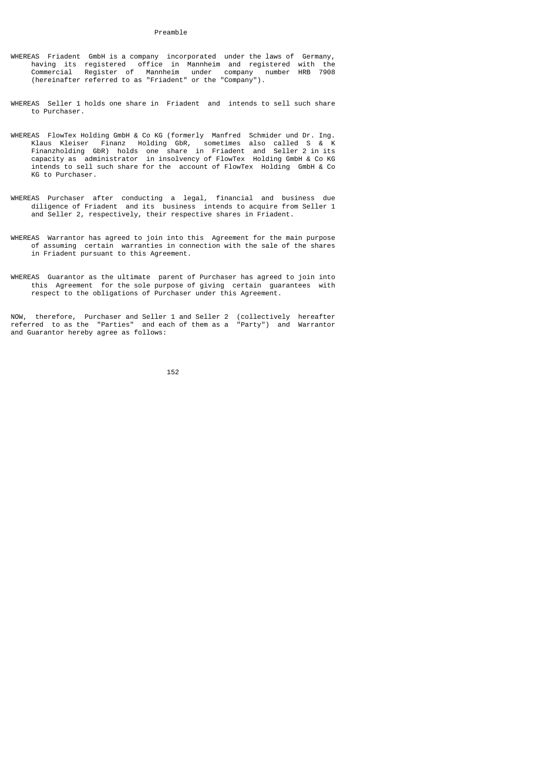- WHEREAS Friadent GmbH is a company incorporated under the laws of Germany, having its registered office in Mannheim and registered with the Commercial Register of Mannheim under company number HRB 7908 (hereinafter referred to as "Friadent" or the "Company").
- WHEREAS Seller 1 holds one share in Friadent and intends to sell such share to Purchaser.
- WHEREAS FlowTex Holding GmbH & Co KG (formerly Manfred Schmider und Dr. Ing. Klaus Kleiser Finanz Holding GbR, sometimes also called S & K Finanzholding GbR) holds one share in Friadent and Seller 2 in its capacity as administrator in insolvency of FlowTex Holding GmbH & Co KG intends to sell such share for the account of FlowTex Holding GmbH & Co KG to Purchaser.
- WHEREAS Purchaser after conducting a legal, financial and business due diligence of Friadent and its business intends to acquire from Seller 1 and Seller 2, respectively, their respective shares in Friadent.
- WHEREAS Warrantor has agreed to join into this Agreement for the main purpose of assuming certain warranties in connection with the sale of the shares in Friadent pursuant to this Agreement.
- WHEREAS Guarantor as the ultimate parent of Purchaser has agreed to join into this Agreement for the sole purpose of giving certain guarantees with respect to the obligations of Purchaser under this Agreement.

NOW, therefore, Purchaser and Seller 1 and Seller 2 (collectively hereafter referred to as the "Parties" and each of them as a "Party") and Warrantor and Guarantor hereby agree as follows: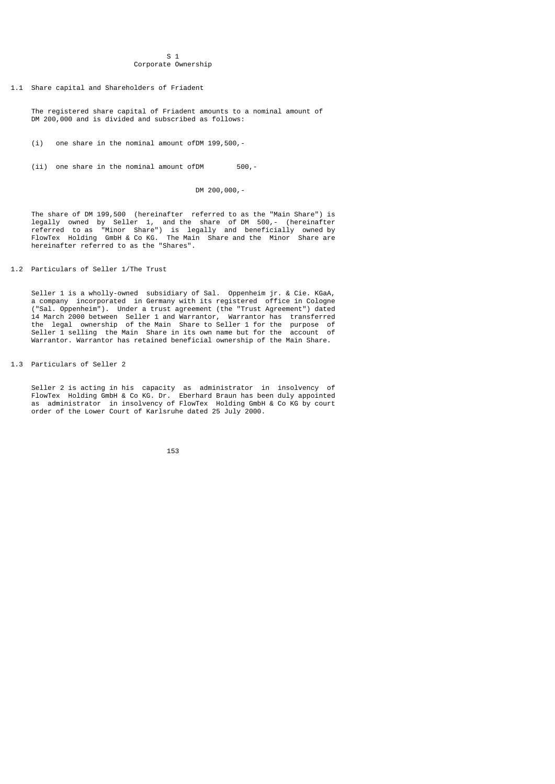### $S<sub>1</sub>$ Corporate Ownership

1.1 Share capital and Shareholders of Friadent

 The registered share capital of Friadent amounts to a nominal amount of DM 200,000 and is divided and subscribed as follows:

(i) one share in the nominal amount ofDM 199,500,-

(ii) one share in the nominal amount ofDM 500,-

DM 200,000,-

 The share of DM 199,500 (hereinafter referred to as the "Main Share") is legally owned by Seller 1, and the share of DM 500,- (hereinafter referred to as "Minor Share") is legally and beneficially owned by FlowTex Holding GmbH & Co KG. The Main Share and the Minor Share are hereinafter referred to as the "Shares".

1.2 Particulars of Seller 1/The Trust

 Seller 1 is a wholly-owned subsidiary of Sal. Oppenheim jr. & Cie. KGaA, a company incorporated in Germany with its registered office in Cologne ("Sal. Oppenheim"). Under a trust agreement (the "Trust Agreement") dated 14 March 2000 between Seller 1 and Warrantor, Warrantor has transferred the legal ownership of the Main Share to Seller 1 for the purpose of Seller 1 selling the Main Share in its own name but for the account of Warrantor. Warrantor has retained beneficial ownership of the Main Share.

1.3 Particulars of Seller 2

 Seller 2 is acting in his capacity as administrator in insolvency of FlowTex Holding GmbH & Co KG. Dr. Eberhard Braun has been duly appointed as administrator in insolvency of FlowTex Holding GmbH & Co KG by court order of the Lower Court of Karlsruhe dated 25 July 2000.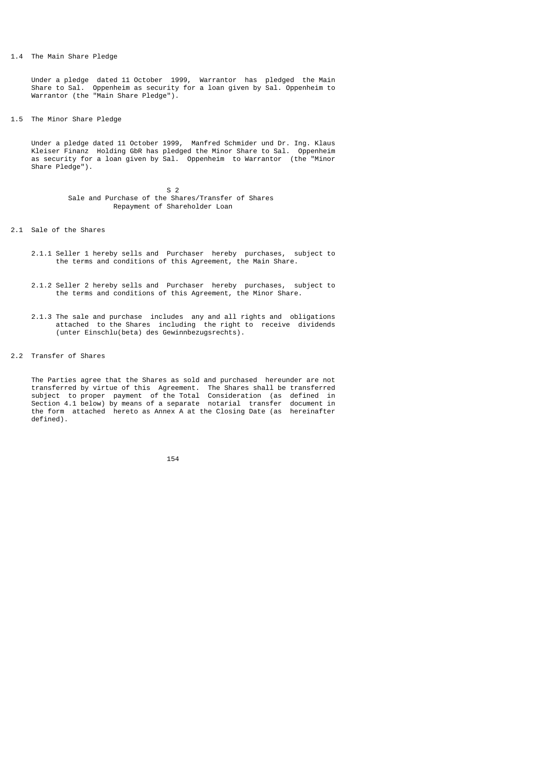### 1.4 The Main Share Pledge

 Under a pledge dated 11 October 1999, Warrantor has pledged the Main Share to Sal. Oppenheim as security for a loan given by Sal. Oppenheim to Warrantor (the "Main Share Pledge").

1.5 The Minor Share Pledge

 Under a pledge dated 11 October 1999, Manfred Schmider und Dr. Ing. Klaus Kleiser Finanz Holding GbR has pledged the Minor Share to Sal. Oppenheim as security for a loan given by Sal. Oppenheim to Warrantor (the "Minor Share Pledge").

 $S<sub>2</sub>$  Sale and Purchase of the Shares/Transfer of Shares Repayment of Shareholder Loan

- 2.1 Sale of the Shares
- 2.1.1 Seller 1 hereby sells and Purchaser hereby purchases, subject to the terms and conditions of this Agreement, the Main Share.
- 2.1.2 Seller 2 hereby sells and Purchaser hereby purchases, subject to the terms and conditions of this Agreement, the Minor Share.
- 2.1.3 The sale and purchase includes any and all rights and obligations attached to the Shares including the right to receive dividends (unter Einschlu(beta) des Gewinnbezugsrechts).
- 2.2 Transfer of Shares

 The Parties agree that the Shares as sold and purchased hereunder are not transferred by virtue of this Agreement. The Shares shall be transferred subject to proper payment of the Total Consideration (as defined in Section 4.1 below) by means of a separate notarial transfer document in the form attached hereto as Annex A at the Closing Date (as hereinafter defined).

<u>154 میں اس کا 154 میں اس کا اعتبار اور اس کا اعتبار اور اس کا اعتبار اور اس کا اعتبار اور اس کا اعتبار اور اس</u>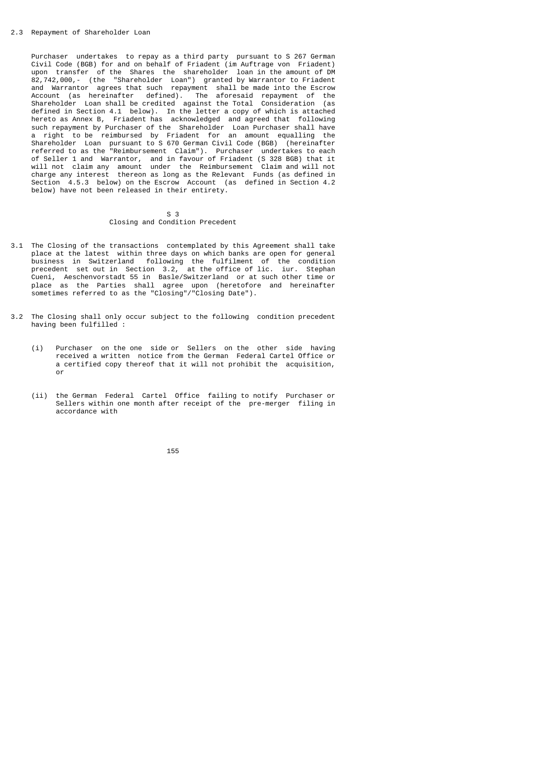Purchaser undertakes to repay as a third party pursuant to S 267 German Civil Code (BGB) for and on behalf of Friadent (im Auftrage von Friadent) upon transfer of the Shares the shareholder loan in the amount of DM 82,742,000,- (the "Shareholder Loan") granted by Warrantor to Friadent and Warrantor agrees that such repayment shall be made into the Escrow Account (as hereinafter defined). The aforesaid repayment of the Shareholder Loan shall be credited against the Total Consideration (as defined in Section 4.1 below). In the letter a copy of which is attached hereto as Annex B, Friadent has acknowledged and agreed that following such repayment by Purchaser of the Shareholder Loan Purchaser shall have a right to be reimbursed by Friadent for an amount equalling the Shareholder Loan pursuant to S 670 German Civil Code (BGB) (hereinafter referred to as the "Reimbursement Claim"). Purchaser undertakes to each of Seller 1 and Warrantor, and in favour of Friadent (S 328 BGB) that it will not claim any amount under the Reimbursement Claim and will not charge any interest thereon as long as the Relevant Funds (as defined in Section 4.5.3 below) on the Escrow Account (as defined in Section 4.2 below) have not been released in their entirety.

#### $S<sub>3</sub>$ Closing and Condition Precedent

- 3.1 The Closing of the transactions contemplated by this Agreement shall take place at the latest within three days on which banks are open for general business in Switzerland following the fulfilment of the condition precedent set out in Section 3.2, at the office of lic. iur. Stephan Cueni, Aeschenvorstadt 55 in Basle/Switzerland or at such other time or place as the Parties shall agree upon (heretofore and hereinafter sometimes referred to as the "Closing"/"Closing Date").
- 3.2 The Closing shall only occur subject to the following condition precedent having been fulfilled :
	- (i) Purchaser on the one side or Sellers on the other side having received a written notice from the German Federal Cartel Office or a certified copy thereof that it will not prohibit the acquisition, or
	- (ii) the German Federal Cartel Office failing to notify Purchaser or Sellers within one month after receipt of the pre-merger filing in accordance with

<u>155 - Andrej Amerikaanse konstantine († 155</u>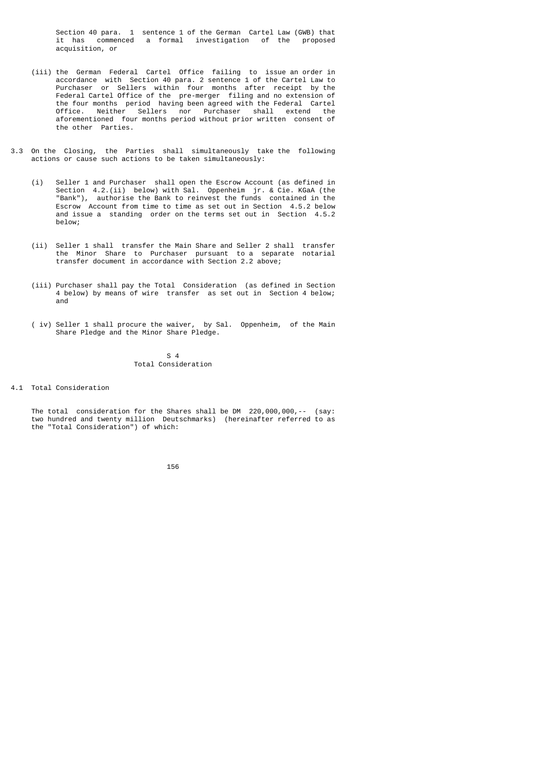Section 40 para. 1 sentence 1 of the German Cartel Law (GWB) that it has commenced a formal investigation of the proposed acquisition, or

- (iii) the German Federal Cartel Office failing to issue an order in accordance with Section 40 para. 2 sentence 1 of the Cartel Law to Purchaser or Sellers within four months after receipt by the Federal Cartel Office of the pre-merger filing and no extension of the four months period having been agreed with the Federal Cartel Office. Neither Sellers nor Purchaser shall extend the aforementioned four months period without prior written consent of the other Parties.
- 3.3 On the Closing, the Parties shall simultaneously take the following actions or cause such actions to be taken simultaneously:
	- (i) Seller 1 and Purchaser shall open the Escrow Account (as defined in Section 4.2.(ii) below) with Sal. Oppenheim jr. & Cie. KGaA (the "Bank"), authorise the Bank to reinvest the funds contained in the Escrow Account from time to time as set out in Section 4.5.2 below and issue a standing order on the terms set out in Section 4.5.2 below;
	- (ii) Seller 1 shall transfer the Main Share and Seller 2 shall transfer the Minor Share to Purchaser pursuant to a separate notarial transfer document in accordance with Section 2.2 above;
	- (iii) Purchaser shall pay the Total Consideration (as defined in Section 4 below) by means of wire transfer as set out in Section 4 below; and
	- ( iv) Seller 1 shall procure the waiver, by Sal. Oppenheim, of the Main Share Pledge and the Minor Share Pledge.

 $S<sub>4</sub>$ Total Consideration

4.1 Total Consideration

The total consideration for the Shares shall be DM 220,000,000, -- (say: two hundred and twenty million Deutschmarks) (hereinafter referred to as the "Total Consideration") of which: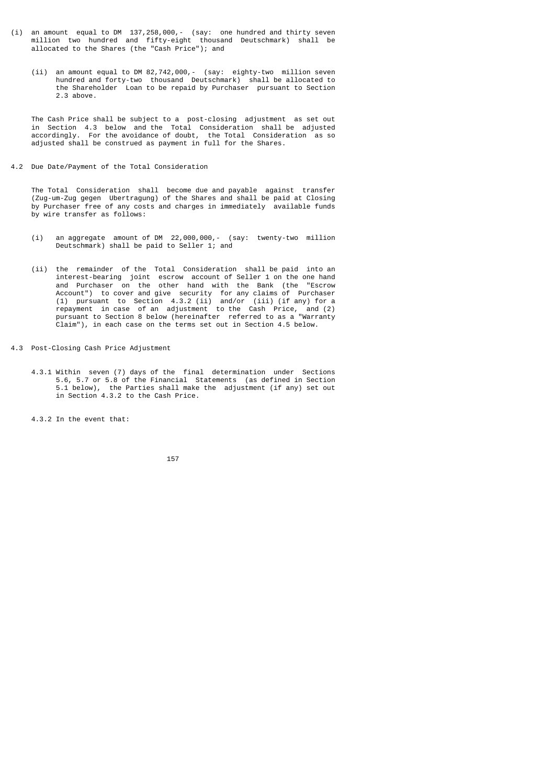- (i) an amount equal to DM 137,258,000,- (say: one hundred and thirty seven million two hundred and fifty-eight thousand Deutschmark) shall be allocated to the Shares (the "Cash Price"); and
- (ii) an amount equal to DM 82,742,000,- (say: eighty-two million seven hundred and forty-two thousand Deutschmark) shall be allocated to the Shareholder Loan to be repaid by Purchaser pursuant to Section 2.3 above.

 The Cash Price shall be subject to a post-closing adjustment as set out in Section 4.3 below and the Total Consideration shall be adjusted accordingly. For the avoidance of doubt, the Total Consideration as so adjusted shall be construed as payment in full for the Shares.

4.2 Due Date/Payment of the Total Consideration

 The Total Consideration shall become due and payable against transfer (Zug-um-Zug gegen Ubertragung) of the Shares and shall be paid at Closing by Purchaser free of any costs and charges in immediately available funds by wire transfer as follows:

- (i) an aggregate amount of DM 22,000,000,- (say: twenty-two million Deutschmark) shall be paid to Seller 1; and
- (ii) the remainder of the Total Consideration shall be paid into an interest-bearing joint escrow account of Seller 1 on the one hand and Purchaser on the other hand with the Bank (the "Escrow Account") to cover and give security for any claims of Purchaser (1) pursuant to Section 4.3.2 (ii) and/or (iii) (if any) for a repayment in case of an adjustment to the Cash Price, and (2) pursuant to Section 8 below (hereinafter referred to as a "Warranty Claim"), in each case on the terms set out in Section 4.5 below.
- 4.3 Post-Closing Cash Price Adjustment
- 4.3.1 Within seven (7) days of the final determination under Sections 5.6, 5.7 or 5.8 of the Financial Statements (as defined in Section 5.1 below), the Parties shall make the adjustment (if any) set out in Section 4.3.2 to the Cash Price.

4.3.2 In the event that:

<u>157 - Animal Stephen Barbara, amerikan pengaran pengaran pengaran pengaran pengaran pengaran pengaran pengara</u>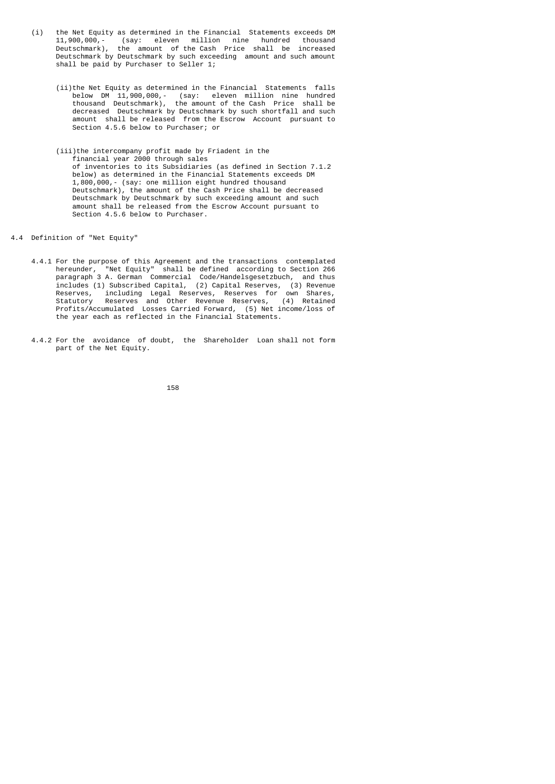- (i) the Net Equity as determined in the Financial Statements exceeds DM  $11,900,000, -$  (say: eleven million nine hundred thousand 11,900,000,- (say: eleven million nine hundred thousand the amount of the Cash Price shall be increased Deutschmark by Deutschmark by such exceeding amount and such amount shall be paid by Purchaser to Seller 1;
- (ii)the Net Equity as determined in the Financial Statements falls below DM 11,900,000,- (say: eleven million nine hundred thousand Deutschmark), the amount of the Cash Price shall be decreased Deutschmark by Deutschmark by such shortfall and such amount shall be released from the Escrow Account pursuant to Section 4.5.6 below to Purchaser; or
- (iii)the intercompany profit made by Friadent in the financial year 2000 through sales of inventories to its Subsidiaries (as defined in Section 7.1.2 below) as determined in the Financial Statements exceeds DM 1,800,000,- (say: one million eight hundred thousand Deutschmark), the amount of the Cash Price shall be decreased Deutschmark by Deutschmark by such exceeding amount and such amount shall be released from the Escrow Account pursuant to Section 4.5.6 below to Purchaser.
- 4.4 Definition of "Net Equity"
- 4.4.1 For the purpose of this Agreement and the transactions contemplated hereunder, "Net Equity" shall be defined according to Section 266 paragraph 3 A. German Commercial Code/Handelsgesetzbuch, and thus includes (1) Subscribed Capital, (2) Capital Reserves, (3) Revenue Reserves, including Legal Reserves, Reserves for own Shares, Statutory Reserves and Other Revenue Reserves, (4) Retained Profits/Accumulated Losses Carried Forward, (5) Net income/loss of the year each as reflected in the Financial Statements.
- 4.4.2 For the avoidance of doubt, the Shareholder Loan shall not form part of the Net Equity.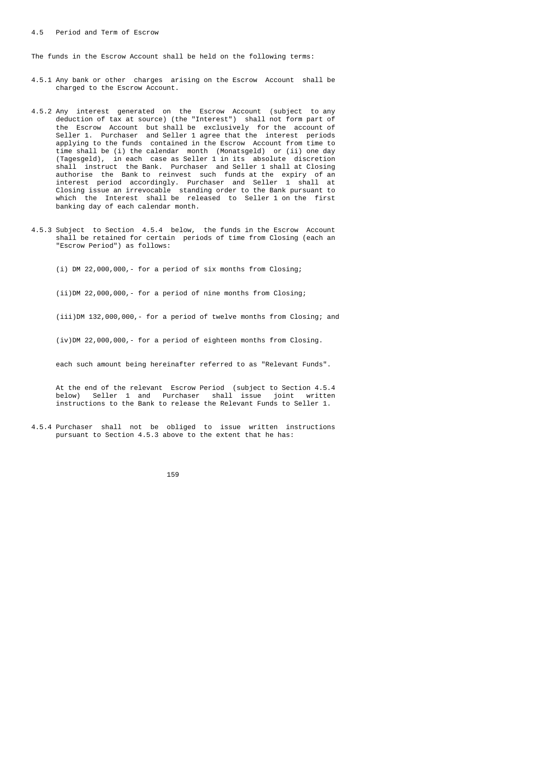The funds in the Escrow Account shall be held on the following terms:

- 4.5.1 Any bank or other charges arising on the Escrow Account shall be charged to the Escrow Account.
- 4.5.2 Any interest generated on the Escrow Account (subject to any deduction of tax at source) (the "Interest") shall not form part of the Escrow Account but shall be exclusively for the account of Seller 1. Purchaser and Seller 1 agree that the interest periods applying to the funds contained in the Escrow Account from time to time shall be (i) the calendar month (Monatsgeld) or (ii) one day (Tagesgeld), in each case as Seller 1 in its absolute discretion shall instruct the Bank. Purchaser and Seller 1 shall at Closing authorise the Bank to reinvest such funds at the expiry of an interest period accordingly. Purchaser and Seller 1 shall at Closing issue an irrevocable standing order to the Bank pursuant to which the Interest shall be released to Seller 1 on the first banking day of each calendar month.
	- 4.5.3 Subject to Section 4.5.4 below, the funds in the Escrow Account shall be retained for certain periods of time from Closing (each an "Escrow Period") as follows:
		- (i) DM 22,000,000,- for a period of six months from Closing;

(ii)DM 22,000,000,- for a period of nine months from Closing;

(iii)DM 132,000,000,- for a period of twelve months from Closing; and

(iv)DM 22,000,000,- for a period of eighteen months from Closing.

each such amount being hereinafter referred to as "Relevant Funds".

 At the end of the relevant Escrow Period (subject to Section 4.5.4 below) Seller 1 and Purchaser shall issue joint written instructions to the Bank to release the Relevant Funds to Seller 1.

 4.5.4 Purchaser shall not be obliged to issue written instructions pursuant to Section 4.5.3 above to the extent that he has:

159 - <u>159 - Animal Stevenski, politik i po</u>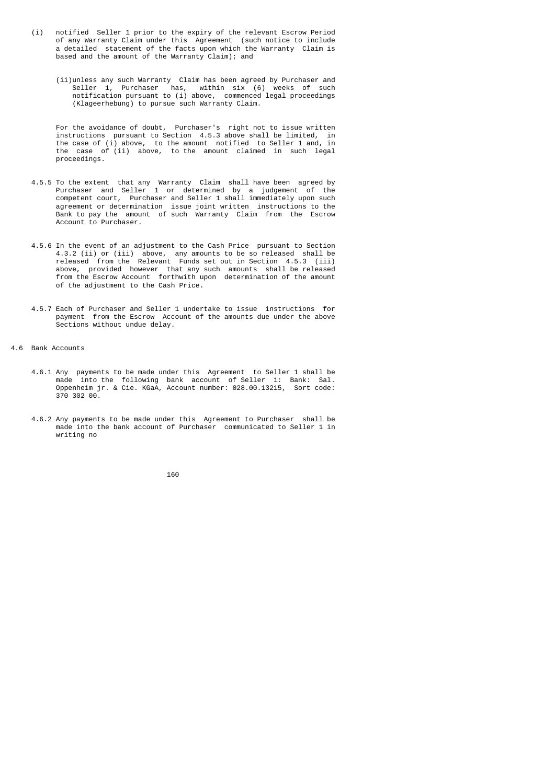- (i) notified Seller 1 prior to the expiry of the relevant Escrow Period of any Warranty Claim under this Agreement (such notice to include a detailed statement of the facts upon which the Warranty Claim is based and the amount of the Warranty Claim); and
- (ii)unless any such Warranty Claim has been agreed by Purchaser and Seller 1, Purchaser has, within six (6) weeks of such notification pursuant to (i) above, commenced legal proceedings (Klageerhebung) to pursue such Warranty Claim.

 For the avoidance of doubt, Purchaser's right not to issue written instructions pursuant to Section 4.5.3 above shall be limited, in the case of (i) above, to the amount notified to Seller 1 and, in the case of (ii) above, to the amount claimed in such legal proceedings.

- 4.5.5 To the extent that any Warranty Claim shall have been agreed by Purchaser and Seller 1 or determined by a judgement of the competent court, Purchaser and Seller 1 shall immediately upon such agreement or determination issue joint written instructions to the Bank to pay the amount of such Warranty Claim from the Escrow Account to Purchaser.
- 4.5.6 In the event of an adjustment to the Cash Price pursuant to Section 4.3.2 (ii) or (iii) above, any amounts to be so released shall be released from the Relevant Funds set out in Section 4.5.3 (iii) above, provided however that any such amounts shall be released from the Escrow Account forthwith upon determination of the amount of the adjustment to the Cash Price.
	- 4.5.7 Each of Purchaser and Seller 1 undertake to issue instructions for payment from the Escrow Account of the amounts due under the above Sections without undue delay.
- 4.6 Bank Accounts
- 4.6.1 Any payments to be made under this Agreement to Seller 1 shall be made into the following bank account of Seller 1: Bank: Sal. Oppenheim jr. & Cie. KGaA, Account number: 028.00.13215, Sort code: 370 302 00.
- 4.6.2 Any payments to be made under this Agreement to Purchaser shall be made into the bank account of Purchaser communicated to Seller 1 in writing no

<u>160 - 160 Anii 160 Anii 160 Anii 160 Anii 160 Anii 160 Anii 160 Anii 160 Anii 160 Anii 160 Anii 160 Anii 160 </u>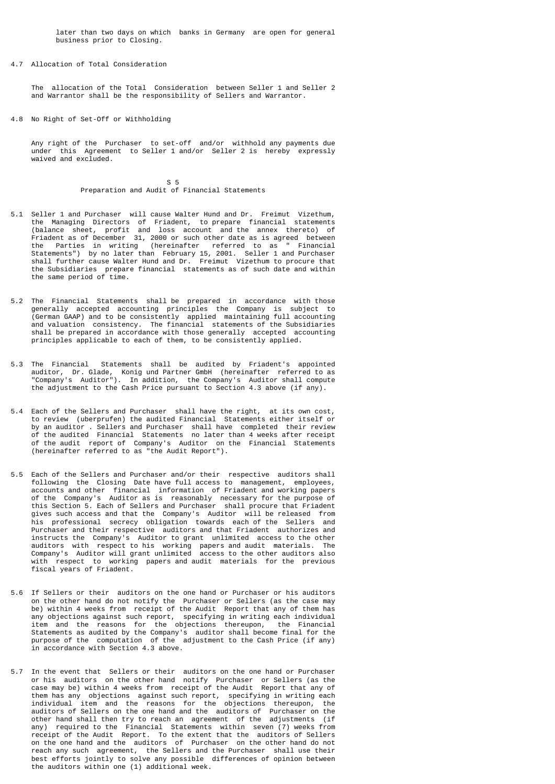later than two days on which banks in Germany are open for general business prior to Closing.

4.7 Allocation of Total Consideration

 The allocation of the Total Consideration between Seller 1 and Seller 2 and Warrantor shall be the responsibility of Sellers and Warrantor.

4.8 No Right of Set-Off or Withholding

 Any right of the Purchaser to set-off and/or withhold any payments due under this Agreement to Seller 1 and/or Seller 2 is hereby expressly waived and excluded.

 $S = 5$ Preparation and Audit of Financial Statements

- 5.1 Seller 1 and Purchaser will cause Walter Hund and Dr. Freimut Vizethum, the Managing Directors of Friadent, to prepare financial statements (balance sheet, profit and loss account and the annex thereto) of Friadent as of December 31, 2000 or such other date as is agreed between the Parties in writing (hereinafter referred to as " Financial Statements") by no later than February 15, 2001. Seller 1 and Purchaser shall further cause Walter Hund and Dr. Freimut Vizethum to procure that the Subsidiaries prepare financial statements as of such date and within the same period of time.
- 5.2 The Financial Statements shall be prepared in accordance with those generally accepted accounting principles the Company is subject to (German GAAP) and to be consistently applied maintaining full accounting and valuation consistency. The financial statements of the Subsidiaries shall be prepared in accordance with those generally accepted accounting principles applicable to each of them, to be consistently applied.
- 5.3 The Financial Statements shall be audited by Friadent's appointed auditor, Dr. Glade, Konig und Partner GmbH (hereinafter referred to as "Company's Auditor"). In addition, the Company's Auditor shall compute the adjustment to the Cash Price pursuant to Section 4.3 above (if any).
- 5.4 Each of the Sellers and Purchaser shall have the right, at its own cost, to review (uberprufen) the audited Financial Statements either itself or by an auditor . Sellers and Purchaser shall have completed their review of the audited Financial Statements no later than 4 weeks after receipt of the audit report of Company's Auditor on the Financial Statements (hereinafter referred to as "the Audit Report").
- 5.5 Each of the Sellers and Purchaser and/or their respective auditors shall following the Closing Date have full access to management, employees, accounts and other financial information of Friadent and working papers of the Company's Auditor as is reasonably necessary for the purpose of this Section 5. Each of Sellers and Purchaser shall procure that Friadent gives such access and that the Company's Auditor will be released from his professional secrecy obligation towards each of the Sellers and Purchaser and their respective auditors and that Friadent authorizes and instructs the Company's Auditor to grant unlimited access to the other auditors with respect to his working papers and audit materials. The Company's Auditor will grant unlimited access to the other auditors also with respect to working papers and audit materials for the previous fiscal years of Friadent.
- 5.6 If Sellers or their auditors on the one hand or Purchaser or his auditors on the other hand do not notify the Purchaser or Sellers (as the case may be) within 4 weeks from receipt of the Audit Report that any of them has any objections against such report, specifying in writing each individual item and the reasons for the objections thereupon, the Financial Statements as audited by the Company's auditor shall become final for the purpose of the computation of the adjustment to the Cash Price (if any) in accordance with Section 4.3 above.
- 5.7 In the event that Sellers or their auditors on the one hand or Purchaser or his auditors on the other hand notify Purchaser or Sellers (as the case may be) within 4 weeks from receipt of the Audit Report that any of them has any objections against such report, specifying in writing each individual item and the reasons for the objections thereupon, the auditors of Sellers on the one hand and the auditors of Purchaser on the other hand shall then try to reach an agreement of the adjustments (if any) required to the Financial Statements within seven (7) weeks from receipt of the Audit Report. To the extent that the auditors of Sellers on the one hand and the auditors of Purchaser on the other hand do not reach any such agreement, the Sellers and the Purchaser shall use their best efforts jointly to solve any possible differences of opinion between the auditors within one (1) additional week.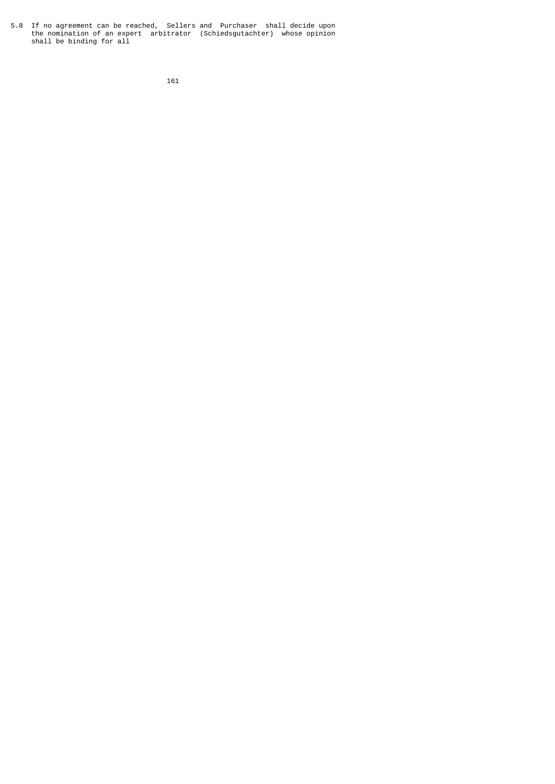5.8 If no agreement can be reached, Sellers and Purchaser shall decide upon the nomination of an expert arbitrator (Schiedsgutachter) whose opinion shall be binding for all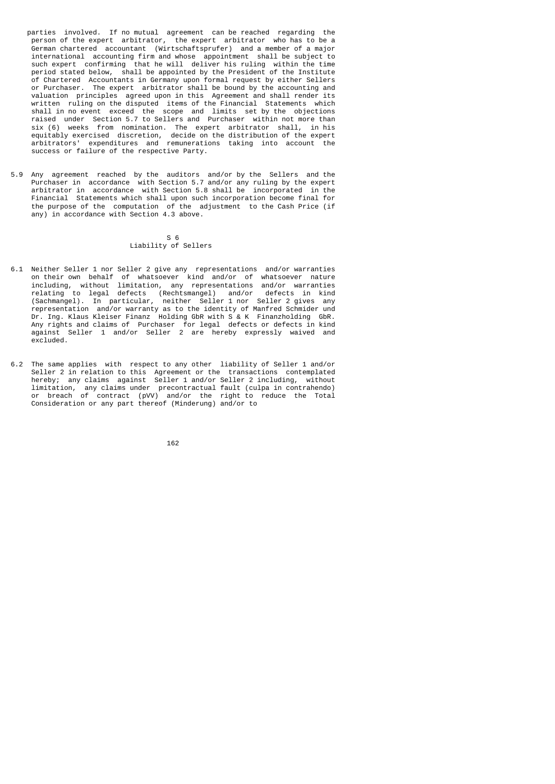- parties involved. If no mutual agreement can be reached regarding the person of the expert arbitrator, the expert arbitrator who has to be a German chartered accountant (Wirtschaftsprufer) and a member of a major international accounting firm and whose appointment shall be subject to such expert confirming that he will deliver his ruling within the time period stated below, shall be appointed by the President of the Institute of Chartered Accountants in Germany upon formal request by either Sellers or Purchaser. The expert arbitrator shall be bound by the accounting and valuation principles agreed upon in this Agreement and shall render its written ruling on the disputed items of the Financial Statements which shall in no event exceed the scope and limits set by the objections raised under Section 5.7 to Sellers and Purchaser within not more than six (6) weeks from nomination. The expert arbitrator shall, in his equitably exercised discretion, decide on the distribution of the expert arbitrators' expenditures and remunerations taking into account the success or failure of the respective Party.
- 5.9 Any agreement reached by the auditors and/or by the Sellers and the Purchaser in accordance with Section 5.7 and/or any ruling by the expert arbitrator in accordance with Section 5.8 shall be incorporated in the Financial Statements which shall upon such incorporation become final for the purpose of the computation of the adjustment to the Cash Price (if any) in accordance with Section 4.3 above.

#### $S = 6$ Liability of Sellers

- 6.1 Neither Seller 1 nor Seller 2 give any representations and/or warranties on their own behalf of whatsoever kind and/or of whatsoever nature including, without limitation, any representations and/or warranties relating to legal defects (Rechtsmangel) and/or defects in kind (Sachmangel). In particular, neither Seller 1 nor Seller 2 gives any representation and/or warranty as to the identity of Manfred Schmider und Dr. Ing. Klaus Kleiser Finanz Holding GbR with S & K Finanzholding GbR. Any rights and claims of Purchaser for legal defects or defects in kind against Seller 1 and/or Seller 2 are hereby expressly waived and excluded.
- 6.2 The same applies with respect to any other liability of Seller 1 and/or Seller 2 in relation to this Agreement or the transactions contemplated hereby; any claims against Seller 1 and/or Seller 2 including, without limitation, any claims under precontractual fault (culpa in contrahendo) or breach of contract (pVV) and/or the right to reduce the Total Consideration or any part thereof (Minderung) and/or to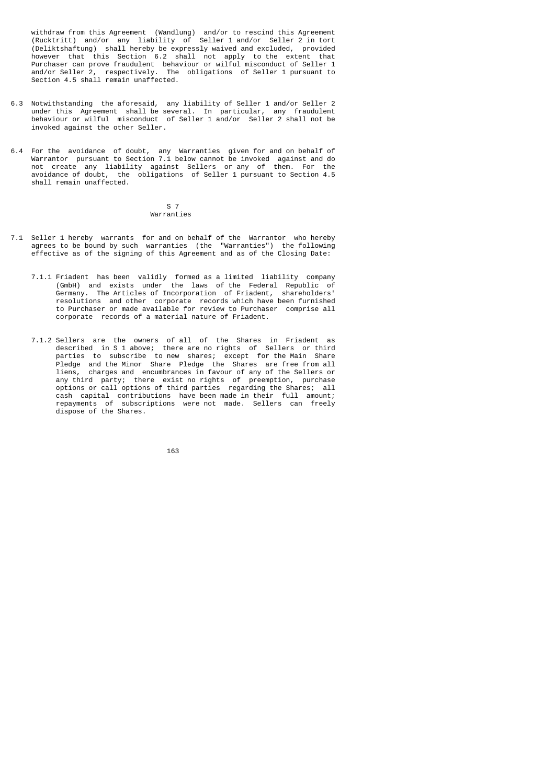withdraw from this Agreement (Wandlung) and/or to rescind this Agreement (Rucktritt) and/or any liability of Seller 1 and/or Seller 2 in tort (Deliktshaftung) shall hereby be expressly waived and excluded, provided however that this Section 6.2 shall not apply to the extent that Purchaser can prove fraudulent behaviour or wilful misconduct of Seller 1 and/or Seller 2, respectively. The obligations of Seller 1 pursuant to Section 4.5 shall remain unaffected.

- 6.3 Notwithstanding the aforesaid, any liability of Seller 1 and/or Seller 2 under this Agreement shall be several. In particular, any fraudulent behaviour or wilful misconduct of Seller 1 and/or Seller 2 shall not be invoked against the other Seller.
- 6.4 For the avoidance of doubt, any Warranties given for and on behalf of Warrantor pursuant to Section 7.1 below cannot be invoked against and do not create any liability against Sellers or any of them. For the avoidance of doubt, the obligations of Seller 1 pursuant to Section 4.5 shall remain unaffected.

#### S 7 Warranties

- 7.1 Seller 1 hereby warrants for and on behalf of the Warrantor who hereby agrees to be bound by such warranties (the "Warranties") the following effective as of the signing of this Agreement and as of the Closing Date:
- 7.1.1 Friadent has been validly formed as a limited liability company (GmbH) and exists under the laws of the Federal Republic of Germany. The Articles of Incorporation of Friadent, shareholders' resolutions and other corporate records which have been furnished to Purchaser or made available for review to Purchaser comprise all corporate records of a material nature of Friadent.
- 7.1.2 Sellers are the owners of all of the Shares in Friadent as described in S 1 above; there are no rights of Sellers or third parties to subscribe to new shares; except for the Main Share Pledge and the Minor Share Pledge the Shares are free from all liens, charges and encumbrances in favour of any of the Sellers or any third party; there exist no rights of preemption, purchase options or call options of third parties regarding the Shares; all cash capital contributions have been made in their full amount; repayments of subscriptions were not made. Sellers can freely dispose of the Shares.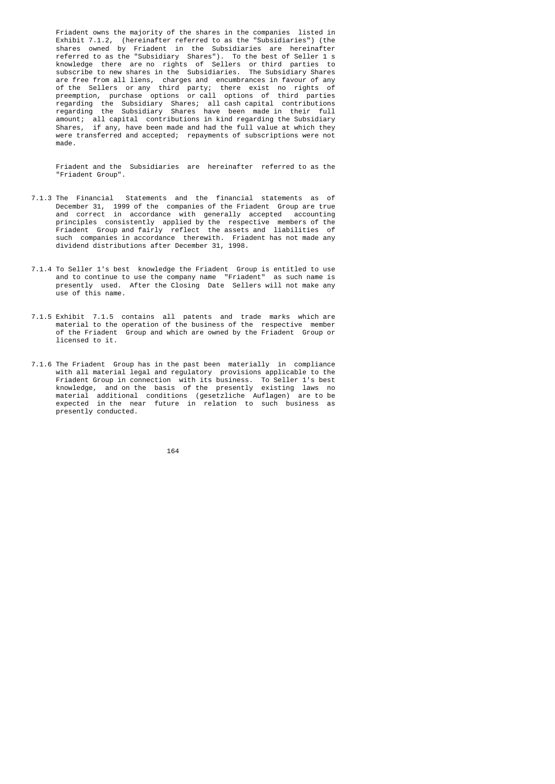Friadent owns the majority of the shares in the companies listed in Exhibit 7.1.2, (hereinafter referred to as the "Subsidiaries") (the shares owned by Friadent in the Subsidiaries are hereinafter referred to as the "Subsidiary Shares"). To the best of Seller 1 s knowledge there are no rights of Sellers or third parties to subscribe to new shares in the Subsidiaries. The Subsidiary Shares are free from all liens, charges and encumbrances in favour of any of the Sellers or any third party; there exist no rights of preemption, purchase options or call options of third parties regarding the Subsidiary Shares; all cash capital contributions regarding the Subsidiary Shares have been made in their full amount; all capital contributions in kind regarding the Subsidiary Shares, if any, have been made and had the full value at which they were transferred and accepted; repayments of subscriptions were not made.

> Friadent and the Subsidiaries are hereinafter referred to as the "Friadent Group".

- 7.1.3 The Financial Statements and the financial statements as of December 31, 1999 of the companies of the Friadent Group are true and correct in accordance with generally accepted accounting principles consistently applied by the respective members of the Friadent Group and fairly reflect the assets and liabilities of such companies in accordance therewith. Friadent has not made any dividend distributions after December 31, 1998.
	- 7.1.4 To Seller 1's best knowledge the Friadent Group is entitled to use and to continue to use the company name "Friadent" as such name is presently used. After the Closing Date Sellers will not make any use of this name.
	- 7.1.5 Exhibit 7.1.5 contains all patents and trade marks which are material to the operation of the business of the respective member of the Friadent Group and which are owned by the Friadent Group or licensed to it.
- 7.1.6 The Friadent Group has in the past been materially in compliance with all material legal and regulatory provisions applicable to the Friadent Group in connection with its business. To Seller 1's best knowledge, and on the basis of the presently existing laws no material additional conditions (gesetzliche Auflagen) are to be expected in the near future in relation to such business as presently conducted.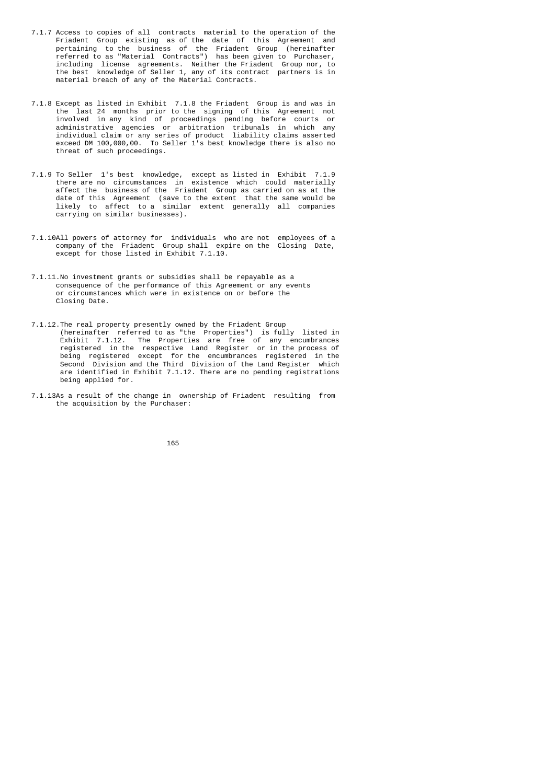- 7.1.7 Access to copies of all contracts material to the operation of the Friadent Group existing as of the date of this Agreement and pertaining to the business of the Friadent Group (hereinafter referred to as "Material Contracts") has been given to Purchaser, including license agreements. Neither the Friadent Group nor, to the best knowledge of Seller 1, any of its contract partners is in material breach of any of the Material Contracts.
- 7.1.8 Except as listed in Exhibit 7.1.8 the Friadent Group is and was in the last 24 months prior to the signing of this Agreement not involved in any kind of proceedings pending before courts or administrative agencies or arbitration tribunals in which any individual claim or any series of product liability claims asserted exceed DM 100,000,00. To Seller 1's best knowledge there is also no threat of such proceedings.
- 7.1.9 To Seller 1's best knowledge, except as listed in Exhibit 7.1.9 there are no circumstances in existence which could materially affect the business of the Friadent Group as carried on as at the date of this Agreement (save to the extent that the same would be likely to affect to a similar extent generally all companies carrying on similar businesses).
	- 7.1.10All powers of attorney for individuals who are not employees of a company of the Friadent Group shall expire on the Closing Date, except for those listed in Exhibit 7.1.10.
	- 7.1.11.No investment grants or subsidies shall be repayable as a consequence of the performance of this Agreement or any events or circumstances which were in existence on or before the Closing Date.
- 7.1.12.The real property presently owned by the Friadent Group (hereinafter referred to as "the Properties") is fully listed in Exhibit 7.1.12. The Properties are free of any encumbrances registered in the respective Land Register or in the process of being registered except for the encumbrances registered in the Second Division and the Third Division of the Land Register which are identified in Exhibit 7.1.12. There are no pending registrations being applied for.
	- 7.1.13As a result of the change in ownership of Friadent resulting from the acquisition by the Purchaser: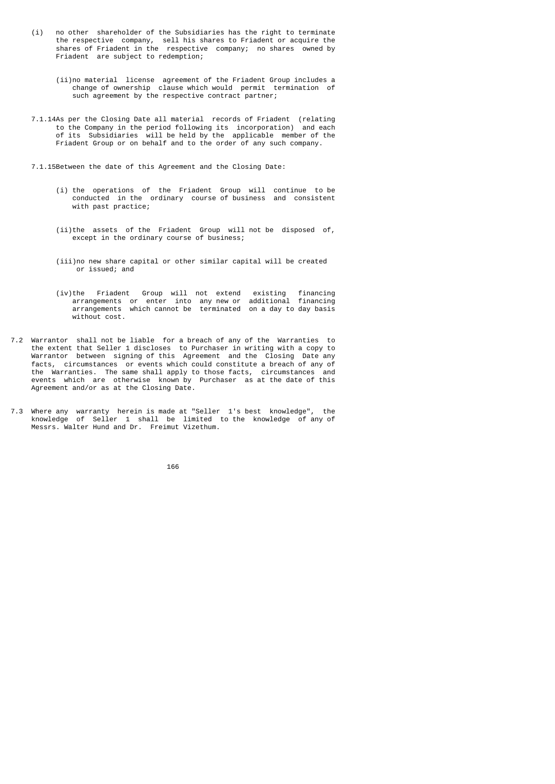- (i) no other shareholder of the Subsidiaries has the right to terminate the respective company, sell his shares to Friadent or acquire the shares of Friadent in the respective company; no shares owned by Friadent are subject to redemption;
	- (ii)no material license agreement of the Friadent Group includes a change of ownership clause which would permit termination of such agreement by the respective contract partner;
	- 7.1.14As per the Closing Date all material records of Friadent (relating to the Company in the period following its incorporation) and each of its Subsidiaries will be held by the applicable member of the Friadent Group or on behalf and to the order of any such company.
	- 7.1.15Between the date of this Agreement and the Closing Date:
		- (i) the operations of the Friadent Group will continue to be conducted in the ordinary course of business and consistent with past practice;
		- (ii)the assets of the Friadent Group will not be disposed of, except in the ordinary course of business;
		- (iii)no new share capital or other similar capital will be created or issued; and
- (iv)the Friadent Group will not extend existing financing arrangements or enter into any new or additional financing arrangements which cannot be terminated on a day to day basis without cost.
- 7.2 Warrantor shall not be liable for a breach of any of the Warranties to the extent that Seller 1 discloses to Purchaser in writing with a copy to Warrantor between signing of this Agreement and the Closing Date any facts, circumstances or events which could constitute a breach of any of the Warranties. The same shall apply to those facts, circumstances and events which are otherwise known by Purchaser as at the date of this Agreement and/or as at the Closing Date.
- 7.3 Where any warranty herein is made at "Seller 1's best knowledge", the knowledge of Seller 1 shall be limited to the knowledge of any of Messrs. Walter Hund and Dr. Freimut Vizethum.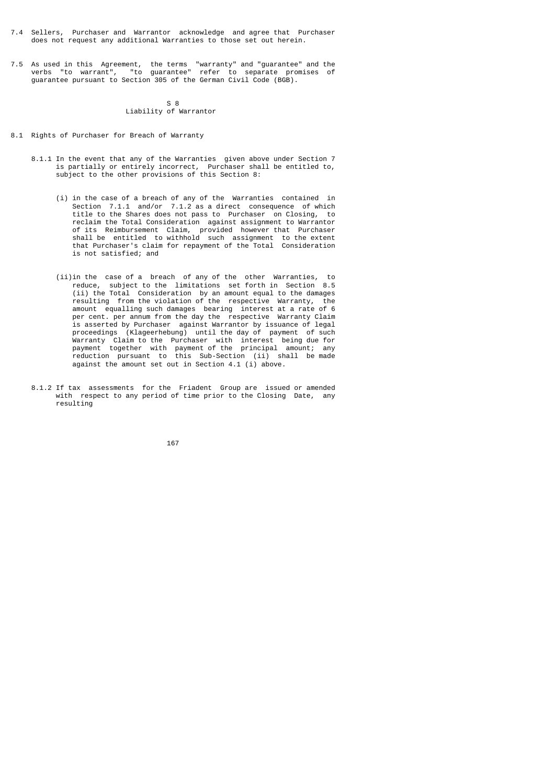- 7.4 Sellers, Purchaser and Warrantor acknowledge and agree that Purchaser does not request any additional Warranties to those set out herein.
- 7.5 As used in this Agreement, the terms "warranty" and "guarantee" and the verbs "to warrant", "to guarantee" refer to separate promises of guarantee pursuant to Section 305 of the German Civil Code (BGB).

#### S 8 September 2014 and 2015 and 30 September 2016 and 30 September 2016 and 30 September 2016 and 30 September 2016 and 30 September 2016 and 30 September 2016 and 30 September 2016 and 30 September 2016 and 30 September 2 Liability of Warrantor

- 8.1 Rights of Purchaser for Breach of Warranty
- 8.1.1 In the event that any of the Warranties given above under Section 7 is partially or entirely incorrect, Purchaser shall be entitled to, subject to the other provisions of this Section 8:
- (i) in the case of a breach of any of the Warranties contained in Section 7.1.1 and/or 7.1.2 as a direct consequence of which title to the Shares does not pass to Purchaser on Closing, to reclaim the Total Consideration against assignment to Warrantor of its Reimbursement Claim, provided however that Purchaser shall be entitled to withhold such assignment to the extent that Purchaser's claim for repayment of the Total Consideration is not satisfied; and
- (ii)in the case of a breach of any of the other Warranties, to reduce, subject to the limitations set forth in Section 8.5 (ii) the Total Consideration by an amount equal to the damages resulting from the violation of the respective Warranty, the amount equalling such damages bearing interest at a rate of 6 per cent. per annum from the day the respective Warranty Claim is asserted by Purchaser against Warrantor by issuance of legal proceedings (Klageerhebung) until the day of payment of such Warranty Claim to the Purchaser with interest being due for payment together with payment of the principal amount; any reduction pursuant to this Sub-Section (ii) shall be made against the amount set out in Section 4.1 (i) above.
- 8.1.2 If tax assessments for the Friadent Group are issued or amended with respect to any period of time prior to the Closing Date, any resulting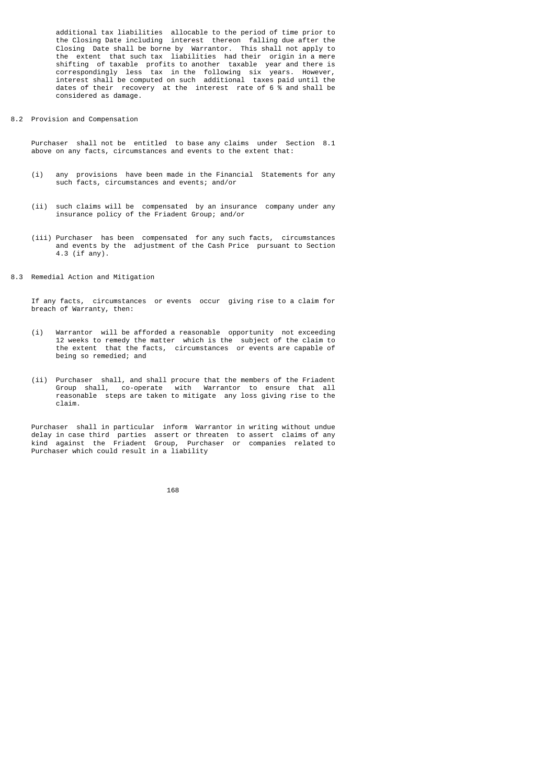additional tax liabilities allocable to the period of time prior to the Closing Date including interest thereon falling due after the the Closing Date including interest thereon falling due after the Closing Date shall be borne by Warrantor. This shall not apply to the extent that such tax liabilities had their origin in a mere shifting of taxable profits to another taxable year and there is correspondingly less tax in the following six years. However, interest shall be computed on such additional taxes paid until the dates of their recovery at the interest rate of 6 % and shall be considered as damage.

8.2 Provision and Compensation

 Purchaser shall not be entitled to base any claims under Section 8.1 above on any facts, circumstances and events to the extent that:

- (i) any provisions have been made in the Financial Statements for any such facts, circumstances and events; and/or
- (ii) such claims will be compensated by an insurance company under any insurance policy of the Friadent Group; and/or
- (iii) Purchaser has been compensated for any such facts, circumstances and events by the adjustment of the Cash Price pursuant to Section 4.3 (if any).
- 8.3 Remedial Action and Mitigation

 If any facts, circumstances or events occur giving rise to a claim for breach of Warranty, then:

- (i) Warrantor will be afforded a reasonable opportunity not exceeding 12 weeks to remedy the matter which is the subject of the claim to the extent that the facts, circumstances or events are capable of being so remedied; and
- (ii) Purchaser shall, and shall procure that the members of the Friadent Group shall, co-operate with Warrantor to ensure that all reasonable steps are taken to mitigate any loss giving rise to the claim.

 Purchaser shall in particular inform Warrantor in writing without undue delay in case third parties assert or threaten to assert claims of any kind against the Friadent Group, Purchaser or companies related to Purchaser which could result in a liability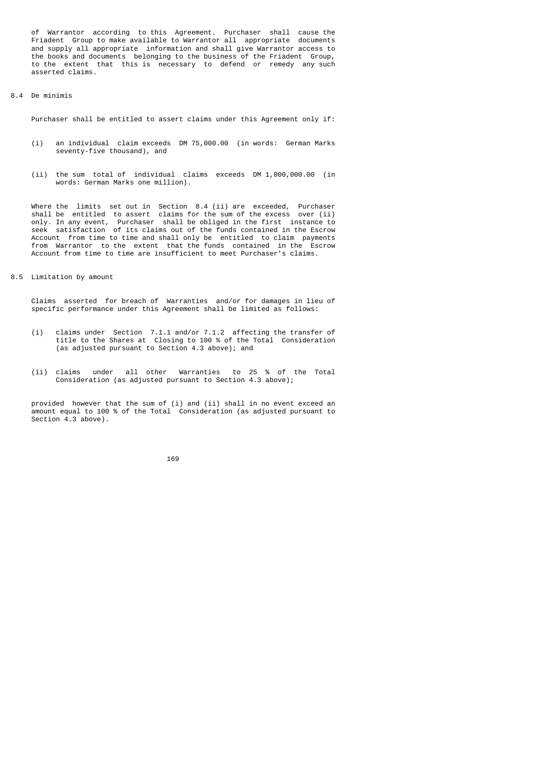of Warrantor according to this Agreement. Purchaser shall cause the Friadent Group to make available to Warrantor all appropriate documents and supply all appropriate information and shall give Warrantor access to the books and documents belonging to the business of the Friadent Group, to the extent that this is necessary to defend or remedy any such asserted claims.

## 8.4 De minimis

Purchaser shall be entitled to assert claims under this Agreement only if:

- (i) an individual claim exceeds DM 75,000.00 (in words: German Marks seventy-five thousand), and
- (ii) the sum total of individual claims exceeds DM 1,000,000.00 (in words: German Marks one million).

 Where the limits set out in Section 8.4 (ii) are exceeded, Purchaser shall be entitled to assert claims for the sum of the excess over (ii) only. In any event, Purchaser shall be obliged in the first instance to seek satisfaction of its claims out of the funds contained in the Escrow Account from time to time and shall only be entitled to claim payments from Warrantor to the extent that the funds contained in the Escrow Account from time to time are insufficient to meet Purchaser's claims.

8.5 Limitation by amount

 Claims asserted for breach of Warranties and/or for damages in lieu of specific performance under this Agreement shall be limited as follows:

- (i) claims under Section 7.1.1 and/or 7.1.2 affecting the transfer of title to the Shares at Closing to 100 % of the Total Consideration (as adjusted pursuant to Section 4.3 above); and
	- (ii) claims under all other Warranties to 25 % of the Total Consideration (as adjusted pursuant to Section 4.3 above);

provided however that the sum of (i) and (ii) shall in no event exceed an amount equal to 100 % of the Total Consideration (as adjusted pursuant to Section 4.3 above).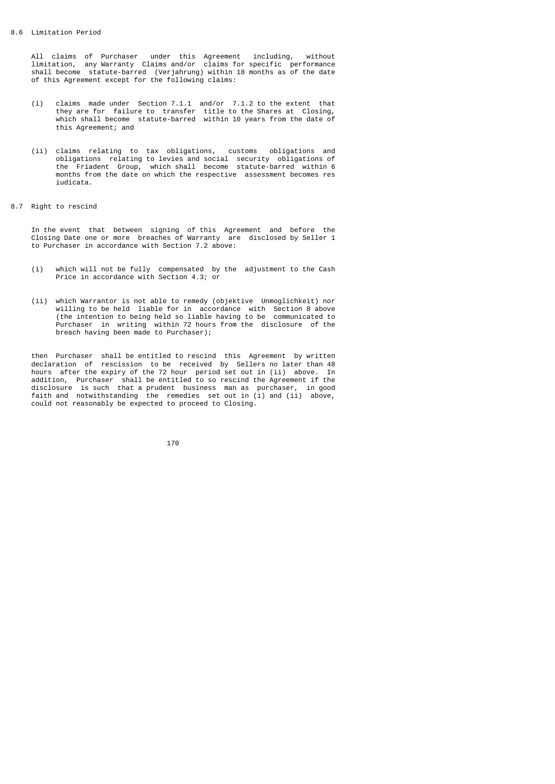All claims of Purchaser under this Agreement including, without limitation, any Warranty Claims and/or claims for specific performance shall become statute-barred (Verjahrung) within 18 months as of the date of this Agreement except for the following claims:

- (i) claims made under Section 7.1.1 and/or 7.1.2 to the extent that they are for failure to transfer title to the Shares at Closing, which shall become statute-barred within 10 years from the date of this Agreement; and
- (ii) claims relating to tax obligations, customs obligations and obligations relating to levies and social security obligations of the Friadent Group, which shall become statute-barred within 6 months from the date on which the respective assessment becomes res iudicata.
- 8.7 Right to rescind

 In the event that between signing of this Agreement and before the Closing Date one or more breaches of Warranty are disclosed by Seller 1 to Purchaser in accordance with Section 7.2 above:

- (i) which will not be fully compensated by the adjustment to the Cash Price in accordance with Section 4.3; or
- (ii) which Warrantor is not able to remedy (objektive Unmoglichkeit) nor willing to be held liable for in accordance with Section 8 above (the intention to being held so liable having to be communicated to Purchaser in writing within 72 hours from the disclosure of the breach having been made to Purchaser);

 then Purchaser shall be entitled to rescind this Agreement by written declaration of rescission to be received by Sellers no later than 48 hours after the expiry of the 72 hour period set out in (ii) above. In addition, Purchaser shall be entitled to so rescind the Agreement if the disclosure is such that a prudent business man as purchaser, in good faith and notwithstanding the remedies set out in (i) and (ii) above, could not reasonably be expected to proceed to Closing.

<u>170</u>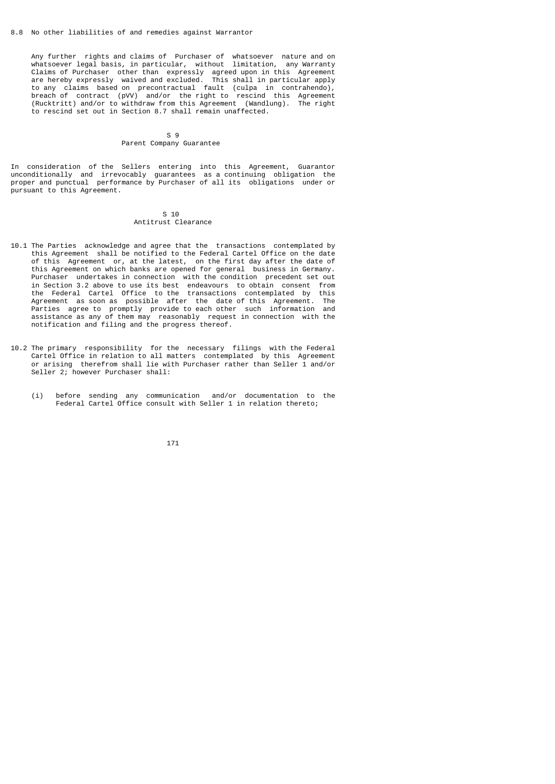Any further rights and claims of Purchaser of whatsoever nature and on whatsoever legal basis, in particular, without limitation, any Warranty Claims of Purchaser other than expressly agreed upon in this Agreement are hereby expressly waived and excluded. This shall in particular apply to any claims based on precontractual fault (culpa in contrahendo), breach of contract (pVV) and/or the right to rescind this Agreement (Rucktritt) and/or to withdraw from this Agreement (Wandlung). The right to rescind set out in Section 8.7 shall remain unaffected.

### S 9 Parent Company Guarantee

In consideration of the Sellers entering into this Agreement, Guarantor unconditionally and irrevocably guarantees as a continuing obligation the proper and punctual performance by Purchaser of all its obligations under or pursuant to this Agreement.

#### S 10 Antitrust Clearance

- 10.1 The Parties acknowledge and agree that the transactions contemplated by this Agreement shall be notified to the Federal Cartel Office on the date of this Agreement or, at the latest, on the first day after the date of this Agreement on which banks are opened for general business in Germany. Purchaser undertakes in connection with the condition precedent set out in Section 3.2 above to use its best endeavours to obtain consent from the Federal Cartel Office to the transactions contemplated by this Agreement as soon as possible after the date of this Agreement. The Parties agree to promptly provide to each other such information and assistance as any of them may reasonably request in connection with the notification and filing and the progress thereof.
- 10.2 The primary responsibility for the necessary filings with the Federal Cartel Office in relation to all matters contemplated by this Agreement or arising therefrom shall lie with Purchaser rather than Seller 1 and/or Seller 2; however Purchaser shall:
- (i) before sending any communication and/or documentation to the Federal Cartel Office consult with Seller 1 in relation thereto;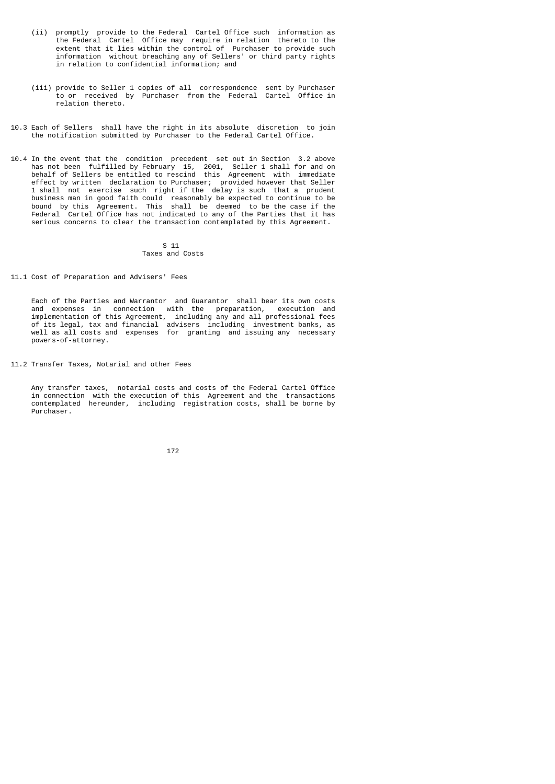- (ii) promptly provide to the Federal Cartel Office such information as the Federal Cartel Office may require in relation thereto to the extent that it lies within the control of Purchaser to provide such information without breaching any of Sellers' or third party rights in relation to confidential information; and
- (iii) provide to Seller 1 copies of all correspondence sent by Purchaser to or received by Purchaser from the Federal Cartel Office in relation thereto.
- 10.3 Each of Sellers shall have the right in its absolute discretion to join the notification submitted by Purchaser to the Federal Cartel Office.
- 10.4 In the event that the condition precedent set out in Section 3.2 above has not been fulfilled by February 15, 2001, Seller 1 shall for and on behalf of Sellers be entitled to rescind this Agreement with immediate effect by written declaration to Purchaser; provided however that Seller 1 shall not exercise such right if the delay is such that a prudent business man in good faith could reasonably be expected to continue to be bound by this Agreement. This shall be deemed to be the case if the Federal Cartel Office has not indicated to any of the Parties that it has serious concerns to clear the transaction contemplated by this Agreement.

#### $S<sub>11</sub>$ Taxes and Costs

11.1 Cost of Preparation and Advisers' Fees

 Each of the Parties and Warrantor and Guarantor shall bear its own costs and expenses in connection with the preparation, execution and implementation of this Agreement, including any and all professional fees of its legal, tax and financial advisers including investment banks, as well as all costs and expenses for granting and issuing any necessary powers-of-attorney.

11.2 Transfer Taxes, Notarial and other Fees

 Any transfer taxes, notarial costs and costs of the Federal Cartel Office in connection with the execution of this Agreement and the transactions contemplated hereunder, including registration costs, shall be borne by Purchaser.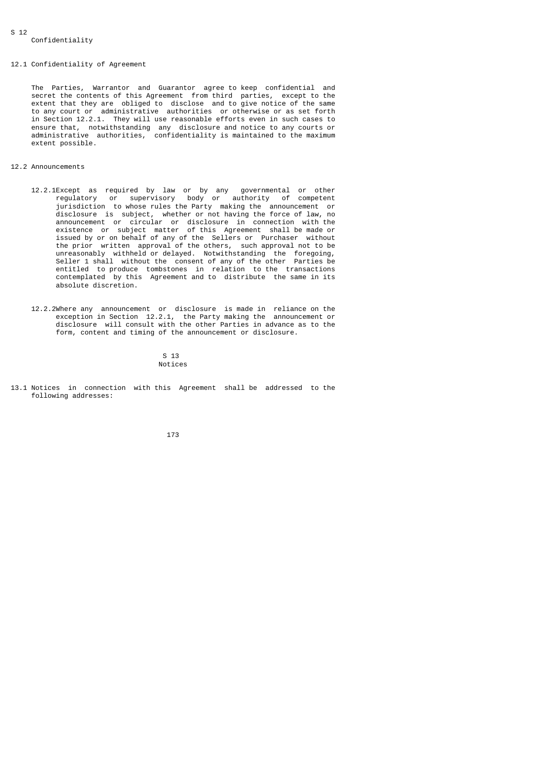### 12.1 Confidentiality of Agreement

 The Parties, Warrantor and Guarantor agree to keep confidential and secret the contents of this Agreement from third parties, except to the extent that they are obliged to disclose and to give notice of the same to any court or administrative authorities or otherwise or as set forth in Section 12.2.1. They will use reasonable efforts even in such cases to ensure that, notwithstanding any disclosure and notice to any courts or administrative authorities, confidentiality is maintained to the maximum extent possible.

## 12.2 Announcements

- 12.2.1Except as required by law or by any governmental or other regulatory or supervisory body or authority of competent jurisdiction to whose rules the Party making the announcement or disclosure is subject, whether or not having the force of law, no announcement or circular or disclosure in connection with the existence or subject matter of this Agreement shall be made or issued by or on behalf of any of the Sellers or Purchaser without the prior written approval of the others, such approval not to be unreasonably withheld or delayed. Notwithstanding the foregoing, Seller 1 shall without the consent of any of the other Parties be entitled to produce tombstones in relation to the transactions contemplated by this Agreement and to distribute the same in its absolute discretion.
- 12.2.2Where any announcement or disclosure is made in reliance on the exception in Section 12.2.1, the Party making the announcement or disclosure will consult with the other Parties in advance as to the form, content and timing of the announcement or disclosure.

 $S<sub>13</sub>$ Notices

13.1 Notices in connection with this Agreement shall be addressed to the following addresses: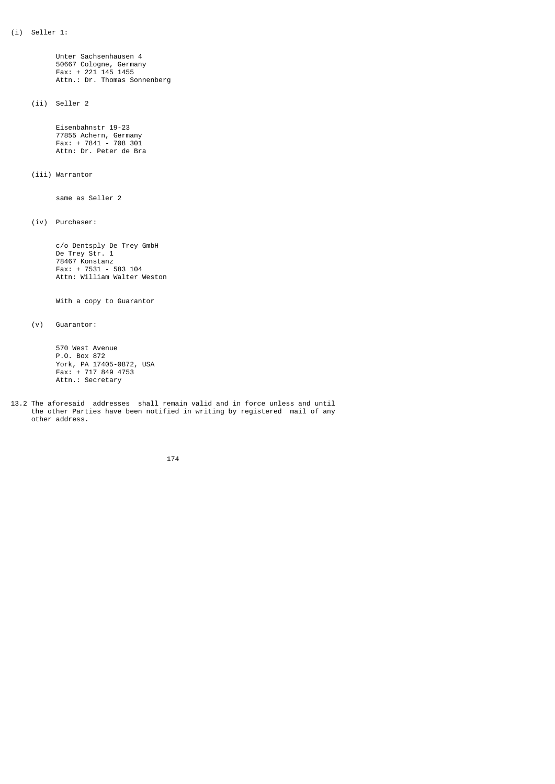Unter Sachsenhausen 4 50667 Cologne, Germany Fax: + 221 145 1455 Attn.: Dr. Thomas Sonnenberg

(ii) Seller 2

 Eisenbahnstr 19-23 77855 Achern, Germany Fax: + 7841 - 708 301 Attn: Dr. Peter de Bra

(iii) Warrantor

same as Seller 2

(iv) Purchaser:

 c/o Dentsply De Trey GmbH De Trey Str. 1 78467 Konstanz Fax: + 7531 - 583 104 Attn: William Walter Weston

With a copy to Guarantor

(v) Guarantor:

 570 West Avenue P.O. Box 872 York, PA 17405-0872, USA Fax: + 717 849 4753 Attn.: Secretary

13.2 The aforesaid addresses shall remain valid and in force unless and until the other Parties have been notified in writing by registered mail of any other address.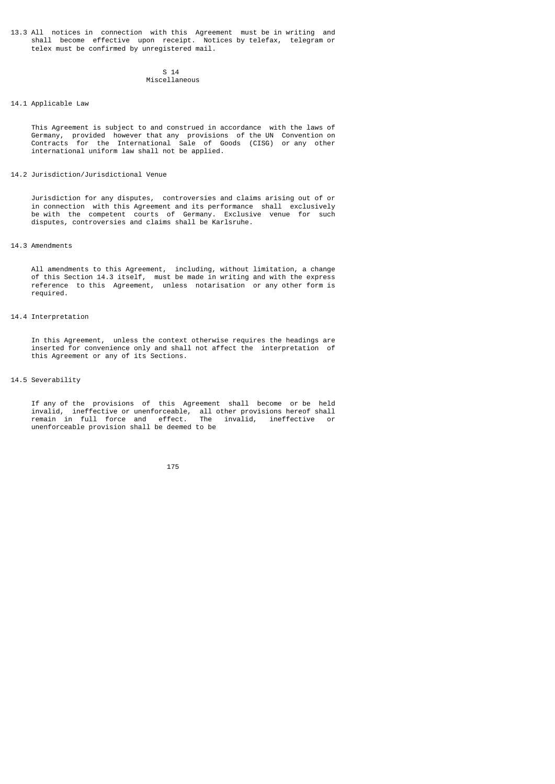13.3 All notices in connection with this Agreement must be in writing and shall become effective upon receipt. Notices by telefax, telegram or telex must be confirmed by unregistered mail.

 $S<sub>14</sub>$ Miscellaneous

### 14.1 Applicable Law

 This Agreement is subject to and construed in accordance with the laws of Germany, provided however that any provisions of the UN Convention on Contracts for the International Sale of Goods (CISG) or any other international uniform law shall not be applied.

### 14.2 Jurisdiction/Jurisdictional Venue

 Jurisdiction for any disputes, controversies and claims arising out of or in connection with this Agreement and its performance shall exclusively be with the competent courts of Germany. Exclusive venue for such disputes, controversies and claims shall be Karlsruhe.

### 14.3 Amendments

 All amendments to this Agreement, including, without limitation, a change of this Section 14.3 itself, must be made in writing and with the express reference to this Agreement, unless notarisation or any other form is required.

### 14.4 Interpretation

 In this Agreement, unless the context otherwise requires the headings are inserted for convenience only and shall not affect the interpretation of this Agreement or any of its Sections.

### 14.5 Severability

 If any of the provisions of this Agreement shall become or be held invalid, ineffective or unenforceable, all other provisions hereof shall remain in full force and effect. The invalid, ineffective or unenforceable provision shall be deemed to be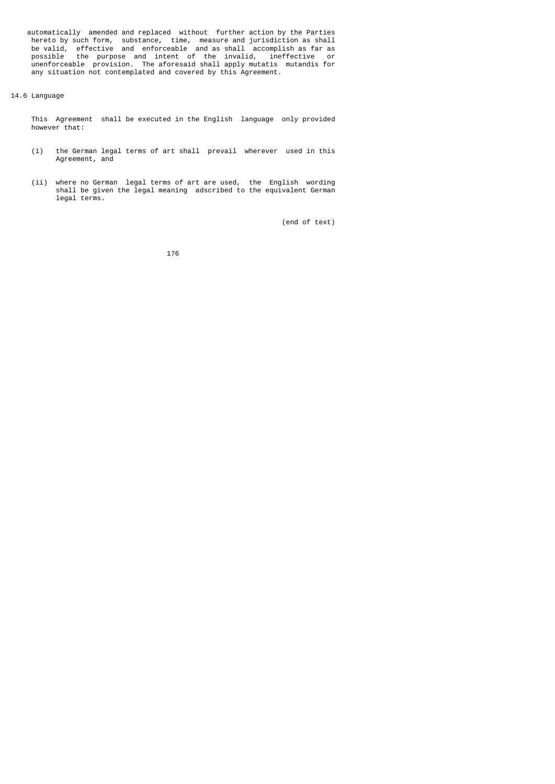automatically amended and replaced without further action by the Parties hereto by such form, substance, time, measure and jurisdiction as shall be valid, effective and enforceable and as shall accomplish as far as possible the purpose and intent of the invalid, ineffective or unenforceable provision. The aforesaid shall apply mutatis mutandis for any situation not contemplated and covered by this Agreement.

## 14.6 Language

 This Agreement shall be executed in the English language only provided however that:

- (i) the German legal terms of art shall prevail wherever used in this Agreement, and
- (ii) where no German legal terms of art are used, the English wording shall be given the legal meaning adscribed to the equivalent German legal terms.

(end of text)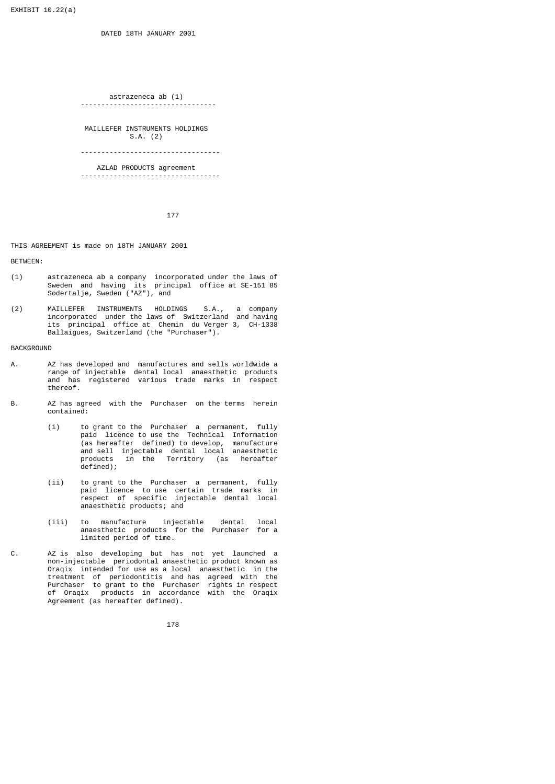DATED 18TH JANUARY 2001

```
astrazeneca ab (1)<br>------------------------------
---------------------------------
```
 MAILLEFER INSTRUMENTS HOLDINGS S.A. (2)

----------------------------------

 AZLAD PRODUCTS agreement ----------------------------------

177

THIS AGREEMENT is made on 18TH JANUARY 2001

BETWEEN:

- (1) astrazeneca ab a company incorporated under the laws of Sweden and having its principal office at SE-151 85 Sodertalje, Sweden ("AZ"), and
- (2) MAILLEFER INSTRUMENTS HOLDINGS S.A., a company incorporated under the laws of Switzerland and having its principal office at Chemin du Verger 3, CH-1338 Ballaigues, Switzerland (the "Purchaser").

BACKGROUND

- A. AZ has developed and manufactures and sells worldwide a range of injectable dental local anaesthetic products and has registered various trade marks in respect thereof.
- B. AZ has agreed with the Purchaser on the terms herein contained:
- (i) to grant to the Purchaser a permanent, fully paid licence to use the Technical Information (as hereafter defined) to develop, manufacture and sell injectable dental local anaesthetic products in the Territory (as hereafter defined);
- (ii) to grant to the Purchaser a permanent, fully paid licence to use certain trade marks in respect of specific injectable dental local anaesthetic products; and
- (iii) to manufacture injectable dental local anaesthetic products for the Purchaser for a limited period of time.
- C. AZ is also developing but has not yet launched a non-injectable periodontal anaesthetic product known as Oraqix intended for use as a local anaesthetic in the treatment of periodontitis and has agreed with the Purchaser to grant to the Purchaser rights in respect of Oraqix products in accordance with the Oraqix Agreement (as hereafter defined).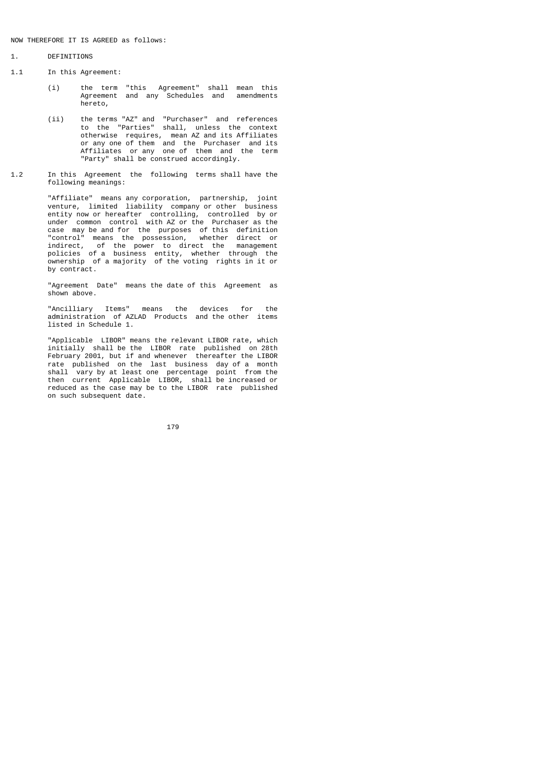## NOW THEREFORE IT IS AGREED as follows:

## 1. DEFINITIONS

- 1.1 In this Agreement:
	- (i) the term "this Agreement" shall mean this Agreement and any Schedules and amendments hereto,
- (ii) the terms "AZ" and "Purchaser" and references to the "Parties" shall, unless the context otherwise requires, mean AZ and its Affiliates or any one of them and the Purchaser and its Affiliates or any one of them and the term "Party" shall be construed accordingly.
- 1.2 In this Agreement the following terms shall have the following meanings:

 "Affiliate" means any corporation, partnership, joint venture, limited liability company or other business entity now or hereafter controlling, controlled by or under common control with AZ or the Purchaser as the case may be and for the purposes of this definition "control" means the possession, whether direct or indirect, of the power to direct the management policies of a business entity, whether through the ownership of a majority of the voting rights in it or by contract.

> "Agreement Date" means the date of this Agreement as shown above.

 "Ancilliary Items" means the devices for the administration of AZLAD Products and the other items listed in Schedule 1.

 "Applicable LIBOR" means the relevant LIBOR rate, which initially shall be the LIBOR rate published on 28th February 2001, but if and whenever thereafter the LIBOR rate published on the last business day of a month shall vary by at least one percentage point from the then current Applicable LIBOR, shall be increased or reduced as the case may be to the LIBOR rate published on such subsequent date.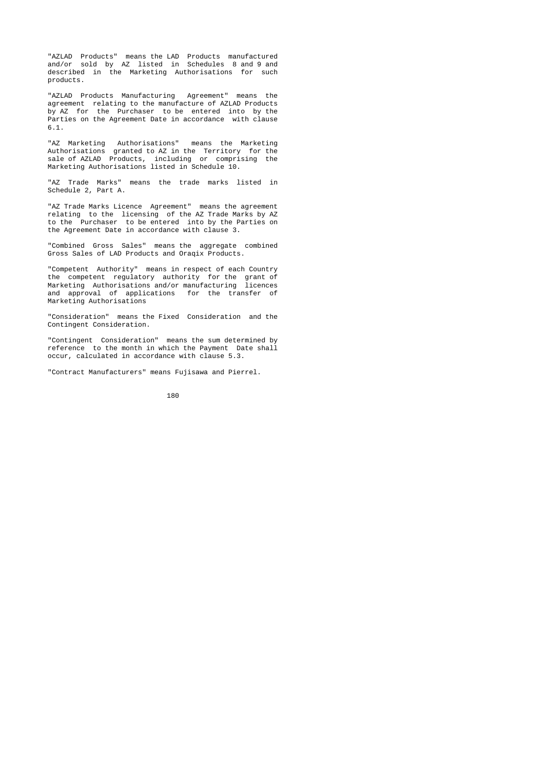"AZLAD Products" means the LAD Products manufactured and/or sold by AZ listed in Schedules 8 and 9 and described in the Marketing Authorisations for such products.

 "AZLAD Products Manufacturing Agreement" means the agreement relating to the manufacture of AZLAD Products by AZ for the Purchaser to be entered into by the Parties on the Agreement Date in accordance with clause 6.1.

 "AZ Marketing Authorisations" means the Marketing Authorisations granted to AZ in the Territory for the sale of AZLAD Products, including or comprising the Marketing Authorisations listed in Schedule 10.

> "AZ Trade Marks" means the trade marks listed in Schedule 2, Part A.

 "AZ Trade Marks Licence Agreement" means the agreement relating to the licensing of the AZ Trade Marks by AZ to the Purchaser to be entered into by the Parties on the Agreement Date in accordance with clause 3.

> "Combined Gross Sales" means the aggregate combined Gross Sales of LAD Products and Oraqix Products.

 "Competent Authority" means in respect of each Country the competent regulatory authority for the grant of Marketing Authorisations and/or manufacturing licences and approval of applications for the transfer of Marketing Authorisations

> "Consideration" means the Fixed Consideration and the Contingent Consideration.

 "Contingent Consideration" means the sum determined by reference to the month in which the Payment Date shall occur, calculated in accordance with clause 5.3.

"Contract Manufacturers" means Fujisawa and Pierrel.

$$
\begin{array}{c} \hline \text{180} \\ \text{180} \end{array}
$$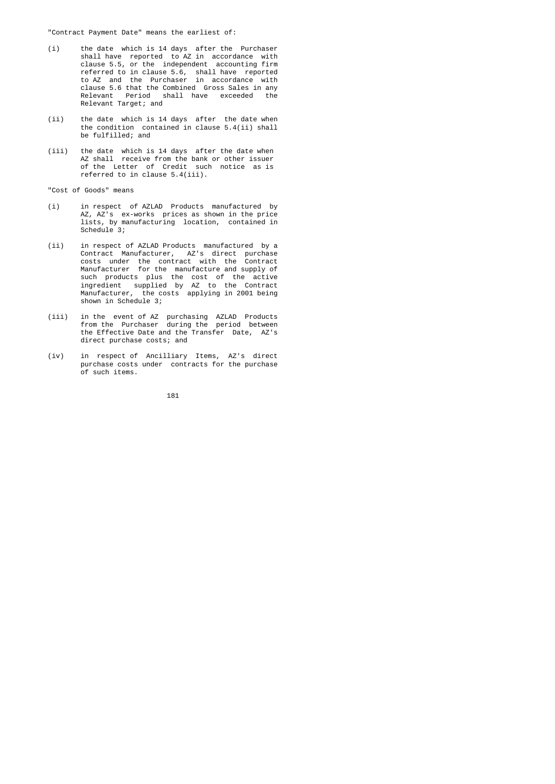"Contract Payment Date" means the earliest of:

- (i) the date which is 14 days after the Purchaser shall have reported to AZ in accordance with clause 5.5, or the independent accounting firm referred to in clause 5.6, shall have reported to AZ and the Purchaser in accordance with clause 5.6 that the Combined Gross Sales in any Relevant Period shall have exceeded the Relevant Target; and
	- (ii) the date which is 14 days after the date when the condition contained in clause 5.4(ii) shall be fulfilled; and
- (iii) the date which is 14 days after the date when AZ shall receive from the bank or other issuer of the Letter of Credit such notice as is referred to in clause 5.4(iii).

"Cost of Goods" means

- (i) in respect of AZLAD Products manufactured by AZ, AZ's ex-works prices as shown in the price lists, by manufacturing location, contained in Schedule<sup>3;</sup>
- (ii) in respect of AZLAD Products manufactured by a Contract Manufacturer, AZ's direct purchase costs under the contract with the Contract Manufacturer for the manufacture and supply of such products plus the cost of the active ingredient supplied by AZ to the Contract Manufacturer, the costs applying in 2001 being shown in Schedule 3;
- (iii) in the event of AZ purchasing AZLAD Products from the Purchaser during the period between the Effective Date and the Transfer Date, AZ's direct purchase costs; and
- (iv) in respect of Ancilliary Items, AZ's direct purchase costs under contracts for the purchase of such items.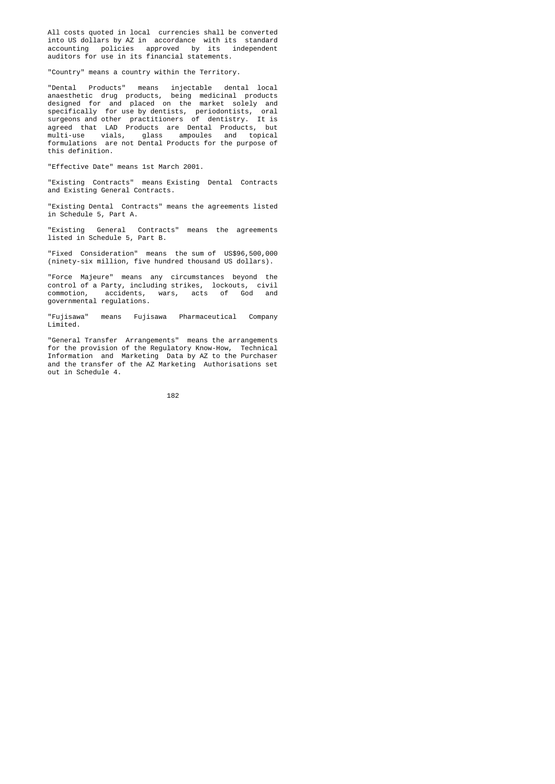All costs quoted in local currencies shall be converted into US dollars by AZ in accordance with its standard accounting policies approved by its independent auditors for use in its financial statements.

"Country" means a country within the Territory.

 "Dental Products" means injectable dental local anaesthetic drug products, being medicinal products designed for and placed on the market solely and specifically for use by dentists, periodontists, oral surgeons and other practitioners of dentistry. It is agreed that LAD Products are Dental Products, but multi-use vials, glass ampoules and topical formulations are not Dental Products for the purpose of this definition.

"Effective Date" means 1st March 2001.

 "Existing Contracts" means Existing Dental Contracts and Existing General Contracts.

> "Existing Dental Contracts" means the agreements listed in Schedule 5, Part A.

 "Existing General Contracts" means the agreements listed in Schedule 5, Part B.

> "Fixed Consideration" means the sum of US\$96,500,000 (ninety-six million, five hundred thousand US dollars).

 "Force Majeure" means any circumstances beyond the control of a Party, including strikes, lockouts, civil commotion, accidents, wars, acts of God and governmental regulations.

> "Fujisawa" means Fujisawa Pharmaceutical Company Limited.

 "General Transfer Arrangements" means the arrangements for the provision of the Regulatory Know-How, Technical Information and Marketing Data by AZ to the Purchaser and the transfer of the AZ Marketing Authorisations set out in Schedule 4.

182 and 182 and 182 and 182 and 182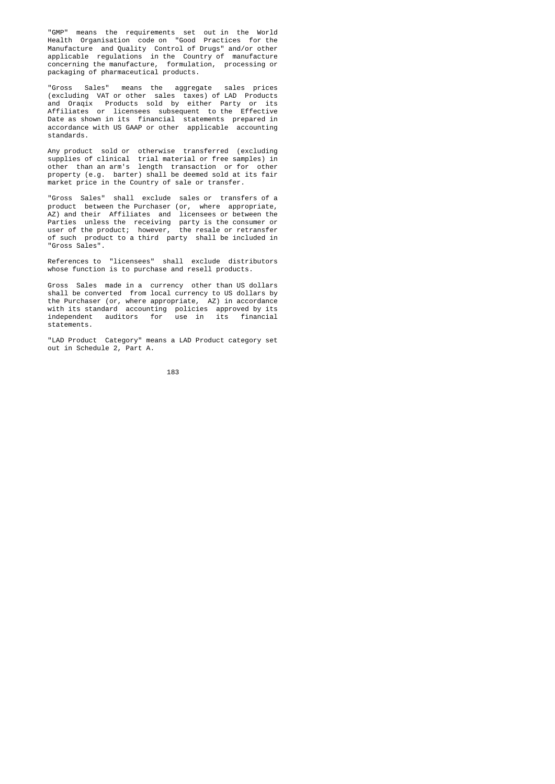"GMP" means the requirements set out in the World Health Organisation code on "Good Practices for the Manufacture and Quality Control of Drugs" and/or other applicable regulations in the Country of manufacture concerning the manufacture, formulation, processing or packaging of pharmaceutical products.

 "Gross Sales" means the aggregate sales prices (excluding VAT or other sales taxes) of LAD Products and Oraqix Products sold by either Party or its Affiliates or licensees subsequent to the Effective Date as shown in its financial statements prepared in accordance with US GAAP or other applicable accounting standards.

 Any product sold or otherwise transferred (excluding supplies of clinical trial material or free samples) in other than an arm's length transaction or for other property (e.g. barter) shall be deemed sold at its fair market price in the Country of sale or transfer.

 "Gross Sales" shall exclude sales or transfers of a product between the Purchaser (or, where appropriate, AZ) and their Affiliates and licensees or between the Parties unless the receiving party is the consumer or user of the product; however, the resale or retransfer of such product to a third party shall be included in "Gross Sales".

> References to "licensees" shall exclude distributors whose function is to purchase and resell products.

 Gross Sales made in a currency other than US dollars shall be converted from local currency to US dollars by the Purchaser (or, where appropriate, AZ) in accordance with its standard accounting policies approved by its independent auditors for use in its financial statements.

> "LAD Product Category" means a LAD Product category set out in Schedule 2, Part A.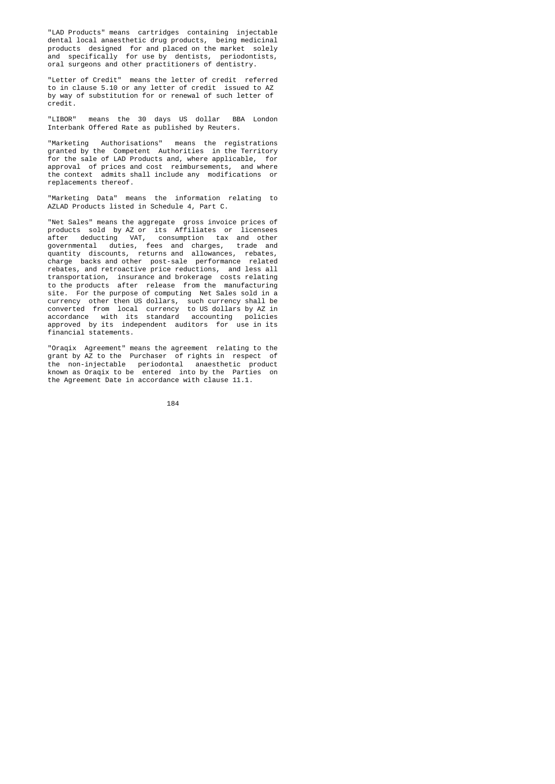"LAD Products" means cartridges containing injectable dental local anaesthetic drug products, being medicinal products designed for and placed on the market solely and specifically for use by dentists, periodontists, oral surgeons and other practitioners of dentistry.

> "Letter of Credit" means the letter of credit referred to in clause 5.10 or any letter of credit issued to AZ by way of substitution for or renewal of such letter of credit.

> "LIBOR" means the 30 days US dollar BBA London Interbank Offered Rate as published by Reuters.

 "Marketing Authorisations" means the registrations granted by the Competent Authorities in the Territory for the sale of LAD Products and, where applicable, for approval of prices and cost reimbursements, and where the context admits shall include any modifications or replacements thereof.

> "Marketing Data" means the information relating to AZLAD Products listed in Schedule 4, Part C.

 "Net Sales" means the aggregate gross invoice prices of products sold by AZ or its Affiliates or licensees after deducting VAT, consumption tax and other governmental duties, fees and charges, trade and quantity discounts, returns and allowances, rebates, charge backs and other post-sale performance related rebates, and retroactive price reductions, and less all transportation, insurance and brokerage costs relating to the products after release from the manufacturing site. For the purpose of computing Net Sales sold in a currency other then US dollars, such currency shall be converted from local currency to US dollars by AZ in accordance with its standard accounting policies approved by its independent auditors for use in its financial statements.

 "Oraqix Agreement" means the agreement relating to the grant by AZ to the Purchaser of rights in respect of the non-injectable periodontal anaesthetic product known as Oraqix to be entered into by the Parties on the Agreement Date in accordance with clause 11.1.

$$
\begin{array}{c} 184 \end{array}
$$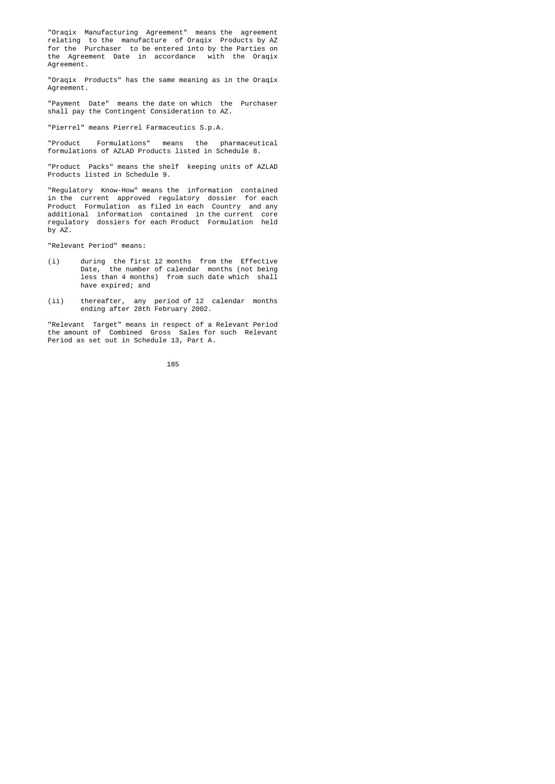"Oraqix Manufacturing Agreement" means the agreement relating to the manufacture of Oraqix Products by AZ for the Purchaser to be entered into by the Parties on the Agreement Date in accordance with the Oraqix Agreement.

> "Oraqix Products" has the same meaning as in the Oraqix Agreement.

> "Payment Date" means the date on which the Purchaser shall pay the Contingent Consideration to AZ.

"Pierrel" means Pierrel Farmaceutics S.p.A.

 "Product Formulations" means the pharmaceutical formulations of AZLAD Products listed in Schedule 8.

 "Product Packs" means the shelf keeping units of AZLAD Products listed in Schedule 9.

 "Regulatory Know-How" means the information contained in the current approved regulatory dossier for each Product Formulation as filed in each Country and any additional information contained in the current core regulatory dossiers for each Product Formulation held by AZ.

"Relevant Period" means:

- (i) during the first 12 months from the Effective Date, the number of calendar months (not being less than 4 months) from such date which shall have expired; and
	- (ii) thereafter, any period of 12 calendar months ending after 28th February 2002.

 "Relevant Target" means in respect of a Relevant Period the amount of Combined Gross Sales for such Relevant Period as set out in Schedule 13, Part A.

<u>185 - Andrej Amerikaanse konstantine (</u>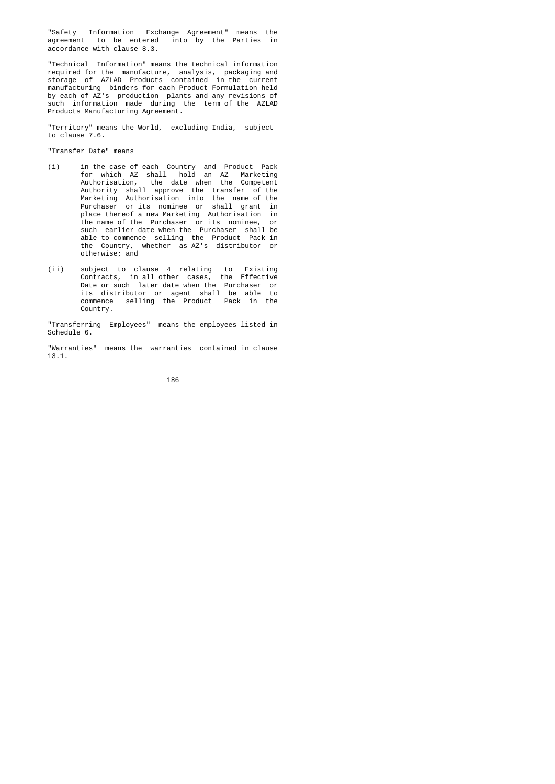"Safety Information Exchange Agreement" means the agreement to be entered into by the Parties in accordance with clause 8.3.

 "Technical Information" means the technical information required for the manufacture, analysis, packaging and storage of AZLAD Products contained in the current manufacturing binders for each Product Formulation held by each of AZ's production plants and any revisions of such information made during the term of the AZLAD Products Manufacturing Agreement.

 "Territory" means the World, excluding India, subject to clause 7.6.

"Transfer Date" means

- (i) in the case of each Country and Product Pack for which AZ shall hold an AZ Marketing Authorisation, the date when the Competent Authority shall approve the transfer of the Marketing Authorisation into the name of the Purchaser or its nominee or shall grant in place thereof a new Marketing Authorisation in the name of the Purchaser or its nominee, or such earlier date when the Purchaser shall be able to commence selling the Product Pack in the Country, whether as AZ's distributor or otherwise; and
- (ii) subject to clause 4 relating to Existing Contracts, in all other cases, the Effective Date or such later date when the Purchaser or its distributor or agent shall be able to commence selling the Product Pack in the Country.

 "Transferring Employees" means the employees listed in Schedule 6.

 "Warranties" means the warranties contained in clause 13.1.

<u>186 - Animal Stevenski, politik († 186</u>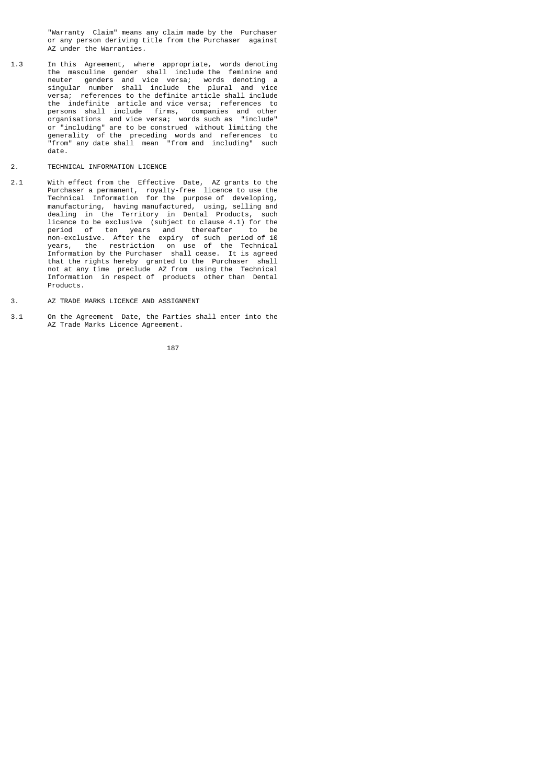"Warranty Claim" means any claim made by the Purchaser or any person deriving title from the Purchaser against AZ under the Warranties.

- 1.3 In this Agreement, where appropriate, words denoting the masculine gender shall include the feminine and neuter genders and vice versa; words denoting a singular number shall include the plural and vice versa; references to the definite article shall include the indefinite article and vice versa; references to persons shall include firms, companies and other organisations and vice versa; words such as "include" or "including" are to be construed without limiting the generality of the preceding words and references to "from" any date shall mean "from and including" such date.
- 2. TECHNICAL INFORMATION LICENCE
- 2.1 With effect from the Effective Date, AZ grants to the Purchaser a permanent, royalty-free licence to use the Technical Information for the purpose of developing, manufacturing, having manufactured, using, selling and dealing in the Territory in Dental Products, such licence to be exclusive (subject to clause 4.1) for the period of ten years and thereafter to be non-exclusive. After the expiry of such period of 10 years, the restriction on use of the Technical Information by the Purchaser shall cease. It is agreed that the rights hereby granted to the Purchaser shall not at any time preclude AZ from using the Technical Information in respect of products other than Dental Products.
- 3. AZ TRADE MARKS LICENCE AND ASSIGNMENT
- 3.1 On the Agreement Date, the Parties shall enter into the AZ Trade Marks Licence Agreement.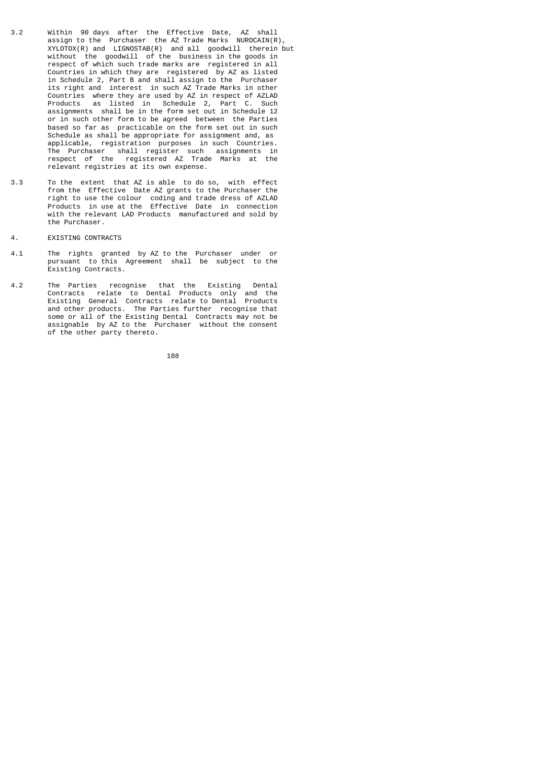- 3.2 Within 90 days after the Effective Date, AZ shall assign to the Purchaser the AZ Trade Marks NUROCAIN(R), XYLOTOX(R) and LIGNOSTAB(R) and all goodwill therein but without the goodwill of the business in the goods in respect of which such trade marks are registered in all Countries in which they are registered by AZ as listed in Schedule 2, Part B and shall assign to the Purchaser its right and interest in such AZ Trade Marks in other Countries where they are used by AZ in respect of AZLAD Products as listed in Schedule 2, Part C. Such assignments shall be in the form set out in Schedule 12 or in such other form to be agreed between the Parties based so far as practicable on the form set out in such Schedule as shall be appropriate for assignment and, as applicable, registration purposes in such Countries. The Purchaser shall register such assignments in respect of the registered AZ Trade Marks at the relevant registries at its own expense.
- 3.3 To the extent that AZ is able to do so, with effect from the Effective Date AZ grants to the Purchaser the right to use the colour coding and trade dress of AZLAD Products in use at the Effective Date in connection with the relevant LAD Products manufactured and sold by the Purchaser.
- 4. EXISTING CONTRACTS
- 4.1 The rights granted by AZ to the Purchaser under or pursuant to this Agreement shall be subject to the Existing Contracts.
- 4.2 The Parties recognise that the Existing Dental Contracts relate to Dental Products only and the Existing General Contracts relate to Dental Products and other products. The Parties further recognise that some or all of the Existing Dental Contracts may not be assignable by AZ to the Purchaser without the consent of the other party thereto.

188 - Personald Bank (b. 1882)<br>188 - Paul Bank (b. 1882)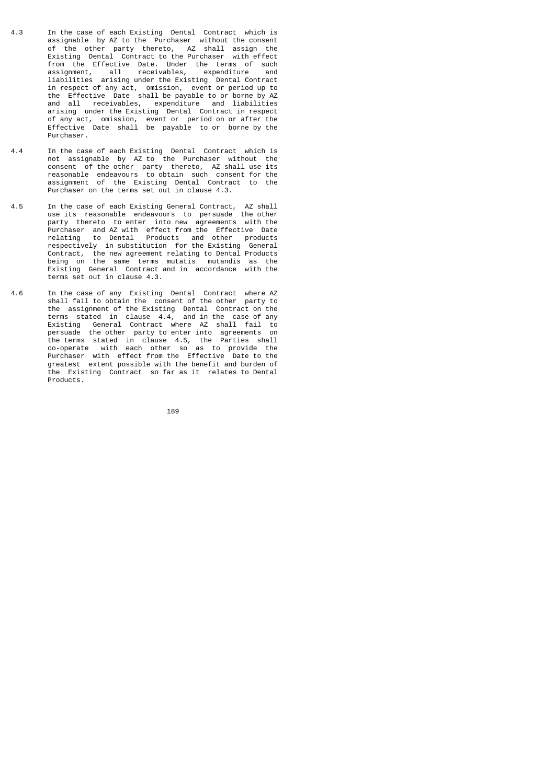- 4.3 In the case of each Existing Dental Contract which is assignable by AZ to the Purchaser without the consent of the other party thereto, AZ shall assign the Existing Dental Contract to the Purchaser with effect from the Effective Date. Under the terms of such assignment, all receivables, expenditure and liabilities arising under the Existing Dental Contract in respect of any act, omission, event or period up to the Effective Date shall be payable to or borne by AZ and all receivables, expenditure and liabilities arising under the Existing Dental Contract in respect of any act, omission, event or period on or after the Effective Date shall be payable to or borne by the Purchaser.
- 4.4 In the case of each Existing Dental Contract which is not assignable by AZ to the Purchaser without the consent of the other party thereto, AZ shall use its reasonable endeavours to obtain such consent for the assignment of the Existing Dental Contract to the Purchaser on the terms set out in clause 4.3.
- 4.5 In the case of each Existing General Contract, AZ shall use its reasonable endeavours to persuade the other party thereto to enter into new agreements with the Purchaser and AZ with effect from the Effective Date relating to Dental Products and other products respectively in substitution for the Existing General Contract, the new agreement relating to Dental Products being on the same terms mutatis mutandis as the Existing General Contract and in accordance with the terms set out in clause 4.3.
- 4.6 In the case of any Existing Dental Contract where AZ shall fail to obtain the consent of the other party to the assignment of the Existing Dental Contract on the terms stated in clause 4.4, and in the case of any Existing General Contract where AZ shall fail to persuade the other party to enter into agreements on the terms stated in clause 4.5, the Parties shall co-operate with each other so as to provide the Purchaser with effect from the Effective Date to the greatest extent possible with the benefit and burden of the Existing Contract so far as it relates to Dental Products.

189 - Paul Barbara, poeta e a 189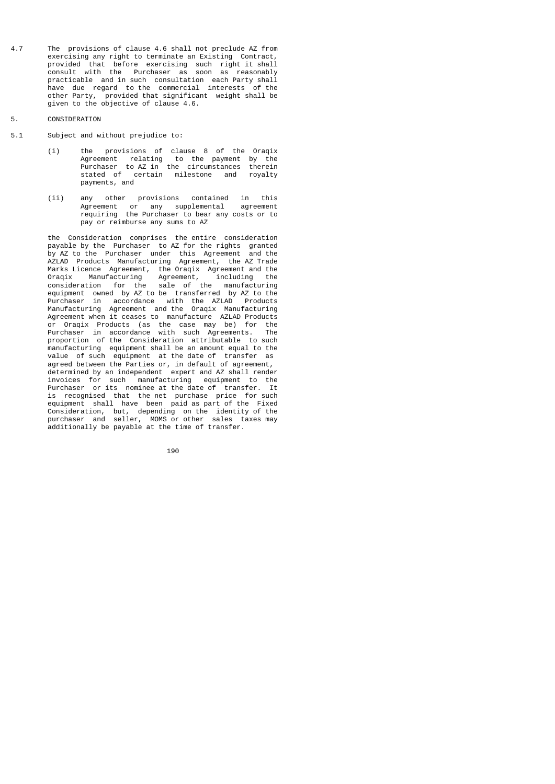4.7 The provisions of clause 4.6 shall not preclude AZ from exercising any right to terminate an Existing Contract, provided that before exercising such right it shall consult with the Purchaser as soon as reasonably practicable and in such consultation each Party shall have due regard to the commercial interests of the other Party, provided that significant weight shall be given to the objective of clause 4.6.

## 5. CONSIDERATION

- 5.1 Subject and without prejudice to:
- (i) the provisions of clause 8 of the Oraqix Agreement relating to the payment by the Purchaser to AZ in the circumstances therein stated of certain milestone and royalty payments, and
- (ii) any other provisions contained in this Agreement or any supplemental agreement requiring the Purchaser to bear any costs or to pay or reimburse any sums to AZ

 the Consideration comprises the entire consideration payable by the Purchaser to AZ for the rights granted<br>by AZ to the Purchaser under this Agreement and the by AZ to the Purchaser under this Agreement and the AZLAD Products Manufacturing Agreement, the AZ Trade Marks Licence Agreement, the Oraqix Agreement and the Oraqix Manufacturing Agreement, including the consideration for the sale of the manufacturing equipment owned by AZ to be transferred by AZ to the Purchaser in accordance with the AZLAD Products Manufacturing Agreement and the Oraqix Manufacturing Agreement when it ceases to manufacture AZLAD Products or Oraqix Products (as the case may be) for the Purchaser in accordance with such Agreements. The proportion of the Consideration attributable to such manufacturing equipment shall be an amount equal to the value of such equipment at the date of transfer as agreed between the Parties or, in default of agreement, determined by an independent expert and AZ shall render invoices for such manufacturing equipment to the Purchaser or its nominee at the date of transfer. It is recognised that the net purchase price for such equipment shall have been paid as part of the Fixed Consideration, but, depending on the identity of the purchaser and seller, MOMS or other sales taxes may additionally be payable at the time of transfer.

190 **190 191 191 191 191 191 191 191 191 1**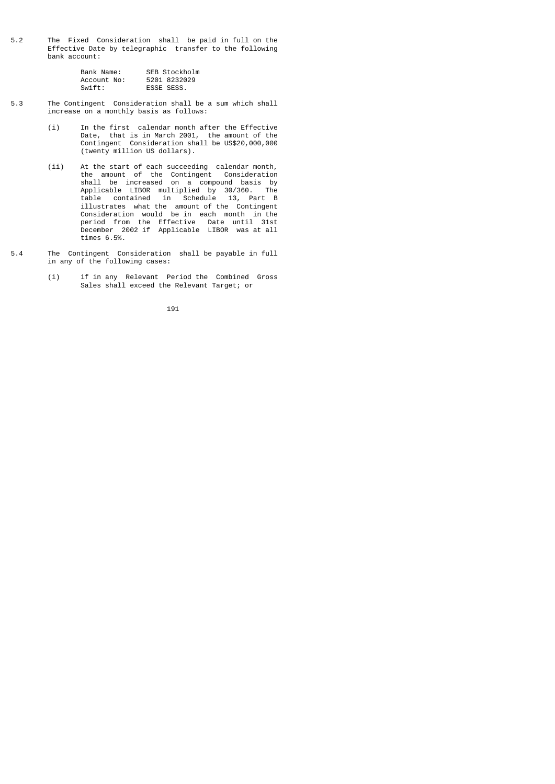5.2 The Fixed Consideration shall be paid in full on the Effective Date by telegraphic transfer to the following bank account:

| Bank Name:  | SEB Stockholm |
|-------------|---------------|
| Account No: | 5201 8232029  |
| Swift:      | ESSE SESS.    |

- 5.3 The Contingent Consideration shall be a sum which shall increase on a monthly basis as follows:
- (i) In the first calendar month after the Effective Date, that is in March 2001, the amount of the Contingent Consideration shall be US\$20,000,000 (twenty million US dollars).
- (ii) At the start of each succeeding calendar month, the amount of the Contingent Consideration shall be increased on a compound basis by Applicable LIBOR multiplied by 30/360. The table contained in Schedule 13, Part B illustrates what the amount of the Contingent Consideration would be in each month in the period from the Effective Date until 31st December 2002 if Applicable LIBOR was at all times 6.5%.
- 5.4 The Contingent Consideration shall be payable in full in any of the following cases:
- (i) if in any Relevant Period the Combined Gross Sales shall exceed the Relevant Target; or

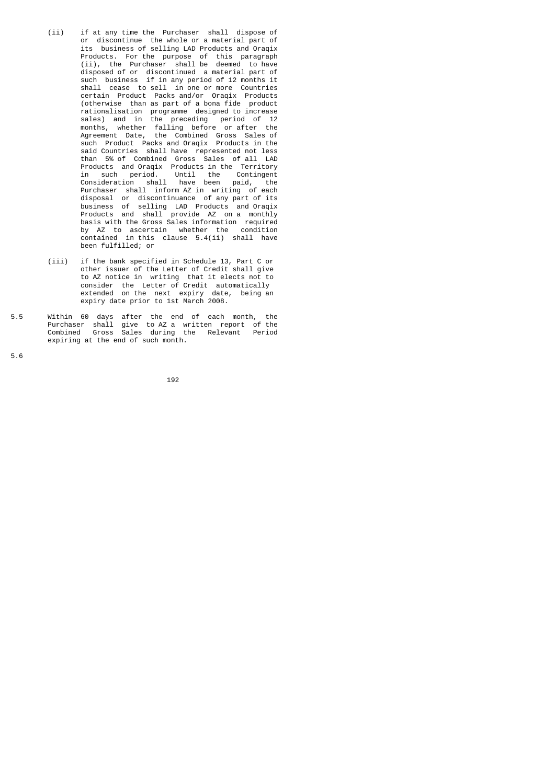- (ii) if at any time the Purchaser shall dispose of or discontinue the whole or a material part of its business of selling LAD Products and Oraqix Products. For the purpose of this paragraph (ii), the Purchaser shall be deemed to have disposed of or discontinued a material part of such business if in any period of 12 months it shall cease to sell in one or more Countries certain Product Packs and/or Oraqix Products (otherwise than as part of a bona fide product rationalisation programme designed to increase sales) and in the preceding period of 12 months, whether falling before or after the Agreement Date, the Combined Gross Sales of such Product Packs and Oraqix Products in the said Countries shall have represented not less than 5% of Combined Gross Sales of all LAD Products and Oraqix Products in the Territory in such period. Until the Contingent Consideration shall have been paid, the Purchaser shall inform AZ in writing of each disposal or discontinuance of any part of its business of selling LAD Products and Oraqix Products and shall provide AZ on a monthly basis with the Gross Sales information required by AZ to ascertain whether the condition contained in this clause 5.4(ii) shall have been fulfilled; or
- (iii) if the bank specified in Schedule 13, Part C or other issuer of the Letter of Credit shall give to AZ notice in writing that it elects not to consider the Letter of Credit automatically extended on the next expiry date, being an expiry date prior to 1st March 2008.
- 5.5 Within 60 days after the end of each month, the Purchaser shall give to AZ a written report of the Combined Gross Sales during the Relevant Period expiring at the end of such month.

5.6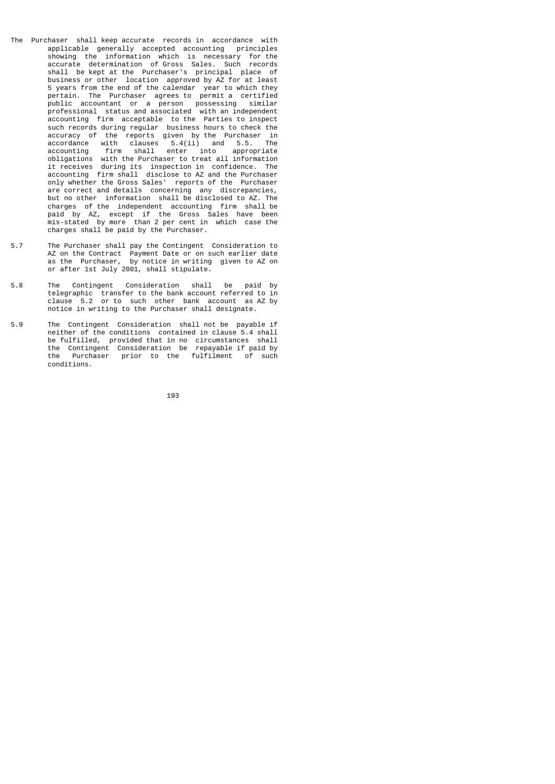- The Purchaser shall keep accurate records in accordance with applicable generally accepted accounting principles showing the information which is necessary for the accurate determination of Gross Sales. Such records shall be kept at the Purchaser's principal place of business or other location approved by AZ for at least 5 years from the end of the calendar year to which they pertain. The Purchaser agrees to permit a certified public accountant or a person possessing similar professional status and associated with an independent accounting firm acceptable to the Parties to inspect such records during regular business hours to check the accuracy of the reports given by the Purchaser in accordance with clauses 5.4(ii) and 5.5. The accounting firm shall enter into appropriate obligations with the Purchaser to treat all information it receives during its inspection in confidence. The accounting firm shall disclose to AZ and the Purchaser only whether the Gross Sales' reports of the Purchaser are correct and details concerning any discrepancies, but no other information shall be disclosed to AZ. The charges of the independent accounting firm shall be paid by AZ, except if the Gross Sales have been mis-stated by more than 2 per cent in which case the charges shall be paid by the Purchaser.
- 5.7 The Purchaser shall pay the Contingent Consideration to AZ on the Contract Payment Date or on such earlier date as the Purchaser, by notice in writing given to AZ on or after 1st July 2001, shall stipulate.
- 5.8 The Contingent Consideration shall be paid by telegraphic transfer to the bank account referred to in clause 5.2 or to such other bank account as AZ by notice in writing to the Purchaser shall designate.
- 5.9 The Contingent Consideration shall not be payable if neither of the conditions contained in clause 5.4 shall be fulfilled, provided that in no circumstances shall the Contingent Consideration be repayable if paid by the Purchaser prior to the fulfilment of such conditions.

193 - <u>193 - Animal Britannich (b. 193</u>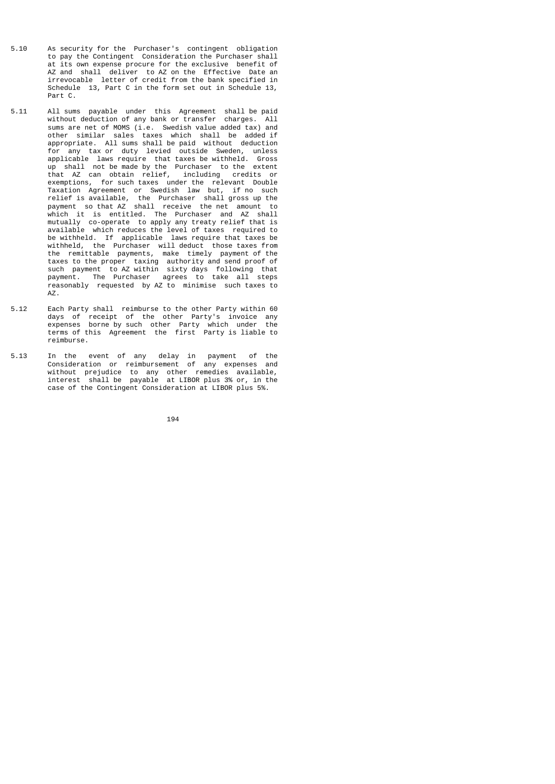- 5.10 As security for the Purchaser's contingent obligation to pay the Contingent Consideration the Purchaser shall at its own expense procure for the exclusive benefit of AZ and shall deliver to AZ on the Effective Date an irrevocable letter of credit from the bank specified in Schedule 13, Part C in the form set out in Schedule 13, Part C.
- 5.11 All sums payable under this Agreement shall be paid without deduction of any bank or transfer charges. All sums are net of MOMS (i.e. Swedish value added tax) and other similar sales taxes which shall be added if appropriate. All sums shall be paid without deduction for any tax or duty levied outside Sweden, unless applicable laws require that taxes be withheld. Gross up shall not be made by the Purchaser to the extent that AZ can obtain relief, including credits or exemptions, for such taxes under the relevant Double Taxation Agreement or Swedish law but, if no such relief is available, the Purchaser shall gross up the payment so that AZ shall receive the net amount to which it is entitled. The Purchaser and AZ shall mutually co-operate to apply any treaty relief that is available which reduces the level of taxes required to be withheld. If applicable laws require that taxes be withheld, the Purchaser will deduct those taxes from the remittable payments, make timely payment of the taxes to the proper taxing authority and send proof of such payment to AZ within sixty days following that payment. The Purchaser agrees to take all steps reasonably requested by AZ to minimise such taxes to AZ.
- 5.12 Each Party shall reimburse to the other Party within 60 days of receipt of the other Party's invoice any expenses borne by such other Party which under the terms of this Agreement the first Party is liable to reimburse.
- 5.13 In the event of any delay in payment of the Consideration or reimbursement of any expenses and without prejudice to any other remedies available, interest shall be payable at LIBOR plus 3% or, in the case of the Contingent Consideration at LIBOR plus 5%.

$$
\begin{array}{c} 194 \end{array}
$$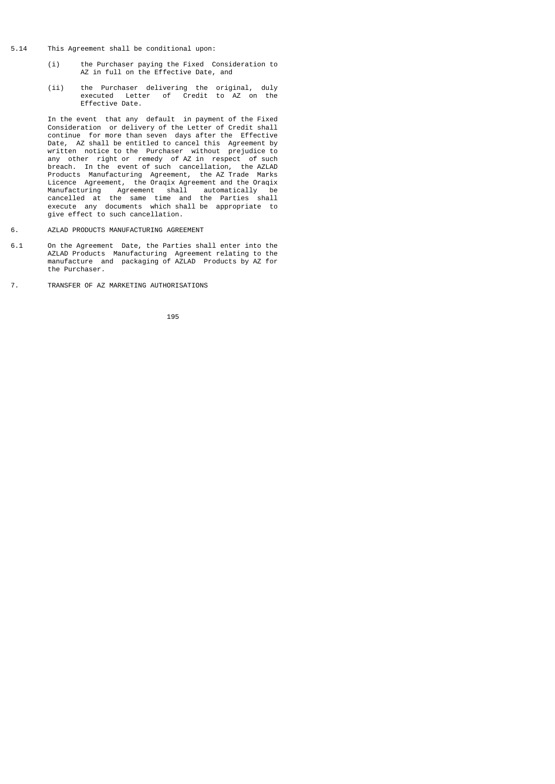- 5.14 This Agreement shall be conditional upon:
	- (i) the Purchaser paying the Fixed Consideration to AZ in full on the Effective Date, and
	- (ii) the Purchaser delivering the original, duly executed Letter of Credit to AZ on the Effective Date.

 In the event that any default in payment of the Fixed Consideration or delivery of the Letter of Credit shall continue for more than seven days after the Effective Date, AZ shall be entitled to cancel this Agreement by written notice to the Purchaser without prejudice to any other right or remedy of AZ in respect of such breach. In the event of such cancellation, the AZLAD Products Manufacturing Agreement, the AZ Trade Marks Licence Agreement, the Oraqix Agreement and the Oraqix Manufacturing Agreement shall automatically be cancelled at the same time and the Parties shall execute any documents which shall be appropriate to give effect to such cancellation.

- 6. AZLAD PRODUCTS MANUFACTURING AGREEMENT
- 6.1 On the Agreement Date, the Parties shall enter into the AZLAD Products Manufacturing Agreement relating to the manufacture and packaging of AZLAD Products by AZ for the Purchaser.
- 7. TRANSFER OF AZ MARKETING AUTHORISATIONS

<u>1953 - Johann Stein, Amerikaansk politiker (</u>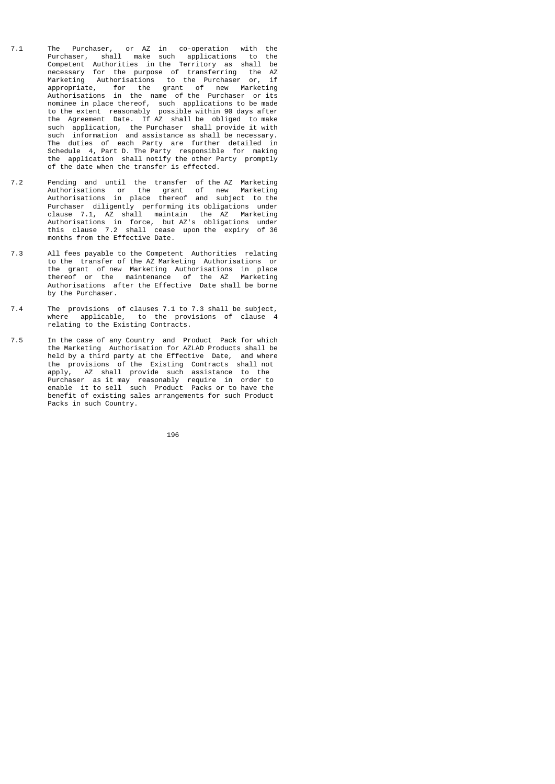- 7.1 The Purchaser, or AZ in co-operation with the Purchaser, shall make such applications to the Competent Authorities in the Territory as shall be necessary for the purpose of transferring the AZ Marketing Authorisations to the Purchaser or, if appropriate, for the grant of new Marketing Authorisations in the name of the Purchaser or its nominee in place thereof, such applications to be made to the extent reasonably possible within 90 days after the Agreement Date. If AZ shall be obliged to make such application, the Purchaser shall provide it with such information and assistance as shall be necessary. The duties of each Party are further detailed in Schedule 4, Part D. The Party responsible for making the application shall notify the other Party promptly of the date when the transfer is effected.
- 7.2 Pending and until the transfer of the AZ Marketing Authorisations or the grant of new Marketing Authorisations in place thereof and subject to the Purchaser diligently performing its obligations under clause 7.1, AZ shall maintain the AZ Marketing Authorisations in force, but AZ's obligations under this clause 7.2 shall cease upon the expiry of 36 months from the Effective Date.
- 7.3 All fees payable to the Competent Authorities relating to the transfer of the AZ Marketing Authorisations or the grant of new Marketing Authorisations in place thereof or the maintenance of the AZ Marketing Authorisations after the Effective Date shall be borne by the Purchaser.
- 7.4 The provisions of clauses 7.1 to 7.3 shall be subject, where applicable, to the provisions of clause 4 relating to the Existing Contracts.
- 7.5 In the case of any Country and Product Pack for which the Marketing Authorisation for AZLAD Products shall be held by a third party at the Effective Date, and where the provisions of the Existing Contracts shall not apply, AZ shall provide such assistance to the Purchaser as it may reasonably require in order to enable it to sell such Product Packs or to have the benefit of existing sales arrangements for such Product Packs in such Country.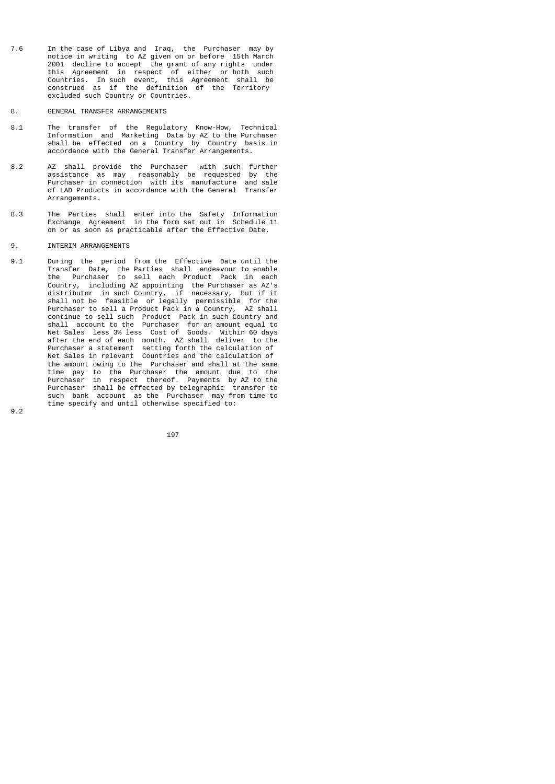- 7.6 In the case of Libya and Iraq, the Purchaser may by notice in writing to AZ given on or before 15th March 2001 decline to accept the grant of any rights under this Agreement in respect of either or both such Countries. In such event, this Agreement shall be construed as if the definition of the Territory excluded such Country or Countries.
- 8. GENERAL TRANSFER ARRANGEMENTS
- 8.1 The transfer of the Regulatory Know-How, Technical Information and Marketing Data by AZ to the Purchaser shall be effected on a Country by Country basis in accordance with the General Transfer Arrangements.
- 8.2 AZ shall provide the Purchaser with such further assistance as may reasonably be requested by the Purchaser in connection with its manufacture and sale of LAD Products in accordance with the General Transfer Arrangements.
- 8.3 The Parties shall enter into the Safety Information Exchange Agreement in the form set out in Schedule 11 on or as soon as practicable after the Effective Date.
- 9. INTERIM ARRANGEMENTS
- 9.1 During the period from the Effective Date until the Transfer Date, the Parties shall endeavour to enable the Purchaser to sell each Product Pack in each Country, including AZ appointing the Purchaser as AZ's distributor in such Country, if necessary, but if it shall not be feasible or legally permissible for the Purchaser to sell a Product Pack in a Country, AZ shall continue to sell such Product Pack in such Country and shall account to the Purchaser for an amount equal to Net Sales less 3% less Cost of Goods. Within 60 days after the end of each month, AZ shall deliver to the Purchaser a statement setting forth the calculation of Net Sales in relevant Countries and the calculation of the amount owing to the Purchaser and shall at the same time pay to the Purchaser the amount due to the Purchaser in respect thereof. Payments by AZ to the Purchaser shall be effected by telegraphic transfer to such bank account as the Purchaser may from time to time specify and until otherwise specified to:

9.2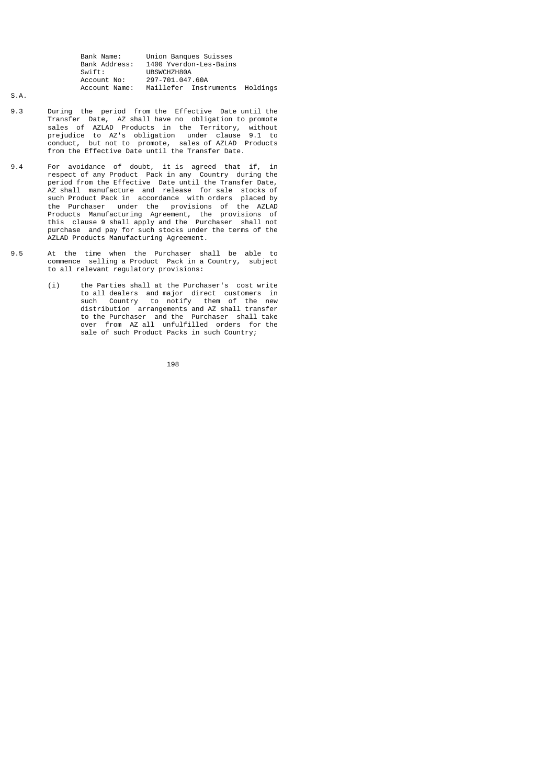| Bank Name:    | Union Banques Suisses          |
|---------------|--------------------------------|
| Bank Address: | 1400 Yverdon-Les-Bains         |
| Swift:        | UBSWCHZH80A                    |
| Account No:   | 297-701.047.60A                |
| Account Name: | Maillefer Instruments Holdings |

S.A.

- 9.3 During the period from the Effective Date until the Transfer Date, AZ shall have no obligation to promote sales of AZLAD Products in the Territory, without prejudice to AZ's obligation under clause 9.1 to conduct, but not to promote, sales of AZLAD Products from the Effective Date until the Transfer Date.
- 9.4 For avoidance of doubt, it is agreed that if, in respect of any Product Pack in any Country during the period from the Effective Date until the Transfer Date, AZ shall manufacture and release for sale stocks of such Product Pack in accordance with orders placed by the Purchaser under the provisions of the AZLAD Products Manufacturing Agreement, the provisions of this clause 9 shall apply and the Purchaser shall not purchase and pay for such stocks under the terms of the AZLAD Products Manufacturing Agreement.
- 9.5 At the time when the Purchaser shall be able to commence selling a Product Pack in a Country, subject to all relevant regulatory provisions:
- (i) the Parties shall at the Purchaser's cost write to all dealers and major direct customers in such Country to notify them of the new distribution arrangements and AZ shall transfer to the Purchaser and the Purchaser shall take over from AZ all unfulfilled orders for the sale of such Product Packs in such Country;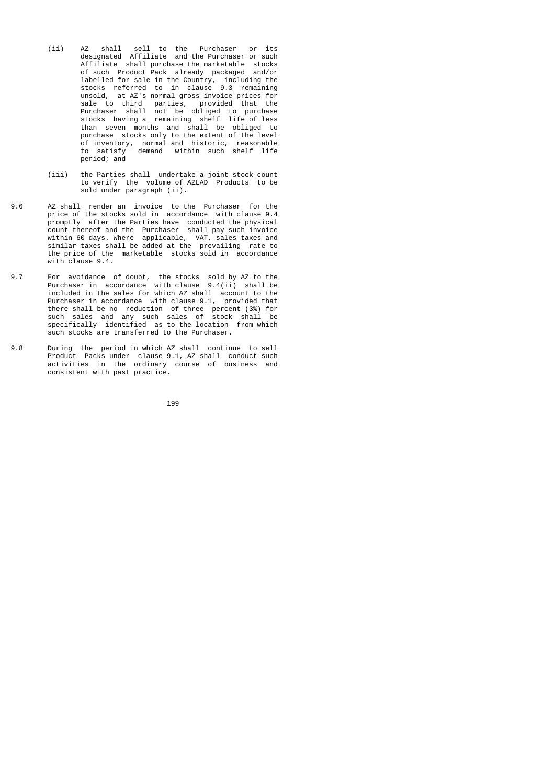- (ii) AZ shall sell to the Purchaser or its designated Affiliate and the Purchaser or such Affiliate shall purchase the marketable stocks of such Product Pack already packaged and/or labelled for sale in the Country, including the stocks referred to in clause 9.3 remaining unsold, at AZ's normal gross invoice prices for sale to third parties, provided that the Purchaser shall not be obliged to purchase stocks having a remaining shelf life of less than seven months and shall be obliged to purchase stocks only to the extent of the level of inventory, normal and historic, reasonable to satisfy demand within such shelf life period; and
- (iii) the Parties shall undertake a joint stock count to verify the volume of AZLAD Products to be sold under paragraph (ii).
- 9.6 AZ shall render an invoice to the Purchaser for the price of the stocks sold in accordance with clause 9.4 promptly after the Parties have conducted the physical count thereof and the Purchaser shall pay such invoice within 60 days. Where applicable, VAT, sales taxes and similar taxes shall be added at the prevailing rate to the price of the marketable stocks sold in accordance with clause 9.4.
- 9.7 For avoidance of doubt, the stocks sold by AZ to the Purchaser in accordance with clause 9.4(ii) shall be included in the sales for which AZ shall account to the Purchaser in accordance with clause 9.1, provided that there shall be no reduction of three percent (3%) for such sales and any such sales of stock shall be specifically identified as to the location from which such stocks are transferred to the Purchaser.
- 9.8 During the period in which AZ shall continue to sell Product Packs under clause 9.1, AZ shall conduct such activities in the ordinary course of business and consistent with past practice.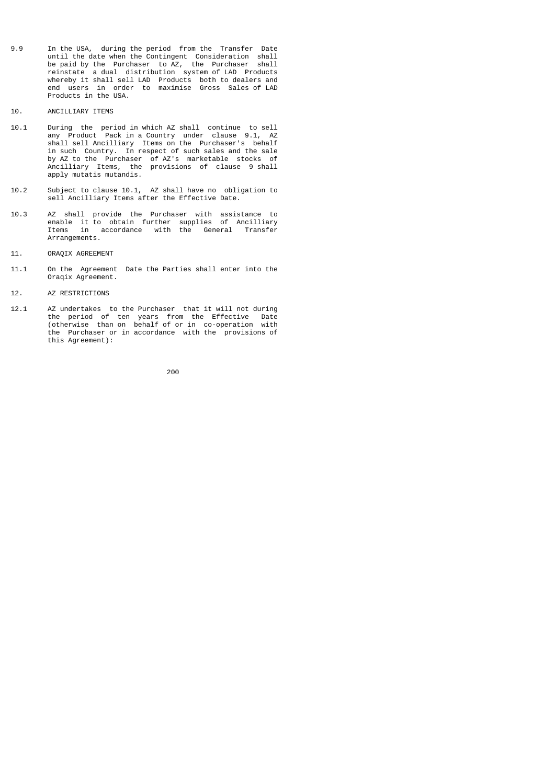- 9.9 In the USA, during the period from the Transfer Date until the date when the Contingent Consideration shall be paid by the Purchaser to AZ, the Purchaser shall reinstate a dual distribution system of LAD Products whereby it shall sell LAD Products both to dealers and end users in order to maximise Gross Sales of LAD Products in the USA.
- 10. ANCILLIARY ITEMS
- 10.1 During the period in which AZ shall continue to sell any Product Pack in a Country under clause 9.1, AZ shall sell Ancilliary Items on the Purchaser's behalf in such Country. In respect of such sales and the sale by AZ to the Purchaser of AZ's marketable stocks of Ancilliary Items, the provisions of clause 9 shall apply mutatis mutandis.
- 10.2 Subject to clause 10.1, AZ shall have no obligation to sell Ancilliary Items after the Effective Date.
- 10.3 AZ shall provide the Purchaser with assistance to enable it to obtain further supplies of Ancilliary Items in accordance with the General Transfer Arrangements.
- 11. ORAQIX AGREEMENT
- 11.1 On the Agreement Date the Parties shall enter into the Oraqix Agreement.
- 12. AZ RESTRICTIONS
- 12.1 AZ undertakes to the Purchaser that it will not during the period of ten years from the Effective Date (otherwise than on behalf of or in co-operation with the Purchaser or in accordance with the provisions of this Agreement):

процесс в подводите в 1960 године в 1960 године в 1960 године в 1960 године в 1960 године в 1960 године в 1960<br>При подводите при подводите при подводите при подводите при подводите при подводите при подводите при подводит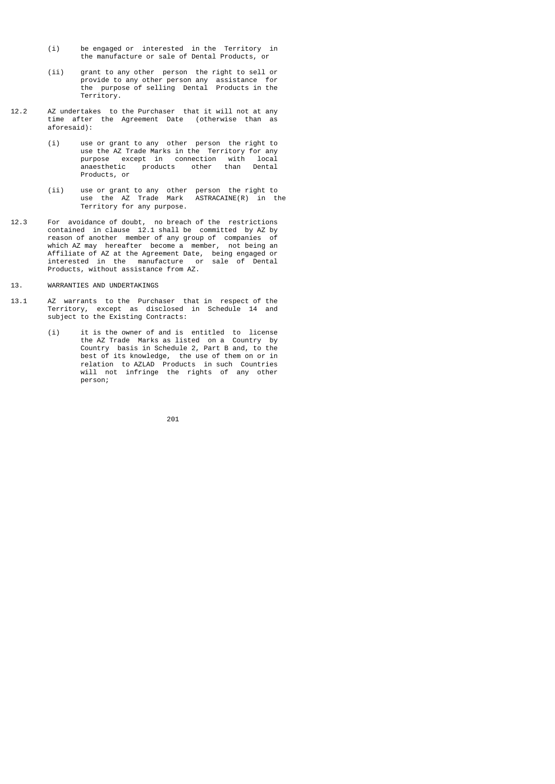- (i) be engaged or interested in the Territory in the manufacture or sale of Dental Products, or
- (ii) grant to any other person the right to sell or provide to any other person any assistance for the purpose of selling Dental Products in the Territory.
- 12.2 AZ undertakes to the Purchaser that it will not at any time after the Agreement Date (otherwise than as aforesaid):
- (i) use or grant to any other person the right to use the AZ Trade Marks in the Territory for any purpose except in connection with local anaesthetic products other than Dental Products, or
- (ii) use or grant to any other person the right to use the AZ Trade Mark ASTRACAINE(R) in the Territory for any purpose.
- 12.3 For avoidance of doubt, no breach of the restrictions contained in clause 12.1 shall be committed by AZ by reason of another member of any group of companies of which AZ may hereafter become a member, not being an Affiliate of AZ at the Agreement Date, being engaged or interested in the manufacture or sale of Dental Products, without assistance from AZ.
- 13. WARRANTIES AND UNDERTAKINGS
- 13.1 AZ warrants to the Purchaser that in respect of the Territory, except as disclosed in Schedule 14 and subject to the Existing Contracts:
- (i) it is the owner of and is entitled to license the AZ Trade Marks as listed on a Country by Country basis in Schedule 2, Part B and, to the best of its knowledge, the use of them on or in relation to AZLAD Products in such Countries will not infringe the rights of any other person;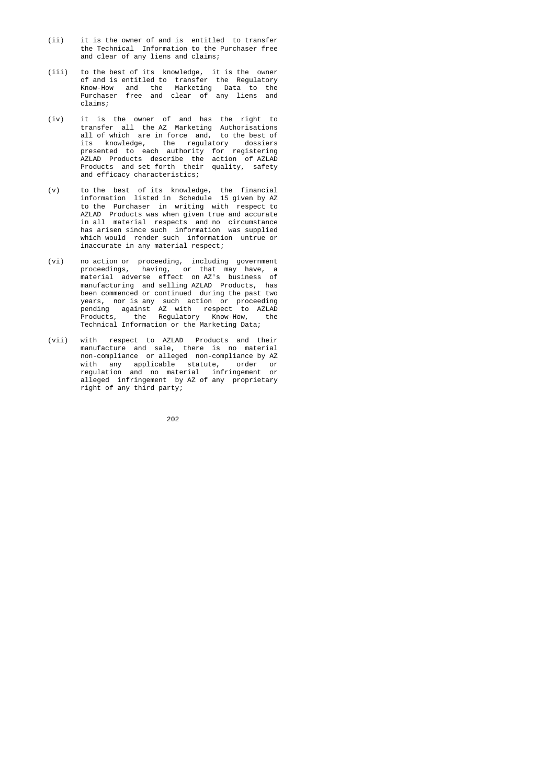- (ii) it is the owner of and is entitled to transfer the Technical Information to the Purchaser free and clear of any liens and claims;
- (iii) to the best of its knowledge, it is the owner of and is entitled to transfer the Regulatory Know-How and the Marketing Data to the Purchaser free and clear of any liens and claims;
- (iv) it is the owner of and has the right to transfer all the AZ Marketing Authorisations all of which are in force and, to the best of its knowledge, the regulatory dossiers presented to each authority for registering AZLAD Products describe the action of AZLAD Products and set forth their quality, safety and efficacy characteristics;
- (v) to the best of its knowledge, the financial information listed in Schedule 15 given by AZ to the Purchaser in writing with respect to AZLAD Products was when given true and accurate in all material respects and no circumstance has arisen since such information was supplied which would render such information untrue or inaccurate in any material respect;
- (vi) no action or proceeding, including government proceedings, having, or that may have, a material adverse effect on AZ's business of manufacturing and selling AZLAD Products, has been commenced or continued during the past two years, nor is any such action or proceeding pending against AZ with respect to AZLAD Products, the Regulatory Know-How, the Technical Information or the Marketing Data;
- (vii) with respect to AZLAD Products and their manufacture and sale, there is no material non-compliance or alleged non-compliance by AZ with any applicable statute, order or regulation and no material infringement or alleged infringement by AZ of any proprietary right of any third party;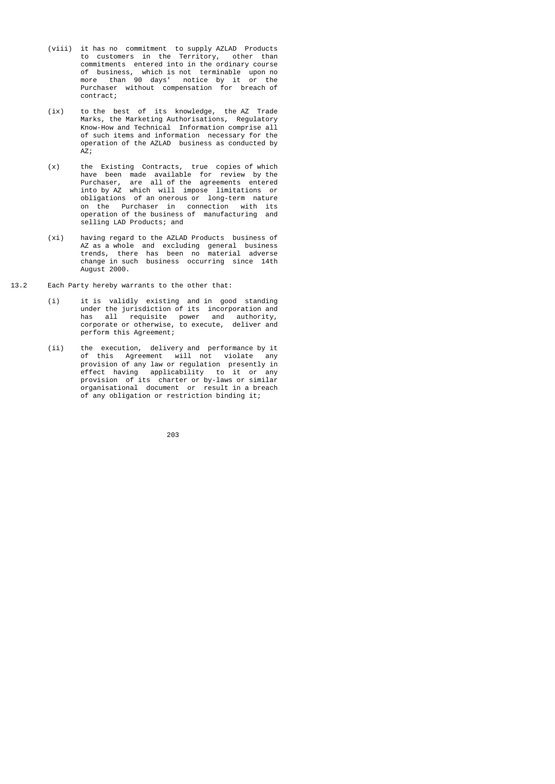- (viii) it has no commitment to supply AZLAD Products to customers in the Territory, other than commitments entered into in the ordinary course of business, which is not terminable upon no more than 90 days' notice by it or the Purchaser without compensation for breach of contract;
	- (ix) to the best of its knowledge, the AZ Trade Marks, the Marketing Authorisations, Regulatory Know-How and Technical Information comprise all of such items and information necessary for the operation of the AZLAD business as conducted by AZ;
- (x) the Existing Contracts, true copies of which have been made available for review by the Purchaser, are all of the agreements entered into by AZ which will impose limitations or obligations of an onerous or long-term nature on the Purchaser in connection with its operation of the business of manufacturing and selling LAD Products; and
- (xi) having regard to the AZLAD Products business of AZ as a whole and excluding general business trends, there has been no material adverse change in such business occurring since 14th August 2000.
- 13.2 Each Party hereby warrants to the other that:
- (i) it is validly existing and in good standing under the jurisdiction of its incorporation and has all requisite power and authority, corporate or otherwise, to execute, deliver and perform this Agreement;
- (ii) the execution, delivery and performance by it of this Agreement will not violate any provision of any law or regulation presently in effect having applicability to it or any provision of its charter or by-laws or similar organisational document or result in a breach of any obligation or restriction binding it;

<u>203</u>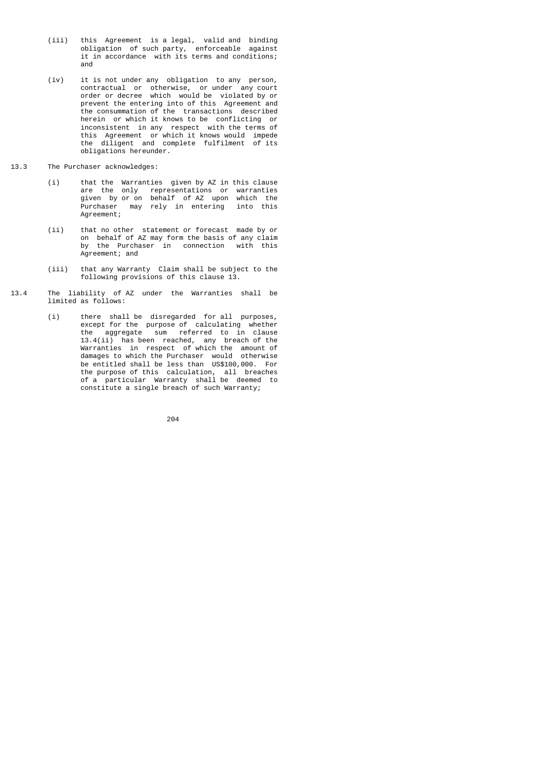- (iii) this Agreement is a legal, valid and binding obligation of such party, enforceable against it in accordance with its terms and conditions; and
- (iv) it is not under any obligation to any person, contractual or otherwise, or under any court order or decree which would be violated by or prevent the entering into of this Agreement and the consummation of the transactions described herein or which it knows to be conflicting or inconsistent in any respect with the terms of this Agreement or which it knows would impede the diligent and complete fulfilment of its obligations hereunder.
- 13.3 The Purchaser acknowledges:
	- (i) that the Warranties given by AZ in this clause are the only representations or warranties given by or on behalf of AZ upon which the Purchaser may rely in entering into this Agreement;
- (ii) that no other statement or forecast made by or on behalf of AZ may form the basis of any claim by the Purchaser in connection with this Agreement; and
	- (iii) that any Warranty Claim shall be subject to the following provisions of this clause 13.
- 13.4 The liability of AZ under the Warranties shall be limited as follows:
- (i) there shall be disregarded for all purposes, except for the purpose of calculating whether the aggregate sum referred to in clause 13.4(ii) has been reached, any breach of the Warranties in respect of which the amount of damages to which the Purchaser would otherwise be entitled shall be less than US\$100,000. For the purpose of this calculation, all breaches of a particular Warranty shall be deemed to constitute a single breach of such Warranty;

$$
204\,
$$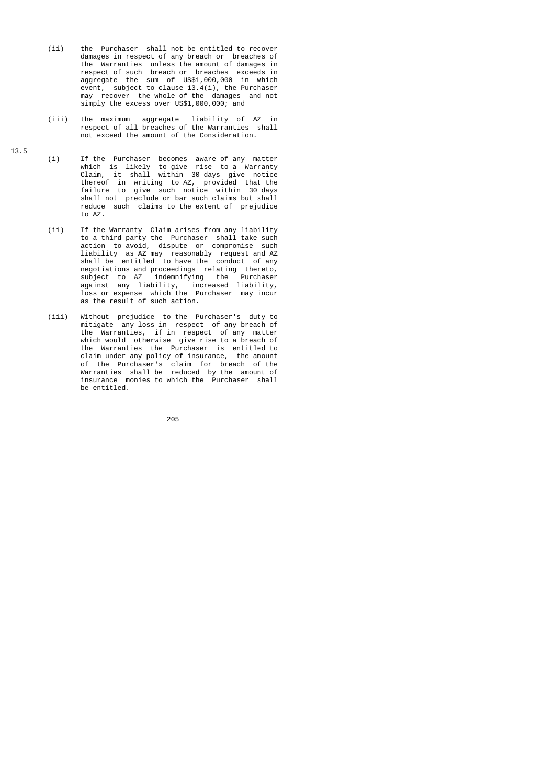- (ii) the Purchaser shall not be entitled to recover damages in respect of any breach or breaches of the Warranties unless the amount of damages in respect of such breach or breaches exceeds in aggregate the sum of US\$1,000,000 in which event, subject to clause 13.4(i), the Purchaser may recover the whole of the damages and not simply the excess over US\$1,000,000; and
	- (iii) the maximum aggregate liability of AZ in respect of all breaches of the Warranties shall not exceed the amount of the Consideration.
- (i) If the Purchaser becomes aware of any matter which is likely to give rise to a Warranty Claim, it shall within 30 days give notice thereof in writing to AZ, provided that the failure to give such notice within 30 days shall not preclude or bar such claims but shall reduce such claims to the extent of prejudice to AZ.
- (ii) If the Warranty Claim arises from any liability to a third party the Purchaser shall take such action to avoid, dispute or compromise such liability as AZ may reasonably request and AZ shall be entitled to have the conduct of any negotiations and proceedings relating thereto, subject to AZ indemnifying the Purchaser against any liability, increased liability, loss or expense which the Purchaser may incur as the result of such action.
- (iii) Without prejudice to the Purchaser's duty to mitigate any loss in respect of any breach of the Warranties, if in respect of any matter which would otherwise give rise to a breach of the Warranties the Purchaser is entitled to claim under any policy of insurance, the amount of the Purchaser's claim for breach of the Warranties shall be reduced by the amount of insurance monies to which the Purchaser shall be entitled.

<u>205 and 2005 and 2005 and 2005 and 2005 and 2005 and 2005 and 2005 and 2005 and 2005 and 2005 and 2005 and 200</u>

13.5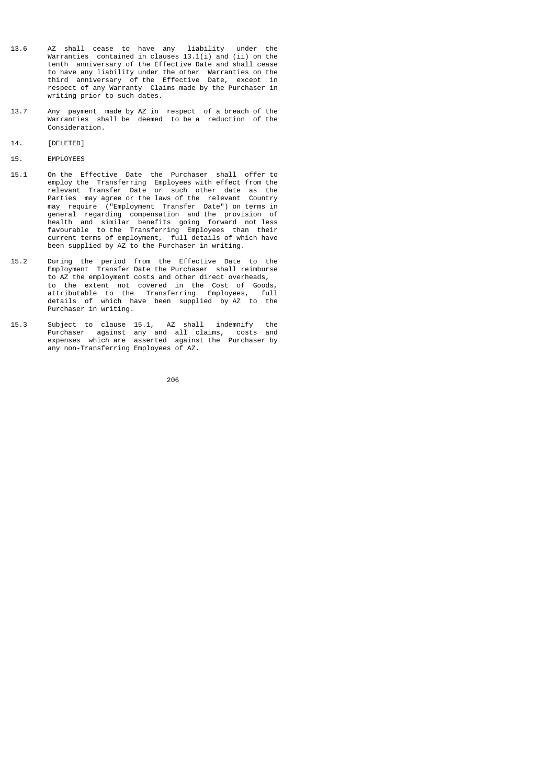- 13.6 AZ shall cease to have any liability under the Warranties contained in clauses 13.1(i) and (ii) on the tenth anniversary of the Effective Date and shall cease to have any liability under the other Warranties on the third anniversary of the Effective Date, except in respect of any Warranty Claims made by the Purchaser in writing prior to such dates.
- 13.7 Any payment made by AZ in respect of a breach of the Warranties shall be deemed to be a reduction of the Consideration.
- 14. [DELETED]
- 15. EMPLOYEES
- 15.1 On the Effective Date the Purchaser shall offer to employ the Transferring Employees with effect from the relevant Transfer Date or such other date as the Parties may agree or the laws of the relevant Country may require ("Employment Transfer Date") on terms in general regarding compensation and the provision of health and similar benefits going forward not less favourable to the Transferring Employees than their current terms of employment, full details of which have been supplied by AZ to the Purchaser in writing.
- 15.2 During the period from the Effective Date to the Employment Transfer Date the Purchaser shall reimburse to AZ the employment costs and other direct overheads, to the extent not covered in the Cost of Goods, attributable to the Transferring Employees, full details of which have been supplied by AZ to the Purchaser in writing.
- 15.3 Subject to clause 15.1, AZ shall indemnify the Purchaser against any and all claims, costs and expenses which are asserted against the Purchaser by any non-Transferring Employees of AZ.

процесси в подводите в 1966 године в 1966 године в 1966 године в 1966 године в 1966 године в 1966 године в 196<br>В 1966 године в 1966 године в 1966 године в 1966 године в 1966 године в 1966 године в 1966 године в 1966 годин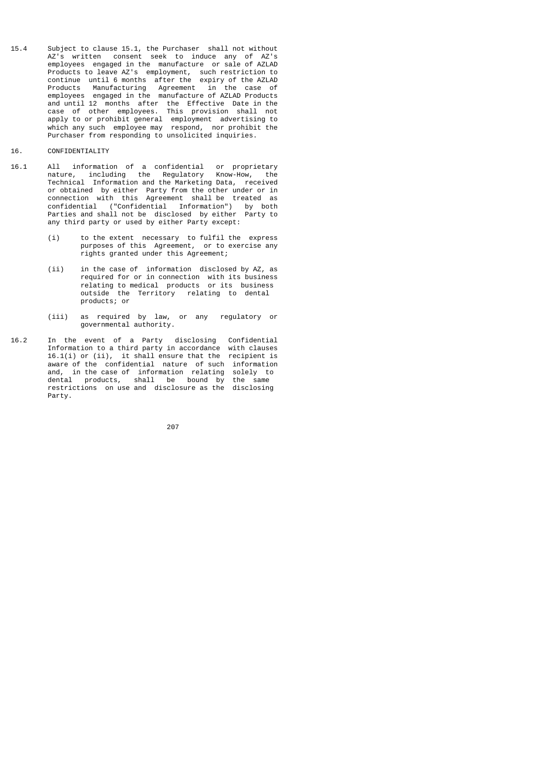- 15.4 Subject to clause 15.1, the Purchaser shall not without AZ's written consent seek to induce any of AZ's employees engaged in the manufacture or sale of AZLAD Products to leave AZ's employment, such restriction to continue until 6 months after the expiry of the AZLAD Products Manufacturing Agreement in the case of employees engaged in the manufacture of AZLAD Products and until 12 months after the Effective Date in the case of other employees. This provision shall not apply to or prohibit general employment advertising to which any such employee may respond, nor prohibit the Purchaser from responding to unsolicited inquiries.
- 16. CONFIDENTIALITY
- 16.1 All information of a confidential or proprietary nature, including the Regulatory Know-How, the Technical Information and the Marketing Data, received or obtained by either Party from the other under or in connection with this Agreement shall be treated as confidential ("Confidential Information") by both Parties and shall not be disclosed by either Party to any third party or used by either Party except:
	- (i) to the extent necessary to fulfil the express purposes of this Agreement, or to exercise any rights granted under this Agreement;
	- (ii) in the case of information disclosed by AZ, as required for or in connection with its business relating to medical products or its business outside the Territory relating to dental products; or
- (iii) as required by law, or any regulatory or governmental authority.
- 16.2 In the event of a Party disclosing Confidential Information to a third party in accordance with clauses 16.1(i) or (ii), it shall ensure that the recipient is aware of the confidential nature of such information and, in the case of information relating solely to dental products, shall be bound by the same restrictions on use and disclosure as the disclosing Party.

процесс в политика в село в 1967 године в 207 године в 207 године в 1967 године в 1970 године в 1970 године в <br>В 1970 године в 1970 године в 1970 године в 1970 године в 1970 године в 1970 године в 1970 године в 1970 годин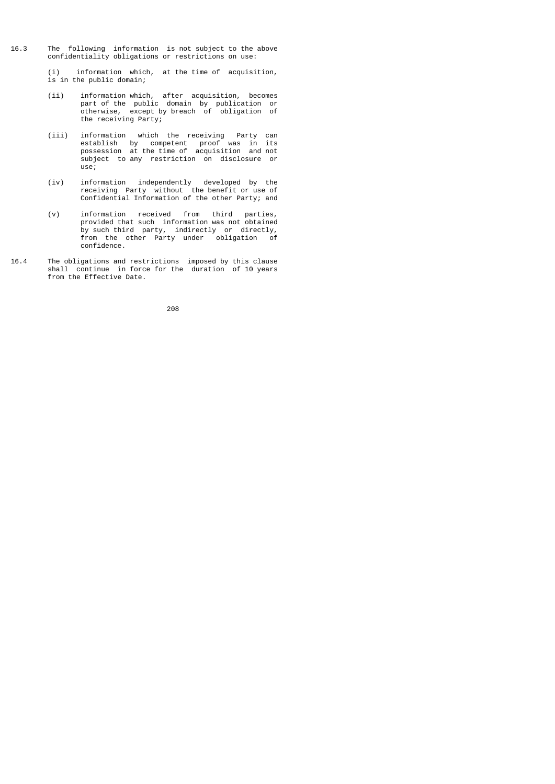- 16.3 The following information is not subject to the above confidentiality obligations or restrictions on use:
	- (i) information which, at the time of acquisition, is in the public domain;
- (ii) information which, after acquisition, becomes part of the public domain by publication or otherwise, except by breach of obligation of the receiving Party;
- (iii) information which the receiving Party can establish by competent proof was in its possession at the time of acquisition and not subject to any restriction on disclosure or use;
- (iv) information independently developed by the receiving Party without the benefit or use of Confidential Information of the other Party; and
- (v) information received from third parties, provided that such information was not obtained by such third party, indirectly or directly, from the other Party under obligation of confidence.
- 16.4 The obligations and restrictions imposed by this clause shall continue in force for the duration of 10 years from the Effective Date.

и в село в село во село во 1992 година во 208<br>208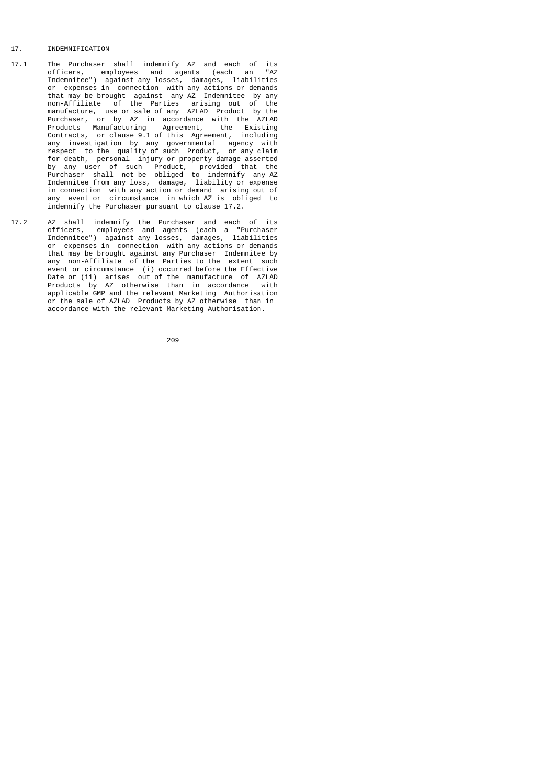## 17. INDEMNIFICATION

- 17.1 The Purchaser shall indemnify AZ and each of its<br>17.1 The Purchaser shall indemnify AZ and each an "AZ officers, employees and agents (each an "AZ Indemnitee") against any losses, damages, liabilities or expenses in connection with any actions or demands that may be brought against any AZ Indemnitee by any non-Affiliate of the Parties arising out of the manufacture, use or sale of any AZLAD Product by the Purchaser, or by AZ in accordance with the AZLAD Products Manufacturing Agreement, the Existing Contracts, or clause 9.1 of this Agreement, including any investigation by any governmental agency with respect to the quality of such Product, or any claim for death, personal injury or property damage asserted by any user of such Product, provided that the Purchaser shall not be obliged to indemnify any AZ Indemnitee from any loss, damage, liability or expense in connection with any action or demand arising out of any event or circumstance in which AZ is obliged to indemnify the Purchaser pursuant to clause 17.2.
- 17.2 AZ shall indemnify the Purchaser and each of its officers, employees and agents (each a "Purchaser Indemnitee") against any losses, damages, liabilities or expenses in connection with any actions or demands that may be brought against any Purchaser Indemnitee by any non-Affiliate of the Parties to the extent such event or circumstance (i) occurred before the Effective Date or (ii) arises out of the manufacture of AZLAD Products by AZ otherwise than in accordance with applicable GMP and the relevant Marketing Authorisation or the sale of AZLAD Products by AZ otherwise than in accordance with the relevant Marketing Authorisation.

процесс в подводите в 1962 године в 209 године в 1962 године в 1963 године в 1963 године в 1963 године в 1963 г<br>В 1963 године в 1963 године в 1963 године в 1963 године в 1963 године в 1963 године в 1963 године в 1963 годи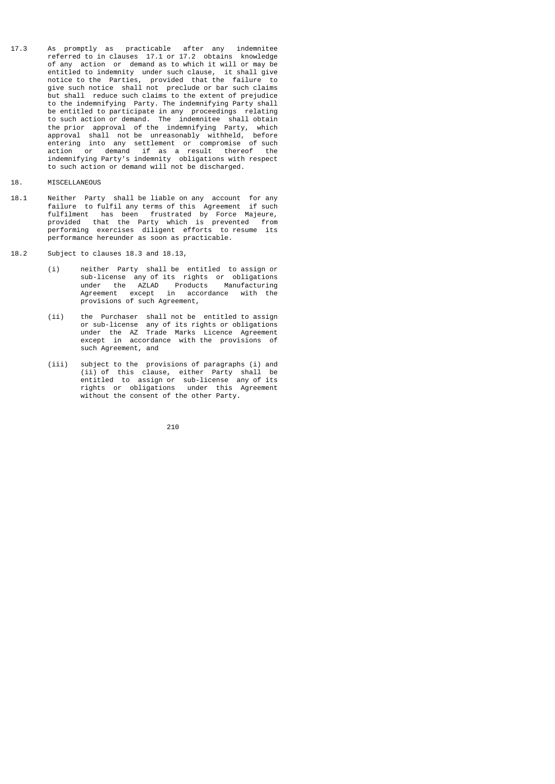- 17.3 As promptly as practicable after any indemnitee referred to in clauses 17.1 or 17.2 obtains knowledge of any action or demand as to which it will or may be entitled to indemnity under such clause, it shall give notice to the Parties, provided that the failure to give such notice shall not preclude or bar such claims but shall reduce such claims to the extent of prejudice to the indemnifying Party. The indemnifying Party shall be entitled to participate in any proceedings relating to such action or demand. The indemnitee shall obtain the prior approval of the indemnifying Party, which approval shall not be unreasonably withheld, before entering into any settlement or compromise of such action or demand if as a result thereof the indemnifying Party's indemnity obligations with respect to such action or demand will not be discharged.
- 18. MISCELLANEOUS
- 18.1 Neither Party shall be liable on any account for any failure to fulfil any terms of this Agreement if such fulfilment has been frustrated by Force Majeure, provided that the Party which is prevented from performing exercises diligent efforts to resume its performance hereunder as soon as practicable.
- 18.2 Subject to clauses 18.3 and 18.13,
- (i) neither Party shall be entitled to assign or sub-license any of its rights or obligations under the AZLAD Products Manufacturing Agreement except in accordance with the provisions of such Agreement,
- (ii) the Purchaser shall not be entitled to assign or sub-license any of its rights or obligations under the AZ Trade Marks Licence Agreement except in accordance with the provisions of such Agreement, and
- (iii) subject to the provisions of paragraphs (i) and (ii) of this clause, either Party shall be entitled to assign or sub-license any of its rights or obligations under this Agreement without the consent of the other Party.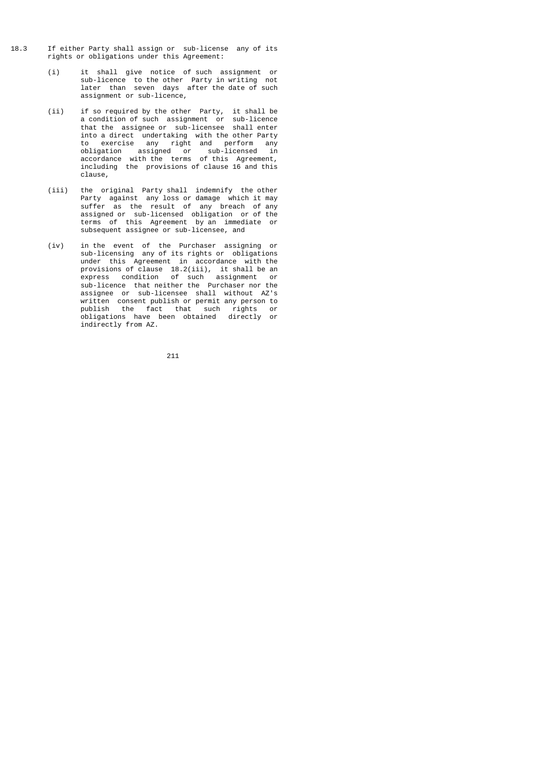- 18.3 If either Party shall assign or sub-license any of its rights or obligations under this Agreement:
- (i) it shall give notice of such assignment or sub-licence to the other Party in writing not later than seven days after the date of such assignment or sub-licence,
- (ii) if so required by the other Party, it shall be a condition of such assignment or sub-licence that the assignee or sub-licensee shall enter into a direct undertaking with the other Party to exercise any right and perform any obligation assigned or sub-licensed in accordance with the terms of this Agreement, including the provisions of clause 16 and this clause,
- (iii) the original Party shall indemnify the other Party against any loss or damage which it may suffer as the result of any breach of any assigned or sub-licensed obligation or of the terms of this Agreement by an immediate or subsequent assignee or sub-licensee, and
- (iv) in the event of the Purchaser assigning or sub-licensing any of its rights or obligations<br>under this Agreement in accordance with the under this Agreement in accordance with the provisions of clause 18.2(iii), it shall be an express condition of such assignment or sub-licence that neither the Purchaser nor the assignee or sub-licensee shall without AZ's written consent publish or permit any person to publish the fact that such rights or obligations have been obtained directly or indirectly from AZ.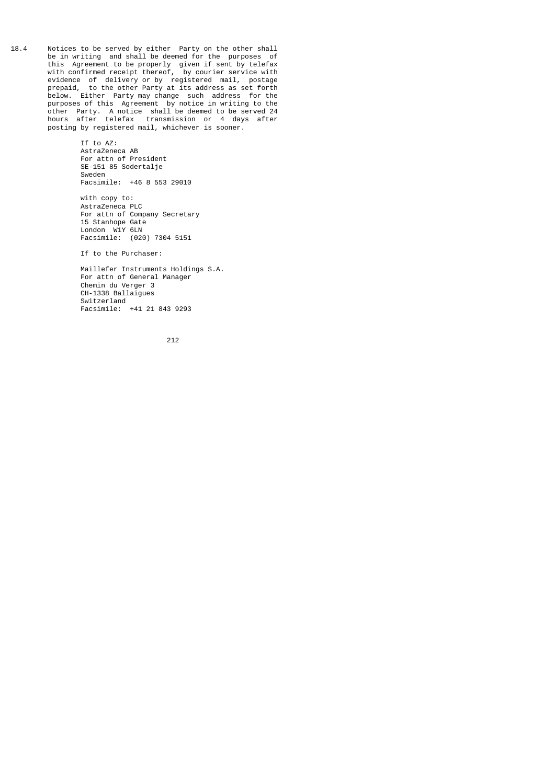18.4 Notices to be served by either Party on the other shall be in writing and shall be deemed for the purposes of this Agreement to be properly given if sent by telefax with confirmed receipt thereof, by courier service with evidence of delivery or by registered mail, postage prepaid, to the other Party at its address as set forth below. Either Party may change such address for the purposes of this Agreement by notice in writing to the other Party. A notice shall be deemed to be served 24 hours after telefax transmission or 4 days after posting by registered mail, whichever is sooner.

> If to AZ: AstraZeneca AB For attn of President SE-151 85 Sodertalje Sweden Facsimile: +46 8 553 29010

 with copy to: AstraZeneca PLC For attn of Company Secretary 15 Stanhope Gate London W1Y 6LN Facsimile: (020) 7304 5151

If to the Purchaser:

 Maillefer Instruments Holdings S.A. For attn of General Manager Chemin du Verger 3 CH-1338 Ballaigues Switzerland Facsimile: +41 21 843 9293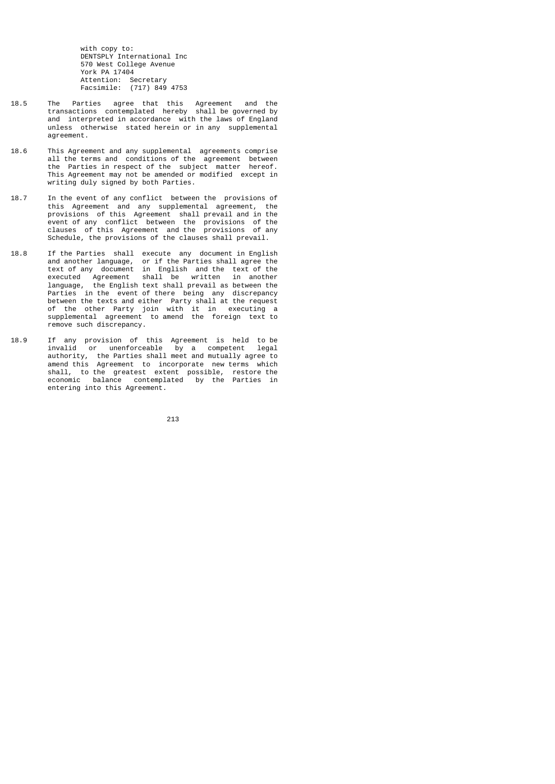with copy to: DENTSPLY International Inc 570 West College Avenue York PA 17404 Attention: Secretary Facsimile: (717) 849 4753

- 18.5 The Parties agree that this Agreement and the transactions contemplated hereby shall be governed by and interpreted in accordance with the laws of England unless otherwise stated herein or in any supplemental agreement.
- 18.6 This Agreement and any supplemental agreements comprise all the terms and conditions of the agreement between the Parties in respect of the subject matter hereof. This Agreement may not be amended or modified except in writing duly signed by both Parties.
- 18.7 In the event of any conflict between the provisions of this Agreement and any supplemental agreement, the provisions of this Agreement shall prevail and in the event of any conflict between the provisions of the clauses of this Agreement and the provisions of any Schedule, the provisions of the clauses shall prevail.
- 18.8 If the Parties shall execute any document in English and another language, or if the Parties shall agree the text of any document in English and the text of the executed Agreement shall be written in another language, the English text shall prevail as between the Parties in the event of there being any discrepancy between the texts and either Party shall at the request of the other Party join with it in executing a supplemental agreement to amend the foreign text to remove such discrepancy.
- 18.9 If any provision of this Agreement is held to be invalid or unenforceable by a competent legal authority, the Parties shall meet and mutually agree to amend this Agreement to incorporate new terms which shall, to the greatest extent possible, restore the economic balance contemplated by the Parties in entering into this Agreement.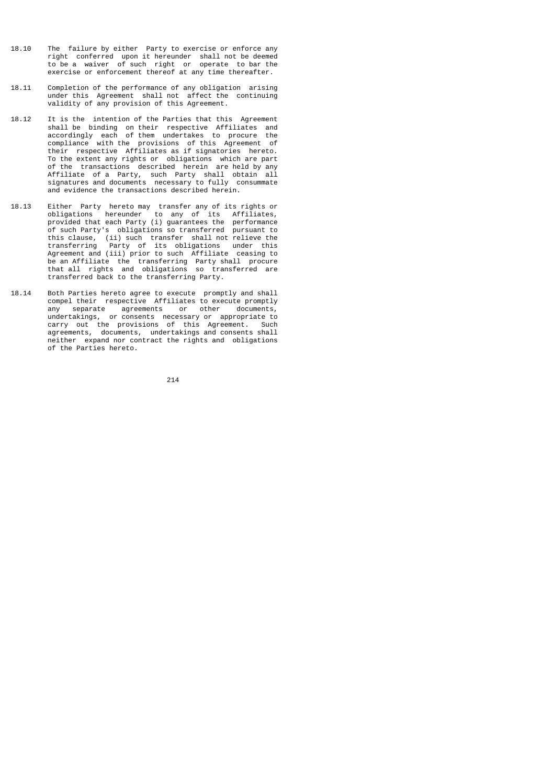- 18.10 The failure by either Party to exercise or enforce any right conferred upon it hereunder shall not be deemed to be a waiver of such right or operate to bar the exercise or enforcement thereof at any time thereafter.
- 18.11 Completion of the performance of any obligation arising under this Agreement shall not affect the continuing validity of any provision of this Agreement.
- 18.12 It is the intention of the Parties that this Agreement shall be binding on their respective Affiliates and accordingly each of them undertakes to procure the compliance with the provisions of this Agreement of their respective Affiliates as if signatories hereto. To the extent any rights or obligations which are part of the transactions described herein are held by any Affiliate of a Party, such Party shall obtain all signatures and documents necessary to fully consummate and evidence the transactions described herein.
- 18.13 Either Party hereto may transfer any of its rights or obligations hereunder to any of its Affiliates, provided that each Party (i) guarantees the performance of such Party's obligations so transferred pursuant to this clause, (ii) such transfer shall not relieve the transferring Party of its obligations under this Agreement and (iii) prior to such Affiliate ceasing to be an Affiliate the transferring Party shall procure that all rights and obligations so transferred are transferred back to the transferring Party.
- 18.14 Both Parties hereto agree to execute promptly and shall compel their respective Affiliates to execute promptly any separate agreements or other documents, undertakings, or consents necessary or appropriate to carry out the provisions of this Agreement. Such agreements, documents, undertakings and consents shall neither expand nor contract the rights and obligations of the Parties hereto.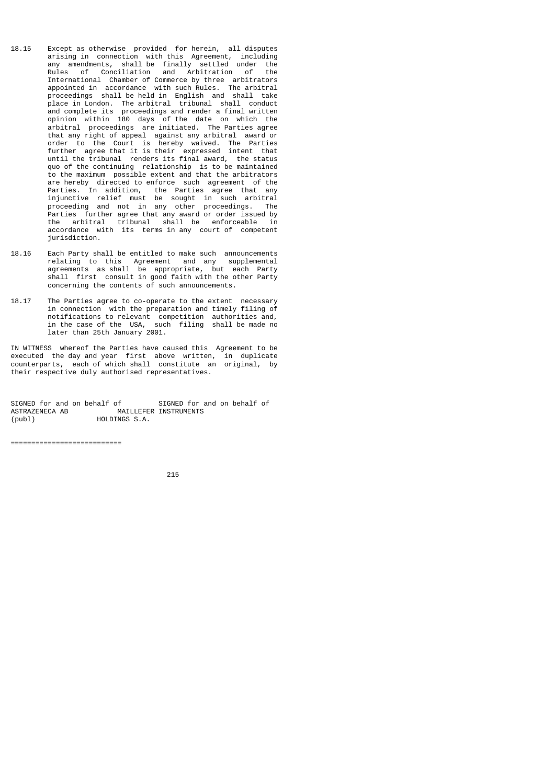- 18.15 Except as otherwise provided for herein, all disputes arising in connection with this Agreement, including any amendments, shall be finally settled under the Rules of Conciliation and Arbitration of the International Chamber of Commerce by three arbitrators appointed in accordance with such Rules. The arbitral proceedings shall be held in English and shall take place in London. The arbitral tribunal shall conduct and complete its proceedings and render a final written opinion within 180 days of the date on which the arbitral proceedings are initiated. The Parties agree that any right of appeal against any arbitral award or order to the Court is hereby waived. The Parties further agree that it is their expressed intent that until the tribunal renders its final award, the status quo of the continuing relationship is to be maintained to the maximum possible extent and that the arbitrators are hereby directed to enforce such agreement of the Parties. In addition, the Parties agree that any injunctive relief must be sought in such arbitral proceeding and not in any other proceedings. The Parties further agree that any award or order issued by the arbitral tribunal shall be enforceable in accordance with its terms in any court of competent jurisdiction.
- 18.16 Each Party shall be entitled to make such announcements relating to this Agreement and any supplemental agreements as shall be appropriate, but each Party shall first consult in good faith with the other Party concerning the contents of such announcements.
- 18.17 The Parties agree to co-operate to the extent necessary in connection with the preparation and timely filing of notifications to relevant competition authorities and, in the case of the USA, such filing shall be made no later than 25th January 2001.

IN WITNESS whereof the Parties have caused this Agreement to be executed the day and year first above written, in duplicate counterparts, each of which shall constitute an original, by their respective duly authorised representatives.

SIGNED for and on behalf of SIGNED for and on behalf of ASTRAZENECA AB MAILLEFER INSTRUMENTS MAILLEFER INSTRUMENTS (publ) HOLDINGS S.A.

===========================

<u>215</u>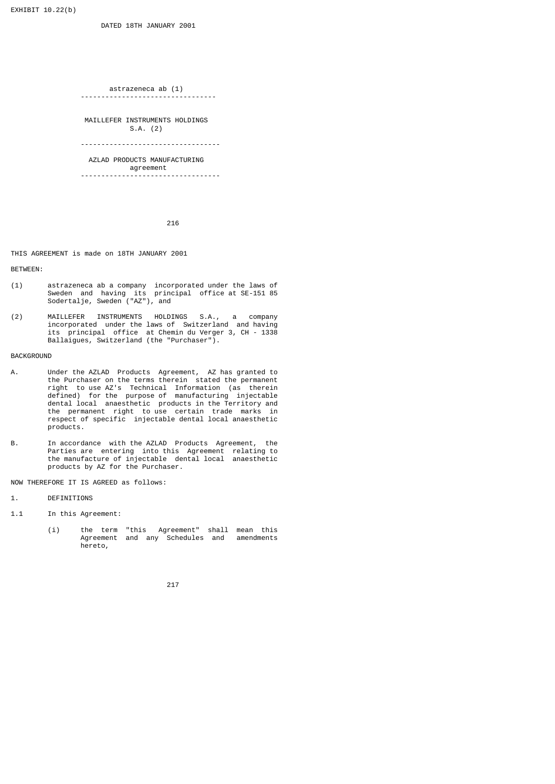EXHIBIT 10.22(b)

 astrazeneca ab (1) ---------------------------------

 MAILLEFER INSTRUMENTS HOLDINGS S.A. (2)

----------------------------------

 AZLAD PRODUCTS MANUFACTURING agreement ----------------------------------

216

## THIS AGREEMENT is made on 18TH JANUARY 2001

BETWEEN:

- (1) astrazeneca ab a company incorporated under the laws of Sweden and having its principal office at SE-151 85 Sodertalje, Sweden ("AZ"), and
- (2) MAILLEFER INSTRUMENTS HOLDINGS S.A., a company incorporated under the laws of Switzerland and having its principal office at Chemin du Verger 3, CH - 1338 Ballaigues, Switzerland (the "Purchaser").

## **BACKGROUND**

- A. Under the AZLAD Products Agreement, AZ has granted to the Purchaser on the terms therein stated the permanent right to use AZ's Technical Information (as therein defined) for the purpose of manufacturing injectable dental local anaesthetic products in the Territory and the permanent right to use certain trade marks in respect of specific injectable dental local anaesthetic products.
- B. In accordance with the AZLAD Products Agreement, the Parties are entering into this Agreement relating to the manufacture of injectable dental local anaesthetic products by AZ for the Purchaser.

NOW THEREFORE IT IS AGREED as follows:

- 1. DEFINITIONS
- 1.1 In this Agreement:
- (i) the term "this Agreement" shall mean this Agreement and any Schedules and amendments hereto,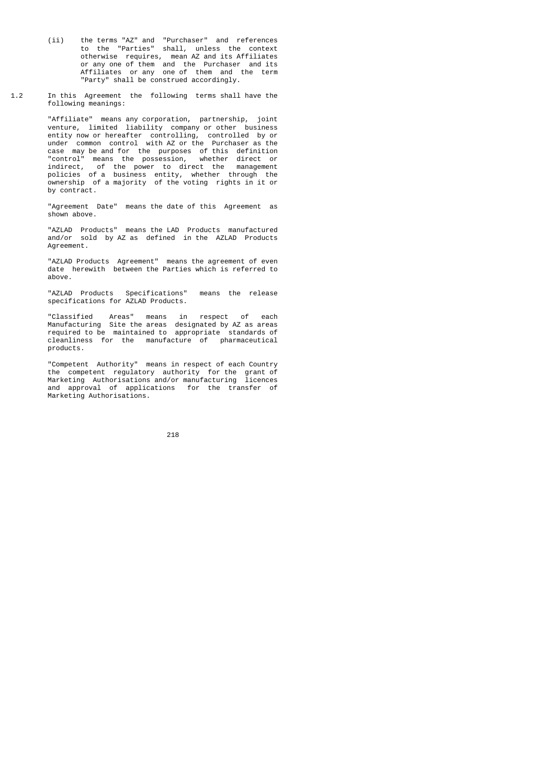- (ii) the terms "AZ" and "Purchaser" and references to the "Parties" shall, unless the context otherwise requires, mean AZ and its Affiliates or any one of them and the Purchaser and its Affiliates or any one of them and the term "Party" shall be construed accordingly.
- 1.2 In this Agreement the following terms shall have the following meanings:

 "Affiliate" means any corporation, partnership, joint venture, limited liability company or other business entity now or hereafter controlling, controlled by or under common control with AZ or the Purchaser as the case may be and for the purposes of this definition "control" means the possession, whether direct or indirect, of the power to direct the management policies of a business entity, whether through the ownership of a majority of the voting rights in it or by contract.

> "Agreement Date" means the date of this Agreement as shown above.

 "AZLAD Products" means the LAD Products manufactured and/or sold by AZ as defined in the AZLAD Products Agreement.

> "AZLAD Products Agreement" means the agreement of even date herewith between the Parties which is referred to above.

 "AZLAD Products Specifications" means the release specifications for AZLAD Products.

 "Classified Areas" means in respect of each Manufacturing Site the areas designated by AZ as areas required to be maintained to appropriate standards of cleanliness for the manufacture of pharmaceutical products.

 "Competent Authority" means in respect of each Country the competent regulatory authority for the grant of Marketing Authorisations and/or manufacturing licences and approval of applications for the transfer of Marketing Authorisations.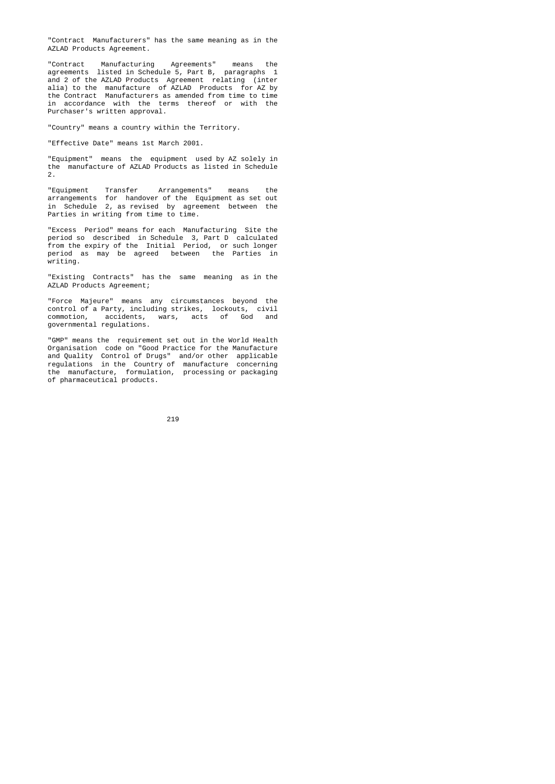"Contract Manufacturers" has the same meaning as in the AZLAD Products Agreement.

 "Contract Manufacturing Agreements" means the agreements listed in Schedule 5, Part B, paragraphs 1 and 2 of the AZLAD Products Agreement relating (inter alia) to the manufacture of AZLAD Products for AZ by the Contract Manufacturers as amended from time to time in accordance with the terms thereof or with the Purchaser's written approval.

"Country" means a country within the Territory.

"Effective Date" means 1st March 2001.

 "Equipment" means the equipment used by AZ solely in the manufacture of AZLAD Products as listed in Schedule 2.

 "Equipment Transfer Arrangements" means the arrangements for handover of the Equipment as set out in Schedule 2, as revised by agreement between the Parties in writing from time to time.

> "Excess Period" means for each Manufacturing Site the period so described in Schedule 3, Part D calculated from the expiry of the Initial Period, or such longer period as may be agreed between the Parties in writing.

> "Existing Contracts" has the same meaning as in the AZLAD Products Agreement;

 "Force Majeure" means any circumstances beyond the control of a Party, including strikes, lockouts, civil commotion, accidents, wars, acts of God and governmental regulations.

 "GMP" means the requirement set out in the World Health Organisation code on "Good Practice for the Manufacture and Quality Control of Drugs" and/or other applicable regulations in the Country of manufacture concerning the manufacture, formulation, processing or packaging of pharmaceutical products.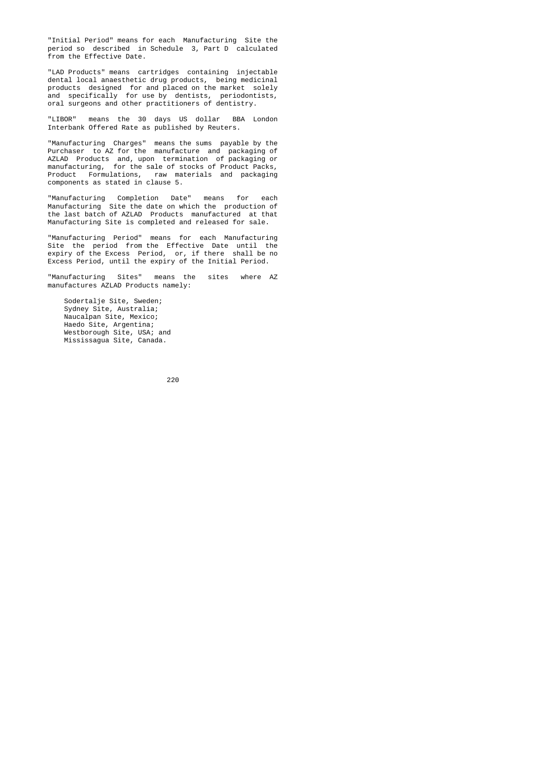"Initial Period" means for each Manufacturing Site the period so described in Schedule 3, Part D calculated from the Effective Date.

 "LAD Products" means cartridges containing injectable dental local anaesthetic drug products, being medicinal products designed for and placed on the market solely and specifically for use by dentists, periodontists, oral surgeons and other practitioners of dentistry.

> "LIBOR" means the 30 days US dollar BBA London Interbank Offered Rate as published by Reuters.

 "Manufacturing Charges" means the sums payable by the Purchaser to AZ for the manufacture and packaging of AZLAD Products and, upon termination of packaging or manufacturing, for the sale of stocks of Product Packs, Product Formulations, raw materials and packaging components as stated in clause 5.

 "Manufacturing Completion Date" means for each Manufacturing Site the date on which the production of the last batch of AZLAD Products manufactured at that Manufacturing Site is completed and released for sale.

 "Manufacturing Period" means for each Manufacturing Site the period from the Effective Date until the expiry of the Excess Period, or, if there shall be no Excess Period, until the expiry of the Initial Period.

> "Manufacturing Sites" means the sites where AZ manufactures AZLAD Products namely:

 Sodertalje Site, Sweden; Sydney Site, Australia; Naucalpan Site, Mexico; Haedo Site, Argentina; Westborough Site, USA; and Mississagua Site, Canada.

<u>220 до најзина од селото на 220 до најзина од селото на селото на селото на селото на селото на селото на сел</u>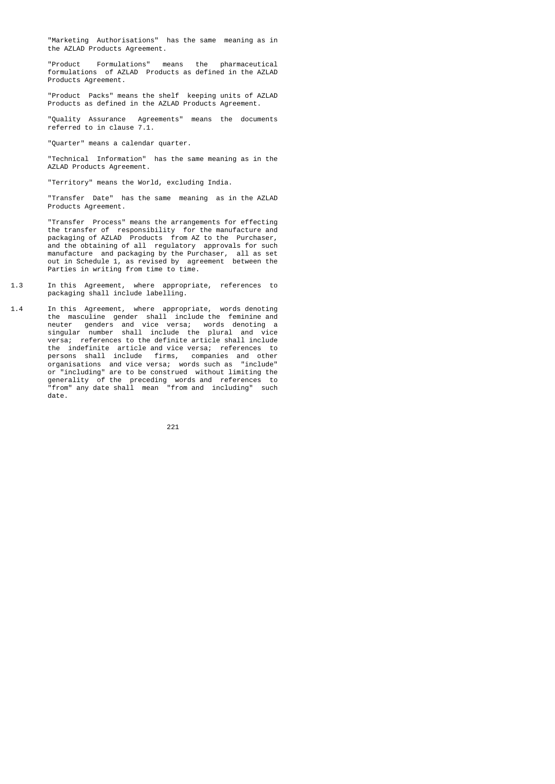"Marketing Authorisations" has the same meaning as in the AZLAD Products Agreement.

 "Product Formulations" means the pharmaceutical formulations of AZLAD Products as defined in the AZLAD Products Agreement.

 "Product Packs" means the shelf keeping units of AZLAD Products as defined in the AZLAD Products Agreement.

 "Quality Assurance Agreements" means the documents referred to in clause 7.1.

"Quarter" means a calendar quarter.

 "Technical Information" has the same meaning as in the AZLAD Products Agreement.

"Territory" means the World, excluding India.

 "Transfer Date" has the same meaning as in the AZLAD Products Agreement.

 "Transfer Process" means the arrangements for effecting the transfer of responsibility for the manufacture and packaging of AZLAD Products from AZ to the Purchaser, and the obtaining of all regulatory approvals for such manufacture and packaging by the Purchaser, all as set out in Schedule 1, as revised by agreement between the Parties in writing from time to time.

- 1.3 In this Agreement, where appropriate, references to packaging shall include labelling.
- 1.4 In this Agreement, where appropriate, words denoting the masculine gender shall include the feminine and neuter genders and vice versa; words denoting a singular number shall include the plural and vice versa; references to the definite article shall include the indefinite article and vice versa; references to persons shall include firms, companies and other organisations and vice versa; words such as "include" or "including" are to be construed without limiting the generality of the preceding words and references to "from" any date shall mean "from and including" such date.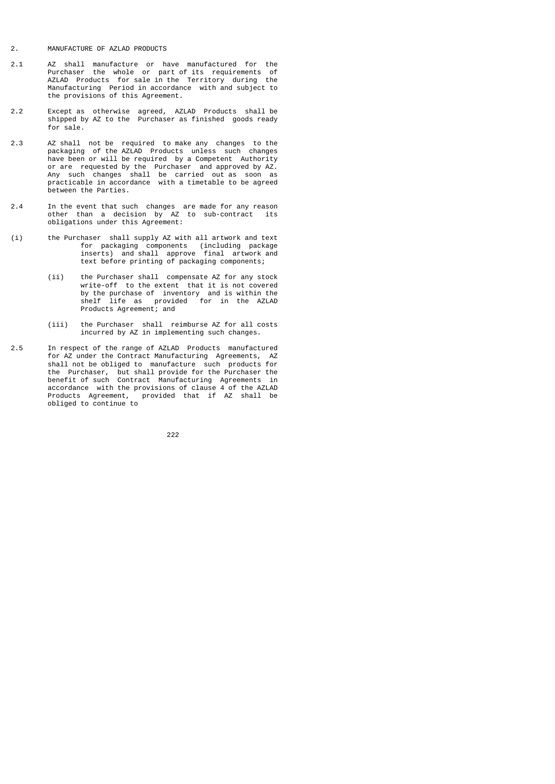- 2. MANUFACTURE OF AZLAD PRODUCTS
- 2.1 AZ shall manufacture or have manufactured for the Purchaser the whole or part of its requirements of AZLAD Products for sale in the Territory during the Manufacturing Period in accordance with and subject to the provisions of this Agreement.
- 2.2 Except as otherwise agreed, AZLAD Products shall be shipped by AZ to the Purchaser as finished goods ready for sale.
- 2.3 AZ shall not be required to make any changes to the packaging of the AZLAD Products unless such changes have been or will be required by a Competent Authority or are requested by the Purchaser and approved by AZ. Any such changes shall be carried out as soon as practicable in accordance with a timetable to be agreed between the Parties.
- 2.4 In the event that such changes are made for any reason other than a decision by AZ to sub-contract its obligations under this Agreement:
- (i) the Purchaser shall supply AZ with all artwork and text for packaging components (including package inserts) and shall approve final artwork and text before printing of packaging components;
- (ii) the Purchaser shall compensate AZ for any stock write-off to the extent that it is not covered by the purchase of inventory and is within the shelf life as provided for in the AZLAD Products Agreement; and
- (iii) the Purchaser shall reimburse AZ for all costs incurred by AZ in implementing such changes.
- 2.5 In respect of the range of AZLAD Products manufactured for AZ under the Contract Manufacturing Agreements, AZ shall not be obliged to manufacture such products for the Purchaser, but shall provide for the Purchaser the benefit of such Contract Manufacturing Agreements in accordance with the provisions of clause 4 of the AZLAD Products Agreement, provided that if AZ shall be obliged to continue to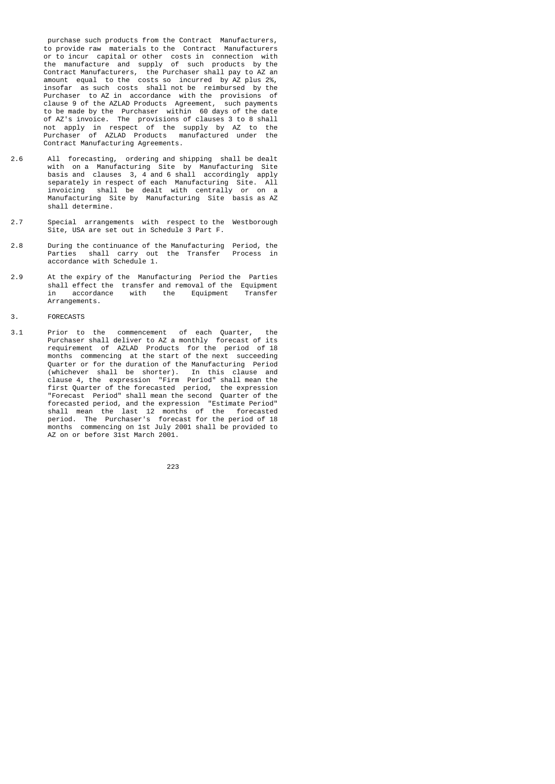purchase such products from the Contract Manufacturers, to provide raw materials to the Contract Manufacturers or to incur capital or other costs in connection with the manufacture and supply of such products by the Contract Manufacturers, the Purchaser shall pay to AZ an amount equal to the costs so incurred by AZ plus 2%, insofar as such costs shall not be reimbursed by the Purchaser to AZ in accordance with the provisions of clause 9 of the AZLAD Products Agreement, such payments to be made by the Purchaser within 60 days of the date of AZ's invoice. The provisions of clauses 3 to 8 shall not apply in respect of the supply by AZ to the Purchaser of AZLAD Products manufactured under the Contract Manufacturing Agreements.

- 2.6 All forecasting, ordering and shipping shall be dealt with on a Manufacturing Site by Manufacturing Site basis and clauses 3, 4 and 6 shall accordingly apply separately in respect of each Manufacturing Site. All invoicing shall be dealt with centrally or on a Manufacturing Site by Manufacturing Site basis as AZ shall determine.
- 2.7 Special arrangements with respect to the Westborough Site, USA are set out in Schedule 3 Part F.
- 2.8 During the continuance of the Manufacturing Period, the Parties shall carry out the Transfer Process in accordance with Schedule 1.
- 2.9 At the expiry of the Manufacturing Period the Parties shall effect the transfer and removal of the Equipment<br>in accordance with the Equipment Transfer accordance with the Equipment Arrangements.
- 3. FORECASTS
- 3.1 Prior to the commencement of each Quarter, the Purchaser shall deliver to AZ a monthly forecast of its requirement of AZLAD Products for the period of 18 months commencing at the start of the next succeeding Quarter or for the duration of the Manufacturing Period (whichever shall be shorter). In this clause and clause 4, the expression "Firm Period" shall mean the first Quarter of the forecasted period, the expression "Forecast Period" shall mean the second Quarter of the forecasted period, and the expression "Estimate Period" shall mean the last 12 months of the forecasted period. The Purchaser's forecast for the period of 18 months commencing on 1st July 2001 shall be provided to AZ on or before 31st March 2001.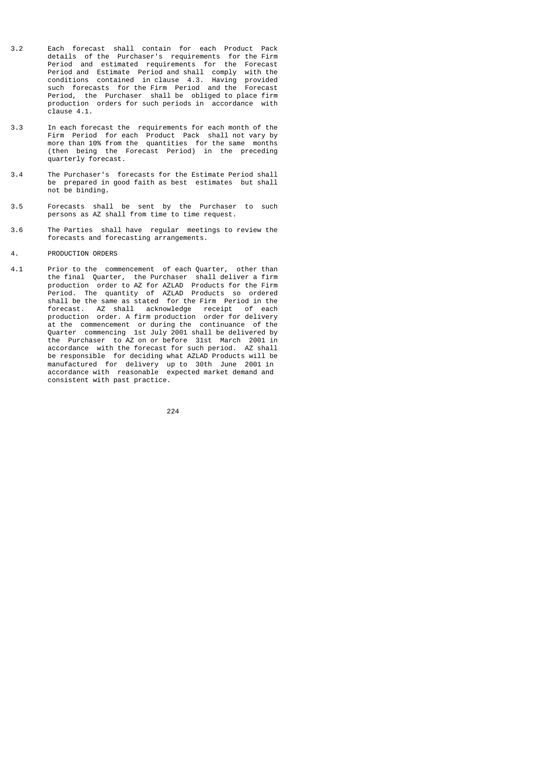- 3.2 Each forecast shall contain for each Product Pack details of the Purchaser's requirements for the Firm Period and estimated requirements for the Forecast Period and Estimate Period and shall comply with the conditions contained in clause 4.3. Having provided such forecasts for the Firm Period and the Forecast Period, the Purchaser shall be obliged to place firm production orders for such periods in accordance with clause 4.1.
- 3.3 In each forecast the requirements for each month of the Firm Period for each Product Pack shall not vary by more than 10% from the quantities for the same months (then being the Forecast Period) in the preceding quarterly forecast.
- 3.4 The Purchaser's forecasts for the Estimate Period shall be prepared in good faith as best estimates but shall not be binding.
- 3.5 Forecasts shall be sent by the Purchaser to such persons as AZ shall from time to time request.
- 3.6 The Parties shall have regular meetings to review the forecasts and forecasting arrangements.
- 4. PRODUCTION ORDERS
- 4.1 Prior to the commencement of each Quarter, other than the final Quarter, the Purchaser shall deliver a firm production order to AZ for AZLAD Products for the Firm Period. The quantity of AZLAD Products so ordered shall be the same as stated for the Firm Period in the forecast. AZ shall acknowledge receipt of each production order. A firm production order for delivery at the commencement or during the continuance of the Quarter commencing 1st July 2001 shall be delivered by the Purchaser to AZ on or before 31st March 2001 in accordance with the forecast for such period. AZ shall be responsible for deciding what AZLAD Products will be manufactured for delivery up to 30th June 2001 in accordance with reasonable expected market demand and consistent with past practice.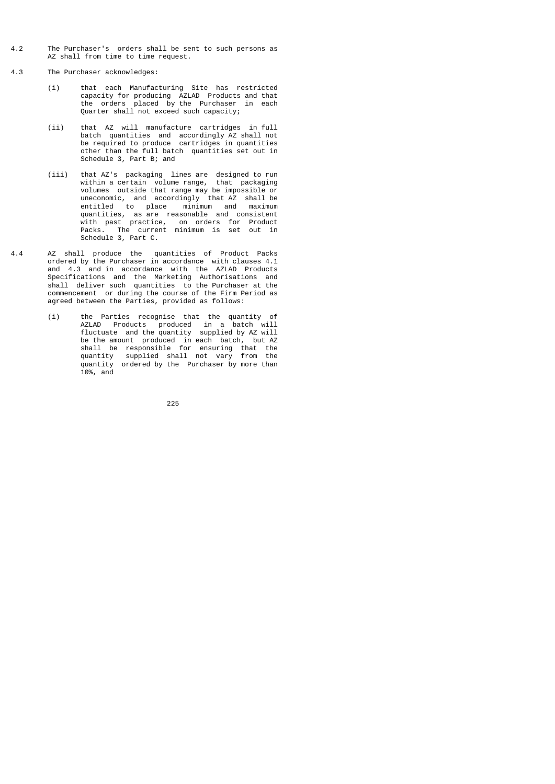- 4.2 The Purchaser's orders shall be sent to such persons as AZ shall from time to time request.
- 4.3 The Purchaser acknowledges:
- (i) that each Manufacturing Site has restricted capacity for producing AZLAD Products and that the orders placed by the Purchaser in each Quarter shall not exceed such capacity;
- (ii) that AZ will manufacture cartridges in full batch quantities and accordingly AZ shall not be required to produce cartridges in quantities other than the full batch quantities set out in Schedule 3, Part B; and
- (iii) that AZ's packaging lines are designed to run within a certain volume range, that packaging volumes outside that range may be impossible or uneconomic, and accordingly that Az shall be entitled to place minimum and maximum quantities, as are reasonable and consistent with past practice, on orders for Product Packs. The current minimum is set out in Schedule 3, Part C.
- 4.4 AZ shall produce the quantities of Product Packs ordered by the Purchaser in accordance with clauses 4.1 and 4.3 and in accordance with the AZLAD Products Specifications and the Marketing Authorisations and shall deliver such quantities to the Purchaser at the commencement or during the course of the Firm Period as agreed between the Parties, provided as follows:
- (i) the Parties recognise that the quantity of AZLAD Products produced in a batch will fluctuate and the quantity supplied by AZ will be the amount produced in each batch, but AZ shall be responsible for ensuring that the quantity supplied shall not vary from the quantity ordered by the Purchaser by more than 10%, and

<u>225</u>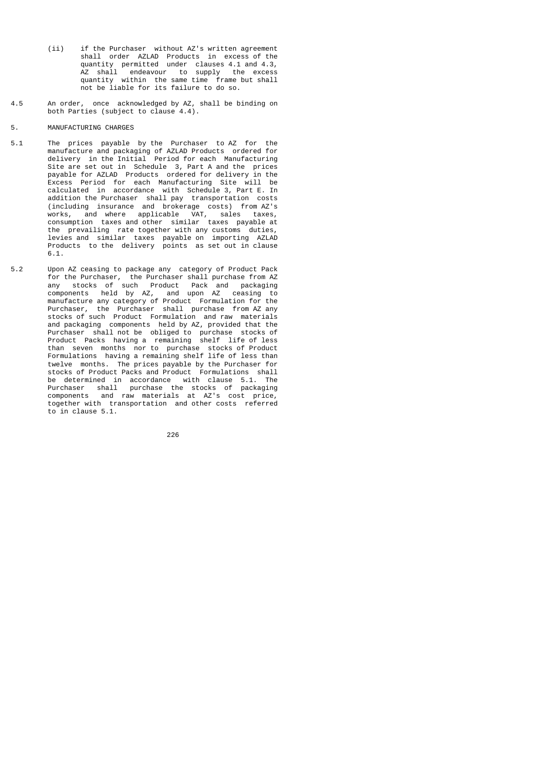- (ii) if the Purchaser without AZ's written agreement shall order AZLAD Products in excess of the quantity permitted under clauses 4.1 and 4.3, AZ shall endeavour to supply the excess quantity within the same time frame but shall not be liable for its failure to do so.
- 4.5 An order, once acknowledged by AZ, shall be binding on both Parties (subject to clause 4.4).
- 5. MANUFACTURING CHARGES
- 5.1 The prices payable by the Purchaser to AZ for the manufacture and packaging of AZLAD Products ordered for delivery in the Initial Period for each Manufacturing Site are set out in Schedule 3, Part A and the prices payable for AZLAD Products ordered for delivery in the Excess Period for each Manufacturing Site will be calculated in accordance with Schedule 3, Part E. In addition the Purchaser shall pay transportation costs (including insurance and brokerage costs) from AZ's works, and where applicable VAT, sales taxes, consumption taxes and other similar taxes payable at the prevailing rate together with any customs duties, levies and similar taxes payable on importing AZLAD Products to the delivery points as set out in clause 6.1.
- 5.2 Upon AZ ceasing to package any category of Product Pack for the Purchaser, the Purchaser shall purchase from AZ any stocks of such Product Pack and packaging components held by AZ, and upon AZ ceasing to manufacture any category of Product Formulation for the Purchaser, the Purchaser shall purchase from AZ any stocks of such Product Formulation and raw materials and packaging components held by AZ, provided that the Purchaser shall not be obliged to purchase stocks of Product Packs having a remaining shelf life of less than seven months nor to purchase stocks of Product Formulations having a remaining shelf life of less than twelve months. The prices payable by the Purchaser for stocks of Product Packs and Product Formulations shall be determined in accordance with clause 5.1. The Purchaser shall purchase the stocks of packaging components and raw materials at AZ's cost price, together with transportation and other costs referred to in clause 5.1.

<u>226</u>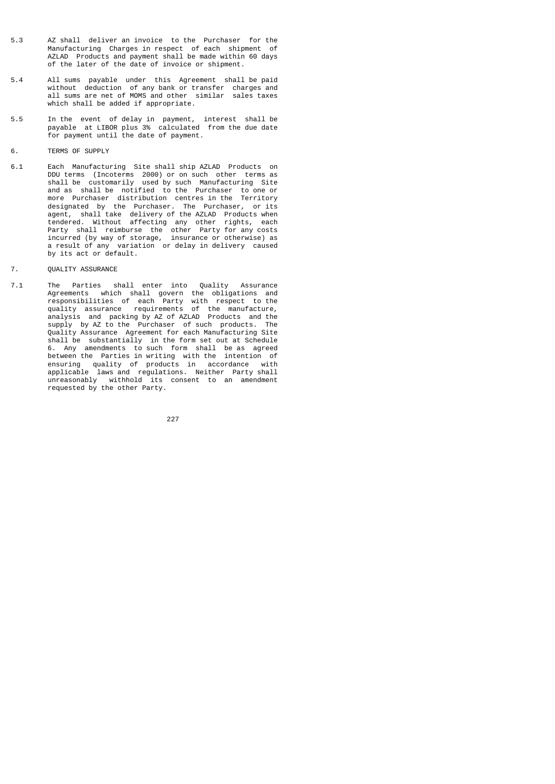- 5.3 AZ shall deliver an invoice to the Purchaser for the Manufacturing Charges in respect of each shipment of AZLAD Products and payment shall be made within 60 days of the later of the date of invoice or shipment.
- 5.4 All sums payable under this Agreement shall be paid without deduction of any bank or transfer charges and all sums are net of MOMS and other similar sales taxes which shall be added if appropriate.
- 5.5 In the event of delay in payment, interest shall be payable at LIBOR plus 3% calculated from the due date for payment until the date of payment.
- 6. TERMS OF SUPPLY
- 6.1 Each Manufacturing Site shall ship AZLAD Products on DDU terms (Incoterms 2000) or on such other terms as shall be customarily used by such Manufacturing Site and as shall be notified to the Purchaser to one or more Purchaser distribution centres in the Territory designated by the Purchaser. The Purchaser, or its agent, shall take delivery of the AZLAD Products when tendered. Without affecting any other rights, each Party shall reimburse the other Party for any costs incurred (by way of storage, insurance or otherwise) as a result of any variation or delay in delivery caused by its act or default.
- 7. QUALITY ASSURANCE
- 7.1 The Parties shall enter into Quality Assurance Agreements which shall govern the obligations and responsibilities of each Party with respect to the quality assurance requirements of the manufacture, analysis and packing by AZ of AZLAD Products and the supply by AZ to the Purchaser of such products. The Quality Assurance Agreement for each Manufacturing Site shall be substantially in the form set out at Schedule 6. Any amendments to such form shall be as agreed between the Parties in writing with the intention of ensuring quality of products in accordance with applicable laws and regulations. Neither Party shall unreasonably withhold its consent to an amendment requested by the other Party.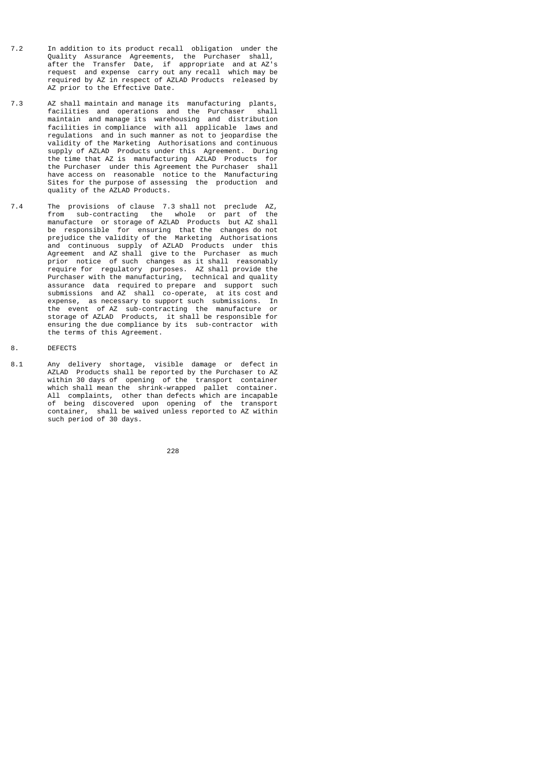- 7.2 In addition to its product recall obligation under the Quality Assurance Agreements, the Purchaser shall, after the Transfer Date, if appropriate and at AZ's request and expense carry out any recall which may be required by AZ in respect of AZLAD Products released by AZ prior to the Effective Date.
- 7.3 AZ shall maintain and manage its manufacturing plants, facilities and operations and the Purchaser maintain and manage its warehousing and distribution facilities in compliance with all applicable laws and regulations and in such manner as not to jeopardise the validity of the Marketing Authorisations and continuous supply of AZLAD Products under this Agreement. During the time that AZ is manufacturing AZLAD Products for the Purchaser under this Agreement the Purchaser shall have access on reasonable notice to the Manufacturing Sites for the purpose of assessing the production and quality of the AZLAD Products.
- 7.4 The provisions of clause 7.3 shall not preclude AZ, from sub-contracting the whole or part of the manufacture or storage of AZLAD Products but AZ shall be responsible for ensuring that the changes do not prejudice the validity of the Marketing Authorisations and continuous supply of AZLAD Products under this Agreement and AZ shall give to the Purchaser as much prior notice of such changes as it shall reasonably require for regulatory purposes. AZ shall provide the Purchaser with the manufacturing, technical and quality assurance data required to prepare and support such submissions and AZ shall co-operate, at its cost and expense, as necessary to support such submissions. In the event of AZ sub-contracting the manufacture or storage of AZLAD Products, it shall be responsible for ensuring the due compliance by its sub-contractor with the terms of this Agreement.
- 8. DEFECTS
- 8.1 Any delivery shortage, visible damage or defect in AZLAD Products shall be reported by the Purchaser to AZ within 30 days of opening of the transport container which shall mean the shrink-wrapped pallet container. All complaints, other than defects which are incapable of being discovered upon opening of the transport container, shall be waived unless reported to AZ within such period of 30 days.

<u>228 and 228</u>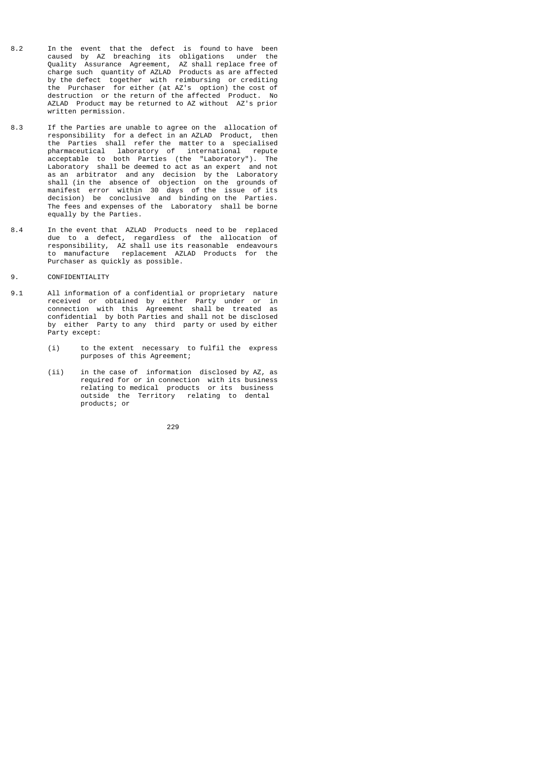- 8.2 In the event that the defect is found to have been caused by AZ breaching its obligations under the Quality Assurance Agreement, AZ shall replace free of charge such quantity of AZLAD Products as are affected by the defect together with reimbursing or crediting the Purchaser for either (at AZ's option) the cost of destruction or the return of the affected Product. No AZLAD Product may be returned to AZ without AZ's prior written permission.
- 8.3 If the Parties are unable to agree on the allocation of responsibility for a defect in an AZLAD Product, then the Parties shall refer the matter to a specialised pharmaceutical laboratory of international repute acceptable to both Parties (the "Laboratory"). The Laboratory shall be deemed to act as an expert and not as an arbitrator and any decision by the Laboratory shall (in the absence of objection on the grounds of manifest error within 30 days of the issue of its decision) be conclusive and binding on the Parties. The fees and expenses of the Laboratory shall be borne equally by the Parties.
- 8.4 In the event that AZLAD Products need to be replaced due to a defect, regardless of the allocation of responsibility, AZ shall use its reasonable endeavours to manufacture replacement AZLAD Products for the Purchaser as quickly as possible.
- 9. CONFIDENTIALITY
- 9.1 All information of a confidential or proprietary nature received or obtained by either Party under or in connection with this Agreement shall be treated as confidential by both Parties and shall not be disclosed by either Party to any third party or used by either Party except:
	- (i) to the extent necessary to fulfil the express purposes of this Agreement;
- (ii) in the case of information disclosed by AZ, as required for or in connection with its business relating to medical products or its business outside the Territory relating to dental products; or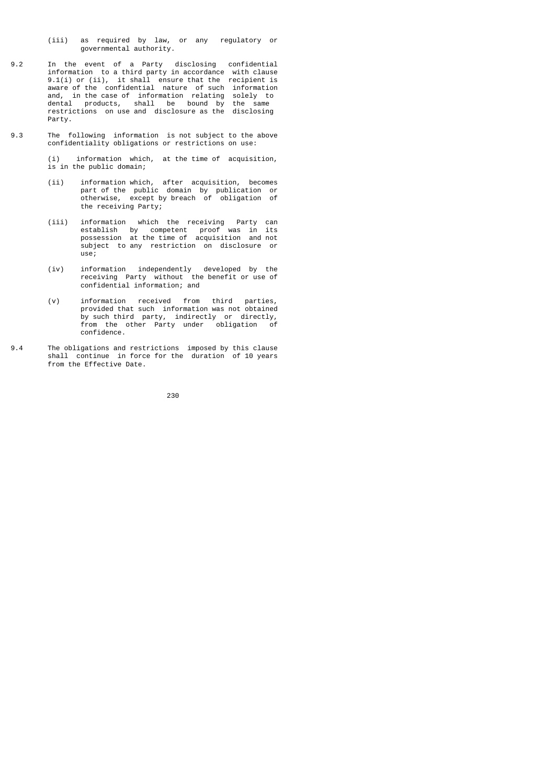- (iii) as required by law, or any regulatory or governmental authority.
- 9.2 In the event of a Party disclosing confidential information to a third party in accordance with clause 9.1(i) or (ii), it shall ensure that the recipient is aware of the confidential nature of such information and, in the case of information relating solely to dental products, shall be bound by the same restrictions on use and disclosure as the disclosing Party.
- 9.3 The following information is not subject to the above confidentiality obligations or restrictions on use:

 (i) information which, at the time of acquisition, is in the public domain;

- (ii) information which, after acquisition, becomes part of the public domain by publication or otherwise, except by breach of obligation of the receiving Party;
- (iii) information which the receiving Party can establish by competent proof was in its possession at the time of acquisition and not subject to any restriction on disclosure or use;
- (iv) information independently developed by the receiving Party without the benefit or use of confidential information; and
- (v) information received from third parties, provided that such information was not obtained by such third party, indirectly or directly, from the other Party under obligation of confidence.
- 9.4 The obligations and restrictions imposed by this clause shall continue in force for the duration of 10 years from the Effective Date.

<u>230 до најзина од селото на 230 до најзина од селото на 230 до најзина од селото на </u>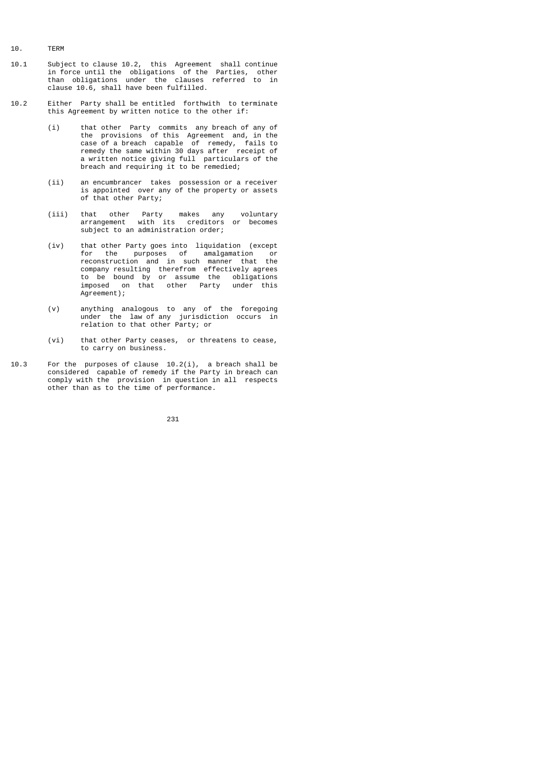- 10. TERM
- 10.1 Subject to clause 10.2, this Agreement shall continue in force until the obligations of the Parties, other than obligations under the clauses referred to in clause 10.6, shall have been fulfilled.
- 10.2 Either Party shall be entitled forthwith to terminate this Agreement by written notice to the other if:
- (i) that other Party commits any breach of any of the provisions of this Agreement and, in the case of a breach capable of remedy, fails to remedy the same within 30 days after receipt of a written notice giving full particulars of the breach and requiring it to be remedied;
	- (ii) an encumbrancer takes possession or a receiver is appointed over any of the property or assets of that other Party;
- (iii) that other Party makes any voluntary arrangement with its creditors or becomes subject to an administration order;
- (iv) that other Party goes into liquidation (except for the purposes of amalgamation or reconstruction and in such manner that the company resulting therefrom effectively agrees to be bound by or assume the obligations imposed on that other Party under this Agreement);
- (v) anything analogous to any of the foregoing under the law of any jurisdiction occurs in relation to that other Party; or
	- (vi) that other Party ceases, or threatens to cease, to carry on business.
- 10.3 For the purposes of clause 10.2(i), a breach shall be considered capable of remedy if the Party in breach can comply with the provision in question in all respects other than as to the time of performance.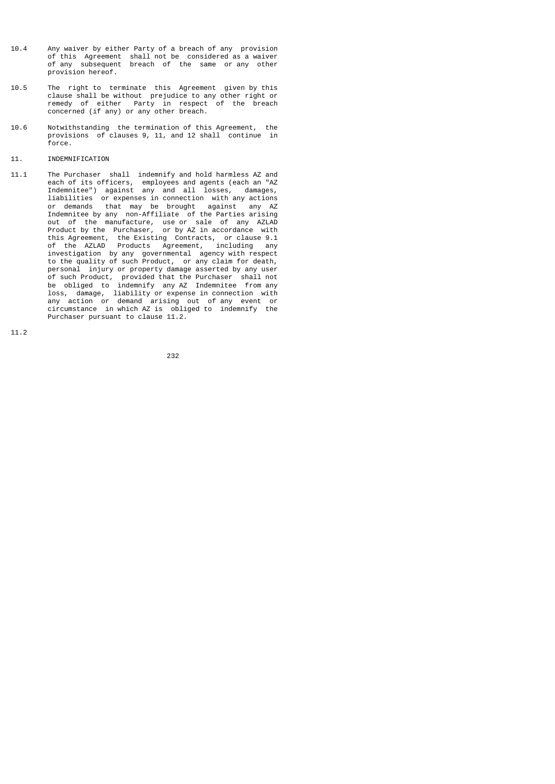- 10.4 Any waiver by either Party of a breach of any provision of this Agreement shall not be considered as a waiver of any subsequent breach of the same or any other provision hereof.
- 10.5 The right to terminate this Agreement given by this clause shall be without prejudice to any other right or remedy of either Party in respect of the breach concerned (if any) or any other breach.
- 10.6 Notwithstanding the termination of this Agreement, the provisions of clauses 9, 11, and 12 shall continue in force.

# 11. INDEMNIFICATION

11.1 The Purchaser shall indemnify and hold harmless AZ and each of its officers, employees and agents (each an "AZ Indemnitee") against any and all losses, damages, liabilities or expenses in connection with any actions or demands that may be brought against any AZ Indemnitee by any non-Affiliate of the Parties arising out of the manufacture, use or sale of any AZLAD Product by the Purchaser, or by AZ in accordance with this Agreement, the Existing Contracts, or clause 9.1 of the AZLAD Products Agreement, including any investigation by any governmental agency with respect to the quality of such Product, or any claim for death, personal injury or property damage asserted by any user of such Product, provided that the Purchaser shall not be obliged to indemnify any AZ Indemnitee from any loss, damage, liability or expense in connection with any action or demand arising out of any event or circumstance in which AZ is obliged to indemnify the Purchaser pursuant to clause 11.2.

11.2

<u>232</u>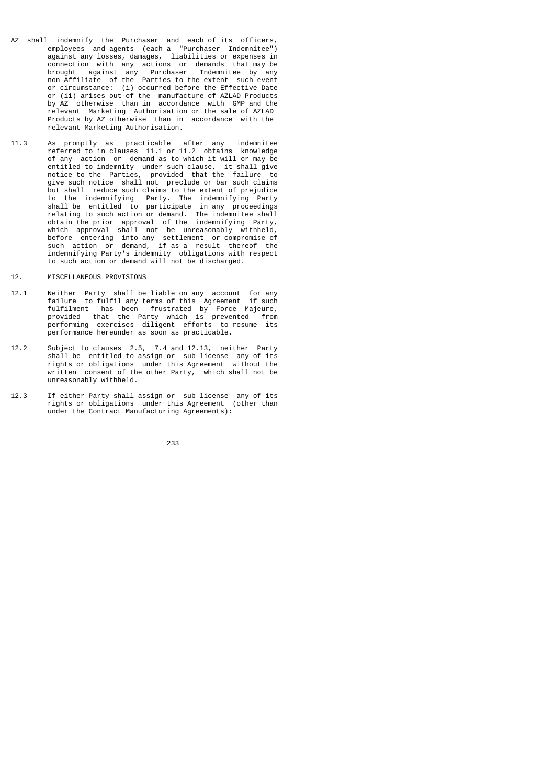- AZ shall indemnify the Purchaser and each of its officers, employees and agents (each a "Purchaser Indemnitee") against any losses, damages, liabilities or expenses in connection with any actions or demands that may be brought against any Purchaser Indemnitee by any non-Affiliate of the Parties to the extent such event or circumstance: (i) occurred before the Effective Date or (ii) arises out of the manufacture of AZLAD Products by AZ otherwise than in accordance with GMP and the relevant Marketing Authorisation or the sale of AZLAD Products by AZ otherwise than in accordance with the relevant Marketing Authorisation.
- 11.3 As promptly as practicable after any indemnitee referred to in clauses 11.1 or 11.2 obtains knowledge of any action or demand as to which it will or may be entitled to indemnity under such clause, it shall give notice to the Parties, provided that the failure to give such notice shall not preclude or bar such claims but shall reduce such claims to the extent of prejudice to the indemnifying Party. The indemnifying Party shall be entitled to participate in any proceedings relating to such action or demand. The indemnitee shall obtain the prior approval of the indemnifying Party, which approval shall not be unreasonably withheld, before entering into any settlement or compromise of such action or demand, if as a result thereof the indemnifying Party's indemnity obligations with respect to such action or demand will not be discharged.
- 12. MISCELLANEOUS PROVISIONS
- 12.1 Neither Party shall be liable on any account for any failure to fulfil any terms of this Agreement if such fulfilment has been frustrated by Force Majeure, provided that the Party which is prevented from performing exercises diligent efforts to resume its performance hereunder as soon as practicable.
- 12.2 Subject to clauses 2.5, 7.4 and 12.13, neither Party shall be entitled to assign or sub-license any of its rights or obligations under this Agreement without the written consent of the other Party, which shall not be unreasonably withheld.
- 12.3 If either Party shall assign or sub-license any of its rights or obligations under this Agreement (other than under the Contract Manufacturing Agreements):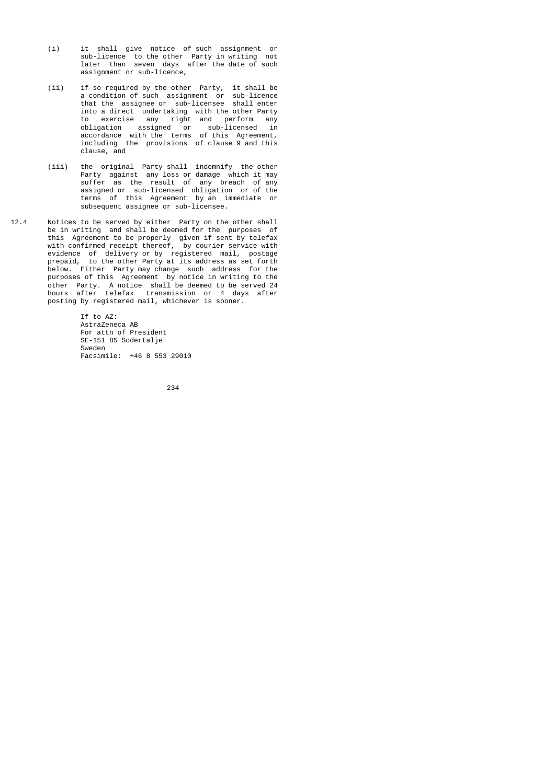- (i) it shall give notice of such assignment or sub-licence to the other Party in writing not later than seven days after the date of such assignment or sub-licence,
- (ii) if so required by the other Party, it shall be a condition of such assignment or sub-licence that the assignee or sub-licensee shall enter into a direct undertaking with the other Party to exercise any right and perform any obligation assigned or sub-licensed in accordance with the terms of this Agreement, including the provisions of clause 9 and this clause, and
- (iii) the original Party shall indemnify the other Party against any loss or damage which it may suffer as the result of any breach of any assigned or sub-licensed obligation or of the terms of this Agreement by an immediate or subsequent assignee or sub-licensee.
- 12.4 Notices to be served by either Party on the other shall be in writing and shall be deemed for the purposes of this Agreement to be properly given if sent by telefax with confirmed receipt thereof, by courier service with evidence of delivery or by registered mail, postage prepaid, to the other Party at its address as set forth below. Either Party may change such address for the purposes of this Agreement by notice in writing to the other Party. A notice shall be deemed to be served 24 hours after telefax transmission or 4 days after posting by registered mail, whichever is sooner.

 If to AZ: AstraZeneca AB For attn of President SE-151 85 Sodertalje Sweden Facsimile: +46 8 553 29010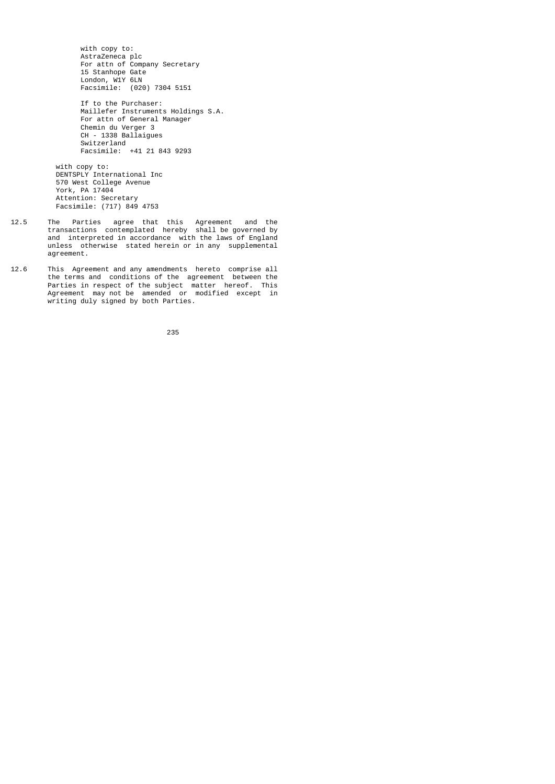with copy to: AstraZeneca plc For attn of Company Secretary 15 Stanhope Gate London, W1Y 6LN Facsimile: (020) 7304 5151

 If to the Purchaser: Maillefer Instruments Holdings S.A. For attn of General Manager Chemin du Verger 3 CH - 1338 Ballaigues Switzerland Facsimile: +41 21 843 9293

 with copy to: DENTSPLY International Inc 570 West College Avenue York, PA 17404 Attention: Secretary Facsimile: (717) 849 4753

- 12.5 The Parties agree that this Agreement and the transactions contemplated hereby shall be governed by and interpreted in accordance with the laws of England unless otherwise stated herein or in any supplemental agreement.
- 12.6 This Agreement and any amendments hereto comprise all the terms and conditions of the agreement between the Parties in respect of the subject matter hereof. This Agreement may not be amended or modified except in writing duly signed by both Parties.

<u>235 and 235 and 236 and 236 and 236 and 236 and 236 and 236 and 236 and 236 and 236 and 236 and 236 and 236 and 237 and 238 and 238 and 238 and 238 and 238 and 238 and 238 and 238 and 238 and 238 and 238 and 238 and 238 a</u>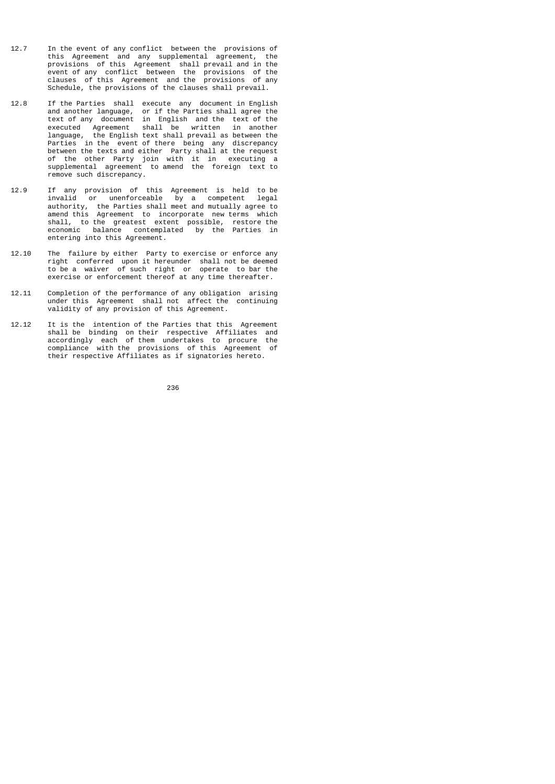- 12.7 In the event of any conflict between the provisions of this Agreement and any supplemental agreement, the provisions of this Agreement shall prevail and in the event of any conflict between the provisions of the clauses of this Agreement and the provisions of any Schedule, the provisions of the clauses shall prevail.
- 12.8 If the Parties shall execute any document in English and another language, or if the Parties shall agree the text of any document in English and the text of the executed Agreement shall be written in another language, the English text shall prevail as between the Parties in the event of there being any discrepancy between the texts and either Party shall at the request of the other Party join with it in executing a supplemental agreement to amend the foreign text to remove such discrepancy.
- 12.9 If any provision of this Agreement is held to be invalid or unenforceable by a competent legal authority, the Parties shall meet and mutually agree to amend this Agreement to incorporate new terms which shall, to the greatest extent possible, restore the economic balance contemplated by the Parties in entering into this Agreement.
- 12.10 The failure by either Party to exercise or enforce any right conferred upon it hereunder shall not be deemed to be a waiver of such right or operate to bar the exercise or enforcement thereof at any time thereafter.
- 12.11 Completion of the performance of any obligation arising under this Agreement shall not affect the continuing validity of any provision of this Agreement.
- 12.12 It is the intention of the Parties that this Agreement shall be binding on their respective Affiliates and accordingly each of them undertakes to procure the compliance with the provisions of this Agreement of their respective Affiliates as if signatories hereto.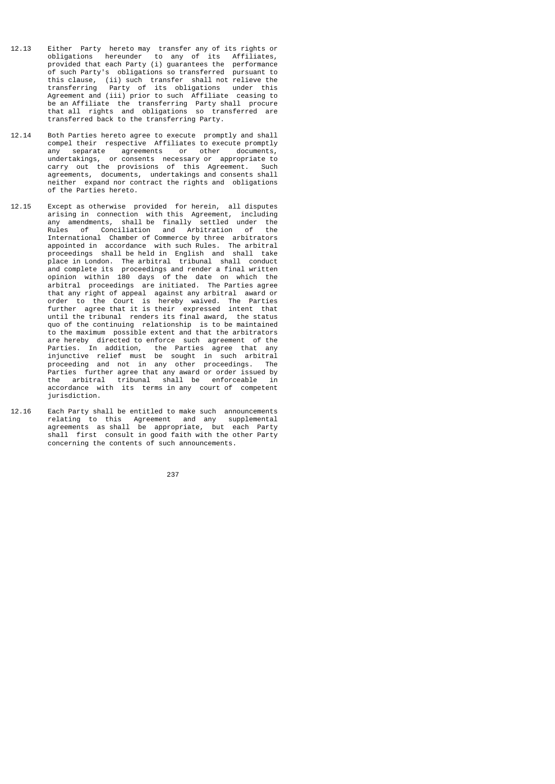- 12.13 Either Party hereto may transfer any of its rights or obligations hereunder to any of its Affiliates, provided that each Party (i) guarantees the performance of such Party's obligations so transferred pursuant to this clause, (ii) such transfer shall not relieve the transferring Party of its obligations under this Agreement and (iii) prior to such Affiliate ceasing to be an Affiliate the transferring Party shall procure that all rights and obligations so transferred are transferred back to the transferring Party.
- 12.14 Both Parties hereto agree to execute promptly and shall compel their respective Affiliates to execute promptly any separate agreements or other documents, undertakings, or consents necessary or appropriate to carry out the provisions of this Agreement. Such agreements, documents, undertakings and consents shall neither expand nor contract the rights and obligations of the Parties hereto.
- 12.15 Except as otherwise provided for herein, all disputes arising in connection with this Agreement, including any amendments, shall be finally settled under the Rules of Conciliation and Arbitration of the International Chamber of Commerce by three arbitrators appointed in accordance with such Rules. The arbitral proceedings shall be held in English and shall take place in London. The arbitral tribunal shall conduct and complete its proceedings and render a final written opinion within 180 days of the date on which the arbitral proceedings are initiated. The Parties agree that any right of appeal against any arbitral award or order to the Court is hereby waived. The Parties further agree that it is their expressed intent that until the tribunal renders its final award, the status quo of the continuing relationship is to be maintained to the maximum possible extent and that the arbitrators are hereby directed to enforce such agreement of the Parties. In addition, the Parties agree that any injunctive relief must be sought in such arbitral proceeding and not in any other proceedings. The Parties further agree that any award or order issued by the arbitral tribunal shall be enforceable in accordance with its terms in any court of competent jurisdiction.
- 12.16 Each Party shall be entitled to make such announcements relating to this Agreement and any supplemental agreements as shall be appropriate, but each Party shall first consult in good faith with the other Party concerning the contents of such announcements.

<u>237 до село во село во село во село во село во село во село во село во село во село во село во село во село в</u>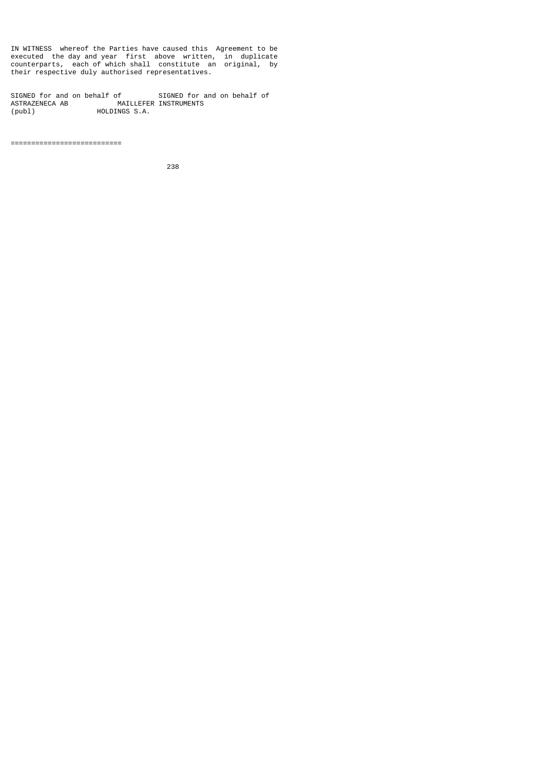IN WITNESS whereof the Parties have caused this Agreement to be executed the day and year first above written, in duplicate counterparts, each of which shall constitute an original, by their respective duly authorised representatives.

SIGNED for and on behalf of SIGNED for and on behalf of ASTRAZENECA AB MAILLEFER INSTRUMENTS (publ) HOLDINGS S.A.

===========================

<u>238 and 238 and 238 and 238 and 238 and 238 and 238 and 238 and 238 and 238 and 238 and 238 and 238 and 238 and 238 and 238 and 238 and 238 and 238 and 238 and 238 and 238 and 238 and 238 and 238 and 238 and 238 and 238 a</u>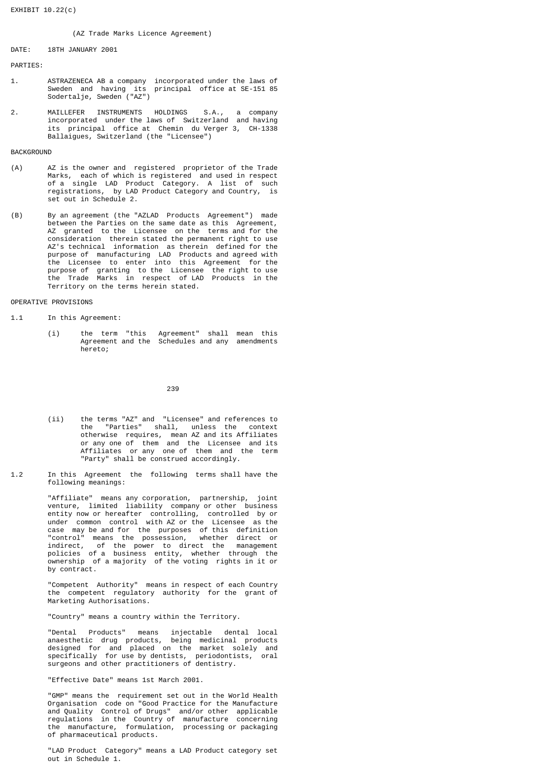## (AZ Trade Marks Licence Agreement)

DATE: 18TH JANUARY 2001

PARTIES:

- 1. ASTRAZENECA AB a company incorporated under the laws of Sweden and having its principal office at SE-151 85 Sodertalje, Sweden ("AZ")
- 2. MAILLEFER INSTRUMENTS HOLDINGS S.A., a company incorporated under the laws of Switzerland and having its principal office at Chemin du Verger 3, CH-1338 Ballaigues, Switzerland (the "Licensee")

### **BACKGROUND**

- (A) AZ is the owner and registered proprietor of the Trade Marks, each of which is registered and used in respect of a single LAD Product Category. A list of such registrations, by LAD Product Category and Country, is set out in Schedule 2.
- (B) By an agreement (the "AZLAD Products Agreement") made between the Parties on the same date as this Agreement,<br>AZ granted to the Licensee on the terms and for the AZ granted to the Licensee on the terms and for the consideration therein stated the permanent right to use AZ's technical information as therein defined for the purpose of manufacturing LAD Products and agreed with the Licensee to enter into this Agreement for the purpose of granting to the Licensee the right to use the Trade Marks in respect of LAD Products in the Territory on the terms herein stated.

# OPERATIVE PROVISIONS

1.1 In this Agreement:

 (i) the term "this Agreement" shall mean this Agreement and the Schedules and any amendments hereto;

<u>239 and 239 and 239 and 239 and 239 and 239 and 239 and 239 and 239 and 239 and 239 and 239 and 239 and 239 and 239 and 239 and 239 and 239 and 239 and 239 and 239 and 239 and 239 and 239 and 239 and 239 and 239 and 239 a</u>

- (ii) the terms "AZ" and "Licensee" and references to the "Parties" shall, unless the context otherwise requires, mean AZ and its Affiliates or any one of them and the Licensee and its Affiliates or any one of them and the term "Party" shall be construed accordingly.
- 1.2 In this Agreement the following terms shall have the following meanings:

 "Affiliate" means any corporation, partnership, joint venture, limited liability company or other business entity now or hereafter controlling, controlled by or under common control with AZ or the Licensee as the case may be and for the purposes of this definition "control" means the possession, whether direct or indirect, of the power to direct the management policies of a business entity, whether through the ownership of a majority of the voting rights in it or by contract.

> "Competent Authority" means in respect of each Country the competent regulatory authority for the grant of Marketing Authorisations.

"Country" means a country within the Territory.

 "Dental Products" means injectable dental local anaesthetic drug products, being medicinal products designed for and placed on the market solely and specifically for use by dentists, periodontists, oral surgeons and other practitioners of dentistry.

"Effective Date" means 1st March 2001.

 "GMP" means the requirement set out in the World Health Organisation code on "Good Practice for the Manufacture and Quality Control of Drugs" and/or other applicable regulations in the Country of manufacture concerning the manufacture, formulation, processing or packaging of pharmaceutical products.

> "LAD Product Category" means a LAD Product category set out in Schedule 1.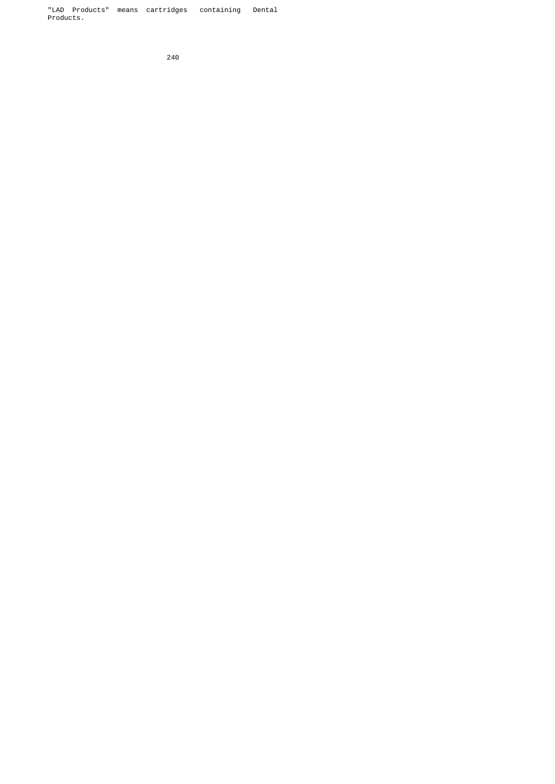"LAD Products" means cartridges containing Dental Products.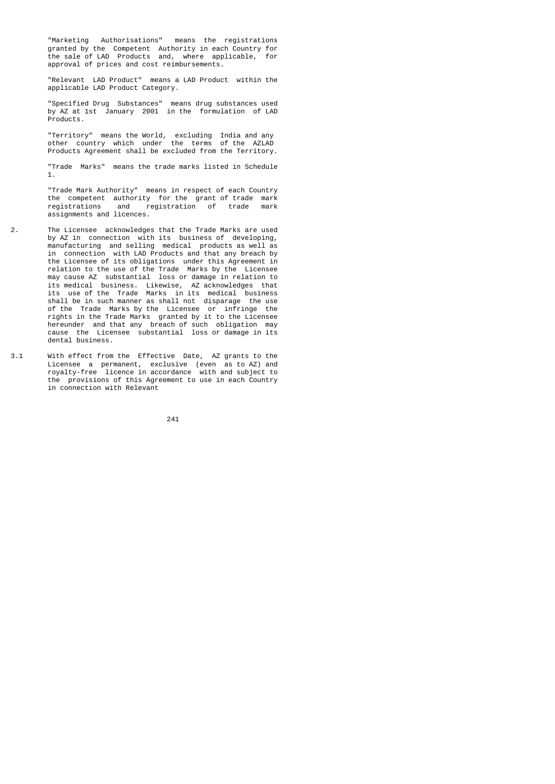"Marketing Authorisations" means the registrations granted by the Competent Authority in each Country for the sale of LAD Products and, where applicable, for approval of prices and cost reimbursements.

> "Relevant LAD Product" means a LAD Product within the applicable LAD Product Category.

 "Specified Drug Substances" means drug substances used by AZ at 1st January 2001 in the formulation of LAD Products.

 "Territory" means the World, excluding India and any other country which under the terms of the AZLAD Products Agreement shall be excluded from the Territory.

> "Trade Marks" means the trade marks listed in Schedule 1.

> "Trade Mark Authority" means in respect of each Country the competent authority for the grant of trade mark<br>registrations and registration of trade mark and registration of trade mark assignments and licences.

- 2. The Licensee acknowledges that the Trade Marks are used by AZ in connection with its business of developing, manufacturing and selling medical products as well as in connection with LAD Products and that any breach by the Licensee of its obligations under this Agreement in relation to the use of the Trade Marks by the Licensee may cause AZ substantial loss or damage in relation to its medical business. Likewise, AZ acknowledges that its use of the Trade Marks in its medical business shall be in such manner as shall not disparage the use of the Trade Marks by the Licensee or infringe the rights in the Trade Marks granted by it to the Licensee hereunder and that any breach of such obligation may cause the Licensee substantial loss or damage in its dental business.
- 3.1 With effect from the Effective Date, AZ grants to the Licensee a permanent, exclusive (even as to AZ) and royalty-free licence in accordance with and subject to the provisions of this Agreement to use in each Country in connection with Relevant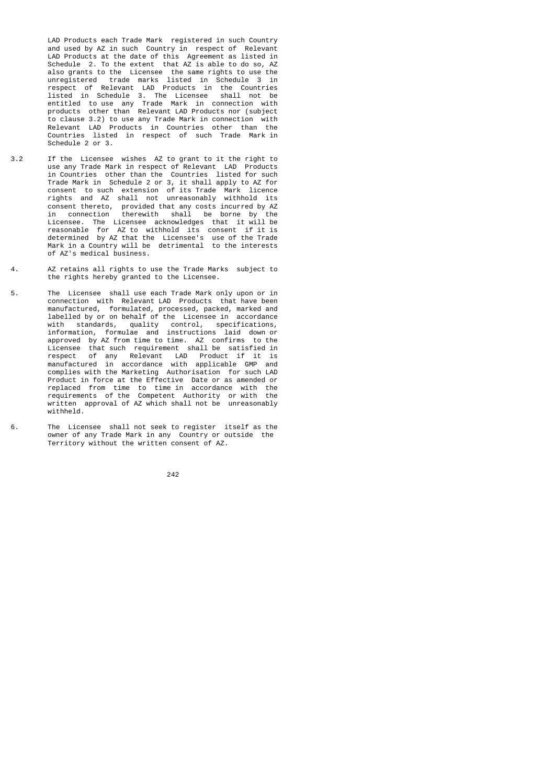LAD Products each Trade Mark registered in such Country and used by AZ in such Country in respect of Relevant LAD Products at the date of this Agreement as listed in Schedule 2. To the extent that AZ is able to do so, AZ also grants to the Licensee the same rights to use the unregistered trade marks listed in Schedule 3 in respect of Relevant LAD Products in the Countries listed in Schedule 3. The Licensee shall not be entitled to use any Trade Mark in connection with products other than Relevant LAD Products nor (subject to clause 3.2) to use any Trade Mark in connection with Relevant LAD Products in Countries other than the Countries listed in respect of such Trade Mark in Schedule 2 or 3.

- 3.2 If the Licensee wishes AZ to grant to it the right to use any Trade Mark in respect of Relevant LAD Products in Countries other than the Countries listed for such Trade Mark in Schedule 2 or 3, it shall apply to AZ for consent to such extension of its Trade Mark licence rights and AZ shall not unreasonably withhold its consent thereto, provided that any costs incurred by AZ in connection therewith shall be borne by the Licensee. The Licensee acknowledges that it will be reasonable for AZ to withhold its consent if it is determined by AZ that the Licensee's use of the Trade Mark in a Country will be detrimental to the interests of AZ's medical business.
- 4. AZ retains all rights to use the Trade Marks subject to the rights hereby granted to the Licensee.
- 5. The Licensee shall use each Trade Mark only upon or in connection with Relevant LAD Products that have been manufactured, formulated, processed, packed, marked and labelled by or on behalf of the Licensee in accordance with standards, quality control, specifications, information, formulae and instructions laid down or approved by AZ from time to time. AZ confirms to the Licensee that such requirement shall be satisfied in respect of any Relevant LAD Product if it is manufactured in accordance with applicable GMP and complies with the Marketing Authorisation for such LAD Product in force at the Effective Date or as amended or replaced from time to time in accordance with the requirements of the Competent Authority or with the written approval of AZ which shall not be unreasonably withheld.
- 6. The Licensee shall not seek to register itself as the owner of any Trade Mark in any Country or outside the Territory without the written consent of AZ.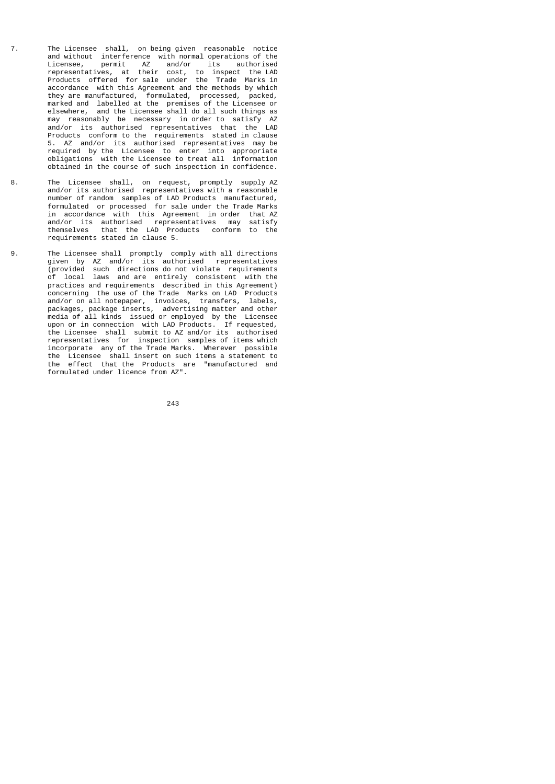- 7. The Licensee shall, on being given reasonable notice and without interference with normal operations of the Licensee, permit AZ and/or its authorised representatives, at their cost, to inspect the LAD Products offered for sale under the Trade Marks in accordance with this Agreement and the methods by which they are manufactured, formulated, processed, packed, marked and labelled at the premises of the Licensee or elsewhere, and the Licensee shall do all such things as may reasonably be necessary in order to satisfy AZ and/or its authorised representatives that the LAD Products conform to the requirements stated in clause 5. AZ and/or its authorised representatives may be required by the Licensee to enter into appropriate obligations with the Licensee to treat all information obtained in the course of such inspection in confidence.
- 8. The Licensee shall, on request, promptly supply AZ and/or its authorised representatives with a reasonable number of random samples of LAD Products manufactured, formulated or processed for sale under the Trade Marks in accordance with this Agreement in order that AZ and/or its authorised representatives may satisfy that the LAD Products conform to the requirements stated in clause 5.
- 9. The Licensee shall promptly comply with all directions given by AZ and/or its authorised representatives (provided such directions do not violate requirements of local laws and are entirely consistent with the practices and requirements described in this Agreement) concerning the use of the Trade Marks on LAD Products and/or on all notepaper, invoices, transfers, labels, packages, package inserts, advertising matter and other media of all kinds issued or employed by the Licensee upon or in connection with LAD Products. If requested, the Licensee shall submit to AZ and/or its authorised representatives for inspection samples of items which incorporate any of the Trade Marks. Wherever possible the Licensee shall insert on such items a statement to the effect that the Products are "manufactured and formulated under licence from AZ".

<u>243</u>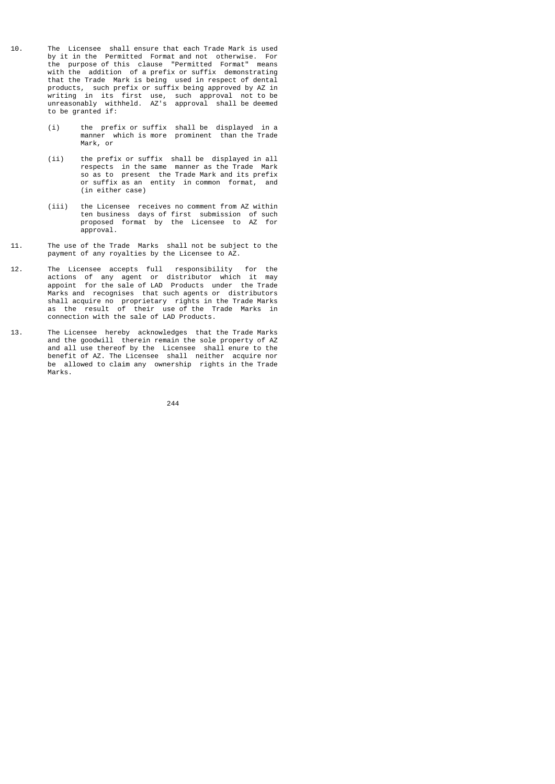- 10. The Licensee shall ensure that each Trade Mark is used by it in the Permitted Format and not otherwise. For the purpose of this clause "Permitted Format" means with the addition of a prefix or suffix demonstrating that the Trade Mark is being used in respect of dental products, such prefix or suffix being approved by AZ in writing in its first use, such approval not to be unreasonably withheld. AZ's approval shall be deemed to be granted if:
- (i) the prefix or suffix shall be displayed in a manner which is more prominent than the Trade Mark, or
- (ii) the prefix or suffix shall be displayed in all respects in the same manner as the Trade Mark so as to present the Trade Mark and its prefix or suffix as an entity in common format, and (in either case)
	- (iii) the Licensee receives no comment from AZ within ten business days of first submission of such proposed format by the Licensee to AZ for approval.
- 11. The use of the Trade Marks shall not be subject to the payment of any royalties by the Licensee to AZ.
- 12. The Licensee accepts full responsibility for the actions of any agent or distributor which it may appoint for the sale of LAD Products under the Trade Marks and recognises that such agents or distributors shall acquire no proprietary rights in the Trade Marks as the result of their use of the Trade Marks in connection with the sale of LAD Products.
- 13. The Licensee hereby acknowledges that the Trade Marks and the goodwill therein remain the sole property of AZ and all use thereof by the Licensee shall enure to the benefit of AZ. The Licensee shall neither acquire nor be allowed to claim any ownership rights in the Trade Marks.

<u>244 and 244</u>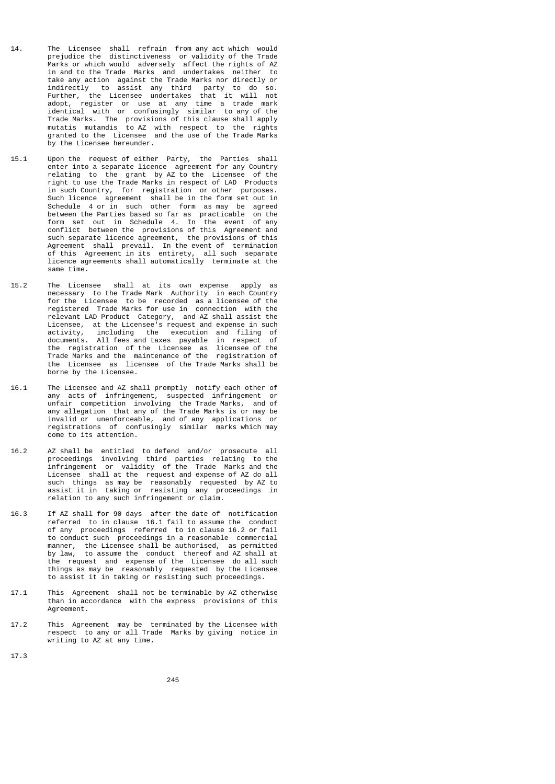- 14. The Licensee shall refrain from any act which would prejudice the distinctiveness or validity of the Trade Marks or which would adversely affect the rights of AZ in and to the Trade Marks and undertakes neither to take any action against the Trade Marks nor directly or indirectly to assist any third party to do so. Further, the Licensee undertakes that it will not adopt, register or use at any time a trade mark identical with or confusingly similar to any of the Trade Marks. The provisions of this clause shall apply mutatis mutandis to AZ with respect to the rights granted to the Licensee and the use of the Trade Marks by the Licensee hereunder.
- 15.1 Upon the request of either Party, the Parties shall enter into a separate licence agreement for any Country relating to the grant by AZ to the Licensee of the right to use the Trade Marks in respect of LAD Products in such Country, for registration or other purposes. Such licence agreement shall be in the form set out in Schedule 4 or in such other form as may be agreed between the Parties based so far as practicable on the form set out in Schedule 4. In the event of any conflict between the provisions of this Agreement and such separate licence agreement, the provisions of this Agreement shall prevail. In the event of termination of this Agreement in its entirety, all such separate licence agreements shall automatically terminate at the same time.
- 15.2 The Licensee shall at its own expense apply as necessary to the Trade Mark Authority in each Country<br>for the Licensee to be recorded as a licensee of the for the Licensee to be recorded as a licensee of the registered Trade Marks for use in connection with the relevant LAD Product Category, and AZ shall assist the Licensee, at the Licensee's request and expense in such activity, including the execution and filing of documents. All fees and taxes payable in respect of the registration of the Licensee as licensee of the Trade Marks and the maintenance of the registration of the Licensee as licensee of the Trade Marks shall be borne by the Licensee.
- 16.1 The Licensee and AZ shall promptly notify each other of any acts of infringement, suspected infringement or unfair competition involving the Trade Marks, and of any allegation that any of the Trade Marks is or may be invalid or unenforceable, and of any applications or registrations of confusingly similar marks which may come to its attention.
- 16.2 AZ shall be entitled to defend and/or prosecute all proceedings involving third parties relating to the infringement or validity of the Trade Marks and the Licensee shall at the request and expense of AZ do all such things as may be reasonably requested by AZ to assist it in taking or resisting any proceedings in relation to any such infringement or claim.
- 16.3 If AZ shall for 90 days after the date of notification referred to in clause 16.1 fail to assume the conduct of any proceedings referred to in clause 16.2 or fail to conduct such proceedings in a reasonable commercial manner, the Licensee shall be authorised, as permitted<br>by law, to assume the conduct thereof and AZ shall at to assume the conduct thereof and AZ shall at the request and expense of the Licensee do all such things as may be reasonably requested by the Licensee to assist it in taking or resisting such proceedings.
- 17.1 This Agreement shall not be terminable by AZ otherwise than in accordance with the express provisions of this Agreement.
- 17.2 This Agreement may be terminated by the Licensee with respect to any or all Trade Marks by giving notice in writing to AZ at any time.
- 17.3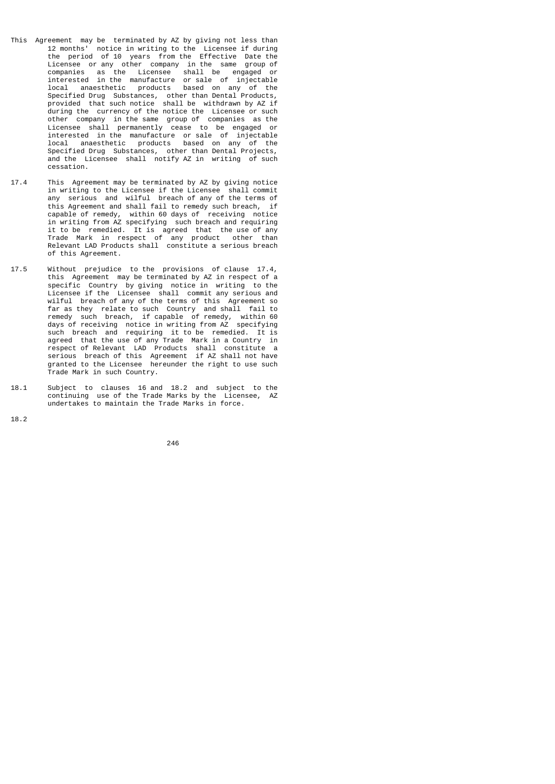- This Agreement may be terminated by AZ by giving not less than 12 months' notice in writing to the Licensee if during the period of 10 years from the Effective Date the Licensee or any other company in the same group of companies as the Licensee shall be engaged or interested in the manufacture or sale of injectable local anaesthetic products based on any of the Specified Drug Substances, other than Dental Products, provided that such notice shall be withdrawn by AZ if during the currency of the notice the Licensee or such other company in the same group of companies as the Licensee shall permanently cease to be engaged or interested in the manufacture or sale of injectable local anaesthetic products based on any of the Specified Drug Substances, other than Dental Projects, and the Licensee shall notify AZ in writing of such cessation.
- 17.4 This Agreement may be terminated by AZ by giving notice in writing to the Licensee if the Licensee shall commit any serious and wilful breach of any of the terms of this Agreement and shall fail to remedy such breach, if capable of remedy, within 60 days of receiving notice in writing from AZ specifying such breach and requiring it to be remedied. It is agreed that the use of any Trade Mark in respect of any product other than Relevant LAD Products shall constitute a serious breach of this Agreement.
- 17.5 Without prejudice to the provisions of clause 17.4, this Agreement may be terminated by AZ in respect of a specific Country by giving notice in writing to the Licensee if the Licensee shall commit any serious and wilful breach of any of the terms of this Agreement so far as they relate to such Country and shall fail to remedy such breach, if capable of remedy, within 60 days of receiving notice in writing from AZ specifying such breach and requiring it to be remedied. It is agreed that the use of any Trade Mark in a Country in respect of Relevant LAD Products shall constitute a serious breach of this Agreement if AZ shall not have granted to the Licensee hereunder the right to use such Trade Mark in such Country.
- 18.1 Subject to clauses 16 and 18.2 and subject to the continuing use of the Trade Marks by the Licensee, AZ undertakes to maintain the Trade Marks in force.

18.2

<u>246</u>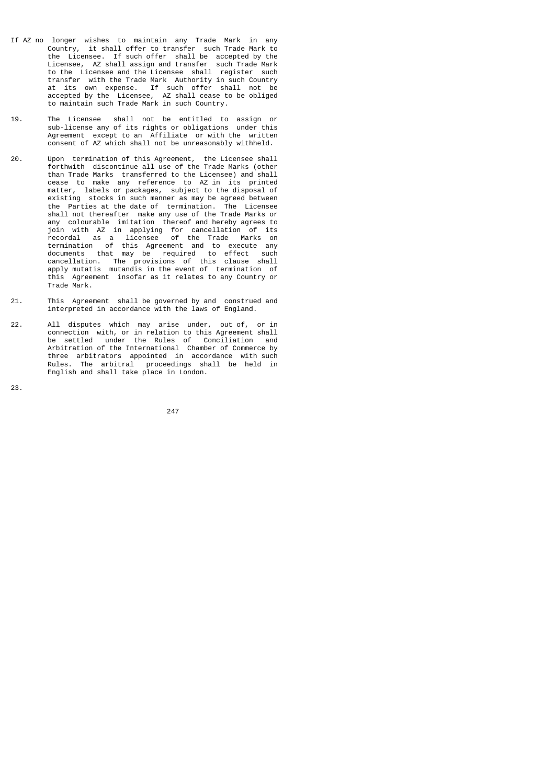- If AZ no longer wishes to maintain any Trade Mark in any Country, it shall offer to transfer such Trade Mark to the Licensee. If such offer shall be accepted by the Licensee, AZ shall assign and transfer such Trade Mark to the Licensee and the Licensee shall register such transfer with the Trade Mark Authority in such Country at its own expense. If such offer shall not be accepted by the Licensee, AZ shall cease to be obliged to maintain such Trade Mark in such Country.
- 19. The Licensee shall not be entitled to assign or sub-license any of its rights or obligations under this Agreement except to an Affiliate or with the written consent of AZ which shall not be unreasonably withheld.
- 20. Upon termination of this Agreement, the Licensee shall forthwith discontinue all use of the Trade Marks (other than Trade Marks transferred to the Licensee) and shall cease to make any reference to AZ in its printed matter, labels or packages, subject to the disposal of existing stocks in such manner as may be agreed between the Parties at the date of termination. The Licensee shall not thereafter make any use of the Trade Marks or any colourable imitation thereof and hereby agrees to join with AZ in applying for cancellation of its recordal as a licensee of the Trade Marks on termination of this Agreement and to execute any documents that may be required to effect such<br>cancellation. The provisions of this clause shall cancellation. The provisions of this clause shall apply mutatis mutandis in the event of termination of this Agreement insofar as it relates to any Country or Trade Mark.
- 21. This Agreement shall be governed by and construed and interpreted in accordance with the laws of England.
- 22. All disputes which may arise under, out of, or in connection with, or in relation to this Agreement shall be settled under the Rules of Conciliation and Arbitration of the International Chamber of Commerce by three arbitrators appointed in accordance with such Rules. The arbitral proceedings shall be held in English and shall take place in London.
- 23.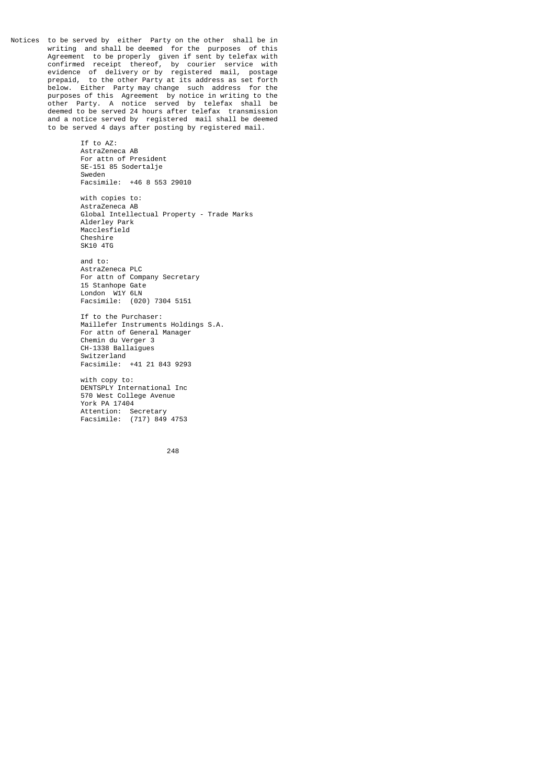Notices to be served by either Party on the other shall be in writing and shall be deemed for the purposes of this Agreement to be properly given if sent by telefax with confirmed receipt thereof, by courier service with evidence of delivery or by registered mail, postage prepaid, to the other Party at its address as set forth below. Either Party may change such address for the purposes of this Agreement by notice in writing to the other Party. A notice served by telefax shall be deemed to be served 24 hours after telefax transmission and a notice served by registered mail shall be deemed to be served 4 days after posting by registered mail.

> If to AZ: AstraZeneca AB For attn of President SE-151 85 Sodertalje Sweden Facsimile: +46 8 553 29010 with copies to: AstraZeneca AB Global Intellectual Property - Trade Marks Alderley Park Macclesfield Cheshire SK10 4TG and to:

 AstraZeneca PLC For attn of Company Secretary 15 Stanhope Gate London W1Y 6LN Facsimile: (020) 7304 5151

 If to the Purchaser: Maillefer Instruments Holdings S.A. For attn of General Manager Chemin du Verger 3 CH-1338 Ballaigues Switzerland Facsimile: +41 21 843 9293

 with copy to: DENTSPLY International Inc 570 West College Avenue York PA 17404 Attention: Secretary Facsimile: (717) 849 4753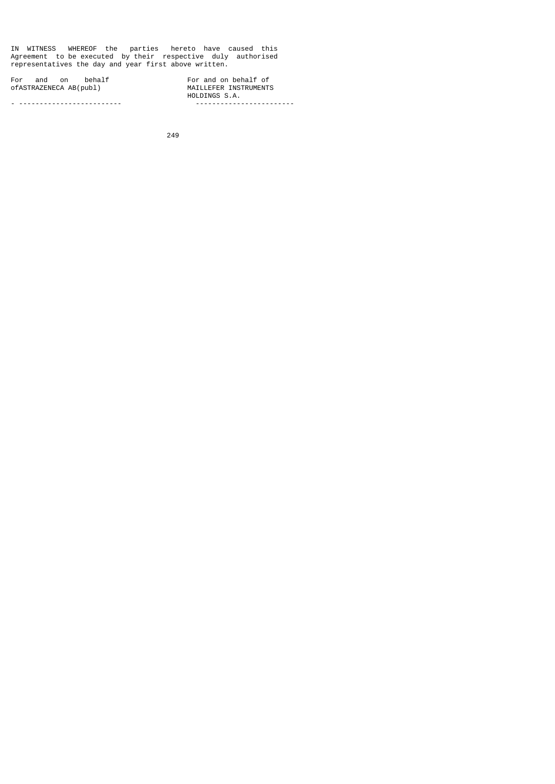IN WITNESS WHEREOF the parties hereto have caused this Agreement to be executed by their respective duly authorised representatives the day and year first above written.

For and on behalf<br>ofASTRAZENECA AB(publ) ofASTRAZENECA AB(publ) MAILLEFER INSTRUMENTS

- ------------------------- ------------------------

HOLDINGS S.A.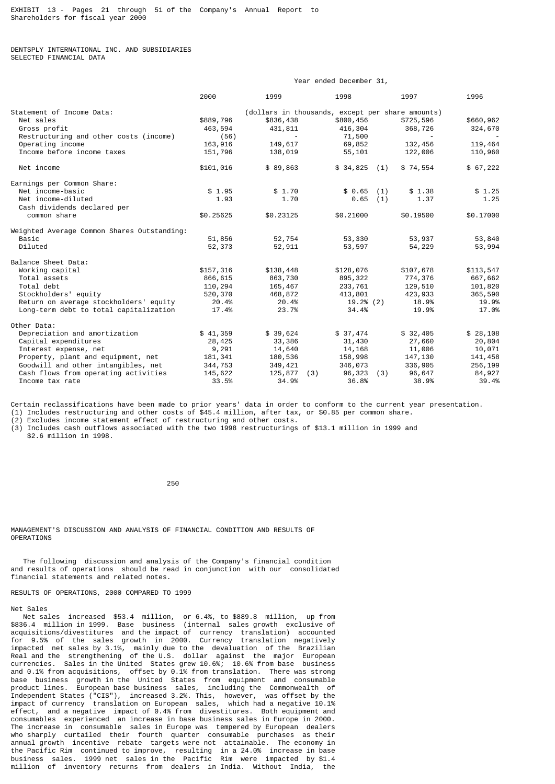DENTSPLY INTERNATIONAL INC. AND SUBSIDIARIES SELECTED FINANCIAL DATA

|                                             | Year ended December 31,                          |           |               |                 |           |
|---------------------------------------------|--------------------------------------------------|-----------|---------------|-----------------|-----------|
|                                             | 2000                                             | 1999      | 1998          | 1997            | 1996      |
| Statement of Income Data:                   | (dollars in thousands, except per share amounts) |           |               |                 |           |
| Net sales                                   | \$889,796                                        | \$836,438 | \$800,456     | \$725,596       | \$660,962 |
| Gross profit                                | 463,594                                          | 431,811   | 416,304       | 368,726         | 324,670   |
| Restructuring and other costs (income)      | (56)                                             | $\sim$    | 71,500        |                 | $\sim$    |
| Operating income                            | 163,916                                          | 149,617   | 69,852        | 132,456         | 119,464   |
| Income before income taxes                  | 151,796                                          | 138,019   | 55,101        | 122,006         | 110,960   |
| Net income                                  | \$101,016                                        | \$89,863  | \$34,825      | \$74,554<br>(1) | \$67,222  |
| Earnings per Common Share:                  |                                                  |           |               |                 |           |
| Net income-basic                            | \$1.95                                           | \$1.70    | \$0.65        | \$1.38<br>(1)   | \$1.25    |
| Net income-diluted                          | 1.93                                             | 1.70      | 0.65          | 1.37<br>(1)     | 1.25      |
| Cash dividends declared per                 |                                                  |           |               |                 |           |
| common share                                | \$0.25625                                        | \$0.23125 | \$0.21000     | \$0.19500       | \$0.17000 |
| Weighted Average Common Shares Outstanding: |                                                  |           |               |                 |           |
| Basic                                       | 51,856                                           | 52,754    | 53,330        | 53,937          | 53,840    |
| Diluted                                     | 52,373                                           | 52,911    | 53,597        | 54,229          | 53,994    |
| Balance Sheet Data:                         |                                                  |           |               |                 |           |
| Working capital                             | \$157,316                                        | \$138,448 | \$128,076     | \$107,678       | \$113,547 |
| Total assets                                | 866,615                                          | 863,730   | 895,322       | 774,376         | 667,662   |
| Total debt                                  | 110,294                                          | 165,467   | 233,761       | 129,510         | 101,820   |
| Stockholders' equity                        | 520,370                                          | 468,872   | 413,801       | 423,933         | 365,590   |
| Return on average stockholders' equity      | 20.4%                                            | 20.4%     | 19.2% (2)     | 18.9%           | 19.9%     |
| Long-term debt to total capitalization      | 17.4%                                            | 23.7%     | 34.4%         | 19.9%           | 17.0%     |
| Other Data:                                 |                                                  |           |               |                 |           |
| Depreciation and amortization               | \$41,359                                         | \$39,624  | \$37,474      | \$32,405        | \$28,108  |
| Capital expenditures                        | 28,425                                           | 33,386    | 31,430        | 27,660          | 20,804    |
| Interest expense, net                       | 9,291                                            | 14,640    | 14,168        | 11,006          | 10,071    |
| Property, plant and equipment, net          | 181,341                                          | 180,536   | 158,998       | 147,130         | 141,458   |
| Goodwill and other intangibles, net         | 344,753                                          | 349,421   | 346,073       | 336,905         | 256,199   |
| Cash flows from operating activities        | 145,622                                          | 125,877   | (3)<br>96,323 | 96,647<br>(3)   | 84,927    |
| Income tax rate                             | 33.5%                                            | 34.9%     | 36.8%         | 38.9%           | 39.4%     |

Certain reclassifications have been made to prior years' data in order to conform to the current year presentation.

(1) Includes restructuring and other costs of \$45.4 million, after tax, or \$0.85 per common share.

(2) Excludes income statement effect of restructuring and other costs.

(3) Includes cash outflows associated with the two 1998 restructurings of \$13.1 million in 1999 and \$2.6 million in 1998.

 $250$ 

MANAGEMENT'S DISCUSSION AND ANALYSIS OF FINANCIAL CONDITION AND RESULTS OF **OPERATIONS** 

 The following discussion and analysis of the Company's financial condition and results of operations should be read in conjunction with our consolidated financial statements and related notes.

RESULTS OF OPERATIONS, 2000 COMPARED TO 1999

Net Sales

 Net sales increased \$53.4 million, or 6.4%, to \$889.8 million, up from \$836.4 million in 1999. Base business (internal sales growth exclusive of acquisitions/divestitures and the impact of currency translation) accounted for 9.5% of the sales growth in 2000. Currency translation negatively impacted net sales by 3.1%, mainly due to the devaluation of the Brazilian Real and the strengthening of the U.S. dollar against the major European currencies. Sales in the United States grew 10.6%; 10.6% from base business and 0.1% from acquisitions, offset by 0.1% from translation. There was strong base business growth in the United States from equipment and consumable product lines. European base business sales, including the Commonwealth of Independent States ("CIS"), increased 3.2%. This, however, was offset by the impact of currency translation on European sales, which had a negative 10.1% effect, and a negative impact of 0.4% from divestitures. Both equipment and consumables experienced an increase in base business sales in Europe in 2000. The increase in consumable sales in Europe was tempered by European dealers who sharply curtailed their fourth quarter consumable purchases as their annual growth incentive rebate targets were not attainable. The economy in the Pacific Rim continued to improve, resulting in a 24.0% increase in base business sales. 1999 net sales in the Pacific Rim were impacted by \$1.4 million of inventory returns from dealers in India. Without India, the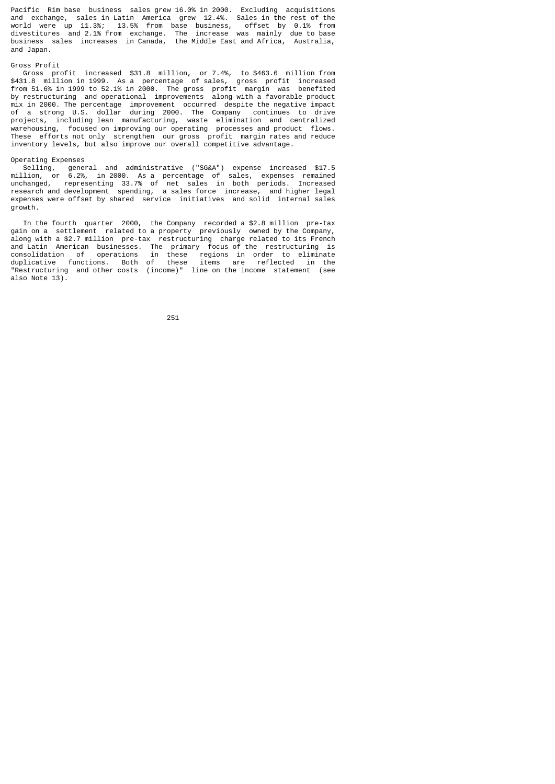Pacific Rim base business sales grew 16.0% in 2000. Excluding acquisitions and exchange, sales in Latin America grew 12.4%. Sales in the rest of the world were up 11.3%; 13.5% from base business, offset by 0.1% from divestitures and 2.1% from exchange. The increase was mainly due to base business sales increases in Canada, the Middle East and Africa, Australia, and Japan.

## Gross Profit

 Gross profit increased \$31.8 million, or 7.4%, to \$463.6 million from \$431.8 million in 1999. As a percentage of sales, gross profit increased from 51.6% in 1999 to 52.1% in 2000. The gross profit margin was benefited by restructuring and operational improvements along with a favorable product mix in 2000. The percentage improvement occurred despite the negative impact of a strong U.S. dollar during 2000. The Company continues to drive projects, including lean manufacturing, waste elimination and centralized warehousing, focused on improving our operating processes and product flows. These efforts not only strengthen our gross profit margin rates and reduce inventory levels, but also improve our overall competitive advantage.

## Operating Expenses

 Selling, general and administrative ("SG&A") expense increased \$17.5 million, or 6.2%, in 2000. As a percentage of sales, expenses remained unchanged, representing 33.7% of net sales in both periods. Increased research and development spending, a sales force increase, and higher legal expenses were offset by shared service initiatives and solid internal sales growth.

 In the fourth quarter 2000, the Company recorded a \$2.8 million pre-tax gain on a settlement related to a property previously owned by the Company, along with a \$2.7 million pre-tax restructuring charge related to its French and Latin American businesses. The primary focus of the restructuring is consolidation of operations in these regions in order to eliminate duplicative functions. Both of these items are reflected in the "Restructuring and other costs (income)" line on the income statement (see also Note 13).

<u>251 - Animal Stephen Barbara (b. 1882)</u>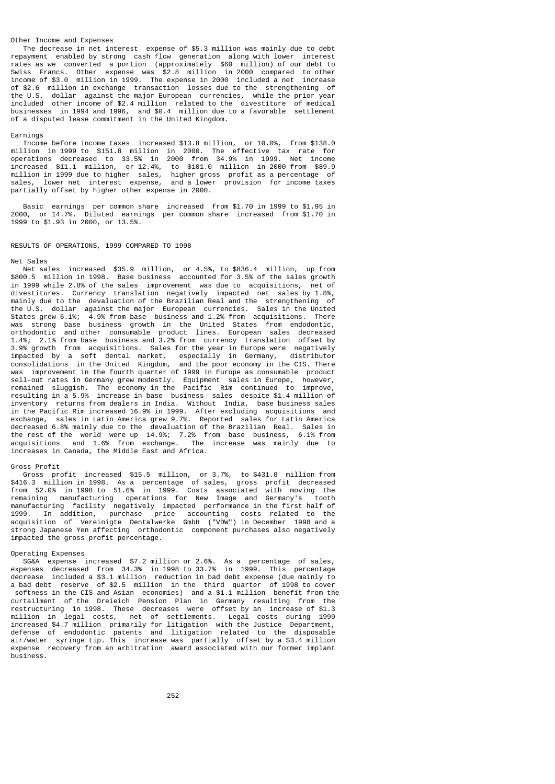### Other Income and Expenses

 The decrease in net interest expense of \$5.3 million was mainly due to debt repayment enabled by strong cash flow generation along with lower interest rates as we converted a portion (approximately \$60 million) of our debt to Swiss Francs. Other expense was \$2.8 million in 2000 compared to other income of \$3.0 million in 1999. The expense in 2000 included a net increase of \$2.6 million in exchange transaction losses due to the strengthening of the U.S. dollar against the major European currencies, while the prior year included other income of \$2.4 million related to the divestiture of medical businesses in 1994 and 1996, and \$0.4 million due to a favorable settlement of a disputed lease commitment in the United Kingdom.

### Earnings

 Income before income taxes increased \$13.8 million, or 10.0%, from \$138.0 million in 1999 to \$151.8 million in 2000. The effective tax rate for operations decreased to 33.5% in 2000 from 34.9% in 1999. Net income increased \$11.1 million, or 12.4%, to \$101.0 million in 2000 from \$89.9 million in 1999 due to higher sales, higher gross profit as a percentage of sales, lower net interest expense, and a lower provision for income taxes partially offset by higher other expense in 2000.

 Basic earnings per common share increased from \$1.70 in 1999 to \$1.95 in 2000, or 14.7%. Diluted earnings per common share increased from \$1.70 in 1999 to \$1.93 in 2000, or 13.5%.

### RESULTS OF OPERATIONS, 1999 COMPARED TO 1998

### Net Sales

 Net sales increased \$35.9 million, or 4.5%, to \$836.4 million, up from \$800.5 million in 1998. Base business accounted for 3.5% of the sales growth in 1999 while 2.8% of the sales improvement was due to acquisitions, net of divestitures. Currency translation negatively impacted net sales by 1.8% Currency translation negatively impacted net sales by  $1.8\%$ , mainly due to the devaluation of the Brazilian Real and the strengthening of the U.S. dollar against the major European currencies. Sales in the United States grew 6.1%; 4.9% from base business and 1.2% from acquisitions. There was strong base business growth in the United States from endodontic, orthodontic and other consumable product lines. European sales decreased 1.4%; 2.1% from base business and 3.2% from currency translation offset by 3.9% growth from acquisitions. Sales for the year in Europe were negatively impacted by a soft dental market, especially in Germany, distributor consolidations in the United Kingdom, and the poor economy in the CIS. There was improvement in the fourth quarter of 1999 in Europe as consumable product sell-out rates in Germany grew modestly. Equipment sales in Europe, however, remained sluggish. The economy in the Pacific Rim continued to improve, resulting in a 5.9% increase in base business sales despite \$1.4 million of inventory returns from dealers in India. Without India, base business sales in the Pacific Rim increased 16.9% in 1999. After excluding acquisitions and exchange, sales in Latin America grew 9.7%. Reported sales for Latin America decreased 6.8% mainly due to the devaluation of the Brazilian Real. Sales in the rest of the world were up 14.9%; 7.2% from base business, 6.1% from acquisitions and 1.6% from exchange. The increase was mainly due to increases in Canada, the Middle East and Africa.

#### Gross Profit

 Gross profit increased \$15.5 million, or 3.7%, to \$431.8 million from \$416.3 million in 1998. As a percentage of sales, gross profit decreased<br>from 52.0% in 1998 to 51.6% in 1999. Costs associated with moving the from 52.0% in 1998 to 51.6% in 1999. Costs associated<br>remaining manufacturing operations for New Image and manufacturing operations for New Image and Germany's tooth manufacturing facility negatively impacted performance in the first half of 1999. In addition, purchase price accounting costs related to the acquisition of Vereinigte Dentalwerke GmbH ("VDW") in December 1998 and a strong Japanese Yen affecting orthodontic component purchases also negatively impacted the gross profit percentage.

## Operating Expenses

 SG&A expense increased \$7.2 million or 2.6%. As a percentage of sales, expenses decreased from 34.3% in 1998 to 33.7% in 1999. This percentage decrease included a \$3.1 million reduction in bad debt expense (due mainly to a bad debt reserve of \$2.5 million in the third quarter of 1998 to cover softness in the CIS and Asian economies) and a \$1.1 million benefit from the curtailment of the Dreieich Pension Plan in Germany resulting from the restructuring in 1998. These decreases were offset by an increase of \$1.3 million in legal costs, net of settlements. Legal costs during 1999 increased \$4.7 million primarily for litigation with the Justice Department, defense of endodontic patents and litigation related to the disposable air/water syringe tip. This increase was partially offset by a \$3.4 million expense recovery from an arbitration award associated with our former implant business.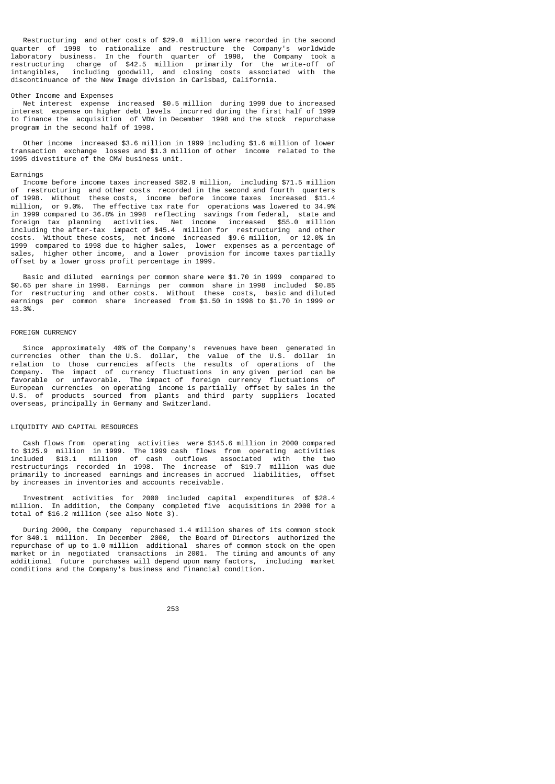Restructuring and other costs of \$29.0 million were recorded in the second quarter of 1998 to rationalize and restructure the Company's worldwide laboratory business. In the fourth quarter of 1998, the Company took a restructuring charge of \$42.5 million primarily for the write-off of intangibles, including goodwill, and closing costs associated with the discontinuance of the New Image division in Carlsbad, California.

#### Other Income and Expenses

 Net interest expense increased \$0.5 million during 1999 due to increased interest expense on higher debt levels incurred during the first half of 1999 to finance the acquisition of VDW in December 1998 and the stock repurchase program in the second half of 1998.

 Other income increased \$3.6 million in 1999 including \$1.6 million of lower transaction exchange losses and \$1.3 million of other income related to the 1995 divestiture of the CMW business unit.

#### Earnings

 Income before income taxes increased \$82.9 million, including \$71.5 million of restructuring and other costs recorded in the second and fourth quarters of 1998. Without these costs, income before income taxes increased \$11.4 million, or 9.0%. The effective tax rate for operations was lowered to 34.9% in 1999 compared to 36.8% in 1998 reflecting savings from federal, state and foreign tax planning activities. Net income increased \$55.0 million including the after-tax impact of \$45.4 million for restructuring and other costs. Without these costs, net income increased \$9.6 million, or 12.0% in 1999 compared to 1998 due to higher sales, lower expenses as a percentage of sales, higher other income, and a lower provision for income taxes partially offset by a lower gross profit percentage in 1999.

 Basic and diluted earnings per common share were \$1.70 in 1999 compared to \$0.65 per share in 1998. Earnings per common share in 1998 included \$0.85 for restructuring and other costs. Without these costs, basic and diluted earnings per common share increased from \$1.50 in 1998 to \$1.70 in 1999 or 13.3%.

## FOREIGN CURRENCY

 Since approximately 40% of the Company's revenues have been generated in currencies other than the U.S. dollar, the value of the U.S. dollar in relation to those currencies affects the results of operations of the Company. The impact of currency fluctuations in any given period can be favorable or unfavorable. The impact of foreign currency fluctuations of European currencies on operating income is partially offset by sales in the U.S. of products sourced from plants and third party suppliers located overseas, principally in Germany and Switzerland.

# LIQUIDITY AND CAPITAL RESOURCES

 Cash flows from operating activities were \$145.6 million in 2000 compared to \$125.9 million in 1999. The 1999 cash flows from operating activities included \$13.1 million of cash outflows associated with the two restructurings recorded in 1998. The increase of \$19.7 million was due primarily to increased earnings and increases in accrued liabilities, offset by increases in inventories and accounts receivable.

 Investment activities for 2000 included capital expenditures of \$28.4 million. In addition, the Company completed five acquisitions in 2000 for a total of \$16.2 million (see also Note 3).

 During 2000, the Company repurchased 1.4 million shares of its common stock for \$40.1 million. In December 2000, the Board of Directors authorized the repurchase of up to 1.0 million additional shares of common stock on the open market or in negotiated transactions in 2001. The timing and amounts of any additional future purchases will depend upon many factors, including market conditions and the Company's business and financial condition.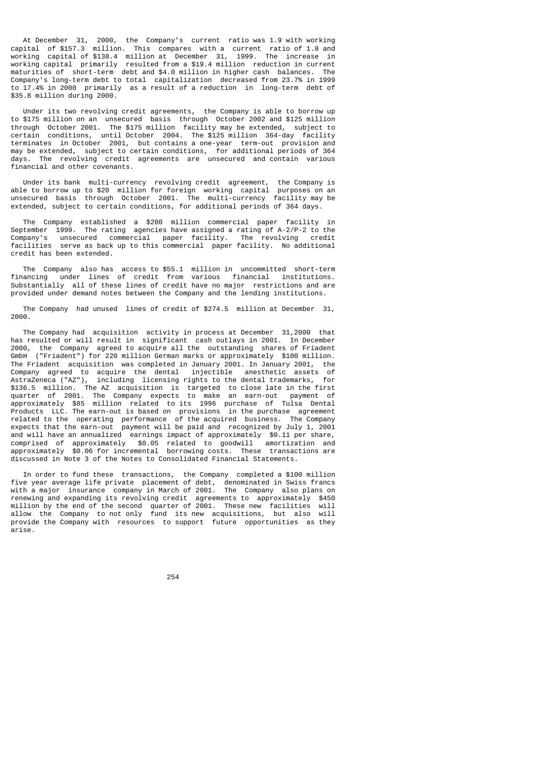At December 31, 2000, the Company's current ratio was 1.9 with working capital of \$157.3 million. This compares with a current ratio of 1.8 and working capital of \$138.4 million at December 31, 1999. The increase in working capital primarily resulted from a \$19.4 million reduction in current maturities of short-term debt and \$4.0 million in higher cash balances. The Company's long-term debt to total capitalization decreased from 23.7% in 1999 to 17.4% in 2000 primarily as a result of a reduction in long-term debt of \$35.8 million during 2000.

 Under its two revolving credit agreements, the Company is able to borrow up to \$175 million on an unsecured basis through October 2002 and \$125 million through October 2001. The \$175 million facility may be extended, subject to conditions, until October 2004. The \$125 million 364-day facility terminates in October 2001, but contains a one-year term-out provision and may be extended, subject to certain conditions, for additional periods of 364 days. The revolving credit agreements are unsecured and contain various financial and other covenants.

 Under its bank multi-currency revolving credit agreement, the Company is able to borrow up to \$20 million for foreign working capital purposes on an unsecured basis through October 2001. The multi-currency facility may be extended, subject to certain conditions, for additional periods of 364 days.

 The Company established a \$200 million commercial paper facility in September 1999. The rating agencies have assigned a rating of A-2/P-2 to the Company's unsecured commercial paper facility. The revolving credit facilities serve as back up to this commercial paper facility. No additional credit has been extended.

The Company also has access to \$55.1 million in uncommitted short-term<br>financing under lines of credit from various financial institutions. iunder lines of credit from various financial institutions. Substantially all of these lines of credit have no major restrictions and are provided under demand notes between the Company and the lending institutions.

 The Company had unused lines of credit of \$274.5 million at December 31, 2000.

 The Company had acquisition activity in process at December 31,2000 that has resulted or will result in significant cash outlays in 2001. In December 2000, the Company agreed to acquire all the outstanding shares of Friadent GmbH ("Friadent") for 220 million German marks or approximately \$100 million. The Friadent acquisition was completed in January 2001. In January 2001, the Company agreed to acquire the dental injectible anesthetic assets of AstraZeneca ("AZ"), including licensing rights to the dental trademarks, for \$136.5 million. The AZ acquisition is targeted to close late in the first quarter of 2001. The Company expects to make an earn-out payment of approximately \$85 million related to its 1996 purchase of Tulsa Dental Products LLC. The earn-out is based on provisions in the purchase agreement related to the operating performance of the acquired business. The Company expects that the earn-out payment will be paid and recognized by July 1, 2001 and will have an annualized earnings impact of approximately \$0.11 per share, comprised of approximately \$0.05 related to goodwill amortization and approximately \$0.06 for incremental borrowing costs. These transactions are discussed in Note 3 of the Notes to Consolidated Financial Statements.

 In order to fund these transactions, the Company completed a \$100 million five year average life private placement of debt, denominated in Swiss francs with a major insurance company in March of 2001. The Company also plans on renewing and expanding its revolving credit agreements to approximately \$450 million by the end of the second quarter of 2001. These new facilities will allow the Company to not only fund its new acquisitions, but also will provide the Company with resources to support future opportunities as they arise.

<u>254 and 254 and 254 and 254 and 254 and 254 and 254 and 254 and 254 and 254 and 254 and 254 and 254 and 254 and 254 and 254 and 255 and 256 and 256 and 257 and 258 and 258 and 258 and 258 and 258 and 258 and 258 and 258 a</u>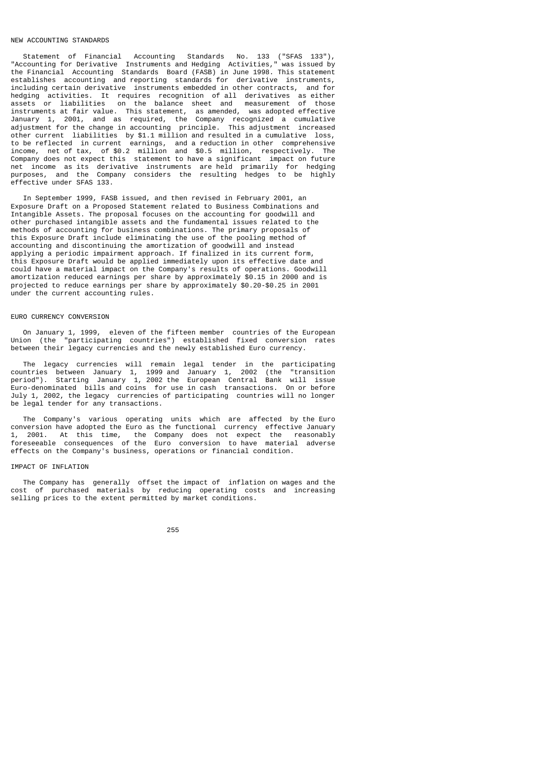## NEW ACCOUNTING STANDARDS

 Statement of Financial Accounting Standards No. 133 ("SFAS 133"), "Accounting for Derivative Instruments and Hedging Activities," was issued by the Financial Accounting Standards Board (FASB) in June 1998. This statement establishes accounting and reporting standards for derivative instruments, including certain derivative instruments embedded in other contracts, and for hedging activities. It requires recognition of all derivatives as either assets or liabilities on the balance sheet and measurement of those instruments at fair value. This statement, as amended, was adopted effective January 1, 2001, and as required, the Company recognized a cumulative adjustment for the change in accounting principle. This adjustment increased other current liabilities by \$1.1 million and resulted in a cumulative loss, to be reflected in current earnings, and a reduction in other comprehensive income, net of tax, of \$0.2 million and \$0.5 million, respectively. The Company does not expect this statement to have a significant impact on future net income as its derivative instruments are held primarily for hedging purposes, and the Company considers the resulting hedges to be highly effective under SFAS 133.

 In September 1999, FASB issued, and then revised in February 2001, an Exposure Draft on a Proposed Statement related to Business Combinations and Intangible Assets. The proposal focuses on the accounting for goodwill and other purchased intangible assets and the fundamental issues related to the methods of accounting for business combinations. The primary proposals of this Exposure Draft include eliminating the use of the pooling method of accounting and discontinuing the amortization of goodwill and instead applying a periodic impairment approach. If finalized in its current form, this Exposure Draft would be applied immediately upon its effective date and could have a material impact on the Company's results of operations. Goodwill amortization reduced earnings per share by approximately \$0.15 in 2000 and is projected to reduce earnings per share by approximately \$0.20-\$0.25 in 2001 under the current accounting rules.

### EURO CURRENCY CONVERSION

 On January 1, 1999, eleven of the fifteen member countries of the European Union (the "participating countries") established fixed conversion rates between their legacy currencies and the newly established Euro currency.

 The legacy currencies will remain legal tender in the participating countries between January 1, 1999 and January 1, 2002 (the "transition period"). Starting January 1, 2002 the European Central Bank will issue Euro-denominated bills and coins for use in cash transactions. On or before July 1, 2002, the legacy currencies of participating countries will no longer be legal tender for any transactions.

 The Company's various operating units which are affected by the Euro conversion have adopted the Euro as the functional currency effective January 1, 2001. At this time, the Company does not expect the reasonably foreseeable consequences of the Euro conversion to have material adverse effects on the Company's business, operations or financial condition.

### IMPACT OF INFLATION

 The Company has generally offset the impact of inflation on wages and the cost of purchased materials by reducing operating costs and increasing selling prices to the extent permitted by market conditions.

<u>255 میں اس کا 175 میں اس کا 175 مئی ہے۔</u>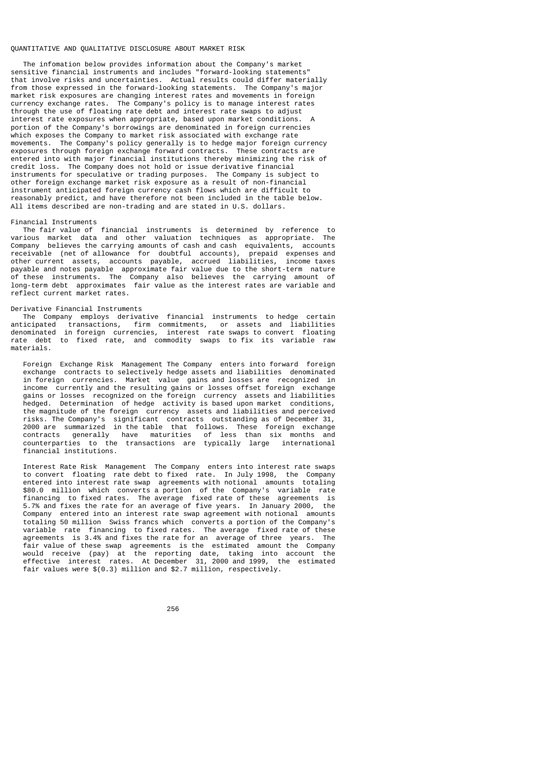### QUANTITATIVE AND QUALITATIVE DISCLOSURE ABOUT MARKET RISK

 The infomation below provides information about the Company's market sensitive financial instruments and includes "forward-looking statements" that involve risks and uncertainties. Actual results could differ materially from those expressed in the forward-looking statements. The Company's major market risk exposures are changing interest rates and movements in foreign currency exchange rates. The Company's policy is to manage interest rates through the use of floating rate debt and interest rate swaps to adjust interest rate exposures when appropriate, based upon market conditions. A portion of the Company's borrowings are denominated in foreign currencies which exposes the Company to market risk associated with exchange rate movements. The Company's policy generally is to hedge major foreign currency exposures through foreign exchange forward contracts. These contracts are entered into with major financial institutions thereby minimizing the risk of credit loss. The Company does not hold or issue derivative financial instruments for speculative or trading purposes. The Company is subject to other foreign exchange market risk exposure as a result of non-financial instrument anticipated foreign currency cash flows which are difficult to reasonably predict, and have therefore not been included in the table below. All items described are non-trading and are stated in U.S. dollars.

## Financial Instruments

 The fair value of financial instruments is determined by reference to various market data and other valuation techniques as appropriate. The company believes the carrying amounts of cash and cash equivalents, accounts believes the carrying amounts of cash and cash equivalents, accounts receivable (net of allowance for doubtful accounts), prepaid expenses and other current assets, accounts payable, accrued liabilities, income taxes payable and notes payable approximate fair value due to the short-term nature of these instruments. The Company also believes the carrying amount of long-term debt approximates fair value as the interest rates are variable and reflect current market rates.

### Derivative Financial Instruments

 The Company employs derivative financial instruments to hedge certain anticipated transactions, firm commitments, or assets and liabilities denominated in foreign currencies, interest rate swaps to convert floating rate debt to fixed rate, and commodity swaps to fix its variable raw materials.

 Foreign Exchange Risk Management The Company enters into forward foreign exchange contracts to selectively hedge assets and liabilities denominated in foreign currencies. Market value gains and losses are recognized in income currently and the resulting gains or losses offset foreign exchange gains or losses recognized on the foreign currency assets and liabilities hedged. Determination of hedge activity is based upon market conditions, the magnitude of the foreign currency assets and liabilities and perceived risks. The Company's significant contracts outstanding as of December 31, 2000 are summarized in the table that follows. These foreign exchange contracts generally have maturities of less than six months and counterparties to the transactions are typically large international financial institutions.

 Interest Rate Risk Management The Company enters into interest rate swaps to convert floating rate debt to fixed rate. In July 1998, the Company entered into interest rate swap agreements with notional amounts totaling \$80.0 million which converts a portion of the Company's variable rate financing to fixed rates. The average fixed rate of these agreements is 5.7% and fixes the rate for an average of five years. In January 2000, the Company entered into an interest rate swap agreement with notional amounts totaling 50 million Swiss francs which converts a portion of the Company's variable rate financing to fixed rates. The average fixed rate of these agreements is 3.4% and fixes the rate for an average of three years. The fair value of these swap agreements is the estimated amount the Company would receive (pay) at the reporting date, taking into account the effective interest rates. At December 31, 2000 and 1999, the estimated fair values were \$(0.3) million and \$2.7 million, respectively.

<u>256 میں اس کا 1756 میں اس کا 176 میں اس کا 176 میں اس کا 176 میں اس کا 176 میں اس کا 176 میں اس کا 176 میں اس</u>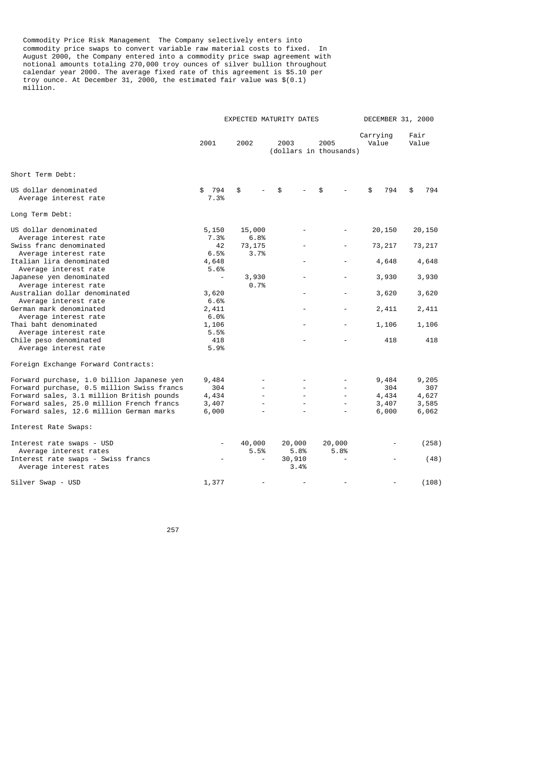Commodity Price Risk Management The Company selectively enters into commodity price swaps to convert variable raw material costs to fixed. In August 2000, the Company entered into a commodity price swap agreement with notional amounts totaling 270,000 troy ounces of silver bullion throughout calendar year 2000. The average fixed rate of this agreement is \$5.10 per troy ounce. At December 31, 2000, the estimated fair value was \$(0.1) million.

|                                                                                          |                          |                | EXPECTED MATURITY DATES        |                          | DECEMBER 31, 2000 |               |
|------------------------------------------------------------------------------------------|--------------------------|----------------|--------------------------------|--------------------------|-------------------|---------------|
|                                                                                          | 2001                     | 2002           | 2003<br>(dollars in thousands) | 2005                     | Carrying<br>Value | Fair<br>Value |
| Short Term Debt:                                                                         |                          |                |                                |                          |                   |               |
| US dollar denominated<br>Average interest rate                                           | \$<br>794<br>7.3%        | \$             | \$                             | \$                       | \$<br>794         | \$<br>794     |
| Long Term Debt:                                                                          |                          |                |                                |                          |                   |               |
| US dollar denominated<br>Average interest rate                                           | 5,150<br>7.3%            | 15,000<br>6.8% |                                |                          | 20,150            | 20,150        |
| Swiss franc denominated<br>Average interest rate                                         | 42<br>6.5%               | 73,175<br>3.7% |                                |                          | 73,217            | 73, 217       |
| Italian lira denominated<br>Average interest rate                                        | 4,648<br>5.6%            |                |                                |                          | 4,648             | 4,648         |
| Japanese yen denominated<br>Average interest rate                                        | $\overline{\phantom{a}}$ | 3,930<br>0.7%  |                                |                          | 3,930             | 3,930         |
| Australian dollar denominated                                                            | 3,620                    |                |                                |                          | 3,620             | 3,620         |
| Average interest rate<br>German mark denominated                                         | 6.6%<br>2,411            |                |                                |                          | 2,411             | 2,411         |
| Average interest rate<br>Thai baht denominated                                           | 6.0%<br>1,106            |                |                                |                          | 1,106             | 1,106         |
| Average interest rate<br>Chile peso denominated<br>Average interest rate                 | 5.5%<br>418<br>5.9%      |                |                                |                          | 418               | 418           |
| Foreign Exchange Forward Contracts:                                                      |                          |                |                                |                          |                   |               |
| Forward purchase, 1.0 billion Japanese yen<br>Forward purchase, 0.5 million Swiss francs | 9,484<br>304             |                |                                |                          | 9,484<br>304      | 9,205<br>307  |
| Forward sales, 3.1 million British pounds                                                | 4,434                    |                |                                |                          | 4,434             | 4,627         |
| Forward sales, 25.0 million French francs                                                | 3,407                    |                |                                |                          | 3,407             | 3,585         |
| Forward sales, 12.6 million German marks                                                 | 6,000                    |                |                                |                          | 6,000             | 6,062         |
| Interest Rate Swaps:                                                                     |                          |                |                                |                          |                   |               |
| Interest rate swaps - USD<br>Average interest rates                                      |                          | 40,000<br>5.5% | 20,000<br>5.8%                 | 20,000<br>5.8%           |                   | (258)         |
| Interest rate swaps - Swiss francs<br>Average interest rates                             |                          |                | 30,910<br>3.4%                 | $\overline{\phantom{a}}$ |                   | (48)          |
| Silver Swap - USD                                                                        | 1,377                    |                |                                |                          |                   | (108)         |

ли в село в село в село в 1957 година в 257 година в 257 година в 257 година в 257 година в 257 година в 257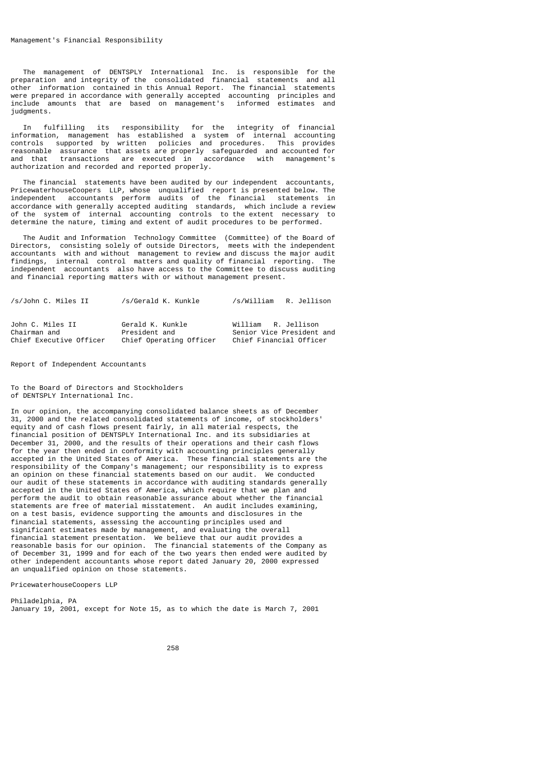The management of DENTSPLY International Inc. is responsible for the preparation and integrity of the consolidated financial statements and all other information contained in this Annual Report. The financial statements were prepared in accordance with generally accepted accounting principles and include amounts that are based on management's informed estimates and judgments.

 In fulfilling its responsibility for the integrity of financial information, management has established a system of internal accounting controls supported by written policies and procedures. This provides reasonable assurance that assets are properly safeguarded and accounted for and that transactions are executed in accordance with management's authorization and recorded and reported properly.

 The financial statements have been audited by our independent accountants, PricewaterhouseCoopers LLP, whose unqualified report is presented below. The independent accountants perform audits of the financial statements in accordance with generally accepted auditing standards, which include a review of the system of internal accounting controls to the extent necessary to determine the nature, timing and extent of audit procedures to be performed.

 The Audit and Information Technology Committee (Committee) of the Board of Directors, consisting solely of outside Directors, meets with the independent accountants with and without management to review and discuss the major audit<br>findings, internal control matters and quality of financial reporting. The findings, internal control matters and quality of financial reporting. independent accountants also have access to the Committee to discuss auditing and financial reporting matters with or without management present.

| /s/John C. Miles II              | /s/Gerald K. Kunkle               | /s/William R. Jellison                           |
|----------------------------------|-----------------------------------|--------------------------------------------------|
| John C. Miles II<br>Chairman and | Gerald K. Kunkle<br>President and | William R. Jellison<br>Senior Vice President and |
| Chief Executive Officer          | Chief Operating Officer           | Chief Financial Officer                          |

Report of Independent Accountants

To the Board of Directors and Stockholders of DENTSPLY International Inc.

In our opinion, the accompanying consolidated balance sheets as of December 31, 2000 and the related consolidated statements of income, of stockholders' equity and of cash flows present fairly, in all material respects, the financial position of DENTSPLY International Inc. and its subsidiaries at December 31, 2000, and the results of their operations and their cash flows for the year then ended in conformity with accounting principles generally accepted in the United States of America. These financial statements are the responsibility of the Company's management; our responsibility is to express an opinion on these financial statements based on our audit. We conducted our audit of these statements in accordance with auditing standards generally accepted in the United States of America, which require that we plan and perform the audit to obtain reasonable assurance about whether the financial statements are free of material misstatement. An audit includes examining, on a test basis, evidence supporting the amounts and disclosures in the financial statements, assessing the accounting principles used and significant estimates made by management, and evaluating the overall financial statement presentation. We believe that our audit provides a reasonable basis for our opinion. The financial statements of the Company as of December 31, 1999 and for each of the two years then ended were audited by other independent accountants whose report dated January 20, 2000 expressed an unqualified opinion on those statements.

PricewaterhouseCoopers LLP

Philadelphia, PA January 19, 2001, except for Note 15, as to which the date is March 7, 2001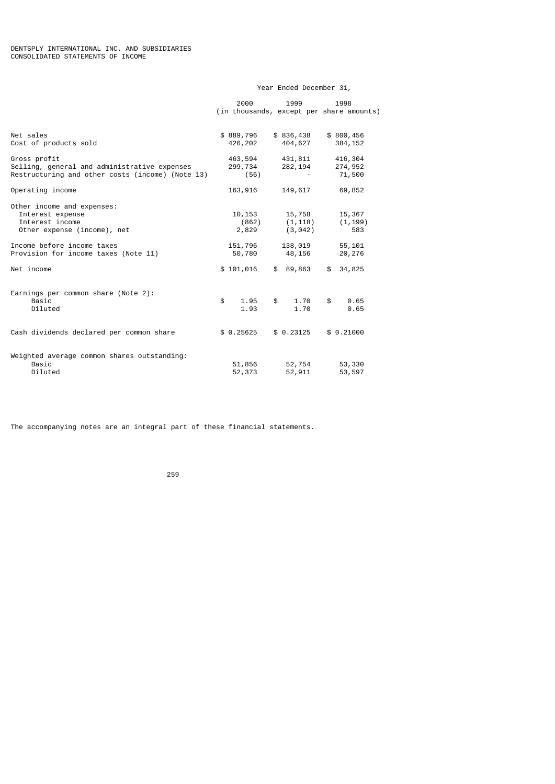# Year Ended December 31,

|                                                  | 2000       | 1999       | 1998                                     |
|--------------------------------------------------|------------|------------|------------------------------------------|
|                                                  |            |            | (in thousands, except per share amounts) |
|                                                  |            |            |                                          |
|                                                  |            |            |                                          |
| Net sales                                        | \$889,796  | \$836,438  | \$800,456                                |
| Cost of products sold                            | 426,202    | 404,627    | 384, 152                                 |
| Gross profit                                     | 463,594    | 431,811    | 416,304                                  |
| Selling, general and administrative expenses     | 299,734    | 282,194    | 274,952                                  |
| Restructuring and other costs (income) (Note 13) | (56)       |            | 71,500                                   |
|                                                  |            |            |                                          |
| Operating income                                 | 163,916    | 149,617    | 69,852                                   |
|                                                  |            |            |                                          |
| Other income and expenses:                       |            |            |                                          |
| Interest expense                                 | 10,153     | 15,758     | 15,367                                   |
| Interest income                                  | (862)      | (1, 118)   | (1, 199)                                 |
| Other expense (income), net                      | 2,829      | (3, 042)   | 583                                      |
|                                                  |            |            |                                          |
| Income before income taxes                       | 151,796    | 138,019    | 55,101                                   |
| Provision for income taxes (Note 11)             | 50,780     | 48,156     | 20,276                                   |
|                                                  |            |            |                                          |
| Net income                                       | \$101,016  | \$89,863   | 34,825<br>\$                             |
|                                                  |            |            |                                          |
|                                                  |            |            |                                          |
| Earnings per common share (Note 2):              |            |            |                                          |
| Basic                                            | \$<br>1.95 | \$<br>1.70 | \$<br>0.65                               |
| Diluted                                          | 1.93       | 1.70       | 0.65                                     |
|                                                  |            |            |                                          |
|                                                  |            |            |                                          |
| Cash dividends declared per common share         | \$0.25625  | \$0.23125  | \$0.21000                                |
|                                                  |            |            |                                          |
| Weighted average common shares outstanding:      |            |            |                                          |
| Basic                                            |            |            |                                          |
|                                                  | 51,856     | 52,754     | 53,330                                   |
| Diluted                                          | 52,373     | 52,911     | 53,597                                   |

The accompanying notes are an integral part of these financial statements.

<u>259 оны төрийн тэмж</u>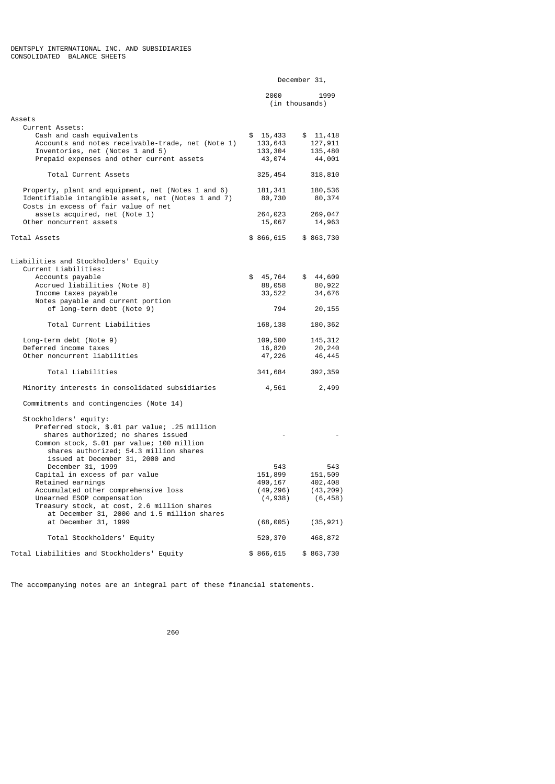|                                                                                                                                                                                                                                                                      |                                                                | December 31,                                                    |
|----------------------------------------------------------------------------------------------------------------------------------------------------------------------------------------------------------------------------------------------------------------------|----------------------------------------------------------------|-----------------------------------------------------------------|
|                                                                                                                                                                                                                                                                      | 2000                                                           | 1999<br>(in thousands)                                          |
| Assets                                                                                                                                                                                                                                                               |                                                                |                                                                 |
| Current Assets:<br>Cash and cash equivalents<br>Accounts and notes receivable-trade, net (Note 1)<br>Inventories, net (Notes 1 and 5)<br>Prepaid expenses and other current assets                                                                                   | \$15,433<br>133,643<br>133,304<br>43,074                       | \$11,418<br>127,911<br>135,480<br>44,001                        |
| Total Current Assets                                                                                                                                                                                                                                                 | 325, 454                                                       | 318,810                                                         |
| Property, plant and equipment, net (Notes 1 and 6)<br>Identifiable intangible assets, net (Notes 1 and 7)<br>Costs in excess of fair value of net<br>assets acquired, net (Note 1)                                                                                   | 181, 341<br>80,730<br>264,023                                  | 180,536<br>80,374<br>269,047                                    |
| Other noncurrent assets                                                                                                                                                                                                                                              | 15,067                                                         | 14,963                                                          |
| Total Assets                                                                                                                                                                                                                                                         | \$866,615                                                      | \$863,730                                                       |
| Liabilities and Stockholders' Equity<br>Current Liabilities:<br>Accounts payable                                                                                                                                                                                     | \$<br>45,764                                                   | \$44,609                                                        |
| Accrued liabilities (Note 8)                                                                                                                                                                                                                                         | 88,058                                                         | 80,922                                                          |
| Income taxes payable                                                                                                                                                                                                                                                 | 33,522                                                         | 34,676                                                          |
| Notes payable and current portion<br>of long-term debt (Note 9)                                                                                                                                                                                                      | 794                                                            | 20,155                                                          |
| Total Current Liabilities                                                                                                                                                                                                                                            | 168,138                                                        | 180,362                                                         |
| Long-term debt (Note 9)<br>Deferred income taxes<br>Other noncurrent liabilities                                                                                                                                                                                     | 109,500<br>16,820                                              | 145, 312<br>20,240                                              |
|                                                                                                                                                                                                                                                                      | 47,226                                                         | 46,445                                                          |
| Total Liabilities                                                                                                                                                                                                                                                    | 341,684                                                        | 392, 359                                                        |
| Minority interests in consolidated subsidiaries                                                                                                                                                                                                                      | 4,561                                                          | 2,499                                                           |
| Commitments and contingencies (Note 14)                                                                                                                                                                                                                              |                                                                |                                                                 |
| Stockholders' equity:<br>Preferred stock, \$.01 par value; .25 million<br>shares authorized; no shares issued<br>Common stock, \$.01 par value; 100 million<br>shares authorized; 54.3 million shares<br>issued at December 31, 2000 and                             |                                                                |                                                                 |
| December 31, 1999<br>Capital in excess of par value<br>Retained earnings<br>Accumulated other comprehensive loss<br>Unearned ESOP compensation<br>Treasury stock, at cost, 2.6 million shares<br>at December 31, 2000 and 1.5 million shares<br>at December 31, 1999 | 543<br>151,899<br>490,167<br>(49, 296)<br>(4,938)<br>(68, 005) | 543<br>151,509<br>402,408<br>(43, 209)<br>(6, 458)<br>(35, 921) |
|                                                                                                                                                                                                                                                                      |                                                                |                                                                 |
| Total Stockholders' Equity                                                                                                                                                                                                                                           | 520,370                                                        | 468,872                                                         |
| Total Liabilities and Stockholders' Equity                                                                                                                                                                                                                           | \$866,615                                                      | \$863,730                                                       |

The accompanying notes are an integral part of these financial statements.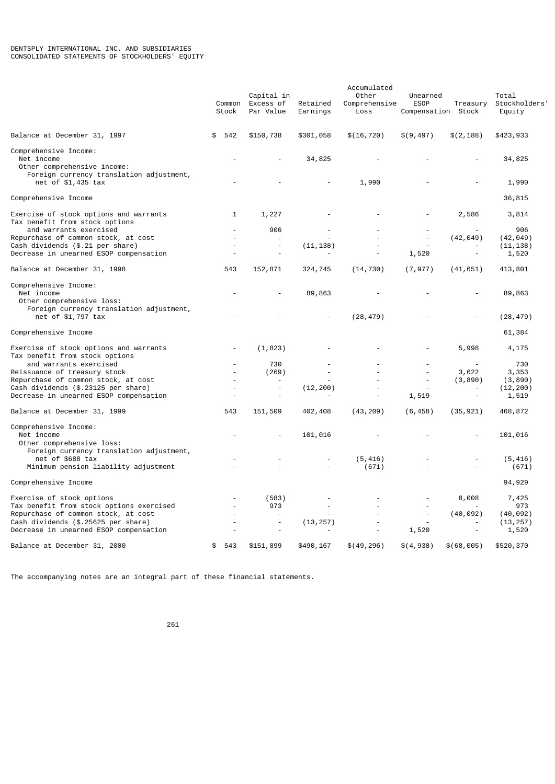|                                                                                                                | Common<br>Stock | Capital in<br>Excess of<br>Par Value | Retained<br>Earnings | Accumulated<br>Other<br>Comprehensive<br>Loss | Unearned<br><b>ESOP</b><br>Compensation Stock | Treasury                 | Total<br>Stockholders'<br>Equity |
|----------------------------------------------------------------------------------------------------------------|-----------------|--------------------------------------|----------------------|-----------------------------------------------|-----------------------------------------------|--------------------------|----------------------------------|
|                                                                                                                |                 |                                      |                      |                                               |                                               |                          |                                  |
| Balance at December 31, 1997                                                                                   | \$<br>542       | \$150,738                            | \$301,058            | \$(16, 720)                                   | \$(9,497)                                     | \$(2, 188)               | \$423,933                        |
| Comprehensive Income:<br>Net income<br>Other comprehensive income:<br>Foreign currency translation adjustment, |                 |                                      | 34,825               |                                               |                                               |                          | 34,825                           |
| net of \$1,435 tax                                                                                             |                 |                                      |                      | 1,990                                         |                                               |                          | 1,990                            |
| Comprehensive Income                                                                                           |                 |                                      |                      |                                               |                                               |                          | 36,815                           |
| Exercise of stock options and warrants<br>Tax benefit from stock options                                       | 1               | 1,227                                |                      |                                               |                                               | 2,586                    | 3,814                            |
| and warrants exercised                                                                                         |                 | 906                                  |                      |                                               |                                               |                          | 906                              |
| Repurchase of common stock, at cost                                                                            |                 | $\sim$                               |                      |                                               |                                               | (42, 049)                | (42, 049)                        |
| Cash dividends (\$.21 per share)<br>Decrease in unearned ESOP compensation                                     |                 |                                      | (11, 138)            |                                               | 1,520                                         | $\overline{\phantom{a}}$ | (11, 138)<br>1,520               |
|                                                                                                                |                 |                                      |                      |                                               |                                               |                          |                                  |
| Balance at December 31, 1998                                                                                   | 543             | 152,871                              | 324,745              | (14, 730)                                     | (7, 977)                                      | (41, 651)                | 413,801                          |
| Comprehensive Income:<br>Net income<br>Other comprehensive loss:                                               |                 |                                      | 89,863               |                                               |                                               |                          | 89,863                           |
| Foreign currency translation adjustment,<br>net of \$1,797 tax                                                 |                 |                                      |                      | (28, 479)                                     |                                               |                          | (28, 479)                        |
| Comprehensive Income                                                                                           |                 |                                      |                      |                                               |                                               |                          | 61,384                           |
| Exercise of stock options and warrants<br>Tax benefit from stock options                                       |                 | (1, 823)                             |                      |                                               |                                               | 5,998                    | 4,175                            |
| and warrants exercised                                                                                         |                 | 730                                  |                      |                                               |                                               |                          | 730                              |
| Reissuance of treasury stock                                                                                   |                 | (269)                                |                      |                                               |                                               | 3,622                    | 3,353                            |
| Repurchase of common stock, at cost                                                                            |                 | $\overline{a}$                       |                      |                                               |                                               | (3, 890)                 | (3, 890)                         |
| Cash dividends (\$.23125 per share)<br>Decrease in unearned ESOP compensation                                  |                 | $\overline{\phantom{a}}$             | (12, 200)            |                                               | 1,519                                         | $\overline{\phantom{a}}$ | (12, 200)<br>1,519               |
|                                                                                                                |                 |                                      |                      |                                               |                                               |                          |                                  |
| Balance at December 31, 1999                                                                                   | 543             | 151,509                              | 402,408              | (43, 209)                                     | (6, 458)                                      | (35, 921)                | 468,872                          |
| Comprehensive Income:<br>Net income<br>Other comprehensive loss:                                               |                 |                                      | 101,016              |                                               |                                               |                          | 101,016                          |
| Foreign currency translation adjustment,<br>net of \$688 tax                                                   |                 |                                      |                      | (5, 416)                                      |                                               |                          | (5, 416)                         |
| Minimum pension liability adjustment                                                                           |                 |                                      |                      | (671)                                         |                                               |                          | (671)                            |
| Comprehensive Income                                                                                           |                 |                                      |                      |                                               |                                               |                          | 94,929                           |
| Exercise of stock options                                                                                      |                 | (583)                                |                      |                                               |                                               | 8,008                    | 7,425                            |
| Tax benefit from stock options exercised                                                                       |                 | 973                                  |                      |                                               |                                               |                          | 973                              |
| Repurchase of common stock, at cost                                                                            |                 | L,                                   |                      |                                               |                                               | (40, 092)                | (40, 092)                        |
| Cash dividends (\$.25625 per share)<br>Decrease in unearned ESOP compensation                                  |                 |                                      | (13, 257)            |                                               | 1,520                                         |                          | (13, 257)<br>1,520               |
| Balance at December 31, 2000                                                                                   | 543<br>\$       | \$151,899                            | \$490,167            | \$(49, 296)                                   | \$(4,938)                                     | \$(68,005)               | \$520,370                        |
|                                                                                                                |                 |                                      |                      |                                               |                                               |                          |                                  |

The accompanying notes are an integral part of these financial statements.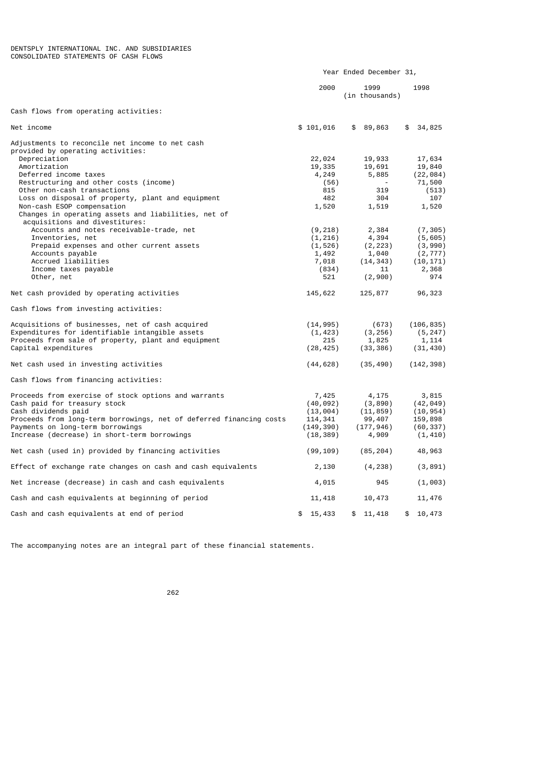|                                                                       |              | Year Ended December 31, |                 |
|-----------------------------------------------------------------------|--------------|-------------------------|-----------------|
|                                                                       | 2000         | 1999<br>(in thousands)  | 1998            |
| Cash flows from operating activities:                                 |              |                         |                 |
| Net income                                                            | \$101,016    | \$89,863                | 34,825<br>\$    |
| Adjustments to reconcile net income to net cash                       |              |                         |                 |
| provided by operating activities:                                     |              |                         |                 |
| Depreciation                                                          | 22,024       | 19,933                  | 17,634          |
| Amortization                                                          | 19,335       | 19,691                  | 19,840          |
| Deferred income taxes                                                 | 4,249        | 5,885                   | (22, 084)       |
| Restructuring and other costs (income)<br>Other non-cash transactions | (56)<br>815  | 319                     | 71,500<br>(513) |
| Loss on disposal of property, plant and equipment                     | 482          | 304                     | 107             |
| Non-cash ESOP compensation                                            | 1,520        | 1,519                   | 1,520           |
| Changes in operating assets and liabilities, net of                   |              |                         |                 |
| acquisitions and divestitures:                                        |              |                         |                 |
| Accounts and notes receivable-trade, net                              | (9, 218)     | 2,384                   | (7, 305)        |
| Inventories, net                                                      | (1, 216)     | 4,394                   | (5, 605)        |
| Prepaid expenses and other current assets                             | (1, 526)     | (2, 223)                | (3,990)         |
| Accounts payable                                                      | 1,492        | 1,040                   | (2, 777)        |
| Accrued liabilities                                                   | 7,018        | (14, 343)               | (10, 171)       |
| Income taxes payable                                                  | (834)        | 11                      | 2,368           |
| Other, net                                                            | 521          | (2,900)                 | 974             |
|                                                                       |              |                         |                 |
| Net cash provided by operating activities                             | 145,622      | 125,877                 | 96,323          |
| Cash flows from investing activities:                                 |              |                         |                 |
| Acquisitions of businesses, net of cash acquired                      | (14, 995)    | (673)                   | (106, 835)      |
| Expenditures for identifiable intangible assets                       | (1, 423)     | (3, 256)                | (5, 247)        |
| Proceeds from sale of property, plant and equipment                   | 215          | 1,825                   | 1,114           |
| Capital expenditures                                                  | (28, 425)    | (33, 386)               | (31, 430)       |
|                                                                       |              |                         |                 |
| Net cash used in investing activities                                 | (44, 628)    | (35, 490)               | (142, 398)      |
| Cash flows from financing activities:                                 |              |                         |                 |
| Proceeds from exercise of stock options and warrants                  | 7,425        | 4,175                   | 3,815           |
| Cash paid for treasury stock                                          | (40, 092)    | (3, 890)                | (42, 049)       |
| Cash dividends paid                                                   | (13,004)     | (11, 859)               | (10, 954)       |
| Proceeds from long-term borrowings, net of deferred financing costs   | 114,341      | 99,407                  | 159,898         |
| Payments on long-term borrowings                                      | (149, 390)   | (177, 946)              | (60, 337)       |
| Increase (decrease) in short-term borrowings                          | (18, 389)    | 4,909                   | (1, 410)        |
| Net cash (used in) provided by financing activities                   | (99, 109)    | (85, 204)               | 48,963          |
| Effect of exchange rate changes on cash and cash equivalents          | 2,130        | (4, 238)                | (3, 891)        |
| Net increase (decrease) in cash and cash equivalents                  | 4,015        | 945                     | (1,003)         |
| Cash and cash equivalents at beginning of period                      | 11,418       | 10,473                  | 11,476          |
| Cash and cash equivalents at end of period                            | \$<br>15,433 | \$<br>11,418            | \$<br>10,473    |

The accompanying notes are an integral part of these financial statements.

процесс в подводите в 1962 године в 1962 године в 1962 године в 1962 године в 1962 године в 1962 године в 1962<br>В 1962 године в 1962 године в 1962 године в 1962 године в 1962 године в 1962 године в 1962 године в 1962 годин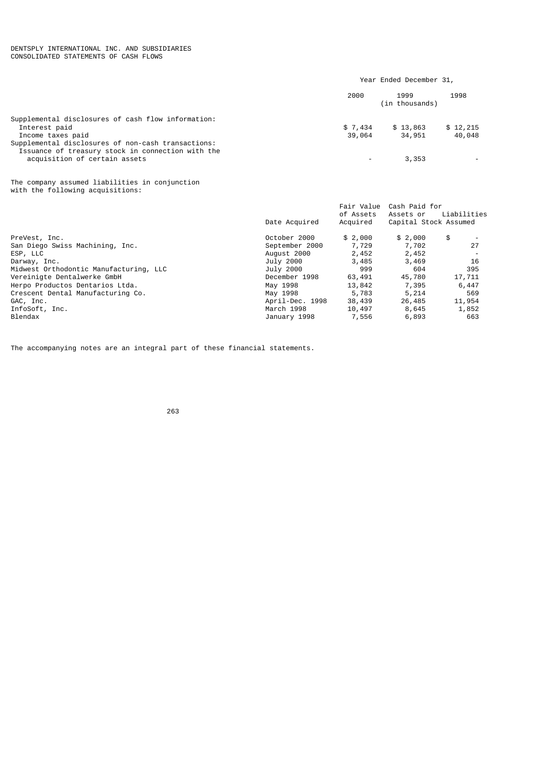#### DENTSPLY INTERNATIONAL INC. AND SUBSIDIARIES CONSOLIDATED STATEMENTS OF CASH FLOWS

The accompanying notes are an integral part of these financial statements.

<u>263 and 263 and 263 and 263 and 263 and 263 and 263 and 263 and 263 and 263 and 263 and 263 and 263 and 263 and 263 and 263 and 263 and 263 and 263 and 263 and 263 and 263 and 263 and 263 and 263 and 263 and 263 and 263 a</u>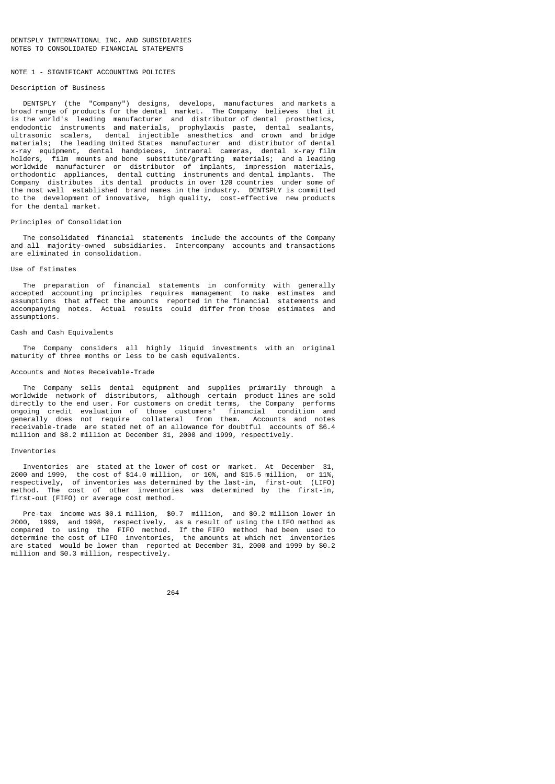### NOTE 1 - STGNTETCANT ACCOUNTING POLICIES

## Description of Business

 DENTSPLY (the "Company") designs, develops, manufactures and markets a broad range of products for the dental market. The Company believes that it is the world's leading manufacturer and distributor of dental prosthetics, endodontic instruments and materials, prophylaxis paste, dental sealants, ultrasonic scalers, dental injectible anesthetics and crown and bridge materials; the leading United States manufacturer and distributor of dental x-ray equipment, dental handpieces, intraoral cameras, dental x-ray film holders, film mounts and bone substitute/grafting materials; and a leading worldwide manufacturer or distributor of implants, impression materials, orthodontic appliances, dental cutting instruments and dental implants. The Company distributes its dental products in over 120 countries under some of the most well established brand names in the industry. DENTSPLY is committed to the development of innovative, high quality, cost-effective new products for the dental market.

### Principles of Consolidation

 The consolidated financial statements include the accounts of the Company and all majority-owned subsidiaries. Intercompany accounts and transactions are eliminated in consolidation.

### Use of Estimates

 The preparation of financial statements in conformity with generally accepted accounting principles requires management to make estimates and assumptions that affect the amounts reported in the financial statements and accompanying notes. Actual results could differ from those estimates and assumptions.

## Cash and Cash Equivalents

 The Company considers all highly liquid investments with an original maturity of three months or less to be cash equivalents.

### Accounts and Notes Receivable-Trade

 The Company sells dental equipment and supplies primarily through a worldwide network of distributors, although certain product lines are sold directly to the end user. For customers on credit terms, the Company performs ongoing credit evaluation of those customers' financial condition and generally does not require collateral from them. Accounts and notes receivable-trade are stated net of an allowance for doubtful accounts of \$6.4 million and \$8.2 million at December 31, 2000 and 1999, respectively.

#### Inventories

 Inventories are stated at the lower of cost or market. At December 31, 2000 and 1999, the cost of \$14.0 million, or 10%, and \$15.5 million, or 11%, respectively, of inventories was determined by the last-in, first-out (LIFO) method. The cost of other inventories was determined by the first-in, first-out (FIFO) or average cost method.

 Pre-tax income was \$0.1 million, \$0.7 million, and \$0.2 million lower in 2000, 1999, and 1998, respectively, as a result of using the LIFO method as compared to using the FIFO method. If the FIFO method had been used to determine the cost of LIFO inventories, the amounts at which net inventories are stated would be lower than reported at December 31, 2000 and 1999 by \$0.2 million and \$0.3 million, respectively.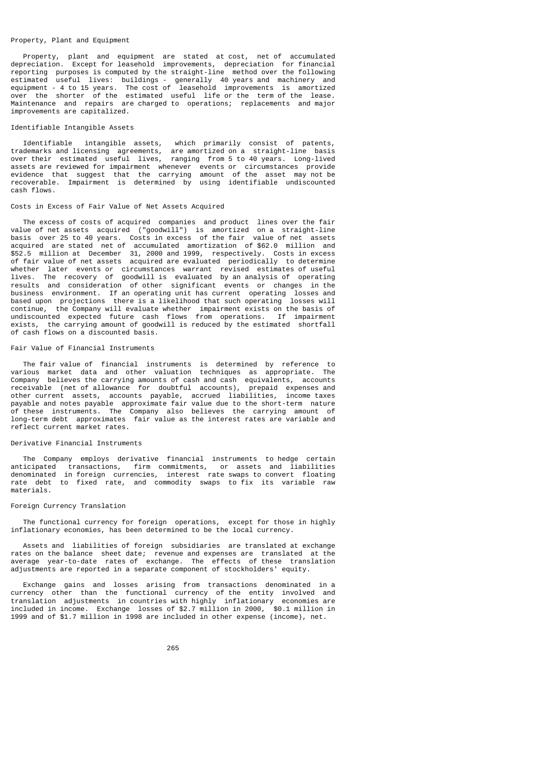### Property, Plant and Equipment

 Property, plant and equipment are stated at cost, net of accumulated depreciation. Except for leasehold improvements, depreciation for financial reporting purposes is computed by the straight-line method over the following estimated useful lives: buildings - generally 40 years and machinery and equipment - 4 to 15 years. The cost of leasehold improvements is amortized over the shorter of the estimated useful life or the term of the lease. Maintenance and repairs are charged to operations; replacements and major improvements are capitalized.

## Identifiable Intangible Assets

 Identifiable intangible assets, which primarily consist of patents, trademarks and licensing agreements, are amortized on a straight-line basis over their estimated useful lives, ranging from 5 to 40 years. Long-lived assets are reviewed for impairment whenever events or circumstances provide evidence that suggest that the carrying amount of the asset may not be recoverable. Impairment is determined by using identifiable undiscounted cash flows.

## Costs in Excess of Fair Value of Net Assets Acquired

 The excess of costs of acquired companies and product lines over the fair value of net assets acquired ("goodwill") is amortized on a straight-line basis over 25 to 40 years. Costs in excess of the fair value of net assets acquired are stated net of accumulated amortization of \$62.0 million and \$52.5 million at December 31, 2000 and 1999, respectively. Costs in excess of fair value of net assets acquired are evaluated periodically to determine whether later events or circumstances warrant revised estimates of useful lives. The recovery of goodwill is evaluated by an analysis of operating results and consideration of other significant events or changes in the business environment. If an operating unit has current operating losses and based upon projections there is a likelihood that such operating losses will continue, the Company will evaluate whether impairment exists on the basis of undiscounted expected future cash flows from operations. If impairment exists, the carrying amount of goodwill is reduced by the estimated shortfall of cash flows on a discounted basis.

## Fair Value of Financial Instruments

 The fair value of financial instruments is determined by reference to various market data and other valuation techniques as appropriate. The Company believes the carrying amounts of cash and cash equivalents, accounts receivable (net of allowance for doubtful accounts), prepaid expenses and other current assets, accounts payable, accrued liabilities, income taxes payable and notes payable approximate fair value due to the short-term nature of these instruments. The Company also believes the carrying amount of long-term debt approximates fair value as the interest rates are variable and reflect current market rates.

## Derivative Financial Instruments

 The Company employs derivative financial instruments to hedge certain anticipated transactions, firm commitments, or assets and liabilities denominated in foreign currencies, interest rate swaps to convert floating rate debt to fixed rate, and commodity swaps to fix its variable raw materials.

#### Foreign Currency Translation

 The functional currency for foreign operations, except for those in highly inflationary economies, has been determined to be the local currency.

 Assets and liabilities of foreign subsidiaries are translated at exchange rates on the balance sheet date; revenue and expenses are translated at the average year-to-date rates of exchange. The effects of these translation adjustments are reported in a separate component of stockholders' equity.

 Exchange gains and losses arising from transactions denominated in a currency other than the functional currency of the entity involved and<br>translation adjustments in countries with highly inflationary economies are translation adjustments in countries with highly inflationary included in income. Exchange losses of \$2.7 million in 2000, \$0.1 million in 1999 and of \$1.7 million in 1998 are included in other expense (income), net.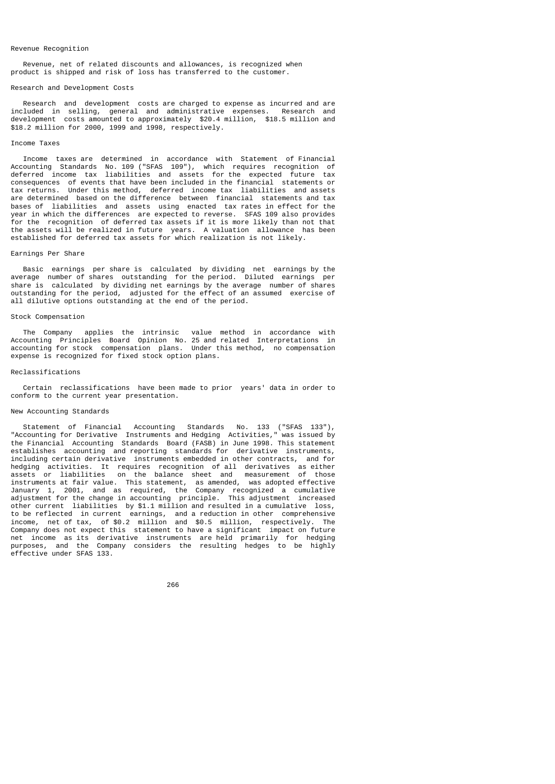#### Revenue Recognition

 Revenue, net of related discounts and allowances, is recognized when product is shipped and risk of loss has transferred to the customer.

#### Research and Development Costs

 Research and development costs are charged to expense as incurred and are included in selling, general and administrative expenses. Research and development costs amounted to approximately \$20.4 million, \$18.5 million and \$18.2 million for 2000, 1999 and 1998, respectively.

#### Income Taxes

 Income taxes are determined in accordance with Statement of Financial Accounting Standards No. 109 ("SFAS 109"), which requires recognition of deferred income tax liabilities and assets for the expected future tax consequences of events that have been included in the financial statements or tax returns. Under this method, deferred income tax liabilities and assets are determined based on the difference between financial statements and tax bases of liabilities and assets using enacted tax rates in effect for the year in which the differences are expected to reverse. SFAS 109 also provides for the recognition of deferred tax assets if it is more likely than not that the assets will be realized in future years. A valuation allowance has been established for deferred tax assets for which realization is not likely.

#### Earnings Per Share

 Basic earnings per share is calculated by dividing net earnings by the average number of shares outstanding for the period. Diluted earnings per share is calculated by dividing net earnings by the average number of shares outstanding for the period, adjusted for the effect of an assumed exercise of all dilutive options outstanding at the end of the period.

### Stock Compensation

 The Company applies the intrinsic value method in accordance with Accounting Principles Board Opinion No. 25 and related Interpretations in accounting for stock compensation plans. Under this method, no compensation expense is recognized for fixed stock option plans.

#### Reclassifications

 Certain reclassifications have been made to prior years' data in order to conform to the current year presentation.

#### New Accounting Standards

 Statement of Financial Accounting Standards No. 133 ("SFAS 133"), "Accounting for Derivative Instruments and Hedging Activities," was issued by the Financial Accounting Standards Board (FASB) in June 1998. This statement establishes accounting and reporting standards for derivative instruments, including certain derivative instruments embedded in other contracts, and for hedging activities. It requires recognition of all derivatives as either assets or liabilities on the balance sheet and measurement of those instruments at fair value. This statement, as amended, was adopted effective January 1, 2001, and as required, the Company recognized a cumulative adjustment for the change in accounting principle. This adjustment increased other current liabilities by \$1.1 million and resulted in a cumulative loss, to be reflected in current earnings, and a reduction in other comprehensive income, net of tax, of \$0.2 million and \$0.5 million, respectively. The Company does not expect this statement to have a significant impact on future net income as its derivative instruments are held primarily for hedging purposes, and the Company considers the resulting hedges to be highly effective under SFAS 133.

процесси в политика в село в 1966 године в 1966 године в 1966 године в 1966 године в 1966 године в 1966 године<br>В 1966 године в 1966 године в 1966 године в 1966 године в 1966 године в 1966 године в 1966 године в 1966 годин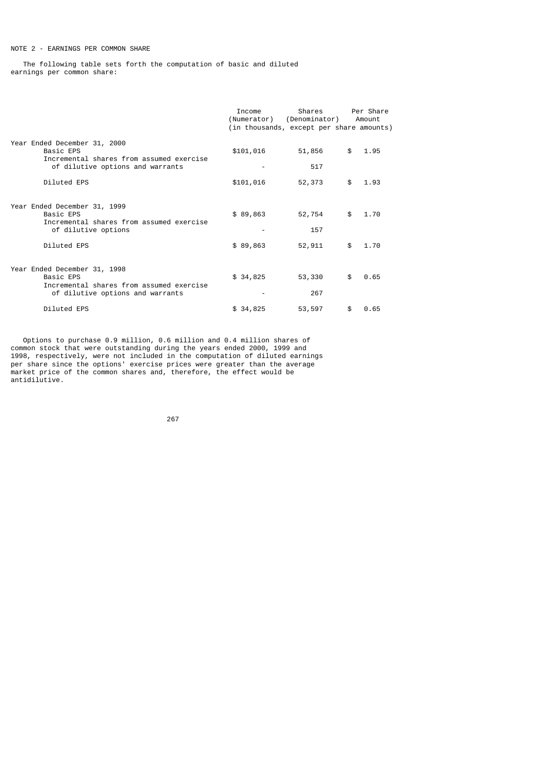# NOTE 2 - EARNINGS PER COMMON SHARE

 The following table sets forth the computation of basic and diluted earnings per common share:

|                                                                                                                           | Income    | Shares<br>(Numerator) (Denominator)<br>(in thousands, except per share amounts) |     | Per Share<br>Amount |
|---------------------------------------------------------------------------------------------------------------------------|-----------|---------------------------------------------------------------------------------|-----|---------------------|
| Year Ended December 31, 2000<br>Basic EPS<br>Incremental shares from assumed exercise<br>of dilutive options and warrants | \$101,016 | 51,856<br>517                                                                   | \$  | 1.95                |
| Diluted EPS                                                                                                               | \$101,016 | 52,373                                                                          | \$  | 1.93                |
| Year Ended December 31, 1999<br>Basic EPS<br>Incremental shares from assumed exercise<br>of dilutive options              | \$89,863  | 52,754<br>157                                                                   | \$  | 1.70                |
| Diluted EPS                                                                                                               | \$89,863  | 52,911                                                                          | \$  | 1.70                |
| Year Ended December 31, 1998<br>Basic EPS<br>Incremental shares from assumed exercise<br>of dilutive options and warrants | \$34,825  | 53,330<br>267                                                                   | \$  | 0.65                |
| Diluted EPS                                                                                                               | \$34,825  | 53,597                                                                          | \$. | 0.65                |

 Options to purchase 0.9 million, 0.6 million and 0.4 million shares of common stock that were outstanding during the years ended 2000, 1999 and 1998, respectively, were not included in the computation of diluted earnings per share since the options' exercise prices were greater than the average market price of the common shares and, therefore, the effect would be antidilutive.

процесс в подводите в 1967 године в 1967 године в 1967 године в 1967 године в 1967 године в 1967 године в 1967<br>В 1968 године в 1968 године в 1968 године в 1968 године в 1968 године в 1968 године в 1968 године в 1968 годин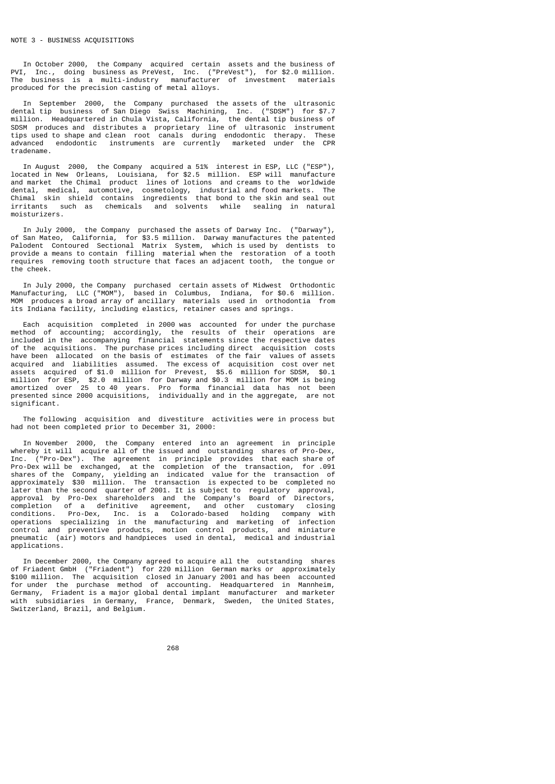In October 2000, the Company acquired certain assets and the business of PVI, Inc., doing business as PreVest, Inc. ("PreVest"), for \$2.0 million. The business is a multi-industry manufacturer of investment materials produced for the precision casting of metal alloys.

 In September 2000, the Company purchased the assets of the ultrasonic dental tip business of San Diego Swiss Machining, Inc. ("SDSM") for \$7.7 million. Headquartered in Chula Vista, California, the dental tip business of SDSM produces and distributes a proprietary line of ultrasonic instrument tips used to shape and clean root canals during endodontic therapy. These advanced endodontic instruments are currently marketed under the CPR tradename.

 In August 2000, the Company acquired a 51% interest in ESP, LLC ("ESP"), located in New Orleans, Louisiana, for \$2.5 million. ESP will manufacture and market the Chimal product lines of lotions and creams to the worldwide dental, medical, automotive, cosmetology, industrial and food markets. The Chimal skin shield contains ingredients that bond to the skin and seal out irritants such as chemicals and solvents while sealing in natural moisturizers.

 In July 2000, the Company purchased the assets of Darway Inc. ("Darway"), of San Mateo, California, for \$3.5 million. Darway manufactures the patented Palodent Contoured Sectional Matrix System, which is used by dentists to provide a means to contain filling material when the restoration of a tooth requires removing tooth structure that faces an adjacent tooth, the tongue or the cheek.

 In July 2000, the Company purchased certain assets of Midwest Orthodontic Manufacturing, LLC ("MOM"), based in Columbus, Indiana, for \$0.6 million. MOM produces a broad array of ancillary materials used in orthodontia from its Indiana facility, including elastics, retainer cases and springs.

 Each acquisition completed in 2000 was accounted for under the purchase method of accounting; accordingly, the results of their operations are included in the accompanying financial statements since the respective dates of the acquisitions. The purchase prices including direct acquisition costs have been allocated on the basis of estimates of the fair values of assets acquired and liabilities assumed. The excess of acquisition cost over net assets acquired of \$1.0 million for Prevest, \$5.6 million for SDSM, \$0.1 million for ESP, \$2.0 million for Darway and \$0.3 million for MOM is being amortized over 25 to 40 years. Pro forma financial data has not been presented since 2000 acquisitions, individually and in the aggregate, are not .<br>significant.

 The following acquisition and divestiture activities were in process but had not been completed prior to December 31, 2000:

 In November 2000, the Company entered into an agreement in principle whereby it will acquire all of the issued and outstanding shares of Pro-Dex, Inc. ("Pro-Dex"). The agreement in principle provides that each share of Pro-Dex will be exchanged, at the completion of the transaction, for .091 shares of the Company, yielding an indicated value for the transaction of approximately \$30 million. The transaction is expected to be completed no later than the second quarter of 2001. It is subject to regulatory approval, approval by Pro-Dex shareholders and the Company's Board of Directors, completion of a definitive agreement, and other customary closing conditions. Pro-Dex, Inc. is a Colorado-based holding company with operations specializing in the manufacturing and marketing of infection control and preventive products, motion control products, and miniature pneumatic (air) motors and handpieces used in dental, medical and industrial applications.

 In December 2000, the Company agreed to acquire all the outstanding shares of Friadent GmbH ("Friadent") for 220 million German marks or approximately \$100 million. The acquisition closed in January 2001 and has been accounted for under the purchase method of accounting. Headquartered in Mannheim, Germany, Friadent is a major global dental implant manufacturer and marketer with subsidiaries in Germany, France, Denmark, Sweden, the United States, Switzerland, Brazil, and Belgium.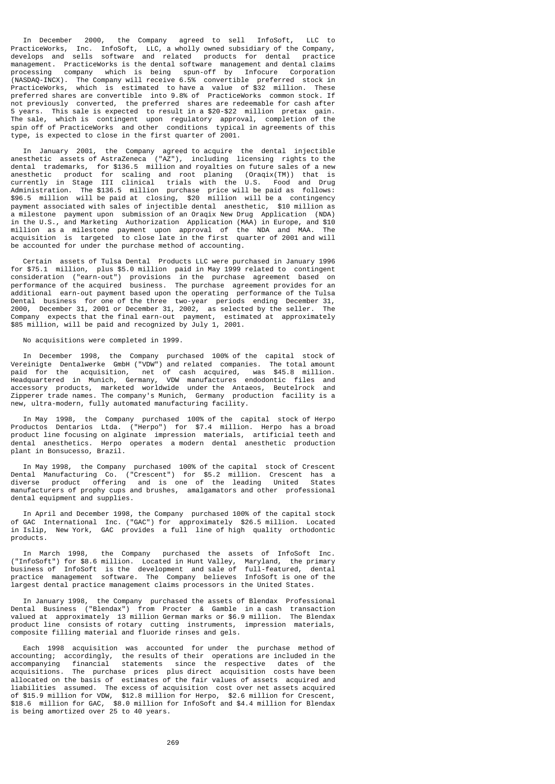In December 2000, the Company agreed to sell InfoSoft, LLC to PracticeWorks, Inc. InfoSoft, LLC, a wholly owned subsidiary of the Company, develops and sells software and related products for dental practice management. PracticeWorks is the dental software management and dental claims processing company which is being spun-off by Infocure Corporation (NASDAQ-INCX). The Company will receive 6.5% convertible preferred stock in PracticeWorks, which is estimated to have a value of \$32 million. These preferred shares are convertible into 9.8% of PracticeWorks common stock. If not previously converted, the preferred shares are redeemable for cash after 5 years. This sale is expected to result in a \$20-\$22 million pretax gain. The sale, which is contingent upon regulatory approval, completion of the spin off of PracticeWorks and other conditions typical in agreements of this type, is expected to close in the first quarter of 2001.

 In January 2001, the Company agreed to acquire the dental injectible anesthetic assets of AstraZeneca ("AZ"), including licensing rights to the dental trademarks, for \$136.5 million and royalties on future sales of a new anesthetic product for scaling and root planing (Oraqix(TM)) that is currently in Stage III clinical trials with the U.S. Food and Drug Administration. The \$136.5 million purchase price will be paid as follows: \$96.5 million will be paid at closing, \$20 million will be a contingency payment associated with sales of injectible dental anesthetic, \$10 million as a milestone payment upon submission of an Oraqix New Drug Application (NDA) in the U.S., and Marketing Authorization Application (MAA) in Europe, and \$10 million as a milestone payment upon approval of the NDA and MAA. The acquisition is targeted to close late in the first quarter of 2001 and will be accounted for under the purchase method of accounting.

 Certain assets of Tulsa Dental Products LLC were purchased in January 1996 for \$75.1 million, plus \$5.0 million paid in May 1999 related to contingent consideration ("earn-out") provisions in the purchase agreement based on performance of the acquired business. The purchase agreement provides for an additional earn-out payment based upon the operating performance of the Tulsa Dental business for one of the three two-year periods ending December 31, 2000, December 31, 2001 or December 31, 2002, as selected by the seller. The Company expects that the final earn-out payment, estimated at approximately \$85 million, will be paid and recognized by July 1, 2001.

No acquisitions were completed in 1999.

 In December 1998, the Company purchased 100% of the capital stock of Vereinigte Dentalwerke GmbH ("VDW") and related companies. The total amount paid for the acquisition, net of cash acquired, was \$45.8 million. Headquartered in Munich, Germany, VDW manufactures endodontic files and accessory products, marketed worldwide under the Antaeos, Beutelrock and Zipperer trade names. The company's Munich, Germany production facility is a new, ultra-modern, fully automated manufacturing facility.

 In May 1998, the Company purchased 100% of the capital stock of Herpo Productos Dentarios Ltda. ("Herpo") for \$7.4 million. Herpo has a broad product line focusing on alginate impression materials, artificial teeth and dental anesthetics. Herpo operates a modern dental anesthetic production plant in Bonsucesso, Brazil.

 In May 1998, the Company purchased 100% of the capital stock of Crescent Dental Manufacturing Co. ("Crescent") for \$5.2 million. Crescent has a diverse product offering and is one of the leading United States manufacturers of prophy cups and brushes, amalgamators and other professional dental equipment and supplies.

 In April and December 1998, the Company purchased 100% of the capital stock of GAC International Inc. ("GAC") for approximately \$26.5 million. Located in Islip, New York, GAC provides a full line of high quality orthodontic products.

 In March 1998, the Company purchased the assets of InfoSoft Inc. ("InfoSoft") for \$8.6 million. Located in Hunt Valley, Maryland, the primary business of InfoSoft is the development and sale of full-featured, dental practice management software. The Company believes InfoSoft is one of the largest dental practice management claims processors in the United States.

 In January 1998, the Company purchased the assets of Blendax Professional Dental Business ("Blendax") from Procter & Gamble in a cash transaction valued at approximately 13 million German marks or \$6.9 million. The Blendax product line consists of rotary cutting instruments, impression materials, composite filling material and fluoride rinses and gels.

 Each 1998 acquisition was accounted for under the purchase method of accounting; accordingly, the results of their operations are included in the accompanying financial statements since the respective dates of the acquisitions. The purchase prices plus direct acquisition costs have been allocated on the basis of estimates of the fair values of assets acquired and liabilities assumed. The excess of acquisition cost over net assets acquired of \$15.9 million for VDW, \$12.8 million for Herpo, \$2.6 million for Crescent, \$18.6 million for GAC, \$8.0 million for InfoSoft and \$4.4 million for Blendax is being amortized over 25 to 40 years.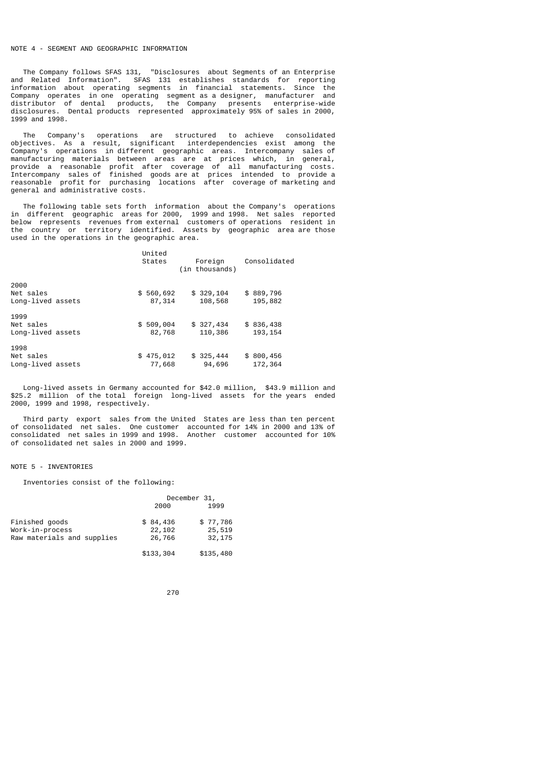## NOTE 4 - SEGMENT AND GEOGRAPHIC INFORMATION

 The Company follows SFAS 131, "Disclosures about Segments of an Enterprise and Related Information". SFAS 131 establishes standards for reporting information about operating segments in financial statements. Since the Company operates in one operating segment as a designer, manufacturer and distributor of dental products, the Company presents enterprise-wide disclosures. Dental products represented approximately 95% of sales in 2000, 1999 and 1998.

 The Company's operations are structured to achieve consolidated objectives. As a result, significant interdependencies exist among the Company's operations in different geographic areas. Intercompany sales of manufacturing materials between areas are at prices which, in general, provide a reasonable profit after coverage of all manufacturing costs. Intercompany sales of finished goods are at prices intended to provide a reasonable profit for purchasing locations after coverage of marketing and general and administrative costs.

 The following table sets forth information about the Company's operations in different geographic areas for 2000, 1999 and 1998. Net sales reported below represents revenues from external customers of operations resident in the country or territory identified. Assets by geographic area are those used in the operations in the geographic area.

|                                        | United<br>States    | Foreign<br>(in thousands) | Consolidated          |
|----------------------------------------|---------------------|---------------------------|-----------------------|
| 2000<br>Net sales<br>Long-lived assets | \$560,692<br>87,314 | \$329,104<br>108,568      | \$889,796<br>195,882  |
| 1999<br>Net sales<br>Long-lived assets | \$509,004<br>82,768 | \$327,434<br>110,386      | \$836,438<br>193, 154 |
| 1998<br>Net sales<br>Long-lived assets | \$475,012<br>77,668 | \$325,444<br>94,696       | \$800,456<br>172,364  |

 Long-lived assets in Germany accounted for \$42.0 million, \$43.9 million and \$25.2 million of the total foreign long-lived assets for the years ended 2000, 1999 and 1998, respectively.

 Third party export sales from the United States are less than ten percent of consolidated net sales. One customer accounted for 14% in 2000 and 13% of consolidated net sales in 1999 and 1998. Another customer accounted for 10% of consolidated net sales in 2000 and 1999.

#### NOTE 5 - INVENTORIES

Inventories consist of the following:

|                                   | December 31,       |                    |  |
|-----------------------------------|--------------------|--------------------|--|
|                                   | 2000               | 1999               |  |
| Finished goods<br>Work-in-process | \$84,436<br>22,102 | \$77,786<br>25,519 |  |
| Raw materials and supplies        | 26,766             | 32,175             |  |
|                                   |                    |                    |  |
|                                   | \$133,304          | \$135,480          |  |

проставление в село в 270 млн на 270 млн на 1270 млн на 1270 млн на 1270 млн на 1270 млн на 1270 млн на 1270 мл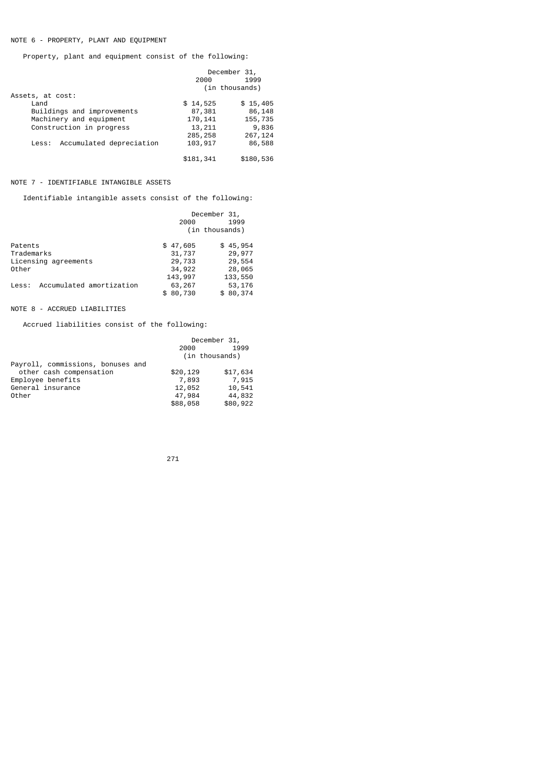# NOTE 6 - PROPERTY, PLANT AND EQUIPMENT

Property, plant and equipment consist of the following:

|                                   | December 31, |                |
|-----------------------------------|--------------|----------------|
|                                   | 2000         | 1999           |
|                                   |              | (in thousands) |
| Assets, at cost:                  |              |                |
| Land                              | \$14,525     | \$15,405       |
| Buildings and improvements        | 87,381       | 86,148         |
| Machinery and equipment           | 170, 141     | 155,735        |
| Construction in progress          | 13,211       | 9,836          |
|                                   | 285, 258     | 267,124        |
| Accumulated depreciation<br>Less: | 103,917      | 86,588         |
|                                   | \$181,341    | \$180,536      |

## NOTE 7 - IDENTIFIABLE INTANGIBLE ASSETS

Identifiable intangible assets consist of the following:

| December 31, |                |  |
|--------------|----------------|--|
| 2000         | 1999           |  |
|              | (in thousands) |  |
| \$47,605     | \$45,954       |  |
| 31,737       | 29,977         |  |
| 29,733       | 29,554         |  |
| 34,922       | 28,065         |  |
| 143,997      | 133,550        |  |
| 63,267       | 53,176         |  |
| \$80,730     | \$80,374       |  |
|              |                |  |

## NOTE 8 - ACCRUED LIABILITIES

Accrued liabilities consist of the following:

|                                   | 2000<br>(in thousands) | December 31,<br>1999 |
|-----------------------------------|------------------------|----------------------|
| Payroll, commissions, bonuses and |                        |                      |
| other cash compensation           | \$20,129               | \$17,634             |
| Employee benefits                 | 7,893                  | 7,915                |
| General insurance                 | 12,052                 | 10,541               |
| Other                             | 47,984                 | 44,832               |
|                                   | \$88,058               | \$80,922             |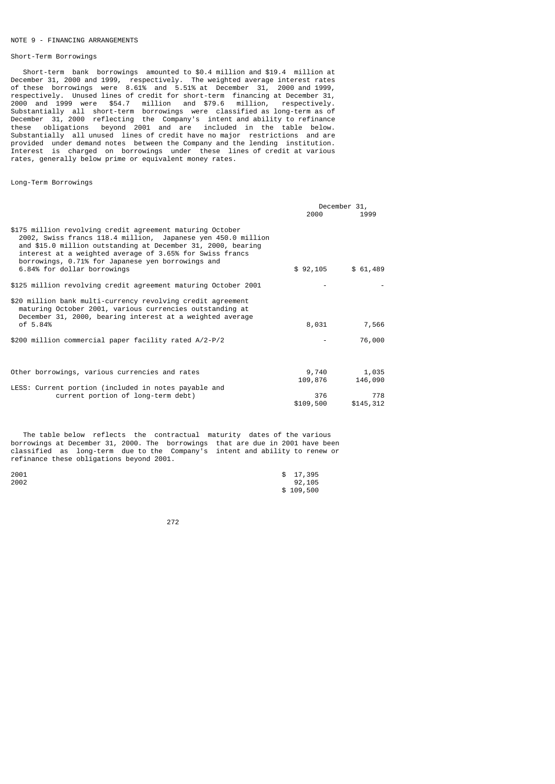## NOTE 9 - FINANCING ARRANGEMENTS

#### Short-Term Borrowings

 Short-term bank borrowings amounted to \$0.4 million and \$19.4 million at December 31, 2000 and 1999, respectively. The weighted average interest rates of these borrowings were 8.61% and 5.51% at December 31, 2000 and 1999, respectively. Unused lines of credit for short-term financing at December 31, 2000 and 1999 were \$54.7 million and \$79.6 million, respectively. Substantially all short-term borrowings were classified as long-term as of December 31, 2000 reflecting the Company's intent and ability to refinance these obligations beyond 2001 and are included in the table below. Substantially all unused lines of credit have no major restrictions and are provided under demand notes between the Company and the lending institution. Interest is charged on borrowings under these lines of credit at various rates, generally below prime or equivalent money rates.

Long-Term Borrowings

|                                                                                                                                                                                                                                                                                                                                           |                  | December 31,     |
|-------------------------------------------------------------------------------------------------------------------------------------------------------------------------------------------------------------------------------------------------------------------------------------------------------------------------------------------|------------------|------------------|
|                                                                                                                                                                                                                                                                                                                                           | 2000             | 1999             |
| \$175 million revolving credit agreement maturing October<br>2002, Swiss francs 118.4 million, Japanese yen 450.0 million<br>and \$15.0 million outstanding at December 31, 2000, bearing<br>interest at a weighted average of 3.65% for Swiss francs<br>borrowings, 0.71% for Japanese yen borrowings and<br>6.84% for dollar borrowings | \$92,105         | \$61,489         |
| \$125 million revolving credit agreement maturing October 2001                                                                                                                                                                                                                                                                            |                  |                  |
| \$20 million bank multi-currency revolving credit agreement<br>maturing October 2001, various currencies outstanding at<br>December 31, 2000, bearing interest at a weighted average<br>of 5.84%                                                                                                                                          | 8,031            | 7,566            |
|                                                                                                                                                                                                                                                                                                                                           |                  |                  |
| \$200 million commercial paper facility rated A/2-P/2                                                                                                                                                                                                                                                                                     |                  | 76,000           |
| Other borrowings, various currencies and rates                                                                                                                                                                                                                                                                                            | 9,740<br>109,876 | 1,035<br>146,090 |
| LESS: Current portion (included in notes payable and                                                                                                                                                                                                                                                                                      |                  |                  |
| current portion of long-term debt)                                                                                                                                                                                                                                                                                                        | 376<br>\$109,500 | 778<br>\$145,312 |

 The table below reflects the contractual maturity dates of the various borrowings at December 31, 2000. The borrowings that are due in 2001 have been classified as long-term due to the Company's intent and ability to renew or refinance these obligations beyond 2001.

| 2001 | \$17,395  |
|------|-----------|
| 2002 | 92,105    |
|      | \$109,500 |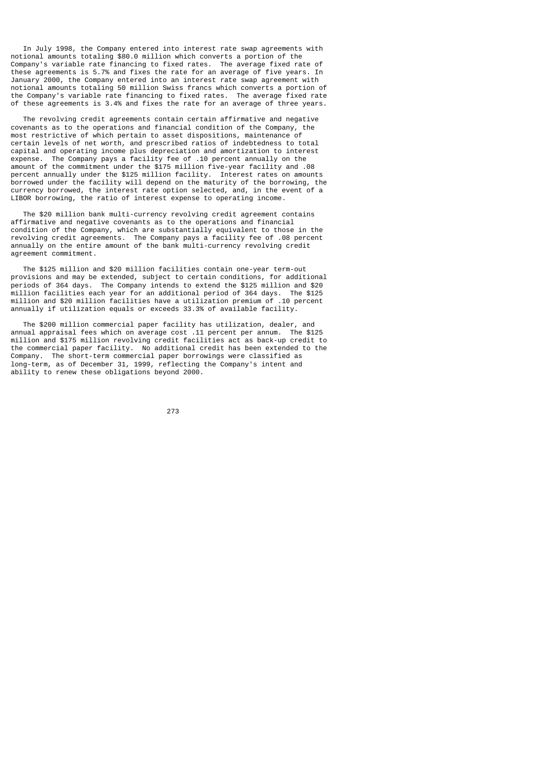In July 1998, the Company entered into interest rate swap agreements with notional amounts totaling \$80.0 million which converts a portion of the Company's variable rate financing to fixed rates. The average fixed rate of these agreements is 5.7% and fixes the rate for an average of five years. In January 2000, the Company entered into an interest rate swap agreement with notional amounts totaling 50 million Swiss francs which converts a portion of the Company's variable rate financing to fixed rates. The average fixed rate of these agreements is 3.4% and fixes the rate for an average of three years.

 The revolving credit agreements contain certain affirmative and negative covenants as to the operations and financial condition of the Company, the most restrictive of which pertain to asset dispositions, maintenance of certain levels of net worth, and prescribed ratios of indebtedness to total capital and operating income plus depreciation and amortization to interest expense. The Company pays a facility fee of .10 percent annually on the amount of the commitment under the \$175 million five-year facility and .08 percent annually under the \$125 million facility. Interest rates on amounts borrowed under the facility will depend on the maturity of the borrowing, the currency borrowed, the interest rate option selected, and, in the event of a LIBOR borrowing, the ratio of interest expense to operating income.

 The \$20 million bank multi-currency revolving credit agreement contains affirmative and negative covenants as to the operations and financial condition of the Company, which are substantially equivalent to those in the revolving credit agreements. The Company pays a facility fee of .08 percent annually on the entire amount of the bank multi-currency revolving credit agreement commitment.

 The \$125 million and \$20 million facilities contain one-year term-out provisions and may be extended, subject to certain conditions, for additional periods of 364 days. The Company intends to extend the \$125 million and \$20 million facilities each year for an additional period of 364 days. The \$125 million and \$20 million facilities have a utilization premium of .10 percent annually if utilization equals or exceeds 33.3% of available facility.

 The \$200 million commercial paper facility has utilization, dealer, and annual appraisal fees which on average cost .11 percent per annum. The \$125 million and \$175 million revolving credit facilities act as back-up credit to the commercial paper facility. No additional credit has been extended to the Company. The short-term commercial paper borrowings were classified as long-term, as of December 31, 1999, reflecting the Company's intent and ability to renew these obligations beyond 2000.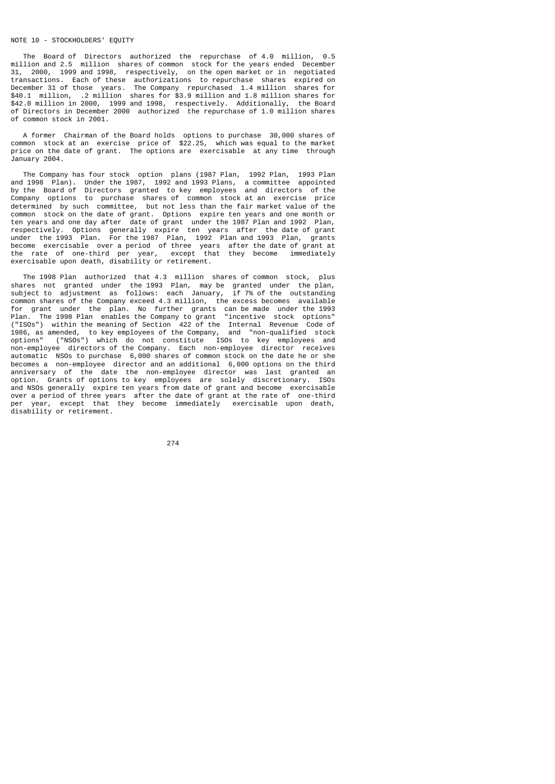## NOTE 10 - STOCKHOLDERS' EQUITY

 The Board of Directors authorized the repurchase of 4.0 million, 0.5 million and 2.5 million shares of common stock for the years ended December 31, 2000, 1999 and 1998, respectively, on the open market or in negotiated transactions. Each of these authorizations to repurchase shares expired on December 31 of those years. The Company repurchased 1.4 million shares for \$40.1 million, .2 million shares for \$3.9 million and 1.8 million shares for \$42.0 million in 2000, 1999 and 1998, respectively. Additionally, the Board of Directors in December 2000 authorized the repurchase of 1.0 million shares of common stock in 2001.

 A former Chairman of the Board holds options to purchase 30,000 shares of common stock at an exercise price of \$22.25, which was equal to the market price on the date of grant. The options are exercisable at any time through January 2004.

 The Company has four stock option plans (1987 Plan, 1992 Plan, 1993 Plan and 1998 Plan). Under the 1987, 1992 and 1993 Plans, a committee appointed by the Board of Directors granted to key employees and directors of the Company options to purchase shares of common stock at an exercise price determined by such committee, but not less than the fair market value of the common stock on the date of grant. Options expire ten years and one month or ten years and one day after date of grant under the 1987 Plan and 1992 Plan, respectively. Options generally expire ten years after the date of grant under the 1993 Plan. For the 1987 Plan, 1992 Plan and 1993 Plan, grants become exercisable over a period of three years after the date of grant at the rate of one-third per year, except that they become immediately exercisable upon death, disability or retirement.

 The 1998 Plan authorized that 4.3 million shares of common stock, plus shares not granted under the 1993 Plan, may be granted under the plan, subject to adjustment as follows: each January, if 7% of the outstanding common shares of the Company exceed 4.3 million, the excess becomes available for grant under the plan. No further grants can be made under the 1993 Plan. The 1998 Plan enables the Company to grant "incentive stock options" ("ISOs") within the meaning of Section 422 of the Internal Revenue Code of 1986, as amended, to key employees of the Company, and "non-qualified stock options" ("NSOs") which do not constitute ISOs to key employees and non-employee directors of the Company. Each non-employee director receives automatic NSOs to purchase 6,000 shares of common stock on the date he or she becomes a non-employee director and an additional 6,000 options on the third anniversary of the date the non-employee director was last granted an option. Grants of options to key employees are solely discretionary. ISOs and NSOs generally expire ten years from date of grant and become exercisable over a period of three years after the date of grant at the rate of one-third per year, except that they become immediately exercisable upon death, disability or retirement.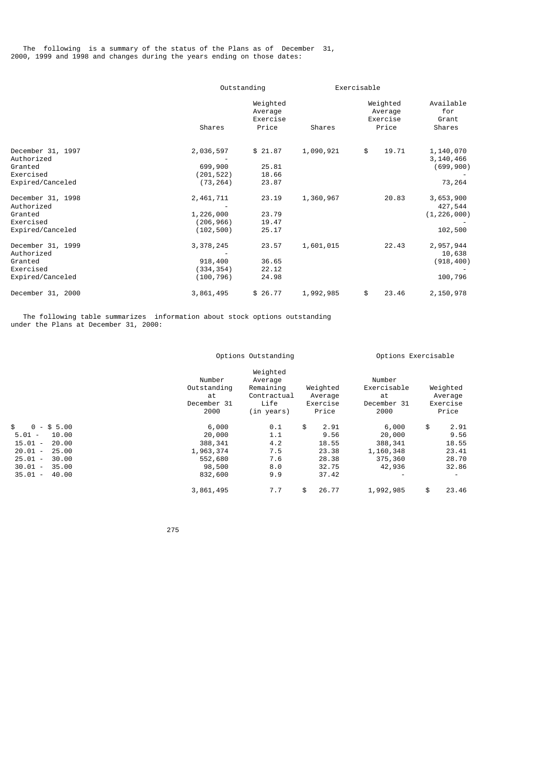The following is a summary of the status of the Plans as of December 31, 2000, 1999 and 1998 and changes during the years ending on those dates:

|                                                         |                                      | Outstanding                              |           | Exercisable |                                          |                                       |  |
|---------------------------------------------------------|--------------------------------------|------------------------------------------|-----------|-------------|------------------------------------------|---------------------------------------|--|
|                                                         | Shares                               | Weighted<br>Average<br>Exercise<br>Price | Shares    |             | Weighted<br>Average<br>Exercise<br>Price | Available<br>for<br>Grant<br>Shares   |  |
|                                                         |                                      |                                          |           |             |                                          |                                       |  |
| December 31, 1997<br>Authorized<br>Granted              | 2,036,597<br>699,900                 | \$21.87<br>25.81                         | 1,090,921 | \$          | 19.71                                    | 1,140,070<br>3, 140, 466<br>(699,900) |  |
| Exercised<br>Expired/Canceled                           | (201,522)<br>(73, 264)               | 18.66<br>23.87                           |           |             |                                          | 73,264                                |  |
| December 31, 1998<br>Authorized<br>Granted<br>Exercised | 2,461,711<br>1,226,000<br>(206, 966) | 23.19<br>23.79<br>19.47                  | 1,360,967 |             | 20.83                                    | 3,653,900<br>427,544<br>(1, 226, 000) |  |
| Expired/Canceled                                        | (102, 500)                           | 25.17                                    |           |             |                                          | 102,500                               |  |
| December 31, 1999<br>Authorized                         | 3,378,245                            | 23.57                                    | 1,601,015 |             | 22.43                                    | 2,957,944<br>10,638                   |  |
| Granted<br>Exercised<br>Expired/Canceled                | 918,400<br>(334,354)<br>(100,796)    | 36.65<br>22.12<br>24.98                  |           |             |                                          | (918,400)<br>100,796                  |  |
| December 31, 2000                                       | 3,861,495                            | \$26.77                                  | 1,992,985 | \$          | 23.46                                    | 2,150,978                             |  |

 The following table summarizes information about stock options outstanding under the Plans at December 31, 2000:

|                                                                                                                                                                                                                                                                              | Options Outstanding                                                      |                                                                       |                                                                 | Options Exercisable                                           |                                                                                    |  |  |
|------------------------------------------------------------------------------------------------------------------------------------------------------------------------------------------------------------------------------------------------------------------------------|--------------------------------------------------------------------------|-----------------------------------------------------------------------|-----------------------------------------------------------------|---------------------------------------------------------------|------------------------------------------------------------------------------------|--|--|
|                                                                                                                                                                                                                                                                              | Number<br>Outstanding<br>at<br>December 31<br>2000                       | Weighted<br>Average<br>Remaining<br>Contractual<br>Life<br>(in years) | Weighted<br>Average<br>Exercise<br>Price                        | Number<br>Exercisable<br>at<br>December 31<br>2000            | Weighted<br>Average<br>Exercise<br>Price                                           |  |  |
| \$<br>$0 - $5.00$<br>$5.01 -$<br>10.00<br>15.01<br>20.00<br>$\overline{\phantom{a}}$<br>20.01<br>25.00<br>$\overline{\phantom{a}}$<br>25.01<br>30.00<br>$\overline{\phantom{a}}$<br>30.01<br>35.00<br>$\overline{\phantom{a}}$<br>35.01<br>40.00<br>$\overline{\phantom{a}}$ | 6,000<br>20,000<br>388, 341<br>1,963,374<br>552,680<br>98,500<br>832,600 | 0.1<br>1.1<br>4.2<br>7.5<br>7.6<br>8.0<br>9.9                         | \$<br>2.91<br>9.56<br>18.55<br>23.38<br>28.38<br>32.75<br>37.42 | 6,000<br>20,000<br>388, 341<br>1,160,348<br>375,360<br>42,936 | \$<br>2.91<br>9.56<br>18.55<br>23.41<br>28.70<br>32.86<br>$\overline{\phantom{a}}$ |  |  |
|                                                                                                                                                                                                                                                                              | 3,861,495                                                                | 7.7                                                                   | \$<br>26.77                                                     | 1,992,985                                                     | \$<br>23.46                                                                        |  |  |

процесси производит в село в 1975 године в 275 године в 275 године в 275 године в 275 године в 275 године в 27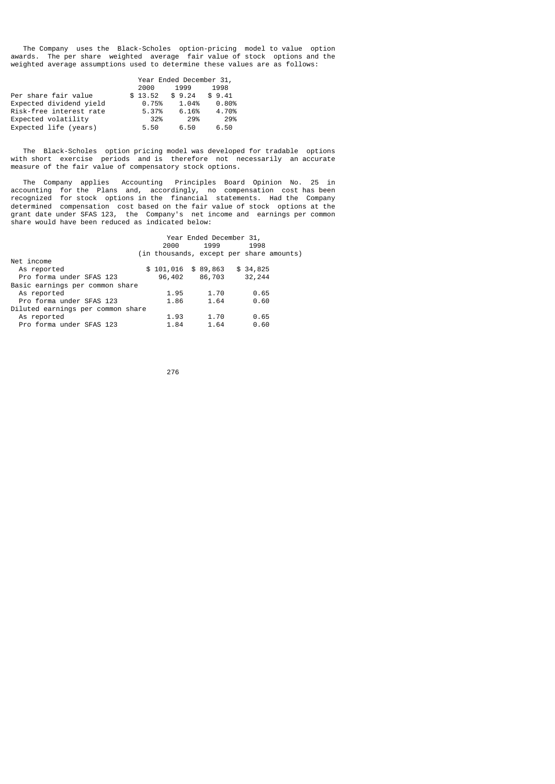The Company uses the Black-Scholes option-pricing model to value option awards. The per share weighted average fair value of stock options and the weighted average assumptions used to determine these values are as follows:

|                         |         | Year Ended December 31, |        |  |  |  |  |
|-------------------------|---------|-------------------------|--------|--|--|--|--|
|                         | 2000    | 1999                    | 1998   |  |  |  |  |
| Per share fair value    | \$13.52 | \$9.24                  | \$9.41 |  |  |  |  |
| Expected dividend yield | 0.75%   | 1.04%                   | 0.80%  |  |  |  |  |
| Risk-free interest rate | 5.37%   | 6.16%                   | 4.70%  |  |  |  |  |
| Expected volatility     | 32%     | 29%                     | 29%    |  |  |  |  |
| Expected life (years)   | 5.50    | 6.50                    | 6.50   |  |  |  |  |

 The Black-Scholes option pricing model was developed for tradable options with short exercise periods and is therefore not necessarily an accurate measure of the fair value of compensatory stock options.

 The Company applies Accounting Principles Board Opinion No. 25 in accounting for the Plans and, accordingly, no compensation cost has been recognized for stock options in the financial statements. Had the Company determined compensation cost based on the fair value of stock options at the grant date under SFAS 123, the Company's net income and earnings per common share would have been reduced as indicated below:

|                                   | Year Ended December 31, |                      |  |      |  |          |                                          |  |
|-----------------------------------|-------------------------|----------------------|--|------|--|----------|------------------------------------------|--|
|                                   |                         | 2000                 |  | 1999 |  | 1998     |                                          |  |
|                                   |                         |                      |  |      |  |          | (in thousands, except per share amounts) |  |
| Net income                        |                         |                      |  |      |  |          |                                          |  |
| As reported                       |                         | $$101,016$ $$89,863$ |  |      |  | \$34,825 |                                          |  |
| Pro forma under SFAS 123          |                         | 96,402 86,703        |  |      |  | 32,244   |                                          |  |
| Basic earnings per common share   |                         |                      |  |      |  |          |                                          |  |
| As reported                       |                         | 1.95                 |  | 1.70 |  | 0.65     |                                          |  |
| Pro forma under SFAS 123          |                         | 1.86                 |  | 1.64 |  | 0.60     |                                          |  |
| Diluted earnings per common share |                         |                      |  |      |  |          |                                          |  |
| As reported                       |                         | 1.93                 |  | 1.70 |  | 0.65     |                                          |  |
| Pro forma under SFAS 123          |                         | 1.84                 |  | 1.64 |  | 0.60     |                                          |  |

<u>276 до најзина од селото на 276 до најзина од селото на селото на селото на селото на селото на селото на село</u>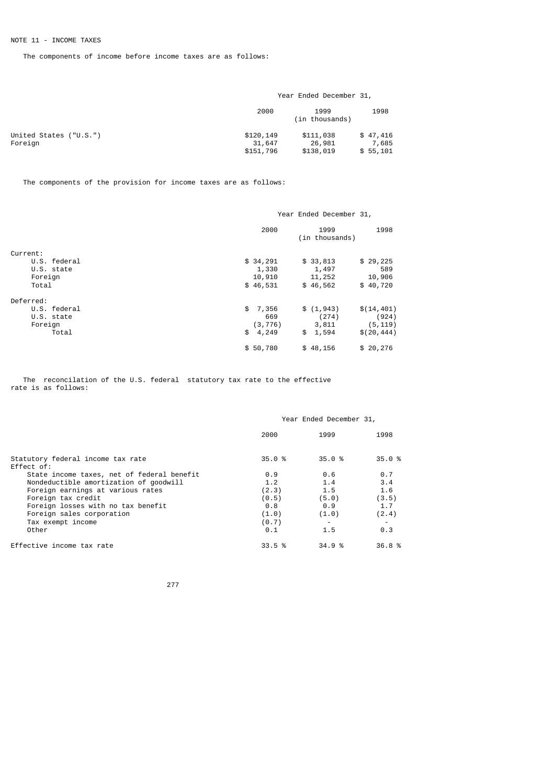The components of income before income taxes are as follows:

|                                   | Year Ended December 31,          |                                  |                               |  |  |  |
|-----------------------------------|----------------------------------|----------------------------------|-------------------------------|--|--|--|
|                                   | 2000                             | 1999<br>(in thousands)           | 1998                          |  |  |  |
| United States ("U.S.")<br>Foreign | \$120,149<br>31,647<br>\$151,796 | \$111,038<br>26,981<br>\$138,019 | \$47,416<br>7,685<br>\$55,101 |  |  |  |

The components of the provision for income taxes are as follows:

|              | Year Ended December 31,        |             |  |  |  |  |
|--------------|--------------------------------|-------------|--|--|--|--|
|              | 2000<br>1999<br>(in thousands) | 1998        |  |  |  |  |
| Current:     |                                |             |  |  |  |  |
| U.S. federal | \$34,291<br>\$33,813           | \$29,225    |  |  |  |  |
| U.S. state   | 1,330<br>1,497                 | 589         |  |  |  |  |
| Foreign      | 10,910<br>11,252               | 10,906      |  |  |  |  |
| Total        | \$46,531<br>\$46,562           | \$40,720    |  |  |  |  |
| Deferred:    |                                |             |  |  |  |  |
| U.S. federal | \$<br>7,356<br>\$(1, 943)      | \$(14, 401) |  |  |  |  |
| U.S. state   | (274)<br>669                   | (924)       |  |  |  |  |
| Foreign      | 3,811<br>(3, 776)              | (5, 119)    |  |  |  |  |
| Total        | \$<br>1,594<br>4,249<br>\$     | \$(20, 444) |  |  |  |  |
|              | \$50,780<br>\$48,156           | \$20,276    |  |  |  |  |

 The reconcilation of the U.S. federal statutory tax rate to the effective rate is as follows:

|                                                 | Year Ended December 31, |        |        |  |  |  |  |
|-------------------------------------------------|-------------------------|--------|--------|--|--|--|--|
|                                                 | 2000                    | 1999   | 1998   |  |  |  |  |
| Statutory federal income tax rate<br>Effect of: | 35.0%                   | 35.0%  | 35.0%  |  |  |  |  |
| State income taxes, net of federal benefit      | 0.9                     | 0.6    | 0.7    |  |  |  |  |
| Nondeductible amortization of goodwill          | 1.2                     | 1.4    | 3.4    |  |  |  |  |
| Foreign earnings at various rates               | (2.3)                   | 1.5    | 1.6    |  |  |  |  |
| Foreign tax credit                              | (0.5)                   | (5.0)  | (3.5)  |  |  |  |  |
| Foreign losses with no tax benefit              | 0.8                     | 0.9    | 1.7    |  |  |  |  |
| Foreign sales corporation                       | (1.0)                   | (1.0)  | (2.4)  |  |  |  |  |
| Tax exempt income                               | (0.7)                   |        |        |  |  |  |  |
| Other                                           | 0.1                     | 1.5    | 0.3    |  |  |  |  |
| Effective income tax rate                       | 33.5%                   | 34.9 % | 36.8 % |  |  |  |  |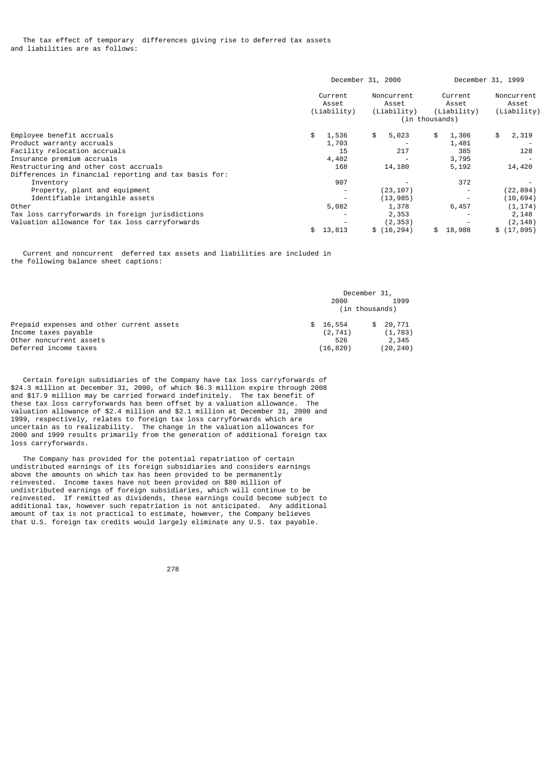|                                                                                                | December 31, 2000               |       |    |                                    | December 31, 1999 |                                 |    |                                    |
|------------------------------------------------------------------------------------------------|---------------------------------|-------|----|------------------------------------|-------------------|---------------------------------|----|------------------------------------|
|                                                                                                | Current<br>Asset<br>(Liability) |       |    | Noncurrent<br>Asset<br>(Liability) | (in thousands)    | Current<br>Asset<br>(Liability) |    | Noncurrent<br>Asset<br>(Liability) |
| Employee benefit accruals                                                                      | \$                              | 1,536 | \$ | 5,023                              | \$                | 1,306                           | \$ | 2,319                              |
| Product warranty accruals                                                                      |                                 | 1,703 |    |                                    |                   | 1,481                           |    |                                    |
| Facility relocation accruals                                                                   |                                 | 15    |    | 217                                |                   | 385                             |    | 128                                |
| Insurance premium accruals                                                                     |                                 | 4,402 |    |                                    |                   | 3,795                           |    |                                    |
| Restructuring and other cost accruals<br>Differences in financial reporting and tax basis for: |                                 | 168   |    | 14,180                             |                   | 5,192                           |    | 14,420                             |
| Inventory                                                                                      |                                 | 907   |    |                                    |                   | 372                             |    |                                    |
| Property, plant and equipment                                                                  |                                 |       |    | (23, 107)                          |                   |                                 |    | (22, 894)                          |
| Identifiable intangible assets                                                                 |                                 |       |    | (13, 985)                          |                   |                                 |    | (10, 694)                          |
| Other                                                                                          |                                 | 5,082 |    | 1,378                              |                   | 6,457                           |    | (1, 174)                           |
| Tax loss carryforwards in foreign jurisdictions                                                |                                 |       |    | 2,353                              |                   |                                 |    | 2,148                              |
| Valuation allowance for tax loss carryforwards                                                 |                                 |       |    | (2, 353)                           |                   |                                 |    | (2, 148)                           |
|                                                                                                | \$13,813                        |       |    | \$(16, 294)                        | \$                | 18,988                          |    | \$(17, 895)                        |

 Current and noncurrent deferred tax assets and liabilities are included in the following balance sheet captions:

|                                                                                                                       | December 31,                            |     |                                         |  |
|-----------------------------------------------------------------------------------------------------------------------|-----------------------------------------|-----|-----------------------------------------|--|
|                                                                                                                       | 2000                                    |     | 1999                                    |  |
|                                                                                                                       | (in thousands)                          |     |                                         |  |
| Prepaid expenses and other current assets<br>Income taxes payable<br>Other noncurrent assets<br>Deferred income taxes | \$16,554<br>(2, 741)<br>526<br>(16,820) | SS. | 20,771<br>(1, 783)<br>2,345<br>(20,240) |  |

 Certain foreign subsidiaries of the Company have tax loss carryforwards of \$24.3 million at December 31, 2000, of which \$6.3 million expire through 2008 and \$17.9 million may be carried forward indefinitely. The tax benefit of these tax loss carryforwards has been offset by a valuation allowance. The valuation allowance of \$2.4 million and \$2.1 million at December 31, 2000 and 1999, respectively, relates to foreign tax loss carryforwards which are uncertain as to realizability. The change in the valuation allowances for 2000 and 1999 results primarily from the generation of additional foreign tax loss carryforwards.

 The Company has provided for the potential repatriation of certain undistributed earnings of its foreign subsidiaries and considers earnings above the amounts on which tax has been provided to be permanently reinvested. Income taxes have not been provided on \$80 million of undistributed earnings of foreign subsidiaries, which will continue to be reinvested. If remitted as dividends, these earnings could become subject to additional tax, however such repatriation is not anticipated. Any additional amount of tax is not practical to estimate, however, the Company believes that U.S. foreign tax credits would largely eliminate any U.S. tax payable.

е процесси производит в 1978 године в 278 године в 278 године в 278 године в 278 године в 278 године в 278 год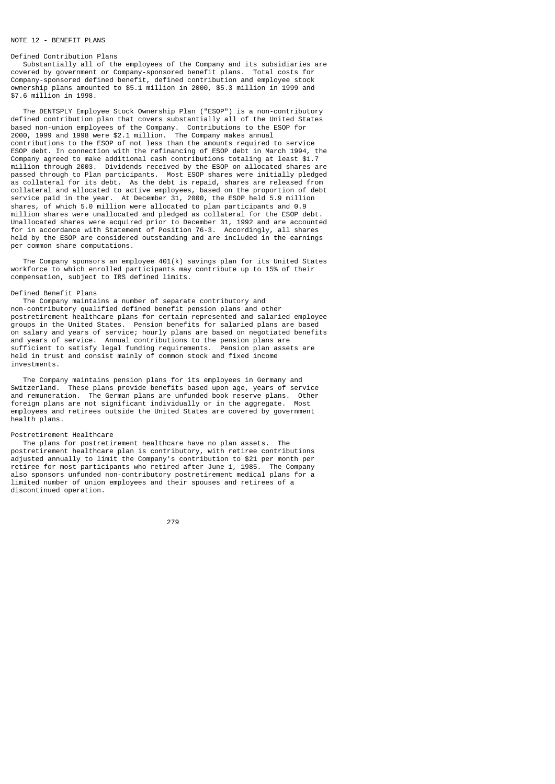### NOTE 12 - RENEETT PLANS

#### Defined Contribution Plans

 Substantially all of the employees of the Company and its subsidiaries are covered by government or Company-sponsored benefit plans. Total costs for Company-sponsored defined benefit, defined contribution and employee stock ownership plans amounted to \$5.1 million in 2000, \$5.3 million in 1999 and \$7.6 million in 1998.

 The DENTSPLY Employee Stock Ownership Plan ("ESOP") is a non-contributory defined contribution plan that covers substantially all of the United States based non-union employees of the Company. Contributions to the ESOP for 2000, 1999 and 1998 were \$2.1 million. The Company makes annual contributions to the ESOP of not less than the amounts required to service ESOP debt. In connection with the refinancing of ESOP debt in March 1994, the Company agreed to make additional cash contributions totaling at least \$1.7 million through 2003. Dividends received by the ESOP on allocated shares are passed through to Plan participants. Most ESOP shares were initially pledged as collateral for its debt. As the debt is repaid, shares are released from collateral and allocated to active employees, based on the proportion of debt service paid in the year. At December 31, 2000, the ESOP held 5.9 million shares, of which 5.0 million were allocated to plan participants and 0.9 million shares were unallocated and pledged as collateral for the ESOP debt. Unallocated shares were acquired prior to December 31, 1992 and are accounted for in accordance with Statement of Position 76-3. Accordingly, all shares held by the ESOP are considered outstanding and are included in the earnings per common share computations.

 The Company sponsors an employee 401(k) savings plan for its United States workforce to which enrolled participants may contribute up to 15% of their compensation, subject to IRS defined limits.

#### Defined Benefit Plans

 The Company maintains a number of separate contributory and non-contributory qualified defined benefit pension plans and other postretirement healthcare plans for certain represented and salaried employee groups in the United States. Pension benefits for salaried plans are based on salary and years of service; hourly plans are based on negotiated benefits and years of service. Annual contributions to the pension plans are sufficient to satisfy legal funding requirements. Pension plan assets are held in trust and consist mainly of common stock and fixed income investments.

 The Company maintains pension plans for its employees in Germany and Switzerland. These plans provide benefits based upon age, years of service and remuneration. The German plans are unfunded book reserve plans. Other foreign plans are not significant individually or in the aggregate. Most employees and retirees outside the United States are covered by government health plans.

#### Postretirement Healthcare

 The plans for postretirement healthcare have no plan assets. The postretirement healthcare plan is contributory, with retiree contributions adjusted annually to limit the Company's contribution to \$21 per month per retiree for most participants who retired after June 1, 1985. The Company also sponsors unfunded non-contributory postretirement medical plans for a limited number of union employees and their spouses and retirees of a discontinued operation.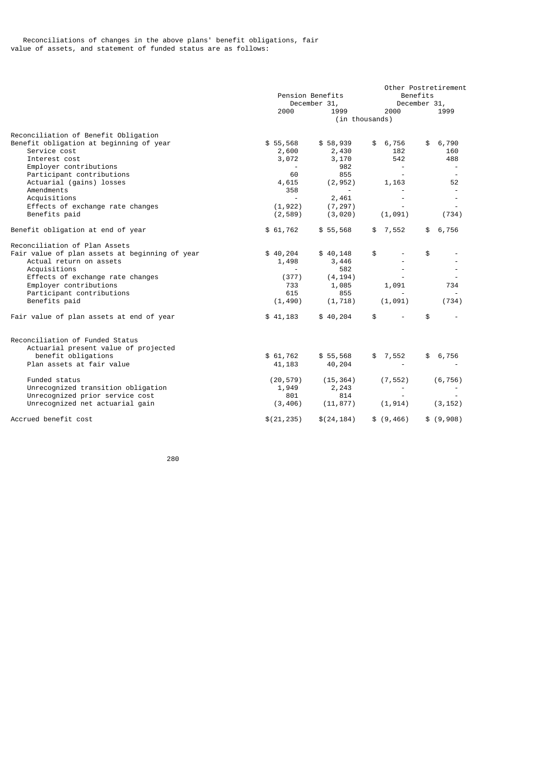|                                                | Pension Benefits         |             |                          | Other Postretirement<br>Benefits<br>December 31, |  |  |
|------------------------------------------------|--------------------------|-------------|--------------------------|--------------------------------------------------|--|--|
|                                                | December 31,             |             |                          |                                                  |  |  |
|                                                | 2000                     | 1999        | 2000                     | 1999                                             |  |  |
|                                                |                          |             | (in thousands)           |                                                  |  |  |
| Reconciliation of Benefit Obligation           |                          |             |                          |                                                  |  |  |
| Benefit obligation at beginning of year        | \$55,568                 | \$58,939    | \$6,756                  | \$6,790                                          |  |  |
| Service cost                                   | 2,600                    | 2,430       | 182                      | 160                                              |  |  |
| Interest cost                                  | 3,072                    | 3,170       | 542                      | 488                                              |  |  |
| Employer contributions                         |                          | 982         |                          | $\overline{\phantom{a}}$                         |  |  |
| Participant contributions                      | 60                       | 855         |                          |                                                  |  |  |
| Actuarial (gains) losses                       | 4,615                    | (2, 952)    | 1,163                    | 52                                               |  |  |
| Amendments                                     | 358                      |             |                          |                                                  |  |  |
| Acquisitions                                   | $\overline{\phantom{a}}$ | 2,461       |                          |                                                  |  |  |
| Effects of exchange rate changes               | (1, 922)                 | (7, 297)    |                          |                                                  |  |  |
| Benefits paid                                  | (2, 589)                 | (3,020)     | (1, 091)                 | (734)                                            |  |  |
| Benefit obligation at end of year              | \$61,762                 | \$55,568    | \$7,552                  | \$6,756                                          |  |  |
| Reconciliation of Plan Assets                  |                          |             |                          |                                                  |  |  |
| Fair value of plan assets at beginning of year | \$40,204                 | \$40,148    | \$                       | \$                                               |  |  |
| Actual return on assets                        | 1,498                    | 3,446       |                          |                                                  |  |  |
| Acquisitions                                   | $\overline{a}$           | 582         |                          |                                                  |  |  |
| Effects of exchange rate changes               | (377)                    | (4, 194)    |                          |                                                  |  |  |
| Employer contributions                         | 733                      | 1,085       | 1,091                    | 734                                              |  |  |
| Participant contributions                      | 615                      | 855         |                          |                                                  |  |  |
| Benefits paid                                  | (1, 490)                 | (1, 718)    | (1,091)                  | (734)                                            |  |  |
| Fair value of plan assets at end of year       | \$41,183                 | \$40,204    | \$                       | \$                                               |  |  |
| Reconciliation of Funded Status                |                          |             |                          |                                                  |  |  |
| Actuarial present value of projected           |                          |             |                          |                                                  |  |  |
| benefit obligations                            | \$61,762                 | \$55,568    | \$7,552                  | 6,756<br>\$                                      |  |  |
| Plan assets at fair value                      | 41, 183                  | 40,204      | $\overline{\phantom{a}}$ |                                                  |  |  |
| Funded status                                  | (20, 579)                | (15, 364)   | (7, 552)                 | (6, 756)                                         |  |  |
| Unrecognized transition obligation             | 1,949                    | 2,243       |                          |                                                  |  |  |
| Unrecognized prior service cost                | 801                      | 814         |                          |                                                  |  |  |
| Unrecognized net actuarial gain                | (3, 406)                 | (11, 877)   | (1, 914)                 | (3, 152)                                         |  |  |
| Accrued benefit cost                           | \$(21, 235)              | \$(24, 184) | \$ (9, 466)              | \$ (9,908)                                       |  |  |

<u>280 and 280 and 280 and 280 and 280 and 280 and 280 and 280 and 280 and 280 and 280 and 280 and 280 and 280 and 280 and 280 and 280 and 280 and 280 and 280 and 280 and 280 and 280 and 280 and 280 and 280 and 280 and 280 a</u>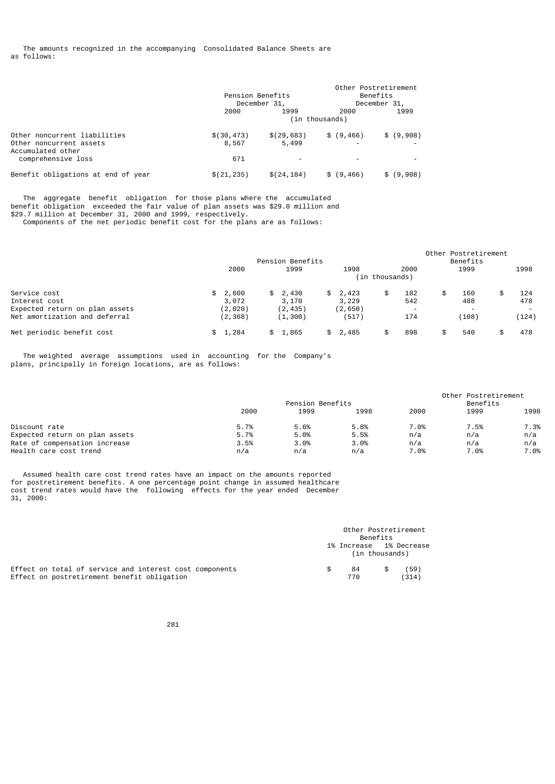The amounts recognized in the accompanying Consolidated Balance Sheets are as follows:

|                                         | Pension Benefits | December 31, |             | Other Postretirement<br>Benefits<br>December 31, |
|-----------------------------------------|------------------|--------------|-------------|--------------------------------------------------|
|                                         | 2000             | 1999         | 2000        | 1999                                             |
|                                         | (in thousands)   |              |             |                                                  |
| Other noncurrent liabilities            | \$(30, 473)      | \$(29, 683)  | \$ (9, 466) | \$ (9,908)                                       |
| Other noncurrent assets                 | 8,567            | 5,499        |             |                                                  |
| Accumulated other<br>comprehensive loss | 671              | -            |             |                                                  |
|                                         |                  |              |             |                                                  |
| Benefit obligations at end of year      | \$(21, 235)      | \$(24, 184)  | \$ (9, 466) | \$ (9,908)                                       |

 The aggregate benefit obligation for those plans where the accumulated benefit obligation exceeded the fair value of plan assets was \$29.0 million and \$29.7 million at December 31, 2000 and 1999, respectively. Components of the net periodic benefit cost for the plans are as follows:

 Other Postretirement Pension Benefits<br>2000 1999 1999 1998 2000 1999 2000 1999 1998 2000 1999 1998 (in thousands) Service cost Service cost \$ 2,600 \$ 2,430 \$ 2,423 \$ 182 \$ 160 \$ 124 Interest cost 3,072 3,170 3,229 542 488 478 Expected return on plan assets (2,020) (2,435) (2,650) - - - Net amortization and deferral Net periodic benefit cost  $\frac{1}{2}$  \$ 1,284 \$ 1,865 \$ 2,485 \$ 898 \$ 540 \$ 478

 The weighted average assumptions used in accounting for the Company's plans, principally in foreign locations, are as follows:

|                                        | Pension Benefits |      |      | Other Postretirement<br>Benefits |      |
|----------------------------------------|------------------|------|------|----------------------------------|------|
| 2000                                   | 1999             | 1998 | 2000 | 1999                             | 1998 |
| Discount rate<br>5.7%                  | 5.6%             | 5.8% | 7.0% | 7.5%                             | 7.3% |
| Expected return on plan assets<br>5.7% | 5.0%             | 5.5% | n/a  | n/a                              | n/a  |
| Rate of compensation increase<br>3.5%  | 3.0%             | 3.0% | n/a  | n/a                              | n/a  |
| Health care cost trend<br>n/a          | n/a              | n/a  | 7.0% | 7.0%                             | 7.0% |

 Assumed health care cost trend rates have an impact on the amounts reported for postretirement benefits. A one percentage point change in assumed healthcare cost trend rates would have the following effects for the year ended December 31, 2000:

|                                                                                                        | Other Postretirement<br>Benefits |                                           |  |               |  |
|--------------------------------------------------------------------------------------------------------|----------------------------------|-------------------------------------------|--|---------------|--|
|                                                                                                        |                                  | 1% Increase 1% Decrease<br>(in thousands) |  |               |  |
| Effect on total of service and interest cost components<br>Effect on postretirement benefit obligation | £.                               | 84<br>770                                 |  | (59)<br>(314) |  |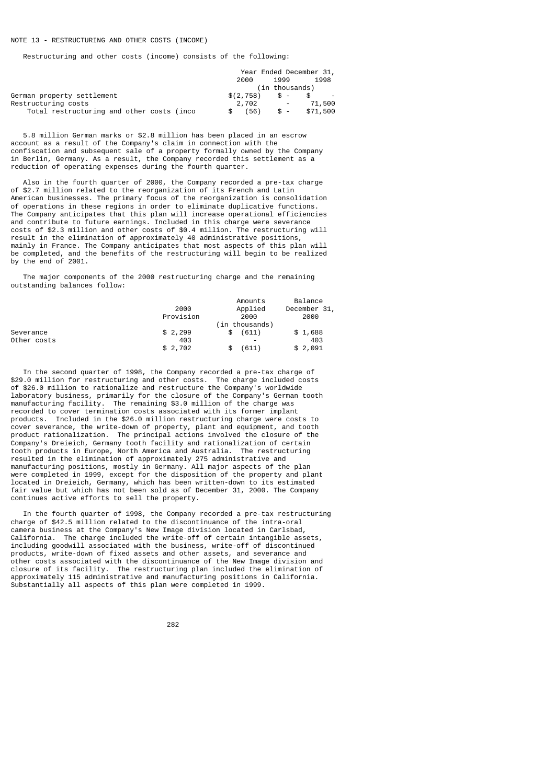Restructuring and other costs (income) consists of the following:

|                                           | Year Ended December 31, |                  |          |
|-------------------------------------------|-------------------------|------------------|----------|
|                                           | 2000                    | 1999             | 1998     |
|                                           |                         | (in thousands)   |          |
| German property settlement                | $$(2.758)$ \$ -         |                  |          |
| Restructurina costs                       | 2,702                   | $\sim$ 100 $\mu$ | 71,500   |
| Total restructuring and other costs (inco | (56)<br>- SS –          | - \$             | \$71,500 |

 5.8 million German marks or \$2.8 million has been placed in an escrow account as a result of the Company's claim in connection with the confiscation and subsequent sale of a property formally owned by the Company in Berlin, Germany. As a result, the Company recorded this settlement as a reduction of operating expenses during the fourth quarter.

 Also in the fourth quarter of 2000, the Company recorded a pre-tax charge of \$2.7 million related to the reorganization of its French and Latin American businesses. The primary focus of the reorganization is consolidation of operations in these regions in order to eliminate duplicative functions. The Company anticipates that this plan will increase operational efficiencies and contribute to future earnings. Included in this charge were severance costs of \$2.3 million and other costs of \$0.4 million. The restructuring will result in the elimination of approximately 40 administrative positions, mainly in France. The Company anticipates that most aspects of this plan will be completed, and the benefits of the restructuring will begin to be realized by the end of 2001.

 The major components of the 2000 restructuring charge and the remaining outstanding balances follow:

|             | 2000      | Amounts<br>Applied     | Balance<br>December 31, |
|-------------|-----------|------------------------|-------------------------|
|             | Provision | 2000<br>(in thousands) | 2000                    |
| Severance   | \$2,299   | (611)                  | \$1,688                 |
| Other costs | 403       |                        | 403                     |
|             | \$2,702   | (611)                  | \$2,091                 |

 In the second quarter of 1998, the Company recorded a pre-tax charge of \$29.0 million for restructuring and other costs. The charge included costs of \$26.0 million to rationalize and restructure the Company's worldwide laboratory business, primarily for the closure of the Company's German tooth manufacturing facility. The remaining \$3.0 million of the charge was recorded to cover termination costs associated with its former implant products. Included in the \$26.0 million restructuring charge were costs to cover severance, the write-down of property, plant and equipment, and tooth product rationalization. The principal actions involved the closure of the Company's Dreieich, Germany tooth facility and rationalization of certain tooth products in Europe, North America and Australia. The restructuring resulted in the elimination of approximately 275 administrative and manufacturing positions, mostly in Germany. All major aspects of the plan were completed in 1999, except for the disposition of the property and plant located in Dreieich, Germany, which has been written-down to its estimated fair value but which has not been sold as of December 31, 2000. The Company continues active efforts to sell the property.

 In the fourth quarter of 1998, the Company recorded a pre-tax restructuring charge of \$42.5 million related to the discontinuance of the intra-oral camera business at the Company's New Image division located in Carlsbad, California. The charge included the write-off of certain intangible assets, including goodwill associated with the business, write-off of discontinued products, write-down of fixed assets and other assets, and severance and other costs associated with the discontinuance of the New Image division and closure of its facility. The restructuring plan included the elimination of approximately 115 administrative and manufacturing positions in California. Substantially all aspects of this plan were completed in 1999.

е процесси производит в 1982 године в 1982 године в 1982 године в 1982 године в 1982 године в 1982 године в 19<br>В 1982 године в 1983 године в 1983 године в 1983 године в 1983 године в 1983 године в 1983 године в 1983 годин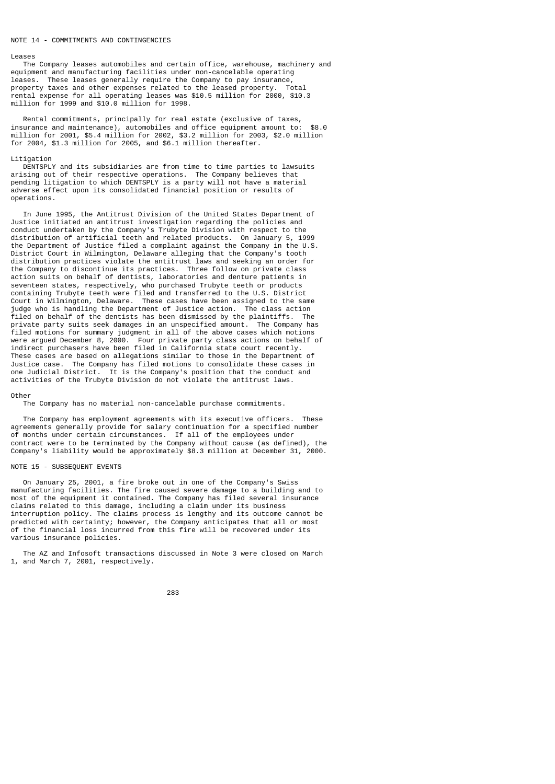#### NOTE 14 - COMMITMENTS AND CONTINGENCIES

#### Leases

 The Company leases automobiles and certain office, warehouse, machinery and equipment and manufacturing facilities under non-cancelable operating leases. These leases generally require the Company to pay insurance, property taxes and other expenses related to the leased property. Total rental expense for all operating leases was \$10.5 million for 2000, \$10.3 million for 1999 and \$10.0 million for 1998.

 Rental commitments, principally for real estate (exclusive of taxes, insurance and maintenance), automobiles and office equipment amount to: \$8.0 million for 2001, \$5.4 million for 2002, \$3.2 million for 2003, \$2.0 million for 2004, \$1.3 million for 2005, and \$6.1 million thereafter.

#### Litigation

 DENTSPLY and its subsidiaries are from time to time parties to lawsuits arising out of their respective operations. The Company believes that pending litigation to which DENTSPLY is a party will not have a material adverse effect upon its consolidated financial position or results of operations.

 In June 1995, the Antitrust Division of the United States Department of Justice initiated an antitrust investigation regarding the policies and conduct undertaken by the Company's Trubyte Division with respect to the distribution of artificial teeth and related products. On January 5, 1999 the Department of Justice filed a complaint against the Company in the U.S. District Court in Wilmington, Delaware alleging that the Company's tooth distribution practices violate the antitrust laws and seeking an order for the Company to discontinue its practices. Three follow on private class action suits on behalf of dentists, laboratories and denture patients in seventeen states, respectively, who purchased Trubyte teeth or products containing Trubyte teeth were filed and transferred to the U.S. District Court in Wilmington, Delaware. These cases have been assigned to the same judge who is handling the Department of Justice action. The class action filed on behalf of the dentists has been dismissed by the plaintiffs. The private party suits seek damages in an unspecified amount. The Company has filed motions for summary judgment in all of the above cases which motions were argued December 8, 2000. Four private party class actions on behalf of indirect purchasers have been filed in California state court recently. These cases are based on allegations similar to those in the Department of Justice case. The Company has filed motions to consolidate these cases in one Judicial District. It is the Company's position that the conduct and activities of the Trubyte Division do not violate the antitrust laws.

#### Other

The Company has no material non-cancelable purchase commitments.

 The Company has employment agreements with its executive officers. These agreements generally provide for salary continuation for a specified number of months under certain circumstances. If all of the employees under contract were to be terminated by the Company without cause (as defined), the Company's liability would be approximately \$8.3 million at December 31, 2000.

#### NOTE 15 - SUBSEQUENT EVENTS

 On January 25, 2001, a fire broke out in one of the Company's Swiss manufacturing facilities. The fire caused severe damage to a building and to most of the equipment it contained. The Company has filed several insurance claims related to this damage, including a claim under its business interruption policy. The claims process is lengthy and its outcome cannot be predicted with certainty; however, the Company anticipates that all or most of the financial loss incurred from this fire will be recovered under its various insurance policies.

 The AZ and Infosoft transactions discussed in Note 3 were closed on March 1, and March 7, 2001, respectively.

<u>283 and 283 and 283 and 283 and 283 and 283 and 283 and 283 and 283 and 283 and 283 and 283 and 283 and 283 and 283 and 283 and 283 and 283 and 283 and 283 and 283 and 283 and 283 and 283 and 283 and 283 and 283 and 283 a</u>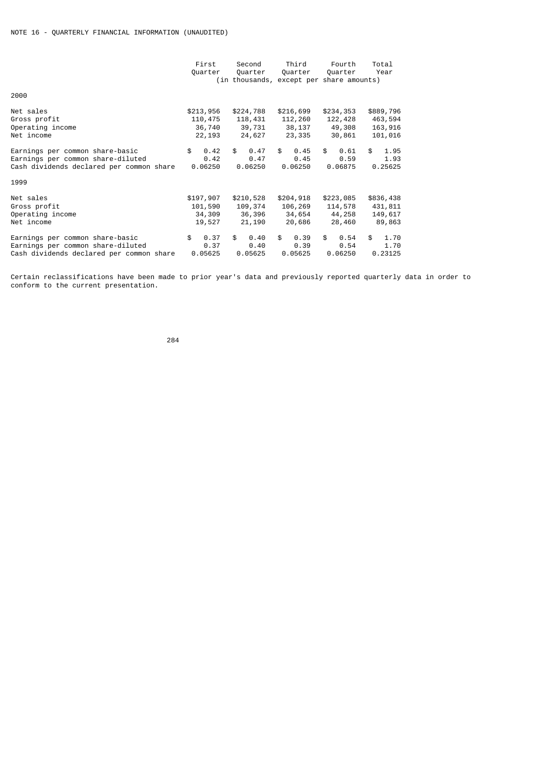|                                                                                                                  | First<br>Quarter              | Second<br>Quarter<br>(in thousands, except per share amounts) | Third<br>Quarter              | Fourth<br>Quarter             | Total<br>Year                 |
|------------------------------------------------------------------------------------------------------------------|-------------------------------|---------------------------------------------------------------|-------------------------------|-------------------------------|-------------------------------|
| 2000                                                                                                             |                               |                                                               |                               |                               |                               |
| Net sales                                                                                                        | \$213,956                     | \$224,788                                                     | \$216,699                     | \$234,353                     | \$889,796                     |
| Gross profit                                                                                                     | 110,475                       | 118,431                                                       | 112,260                       | 122,428                       | 463,594                       |
| Operating income                                                                                                 | 36,740                        | 39,731                                                        | 38,137                        | 49,308                        | 163,916                       |
| Net income                                                                                                       | 22,193                        | 24,627                                                        | 23,335                        | 30,861                        | 101,016                       |
| Earnings per common share-basic                                                                                  | \$                            | \$                                                            | \$                            | \$                            | \$                            |
| Earnings per common share-diluted                                                                                | 0.42                          | 0.47                                                          | 0.45                          | 0.61                          | 1.95                          |
| Cash dividends declared per common share                                                                         | 0.42                          | 0.47                                                          | 0.45                          | 0.59                          | 1.93                          |
| 1999                                                                                                             | 0.06250                       | 0.06250                                                       | 0.06250                       | 0.06875                       | 0.25625                       |
| Net sales                                                                                                        | \$197,907                     | \$210,528                                                     | \$204,918                     | \$223,085                     | \$836,438                     |
| Gross profit                                                                                                     | 101,590                       | 109,374                                                       | 106,269                       | 114,578                       | 431,811                       |
| Operating income                                                                                                 | 34,309                        | 36,396                                                        | 34,654                        | 44,258                        | 149,617                       |
| Net income                                                                                                       | 19,527                        | 21,190                                                        | 20,686                        | 28,460                        | 89,863                        |
| Earnings per common share-basic<br>Earnings per common share-diluted<br>Cash dividends declared per common share | 0.37<br>\$<br>0.37<br>0.05625 | \$<br>0.40<br>0.40<br>0.05625                                 | 0.39<br>\$<br>0.39<br>0.05625 | \$<br>0.54<br>0.54<br>0.06250 | \$<br>1.70<br>1.70<br>0.23125 |

Certain reclassifications have been made to prior year's data and previously reported quarterly data in order to conform to the current presentation.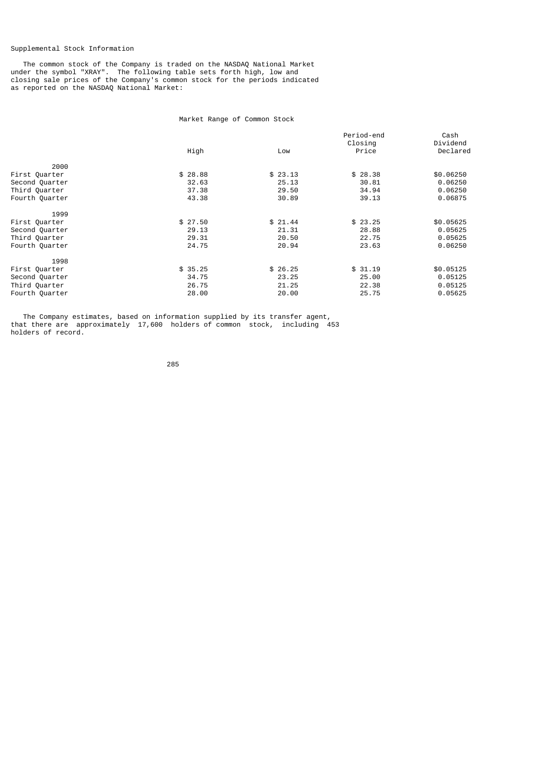## Supplemental Stock Information

 The common stock of the Company is traded on the NASDAQ National Market under the symbol "XRAY". The following table sets forth high, low and closing sale prices of the Company's common stock for the periods indicated as reported on the NASDAQ National Market:

# Market Range of Common Stock

|                | High    | Low     | Period-end<br>Closing<br>Price | Cash<br>Dividend<br>Declared |
|----------------|---------|---------|--------------------------------|------------------------------|
| 2000           |         |         |                                |                              |
| First Quarter  | \$28.88 | \$23.13 | \$28.38                        | \$0.06250                    |
| Second Quarter | 32.63   | 25.13   | 30.81                          | 0.06250                      |
| Third Quarter  | 37.38   | 29.50   | 34.94                          | 0.06250                      |
| Fourth Quarter | 43.38   | 30.89   | 39.13                          | 0.06875                      |
| 1999           |         |         |                                |                              |
| First Quarter  | \$27.50 | \$21.44 | \$23.25                        | \$0.05625                    |
| Second Quarter | 29.13   | 21.31   | 28.88                          | 0.05625                      |
| Third Quarter  | 29.31   | 20.50   | 22.75                          | 0.05625                      |
| Fourth Quarter | 24.75   | 20.94   | 23.63                          | 0.06250                      |
| 1998           |         |         |                                |                              |
| First Quarter  | \$35.25 | \$26.25 | \$31.19                        | \$0.05125                    |
| Second Quarter | 34.75   | 23.25   | 25.00                          | 0.05125                      |
| Third Quarter  | 26.75   | 21.25   | 22.38                          | 0.05125                      |
| Fourth Quarter | 28.00   | 20.00   | 25.75                          | 0.05625                      |

 The Company estimates, based on information supplied by its transfer agent, that there are approximately 17,600 holders of common stock, including 453 holders of record.

<u>285 - 285 - 286 - 287 - 287 - 287 - 287 - 287 - 287 - 287 - 287 - 287 - 287 - 287 - 287 - 287 - 28</u>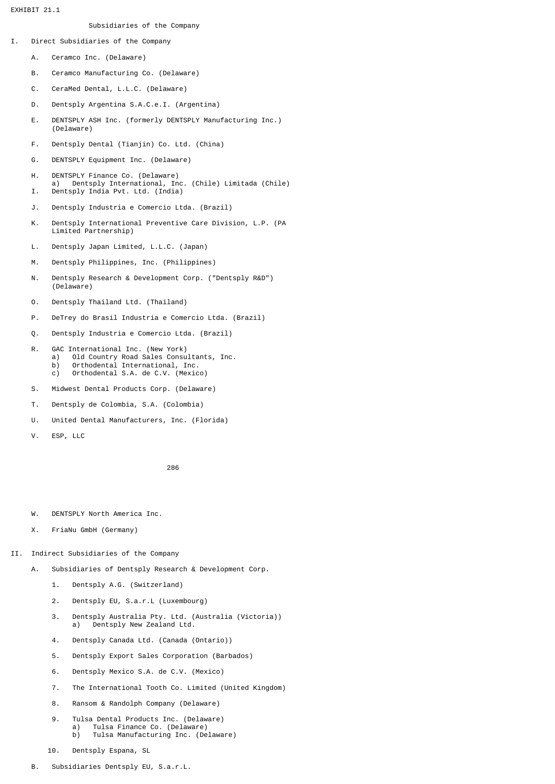EXHIBIT 21.1

## Subsidiaries of the Company

- I. Direct Subsidiaries of the Company
	- A. Ceramco Inc. (Delaware)
	- B. Ceramco Manufacturing Co. (Delaware)
	- C. CeraMed Dental, L.L.C. (Delaware)
	- D. Dentsply Argentina S.A.C.e.I. (Argentina)
	- E. DENTSPLY ASH Inc. (formerly DENTSPLY Manufacturing Inc.) (Delaware)
	- F. Dentsply Dental (Tianjin) Co. Ltd. (China)
	- G. DENTSPLY Equipment Inc. (Delaware)
	- H. DENTSPLY Finance Co. (Delaware) a) Dentsply International, Inc. (Chile) Limitada (Chile) I. Dentsply India Pvt. Ltd. (India)
	- J. Dentsply Industria e Comercio Ltda. (Brazil)
	- K. Dentsply International Preventive Care Division, L.P. (PA Limited Partnership)
	- L. Dentsply Japan Limited, L.L.C. (Japan)
	- M. Dentsply Philippines, Inc. (Philippines)
	- N. Dentsply Research & Development Corp. ("Dentsply R&D") (Delaware)
	- O. Dentsply Thailand Ltd. (Thailand)
	- P. DeTrey do Brasil Industria e Comercio Ltda. (Brazil)
	- Q. Dentsply Industria e Comercio Ltda. (Brazil)
- R. GAC International Inc. (New York) a) Old Country Road Sales Consultants, Inc. b) Orthodental International, Inc. c) Orthodental S.A. de C.V. (Mexico)
	- S. Midwest Dental Products Corp. (Delaware)
	- T. Dentsply de Colombia, S.A. (Colombia)
	- U. United Dental Manufacturers, Inc. (Florida)
	- V. ESP, LLC

- W. DENTSPLY North America Inc.
- X. FriaNu GmbH (Germany)
- II. Indirect Subsidiaries of the Company
	- A. Subsidiaries of Dentsply Research & Development Corp.
		- 1. Dentsply A.G. (Switzerland)
		- 2. Dentsply EU, S.a.r.L (Luxembourg)
		- 3. Dentsply Australia Pty. Ltd. (Australia (Victoria)) a) Dentsply New Zealand Ltd.
		- 4. Dentsply Canada Ltd. (Canada (Ontario))
		- 5. Dentsply Export Sales Corporation (Barbados)
		- 6. Dentsply Mexico S.A. de C.V. (Mexico)
		- 7. The International Tooth Co. Limited (United Kingdom)
		- 8. Ransom & Randolph Company (Delaware)
		- 9. Tulsa Dental Products Inc. (Delaware) a) Tulsa Finance Co. (Delaware) b) Tulsa Manufacturing Inc. (Delaware)
		- 10. Dentsply Espana, SL
	- B. Subsidiaries Dentsply EU, S.a.r.L.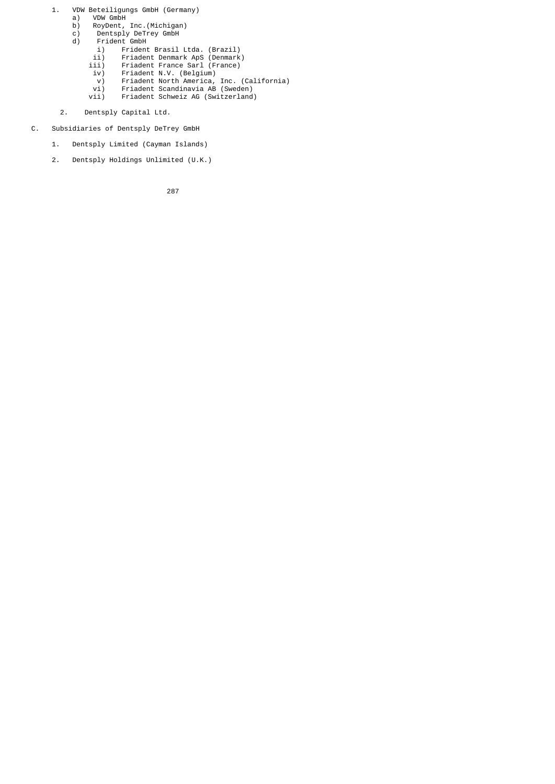- 1. VDW Beteiligungs GmbH (Germany)<br>a) VDW GmbH a) VDW GmbH b) RoyDent, Inc.(Michigan) c) Dentsply DeTrey GmbH d) Frident GmbH i) Frident Brasil Ltda. (Brazil) ii) Friadent Denmark ApS (Denmark) iii) Friadent France Sarl (France)<br>iv) Friadent N.V. (Belgium) iv) Friadent N.V. (Belgium) v) Friadent North America, Inc. (California) vi) Friadent Scandinavia AB (Sweden) vii) Friadent Schweiz AG (Switzerland)
	- 2. Dentsply Capital Ltd.
	- C. Subsidiaries of Dentsply DeTrey GmbH
		- 1. Dentsply Limited (Cayman Islands)
		- 2. Dentsply Holdings Unlimited (U.K.)

процесси в политика в село в 1987 године в 287 године в 1987 године в 1987 године в 1987 године в 1987 године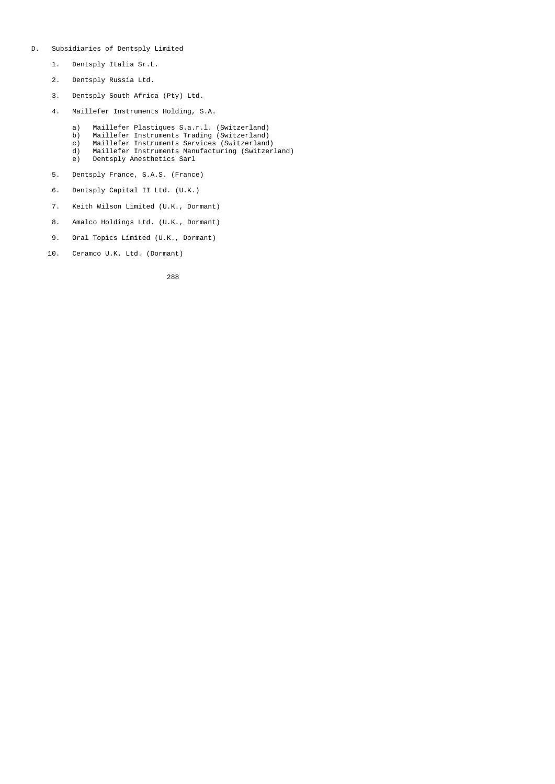- D. Subsidiaries of Dentsply Limited
	- 1. Dentsply Italia Sr.L.
	- 2. Dentsply Russia Ltd.
	- 3. Dentsply South Africa (Pty) Ltd.
	- 4. Maillefer Instruments Holding, S.A.
- a) Maillefer Plastiques S.a.r.l. (Switzerland)
- b) Maillefer Instruments Trading (Switzerland)
- c) Maillefer Instruments Services (Switzerland)
	- d) Maillefer Instruments Manufacturing (Switzerland) Dentsply Anesthetics Sarl
	-
	- 5. Dentsply France, S.A.S. (France)
	- 6. Dentsply Capital II Ltd. (U.K.)
	- 7. Keith Wilson Limited (U.K., Dormant)
	- 8. Amalco Holdings Ltd. (U.K., Dormant)
	- 9. Oral Topics Limited (U.K., Dormant)
	- 10. Ceramco U.K. Ltd. (Dormant)

<u>288 and 288 and 288 and 288 and 288 and 288 and 288 and 288 and 288 and 288 and 288 and 288 and 288 and 288 and 288 and 288 and 288 and 288 and 288 and 288 and 288 and 288 and 288 and 288 and 288 and 288 and 288 and 288 a</u>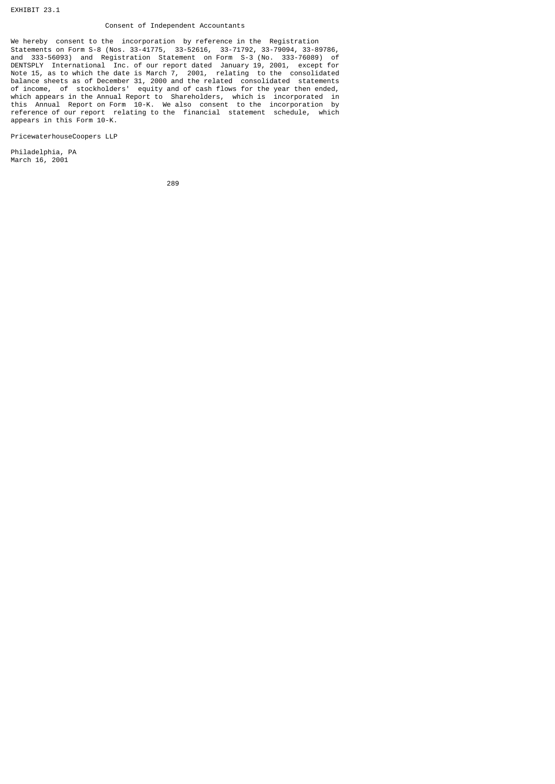## Consent of Independent Accountants

We hereby consent to the incorporation by reference in the Registration Statements on Form S-8 (Nos. 33-41775, 33-52616, 33-71792, 33-79094, 33-89786, and 333-56093) and Registration Statement on Form S-3 (No. 333-76089) of DENTSPLY International Inc. of our report dated January 19, 2001, except for Note 15, as to which the date is March 7, 2001, relating to the consolidated balance sheets as of December 31, 2000 and the related consolidated statements of income, of stockholders' equity and of cash flows for the year then ended, which appears in the Annual Report to Shareholders, which is incorporated in this Annual Report on Form 10-K. We also consent to the incorporation by reference of our report relating to the financial statement schedule, which appears in this Form 10-K.

PricewaterhouseCoopers LLP

Philadelphia, PA March 16, 2001

<u>289 - Andre Sterne Sterne Sterne Sterne Sterne Sterne Sterne Sterne Sterne Sterne Sterne Sterne Sterne Sterne</u>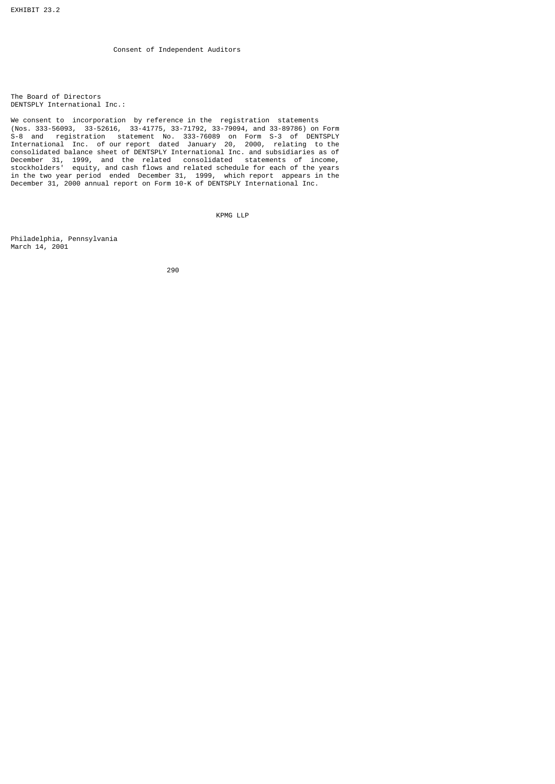The Board of Directors DENTSPLY International Inc.:

We consent to incorporation by reference in the registration statements (Nos. 333-56093, 33-52616, 33-41775, 33-71792, 33-79094, and 33-89786) on Form S-8 and registration statement No. 333-76089 on Form S-3 of DENTSPLY International Inc. of our report dated January 20, 2000, relating to the consolidated balance sheet of DENTSPLY International Inc. and subsidiaries as of December 31, 1999, and the related consolidated statements of income, stockholders' equity, and cash flows and related schedule for each of the years in the two year period ended December 31, 1999, which report appears in the December 31, 2000 annual report on Form 10-K of DENTSPLY International Inc.

KPMG LLP

Philadelphia, Pennsylvania March 14, 2001

е процесси производите на 1990 година в 1990 година в 1990 година в 1990 година в 1990 година в 1990 година в